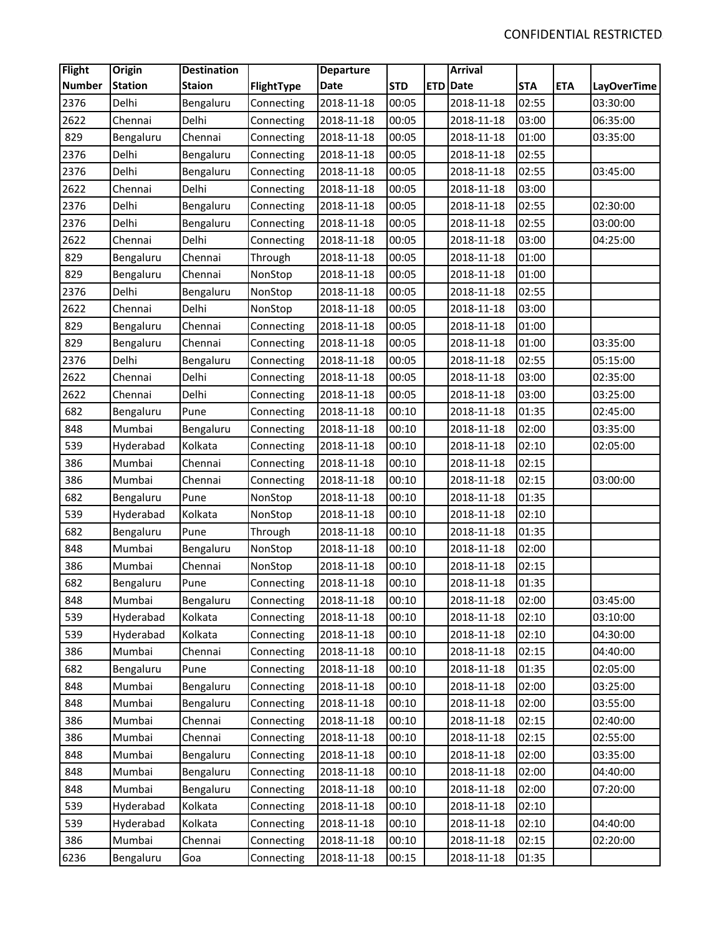| <b>Flight</b> | <b>Origin</b>  | <b>Destination</b> |            | <b>Departure</b> |            | <b>Arrival</b>  |            |            |                    |
|---------------|----------------|--------------------|------------|------------------|------------|-----------------|------------|------------|--------------------|
| <b>Number</b> | <b>Station</b> | <b>Staion</b>      | FlightType | Date             | <b>STD</b> | <b>ETD</b> Date | <b>STA</b> | <b>ETA</b> | <b>LayOverTime</b> |
| 2376          | Delhi          | Bengaluru          | Connecting | 2018-11-18       | 00:05      | 2018-11-18      | 02:55      |            | 03:30:00           |
| 2622          | Chennai        | Delhi              | Connecting | 2018-11-18       | 00:05      | 2018-11-18      | 03:00      |            | 06:35:00           |
| 829           | Bengaluru      | Chennai            | Connecting | 2018-11-18       | 00:05      | 2018-11-18      | 01:00      |            | 03:35:00           |
| 2376          | Delhi          | Bengaluru          | Connecting | 2018-11-18       | 00:05      | 2018-11-18      | 02:55      |            |                    |
| 2376          | Delhi          | Bengaluru          | Connecting | 2018-11-18       | 00:05      | 2018-11-18      | 02:55      |            | 03:45:00           |
| 2622          | Chennai        | Delhi              | Connecting | 2018-11-18       | 00:05      | 2018-11-18      | 03:00      |            |                    |
| 2376          | Delhi          | Bengaluru          | Connecting | 2018-11-18       | 00:05      | 2018-11-18      | 02:55      |            | 02:30:00           |
| 2376          | Delhi          | Bengaluru          | Connecting | 2018-11-18       | 00:05      | 2018-11-18      | 02:55      |            | 03:00:00           |
| 2622          | Chennai        | Delhi              | Connecting | 2018-11-18       | 00:05      | 2018-11-18      | 03:00      |            | 04:25:00           |
| 829           | Bengaluru      | Chennai            | Through    | 2018-11-18       | 00:05      | 2018-11-18      | 01:00      |            |                    |
| 829           | Bengaluru      | Chennai            | NonStop    | 2018-11-18       | 00:05      | 2018-11-18      | 01:00      |            |                    |
| 2376          | Delhi          | Bengaluru          | NonStop    | 2018-11-18       | 00:05      | 2018-11-18      | 02:55      |            |                    |
| 2622          | Chennai        | Delhi              | NonStop    | 2018-11-18       | 00:05      | 2018-11-18      | 03:00      |            |                    |
| 829           | Bengaluru      | Chennai            | Connecting | 2018-11-18       | 00:05      | 2018-11-18      | 01:00      |            |                    |
| 829           | Bengaluru      | Chennai            | Connecting | 2018-11-18       | 00:05      | 2018-11-18      | 01:00      |            | 03:35:00           |
| 2376          | Delhi          | Bengaluru          | Connecting | 2018-11-18       | 00:05      | 2018-11-18      | 02:55      |            | 05:15:00           |
| 2622          | Chennai        | Delhi              | Connecting | 2018-11-18       | 00:05      | 2018-11-18      | 03:00      |            | 02:35:00           |
| 2622          | Chennai        | Delhi              | Connecting | 2018-11-18       | 00:05      | 2018-11-18      | 03:00      |            | 03:25:00           |
| 682           | Bengaluru      | Pune               | Connecting | 2018-11-18       | 00:10      | 2018-11-18      | 01:35      |            | 02:45:00           |
| 848           | Mumbai         | Bengaluru          | Connecting | 2018-11-18       | 00:10      | 2018-11-18      | 02:00      |            | 03:35:00           |
| 539           | Hyderabad      | Kolkata            | Connecting | 2018-11-18       | 00:10      | 2018-11-18      | 02:10      |            | 02:05:00           |
| 386           | Mumbai         | Chennai            | Connecting | 2018-11-18       | 00:10      | 2018-11-18      | 02:15      |            |                    |
| 386           | Mumbai         | Chennai            | Connecting | 2018-11-18       | 00:10      | 2018-11-18      | 02:15      |            | 03:00:00           |
| 682           | Bengaluru      | Pune               | NonStop    | 2018-11-18       | 00:10      | 2018-11-18      | 01:35      |            |                    |
| 539           | Hyderabad      | Kolkata            | NonStop    | 2018-11-18       | 00:10      | 2018-11-18      | 02:10      |            |                    |
| 682           | Bengaluru      | Pune               | Through    | 2018-11-18       | 00:10      | 2018-11-18      | 01:35      |            |                    |
| 848           | Mumbai         | Bengaluru          | NonStop    | 2018-11-18       | 00:10      | 2018-11-18      | 02:00      |            |                    |
| 386           | Mumbai         | Chennai            | NonStop    | 2018-11-18       | 00:10      | 2018-11-18      | 02:15      |            |                    |
| 682           | Bengaluru      | Pune               | Connecting | 2018-11-18       | 00:10      | 2018-11-18      | 01:35      |            |                    |
| 848           | Mumbai         | Bengaluru          | Connecting | 2018-11-18       | 00:10      | 2018-11-18      | 02:00      |            | 03:45:00           |
| 539           | Hyderabad      | Kolkata            | Connecting | 2018-11-18       | 00:10      | 2018-11-18      | 02:10      |            | 03:10:00           |
| 539           | Hyderabad      | Kolkata            | Connecting | 2018-11-18       | 00:10      | 2018-11-18      | 02:10      |            | 04:30:00           |
| 386           | Mumbai         | Chennai            | Connecting | 2018-11-18       | 00:10      | 2018-11-18      | 02:15      |            | 04:40:00           |
| 682           | Bengaluru      | Pune               | Connecting | 2018-11-18       | 00:10      | 2018-11-18      | 01:35      |            | 02:05:00           |
| 848           | Mumbai         | Bengaluru          | Connecting | 2018-11-18       | 00:10      | 2018-11-18      | 02:00      |            | 03:25:00           |
| 848           | Mumbai         | Bengaluru          | Connecting | 2018-11-18       | 00:10      | 2018-11-18      | 02:00      |            | 03:55:00           |
| 386           | Mumbai         | Chennai            | Connecting | 2018-11-18       | 00:10      | 2018-11-18      | 02:15      |            | 02:40:00           |
| 386           | Mumbai         | Chennai            | Connecting | 2018-11-18       | 00:10      | 2018-11-18      | 02:15      |            | 02:55:00           |
| 848           | Mumbai         | Bengaluru          | Connecting | 2018-11-18       | 00:10      | 2018-11-18      | 02:00      |            | 03:35:00           |
| 848           | Mumbai         | Bengaluru          | Connecting | 2018-11-18       | 00:10      | 2018-11-18      | 02:00      |            | 04:40:00           |
| 848           | Mumbai         | Bengaluru          | Connecting | 2018-11-18       | 00:10      | 2018-11-18      | 02:00      |            | 07:20:00           |
| 539           | Hyderabad      | Kolkata            | Connecting | 2018-11-18       | 00:10      | 2018-11-18      | 02:10      |            |                    |
| 539           | Hyderabad      | Kolkata            | Connecting | 2018-11-18       | 00:10      | 2018-11-18      | 02:10      |            | 04:40:00           |
| 386           | Mumbai         | Chennai            | Connecting | 2018-11-18       | 00:10      | 2018-11-18      | 02:15      |            | 02:20:00           |
| 6236          | Bengaluru      | Goa                | Connecting | 2018-11-18       | 00:15      | 2018-11-18      | 01:35      |            |                    |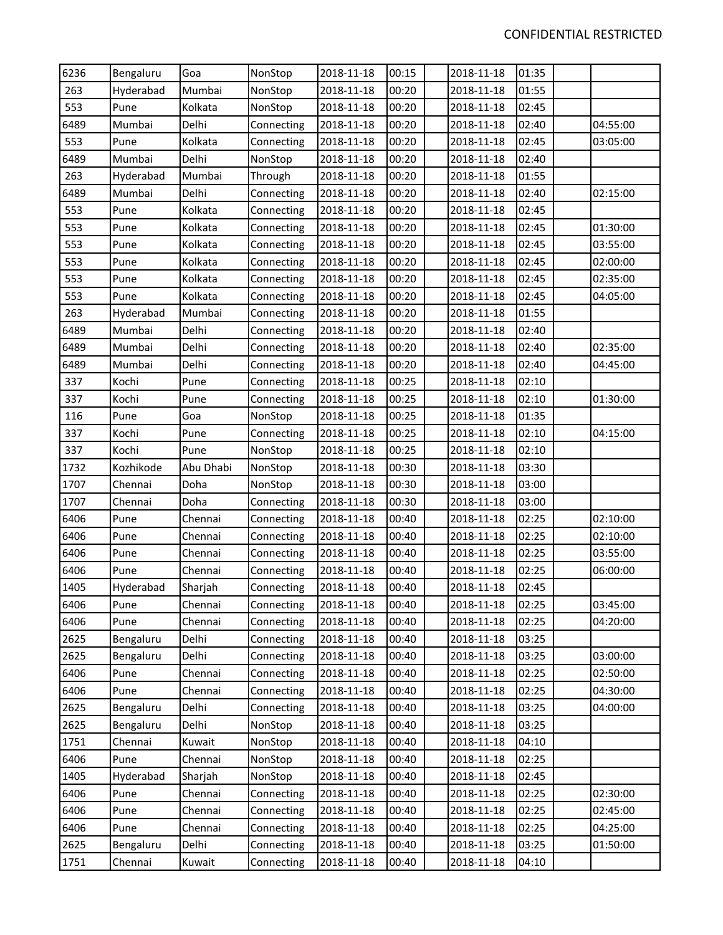| 6236 | Bengaluru | Goa       | NonStop    | 2018-11-18 | 00:15 | 2018-11-18 | 01:35 |          |
|------|-----------|-----------|------------|------------|-------|------------|-------|----------|
| 263  | Hyderabad | Mumbai    | NonStop    | 2018-11-18 | 00:20 | 2018-11-18 | 01:55 |          |
| 553  | Pune      | Kolkata   | NonStop    | 2018-11-18 | 00:20 | 2018-11-18 | 02:45 |          |
| 6489 | Mumbai    | Delhi     | Connecting | 2018-11-18 | 00:20 | 2018-11-18 | 02:40 | 04:55:00 |
| 553  | Pune      | Kolkata   | Connecting | 2018-11-18 | 00:20 | 2018-11-18 | 02:45 | 03:05:00 |
| 6489 | Mumbai    | Delhi     | NonStop    | 2018-11-18 | 00:20 | 2018-11-18 | 02:40 |          |
| 263  | Hyderabad | Mumbai    | Through    | 2018-11-18 | 00:20 | 2018-11-18 | 01:55 |          |
| 6489 | Mumbai    | Delhi     | Connecting | 2018-11-18 | 00:20 | 2018-11-18 | 02:40 | 02:15:00 |
| 553  | Pune      | Kolkata   | Connecting | 2018-11-18 | 00:20 | 2018-11-18 | 02:45 |          |
| 553  | Pune      | Kolkata   | Connecting | 2018-11-18 | 00:20 | 2018-11-18 | 02:45 | 01:30:00 |
| 553  | Pune      | Kolkata   | Connecting | 2018-11-18 | 00:20 | 2018-11-18 | 02:45 | 03:55:00 |
| 553  | Pune      | Kolkata   | Connecting | 2018-11-18 | 00:20 | 2018-11-18 | 02:45 | 02:00:00 |
| 553  | Pune      | Kolkata   | Connecting | 2018-11-18 | 00:20 | 2018-11-18 | 02:45 | 02:35:00 |
| 553  | Pune      | Kolkata   | Connecting | 2018-11-18 | 00:20 | 2018-11-18 | 02:45 | 04:05:00 |
| 263  | Hyderabad | Mumbai    | Connecting | 2018-11-18 | 00:20 | 2018-11-18 | 01:55 |          |
| 6489 | Mumbai    | Delhi     | Connecting | 2018-11-18 | 00:20 | 2018-11-18 | 02:40 |          |
| 6489 | Mumbai    | Delhi     | Connecting | 2018-11-18 | 00:20 | 2018-11-18 | 02:40 | 02:35:00 |
| 6489 | Mumbai    | Delhi     | Connecting | 2018-11-18 | 00:20 | 2018-11-18 | 02:40 | 04:45:00 |
| 337  | Kochi     | Pune      | Connecting | 2018-11-18 | 00:25 | 2018-11-18 | 02:10 |          |
| 337  | Kochi     | Pune      | Connecting | 2018-11-18 | 00:25 | 2018-11-18 | 02:10 | 01:30:00 |
| 116  | Pune      | Goa       | NonStop    | 2018-11-18 | 00:25 | 2018-11-18 | 01:35 |          |
| 337  | Kochi     | Pune      | Connecting | 2018-11-18 | 00:25 | 2018-11-18 | 02:10 | 04:15:00 |
| 337  | Kochi     | Pune      | NonStop    | 2018-11-18 | 00:25 | 2018-11-18 | 02:10 |          |
| 1732 | Kozhikode | Abu Dhabi | NonStop    | 2018-11-18 | 00:30 | 2018-11-18 | 03:30 |          |
| 1707 | Chennai   | Doha      | NonStop    | 2018-11-18 | 00:30 | 2018-11-18 | 03:00 |          |
| 1707 | Chennai   | Doha      | Connecting | 2018-11-18 | 00:30 | 2018-11-18 | 03:00 |          |
| 6406 | Pune      | Chennai   | Connecting | 2018-11-18 | 00:40 | 2018-11-18 | 02:25 | 02:10:00 |
| 6406 | Pune      | Chennai   | Connecting | 2018-11-18 | 00:40 | 2018-11-18 | 02:25 | 02:10:00 |
| 6406 | Pune      | Chennai   | Connecting | 2018-11-18 | 00:40 | 2018-11-18 | 02:25 | 03:55:00 |
| 6406 | Pune      | Chennai   | Connecting | 2018-11-18 | 00:40 | 2018-11-18 | 02:25 | 06:00:00 |
| 1405 | Hyderabad | Sharjah   | Connecting | 2018-11-18 | 00:40 | 2018-11-18 | 02:45 |          |
| 6406 | Pune      | Chennai   | Connecting | 2018-11-18 | 00:40 | 2018-11-18 | 02:25 | 03:45:00 |
| 6406 | Pune      | Chennai   | Connecting | 2018-11-18 | 00:40 | 2018-11-18 | 02:25 | 04:20:00 |
| 2625 | Bengaluru | Delhi     | Connecting | 2018-11-18 | 00:40 | 2018-11-18 | 03:25 |          |
| 2625 | Bengaluru | Delhi     | Connecting | 2018-11-18 | 00:40 | 2018-11-18 | 03:25 | 03:00:00 |
| 6406 | Pune      | Chennai   | Connecting | 2018-11-18 | 00:40 | 2018-11-18 | 02:25 | 02:50:00 |
| 6406 | Pune      | Chennai   | Connecting | 2018-11-18 | 00:40 | 2018-11-18 | 02:25 | 04:30:00 |
| 2625 | Bengaluru | Delhi     | Connecting | 2018-11-18 | 00:40 | 2018-11-18 | 03:25 | 04:00:00 |
| 2625 | Bengaluru | Delhi     | NonStop    | 2018-11-18 | 00:40 | 2018-11-18 | 03:25 |          |
| 1751 | Chennai   | Kuwait    | NonStop    | 2018-11-18 | 00:40 | 2018-11-18 | 04:10 |          |
| 6406 | Pune      | Chennai   | NonStop    | 2018-11-18 | 00:40 | 2018-11-18 | 02:25 |          |
| 1405 | Hyderabad | Sharjah   | NonStop    | 2018-11-18 | 00:40 | 2018-11-18 | 02:45 |          |
| 6406 | Pune      | Chennai   | Connecting | 2018-11-18 | 00:40 | 2018-11-18 | 02:25 | 02:30:00 |
| 6406 | Pune      | Chennai   | Connecting | 2018-11-18 | 00:40 | 2018-11-18 | 02:25 | 02:45:00 |
| 6406 | Pune      | Chennai   | Connecting | 2018-11-18 | 00:40 | 2018-11-18 | 02:25 | 04:25:00 |
| 2625 | Bengaluru | Delhi     | Connecting | 2018-11-18 | 00:40 | 2018-11-18 | 03:25 | 01:50:00 |
| 1751 | Chennai   | Kuwait    | Connecting | 2018-11-18 | 00:40 | 2018-11-18 | 04:10 |          |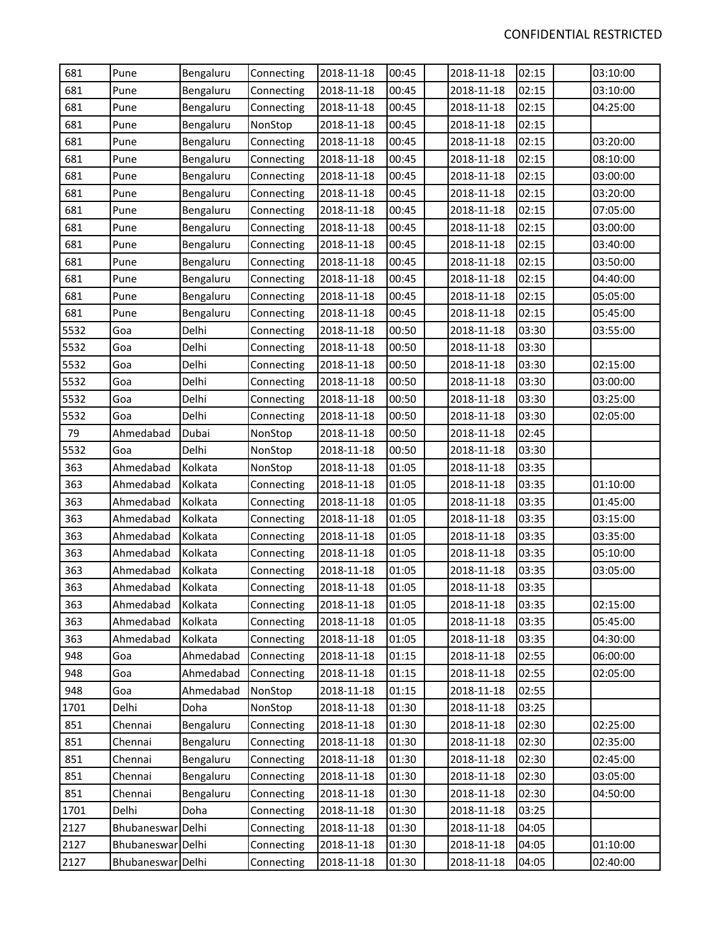| 681  | Pune              | Bengaluru | Connecting | 2018-11-18 | 00:45 | 2018-11-18 | 02:15 | 03:10:00 |
|------|-------------------|-----------|------------|------------|-------|------------|-------|----------|
| 681  | Pune              | Bengaluru | Connecting | 2018-11-18 | 00:45 | 2018-11-18 | 02:15 | 03:10:00 |
| 681  | Pune              | Bengaluru | Connecting | 2018-11-18 | 00:45 | 2018-11-18 | 02:15 | 04:25:00 |
| 681  | Pune              | Bengaluru | NonStop    | 2018-11-18 | 00:45 | 2018-11-18 | 02:15 |          |
| 681  | Pune              | Bengaluru | Connecting | 2018-11-18 | 00:45 | 2018-11-18 | 02:15 | 03:20:00 |
| 681  | Pune              | Bengaluru | Connecting | 2018-11-18 | 00:45 | 2018-11-18 | 02:15 | 08:10:00 |
| 681  | Pune              | Bengaluru | Connecting | 2018-11-18 | 00:45 | 2018-11-18 | 02:15 | 03:00:00 |
| 681  | Pune              | Bengaluru | Connecting | 2018-11-18 | 00:45 | 2018-11-18 | 02:15 | 03:20:00 |
| 681  | Pune              | Bengaluru | Connecting | 2018-11-18 | 00:45 | 2018-11-18 | 02:15 | 07:05:00 |
| 681  | Pune              | Bengaluru | Connecting | 2018-11-18 | 00:45 | 2018-11-18 | 02:15 | 03:00:00 |
| 681  | Pune              | Bengaluru | Connecting | 2018-11-18 | 00:45 | 2018-11-18 | 02:15 | 03:40:00 |
| 681  | Pune              | Bengaluru | Connecting | 2018-11-18 | 00:45 | 2018-11-18 | 02:15 | 03:50:00 |
| 681  | Pune              | Bengaluru | Connecting | 2018-11-18 | 00:45 | 2018-11-18 | 02:15 | 04:40:00 |
| 681  | Pune              | Bengaluru | Connecting | 2018-11-18 | 00:45 | 2018-11-18 | 02:15 | 05:05:00 |
| 681  | Pune              | Bengaluru | Connecting | 2018-11-18 | 00:45 | 2018-11-18 | 02:15 | 05:45:00 |
| 5532 | Goa               | Delhi     | Connecting | 2018-11-18 | 00:50 | 2018-11-18 | 03:30 | 03:55:00 |
| 5532 | Goa               | Delhi     | Connecting | 2018-11-18 | 00:50 | 2018-11-18 | 03:30 |          |
| 5532 | Goa               | Delhi     | Connecting | 2018-11-18 | 00:50 | 2018-11-18 | 03:30 | 02:15:00 |
| 5532 | Goa               | Delhi     | Connecting | 2018-11-18 | 00:50 | 2018-11-18 | 03:30 | 03:00:00 |
| 5532 | Goa               | Delhi     | Connecting | 2018-11-18 | 00:50 | 2018-11-18 | 03:30 | 03:25:00 |
| 5532 | Goa               | Delhi     | Connecting | 2018-11-18 | 00:50 | 2018-11-18 | 03:30 | 02:05:00 |
| 79   | Ahmedabad         | Dubai     | NonStop    | 2018-11-18 | 00:50 | 2018-11-18 | 02:45 |          |
| 5532 | Goa               | Delhi     | NonStop    | 2018-11-18 | 00:50 | 2018-11-18 | 03:30 |          |
| 363  | Ahmedabad         | Kolkata   | NonStop    | 2018-11-18 | 01:05 | 2018-11-18 | 03:35 |          |
| 363  | Ahmedabad         | Kolkata   | Connecting | 2018-11-18 | 01:05 | 2018-11-18 | 03:35 | 01:10:00 |
| 363  | Ahmedabad         | Kolkata   | Connecting | 2018-11-18 | 01:05 | 2018-11-18 | 03:35 | 01:45:00 |
| 363  | Ahmedabad         | Kolkata   | Connecting | 2018-11-18 | 01:05 | 2018-11-18 | 03:35 | 03:15:00 |
| 363  | Ahmedabad         | Kolkata   | Connecting | 2018-11-18 | 01:05 | 2018-11-18 | 03:35 | 03:35:00 |
| 363  | Ahmedabad         | Kolkata   | Connecting | 2018-11-18 | 01:05 | 2018-11-18 | 03:35 | 05:10:00 |
| 363  | Ahmedabad         | Kolkata   | Connecting | 2018-11-18 | 01:05 | 2018-11-18 | 03:35 | 03:05:00 |
| 363  | Ahmedabad         | Kolkata   | Connecting | 2018-11-18 | 01:05 | 2018-11-18 | 03:35 |          |
| 363  | Ahmedabad         | Kolkata   | Connecting | 2018-11-18 | 01:05 | 2018-11-18 | 03:35 | 02:15:00 |
| 363  | Ahmedabad         | Kolkata   | Connecting | 2018-11-18 | 01:05 | 2018-11-18 | 03:35 | 05:45:00 |
| 363  | Ahmedabad         | Kolkata   | Connecting | 2018-11-18 | 01:05 | 2018-11-18 | 03:35 | 04:30:00 |
| 948  | Goa               | Ahmedabad | Connecting | 2018-11-18 | 01:15 | 2018-11-18 | 02:55 | 06:00:00 |
| 948  | Goa               | Ahmedabad | Connecting | 2018-11-18 | 01:15 | 2018-11-18 | 02:55 | 02:05:00 |
| 948  | Goa               | Ahmedabad | NonStop    | 2018-11-18 | 01:15 | 2018-11-18 | 02:55 |          |
| 1701 | Delhi             | Doha      | NonStop    | 2018-11-18 | 01:30 | 2018-11-18 | 03:25 |          |
| 851  | Chennai           | Bengaluru | Connecting | 2018-11-18 | 01:30 | 2018-11-18 | 02:30 | 02:25:00 |
| 851  | Chennai           | Bengaluru | Connecting | 2018-11-18 | 01:30 | 2018-11-18 | 02:30 | 02:35:00 |
| 851  | Chennai           | Bengaluru | Connecting | 2018-11-18 | 01:30 | 2018-11-18 | 02:30 | 02:45:00 |
| 851  | Chennai           | Bengaluru | Connecting | 2018-11-18 | 01:30 | 2018-11-18 | 02:30 | 03:05:00 |
| 851  | Chennai           | Bengaluru | Connecting | 2018-11-18 | 01:30 | 2018-11-18 | 02:30 | 04:50:00 |
| 1701 | Delhi             | Doha      | Connecting | 2018-11-18 | 01:30 | 2018-11-18 | 03:25 |          |
| 2127 | Bhubaneswar Delhi |           | Connecting | 2018-11-18 | 01:30 | 2018-11-18 | 04:05 |          |
| 2127 | Bhubaneswar Delhi |           | Connecting | 2018-11-18 | 01:30 | 2018-11-18 | 04:05 | 01:10:00 |
| 2127 | Bhubaneswar Delhi |           | Connecting | 2018-11-18 | 01:30 | 2018-11-18 | 04:05 | 02:40:00 |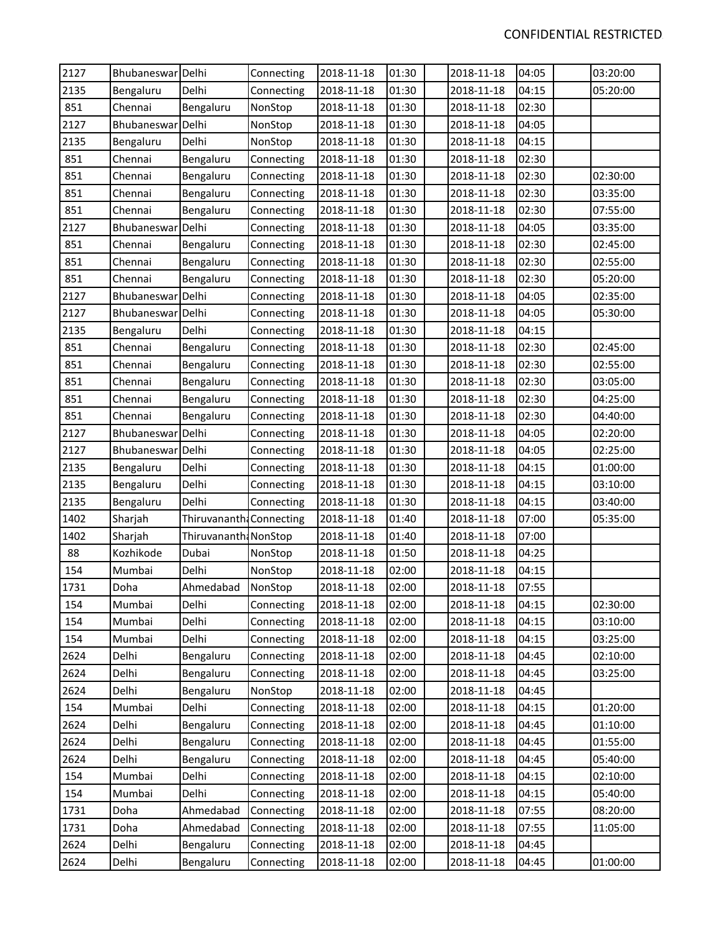| 2127 | Bhubaneswar Delhi |                          | Connecting | 2018-11-18 | 01:30 | 2018-11-18 | 04:05 | 03:20:00 |
|------|-------------------|--------------------------|------------|------------|-------|------------|-------|----------|
| 2135 | Bengaluru         | Delhi                    | Connecting | 2018-11-18 | 01:30 | 2018-11-18 | 04:15 | 05:20:00 |
| 851  | Chennai           | Bengaluru                | NonStop    | 2018-11-18 | 01:30 | 2018-11-18 | 02:30 |          |
| 2127 | Bhubaneswar Delhi |                          | NonStop    | 2018-11-18 | 01:30 | 2018-11-18 | 04:05 |          |
| 2135 | Bengaluru         | Delhi                    | NonStop    | 2018-11-18 | 01:30 | 2018-11-18 | 04:15 |          |
| 851  | Chennai           | Bengaluru                | Connecting | 2018-11-18 | 01:30 | 2018-11-18 | 02:30 |          |
| 851  | Chennai           | Bengaluru                | Connecting | 2018-11-18 | 01:30 | 2018-11-18 | 02:30 | 02:30:00 |
| 851  | Chennai           | Bengaluru                | Connecting | 2018-11-18 | 01:30 | 2018-11-18 | 02:30 | 03:35:00 |
| 851  | Chennai           | Bengaluru                | Connecting | 2018-11-18 | 01:30 | 2018-11-18 | 02:30 | 07:55:00 |
| 2127 | Bhubaneswar       | Delhi                    | Connecting | 2018-11-18 | 01:30 | 2018-11-18 | 04:05 | 03:35:00 |
| 851  | Chennai           | Bengaluru                | Connecting | 2018-11-18 | 01:30 | 2018-11-18 | 02:30 | 02:45:00 |
| 851  | Chennai           | Bengaluru                | Connecting | 2018-11-18 | 01:30 | 2018-11-18 | 02:30 | 02:55:00 |
| 851  | Chennai           | Bengaluru                | Connecting | 2018-11-18 | 01:30 | 2018-11-18 | 02:30 | 05:20:00 |
| 2127 | Bhubaneswar Delhi |                          | Connecting | 2018-11-18 | 01:30 | 2018-11-18 | 04:05 | 02:35:00 |
| 2127 | Bhubaneswar Delhi |                          | Connecting | 2018-11-18 | 01:30 | 2018-11-18 | 04:05 | 05:30:00 |
| 2135 | Bengaluru         | Delhi                    | Connecting | 2018-11-18 | 01:30 | 2018-11-18 | 04:15 |          |
| 851  | Chennai           | Bengaluru                | Connecting | 2018-11-18 | 01:30 | 2018-11-18 | 02:30 | 02:45:00 |
| 851  | Chennai           | Bengaluru                | Connecting | 2018-11-18 | 01:30 | 2018-11-18 | 02:30 | 02:55:00 |
| 851  | Chennai           | Bengaluru                | Connecting | 2018-11-18 | 01:30 | 2018-11-18 | 02:30 | 03:05:00 |
| 851  | Chennai           | Bengaluru                | Connecting | 2018-11-18 | 01:30 | 2018-11-18 | 02:30 | 04:25:00 |
| 851  | Chennai           | Bengaluru                | Connecting | 2018-11-18 | 01:30 | 2018-11-18 | 02:30 | 04:40:00 |
| 2127 | Bhubaneswar       | Delhi                    | Connecting | 2018-11-18 | 01:30 | 2018-11-18 | 04:05 | 02:20:00 |
| 2127 | Bhubaneswar Delhi |                          | Connecting | 2018-11-18 | 01:30 | 2018-11-18 | 04:05 | 02:25:00 |
| 2135 | Bengaluru         | Delhi                    | Connecting | 2018-11-18 | 01:30 | 2018-11-18 | 04:15 | 01:00:00 |
| 2135 | Bengaluru         | Delhi                    | Connecting | 2018-11-18 | 01:30 | 2018-11-18 | 04:15 | 03:10:00 |
| 2135 | Bengaluru         | Delhi                    | Connecting | 2018-11-18 | 01:30 | 2018-11-18 | 04:15 | 03:40:00 |
| 1402 | Sharjah           | Thiruvananth: Connecting |            | 2018-11-18 | 01:40 | 2018-11-18 | 07:00 | 05:35:00 |
| 1402 | Sharjah           | Thiruvananth: NonStop    |            | 2018-11-18 | 01:40 | 2018-11-18 | 07:00 |          |
| 88   | Kozhikode         | Dubai                    | NonStop    | 2018-11-18 | 01:50 | 2018-11-18 | 04:25 |          |
| 154  | Mumbai            | Delhi                    | NonStop    | 2018-11-18 | 02:00 | 2018-11-18 | 04:15 |          |
| 1731 | Doha              | Ahmedabad                | NonStop    | 2018-11-18 | 02:00 | 2018-11-18 | 07:55 |          |
| 154  | Mumbai            | Delhi                    | Connecting | 2018-11-18 | 02:00 | 2018-11-18 | 04:15 | 02:30:00 |
| 154  | Mumbai            | Delhi                    | Connecting | 2018-11-18 | 02:00 | 2018-11-18 | 04:15 | 03:10:00 |
| 154  | Mumbai            | Delhi                    | Connecting | 2018-11-18 | 02:00 | 2018-11-18 | 04:15 | 03:25:00 |
| 2624 | Delhi             | Bengaluru                | Connecting | 2018-11-18 | 02:00 | 2018-11-18 | 04:45 | 02:10:00 |
| 2624 | Delhi             | Bengaluru                | Connecting | 2018-11-18 | 02:00 | 2018-11-18 | 04:45 | 03:25:00 |
| 2624 | Delhi             | Bengaluru                | NonStop    | 2018-11-18 | 02:00 | 2018-11-18 | 04:45 |          |
| 154  | Mumbai            | Delhi                    | Connecting | 2018-11-18 | 02:00 | 2018-11-18 | 04:15 | 01:20:00 |
| 2624 | Delhi             | Bengaluru                | Connecting | 2018-11-18 | 02:00 | 2018-11-18 | 04:45 | 01:10:00 |
| 2624 | Delhi             | Bengaluru                | Connecting | 2018-11-18 | 02:00 | 2018-11-18 | 04:45 | 01:55:00 |
| 2624 | Delhi             | Bengaluru                | Connecting | 2018-11-18 | 02:00 | 2018-11-18 | 04:45 | 05:40:00 |
| 154  | Mumbai            | Delhi                    | Connecting | 2018-11-18 | 02:00 | 2018-11-18 | 04:15 | 02:10:00 |
| 154  | Mumbai            | Delhi                    | Connecting | 2018-11-18 | 02:00 | 2018-11-18 | 04:15 | 05:40:00 |
| 1731 | Doha              | Ahmedabad                | Connecting | 2018-11-18 | 02:00 | 2018-11-18 | 07:55 | 08:20:00 |
| 1731 | Doha              | Ahmedabad                | Connecting | 2018-11-18 | 02:00 | 2018-11-18 | 07:55 | 11:05:00 |
| 2624 | Delhi             | Bengaluru                | Connecting | 2018-11-18 | 02:00 | 2018-11-18 | 04:45 |          |
| 2624 | Delhi             | Bengaluru                | Connecting | 2018-11-18 | 02:00 | 2018-11-18 | 04:45 | 01:00:00 |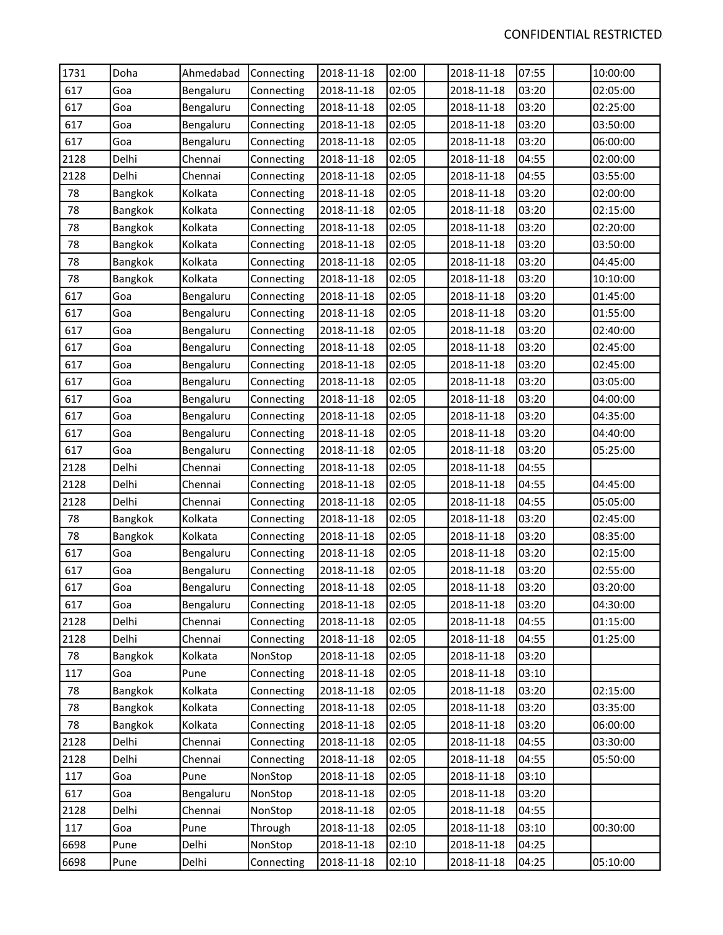| 1731 | Doha    | Ahmedabad | Connecting | 2018-11-18 | 02:00 | 2018-11-18 | 07:55 | 10:00:00 |
|------|---------|-----------|------------|------------|-------|------------|-------|----------|
| 617  | Goa     | Bengaluru | Connecting | 2018-11-18 | 02:05 | 2018-11-18 | 03:20 | 02:05:00 |
| 617  | Goa     | Bengaluru | Connecting | 2018-11-18 | 02:05 | 2018-11-18 | 03:20 | 02:25:00 |
| 617  | Goa     | Bengaluru | Connecting | 2018-11-18 | 02:05 | 2018-11-18 | 03:20 | 03:50:00 |
| 617  | Goa     | Bengaluru | Connecting | 2018-11-18 | 02:05 | 2018-11-18 | 03:20 | 06:00:00 |
| 2128 | Delhi   | Chennai   | Connecting | 2018-11-18 | 02:05 | 2018-11-18 | 04:55 | 02:00:00 |
| 2128 | Delhi   | Chennai   | Connecting | 2018-11-18 | 02:05 | 2018-11-18 | 04:55 | 03:55:00 |
| 78   | Bangkok | Kolkata   | Connecting | 2018-11-18 | 02:05 | 2018-11-18 | 03:20 | 02:00:00 |
| 78   | Bangkok | Kolkata   | Connecting | 2018-11-18 | 02:05 | 2018-11-18 | 03:20 | 02:15:00 |
| 78   | Bangkok | Kolkata   | Connecting | 2018-11-18 | 02:05 | 2018-11-18 | 03:20 | 02:20:00 |
| 78   | Bangkok | Kolkata   | Connecting | 2018-11-18 | 02:05 | 2018-11-18 | 03:20 | 03:50:00 |
| 78   | Bangkok | Kolkata   | Connecting | 2018-11-18 | 02:05 | 2018-11-18 | 03:20 | 04:45:00 |
| 78   | Bangkok | Kolkata   | Connecting | 2018-11-18 | 02:05 | 2018-11-18 | 03:20 | 10:10:00 |
| 617  | Goa     | Bengaluru | Connecting | 2018-11-18 | 02:05 | 2018-11-18 | 03:20 | 01:45:00 |
| 617  | Goa     | Bengaluru | Connecting | 2018-11-18 | 02:05 | 2018-11-18 | 03:20 | 01:55:00 |
| 617  | Goa     | Bengaluru | Connecting | 2018-11-18 | 02:05 | 2018-11-18 | 03:20 | 02:40:00 |
| 617  | Goa     | Bengaluru | Connecting | 2018-11-18 | 02:05 | 2018-11-18 | 03:20 | 02:45:00 |
| 617  | Goa     | Bengaluru | Connecting | 2018-11-18 | 02:05 | 2018-11-18 | 03:20 | 02:45:00 |
| 617  | Goa     | Bengaluru | Connecting | 2018-11-18 | 02:05 | 2018-11-18 | 03:20 | 03:05:00 |
| 617  | Goa     | Bengaluru | Connecting | 2018-11-18 | 02:05 | 2018-11-18 | 03:20 | 04:00:00 |
| 617  | Goa     | Bengaluru | Connecting | 2018-11-18 | 02:05 | 2018-11-18 | 03:20 | 04:35:00 |
| 617  | Goa     | Bengaluru | Connecting | 2018-11-18 | 02:05 | 2018-11-18 | 03:20 | 04:40:00 |
| 617  | Goa     | Bengaluru | Connecting | 2018-11-18 | 02:05 | 2018-11-18 | 03:20 | 05:25:00 |
| 2128 | Delhi   | Chennai   | Connecting | 2018-11-18 | 02:05 | 2018-11-18 | 04:55 |          |
| 2128 | Delhi   | Chennai   | Connecting | 2018-11-18 | 02:05 | 2018-11-18 | 04:55 | 04:45:00 |
| 2128 | Delhi   | Chennai   | Connecting | 2018-11-18 | 02:05 | 2018-11-18 | 04:55 | 05:05:00 |
| 78   | Bangkok | Kolkata   | Connecting | 2018-11-18 | 02:05 | 2018-11-18 | 03:20 | 02:45:00 |
| 78   | Bangkok | Kolkata   | Connecting | 2018-11-18 | 02:05 | 2018-11-18 | 03:20 | 08:35:00 |
| 617  | Goa     | Bengaluru | Connecting | 2018-11-18 | 02:05 | 2018-11-18 | 03:20 | 02:15:00 |
| 617  | Goa     | Bengaluru | Connecting | 2018-11-18 | 02:05 | 2018-11-18 | 03:20 | 02:55:00 |
| 617  | Goa     | Bengaluru | Connecting | 2018-11-18 | 02:05 | 2018-11-18 | 03:20 | 03:20:00 |
| 617  | Goa     | Bengaluru | Connecting | 2018-11-18 | 02:05 | 2018-11-18 | 03:20 | 04:30:00 |
| 2128 | Delhi   | Chennai   | Connecting | 2018-11-18 | 02:05 | 2018-11-18 | 04:55 | 01:15:00 |
| 2128 | Delhi   | Chennai   | Connecting | 2018-11-18 | 02:05 | 2018-11-18 | 04:55 | 01:25:00 |
| 78   | Bangkok | Kolkata   | NonStop    | 2018-11-18 | 02:05 | 2018-11-18 | 03:20 |          |
| 117  | Goa     | Pune      | Connecting | 2018-11-18 | 02:05 | 2018-11-18 | 03:10 |          |
| 78   | Bangkok | Kolkata   | Connecting | 2018-11-18 | 02:05 | 2018-11-18 | 03:20 | 02:15:00 |
| 78   | Bangkok | Kolkata   | Connecting | 2018-11-18 | 02:05 | 2018-11-18 | 03:20 | 03:35:00 |
| 78   | Bangkok | Kolkata   | Connecting | 2018-11-18 | 02:05 | 2018-11-18 | 03:20 | 06:00:00 |
| 2128 | Delhi   | Chennai   | Connecting | 2018-11-18 | 02:05 | 2018-11-18 | 04:55 | 03:30:00 |
| 2128 | Delhi   | Chennai   | Connecting | 2018-11-18 | 02:05 | 2018-11-18 | 04:55 | 05:50:00 |
| 117  | Goa     | Pune      | NonStop    | 2018-11-18 | 02:05 | 2018-11-18 | 03:10 |          |
| 617  | Goa     | Bengaluru | NonStop    | 2018-11-18 | 02:05 | 2018-11-18 | 03:20 |          |
| 2128 | Delhi   | Chennai   | NonStop    | 2018-11-18 | 02:05 | 2018-11-18 | 04:55 |          |
| 117  | Goa     | Pune      | Through    | 2018-11-18 | 02:05 | 2018-11-18 | 03:10 | 00:30:00 |
| 6698 | Pune    | Delhi     | NonStop    | 2018-11-18 | 02:10 | 2018-11-18 | 04:25 |          |
| 6698 | Pune    | Delhi     | Connecting | 2018-11-18 | 02:10 | 2018-11-18 | 04:25 | 05:10:00 |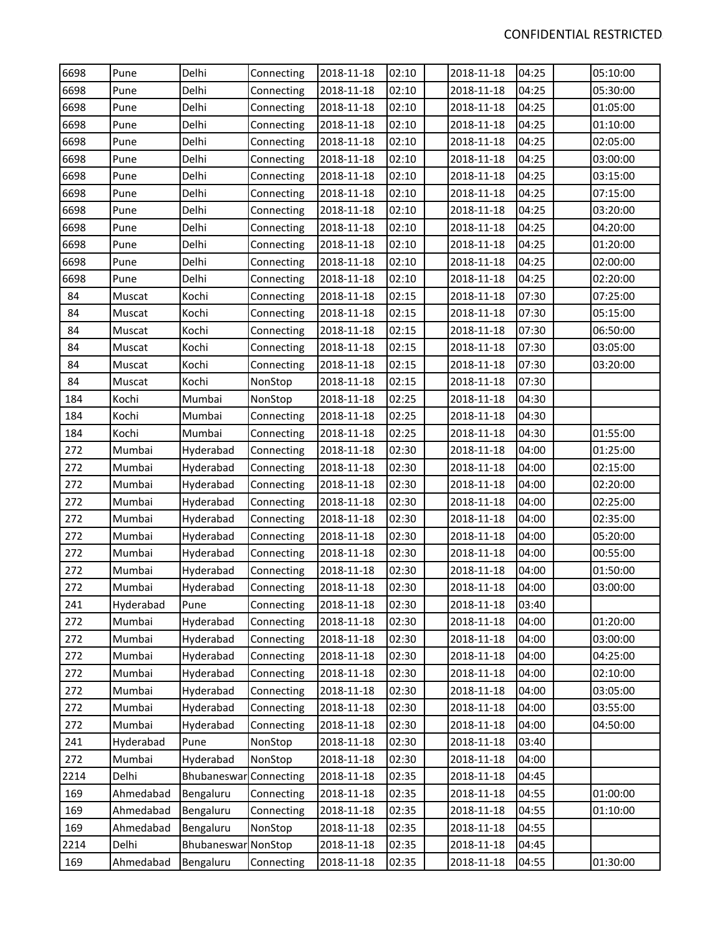| 6698 | Pune      | Delhi                  | Connecting | 2018-11-18 | 02:10 | 2018-11-18 | 04:25 | 05:10:00 |
|------|-----------|------------------------|------------|------------|-------|------------|-------|----------|
| 6698 | Pune      | Delhi                  | Connecting | 2018-11-18 | 02:10 | 2018-11-18 | 04:25 | 05:30:00 |
| 6698 | Pune      | Delhi                  | Connecting | 2018-11-18 | 02:10 | 2018-11-18 | 04:25 | 01:05:00 |
| 6698 | Pune      | Delhi                  | Connecting | 2018-11-18 | 02:10 | 2018-11-18 | 04:25 | 01:10:00 |
| 6698 | Pune      | Delhi                  | Connecting | 2018-11-18 | 02:10 | 2018-11-18 | 04:25 | 02:05:00 |
| 6698 | Pune      | Delhi                  | Connecting | 2018-11-18 | 02:10 | 2018-11-18 | 04:25 | 03:00:00 |
| 6698 | Pune      | Delhi                  | Connecting | 2018-11-18 | 02:10 | 2018-11-18 | 04:25 | 03:15:00 |
| 6698 | Pune      | Delhi                  | Connecting | 2018-11-18 | 02:10 | 2018-11-18 | 04:25 | 07:15:00 |
| 6698 | Pune      | Delhi                  | Connecting | 2018-11-18 | 02:10 | 2018-11-18 | 04:25 | 03:20:00 |
| 6698 | Pune      | Delhi                  | Connecting | 2018-11-18 | 02:10 | 2018-11-18 | 04:25 | 04:20:00 |
| 6698 | Pune      | Delhi                  | Connecting | 2018-11-18 | 02:10 | 2018-11-18 | 04:25 | 01:20:00 |
| 6698 | Pune      | Delhi                  | Connecting | 2018-11-18 | 02:10 | 2018-11-18 | 04:25 | 02:00:00 |
| 6698 | Pune      | Delhi                  | Connecting | 2018-11-18 | 02:10 | 2018-11-18 | 04:25 | 02:20:00 |
| 84   | Muscat    | Kochi                  | Connecting | 2018-11-18 | 02:15 | 2018-11-18 | 07:30 | 07:25:00 |
| 84   | Muscat    | Kochi                  | Connecting | 2018-11-18 | 02:15 | 2018-11-18 | 07:30 | 05:15:00 |
| 84   | Muscat    | Kochi                  | Connecting | 2018-11-18 | 02:15 | 2018-11-18 | 07:30 | 06:50:00 |
| 84   | Muscat    | Kochi                  | Connecting | 2018-11-18 | 02:15 | 2018-11-18 | 07:30 | 03:05:00 |
| 84   | Muscat    | Kochi                  | Connecting | 2018-11-18 | 02:15 | 2018-11-18 | 07:30 | 03:20:00 |
| 84   | Muscat    | Kochi                  | NonStop    | 2018-11-18 | 02:15 | 2018-11-18 | 07:30 |          |
| 184  | Kochi     | Mumbai                 | NonStop    | 2018-11-18 | 02:25 | 2018-11-18 | 04:30 |          |
| 184  | Kochi     | Mumbai                 | Connecting | 2018-11-18 | 02:25 | 2018-11-18 | 04:30 |          |
| 184  | Kochi     | Mumbai                 | Connecting | 2018-11-18 | 02:25 | 2018-11-18 | 04:30 | 01:55:00 |
| 272  | Mumbai    | Hyderabad              | Connecting | 2018-11-18 | 02:30 | 2018-11-18 | 04:00 | 01:25:00 |
| 272  | Mumbai    | Hyderabad              | Connecting | 2018-11-18 | 02:30 | 2018-11-18 | 04:00 | 02:15:00 |
| 272  | Mumbai    | Hyderabad              | Connecting | 2018-11-18 | 02:30 | 2018-11-18 | 04:00 | 02:20:00 |
| 272  | Mumbai    | Hyderabad              | Connecting | 2018-11-18 | 02:30 | 2018-11-18 | 04:00 | 02:25:00 |
| 272  | Mumbai    | Hyderabad              | Connecting | 2018-11-18 | 02:30 | 2018-11-18 | 04:00 | 02:35:00 |
| 272  | Mumbai    | Hyderabad              | Connecting | 2018-11-18 | 02:30 | 2018-11-18 | 04:00 | 05:20:00 |
| 272  | Mumbai    | Hyderabad              | Connecting | 2018-11-18 | 02:30 | 2018-11-18 | 04:00 | 00:55:00 |
| 272  | Mumbai    | Hyderabad              | Connecting | 2018-11-18 | 02:30 | 2018-11-18 | 04:00 | 01:50:00 |
| 272  | Mumbai    | Hyderabad              | Connecting | 2018-11-18 | 02:30 | 2018-11-18 | 04:00 | 03:00:00 |
| 241  | Hyderabad | Pune                   | Connecting | 2018-11-18 | 02:30 | 2018-11-18 | 03:40 |          |
| 272  | Mumbai    | Hyderabad              | Connecting | 2018-11-18 | 02:30 | 2018-11-18 | 04:00 | 01:20:00 |
| 272  | Mumbai    | Hyderabad              | Connecting | 2018-11-18 | 02:30 | 2018-11-18 | 04:00 | 03:00:00 |
| 272  | Mumbai    | Hyderabad              | Connecting | 2018-11-18 | 02:30 | 2018-11-18 | 04:00 | 04:25:00 |
| 272  | Mumbai    | Hyderabad              | Connecting | 2018-11-18 | 02:30 | 2018-11-18 | 04:00 | 02:10:00 |
| 272  | Mumbai    | Hyderabad              | Connecting | 2018-11-18 | 02:30 | 2018-11-18 | 04:00 | 03:05:00 |
| 272  | Mumbai    | Hyderabad              | Connecting | 2018-11-18 | 02:30 | 2018-11-18 | 04:00 | 03:55:00 |
| 272  | Mumbai    | Hyderabad              | Connecting | 2018-11-18 | 02:30 | 2018-11-18 | 04:00 | 04:50:00 |
| 241  | Hyderabad | Pune                   | NonStop    | 2018-11-18 | 02:30 | 2018-11-18 | 03:40 |          |
| 272  | Mumbai    | Hyderabad              | NonStop    | 2018-11-18 | 02:30 | 2018-11-18 | 04:00 |          |
| 2214 | Delhi     | Bhubaneswar Connecting |            | 2018-11-18 | 02:35 | 2018-11-18 | 04:45 |          |
| 169  | Ahmedabad | Bengaluru              | Connecting | 2018-11-18 | 02:35 | 2018-11-18 | 04:55 | 01:00:00 |
| 169  | Ahmedabad | Bengaluru              | Connecting | 2018-11-18 | 02:35 | 2018-11-18 | 04:55 | 01:10:00 |
| 169  | Ahmedabad | Bengaluru              | NonStop    | 2018-11-18 | 02:35 | 2018-11-18 | 04:55 |          |
| 2214 | Delhi     | Bhubaneswar NonStop    |            | 2018-11-18 | 02:35 | 2018-11-18 | 04:45 |          |
| 169  | Ahmedabad | Bengaluru              | Connecting | 2018-11-18 | 02:35 | 2018-11-18 | 04:55 | 01:30:00 |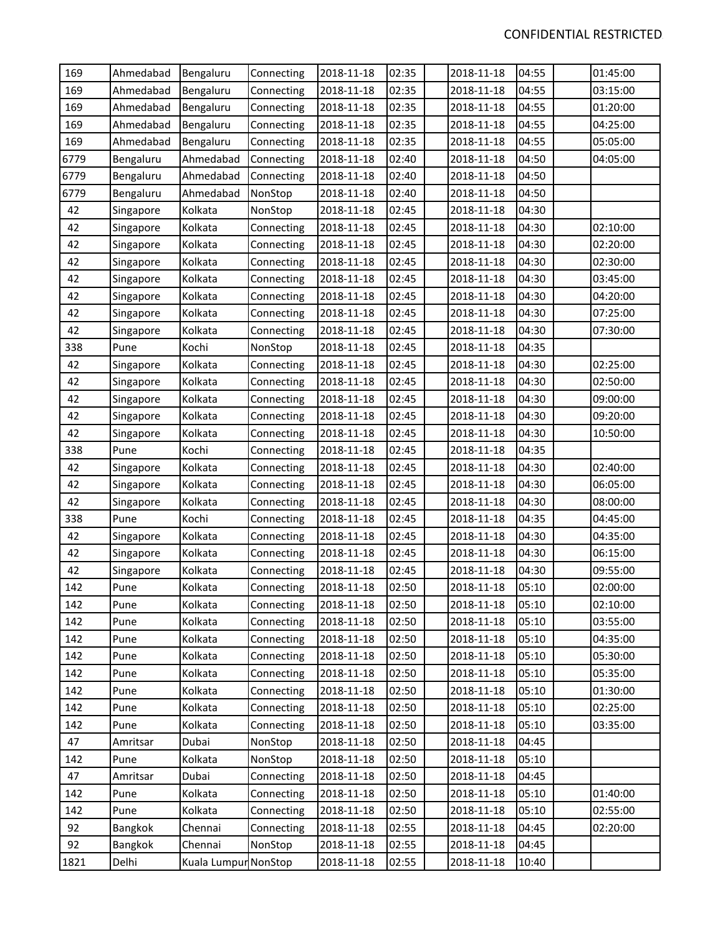| 169  | Ahmedabad | Bengaluru            | Connecting | 2018-11-18 | 02:35 | 2018-11-18 | 04:55 | 01:45:00 |
|------|-----------|----------------------|------------|------------|-------|------------|-------|----------|
| 169  | Ahmedabad | Bengaluru            | Connecting | 2018-11-18 | 02:35 | 2018-11-18 | 04:55 | 03:15:00 |
| 169  | Ahmedabad | Bengaluru            | Connecting | 2018-11-18 | 02:35 | 2018-11-18 | 04:55 | 01:20:00 |
| 169  | Ahmedabad | Bengaluru            | Connecting | 2018-11-18 | 02:35 | 2018-11-18 | 04:55 | 04:25:00 |
| 169  | Ahmedabad | Bengaluru            | Connecting | 2018-11-18 | 02:35 | 2018-11-18 | 04:55 | 05:05:00 |
| 6779 | Bengaluru | Ahmedabad            | Connecting | 2018-11-18 | 02:40 | 2018-11-18 | 04:50 | 04:05:00 |
| 6779 | Bengaluru | Ahmedabad            | Connecting | 2018-11-18 | 02:40 | 2018-11-18 | 04:50 |          |
| 6779 | Bengaluru | Ahmedabad            | NonStop    | 2018-11-18 | 02:40 | 2018-11-18 | 04:50 |          |
| 42   | Singapore | Kolkata              | NonStop    | 2018-11-18 | 02:45 | 2018-11-18 | 04:30 |          |
| 42   | Singapore | Kolkata              | Connecting | 2018-11-18 | 02:45 | 2018-11-18 | 04:30 | 02:10:00 |
| 42   | Singapore | Kolkata              | Connecting | 2018-11-18 | 02:45 | 2018-11-18 | 04:30 | 02:20:00 |
| 42   | Singapore | Kolkata              | Connecting | 2018-11-18 | 02:45 | 2018-11-18 | 04:30 | 02:30:00 |
| 42   | Singapore | Kolkata              | Connecting | 2018-11-18 | 02:45 | 2018-11-18 | 04:30 | 03:45:00 |
| 42   | Singapore | Kolkata              | Connecting | 2018-11-18 | 02:45 | 2018-11-18 | 04:30 | 04:20:00 |
| 42   | Singapore | Kolkata              | Connecting | 2018-11-18 | 02:45 | 2018-11-18 | 04:30 | 07:25:00 |
| 42   | Singapore | Kolkata              | Connecting | 2018-11-18 | 02:45 | 2018-11-18 | 04:30 | 07:30:00 |
| 338  | Pune      | Kochi                | NonStop    | 2018-11-18 | 02:45 | 2018-11-18 | 04:35 |          |
| 42   | Singapore | Kolkata              | Connecting | 2018-11-18 | 02:45 | 2018-11-18 | 04:30 | 02:25:00 |
| 42   | Singapore | Kolkata              | Connecting | 2018-11-18 | 02:45 | 2018-11-18 | 04:30 | 02:50:00 |
| 42   | Singapore | Kolkata              | Connecting | 2018-11-18 | 02:45 | 2018-11-18 | 04:30 | 09:00:00 |
| 42   | Singapore | Kolkata              | Connecting | 2018-11-18 | 02:45 | 2018-11-18 | 04:30 | 09:20:00 |
| 42   | Singapore | Kolkata              | Connecting | 2018-11-18 | 02:45 | 2018-11-18 | 04:30 | 10:50:00 |
| 338  | Pune      | Kochi                | Connecting | 2018-11-18 | 02:45 | 2018-11-18 | 04:35 |          |
| 42   | Singapore | Kolkata              | Connecting | 2018-11-18 | 02:45 | 2018-11-18 | 04:30 | 02:40:00 |
| 42   | Singapore | Kolkata              | Connecting | 2018-11-18 | 02:45 | 2018-11-18 | 04:30 | 06:05:00 |
| 42   | Singapore | Kolkata              | Connecting | 2018-11-18 | 02:45 | 2018-11-18 | 04:30 | 08:00:00 |
| 338  | Pune      | Kochi                | Connecting | 2018-11-18 | 02:45 | 2018-11-18 | 04:35 | 04:45:00 |
| 42   | Singapore | Kolkata              | Connecting | 2018-11-18 | 02:45 | 2018-11-18 | 04:30 | 04:35:00 |
| 42   | Singapore | Kolkata              | Connecting | 2018-11-18 | 02:45 | 2018-11-18 | 04:30 | 06:15:00 |
| 42   | Singapore | Kolkata              | Connecting | 2018-11-18 | 02:45 | 2018-11-18 | 04:30 | 09:55:00 |
| 142  | Pune      | Kolkata              | Connecting | 2018-11-18 | 02:50 | 2018-11-18 | 05:10 | 02:00:00 |
| 142  | Pune      | Kolkata              | Connecting | 2018-11-18 | 02:50 | 2018-11-18 | 05:10 | 02:10:00 |
| 142  | Pune      | Kolkata              | Connecting | 2018-11-18 | 02:50 | 2018-11-18 | 05:10 | 03:55:00 |
| 142  | Pune      | Kolkata              | Connecting | 2018-11-18 | 02:50 | 2018-11-18 | 05:10 | 04:35:00 |
| 142  | Pune      | Kolkata              | Connecting | 2018-11-18 | 02:50 | 2018-11-18 | 05:10 | 05:30:00 |
| 142  | Pune      | Kolkata              | Connecting | 2018-11-18 | 02:50 | 2018-11-18 | 05:10 | 05:35:00 |
| 142  | Pune      | Kolkata              | Connecting | 2018-11-18 | 02:50 | 2018-11-18 | 05:10 | 01:30:00 |
| 142  | Pune      | Kolkata              | Connecting | 2018-11-18 | 02:50 | 2018-11-18 | 05:10 | 02:25:00 |
| 142  | Pune      | Kolkata              | Connecting | 2018-11-18 | 02:50 | 2018-11-18 | 05:10 | 03:35:00 |
| 47   | Amritsar  | Dubai                | NonStop    | 2018-11-18 | 02:50 | 2018-11-18 | 04:45 |          |
| 142  | Pune      | Kolkata              | NonStop    | 2018-11-18 | 02:50 | 2018-11-18 | 05:10 |          |
| 47   | Amritsar  | Dubai                | Connecting | 2018-11-18 | 02:50 | 2018-11-18 | 04:45 |          |
| 142  | Pune      | Kolkata              | Connecting | 2018-11-18 | 02:50 | 2018-11-18 | 05:10 | 01:40:00 |
| 142  | Pune      | Kolkata              | Connecting | 2018-11-18 | 02:50 | 2018-11-18 | 05:10 | 02:55:00 |
| 92   | Bangkok   | Chennai              | Connecting | 2018-11-18 | 02:55 | 2018-11-18 | 04:45 | 02:20:00 |
| 92   | Bangkok   | Chennai              | NonStop    | 2018-11-18 | 02:55 | 2018-11-18 | 04:45 |          |
| 1821 | Delhi     | Kuala Lumpur NonStop |            | 2018-11-18 | 02:55 | 2018-11-18 | 10:40 |          |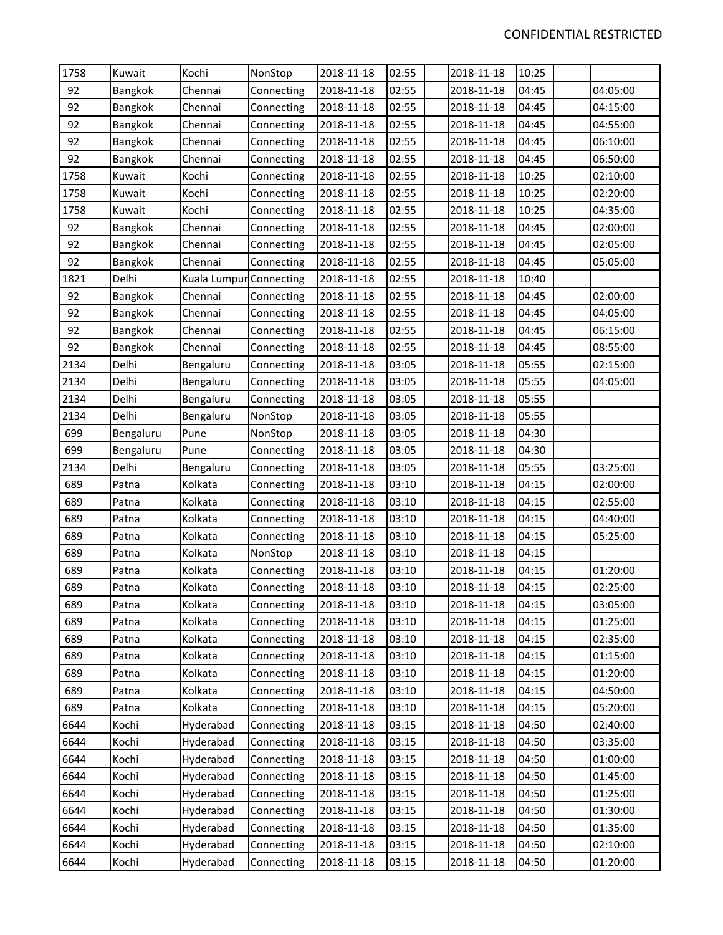| 1758 | Kuwait    | Kochi                   | NonStop    | 2018-11-18 | 02:55 | 2018-11-18 | 10:25 |          |
|------|-----------|-------------------------|------------|------------|-------|------------|-------|----------|
| 92   | Bangkok   | Chennai                 | Connecting | 2018-11-18 | 02:55 | 2018-11-18 | 04:45 | 04:05:00 |
| 92   | Bangkok   | Chennai                 | Connecting | 2018-11-18 | 02:55 | 2018-11-18 | 04:45 | 04:15:00 |
| 92   | Bangkok   | Chennai                 | Connecting | 2018-11-18 | 02:55 | 2018-11-18 | 04:45 | 04:55:00 |
| 92   | Bangkok   | Chennai                 | Connecting | 2018-11-18 | 02:55 | 2018-11-18 | 04:45 | 06:10:00 |
| 92   | Bangkok   | Chennai                 | Connecting | 2018-11-18 | 02:55 | 2018-11-18 | 04:45 | 06:50:00 |
| 1758 | Kuwait    | Kochi                   | Connecting | 2018-11-18 | 02:55 | 2018-11-18 | 10:25 | 02:10:00 |
| 1758 | Kuwait    | Kochi                   | Connecting | 2018-11-18 | 02:55 | 2018-11-18 | 10:25 | 02:20:00 |
| 1758 | Kuwait    | Kochi                   | Connecting | 2018-11-18 | 02:55 | 2018-11-18 | 10:25 | 04:35:00 |
| 92   | Bangkok   | Chennai                 | Connecting | 2018-11-18 | 02:55 | 2018-11-18 | 04:45 | 02:00:00 |
| 92   | Bangkok   | Chennai                 | Connecting | 2018-11-18 | 02:55 | 2018-11-18 | 04:45 | 02:05:00 |
| 92   | Bangkok   | Chennai                 | Connecting | 2018-11-18 | 02:55 | 2018-11-18 | 04:45 | 05:05:00 |
| 1821 | Delhi     | Kuala Lumpur Connecting |            | 2018-11-18 | 02:55 | 2018-11-18 | 10:40 |          |
| 92   | Bangkok   | Chennai                 | Connecting | 2018-11-18 | 02:55 | 2018-11-18 | 04:45 | 02:00:00 |
| 92   | Bangkok   | Chennai                 | Connecting | 2018-11-18 | 02:55 | 2018-11-18 | 04:45 | 04:05:00 |
| 92   | Bangkok   | Chennai                 | Connecting | 2018-11-18 | 02:55 | 2018-11-18 | 04:45 | 06:15:00 |
| 92   | Bangkok   | Chennai                 | Connecting | 2018-11-18 | 02:55 | 2018-11-18 | 04:45 | 08:55:00 |
| 2134 | Delhi     | Bengaluru               | Connecting | 2018-11-18 | 03:05 | 2018-11-18 | 05:55 | 02:15:00 |
| 2134 | Delhi     | Bengaluru               | Connecting | 2018-11-18 | 03:05 | 2018-11-18 | 05:55 | 04:05:00 |
| 2134 | Delhi     | Bengaluru               | Connecting | 2018-11-18 | 03:05 | 2018-11-18 | 05:55 |          |
| 2134 | Delhi     | Bengaluru               | NonStop    | 2018-11-18 | 03:05 | 2018-11-18 | 05:55 |          |
| 699  | Bengaluru | Pune                    | NonStop    | 2018-11-18 | 03:05 | 2018-11-18 | 04:30 |          |
| 699  | Bengaluru | Pune                    | Connecting | 2018-11-18 | 03:05 | 2018-11-18 | 04:30 |          |
| 2134 | Delhi     | Bengaluru               | Connecting | 2018-11-18 | 03:05 | 2018-11-18 | 05:55 | 03:25:00 |
| 689  | Patna     | Kolkata                 | Connecting | 2018-11-18 | 03:10 | 2018-11-18 | 04:15 | 02:00:00 |
| 689  | Patna     | Kolkata                 | Connecting | 2018-11-18 | 03:10 | 2018-11-18 | 04:15 | 02:55:00 |
| 689  | Patna     | Kolkata                 | Connecting | 2018-11-18 | 03:10 | 2018-11-18 | 04:15 | 04:40:00 |
| 689  | Patna     | Kolkata                 | Connecting | 2018-11-18 | 03:10 | 2018-11-18 | 04:15 | 05:25:00 |
| 689  | Patna     | Kolkata                 | NonStop    | 2018-11-18 | 03:10 | 2018-11-18 | 04:15 |          |
| 689  | Patna     | Kolkata                 | Connecting | 2018-11-18 | 03:10 | 2018-11-18 | 04:15 | 01:20:00 |
| 689  | Patna     | Kolkata                 | Connecting | 2018-11-18 | 03:10 | 2018-11-18 | 04:15 | 02:25:00 |
| 689  | Patna     | Kolkata                 | Connecting | 2018-11-18 | 03:10 | 2018-11-18 | 04:15 | 03:05:00 |
| 689  | Patna     | Kolkata                 | Connecting | 2018-11-18 | 03:10 | 2018-11-18 | 04:15 | 01:25:00 |
| 689  | Patna     | Kolkata                 | Connecting | 2018-11-18 | 03:10 | 2018-11-18 | 04:15 | 02:35:00 |
| 689  | Patna     | Kolkata                 | Connecting | 2018-11-18 | 03:10 | 2018-11-18 | 04:15 | 01:15:00 |
| 689  | Patna     | Kolkata                 | Connecting | 2018-11-18 | 03:10 | 2018-11-18 | 04:15 | 01:20:00 |
| 689  | Patna     | Kolkata                 | Connecting | 2018-11-18 | 03:10 | 2018-11-18 | 04:15 | 04:50:00 |
| 689  | Patna     | Kolkata                 | Connecting | 2018-11-18 | 03:10 | 2018-11-18 | 04:15 | 05:20:00 |
| 6644 | Kochi     | Hyderabad               | Connecting | 2018-11-18 | 03:15 | 2018-11-18 | 04:50 | 02:40:00 |
| 6644 | Kochi     | Hyderabad               | Connecting | 2018-11-18 | 03:15 | 2018-11-18 | 04:50 | 03:35:00 |
| 6644 | Kochi     | Hyderabad               | Connecting | 2018-11-18 | 03:15 | 2018-11-18 | 04:50 | 01:00:00 |
| 6644 | Kochi     | Hyderabad               | Connecting | 2018-11-18 | 03:15 | 2018-11-18 | 04:50 | 01:45:00 |
| 6644 | Kochi     | Hyderabad               | Connecting | 2018-11-18 | 03:15 | 2018-11-18 | 04:50 | 01:25:00 |
| 6644 | Kochi     | Hyderabad               | Connecting | 2018-11-18 | 03:15 | 2018-11-18 | 04:50 | 01:30:00 |
| 6644 | Kochi     | Hyderabad               | Connecting | 2018-11-18 | 03:15 | 2018-11-18 | 04:50 | 01:35:00 |
| 6644 | Kochi     | Hyderabad               | Connecting | 2018-11-18 | 03:15 | 2018-11-18 | 04:50 | 02:10:00 |
| 6644 | Kochi     | Hyderabad               | Connecting | 2018-11-18 | 03:15 | 2018-11-18 | 04:50 | 01:20:00 |
|      |           |                         |            |            |       |            |       |          |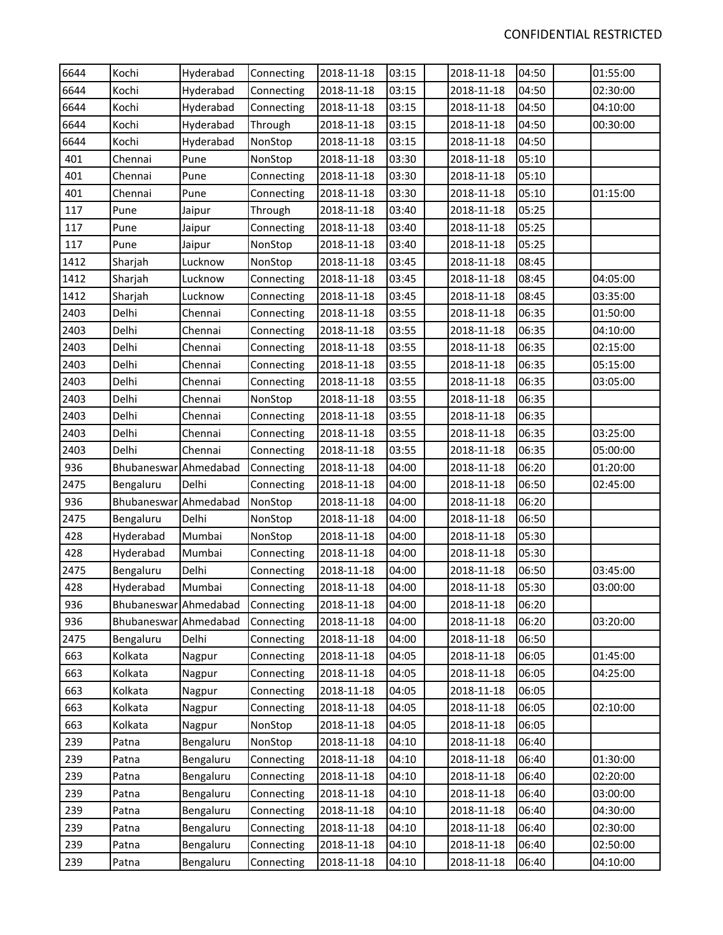| 6644 | Kochi                 | Hyderabad | Connecting | 2018-11-18 | 03:15 | 2018-11-18 | 04:50 | 01:55:00 |
|------|-----------------------|-----------|------------|------------|-------|------------|-------|----------|
| 6644 | Kochi                 | Hyderabad | Connecting | 2018-11-18 | 03:15 | 2018-11-18 | 04:50 | 02:30:00 |
| 6644 | Kochi                 | Hyderabad | Connecting | 2018-11-18 | 03:15 | 2018-11-18 | 04:50 | 04:10:00 |
| 6644 | Kochi                 | Hyderabad | Through    | 2018-11-18 | 03:15 | 2018-11-18 | 04:50 | 00:30:00 |
| 6644 | Kochi                 | Hyderabad | NonStop    | 2018-11-18 | 03:15 | 2018-11-18 | 04:50 |          |
| 401  | Chennai               | Pune      | NonStop    | 2018-11-18 | 03:30 | 2018-11-18 | 05:10 |          |
| 401  | Chennai               | Pune      | Connecting | 2018-11-18 | 03:30 | 2018-11-18 | 05:10 |          |
| 401  | Chennai               | Pune      | Connecting | 2018-11-18 | 03:30 | 2018-11-18 | 05:10 | 01:15:00 |
| 117  | Pune                  | Jaipur    | Through    | 2018-11-18 | 03:40 | 2018-11-18 | 05:25 |          |
| 117  | Pune                  | Jaipur    | Connecting | 2018-11-18 | 03:40 | 2018-11-18 | 05:25 |          |
| 117  | Pune                  | Jaipur    | NonStop    | 2018-11-18 | 03:40 | 2018-11-18 | 05:25 |          |
| 1412 | Sharjah               | Lucknow   | NonStop    | 2018-11-18 | 03:45 | 2018-11-18 | 08:45 |          |
| 1412 | Sharjah               | Lucknow   | Connecting | 2018-11-18 | 03:45 | 2018-11-18 | 08:45 | 04:05:00 |
| 1412 | Sharjah               | Lucknow   | Connecting | 2018-11-18 | 03:45 | 2018-11-18 | 08:45 | 03:35:00 |
| 2403 | Delhi                 | Chennai   | Connecting | 2018-11-18 | 03:55 | 2018-11-18 | 06:35 | 01:50:00 |
| 2403 | Delhi                 | Chennai   | Connecting | 2018-11-18 | 03:55 | 2018-11-18 | 06:35 | 04:10:00 |
| 2403 | Delhi                 | Chennai   | Connecting | 2018-11-18 | 03:55 | 2018-11-18 | 06:35 | 02:15:00 |
| 2403 | Delhi                 | Chennai   | Connecting | 2018-11-18 | 03:55 | 2018-11-18 | 06:35 | 05:15:00 |
| 2403 | Delhi                 | Chennai   | Connecting | 2018-11-18 | 03:55 | 2018-11-18 | 06:35 | 03:05:00 |
| 2403 | Delhi                 | Chennai   | NonStop    | 2018-11-18 | 03:55 | 2018-11-18 | 06:35 |          |
| 2403 | Delhi                 | Chennai   | Connecting | 2018-11-18 | 03:55 | 2018-11-18 | 06:35 |          |
| 2403 | Delhi                 | Chennai   | Connecting | 2018-11-18 | 03:55 | 2018-11-18 | 06:35 | 03:25:00 |
| 2403 | Delhi                 | Chennai   | Connecting | 2018-11-18 | 03:55 | 2018-11-18 | 06:35 | 05:00:00 |
| 936  | Bhubaneswar Ahmedabad |           | Connecting | 2018-11-18 | 04:00 | 2018-11-18 | 06:20 | 01:20:00 |
| 2475 | Bengaluru             | Delhi     | Connecting | 2018-11-18 | 04:00 | 2018-11-18 | 06:50 | 02:45:00 |
| 936  | Bhubaneswar Ahmedabad |           | NonStop    | 2018-11-18 | 04:00 | 2018-11-18 | 06:20 |          |
| 2475 | Bengaluru             | Delhi     | NonStop    | 2018-11-18 | 04:00 | 2018-11-18 | 06:50 |          |
| 428  | Hyderabad             | Mumbai    | NonStop    | 2018-11-18 | 04:00 | 2018-11-18 | 05:30 |          |
| 428  | Hyderabad             | Mumbai    | Connecting | 2018-11-18 | 04:00 | 2018-11-18 | 05:30 |          |
| 2475 | Bengaluru             | Delhi     | Connecting | 2018-11-18 | 04:00 | 2018-11-18 | 06:50 | 03:45:00 |
| 428  | Hyderabad             | Mumbai    | Connecting | 2018-11-18 | 04:00 | 2018-11-18 | 05:30 | 03:00:00 |
| 936  | Bhubaneswar Ahmedabad |           | Connecting | 2018-11-18 | 04:00 | 2018-11-18 | 06:20 |          |
| 936  | Bhubaneswar Ahmedabad |           | Connecting | 2018-11-18 | 04:00 | 2018-11-18 | 06:20 | 03:20:00 |
| 2475 | Bengaluru             | Delhi     | Connecting | 2018-11-18 | 04:00 | 2018-11-18 | 06:50 |          |
| 663  | Kolkata               | Nagpur    | Connecting | 2018-11-18 | 04:05 | 2018-11-18 | 06:05 | 01:45:00 |
| 663  | Kolkata               | Nagpur    | Connecting | 2018-11-18 | 04:05 | 2018-11-18 | 06:05 | 04:25:00 |
| 663  | Kolkata               | Nagpur    | Connecting | 2018-11-18 | 04:05 | 2018-11-18 | 06:05 |          |
| 663  | Kolkata               | Nagpur    | Connecting | 2018-11-18 | 04:05 | 2018-11-18 | 06:05 | 02:10:00 |
| 663  | Kolkata               | Nagpur    | NonStop    | 2018-11-18 | 04:05 | 2018-11-18 | 06:05 |          |
| 239  | Patna                 | Bengaluru | NonStop    | 2018-11-18 | 04:10 | 2018-11-18 | 06:40 |          |
| 239  | Patna                 | Bengaluru | Connecting | 2018-11-18 | 04:10 | 2018-11-18 | 06:40 | 01:30:00 |
| 239  | Patna                 | Bengaluru | Connecting | 2018-11-18 | 04:10 | 2018-11-18 | 06:40 | 02:20:00 |
| 239  | Patna                 | Bengaluru | Connecting | 2018-11-18 | 04:10 | 2018-11-18 | 06:40 | 03:00:00 |
| 239  | Patna                 | Bengaluru | Connecting | 2018-11-18 | 04:10 | 2018-11-18 | 06:40 | 04:30:00 |
| 239  | Patna                 | Bengaluru | Connecting | 2018-11-18 | 04:10 | 2018-11-18 | 06:40 | 02:30:00 |
| 239  | Patna                 | Bengaluru | Connecting | 2018-11-18 | 04:10 | 2018-11-18 | 06:40 | 02:50:00 |
| 239  | Patna                 | Bengaluru | Connecting | 2018-11-18 | 04:10 | 2018-11-18 | 06:40 | 04:10:00 |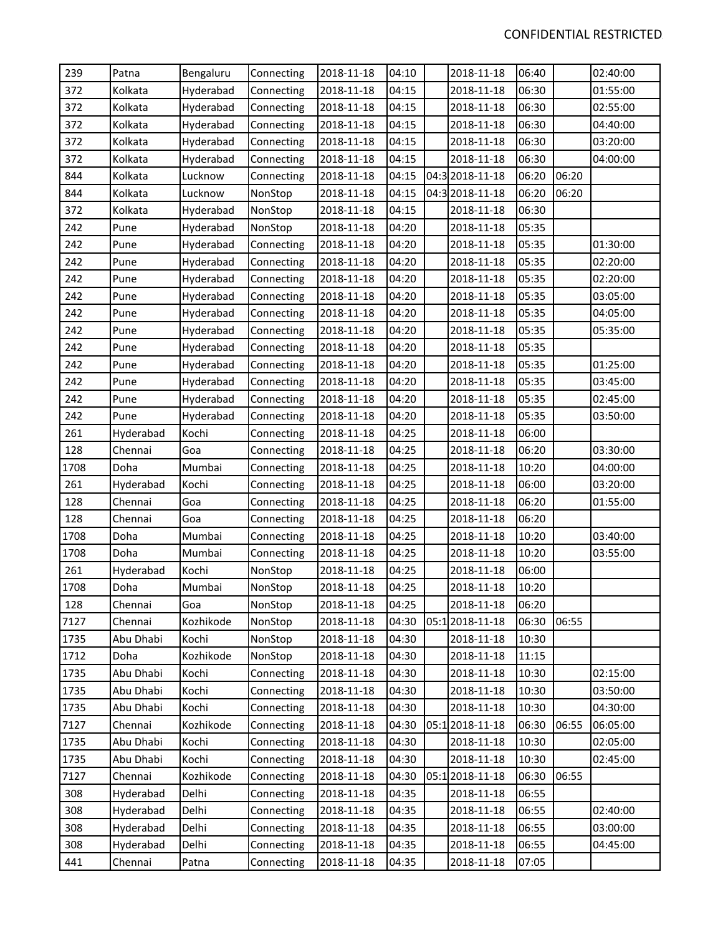| 239  | Patna     | Bengaluru | Connecting | 2018-11-18 | 04:10 | 2018-11-18      | 06:40 |       | 02:40:00 |
|------|-----------|-----------|------------|------------|-------|-----------------|-------|-------|----------|
| 372  | Kolkata   | Hyderabad | Connecting | 2018-11-18 | 04:15 | 2018-11-18      | 06:30 |       | 01:55:00 |
| 372  | Kolkata   | Hyderabad | Connecting | 2018-11-18 | 04:15 | 2018-11-18      | 06:30 |       | 02:55:00 |
| 372  | Kolkata   | Hyderabad | Connecting | 2018-11-18 | 04:15 | 2018-11-18      | 06:30 |       | 04:40:00 |
| 372  | Kolkata   | Hyderabad | Connecting | 2018-11-18 | 04:15 | 2018-11-18      | 06:30 |       | 03:20:00 |
| 372  | Kolkata   | Hyderabad | Connecting | 2018-11-18 | 04:15 | 2018-11-18      | 06:30 |       | 04:00:00 |
| 844  | Kolkata   | Lucknow   | Connecting | 2018-11-18 | 04:15 | 04:3 2018-11-18 | 06:20 | 06:20 |          |
| 844  | Kolkata   | Lucknow   | NonStop    | 2018-11-18 | 04:15 | 04:3 2018-11-18 | 06:20 | 06:20 |          |
| 372  | Kolkata   | Hyderabad | NonStop    | 2018-11-18 | 04:15 | 2018-11-18      | 06:30 |       |          |
| 242  | Pune      | Hyderabad | NonStop    | 2018-11-18 | 04:20 | 2018-11-18      | 05:35 |       |          |
| 242  | Pune      | Hyderabad | Connecting | 2018-11-18 | 04:20 | 2018-11-18      | 05:35 |       | 01:30:00 |
| 242  | Pune      | Hyderabad | Connecting | 2018-11-18 | 04:20 | 2018-11-18      | 05:35 |       | 02:20:00 |
| 242  | Pune      | Hyderabad | Connecting | 2018-11-18 | 04:20 | 2018-11-18      | 05:35 |       | 02:20:00 |
| 242  | Pune      | Hyderabad | Connecting | 2018-11-18 | 04:20 | 2018-11-18      | 05:35 |       | 03:05:00 |
| 242  | Pune      | Hyderabad | Connecting | 2018-11-18 | 04:20 | 2018-11-18      | 05:35 |       | 04:05:00 |
| 242  | Pune      | Hyderabad | Connecting | 2018-11-18 | 04:20 | 2018-11-18      | 05:35 |       | 05:35:00 |
| 242  | Pune      | Hyderabad | Connecting | 2018-11-18 | 04:20 | 2018-11-18      | 05:35 |       |          |
| 242  | Pune      | Hyderabad | Connecting | 2018-11-18 | 04:20 | 2018-11-18      | 05:35 |       | 01:25:00 |
| 242  | Pune      | Hyderabad | Connecting | 2018-11-18 | 04:20 | 2018-11-18      | 05:35 |       | 03:45:00 |
| 242  | Pune      | Hyderabad | Connecting | 2018-11-18 | 04:20 | 2018-11-18      | 05:35 |       | 02:45:00 |
| 242  | Pune      | Hyderabad | Connecting | 2018-11-18 | 04:20 | 2018-11-18      | 05:35 |       | 03:50:00 |
| 261  | Hyderabad | Kochi     | Connecting | 2018-11-18 | 04:25 | 2018-11-18      | 06:00 |       |          |
| 128  | Chennai   | Goa       | Connecting | 2018-11-18 | 04:25 | 2018-11-18      | 06:20 |       | 03:30:00 |
| 1708 | Doha      | Mumbai    | Connecting | 2018-11-18 | 04:25 | 2018-11-18      | 10:20 |       | 04:00:00 |
| 261  | Hyderabad | Kochi     | Connecting | 2018-11-18 | 04:25 | 2018-11-18      | 06:00 |       | 03:20:00 |
| 128  | Chennai   | Goa       | Connecting | 2018-11-18 | 04:25 | 2018-11-18      | 06:20 |       | 01:55:00 |
| 128  | Chennai   | Goa       | Connecting | 2018-11-18 | 04:25 | 2018-11-18      | 06:20 |       |          |
| 1708 | Doha      | Mumbai    | Connecting | 2018-11-18 | 04:25 | 2018-11-18      | 10:20 |       | 03:40:00 |
| 1708 | Doha      | Mumbai    | Connecting | 2018-11-18 | 04:25 | 2018-11-18      | 10:20 |       | 03:55:00 |
| 261  | Hyderabad | Kochi     | NonStop    | 2018-11-18 | 04:25 | 2018-11-18      | 06:00 |       |          |
| 1708 | Doha      | Mumbai    | NonStop    | 2018-11-18 | 04:25 | 2018-11-18      | 10:20 |       |          |
| 128  | Chennai   | Goa       | NonStop    | 2018-11-18 | 04:25 | 2018-11-18      | 06:20 |       |          |
| 7127 | Chennai   | Kozhikode | NonStop    | 2018-11-18 | 04:30 | 05:12018-11-18  | 06:30 | 06:55 |          |
| 1735 | Abu Dhabi | Kochi     | NonStop    | 2018-11-18 | 04:30 | 2018-11-18      | 10:30 |       |          |
| 1712 | Doha      | Kozhikode | NonStop    | 2018-11-18 | 04:30 | 2018-11-18      | 11:15 |       |          |
| 1735 | Abu Dhabi | Kochi     | Connecting | 2018-11-18 | 04:30 | 2018-11-18      | 10:30 |       | 02:15:00 |
| 1735 | Abu Dhabi | Kochi     | Connecting | 2018-11-18 | 04:30 | 2018-11-18      | 10:30 |       | 03:50:00 |
| 1735 | Abu Dhabi | Kochi     | Connecting | 2018-11-18 | 04:30 | 2018-11-18      | 10:30 |       | 04:30:00 |
| 7127 | Chennai   | Kozhikode | Connecting | 2018-11-18 | 04:30 | 05:12018-11-18  | 06:30 | 06:55 | 06:05:00 |
| 1735 | Abu Dhabi | Kochi     | Connecting | 2018-11-18 | 04:30 | 2018-11-18      | 10:30 |       | 02:05:00 |
| 1735 | Abu Dhabi | Kochi     | Connecting | 2018-11-18 | 04:30 | 2018-11-18      | 10:30 |       | 02:45:00 |
| 7127 | Chennai   | Kozhikode | Connecting | 2018-11-18 | 04:30 | 05:12018-11-18  | 06:30 | 06:55 |          |
| 308  | Hyderabad | Delhi     | Connecting | 2018-11-18 | 04:35 | 2018-11-18      | 06:55 |       |          |
| 308  | Hyderabad | Delhi     | Connecting | 2018-11-18 | 04:35 | 2018-11-18      | 06:55 |       | 02:40:00 |
| 308  | Hyderabad | Delhi     | Connecting | 2018-11-18 | 04:35 | 2018-11-18      | 06:55 |       | 03:00:00 |
| 308  | Hyderabad | Delhi     | Connecting | 2018-11-18 | 04:35 | 2018-11-18      | 06:55 |       | 04:45:00 |
| 441  | Chennai   | Patna     | Connecting | 2018-11-18 | 04:35 | 2018-11-18      | 07:05 |       |          |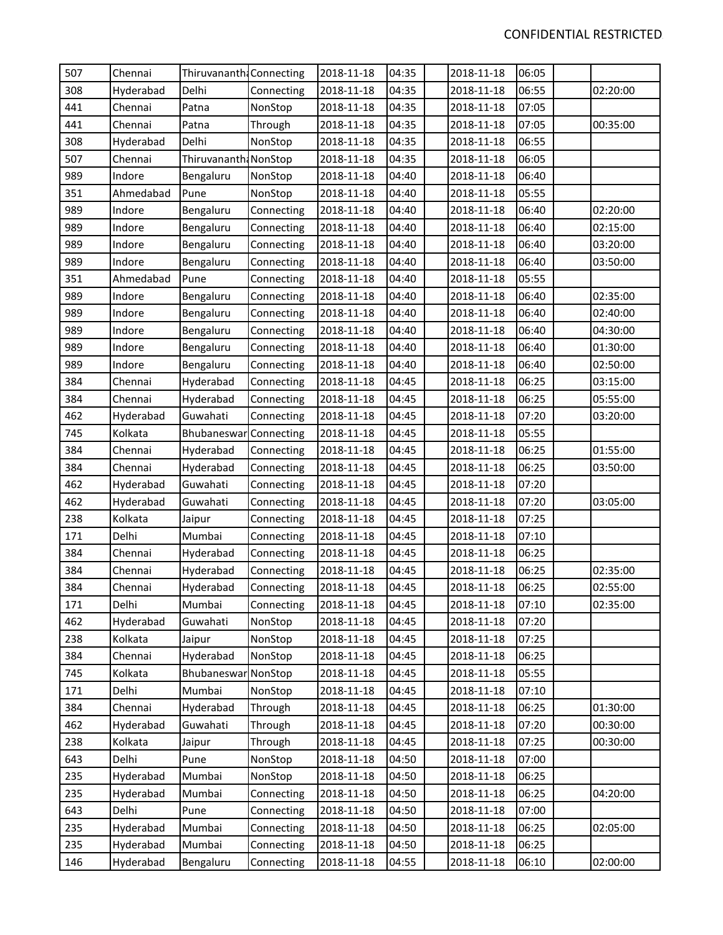| 507 | Chennai   | Thiruvananth Connecting |            | 2018-11-18 | 04:35 | 2018-11-18 | 06:05 |          |
|-----|-----------|-------------------------|------------|------------|-------|------------|-------|----------|
| 308 | Hyderabad | Delhi                   | Connecting | 2018-11-18 | 04:35 | 2018-11-18 | 06:55 | 02:20:00 |
| 441 | Chennai   | Patna                   | NonStop    | 2018-11-18 | 04:35 | 2018-11-18 | 07:05 |          |
| 441 | Chennai   | Patna                   | Through    | 2018-11-18 | 04:35 | 2018-11-18 | 07:05 | 00:35:00 |
| 308 | Hyderabad | Delhi                   | NonStop    | 2018-11-18 | 04:35 | 2018-11-18 | 06:55 |          |
| 507 | Chennai   | Thiruvananth: NonStop   |            | 2018-11-18 | 04:35 | 2018-11-18 | 06:05 |          |
| 989 | Indore    | Bengaluru               | NonStop    | 2018-11-18 | 04:40 | 2018-11-18 | 06:40 |          |
| 351 | Ahmedabad | Pune                    | NonStop    | 2018-11-18 | 04:40 | 2018-11-18 | 05:55 |          |
| 989 | Indore    | Bengaluru               | Connecting | 2018-11-18 | 04:40 | 2018-11-18 | 06:40 | 02:20:00 |
| 989 | Indore    | Bengaluru               | Connecting | 2018-11-18 | 04:40 | 2018-11-18 | 06:40 | 02:15:00 |
| 989 | Indore    | Bengaluru               | Connecting | 2018-11-18 | 04:40 | 2018-11-18 | 06:40 | 03:20:00 |
| 989 | Indore    | Bengaluru               | Connecting | 2018-11-18 | 04:40 | 2018-11-18 | 06:40 | 03:50:00 |
| 351 | Ahmedabad | Pune                    | Connecting | 2018-11-18 | 04:40 | 2018-11-18 | 05:55 |          |
| 989 | Indore    | Bengaluru               | Connecting | 2018-11-18 | 04:40 | 2018-11-18 | 06:40 | 02:35:00 |
| 989 | Indore    | Bengaluru               | Connecting | 2018-11-18 | 04:40 | 2018-11-18 | 06:40 | 02:40:00 |
| 989 | Indore    | Bengaluru               | Connecting | 2018-11-18 | 04:40 | 2018-11-18 | 06:40 | 04:30:00 |
| 989 | Indore    | Bengaluru               | Connecting | 2018-11-18 | 04:40 | 2018-11-18 | 06:40 | 01:30:00 |
| 989 | Indore    | Bengaluru               | Connecting | 2018-11-18 | 04:40 | 2018-11-18 | 06:40 | 02:50:00 |
| 384 | Chennai   | Hyderabad               | Connecting | 2018-11-18 | 04:45 | 2018-11-18 | 06:25 | 03:15:00 |
| 384 | Chennai   | Hyderabad               | Connecting | 2018-11-18 | 04:45 | 2018-11-18 | 06:25 | 05:55:00 |
| 462 | Hyderabad | Guwahati                | Connecting | 2018-11-18 | 04:45 | 2018-11-18 | 07:20 | 03:20:00 |
| 745 | Kolkata   | Bhubaneswar             | Connecting | 2018-11-18 | 04:45 | 2018-11-18 | 05:55 |          |
| 384 | Chennai   | Hyderabad               | Connecting | 2018-11-18 | 04:45 | 2018-11-18 | 06:25 | 01:55:00 |
| 384 | Chennai   | Hyderabad               | Connecting | 2018-11-18 | 04:45 | 2018-11-18 | 06:25 | 03:50:00 |
| 462 | Hyderabad | Guwahati                | Connecting | 2018-11-18 | 04:45 | 2018-11-18 | 07:20 |          |
| 462 | Hyderabad | Guwahati                | Connecting | 2018-11-18 | 04:45 | 2018-11-18 | 07:20 | 03:05:00 |
| 238 | Kolkata   | Jaipur                  | Connecting | 2018-11-18 | 04:45 | 2018-11-18 | 07:25 |          |
| 171 | Delhi     | Mumbai                  | Connecting | 2018-11-18 | 04:45 | 2018-11-18 | 07:10 |          |
| 384 | Chennai   | Hyderabad               | Connecting | 2018-11-18 | 04:45 | 2018-11-18 | 06:25 |          |
| 384 | Chennai   | Hyderabad               | Connecting | 2018-11-18 | 04:45 | 2018-11-18 | 06:25 | 02:35:00 |
| 384 | Chennai   | Hyderabad               | Connecting | 2018-11-18 | 04:45 | 2018-11-18 | 06:25 | 02:55:00 |
| 171 | Delhi     | Mumbai                  | Connecting | 2018-11-18 | 04:45 | 2018-11-18 | 07:10 | 02:35:00 |
| 462 | Hyderabad | Guwahati                | NonStop    | 2018-11-18 | 04:45 | 2018-11-18 | 07:20 |          |
| 238 | Kolkata   | Jaipur                  | NonStop    | 2018-11-18 | 04:45 | 2018-11-18 | 07:25 |          |
| 384 | Chennai   | Hyderabad               | NonStop    | 2018-11-18 | 04:45 | 2018-11-18 | 06:25 |          |
| 745 | Kolkata   | Bhubaneswar             | NonStop    | 2018-11-18 | 04:45 | 2018-11-18 | 05:55 |          |
| 171 | Delhi     | Mumbai                  | NonStop    | 2018-11-18 | 04:45 | 2018-11-18 | 07:10 |          |
| 384 | Chennai   | Hyderabad               | Through    | 2018-11-18 | 04:45 | 2018-11-18 | 06:25 | 01:30:00 |
| 462 | Hyderabad | Guwahati                | Through    | 2018-11-18 | 04:45 | 2018-11-18 | 07:20 | 00:30:00 |
| 238 | Kolkata   | Jaipur                  | Through    | 2018-11-18 | 04:45 | 2018-11-18 | 07:25 | 00:30:00 |
| 643 | Delhi     | Pune                    | NonStop    | 2018-11-18 | 04:50 | 2018-11-18 | 07:00 |          |
| 235 | Hyderabad | Mumbai                  | NonStop    | 2018-11-18 | 04:50 | 2018-11-18 | 06:25 |          |
| 235 | Hyderabad | Mumbai                  | Connecting | 2018-11-18 | 04:50 | 2018-11-18 | 06:25 | 04:20:00 |
| 643 | Delhi     | Pune                    | Connecting | 2018-11-18 | 04:50 | 2018-11-18 | 07:00 |          |
| 235 | Hyderabad | Mumbai                  | Connecting | 2018-11-18 | 04:50 | 2018-11-18 | 06:25 | 02:05:00 |
| 235 | Hyderabad | Mumbai                  | Connecting | 2018-11-18 | 04:50 | 2018-11-18 | 06:25 |          |
| 146 | Hyderabad | Bengaluru               | Connecting | 2018-11-18 | 04:55 | 2018-11-18 | 06:10 | 02:00:00 |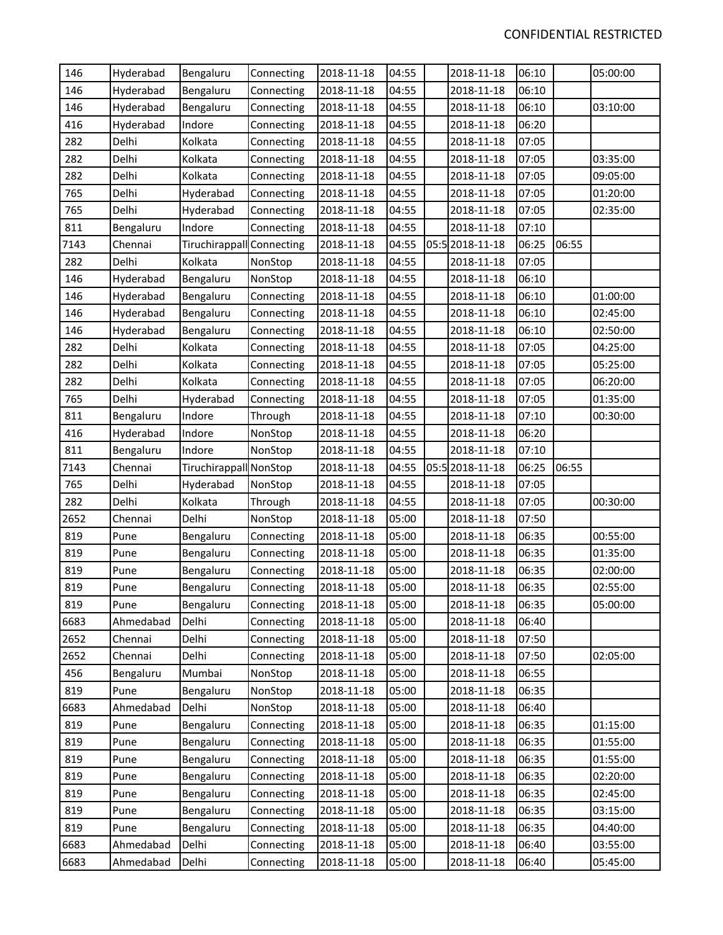| 146  | Hyderabad | Bengaluru                 | Connecting | 2018-11-18 | 04:55 | 2018-11-18      | 06:10 |       | 05:00:00 |
|------|-----------|---------------------------|------------|------------|-------|-----------------|-------|-------|----------|
| 146  | Hyderabad | Bengaluru                 | Connecting | 2018-11-18 | 04:55 | 2018-11-18      | 06:10 |       |          |
| 146  | Hyderabad | Bengaluru                 | Connecting | 2018-11-18 | 04:55 | 2018-11-18      | 06:10 |       | 03:10:00 |
| 416  | Hyderabad | Indore                    | Connecting | 2018-11-18 | 04:55 | 2018-11-18      | 06:20 |       |          |
| 282  | Delhi     | Kolkata                   | Connecting | 2018-11-18 | 04:55 | 2018-11-18      | 07:05 |       |          |
| 282  | Delhi     | Kolkata                   | Connecting | 2018-11-18 | 04:55 | 2018-11-18      | 07:05 |       | 03:35:00 |
| 282  | Delhi     | Kolkata                   | Connecting | 2018-11-18 | 04:55 | 2018-11-18      | 07:05 |       | 09:05:00 |
| 765  | Delhi     | Hyderabad                 | Connecting | 2018-11-18 | 04:55 | 2018-11-18      | 07:05 |       | 01:20:00 |
| 765  | Delhi     | Hyderabad                 | Connecting | 2018-11-18 | 04:55 | 2018-11-18      | 07:05 |       | 02:35:00 |
| 811  | Bengaluru | Indore                    | Connecting | 2018-11-18 | 04:55 | 2018-11-18      | 07:10 |       |          |
| 7143 | Chennai   | Tiruchirappall Connecting |            | 2018-11-18 | 04:55 | 05:5 2018-11-18 | 06:25 | 06:55 |          |
| 282  | Delhi     | Kolkata                   | NonStop    | 2018-11-18 | 04:55 | 2018-11-18      | 07:05 |       |          |
| 146  | Hyderabad | Bengaluru                 | NonStop    | 2018-11-18 | 04:55 | 2018-11-18      | 06:10 |       |          |
| 146  | Hyderabad | Bengaluru                 | Connecting | 2018-11-18 | 04:55 | 2018-11-18      | 06:10 |       | 01:00:00 |
| 146  | Hyderabad | Bengaluru                 | Connecting | 2018-11-18 | 04:55 | 2018-11-18      | 06:10 |       | 02:45:00 |
| 146  | Hyderabad | Bengaluru                 | Connecting | 2018-11-18 | 04:55 | 2018-11-18      | 06:10 |       | 02:50:00 |
| 282  | Delhi     | Kolkata                   | Connecting | 2018-11-18 | 04:55 | 2018-11-18      | 07:05 |       | 04:25:00 |
| 282  | Delhi     | Kolkata                   | Connecting | 2018-11-18 | 04:55 | 2018-11-18      | 07:05 |       | 05:25:00 |
| 282  | Delhi     | Kolkata                   | Connecting | 2018-11-18 | 04:55 | 2018-11-18      | 07:05 |       | 06:20:00 |
| 765  | Delhi     | Hyderabad                 | Connecting | 2018-11-18 | 04:55 | 2018-11-18      | 07:05 |       | 01:35:00 |
| 811  | Bengaluru | Indore                    | Through    | 2018-11-18 | 04:55 | 2018-11-18      | 07:10 |       | 00:30:00 |
| 416  | Hyderabad | Indore                    | NonStop    | 2018-11-18 | 04:55 | 2018-11-18      | 06:20 |       |          |
| 811  | Bengaluru | Indore                    | NonStop    | 2018-11-18 | 04:55 | 2018-11-18      | 07:10 |       |          |
| 7143 | Chennai   | Tiruchirappall NonStop    |            | 2018-11-18 | 04:55 | 05:5 2018-11-18 | 06:25 | 06:55 |          |
| 765  | Delhi     | Hyderabad                 | NonStop    | 2018-11-18 | 04:55 | 2018-11-18      | 07:05 |       |          |
| 282  | Delhi     | Kolkata                   | Through    | 2018-11-18 | 04:55 | 2018-11-18      | 07:05 |       | 00:30:00 |
| 2652 | Chennai   | Delhi                     | NonStop    | 2018-11-18 | 05:00 | 2018-11-18      | 07:50 |       |          |
| 819  | Pune      | Bengaluru                 | Connecting | 2018-11-18 | 05:00 | 2018-11-18      | 06:35 |       | 00:55:00 |
| 819  | Pune      | Bengaluru                 | Connecting | 2018-11-18 | 05:00 | 2018-11-18      | 06:35 |       | 01:35:00 |
| 819  | Pune      | Bengaluru                 | Connecting | 2018-11-18 | 05:00 | 2018-11-18      | 06:35 |       | 02:00:00 |
| 819  | Pune      | Bengaluru                 | Connecting | 2018-11-18 | 05:00 | 2018-11-18      | 06:35 |       | 02:55:00 |
| 819  | Pune      | Bengaluru                 | Connecting | 2018-11-18 | 05:00 | 2018-11-18      | 06:35 |       | 05:00:00 |
| 6683 | Ahmedabad | Delhi                     | Connecting | 2018-11-18 | 05:00 | 2018-11-18      | 06:40 |       |          |
| 2652 | Chennai   | Delhi                     | Connecting | 2018-11-18 | 05:00 | 2018-11-18      | 07:50 |       |          |
| 2652 | Chennai   | Delhi                     | Connecting | 2018-11-18 | 05:00 | 2018-11-18      | 07:50 |       | 02:05:00 |
| 456  | Bengaluru | Mumbai                    | NonStop    | 2018-11-18 | 05:00 | 2018-11-18      | 06:55 |       |          |
| 819  | Pune      | Bengaluru                 | NonStop    | 2018-11-18 | 05:00 | 2018-11-18      | 06:35 |       |          |
| 6683 | Ahmedabad | Delhi                     | NonStop    | 2018-11-18 | 05:00 | 2018-11-18      | 06:40 |       |          |
| 819  | Pune      | Bengaluru                 | Connecting | 2018-11-18 | 05:00 | 2018-11-18      | 06:35 |       | 01:15:00 |
| 819  | Pune      | Bengaluru                 | Connecting | 2018-11-18 | 05:00 | 2018-11-18      | 06:35 |       | 01:55:00 |
| 819  | Pune      | Bengaluru                 | Connecting | 2018-11-18 | 05:00 | 2018-11-18      | 06:35 |       | 01:55:00 |
| 819  | Pune      | Bengaluru                 | Connecting | 2018-11-18 | 05:00 | 2018-11-18      | 06:35 |       | 02:20:00 |
| 819  | Pune      | Bengaluru                 | Connecting | 2018-11-18 | 05:00 | 2018-11-18      | 06:35 |       | 02:45:00 |
| 819  | Pune      | Bengaluru                 | Connecting | 2018-11-18 | 05:00 | 2018-11-18      | 06:35 |       | 03:15:00 |
| 819  | Pune      | Bengaluru                 | Connecting | 2018-11-18 | 05:00 | 2018-11-18      | 06:35 |       | 04:40:00 |
| 6683 | Ahmedabad | Delhi                     | Connecting | 2018-11-18 | 05:00 | 2018-11-18      | 06:40 |       | 03:55:00 |
| 6683 | Ahmedabad | Delhi                     | Connecting | 2018-11-18 | 05:00 | 2018-11-18      | 06:40 |       | 05:45:00 |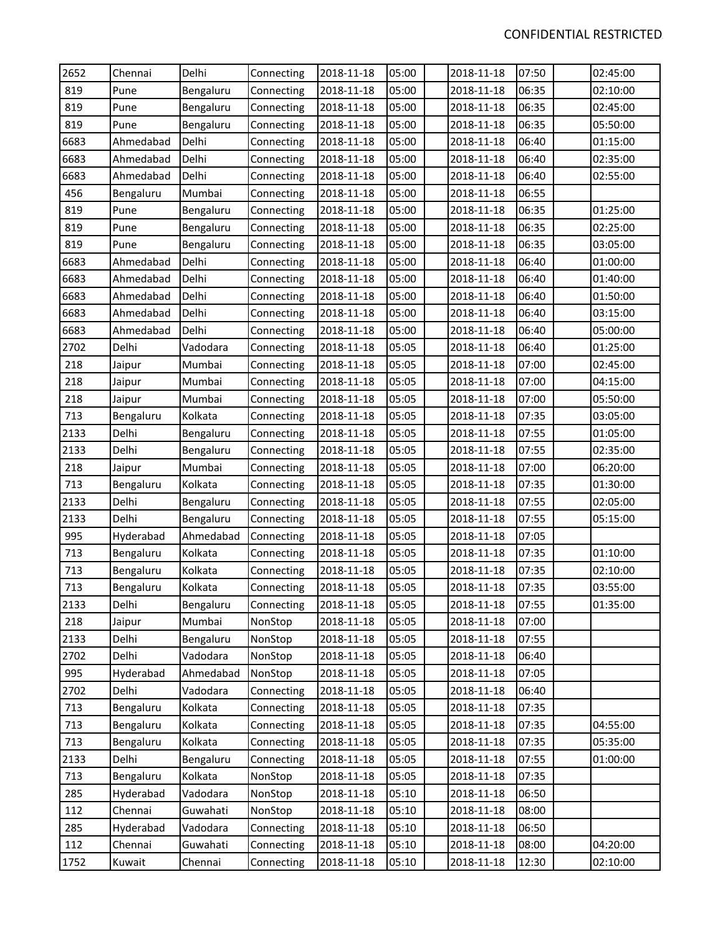| 2652 | Chennai   | Delhi     | Connecting | 2018-11-18 | 05:00 | 2018-11-18 | 07:50 | 02:45:00 |
|------|-----------|-----------|------------|------------|-------|------------|-------|----------|
| 819  | Pune      | Bengaluru | Connecting | 2018-11-18 | 05:00 | 2018-11-18 | 06:35 | 02:10:00 |
| 819  | Pune      | Bengaluru | Connecting | 2018-11-18 | 05:00 | 2018-11-18 | 06:35 | 02:45:00 |
| 819  | Pune      | Bengaluru | Connecting | 2018-11-18 | 05:00 | 2018-11-18 | 06:35 | 05:50:00 |
| 6683 | Ahmedabad | Delhi     | Connecting | 2018-11-18 | 05:00 | 2018-11-18 | 06:40 | 01:15:00 |
| 6683 | Ahmedabad | Delhi     | Connecting | 2018-11-18 | 05:00 | 2018-11-18 | 06:40 | 02:35:00 |
| 6683 | Ahmedabad | Delhi     | Connecting | 2018-11-18 | 05:00 | 2018-11-18 | 06:40 | 02:55:00 |
| 456  | Bengaluru | Mumbai    | Connecting | 2018-11-18 | 05:00 | 2018-11-18 | 06:55 |          |
| 819  | Pune      | Bengaluru | Connecting | 2018-11-18 | 05:00 | 2018-11-18 | 06:35 | 01:25:00 |
| 819  | Pune      | Bengaluru | Connecting | 2018-11-18 | 05:00 | 2018-11-18 | 06:35 | 02:25:00 |
| 819  | Pune      | Bengaluru | Connecting | 2018-11-18 | 05:00 | 2018-11-18 | 06:35 | 03:05:00 |
| 6683 | Ahmedabad | Delhi     | Connecting | 2018-11-18 | 05:00 | 2018-11-18 | 06:40 | 01:00:00 |
| 6683 | Ahmedabad | Delhi     | Connecting | 2018-11-18 | 05:00 | 2018-11-18 | 06:40 | 01:40:00 |
| 6683 | Ahmedabad | Delhi     | Connecting | 2018-11-18 | 05:00 | 2018-11-18 | 06:40 | 01:50:00 |
| 6683 | Ahmedabad | Delhi     | Connecting | 2018-11-18 | 05:00 | 2018-11-18 | 06:40 | 03:15:00 |
| 6683 | Ahmedabad | Delhi     | Connecting | 2018-11-18 | 05:00 | 2018-11-18 | 06:40 | 05:00:00 |
| 2702 | Delhi     | Vadodara  | Connecting | 2018-11-18 | 05:05 | 2018-11-18 | 06:40 | 01:25:00 |
| 218  | Jaipur    | Mumbai    | Connecting | 2018-11-18 | 05:05 | 2018-11-18 | 07:00 | 02:45:00 |
| 218  | Jaipur    | Mumbai    | Connecting | 2018-11-18 | 05:05 | 2018-11-18 | 07:00 | 04:15:00 |
| 218  | Jaipur    | Mumbai    | Connecting | 2018-11-18 | 05:05 | 2018-11-18 | 07:00 | 05:50:00 |
| 713  | Bengaluru | Kolkata   | Connecting | 2018-11-18 | 05:05 | 2018-11-18 | 07:35 | 03:05:00 |
| 2133 | Delhi     | Bengaluru | Connecting | 2018-11-18 | 05:05 | 2018-11-18 | 07:55 | 01:05:00 |
| 2133 | Delhi     | Bengaluru | Connecting | 2018-11-18 | 05:05 | 2018-11-18 | 07:55 | 02:35:00 |
| 218  | Jaipur    | Mumbai    | Connecting | 2018-11-18 | 05:05 | 2018-11-18 | 07:00 | 06:20:00 |
| 713  | Bengaluru | Kolkata   | Connecting | 2018-11-18 | 05:05 | 2018-11-18 | 07:35 | 01:30:00 |
| 2133 | Delhi     | Bengaluru | Connecting | 2018-11-18 | 05:05 | 2018-11-18 | 07:55 | 02:05:00 |
| 2133 | Delhi     | Bengaluru | Connecting | 2018-11-18 | 05:05 | 2018-11-18 | 07:55 | 05:15:00 |
| 995  | Hyderabad | Ahmedabad | Connecting | 2018-11-18 | 05:05 | 2018-11-18 | 07:05 |          |
| 713  | Bengaluru | Kolkata   | Connecting | 2018-11-18 | 05:05 | 2018-11-18 | 07:35 | 01:10:00 |
| 713  | Bengaluru | Kolkata   | Connecting | 2018-11-18 | 05:05 | 2018-11-18 | 07:35 | 02:10:00 |
| 713  | Bengaluru | Kolkata   | Connecting | 2018-11-18 | 05:05 | 2018-11-18 | 07:35 | 03:55:00 |
| 2133 | Delhi     | Bengaluru | Connecting | 2018-11-18 | 05:05 | 2018-11-18 | 07:55 | 01:35:00 |
| 218  | Jaipur    | Mumbai    | NonStop    | 2018-11-18 | 05:05 | 2018-11-18 | 07:00 |          |
| 2133 | Delhi     | Bengaluru | NonStop    | 2018-11-18 | 05:05 | 2018-11-18 | 07:55 |          |
| 2702 | Delhi     | Vadodara  | NonStop    | 2018-11-18 | 05:05 | 2018-11-18 | 06:40 |          |
| 995  | Hyderabad | Ahmedabad | NonStop    | 2018-11-18 | 05:05 | 2018-11-18 | 07:05 |          |
| 2702 | Delhi     | Vadodara  | Connecting | 2018-11-18 | 05:05 | 2018-11-18 | 06:40 |          |
| 713  | Bengaluru | Kolkata   | Connecting | 2018-11-18 | 05:05 | 2018-11-18 | 07:35 |          |
| 713  | Bengaluru | Kolkata   | Connecting | 2018-11-18 | 05:05 | 2018-11-18 | 07:35 | 04:55:00 |
| 713  | Bengaluru | Kolkata   | Connecting | 2018-11-18 | 05:05 | 2018-11-18 | 07:35 | 05:35:00 |
| 2133 | Delhi     | Bengaluru | Connecting | 2018-11-18 | 05:05 | 2018-11-18 | 07:55 | 01:00:00 |
| 713  | Bengaluru | Kolkata   | NonStop    | 2018-11-18 | 05:05 | 2018-11-18 | 07:35 |          |
| 285  | Hyderabad | Vadodara  | NonStop    | 2018-11-18 | 05:10 | 2018-11-18 | 06:50 |          |
| 112  | Chennai   | Guwahati  | NonStop    | 2018-11-18 | 05:10 | 2018-11-18 | 08:00 |          |
| 285  | Hyderabad | Vadodara  | Connecting | 2018-11-18 | 05:10 | 2018-11-18 | 06:50 |          |
| 112  | Chennai   | Guwahati  | Connecting | 2018-11-18 | 05:10 | 2018-11-18 | 08:00 | 04:20:00 |
| 1752 | Kuwait    | Chennai   | Connecting | 2018-11-18 | 05:10 | 2018-11-18 | 12:30 | 02:10:00 |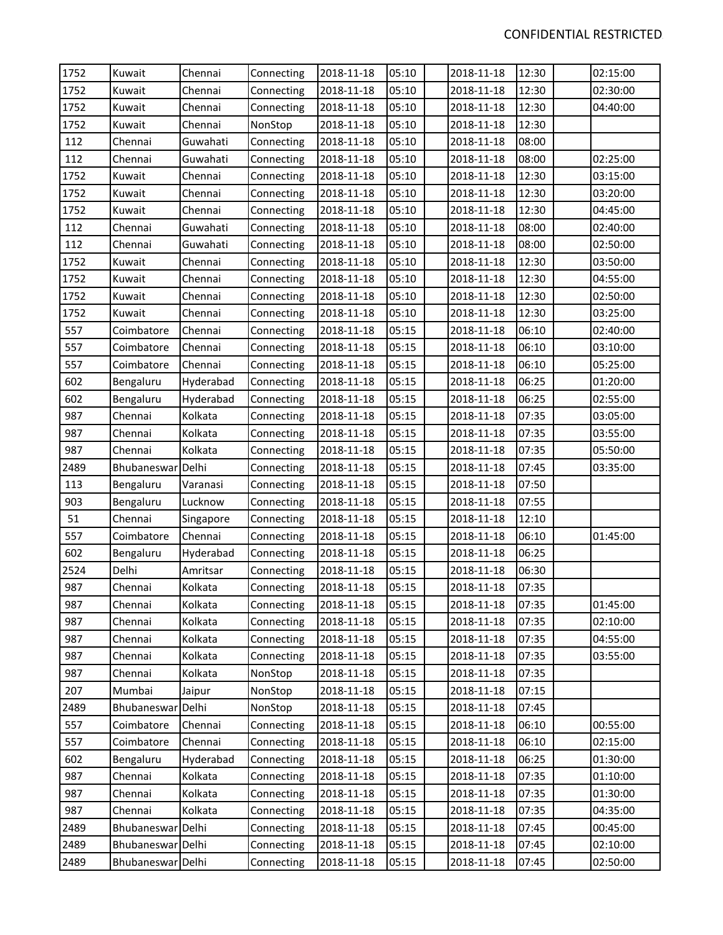| 1752 | Kuwait            | Chennai   | Connecting | 2018-11-18 | 05:10 | 2018-11-18 | 12:30 | 02:15:00 |
|------|-------------------|-----------|------------|------------|-------|------------|-------|----------|
| 1752 | Kuwait            | Chennai   | Connecting | 2018-11-18 | 05:10 | 2018-11-18 | 12:30 | 02:30:00 |
| 1752 | Kuwait            | Chennai   | Connecting | 2018-11-18 | 05:10 | 2018-11-18 | 12:30 | 04:40:00 |
| 1752 | Kuwait            | Chennai   | NonStop    | 2018-11-18 | 05:10 | 2018-11-18 | 12:30 |          |
| 112  | Chennai           | Guwahati  | Connecting | 2018-11-18 | 05:10 | 2018-11-18 | 08:00 |          |
| 112  | Chennai           | Guwahati  | Connecting | 2018-11-18 | 05:10 | 2018-11-18 | 08:00 | 02:25:00 |
| 1752 | Kuwait            | Chennai   | Connecting | 2018-11-18 | 05:10 | 2018-11-18 | 12:30 | 03:15:00 |
| 1752 | Kuwait            | Chennai   | Connecting | 2018-11-18 | 05:10 | 2018-11-18 | 12:30 | 03:20:00 |
| 1752 | Kuwait            | Chennai   | Connecting | 2018-11-18 | 05:10 | 2018-11-18 | 12:30 | 04:45:00 |
| 112  | Chennai           | Guwahati  | Connecting | 2018-11-18 | 05:10 | 2018-11-18 | 08:00 | 02:40:00 |
| 112  | Chennai           | Guwahati  | Connecting | 2018-11-18 | 05:10 | 2018-11-18 | 08:00 | 02:50:00 |
| 1752 | Kuwait            | Chennai   | Connecting | 2018-11-18 | 05:10 | 2018-11-18 | 12:30 | 03:50:00 |
| 1752 | Kuwait            | Chennai   | Connecting | 2018-11-18 | 05:10 | 2018-11-18 | 12:30 | 04:55:00 |
| 1752 | Kuwait            | Chennai   | Connecting | 2018-11-18 | 05:10 | 2018-11-18 | 12:30 | 02:50:00 |
| 1752 | Kuwait            | Chennai   | Connecting | 2018-11-18 | 05:10 | 2018-11-18 | 12:30 | 03:25:00 |
| 557  | Coimbatore        | Chennai   | Connecting | 2018-11-18 | 05:15 | 2018-11-18 | 06:10 | 02:40:00 |
| 557  | Coimbatore        | Chennai   | Connecting | 2018-11-18 | 05:15 | 2018-11-18 | 06:10 | 03:10:00 |
| 557  | Coimbatore        | Chennai   | Connecting | 2018-11-18 | 05:15 | 2018-11-18 | 06:10 | 05:25:00 |
| 602  | Bengaluru         | Hyderabad | Connecting | 2018-11-18 | 05:15 | 2018-11-18 | 06:25 | 01:20:00 |
| 602  | Bengaluru         | Hyderabad | Connecting | 2018-11-18 | 05:15 | 2018-11-18 | 06:25 | 02:55:00 |
| 987  | Chennai           | Kolkata   | Connecting | 2018-11-18 | 05:15 | 2018-11-18 | 07:35 | 03:05:00 |
| 987  | Chennai           | Kolkata   | Connecting | 2018-11-18 | 05:15 | 2018-11-18 | 07:35 | 03:55:00 |
| 987  | Chennai           | Kolkata   | Connecting | 2018-11-18 | 05:15 | 2018-11-18 | 07:35 | 05:50:00 |
| 2489 | Bhubaneswar Delhi |           | Connecting | 2018-11-18 | 05:15 | 2018-11-18 | 07:45 | 03:35:00 |
| 113  | Bengaluru         | Varanasi  | Connecting | 2018-11-18 | 05:15 | 2018-11-18 | 07:50 |          |
| 903  | Bengaluru         | Lucknow   | Connecting | 2018-11-18 | 05:15 | 2018-11-18 | 07:55 |          |
| 51   | Chennai           | Singapore | Connecting | 2018-11-18 | 05:15 | 2018-11-18 | 12:10 |          |
| 557  | Coimbatore        | Chennai   | Connecting | 2018-11-18 | 05:15 | 2018-11-18 | 06:10 | 01:45:00 |
| 602  | Bengaluru         | Hyderabad | Connecting | 2018-11-18 | 05:15 | 2018-11-18 | 06:25 |          |
| 2524 | Delhi             | Amritsar  | Connecting | 2018-11-18 | 05:15 | 2018-11-18 | 06:30 |          |
| 987  | Chennai           | Kolkata   | Connecting | 2018-11-18 | 05:15 | 2018-11-18 | 07:35 |          |
| 987  | Chennai           | Kolkata   | Connecting | 2018-11-18 | 05:15 | 2018-11-18 | 07:35 | 01:45:00 |
| 987  | Chennai           | Kolkata   | Connecting | 2018-11-18 | 05:15 | 2018-11-18 | 07:35 | 02:10:00 |
| 987  | Chennai           | Kolkata   | Connecting | 2018-11-18 | 05:15 | 2018-11-18 | 07:35 | 04:55:00 |
| 987  | Chennai           | Kolkata   | Connecting | 2018-11-18 | 05:15 | 2018-11-18 | 07:35 | 03:55:00 |
| 987  | Chennai           | Kolkata   | NonStop    | 2018-11-18 | 05:15 | 2018-11-18 | 07:35 |          |
| 207  | Mumbai            | Jaipur    | NonStop    | 2018-11-18 | 05:15 | 2018-11-18 | 07:15 |          |
| 2489 | Bhubaneswar       | Delhi     | NonStop    | 2018-11-18 | 05:15 | 2018-11-18 | 07:45 |          |
| 557  | Coimbatore        | Chennai   | Connecting | 2018-11-18 | 05:15 | 2018-11-18 | 06:10 | 00:55:00 |
| 557  | Coimbatore        | Chennai   | Connecting | 2018-11-18 | 05:15 | 2018-11-18 | 06:10 | 02:15:00 |
| 602  | Bengaluru         | Hyderabad | Connecting | 2018-11-18 | 05:15 | 2018-11-18 | 06:25 | 01:30:00 |
| 987  | Chennai           | Kolkata   | Connecting | 2018-11-18 | 05:15 | 2018-11-18 | 07:35 | 01:10:00 |
| 987  | Chennai           | Kolkata   | Connecting | 2018-11-18 | 05:15 | 2018-11-18 | 07:35 | 01:30:00 |
| 987  | Chennai           | Kolkata   | Connecting | 2018-11-18 | 05:15 | 2018-11-18 | 07:35 | 04:35:00 |
| 2489 | Bhubaneswar Delhi |           | Connecting | 2018-11-18 | 05:15 | 2018-11-18 | 07:45 | 00:45:00 |
| 2489 | Bhubaneswar Delhi |           | Connecting | 2018-11-18 | 05:15 | 2018-11-18 | 07:45 | 02:10:00 |
| 2489 | Bhubaneswar Delhi |           | Connecting | 2018-11-18 | 05:15 | 2018-11-18 | 07:45 | 02:50:00 |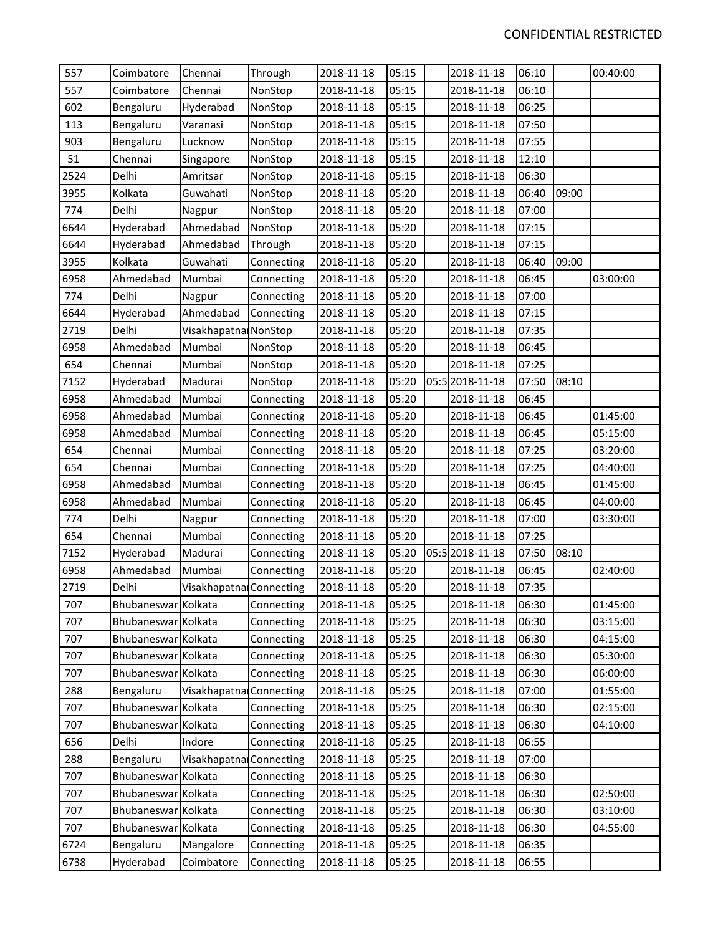| 557  | Coimbatore          | Chennai                 | Through    | 2018-11-18 | 05:15 | 2018-11-18      | 06:10 |       | 00:40:00 |
|------|---------------------|-------------------------|------------|------------|-------|-----------------|-------|-------|----------|
| 557  | Coimbatore          | Chennai                 | NonStop    | 2018-11-18 | 05:15 | 2018-11-18      | 06:10 |       |          |
| 602  | Bengaluru           | Hyderabad               | NonStop    | 2018-11-18 | 05:15 | 2018-11-18      | 06:25 |       |          |
| 113  | Bengaluru           | Varanasi                | NonStop    | 2018-11-18 | 05:15 | 2018-11-18      | 07:50 |       |          |
| 903  | Bengaluru           | Lucknow                 | NonStop    | 2018-11-18 | 05:15 | 2018-11-18      | 07:55 |       |          |
| 51   | Chennai             | Singapore               | NonStop    | 2018-11-18 | 05:15 | 2018-11-18      | 12:10 |       |          |
| 2524 | Delhi               | Amritsar                | NonStop    | 2018-11-18 | 05:15 | 2018-11-18      | 06:30 |       |          |
| 3955 | Kolkata             | Guwahati                | NonStop    | 2018-11-18 | 05:20 | 2018-11-18      | 06:40 | 09:00 |          |
| 774  | Delhi               | Nagpur                  | NonStop    | 2018-11-18 | 05:20 | 2018-11-18      | 07:00 |       |          |
| 6644 | Hyderabad           | Ahmedabad               | NonStop    | 2018-11-18 | 05:20 | 2018-11-18      | 07:15 |       |          |
| 6644 | Hyderabad           | Ahmedabad               | Through    | 2018-11-18 | 05:20 | 2018-11-18      | 07:15 |       |          |
| 3955 | Kolkata             | Guwahati                | Connecting | 2018-11-18 | 05:20 | 2018-11-18      | 06:40 | 09:00 |          |
| 6958 | Ahmedabad           | Mumbai                  | Connecting | 2018-11-18 | 05:20 | 2018-11-18      | 06:45 |       | 03:00:00 |
| 774  | Delhi               | Nagpur                  | Connecting | 2018-11-18 | 05:20 | 2018-11-18      | 07:00 |       |          |
| 6644 | Hyderabad           | Ahmedabad               | Connecting | 2018-11-18 | 05:20 | 2018-11-18      | 07:15 |       |          |
| 2719 | Delhi               | Visakhapatna NonStop    |            | 2018-11-18 | 05:20 | 2018-11-18      | 07:35 |       |          |
| 6958 | Ahmedabad           | Mumbai                  | NonStop    | 2018-11-18 | 05:20 | 2018-11-18      | 06:45 |       |          |
| 654  | Chennai             | Mumbai                  | NonStop    | 2018-11-18 | 05:20 | 2018-11-18      | 07:25 |       |          |
| 7152 | Hyderabad           | Madurai                 | NonStop    | 2018-11-18 | 05:20 | 05:5 2018-11-18 | 07:50 | 08:10 |          |
| 6958 | Ahmedabad           | Mumbai                  | Connecting | 2018-11-18 | 05:20 | 2018-11-18      | 06:45 |       |          |
| 6958 | Ahmedabad           | Mumbai                  | Connecting | 2018-11-18 | 05:20 | 2018-11-18      | 06:45 |       | 01:45:00 |
| 6958 | Ahmedabad           | Mumbai                  | Connecting | 2018-11-18 | 05:20 | 2018-11-18      | 06:45 |       | 05:15:00 |
| 654  | Chennai             | Mumbai                  | Connecting | 2018-11-18 | 05:20 | 2018-11-18      | 07:25 |       | 03:20:00 |
| 654  | Chennai             | Mumbai                  | Connecting | 2018-11-18 | 05:20 | 2018-11-18      | 07:25 |       | 04:40:00 |
| 6958 | Ahmedabad           | Mumbai                  | Connecting | 2018-11-18 | 05:20 | 2018-11-18      | 06:45 |       | 01:45:00 |
| 6958 | Ahmedabad           | Mumbai                  | Connecting | 2018-11-18 | 05:20 | 2018-11-18      | 06:45 |       | 04:00:00 |
| 774  | Delhi               | Nagpur                  | Connecting | 2018-11-18 | 05:20 | 2018-11-18      | 07:00 |       | 03:30:00 |
| 654  | Chennai             | Mumbai                  | Connecting | 2018-11-18 | 05:20 | 2018-11-18      | 07:25 |       |          |
| 7152 | Hyderabad           | Madurai                 | Connecting | 2018-11-18 | 05:20 | 05:5 2018-11-18 | 07:50 | 08:10 |          |
| 6958 | Ahmedabad           | Mumbai                  | Connecting | 2018-11-18 | 05:20 | 2018-11-18      | 06:45 |       | 02:40:00 |
| 2719 | Delhi               | Visakhapatna Connecting |            | 2018-11-18 | 05:20 | 2018-11-18      | 07:35 |       |          |
| 707  | Bhubaneswar Kolkata |                         | Connecting | 2018-11-18 | 05:25 | 2018-11-18      | 06:30 |       | 01:45:00 |
| 707  | Bhubaneswar Kolkata |                         | Connecting | 2018-11-18 | 05:25 | 2018-11-18      | 06:30 |       | 03:15:00 |
| 707  | Bhubaneswar Kolkata |                         | Connecting | 2018-11-18 | 05:25 | 2018-11-18      | 06:30 |       | 04:15:00 |
| 707  | Bhubaneswar Kolkata |                         | Connecting | 2018-11-18 | 05:25 | 2018-11-18      | 06:30 |       | 05:30:00 |
| 707  | Bhubaneswar Kolkata |                         | Connecting | 2018-11-18 | 05:25 | 2018-11-18      | 06:30 |       | 06:00:00 |
| 288  | Bengaluru           | Visakhapatna Connecting |            | 2018-11-18 | 05:25 | 2018-11-18      | 07:00 |       | 01:55:00 |
| 707  | Bhubaneswar Kolkata |                         | Connecting | 2018-11-18 | 05:25 | 2018-11-18      | 06:30 |       | 02:15:00 |
| 707  | <b>Bhubaneswar</b>  | Kolkata                 | Connecting | 2018-11-18 | 05:25 | 2018-11-18      | 06:30 |       | 04:10:00 |
| 656  | Delhi               | Indore                  | Connecting | 2018-11-18 | 05:25 | 2018-11-18      | 06:55 |       |          |
| 288  | Bengaluru           | Visakhapatna Connecting |            | 2018-11-18 | 05:25 | 2018-11-18      | 07:00 |       |          |
| 707  | Bhubaneswar Kolkata |                         | Connecting | 2018-11-18 | 05:25 | 2018-11-18      | 06:30 |       |          |
| 707  | Bhubaneswar Kolkata |                         | Connecting | 2018-11-18 | 05:25 | 2018-11-18      | 06:30 |       | 02:50:00 |
| 707  | Bhubaneswar Kolkata |                         | Connecting | 2018-11-18 | 05:25 | 2018-11-18      | 06:30 |       | 03:10:00 |
| 707  | Bhubaneswar Kolkata |                         | Connecting | 2018-11-18 | 05:25 | 2018-11-18      | 06:30 |       | 04:55:00 |
| 6724 | Bengaluru           | Mangalore               | Connecting | 2018-11-18 | 05:25 | 2018-11-18      | 06:35 |       |          |
| 6738 | Hyderabad           | Coimbatore              | Connecting | 2018-11-18 | 05:25 | 2018-11-18      | 06:55 |       |          |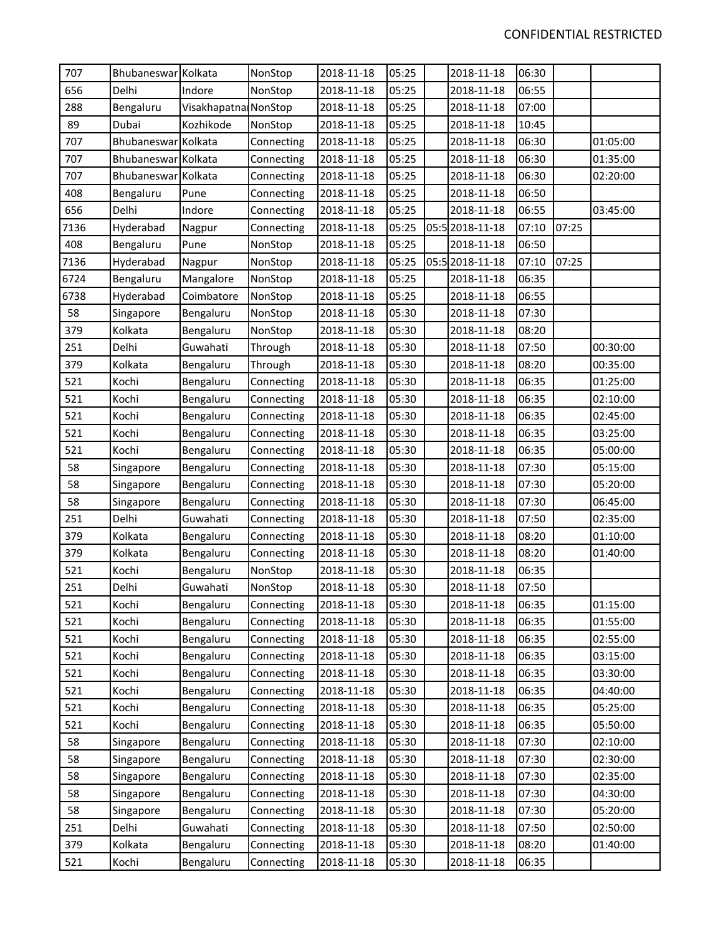| 707  | Bhubaneswar Kolkata |                      | NonStop    | 2018-11-18 | 05:25 | 2018-11-18      | 06:30 |       |          |
|------|---------------------|----------------------|------------|------------|-------|-----------------|-------|-------|----------|
| 656  | Delhi               | Indore               | NonStop    | 2018-11-18 | 05:25 | 2018-11-18      | 06:55 |       |          |
| 288  | Bengaluru           | Visakhapatna NonStop |            | 2018-11-18 | 05:25 | 2018-11-18      | 07:00 |       |          |
| 89   | Dubai               | Kozhikode            | NonStop    | 2018-11-18 | 05:25 | 2018-11-18      | 10:45 |       |          |
| 707  | Bhubaneswar Kolkata |                      | Connecting | 2018-11-18 | 05:25 | 2018-11-18      | 06:30 |       | 01:05:00 |
| 707  | Bhubaneswar Kolkata |                      | Connecting | 2018-11-18 | 05:25 | 2018-11-18      | 06:30 |       | 01:35:00 |
| 707  | Bhubaneswar Kolkata |                      | Connecting | 2018-11-18 | 05:25 | 2018-11-18      | 06:30 |       | 02:20:00 |
| 408  | Bengaluru           | Pune                 | Connecting | 2018-11-18 | 05:25 | 2018-11-18      | 06:50 |       |          |
| 656  | Delhi               | Indore               | Connecting | 2018-11-18 | 05:25 | 2018-11-18      | 06:55 |       | 03:45:00 |
| 7136 | Hyderabad           | Nagpur               | Connecting | 2018-11-18 | 05:25 | 05:5 2018-11-18 | 07:10 | 07:25 |          |
| 408  | Bengaluru           | Pune                 | NonStop    | 2018-11-18 | 05:25 | 2018-11-18      | 06:50 |       |          |
| 7136 | Hyderabad           | Nagpur               | NonStop    | 2018-11-18 | 05:25 | 05:5 2018-11-18 | 07:10 | 07:25 |          |
| 6724 | Bengaluru           | Mangalore            | NonStop    | 2018-11-18 | 05:25 | 2018-11-18      | 06:35 |       |          |
| 6738 | Hyderabad           | Coimbatore           | NonStop    | 2018-11-18 | 05:25 | 2018-11-18      | 06:55 |       |          |
| 58   | Singapore           | Bengaluru            | NonStop    | 2018-11-18 | 05:30 | 2018-11-18      | 07:30 |       |          |
| 379  | Kolkata             | Bengaluru            | NonStop    | 2018-11-18 | 05:30 | 2018-11-18      | 08:20 |       |          |
| 251  | Delhi               | Guwahati             | Through    | 2018-11-18 | 05:30 | 2018-11-18      | 07:50 |       | 00:30:00 |
| 379  | Kolkata             | Bengaluru            | Through    | 2018-11-18 | 05:30 | 2018-11-18      | 08:20 |       | 00:35:00 |
| 521  | Kochi               | Bengaluru            | Connecting | 2018-11-18 | 05:30 | 2018-11-18      | 06:35 |       | 01:25:00 |
| 521  | Kochi               | Bengaluru            | Connecting | 2018-11-18 | 05:30 | 2018-11-18      | 06:35 |       | 02:10:00 |
| 521  | Kochi               | Bengaluru            | Connecting | 2018-11-18 | 05:30 | 2018-11-18      | 06:35 |       | 02:45:00 |
| 521  | Kochi               | Bengaluru            | Connecting | 2018-11-18 | 05:30 | 2018-11-18      | 06:35 |       | 03:25:00 |
| 521  | Kochi               | Bengaluru            | Connecting | 2018-11-18 | 05:30 | 2018-11-18      | 06:35 |       | 05:00:00 |
| 58   | Singapore           | Bengaluru            | Connecting | 2018-11-18 | 05:30 | 2018-11-18      | 07:30 |       | 05:15:00 |
| 58   | Singapore           | Bengaluru            | Connecting | 2018-11-18 | 05:30 | 2018-11-18      | 07:30 |       | 05:20:00 |
| 58   | Singapore           | Bengaluru            | Connecting | 2018-11-18 | 05:30 | 2018-11-18      | 07:30 |       | 06:45:00 |
| 251  | Delhi               | Guwahati             | Connecting | 2018-11-18 | 05:30 | 2018-11-18      | 07:50 |       | 02:35:00 |
| 379  | Kolkata             | Bengaluru            | Connecting | 2018-11-18 | 05:30 | 2018-11-18      | 08:20 |       | 01:10:00 |
| 379  | Kolkata             | Bengaluru            | Connecting | 2018-11-18 | 05:30 | 2018-11-18      | 08:20 |       | 01:40:00 |
| 521  | Kochi               | Bengaluru            | NonStop    | 2018-11-18 | 05:30 | 2018-11-18      | 06:35 |       |          |
| 251  | Delhi               | Guwahati             | NonStop    | 2018-11-18 | 05:30 | 2018-11-18      | 07:50 |       |          |
| 521  | Kochi               | Bengaluru            | Connecting | 2018-11-18 | 05:30 | 2018-11-18      | 06:35 |       | 01:15:00 |
| 521  | Kochi               | Bengaluru            | Connecting | 2018-11-18 | 05:30 | 2018-11-18      | 06:35 |       | 01:55:00 |
| 521  | Kochi               | Bengaluru            | Connecting | 2018-11-18 | 05:30 | 2018-11-18      | 06:35 |       | 02:55:00 |
| 521  | Kochi               | Bengaluru            | Connecting | 2018-11-18 | 05:30 | 2018-11-18      | 06:35 |       | 03:15:00 |
| 521  | Kochi               | Bengaluru            | Connecting | 2018-11-18 | 05:30 | 2018-11-18      | 06:35 |       | 03:30:00 |
| 521  | Kochi               | Bengaluru            | Connecting | 2018-11-18 | 05:30 | 2018-11-18      | 06:35 |       | 04:40:00 |
| 521  | Kochi               | Bengaluru            | Connecting | 2018-11-18 | 05:30 | 2018-11-18      | 06:35 |       | 05:25:00 |
| 521  | Kochi               | Bengaluru            | Connecting | 2018-11-18 | 05:30 | 2018-11-18      | 06:35 |       | 05:50:00 |
| 58   | Singapore           | Bengaluru            | Connecting | 2018-11-18 | 05:30 | 2018-11-18      | 07:30 |       | 02:10:00 |
| 58   | Singapore           | Bengaluru            | Connecting | 2018-11-18 | 05:30 | 2018-11-18      | 07:30 |       | 02:30:00 |
| 58   | Singapore           | Bengaluru            | Connecting | 2018-11-18 | 05:30 | 2018-11-18      | 07:30 |       | 02:35:00 |
| 58   | Singapore           | Bengaluru            | Connecting | 2018-11-18 | 05:30 | 2018-11-18      | 07:30 |       | 04:30:00 |
| 58   | Singapore           | Bengaluru            | Connecting | 2018-11-18 | 05:30 | 2018-11-18      | 07:30 |       | 05:20:00 |
| 251  | Delhi               | Guwahati             | Connecting | 2018-11-18 | 05:30 | 2018-11-18      | 07:50 |       | 02:50:00 |
| 379  | Kolkata             | Bengaluru            | Connecting | 2018-11-18 | 05:30 | 2018-11-18      | 08:20 |       | 01:40:00 |
| 521  | Kochi               | Bengaluru            | Connecting | 2018-11-18 | 05:30 | 2018-11-18      | 06:35 |       |          |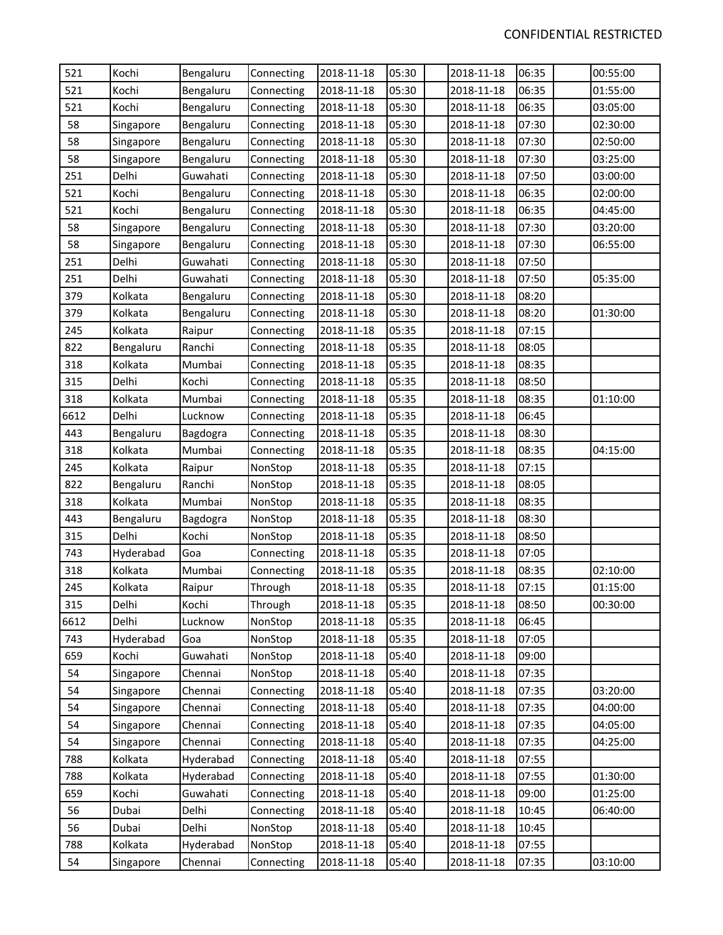| 521  | Kochi     | Bengaluru | Connecting | 2018-11-18 | 05:30 | 2018-11-18 | 06:35 | 00:55:00 |
|------|-----------|-----------|------------|------------|-------|------------|-------|----------|
| 521  | Kochi     | Bengaluru | Connecting | 2018-11-18 | 05:30 | 2018-11-18 | 06:35 | 01:55:00 |
| 521  | Kochi     | Bengaluru | Connecting | 2018-11-18 | 05:30 | 2018-11-18 | 06:35 | 03:05:00 |
| 58   | Singapore | Bengaluru | Connecting | 2018-11-18 | 05:30 | 2018-11-18 | 07:30 | 02:30:00 |
| 58   | Singapore | Bengaluru | Connecting | 2018-11-18 | 05:30 | 2018-11-18 | 07:30 | 02:50:00 |
| 58   | Singapore | Bengaluru | Connecting | 2018-11-18 | 05:30 | 2018-11-18 | 07:30 | 03:25:00 |
| 251  | Delhi     | Guwahati  | Connecting | 2018-11-18 | 05:30 | 2018-11-18 | 07:50 | 03:00:00 |
| 521  | Kochi     | Bengaluru | Connecting | 2018-11-18 | 05:30 | 2018-11-18 | 06:35 | 02:00:00 |
| 521  | Kochi     | Bengaluru | Connecting | 2018-11-18 | 05:30 | 2018-11-18 | 06:35 | 04:45:00 |
| 58   | Singapore | Bengaluru | Connecting | 2018-11-18 | 05:30 | 2018-11-18 | 07:30 | 03:20:00 |
| 58   | Singapore | Bengaluru | Connecting | 2018-11-18 | 05:30 | 2018-11-18 | 07:30 | 06:55:00 |
| 251  | Delhi     | Guwahati  | Connecting | 2018-11-18 | 05:30 | 2018-11-18 | 07:50 |          |
| 251  | Delhi     | Guwahati  | Connecting | 2018-11-18 | 05:30 | 2018-11-18 | 07:50 | 05:35:00 |
| 379  | Kolkata   | Bengaluru | Connecting | 2018-11-18 | 05:30 | 2018-11-18 | 08:20 |          |
| 379  | Kolkata   | Bengaluru | Connecting | 2018-11-18 | 05:30 | 2018-11-18 | 08:20 | 01:30:00 |
| 245  | Kolkata   | Raipur    | Connecting | 2018-11-18 | 05:35 | 2018-11-18 | 07:15 |          |
| 822  | Bengaluru | Ranchi    | Connecting | 2018-11-18 | 05:35 | 2018-11-18 | 08:05 |          |
| 318  | Kolkata   | Mumbai    | Connecting | 2018-11-18 | 05:35 | 2018-11-18 | 08:35 |          |
| 315  | Delhi     | Kochi     | Connecting | 2018-11-18 | 05:35 | 2018-11-18 | 08:50 |          |
| 318  | Kolkata   | Mumbai    | Connecting | 2018-11-18 | 05:35 | 2018-11-18 | 08:35 | 01:10:00 |
| 6612 | Delhi     | Lucknow   | Connecting | 2018-11-18 | 05:35 | 2018-11-18 | 06:45 |          |
| 443  | Bengaluru | Bagdogra  | Connecting | 2018-11-18 | 05:35 | 2018-11-18 | 08:30 |          |
| 318  | Kolkata   | Mumbai    | Connecting | 2018-11-18 | 05:35 | 2018-11-18 | 08:35 | 04:15:00 |
| 245  | Kolkata   | Raipur    | NonStop    | 2018-11-18 | 05:35 | 2018-11-18 | 07:15 |          |
| 822  | Bengaluru | Ranchi    | NonStop    | 2018-11-18 | 05:35 | 2018-11-18 | 08:05 |          |
| 318  | Kolkata   | Mumbai    | NonStop    | 2018-11-18 | 05:35 | 2018-11-18 | 08:35 |          |
| 443  | Bengaluru | Bagdogra  | NonStop    | 2018-11-18 | 05:35 | 2018-11-18 | 08:30 |          |
| 315  | Delhi     | Kochi     | NonStop    | 2018-11-18 | 05:35 | 2018-11-18 | 08:50 |          |
| 743  | Hyderabad | Goa       | Connecting | 2018-11-18 | 05:35 | 2018-11-18 | 07:05 |          |
| 318  | Kolkata   | Mumbai    | Connecting | 2018-11-18 | 05:35 | 2018-11-18 | 08:35 | 02:10:00 |
| 245  | Kolkata   | Raipur    | Through    | 2018-11-18 | 05:35 | 2018-11-18 | 07:15 | 01:15:00 |
| 315  | Delhi     | Kochi     | Through    | 2018-11-18 | 05:35 | 2018-11-18 | 08:50 | 00:30:00 |
| 6612 | Delhi     | Lucknow   | NonStop    | 2018-11-18 | 05:35 | 2018-11-18 | 06:45 |          |
| 743  | Hyderabad | Goa       | NonStop    | 2018-11-18 | 05:35 | 2018-11-18 | 07:05 |          |
| 659  | Kochi     | Guwahati  | NonStop    | 2018-11-18 | 05:40 | 2018-11-18 | 09:00 |          |
| 54   | Singapore | Chennai   | NonStop    | 2018-11-18 | 05:40 | 2018-11-18 | 07:35 |          |
| 54   | Singapore | Chennai   | Connecting | 2018-11-18 | 05:40 | 2018-11-18 | 07:35 | 03:20:00 |
| 54   | Singapore | Chennai   | Connecting | 2018-11-18 | 05:40 | 2018-11-18 | 07:35 | 04:00:00 |
| 54   | Singapore | Chennai   | Connecting | 2018-11-18 | 05:40 | 2018-11-18 | 07:35 | 04:05:00 |
| 54   | Singapore | Chennai   | Connecting | 2018-11-18 | 05:40 | 2018-11-18 | 07:35 | 04:25:00 |
| 788  | Kolkata   | Hyderabad | Connecting | 2018-11-18 | 05:40 | 2018-11-18 | 07:55 |          |
| 788  | Kolkata   | Hyderabad | Connecting | 2018-11-18 | 05:40 | 2018-11-18 | 07:55 | 01:30:00 |
| 659  | Kochi     | Guwahati  | Connecting | 2018-11-18 | 05:40 | 2018-11-18 | 09:00 | 01:25:00 |
| 56   | Dubai     | Delhi     | Connecting | 2018-11-18 | 05:40 | 2018-11-18 | 10:45 | 06:40:00 |
| 56   | Dubai     | Delhi     | NonStop    | 2018-11-18 | 05:40 | 2018-11-18 | 10:45 |          |
| 788  | Kolkata   | Hyderabad | NonStop    | 2018-11-18 | 05:40 | 2018-11-18 | 07:55 |          |
| 54   | Singapore | Chennai   | Connecting | 2018-11-18 | 05:40 | 2018-11-18 | 07:35 | 03:10:00 |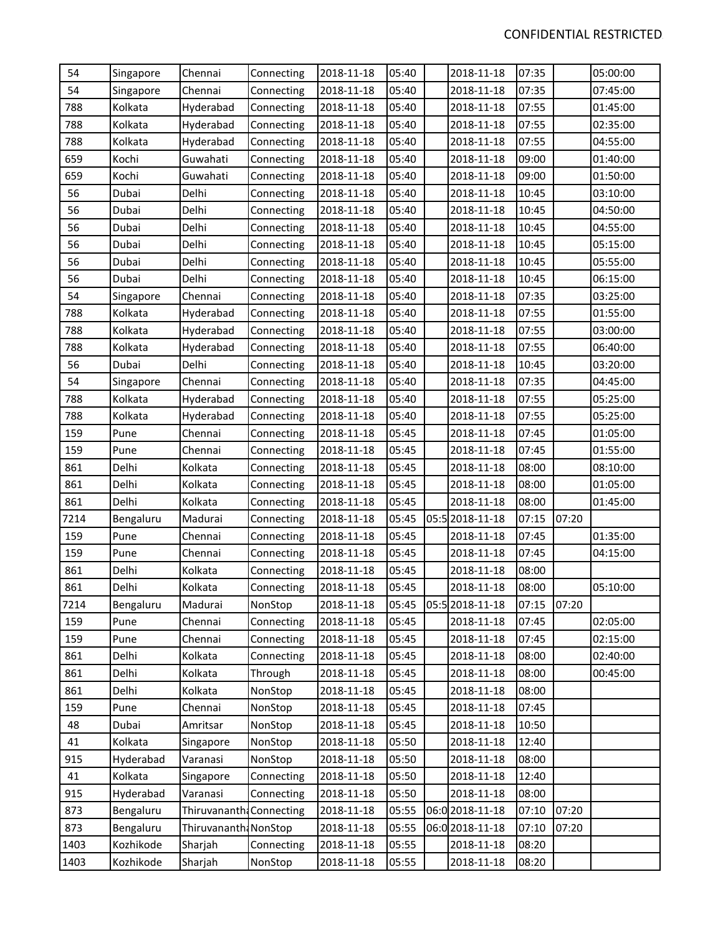| 54   | Singapore | Chennai                  | Connecting | 2018-11-18 | 05:40 | 2018-11-18      | 07:35 |       | 05:00:00 |
|------|-----------|--------------------------|------------|------------|-------|-----------------|-------|-------|----------|
| 54   | Singapore | Chennai                  | Connecting | 2018-11-18 | 05:40 | 2018-11-18      | 07:35 |       | 07:45:00 |
| 788  | Kolkata   | Hyderabad                | Connecting | 2018-11-18 | 05:40 | 2018-11-18      | 07:55 |       | 01:45:00 |
| 788  | Kolkata   | Hyderabad                | Connecting | 2018-11-18 | 05:40 | 2018-11-18      | 07:55 |       | 02:35:00 |
| 788  | Kolkata   | Hyderabad                | Connecting | 2018-11-18 | 05:40 | 2018-11-18      | 07:55 |       | 04:55:00 |
| 659  | Kochi     | Guwahati                 | Connecting | 2018-11-18 | 05:40 | 2018-11-18      | 09:00 |       | 01:40:00 |
| 659  | Kochi     | Guwahati                 | Connecting | 2018-11-18 | 05:40 | 2018-11-18      | 09:00 |       | 01:50:00 |
| 56   | Dubai     | Delhi                    | Connecting | 2018-11-18 | 05:40 | 2018-11-18      | 10:45 |       | 03:10:00 |
| 56   | Dubai     | Delhi                    | Connecting | 2018-11-18 | 05:40 | 2018-11-18      | 10:45 |       | 04:50:00 |
| 56   | Dubai     | Delhi                    | Connecting | 2018-11-18 | 05:40 | 2018-11-18      | 10:45 |       | 04:55:00 |
| 56   | Dubai     | Delhi                    | Connecting | 2018-11-18 | 05:40 | 2018-11-18      | 10:45 |       | 05:15:00 |
| 56   | Dubai     | Delhi                    | Connecting | 2018-11-18 | 05:40 | 2018-11-18      | 10:45 |       | 05:55:00 |
| 56   | Dubai     | Delhi                    | Connecting | 2018-11-18 | 05:40 | 2018-11-18      | 10:45 |       | 06:15:00 |
| 54   | Singapore | Chennai                  | Connecting | 2018-11-18 | 05:40 | 2018-11-18      | 07:35 |       | 03:25:00 |
| 788  | Kolkata   | Hyderabad                | Connecting | 2018-11-18 | 05:40 | 2018-11-18      | 07:55 |       | 01:55:00 |
| 788  | Kolkata   | Hyderabad                | Connecting | 2018-11-18 | 05:40 | 2018-11-18      | 07:55 |       | 03:00:00 |
| 788  | Kolkata   | Hyderabad                | Connecting | 2018-11-18 | 05:40 | 2018-11-18      | 07:55 |       | 06:40:00 |
| 56   | Dubai     | Delhi                    | Connecting | 2018-11-18 | 05:40 | 2018-11-18      | 10:45 |       | 03:20:00 |
| 54   | Singapore | Chennai                  | Connecting | 2018-11-18 | 05:40 | 2018-11-18      | 07:35 |       | 04:45:00 |
| 788  | Kolkata   | Hyderabad                | Connecting | 2018-11-18 | 05:40 | 2018-11-18      | 07:55 |       | 05:25:00 |
| 788  | Kolkata   | Hyderabad                | Connecting | 2018-11-18 | 05:40 | 2018-11-18      | 07:55 |       | 05:25:00 |
| 159  | Pune      | Chennai                  | Connecting | 2018-11-18 | 05:45 | 2018-11-18      | 07:45 |       | 01:05:00 |
| 159  | Pune      | Chennai                  | Connecting | 2018-11-18 | 05:45 | 2018-11-18      | 07:45 |       | 01:55:00 |
| 861  | Delhi     | Kolkata                  | Connecting | 2018-11-18 | 05:45 | 2018-11-18      | 08:00 |       | 08:10:00 |
| 861  | Delhi     | Kolkata                  | Connecting | 2018-11-18 | 05:45 | 2018-11-18      | 08:00 |       | 01:05:00 |
| 861  | Delhi     | Kolkata                  | Connecting | 2018-11-18 | 05:45 | 2018-11-18      | 08:00 |       | 01:45:00 |
| 7214 | Bengaluru | Madurai                  | Connecting | 2018-11-18 | 05:45 | 05:5 2018-11-18 | 07:15 | 07:20 |          |
| 159  | Pune      | Chennai                  | Connecting | 2018-11-18 | 05:45 | 2018-11-18      | 07:45 |       | 01:35:00 |
| 159  | Pune      | Chennai                  | Connecting | 2018-11-18 | 05:45 | 2018-11-18      | 07:45 |       | 04:15:00 |
| 861  | Delhi     | Kolkata                  | Connecting | 2018-11-18 | 05:45 | 2018-11-18      | 08:00 |       |          |
| 861  | Delhi     | Kolkata                  | Connecting | 2018-11-18 | 05:45 | 2018-11-18      | 08:00 |       | 05:10:00 |
| 7214 | Bengaluru | Madurai                  | NonStop    | 2018-11-18 | 05:45 | 05:5 2018-11-18 | 07:15 | 07:20 |          |
| 159  | Pune      | Chennai                  | Connecting | 2018-11-18 | 05:45 | 2018-11-18      | 07:45 |       | 02:05:00 |
| 159  | Pune      | Chennai                  | Connecting | 2018-11-18 | 05:45 | 2018-11-18      | 07:45 |       | 02:15:00 |
| 861  | Delhi     | Kolkata                  | Connecting | 2018-11-18 | 05:45 | 2018-11-18      | 08:00 |       | 02:40:00 |
| 861  | Delhi     | Kolkata                  | Through    | 2018-11-18 | 05:45 | 2018-11-18      | 08:00 |       | 00:45:00 |
| 861  | Delhi     | Kolkata                  | NonStop    | 2018-11-18 | 05:45 | 2018-11-18      | 08:00 |       |          |
| 159  | Pune      | Chennai                  | NonStop    | 2018-11-18 | 05:45 | 2018-11-18      | 07:45 |       |          |
| 48   | Dubai     | Amritsar                 | NonStop    | 2018-11-18 | 05:45 | 2018-11-18      | 10:50 |       |          |
| 41   | Kolkata   | Singapore                | NonStop    | 2018-11-18 | 05:50 | 2018-11-18      | 12:40 |       |          |
| 915  | Hyderabad | Varanasi                 | NonStop    | 2018-11-18 | 05:50 | 2018-11-18      | 08:00 |       |          |
| 41   | Kolkata   | Singapore                | Connecting | 2018-11-18 | 05:50 | 2018-11-18      | 12:40 |       |          |
| 915  | Hyderabad | Varanasi                 | Connecting | 2018-11-18 | 05:50 | 2018-11-18      | 08:00 |       |          |
| 873  | Bengaluru | Thiruvananth: Connecting |            | 2018-11-18 | 05:55 | 06:0 2018-11-18 | 07:10 | 07:20 |          |
| 873  | Bengaluru | Thiruvananth: NonStop    |            | 2018-11-18 | 05:55 | 06:0 2018-11-18 | 07:10 | 07:20 |          |
| 1403 | Kozhikode | Sharjah                  | Connecting | 2018-11-18 | 05:55 | 2018-11-18      | 08:20 |       |          |
| 1403 | Kozhikode | Sharjah                  | NonStop    | 2018-11-18 | 05:55 | 2018-11-18      | 08:20 |       |          |
|      |           |                          |            |            |       |                 |       |       |          |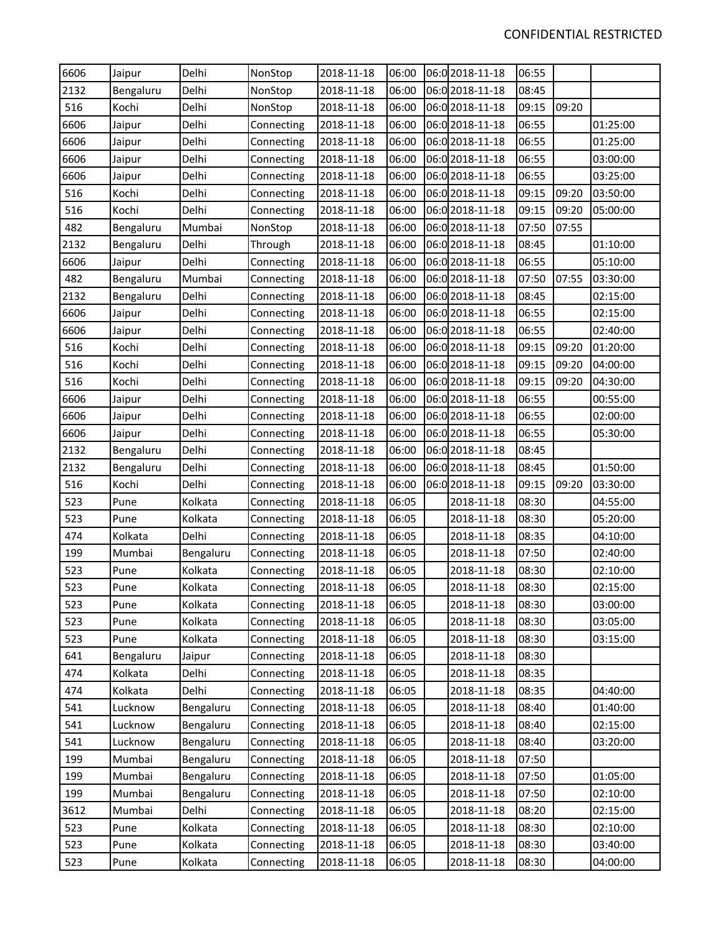| 6606 | Jaipur    | Delhi     | NonStop    | 2018-11-18 | 06:00 | 06:0 2018-11-18 | 06:55 |       |          |
|------|-----------|-----------|------------|------------|-------|-----------------|-------|-------|----------|
| 2132 | Bengaluru | Delhi     | NonStop    | 2018-11-18 | 06:00 | 06:0 2018-11-18 | 08:45 |       |          |
| 516  | Kochi     | Delhi     | NonStop    | 2018-11-18 | 06:00 | 06:0 2018-11-18 | 09:15 | 09:20 |          |
| 6606 | Jaipur    | Delhi     | Connecting | 2018-11-18 | 06:00 | 06:0 2018-11-18 | 06:55 |       | 01:25:00 |
| 6606 | Jaipur    | Delhi     | Connecting | 2018-11-18 | 06:00 | 06:0 2018-11-18 | 06:55 |       | 01:25:00 |
| 6606 | Jaipur    | Delhi     | Connecting | 2018-11-18 | 06:00 | 06:0 2018-11-18 | 06:55 |       | 03:00:00 |
| 6606 | Jaipur    | Delhi     | Connecting | 2018-11-18 | 06:00 | 06:0 2018-11-18 | 06:55 |       | 03:25:00 |
| 516  | Kochi     | Delhi     | Connecting | 2018-11-18 | 06:00 | 06:0 2018-11-18 | 09:15 | 09:20 | 03:50:00 |
| 516  | Kochi     | Delhi     | Connecting | 2018-11-18 | 06:00 | 06:0 2018-11-18 | 09:15 | 09:20 | 05:00:00 |
| 482  | Bengaluru | Mumbai    | NonStop    | 2018-11-18 | 06:00 | 06:0 2018-11-18 | 07:50 | 07:55 |          |
| 2132 | Bengaluru | Delhi     | Through    | 2018-11-18 | 06:00 | 06:0 2018-11-18 | 08:45 |       | 01:10:00 |
| 6606 | Jaipur    | Delhi     | Connecting | 2018-11-18 | 06:00 | 06:0 2018-11-18 | 06:55 |       | 05:10:00 |
| 482  | Bengaluru | Mumbai    | Connecting | 2018-11-18 | 06:00 | 06:0 2018-11-18 | 07:50 | 07:55 | 03:30:00 |
| 2132 | Bengaluru | Delhi     | Connecting | 2018-11-18 | 06:00 | 06:0 2018-11-18 | 08:45 |       | 02:15:00 |
| 6606 | Jaipur    | Delhi     | Connecting | 2018-11-18 | 06:00 | 06:0 2018-11-18 | 06:55 |       | 02:15:00 |
| 6606 | Jaipur    | Delhi     | Connecting | 2018-11-18 | 06:00 | 06:0 2018-11-18 | 06:55 |       | 02:40:00 |
| 516  | Kochi     | Delhi     | Connecting | 2018-11-18 | 06:00 | 06:0 2018-11-18 | 09:15 | 09:20 | 01:20:00 |
| 516  | Kochi     | Delhi     | Connecting | 2018-11-18 | 06:00 | 06:0 2018-11-18 | 09:15 | 09:20 | 04:00:00 |
| 516  | Kochi     | Delhi     | Connecting | 2018-11-18 | 06:00 | 06:0 2018-11-18 | 09:15 | 09:20 | 04:30:00 |
| 6606 | Jaipur    | Delhi     | Connecting | 2018-11-18 | 06:00 | 06:0 2018-11-18 | 06:55 |       | 00:55:00 |
| 6606 | Jaipur    | Delhi     | Connecting | 2018-11-18 | 06:00 | 06:0 2018-11-18 | 06:55 |       | 02:00:00 |
| 6606 | Jaipur    | Delhi     | Connecting | 2018-11-18 | 06:00 | 06:0 2018-11-18 | 06:55 |       | 05:30:00 |
| 2132 | Bengaluru | Delhi     | Connecting | 2018-11-18 | 06:00 | 06:0 2018-11-18 | 08:45 |       |          |
| 2132 | Bengaluru | Delhi     | Connecting | 2018-11-18 | 06:00 | 06:0 2018-11-18 | 08:45 |       | 01:50:00 |
| 516  | Kochi     | Delhi     | Connecting | 2018-11-18 | 06:00 | 06:0 2018-11-18 | 09:15 | 09:20 | 03:30:00 |
| 523  | Pune      | Kolkata   | Connecting | 2018-11-18 | 06:05 | 2018-11-18      | 08:30 |       | 04:55:00 |
| 523  | Pune      | Kolkata   | Connecting | 2018-11-18 | 06:05 | 2018-11-18      | 08:30 |       | 05:20:00 |
| 474  | Kolkata   | Delhi     | Connecting | 2018-11-18 | 06:05 | 2018-11-18      | 08:35 |       | 04:10:00 |
| 199  | Mumbai    | Bengaluru | Connecting | 2018-11-18 | 06:05 | 2018-11-18      | 07:50 |       | 02:40:00 |
| 523  | Pune      | Kolkata   | Connecting | 2018-11-18 | 06:05 | 2018-11-18      | 08:30 |       | 02:10:00 |
| 523  | Pune      | Kolkata   | Connecting | 2018-11-18 | 06:05 | 2018-11-18      | 08:30 |       | 02:15:00 |
| 523  | Pune      | Kolkata   | Connecting | 2018-11-18 | 06:05 | 2018-11-18      | 08:30 |       | 03:00:00 |
| 523  | Pune      | Kolkata   | Connecting | 2018-11-18 | 06:05 | 2018-11-18      | 08:30 |       | 03:05:00 |
| 523  | Pune      | Kolkata   | Connecting | 2018-11-18 | 06:05 | 2018-11-18      | 08:30 |       | 03:15:00 |
| 641  | Bengaluru | Jaipur    | Connecting | 2018-11-18 | 06:05 | 2018-11-18      | 08:30 |       |          |
| 474  | Kolkata   | Delhi     | Connecting | 2018-11-18 | 06:05 | 2018-11-18      | 08:35 |       |          |
| 474  | Kolkata   | Delhi     | Connecting | 2018-11-18 | 06:05 | 2018-11-18      | 08:35 |       | 04:40:00 |
| 541  | Lucknow   | Bengaluru | Connecting | 2018-11-18 | 06:05 | 2018-11-18      | 08:40 |       | 01:40:00 |
| 541  | Lucknow   | Bengaluru | Connecting | 2018-11-18 | 06:05 | 2018-11-18      | 08:40 |       | 02:15:00 |
| 541  | Lucknow   | Bengaluru | Connecting | 2018-11-18 | 06:05 | 2018-11-18      | 08:40 |       | 03:20:00 |
| 199  | Mumbai    | Bengaluru | Connecting | 2018-11-18 | 06:05 | 2018-11-18      | 07:50 |       |          |
| 199  | Mumbai    | Bengaluru | Connecting | 2018-11-18 | 06:05 | 2018-11-18      | 07:50 |       | 01:05:00 |
| 199  | Mumbai    | Bengaluru | Connecting | 2018-11-18 | 06:05 | 2018-11-18      | 07:50 |       | 02:10:00 |
| 3612 | Mumbai    | Delhi     | Connecting | 2018-11-18 | 06:05 | 2018-11-18      | 08:20 |       | 02:15:00 |
| 523  | Pune      | Kolkata   | Connecting | 2018-11-18 | 06:05 | 2018-11-18      | 08:30 |       | 02:10:00 |
| 523  | Pune      | Kolkata   | Connecting | 2018-11-18 | 06:05 | 2018-11-18      | 08:30 |       | 03:40:00 |
| 523  | Pune      | Kolkata   | Connecting | 2018-11-18 | 06:05 | 2018-11-18      | 08:30 |       | 04:00:00 |
|      |           |           |            |            |       |                 |       |       |          |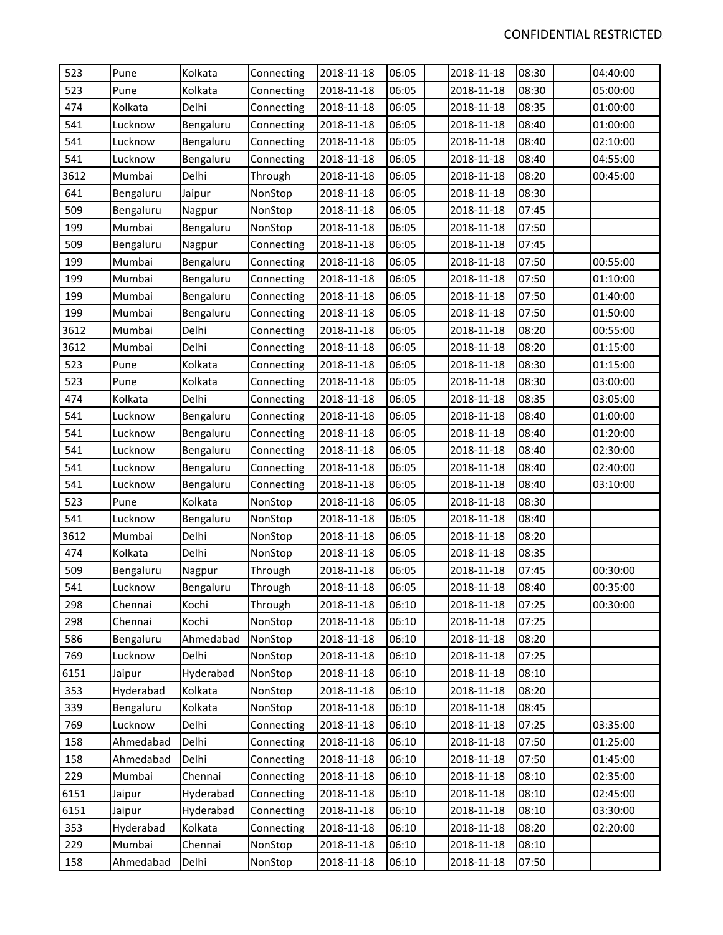| 523  | Pune      | Kolkata   | Connecting | 2018-11-18 | 06:05 | 2018-11-18 | 08:30 | 04:40:00 |
|------|-----------|-----------|------------|------------|-------|------------|-------|----------|
| 523  | Pune      | Kolkata   | Connecting | 2018-11-18 | 06:05 | 2018-11-18 | 08:30 | 05:00:00 |
| 474  | Kolkata   | Delhi     | Connecting | 2018-11-18 | 06:05 | 2018-11-18 | 08:35 | 01:00:00 |
| 541  | Lucknow   | Bengaluru | Connecting | 2018-11-18 | 06:05 | 2018-11-18 | 08:40 | 01:00:00 |
| 541  | Lucknow   | Bengaluru | Connecting | 2018-11-18 | 06:05 | 2018-11-18 | 08:40 | 02:10:00 |
| 541  | Lucknow   | Bengaluru | Connecting | 2018-11-18 | 06:05 | 2018-11-18 | 08:40 | 04:55:00 |
| 3612 | Mumbai    | Delhi     | Through    | 2018-11-18 | 06:05 | 2018-11-18 | 08:20 | 00:45:00 |
| 641  | Bengaluru | Jaipur    | NonStop    | 2018-11-18 | 06:05 | 2018-11-18 | 08:30 |          |
| 509  | Bengaluru | Nagpur    | NonStop    | 2018-11-18 | 06:05 | 2018-11-18 | 07:45 |          |
| 199  | Mumbai    | Bengaluru | NonStop    | 2018-11-18 | 06:05 | 2018-11-18 | 07:50 |          |
| 509  | Bengaluru | Nagpur    | Connecting | 2018-11-18 | 06:05 | 2018-11-18 | 07:45 |          |
| 199  | Mumbai    | Bengaluru | Connecting | 2018-11-18 | 06:05 | 2018-11-18 | 07:50 | 00:55:00 |
| 199  | Mumbai    | Bengaluru | Connecting | 2018-11-18 | 06:05 | 2018-11-18 | 07:50 | 01:10:00 |
| 199  | Mumbai    | Bengaluru | Connecting | 2018-11-18 | 06:05 | 2018-11-18 | 07:50 | 01:40:00 |
| 199  | Mumbai    | Bengaluru | Connecting | 2018-11-18 | 06:05 | 2018-11-18 | 07:50 | 01:50:00 |
| 3612 | Mumbai    | Delhi     | Connecting | 2018-11-18 | 06:05 | 2018-11-18 | 08:20 | 00:55:00 |
| 3612 | Mumbai    | Delhi     | Connecting | 2018-11-18 | 06:05 | 2018-11-18 | 08:20 | 01:15:00 |
| 523  | Pune      | Kolkata   | Connecting | 2018-11-18 | 06:05 | 2018-11-18 | 08:30 | 01:15:00 |
| 523  | Pune      | Kolkata   | Connecting | 2018-11-18 | 06:05 | 2018-11-18 | 08:30 | 03:00:00 |
| 474  | Kolkata   | Delhi     | Connecting | 2018-11-18 | 06:05 | 2018-11-18 | 08:35 | 03:05:00 |
| 541  | Lucknow   | Bengaluru | Connecting | 2018-11-18 | 06:05 | 2018-11-18 | 08:40 | 01:00:00 |
| 541  | Lucknow   | Bengaluru | Connecting | 2018-11-18 | 06:05 | 2018-11-18 | 08:40 | 01:20:00 |
| 541  | Lucknow   | Bengaluru | Connecting | 2018-11-18 | 06:05 | 2018-11-18 | 08:40 | 02:30:00 |
| 541  | Lucknow   | Bengaluru | Connecting | 2018-11-18 | 06:05 | 2018-11-18 | 08:40 | 02:40:00 |
| 541  | Lucknow   | Bengaluru | Connecting | 2018-11-18 | 06:05 | 2018-11-18 | 08:40 | 03:10:00 |
| 523  | Pune      | Kolkata   | NonStop    | 2018-11-18 | 06:05 | 2018-11-18 | 08:30 |          |
| 541  | Lucknow   | Bengaluru | NonStop    | 2018-11-18 | 06:05 | 2018-11-18 | 08:40 |          |
| 3612 | Mumbai    | Delhi     | NonStop    | 2018-11-18 | 06:05 | 2018-11-18 | 08:20 |          |
| 474  | Kolkata   | Delhi     | NonStop    | 2018-11-18 | 06:05 | 2018-11-18 | 08:35 |          |
| 509  | Bengaluru | Nagpur    | Through    | 2018-11-18 | 06:05 | 2018-11-18 | 07:45 | 00:30:00 |
| 541  | Lucknow   | Bengaluru | Through    | 2018-11-18 | 06:05 | 2018-11-18 | 08:40 | 00:35:00 |
| 298  | Chennai   | Kochi     | Through    | 2018-11-18 | 06:10 | 2018-11-18 | 07:25 | 00:30:00 |
| 298  | Chennai   | Kochi     | NonStop    | 2018-11-18 | 06:10 | 2018-11-18 | 07:25 |          |
| 586  | Bengaluru | Ahmedabad | NonStop    | 2018-11-18 | 06:10 | 2018-11-18 | 08:20 |          |
| 769  | Lucknow   | Delhi     | NonStop    | 2018-11-18 | 06:10 | 2018-11-18 | 07:25 |          |
| 6151 | Jaipur    | Hyderabad | NonStop    | 2018-11-18 | 06:10 | 2018-11-18 | 08:10 |          |
| 353  | Hyderabad | Kolkata   | NonStop    | 2018-11-18 | 06:10 | 2018-11-18 | 08:20 |          |
| 339  | Bengaluru | Kolkata   | NonStop    | 2018-11-18 | 06:10 | 2018-11-18 | 08:45 |          |
| 769  | Lucknow   | Delhi     | Connecting | 2018-11-18 | 06:10 | 2018-11-18 | 07:25 | 03:35:00 |
| 158  | Ahmedabad | Delhi     | Connecting | 2018-11-18 | 06:10 | 2018-11-18 | 07:50 | 01:25:00 |
| 158  | Ahmedabad | Delhi     | Connecting | 2018-11-18 | 06:10 | 2018-11-18 | 07:50 | 01:45:00 |
| 229  | Mumbai    | Chennai   | Connecting | 2018-11-18 | 06:10 | 2018-11-18 | 08:10 | 02:35:00 |
| 6151 | Jaipur    | Hyderabad | Connecting | 2018-11-18 | 06:10 | 2018-11-18 | 08:10 | 02:45:00 |
| 6151 | Jaipur    | Hyderabad | Connecting | 2018-11-18 | 06:10 | 2018-11-18 | 08:10 | 03:30:00 |
| 353  | Hyderabad | Kolkata   | Connecting | 2018-11-18 | 06:10 | 2018-11-18 | 08:20 | 02:20:00 |
| 229  | Mumbai    | Chennai   | NonStop    | 2018-11-18 | 06:10 | 2018-11-18 | 08:10 |          |
| 158  | Ahmedabad | Delhi     | NonStop    | 2018-11-18 | 06:10 | 2018-11-18 | 07:50 |          |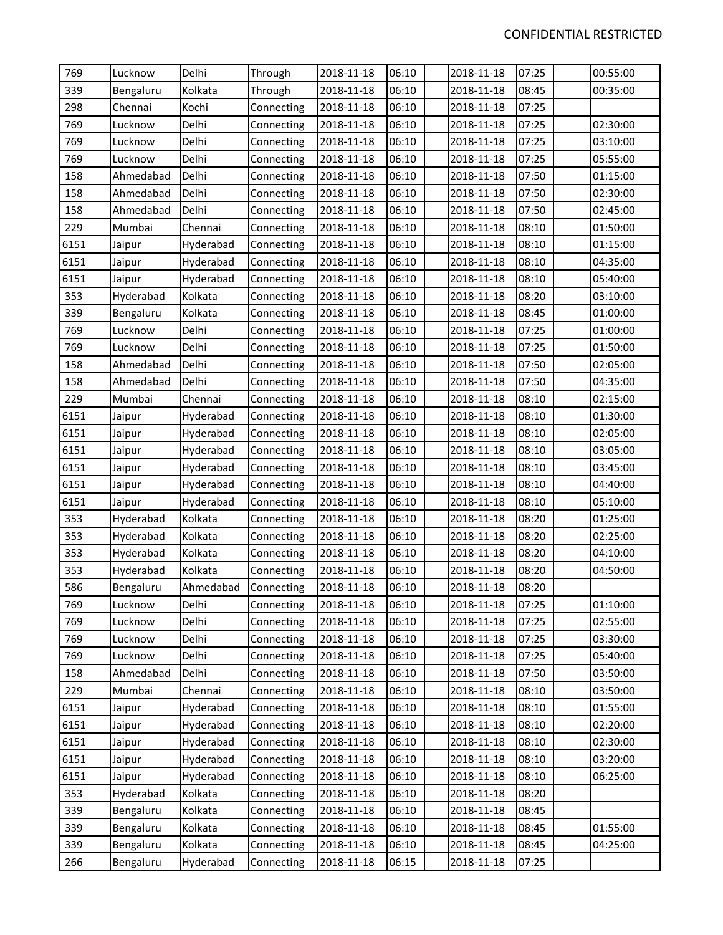| 769  | Lucknow   | Delhi     | Through    | 2018-11-18 | 06:10 | 2018-11-18 | 07:25 | 00:55:00 |
|------|-----------|-----------|------------|------------|-------|------------|-------|----------|
| 339  | Bengaluru | Kolkata   | Through    | 2018-11-18 | 06:10 | 2018-11-18 | 08:45 | 00:35:00 |
| 298  | Chennai   | Kochi     | Connecting | 2018-11-18 | 06:10 | 2018-11-18 | 07:25 |          |
| 769  | Lucknow   | Delhi     | Connecting | 2018-11-18 | 06:10 | 2018-11-18 | 07:25 | 02:30:00 |
| 769  | Lucknow   | Delhi     | Connecting | 2018-11-18 | 06:10 | 2018-11-18 | 07:25 | 03:10:00 |
| 769  | Lucknow   | Delhi     | Connecting | 2018-11-18 | 06:10 | 2018-11-18 | 07:25 | 05:55:00 |
| 158  | Ahmedabad | Delhi     | Connecting | 2018-11-18 | 06:10 | 2018-11-18 | 07:50 | 01:15:00 |
| 158  | Ahmedabad | Delhi     | Connecting | 2018-11-18 | 06:10 | 2018-11-18 | 07:50 | 02:30:00 |
| 158  | Ahmedabad | Delhi     | Connecting | 2018-11-18 | 06:10 | 2018-11-18 | 07:50 | 02:45:00 |
| 229  | Mumbai    | Chennai   | Connecting | 2018-11-18 | 06:10 | 2018-11-18 | 08:10 | 01:50:00 |
| 6151 | Jaipur    | Hyderabad | Connecting | 2018-11-18 | 06:10 | 2018-11-18 | 08:10 | 01:15:00 |
| 6151 | Jaipur    | Hyderabad | Connecting | 2018-11-18 | 06:10 | 2018-11-18 | 08:10 | 04:35:00 |
| 6151 | Jaipur    | Hyderabad | Connecting | 2018-11-18 | 06:10 | 2018-11-18 | 08:10 | 05:40:00 |
| 353  | Hyderabad | Kolkata   | Connecting | 2018-11-18 | 06:10 | 2018-11-18 | 08:20 | 03:10:00 |
| 339  | Bengaluru | Kolkata   | Connecting | 2018-11-18 | 06:10 | 2018-11-18 | 08:45 | 01:00:00 |
| 769  | Lucknow   | Delhi     | Connecting | 2018-11-18 | 06:10 | 2018-11-18 | 07:25 | 01:00:00 |
| 769  | Lucknow   | Delhi     | Connecting | 2018-11-18 | 06:10 | 2018-11-18 | 07:25 | 01:50:00 |
| 158  | Ahmedabad | Delhi     | Connecting | 2018-11-18 | 06:10 | 2018-11-18 | 07:50 | 02:05:00 |
| 158  | Ahmedabad | Delhi     | Connecting | 2018-11-18 | 06:10 | 2018-11-18 | 07:50 | 04:35:00 |
| 229  | Mumbai    | Chennai   | Connecting | 2018-11-18 | 06:10 | 2018-11-18 | 08:10 | 02:15:00 |
| 6151 | Jaipur    | Hyderabad | Connecting | 2018-11-18 | 06:10 | 2018-11-18 | 08:10 | 01:30:00 |
| 6151 | Jaipur    | Hyderabad | Connecting | 2018-11-18 | 06:10 | 2018-11-18 | 08:10 | 02:05:00 |
| 6151 | Jaipur    | Hyderabad | Connecting | 2018-11-18 | 06:10 | 2018-11-18 | 08:10 | 03:05:00 |
| 6151 | Jaipur    | Hyderabad | Connecting | 2018-11-18 | 06:10 | 2018-11-18 | 08:10 | 03:45:00 |
| 6151 | Jaipur    | Hyderabad | Connecting | 2018-11-18 | 06:10 | 2018-11-18 | 08:10 | 04:40:00 |
| 6151 | Jaipur    | Hyderabad | Connecting | 2018-11-18 | 06:10 | 2018-11-18 | 08:10 | 05:10:00 |
| 353  | Hyderabad | Kolkata   | Connecting | 2018-11-18 | 06:10 | 2018-11-18 | 08:20 | 01:25:00 |
| 353  | Hyderabad | Kolkata   | Connecting | 2018-11-18 | 06:10 | 2018-11-18 | 08:20 | 02:25:00 |
| 353  | Hyderabad | Kolkata   | Connecting | 2018-11-18 | 06:10 | 2018-11-18 | 08:20 | 04:10:00 |
| 353  | Hyderabad | Kolkata   | Connecting | 2018-11-18 | 06:10 | 2018-11-18 | 08:20 | 04:50:00 |
| 586  | Bengaluru | Ahmedabad | Connecting | 2018-11-18 | 06:10 | 2018-11-18 | 08:20 |          |
| 769  | Lucknow   | Delhi     | Connecting | 2018-11-18 | 06:10 | 2018-11-18 | 07:25 | 01:10:00 |
| 769  | Lucknow   | Delhi     | Connecting | 2018-11-18 | 06:10 | 2018-11-18 | 07:25 | 02:55:00 |
| 769  | Lucknow   | Delhi     | Connecting | 2018-11-18 | 06:10 | 2018-11-18 | 07:25 | 03:30:00 |
| 769  | Lucknow   | Delhi     | Connecting | 2018-11-18 | 06:10 | 2018-11-18 | 07:25 | 05:40:00 |
| 158  | Ahmedabad | Delhi     | Connecting | 2018-11-18 | 06:10 | 2018-11-18 | 07:50 | 03:50:00 |
| 229  | Mumbai    | Chennai   | Connecting | 2018-11-18 | 06:10 | 2018-11-18 | 08:10 | 03:50:00 |
| 6151 | Jaipur    | Hyderabad | Connecting | 2018-11-18 | 06:10 | 2018-11-18 | 08:10 | 01:55:00 |
| 6151 | Jaipur    | Hyderabad | Connecting | 2018-11-18 | 06:10 | 2018-11-18 | 08:10 | 02:20:00 |
| 6151 | Jaipur    | Hyderabad | Connecting | 2018-11-18 | 06:10 | 2018-11-18 | 08:10 | 02:30:00 |
| 6151 | Jaipur    | Hyderabad | Connecting | 2018-11-18 | 06:10 | 2018-11-18 | 08:10 | 03:20:00 |
| 6151 | Jaipur    | Hyderabad | Connecting | 2018-11-18 | 06:10 | 2018-11-18 | 08:10 | 06:25:00 |
| 353  | Hyderabad | Kolkata   | Connecting | 2018-11-18 | 06:10 | 2018-11-18 | 08:20 |          |
| 339  | Bengaluru | Kolkata   | Connecting | 2018-11-18 | 06:10 | 2018-11-18 | 08:45 |          |
| 339  | Bengaluru | Kolkata   | Connecting | 2018-11-18 | 06:10 | 2018-11-18 | 08:45 | 01:55:00 |
| 339  | Bengaluru | Kolkata   | Connecting | 2018-11-18 | 06:10 | 2018-11-18 | 08:45 | 04:25:00 |
| 266  | Bengaluru | Hyderabad | Connecting | 2018-11-18 | 06:15 | 2018-11-18 | 07:25 |          |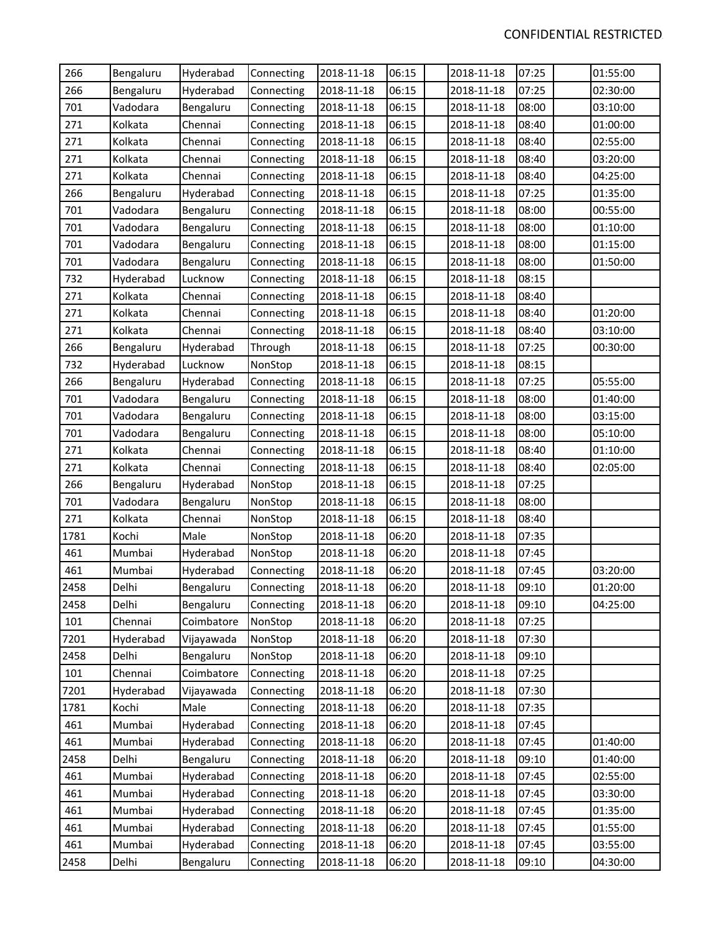| 266  | Bengaluru | Hyderabad  | Connecting | 2018-11-18 | 06:15 | 2018-11-18 | 07:25 | 01:55:00 |
|------|-----------|------------|------------|------------|-------|------------|-------|----------|
| 266  | Bengaluru | Hyderabad  | Connecting | 2018-11-18 | 06:15 | 2018-11-18 | 07:25 | 02:30:00 |
| 701  | Vadodara  | Bengaluru  | Connecting | 2018-11-18 | 06:15 | 2018-11-18 | 08:00 | 03:10:00 |
| 271  | Kolkata   | Chennai    | Connecting | 2018-11-18 | 06:15 | 2018-11-18 | 08:40 | 01:00:00 |
| 271  | Kolkata   | Chennai    | Connecting | 2018-11-18 | 06:15 | 2018-11-18 | 08:40 | 02:55:00 |
| 271  | Kolkata   | Chennai    | Connecting | 2018-11-18 | 06:15 | 2018-11-18 | 08:40 | 03:20:00 |
| 271  | Kolkata   | Chennai    | Connecting | 2018-11-18 | 06:15 | 2018-11-18 | 08:40 | 04:25:00 |
| 266  | Bengaluru | Hyderabad  | Connecting | 2018-11-18 | 06:15 | 2018-11-18 | 07:25 | 01:35:00 |
| 701  | Vadodara  | Bengaluru  | Connecting | 2018-11-18 | 06:15 | 2018-11-18 | 08:00 | 00:55:00 |
| 701  | Vadodara  | Bengaluru  | Connecting | 2018-11-18 | 06:15 | 2018-11-18 | 08:00 | 01:10:00 |
| 701  | Vadodara  | Bengaluru  | Connecting | 2018-11-18 | 06:15 | 2018-11-18 | 08:00 | 01:15:00 |
| 701  | Vadodara  | Bengaluru  | Connecting | 2018-11-18 | 06:15 | 2018-11-18 | 08:00 | 01:50:00 |
| 732  | Hyderabad | Lucknow    | Connecting | 2018-11-18 | 06:15 | 2018-11-18 | 08:15 |          |
| 271  | Kolkata   | Chennai    | Connecting | 2018-11-18 | 06:15 | 2018-11-18 | 08:40 |          |
| 271  | Kolkata   | Chennai    | Connecting | 2018-11-18 | 06:15 | 2018-11-18 | 08:40 | 01:20:00 |
| 271  | Kolkata   | Chennai    | Connecting | 2018-11-18 | 06:15 | 2018-11-18 | 08:40 | 03:10:00 |
| 266  | Bengaluru | Hyderabad  | Through    | 2018-11-18 | 06:15 | 2018-11-18 | 07:25 | 00:30:00 |
| 732  | Hyderabad | Lucknow    | NonStop    | 2018-11-18 | 06:15 | 2018-11-18 | 08:15 |          |
| 266  | Bengaluru | Hyderabad  | Connecting | 2018-11-18 | 06:15 | 2018-11-18 | 07:25 | 05:55:00 |
| 701  | Vadodara  | Bengaluru  | Connecting | 2018-11-18 | 06:15 | 2018-11-18 | 08:00 | 01:40:00 |
| 701  | Vadodara  | Bengaluru  | Connecting | 2018-11-18 | 06:15 | 2018-11-18 | 08:00 | 03:15:00 |
| 701  | Vadodara  | Bengaluru  | Connecting | 2018-11-18 | 06:15 | 2018-11-18 | 08:00 | 05:10:00 |
| 271  | Kolkata   | Chennai    | Connecting | 2018-11-18 | 06:15 | 2018-11-18 | 08:40 | 01:10:00 |
| 271  | Kolkata   | Chennai    | Connecting | 2018-11-18 | 06:15 | 2018-11-18 | 08:40 | 02:05:00 |
| 266  | Bengaluru | Hyderabad  | NonStop    | 2018-11-18 | 06:15 | 2018-11-18 | 07:25 |          |
| 701  | Vadodara  | Bengaluru  | NonStop    | 2018-11-18 | 06:15 | 2018-11-18 | 08:00 |          |
| 271  | Kolkata   | Chennai    | NonStop    | 2018-11-18 | 06:15 | 2018-11-18 | 08:40 |          |
| 1781 | Kochi     | Male       | NonStop    | 2018-11-18 | 06:20 | 2018-11-18 | 07:35 |          |
| 461  | Mumbai    | Hyderabad  | NonStop    | 2018-11-18 | 06:20 | 2018-11-18 | 07:45 |          |
| 461  | Mumbai    | Hyderabad  | Connecting | 2018-11-18 | 06:20 | 2018-11-18 | 07:45 | 03:20:00 |
| 2458 | Delhi     | Bengaluru  | Connecting | 2018-11-18 | 06:20 | 2018-11-18 | 09:10 | 01:20:00 |
| 2458 | Delhi     | Bengaluru  | Connecting | 2018-11-18 | 06:20 | 2018-11-18 | 09:10 | 04:25:00 |
| 101  | Chennai   | Coimbatore | NonStop    | 2018-11-18 | 06:20 | 2018-11-18 | 07:25 |          |
| 7201 | Hyderabad | Vijayawada | NonStop    | 2018-11-18 | 06:20 | 2018-11-18 | 07:30 |          |
| 2458 | Delhi     | Bengaluru  | NonStop    | 2018-11-18 | 06:20 | 2018-11-18 | 09:10 |          |
| 101  | Chennai   | Coimbatore | Connecting | 2018-11-18 | 06:20 | 2018-11-18 | 07:25 |          |
| 7201 | Hyderabad | Vijayawada | Connecting | 2018-11-18 | 06:20 | 2018-11-18 | 07:30 |          |
| 1781 | Kochi     | Male       | Connecting | 2018-11-18 | 06:20 | 2018-11-18 | 07:35 |          |
| 461  | Mumbai    | Hyderabad  | Connecting | 2018-11-18 | 06:20 | 2018-11-18 | 07:45 |          |
| 461  | Mumbai    | Hyderabad  | Connecting | 2018-11-18 | 06:20 | 2018-11-18 | 07:45 | 01:40:00 |
| 2458 | Delhi     | Bengaluru  | Connecting | 2018-11-18 | 06:20 | 2018-11-18 | 09:10 | 01:40:00 |
| 461  | Mumbai    | Hyderabad  | Connecting | 2018-11-18 | 06:20 | 2018-11-18 | 07:45 | 02:55:00 |
| 461  | Mumbai    | Hyderabad  | Connecting | 2018-11-18 | 06:20 | 2018-11-18 | 07:45 | 03:30:00 |
| 461  | Mumbai    | Hyderabad  | Connecting | 2018-11-18 | 06:20 | 2018-11-18 | 07:45 | 01:35:00 |
| 461  | Mumbai    | Hyderabad  | Connecting | 2018-11-18 | 06:20 | 2018-11-18 | 07:45 | 01:55:00 |
| 461  | Mumbai    | Hyderabad  | Connecting | 2018-11-18 | 06:20 | 2018-11-18 | 07:45 | 03:55:00 |
| 2458 | Delhi     | Bengaluru  | Connecting | 2018-11-18 | 06:20 | 2018-11-18 | 09:10 | 04:30:00 |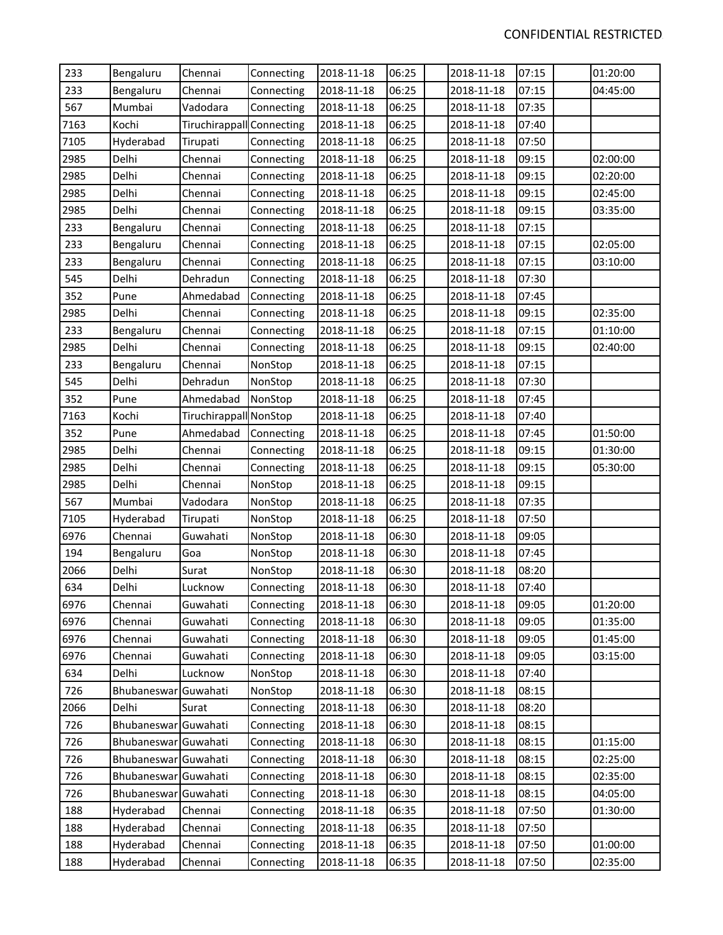| 233  | Bengaluru            | Chennai                   | Connecting | 2018-11-18 | 06:25 | 2018-11-18 | 07:15 | 01:20:00 |
|------|----------------------|---------------------------|------------|------------|-------|------------|-------|----------|
| 233  | Bengaluru            | Chennai                   | Connecting | 2018-11-18 | 06:25 | 2018-11-18 | 07:15 | 04:45:00 |
| 567  | Mumbai               | Vadodara                  | Connecting | 2018-11-18 | 06:25 | 2018-11-18 | 07:35 |          |
| 7163 | Kochi                | Tiruchirappall Connecting |            | 2018-11-18 | 06:25 | 2018-11-18 | 07:40 |          |
| 7105 | Hyderabad            | Tirupati                  | Connecting | 2018-11-18 | 06:25 | 2018-11-18 | 07:50 |          |
| 2985 | Delhi                | Chennai                   | Connecting | 2018-11-18 | 06:25 | 2018-11-18 | 09:15 | 02:00:00 |
| 2985 | Delhi                | Chennai                   | Connecting | 2018-11-18 | 06:25 | 2018-11-18 | 09:15 | 02:20:00 |
| 2985 | Delhi                | Chennai                   | Connecting | 2018-11-18 | 06:25 | 2018-11-18 | 09:15 | 02:45:00 |
| 2985 | Delhi                | Chennai                   | Connecting | 2018-11-18 | 06:25 | 2018-11-18 | 09:15 | 03:35:00 |
| 233  | Bengaluru            | Chennai                   | Connecting | 2018-11-18 | 06:25 | 2018-11-18 | 07:15 |          |
| 233  | Bengaluru            | Chennai                   | Connecting | 2018-11-18 | 06:25 | 2018-11-18 | 07:15 | 02:05:00 |
| 233  | Bengaluru            | Chennai                   | Connecting | 2018-11-18 | 06:25 | 2018-11-18 | 07:15 | 03:10:00 |
| 545  | Delhi                | Dehradun                  | Connecting | 2018-11-18 | 06:25 | 2018-11-18 | 07:30 |          |
| 352  | Pune                 | Ahmedabad                 | Connecting | 2018-11-18 | 06:25 | 2018-11-18 | 07:45 |          |
| 2985 | Delhi                | Chennai                   | Connecting | 2018-11-18 | 06:25 | 2018-11-18 | 09:15 | 02:35:00 |
| 233  | Bengaluru            | Chennai                   | Connecting | 2018-11-18 | 06:25 | 2018-11-18 | 07:15 | 01:10:00 |
| 2985 | Delhi                | Chennai                   | Connecting | 2018-11-18 | 06:25 | 2018-11-18 | 09:15 | 02:40:00 |
| 233  | Bengaluru            | Chennai                   | NonStop    | 2018-11-18 | 06:25 | 2018-11-18 | 07:15 |          |
| 545  | Delhi                | Dehradun                  | NonStop    | 2018-11-18 | 06:25 | 2018-11-18 | 07:30 |          |
| 352  | Pune                 | Ahmedabad                 | NonStop    | 2018-11-18 | 06:25 | 2018-11-18 | 07:45 |          |
| 7163 | Kochi                | Tiruchirappall NonStop    |            | 2018-11-18 | 06:25 | 2018-11-18 | 07:40 |          |
| 352  | Pune                 | Ahmedabad                 | Connecting | 2018-11-18 | 06:25 | 2018-11-18 | 07:45 | 01:50:00 |
| 2985 | Delhi                | Chennai                   | Connecting | 2018-11-18 | 06:25 | 2018-11-18 | 09:15 | 01:30:00 |
| 2985 | Delhi                | Chennai                   | Connecting | 2018-11-18 | 06:25 | 2018-11-18 | 09:15 | 05:30:00 |
| 2985 | Delhi                | Chennai                   | NonStop    | 2018-11-18 | 06:25 | 2018-11-18 | 09:15 |          |
| 567  | Mumbai               | Vadodara                  | NonStop    | 2018-11-18 | 06:25 | 2018-11-18 | 07:35 |          |
| 7105 | Hyderabad            | Tirupati                  | NonStop    | 2018-11-18 | 06:25 | 2018-11-18 | 07:50 |          |
| 6976 | Chennai              | Guwahati                  | NonStop    | 2018-11-18 | 06:30 | 2018-11-18 | 09:05 |          |
| 194  | Bengaluru            | Goa                       | NonStop    | 2018-11-18 | 06:30 | 2018-11-18 | 07:45 |          |
| 2066 | Delhi                | Surat                     | NonStop    | 2018-11-18 | 06:30 | 2018-11-18 | 08:20 |          |
| 634  | Delhi                | Lucknow                   | Connecting | 2018-11-18 | 06:30 | 2018-11-18 | 07:40 |          |
| 6976 | Chennai              | Guwahati                  | Connecting | 2018-11-18 | 06:30 | 2018-11-18 | 09:05 | 01:20:00 |
| 6976 | Chennai              | Guwahati                  | Connecting | 2018-11-18 | 06:30 | 2018-11-18 | 09:05 | 01:35:00 |
| 6976 | Chennai              | Guwahati                  | Connecting | 2018-11-18 | 06:30 | 2018-11-18 | 09:05 | 01:45:00 |
| 6976 | Chennai              | Guwahati                  | Connecting | 2018-11-18 | 06:30 | 2018-11-18 | 09:05 | 03:15:00 |
| 634  | Delhi                | Lucknow                   | NonStop    | 2018-11-18 | 06:30 | 2018-11-18 | 07:40 |          |
| 726  | Bhubaneswar          | Guwahati                  | NonStop    | 2018-11-18 | 06:30 | 2018-11-18 | 08:15 |          |
| 2066 | Delhi                | Surat                     | Connecting | 2018-11-18 | 06:30 | 2018-11-18 | 08:20 |          |
| 726  | Bhubaneswar Guwahati |                           | Connecting | 2018-11-18 | 06:30 | 2018-11-18 | 08:15 |          |
| 726  | Bhubaneswar Guwahati |                           | Connecting | 2018-11-18 | 06:30 | 2018-11-18 | 08:15 | 01:15:00 |
| 726  | Bhubaneswar Guwahati |                           | Connecting | 2018-11-18 | 06:30 | 2018-11-18 | 08:15 | 02:25:00 |
| 726  | Bhubaneswar Guwahati |                           | Connecting | 2018-11-18 | 06:30 | 2018-11-18 | 08:15 | 02:35:00 |
| 726  | Bhubaneswar Guwahati |                           | Connecting | 2018-11-18 | 06:30 | 2018-11-18 | 08:15 | 04:05:00 |
| 188  | Hyderabad            | Chennai                   | Connecting | 2018-11-18 | 06:35 | 2018-11-18 | 07:50 | 01:30:00 |
| 188  | Hyderabad            | Chennai                   | Connecting | 2018-11-18 | 06:35 | 2018-11-18 | 07:50 |          |
| 188  | Hyderabad            | Chennai                   | Connecting | 2018-11-18 | 06:35 | 2018-11-18 | 07:50 | 01:00:00 |
| 188  | Hyderabad            | Chennai                   | Connecting | 2018-11-18 | 06:35 | 2018-11-18 | 07:50 | 02:35:00 |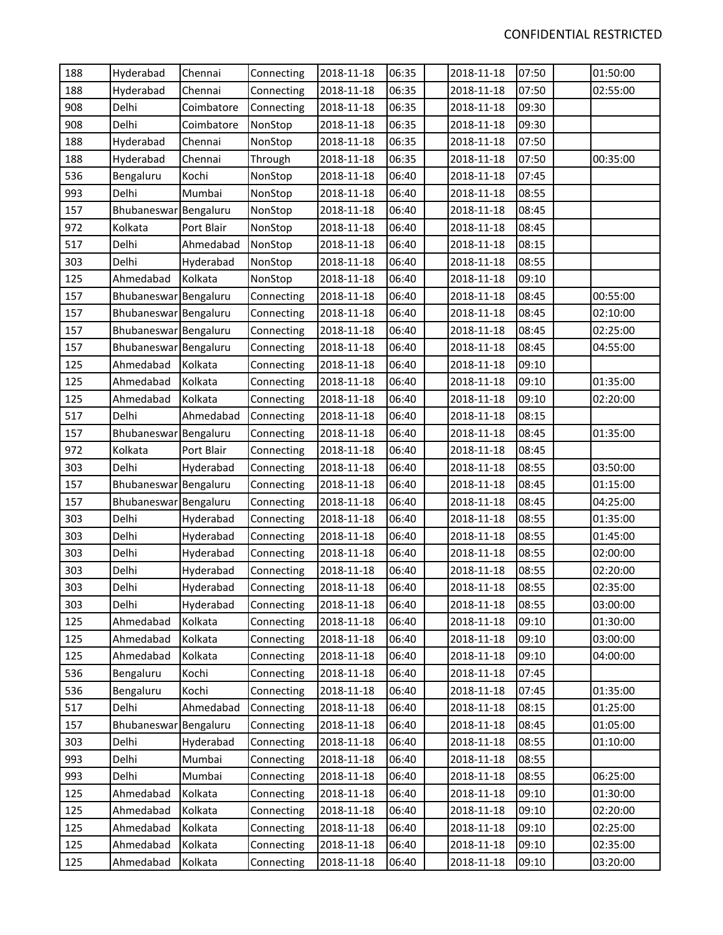| 188 | Hyderabad             | Chennai    | Connecting | 2018-11-18 | 06:35 | 2018-11-18 | 07:50 | 01:50:00 |
|-----|-----------------------|------------|------------|------------|-------|------------|-------|----------|
| 188 | Hyderabad             | Chennai    | Connecting | 2018-11-18 | 06:35 | 2018-11-18 | 07:50 | 02:55:00 |
| 908 | Delhi                 | Coimbatore | Connecting | 2018-11-18 | 06:35 | 2018-11-18 | 09:30 |          |
| 908 | Delhi                 | Coimbatore | NonStop    | 2018-11-18 | 06:35 | 2018-11-18 | 09:30 |          |
| 188 | Hyderabad             | Chennai    | NonStop    | 2018-11-18 | 06:35 | 2018-11-18 | 07:50 |          |
| 188 | Hyderabad             | Chennai    | Through    | 2018-11-18 | 06:35 | 2018-11-18 | 07:50 | 00:35:00 |
| 536 | Bengaluru             | Kochi      | NonStop    | 2018-11-18 | 06:40 | 2018-11-18 | 07:45 |          |
| 993 | Delhi                 | Mumbai     | NonStop    | 2018-11-18 | 06:40 | 2018-11-18 | 08:55 |          |
| 157 | Bhubaneswar Bengaluru |            | NonStop    | 2018-11-18 | 06:40 | 2018-11-18 | 08:45 |          |
| 972 | Kolkata               | Port Blair | NonStop    | 2018-11-18 | 06:40 | 2018-11-18 | 08:45 |          |
| 517 | Delhi                 | Ahmedabad  | NonStop    | 2018-11-18 | 06:40 | 2018-11-18 | 08:15 |          |
| 303 | Delhi                 | Hyderabad  | NonStop    | 2018-11-18 | 06:40 | 2018-11-18 | 08:55 |          |
| 125 | Ahmedabad             | Kolkata    | NonStop    | 2018-11-18 | 06:40 | 2018-11-18 | 09:10 |          |
| 157 | Bhubaneswar Bengaluru |            | Connecting | 2018-11-18 | 06:40 | 2018-11-18 | 08:45 | 00:55:00 |
| 157 | Bhubaneswar Bengaluru |            | Connecting | 2018-11-18 | 06:40 | 2018-11-18 | 08:45 | 02:10:00 |
| 157 | Bhubaneswar Bengaluru |            | Connecting | 2018-11-18 | 06:40 | 2018-11-18 | 08:45 | 02:25:00 |
| 157 | Bhubaneswar Bengaluru |            | Connecting | 2018-11-18 | 06:40 | 2018-11-18 | 08:45 | 04:55:00 |
| 125 | Ahmedabad             | Kolkata    | Connecting | 2018-11-18 | 06:40 | 2018-11-18 | 09:10 |          |
| 125 | Ahmedabad             | Kolkata    | Connecting | 2018-11-18 | 06:40 | 2018-11-18 | 09:10 | 01:35:00 |
| 125 | Ahmedabad             | Kolkata    | Connecting | 2018-11-18 | 06:40 | 2018-11-18 | 09:10 | 02:20:00 |
| 517 | Delhi                 | Ahmedabad  | Connecting | 2018-11-18 | 06:40 | 2018-11-18 | 08:15 |          |
| 157 | Bhubaneswar Bengaluru |            | Connecting | 2018-11-18 | 06:40 | 2018-11-18 | 08:45 | 01:35:00 |
| 972 | Kolkata               | Port Blair | Connecting | 2018-11-18 | 06:40 | 2018-11-18 | 08:45 |          |
| 303 | Delhi                 | Hyderabad  | Connecting | 2018-11-18 | 06:40 | 2018-11-18 | 08:55 | 03:50:00 |
| 157 | Bhubaneswar Bengaluru |            | Connecting | 2018-11-18 | 06:40 | 2018-11-18 | 08:45 | 01:15:00 |
| 157 | Bhubaneswar Bengaluru |            | Connecting | 2018-11-18 | 06:40 | 2018-11-18 | 08:45 | 04:25:00 |
| 303 | Delhi                 | Hyderabad  | Connecting | 2018-11-18 | 06:40 | 2018-11-18 | 08:55 | 01:35:00 |
| 303 | Delhi                 | Hyderabad  | Connecting | 2018-11-18 | 06:40 | 2018-11-18 | 08:55 | 01:45:00 |
| 303 | Delhi                 | Hyderabad  | Connecting | 2018-11-18 | 06:40 | 2018-11-18 | 08:55 | 02:00:00 |
| 303 | Delhi                 | Hyderabad  | Connecting | 2018-11-18 | 06:40 | 2018-11-18 | 08:55 | 02:20:00 |
| 303 | Delhi                 | Hyderabad  | Connecting | 2018-11-18 | 06:40 | 2018-11-18 | 08:55 | 02:35:00 |
| 303 | Delhi                 | Hyderabad  | Connecting | 2018-11-18 | 06:40 | 2018-11-18 | 08:55 | 03:00:00 |
| 125 | Ahmedabad             | Kolkata    | Connecting | 2018-11-18 | 06:40 | 2018-11-18 | 09:10 | 01:30:00 |
| 125 | Ahmedabad             | Kolkata    | Connecting | 2018-11-18 | 06:40 | 2018-11-18 | 09:10 | 03:00:00 |
| 125 | Ahmedabad             | Kolkata    | Connecting | 2018-11-18 | 06:40 | 2018-11-18 | 09:10 | 04:00:00 |
| 536 | Bengaluru             | Kochi      | Connecting | 2018-11-18 | 06:40 | 2018-11-18 | 07:45 |          |
| 536 | Bengaluru             | Kochi      | Connecting | 2018-11-18 | 06:40 | 2018-11-18 | 07:45 | 01:35:00 |
| 517 | Delhi                 | Ahmedabad  | Connecting | 2018-11-18 | 06:40 | 2018-11-18 | 08:15 | 01:25:00 |
| 157 | Bhubaneswar Bengaluru |            | Connecting | 2018-11-18 | 06:40 | 2018-11-18 | 08:45 | 01:05:00 |
| 303 | Delhi                 | Hyderabad  | Connecting | 2018-11-18 | 06:40 | 2018-11-18 | 08:55 | 01:10:00 |
| 993 | Delhi                 | Mumbai     | Connecting | 2018-11-18 | 06:40 | 2018-11-18 | 08:55 |          |
| 993 | Delhi                 | Mumbai     | Connecting | 2018-11-18 | 06:40 | 2018-11-18 | 08:55 | 06:25:00 |
| 125 | Ahmedabad             | Kolkata    | Connecting | 2018-11-18 | 06:40 | 2018-11-18 | 09:10 | 01:30:00 |
| 125 | Ahmedabad             | Kolkata    | Connecting | 2018-11-18 | 06:40 | 2018-11-18 | 09:10 | 02:20:00 |
| 125 | Ahmedabad             | Kolkata    | Connecting | 2018-11-18 | 06:40 | 2018-11-18 | 09:10 | 02:25:00 |
| 125 | Ahmedabad             | Kolkata    | Connecting | 2018-11-18 | 06:40 | 2018-11-18 | 09:10 | 02:35:00 |
| 125 | Ahmedabad             | Kolkata    | Connecting | 2018-11-18 | 06:40 | 2018-11-18 | 09:10 | 03:20:00 |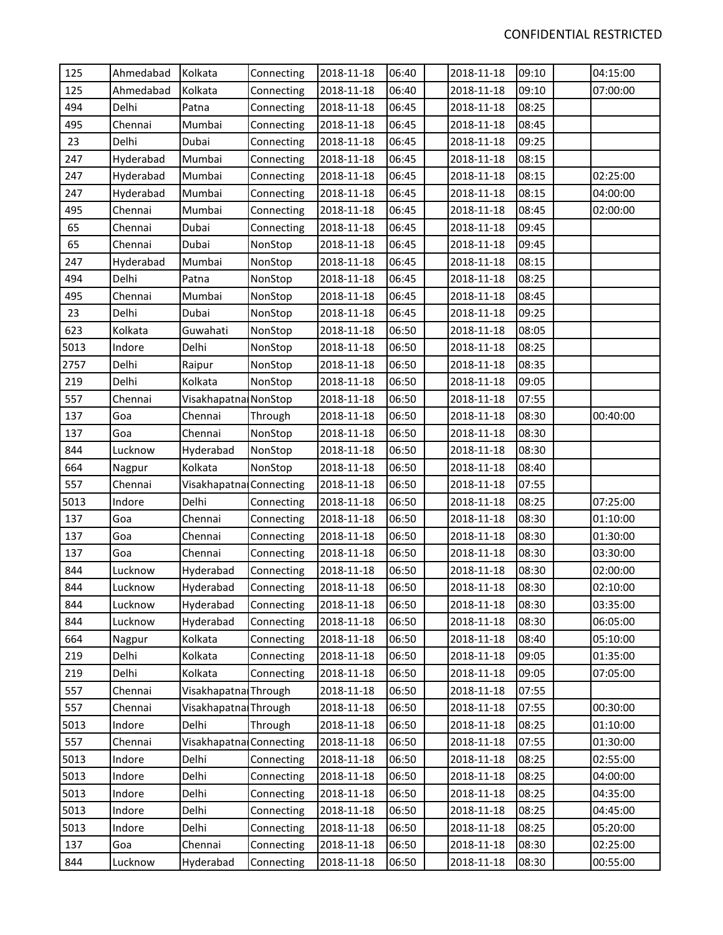| 125  | Ahmedabad | Kolkata                 | Connecting | 2018-11-18 | 06:40 | 2018-11-18 | 09:10 | 04:15:00 |
|------|-----------|-------------------------|------------|------------|-------|------------|-------|----------|
| 125  | Ahmedabad | Kolkata                 | Connecting | 2018-11-18 | 06:40 | 2018-11-18 | 09:10 | 07:00:00 |
| 494  | Delhi     | Patna                   | Connecting | 2018-11-18 | 06:45 | 2018-11-18 | 08:25 |          |
| 495  | Chennai   | Mumbai                  | Connecting | 2018-11-18 | 06:45 | 2018-11-18 | 08:45 |          |
| 23   | Delhi     | Dubai                   | Connecting | 2018-11-18 | 06:45 | 2018-11-18 | 09:25 |          |
| 247  | Hyderabad | Mumbai                  | Connecting | 2018-11-18 | 06:45 | 2018-11-18 | 08:15 |          |
| 247  | Hyderabad | Mumbai                  | Connecting | 2018-11-18 | 06:45 | 2018-11-18 | 08:15 | 02:25:00 |
| 247  | Hyderabad | Mumbai                  | Connecting | 2018-11-18 | 06:45 | 2018-11-18 | 08:15 | 04:00:00 |
| 495  | Chennai   | Mumbai                  | Connecting | 2018-11-18 | 06:45 | 2018-11-18 | 08:45 | 02:00:00 |
| 65   | Chennai   | Dubai                   | Connecting | 2018-11-18 | 06:45 | 2018-11-18 | 09:45 |          |
| 65   | Chennai   | Dubai                   | NonStop    | 2018-11-18 | 06:45 | 2018-11-18 | 09:45 |          |
| 247  | Hyderabad | Mumbai                  | NonStop    | 2018-11-18 | 06:45 | 2018-11-18 | 08:15 |          |
| 494  | Delhi     | Patna                   | NonStop    | 2018-11-18 | 06:45 | 2018-11-18 | 08:25 |          |
| 495  | Chennai   | Mumbai                  | NonStop    | 2018-11-18 | 06:45 | 2018-11-18 | 08:45 |          |
| 23   | Delhi     | Dubai                   | NonStop    | 2018-11-18 | 06:45 | 2018-11-18 | 09:25 |          |
| 623  | Kolkata   | Guwahati                | NonStop    | 2018-11-18 | 06:50 | 2018-11-18 | 08:05 |          |
| 5013 | Indore    | Delhi                   | NonStop    | 2018-11-18 | 06:50 | 2018-11-18 | 08:25 |          |
| 2757 | Delhi     | Raipur                  | NonStop    | 2018-11-18 | 06:50 | 2018-11-18 | 08:35 |          |
| 219  | Delhi     | Kolkata                 | NonStop    | 2018-11-18 | 06:50 | 2018-11-18 | 09:05 |          |
| 557  | Chennai   | Visakhapatna NonStop    |            | 2018-11-18 | 06:50 | 2018-11-18 | 07:55 |          |
| 137  | Goa       | Chennai                 | Through    | 2018-11-18 | 06:50 | 2018-11-18 | 08:30 | 00:40:00 |
| 137  | Goa       | Chennai                 | NonStop    | 2018-11-18 | 06:50 | 2018-11-18 | 08:30 |          |
| 844  | Lucknow   | Hyderabad               | NonStop    | 2018-11-18 | 06:50 | 2018-11-18 | 08:30 |          |
| 664  | Nagpur    | Kolkata                 | NonStop    | 2018-11-18 | 06:50 | 2018-11-18 | 08:40 |          |
| 557  | Chennai   | Visakhapatna Connecting |            | 2018-11-18 | 06:50 | 2018-11-18 | 07:55 |          |
| 5013 | Indore    | Delhi                   | Connecting | 2018-11-18 | 06:50 | 2018-11-18 | 08:25 | 07:25:00 |
| 137  | Goa       | Chennai                 | Connecting | 2018-11-18 | 06:50 | 2018-11-18 | 08:30 | 01:10:00 |
| 137  | Goa       | Chennai                 | Connecting | 2018-11-18 | 06:50 | 2018-11-18 | 08:30 | 01:30:00 |
| 137  | Goa       | Chennai                 | Connecting | 2018-11-18 | 06:50 | 2018-11-18 | 08:30 | 03:30:00 |
| 844  | Lucknow   | Hyderabad               | Connecting | 2018-11-18 | 06:50 | 2018-11-18 | 08:30 | 02:00:00 |
| 844  | Lucknow   | Hyderabad               | Connecting | 2018-11-18 | 06:50 | 2018-11-18 | 08:30 | 02:10:00 |
| 844  | Lucknow   | Hyderabad               | Connecting | 2018-11-18 | 06:50 | 2018-11-18 | 08:30 | 03:35:00 |
| 844  | Lucknow   | Hyderabad               | Connecting | 2018-11-18 | 06:50 | 2018-11-18 | 08:30 | 06:05:00 |
| 664  | Nagpur    | Kolkata                 | Connecting | 2018-11-18 | 06:50 | 2018-11-18 | 08:40 | 05:10:00 |
| 219  | Delhi     | Kolkata                 | Connecting | 2018-11-18 | 06:50 | 2018-11-18 | 09:05 | 01:35:00 |
| 219  | Delhi     | Kolkata                 | Connecting | 2018-11-18 | 06:50 | 2018-11-18 | 09:05 | 07:05:00 |
| 557  | Chennai   | Visakhapatna Through    |            | 2018-11-18 | 06:50 | 2018-11-18 | 07:55 |          |
| 557  | Chennai   | Visakhapatna Through    |            | 2018-11-18 | 06:50 | 2018-11-18 | 07:55 | 00:30:00 |
| 5013 | Indore    | Delhi                   | Through    | 2018-11-18 | 06:50 | 2018-11-18 | 08:25 | 01:10:00 |
| 557  | Chennai   | Visakhapatna Connecting |            | 2018-11-18 | 06:50 | 2018-11-18 | 07:55 | 01:30:00 |
| 5013 | Indore    | Delhi                   | Connecting | 2018-11-18 | 06:50 | 2018-11-18 | 08:25 | 02:55:00 |
| 5013 | Indore    | Delhi                   | Connecting | 2018-11-18 | 06:50 | 2018-11-18 | 08:25 | 04:00:00 |
| 5013 | Indore    | Delhi                   | Connecting | 2018-11-18 | 06:50 | 2018-11-18 | 08:25 | 04:35:00 |
| 5013 | Indore    | Delhi                   | Connecting | 2018-11-18 | 06:50 | 2018-11-18 | 08:25 | 04:45:00 |
| 5013 | Indore    | Delhi                   | Connecting | 2018-11-18 | 06:50 | 2018-11-18 | 08:25 | 05:20:00 |
| 137  | Goa       | Chennai                 | Connecting | 2018-11-18 | 06:50 | 2018-11-18 | 08:30 | 02:25:00 |
| 844  | Lucknow   | Hyderabad               | Connecting | 2018-11-18 | 06:50 | 2018-11-18 | 08:30 | 00:55:00 |
|      |           |                         |            |            |       |            |       |          |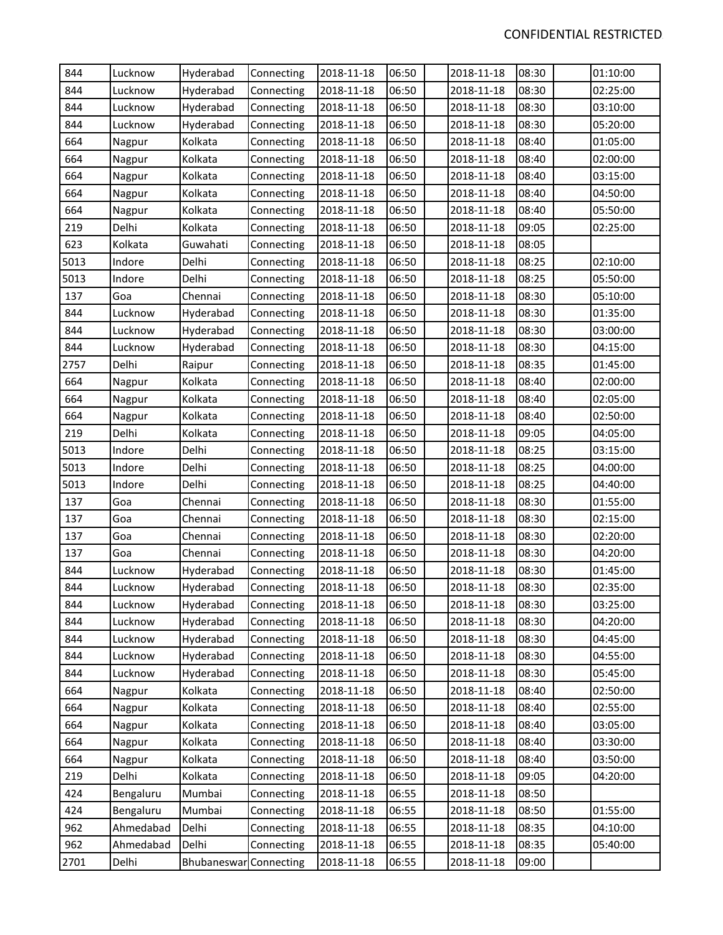| 844  | Lucknow   | Hyderabad              | Connecting | 2018-11-18 | 06:50 | 2018-11-18 | 08:30 | 01:10:00 |
|------|-----------|------------------------|------------|------------|-------|------------|-------|----------|
| 844  | Lucknow   | Hyderabad              | Connecting | 2018-11-18 | 06:50 | 2018-11-18 | 08:30 | 02:25:00 |
| 844  | Lucknow   | Hyderabad              | Connecting | 2018-11-18 | 06:50 | 2018-11-18 | 08:30 | 03:10:00 |
| 844  | Lucknow   | Hyderabad              | Connecting | 2018-11-18 | 06:50 | 2018-11-18 | 08:30 | 05:20:00 |
| 664  | Nagpur    | Kolkata                | Connecting | 2018-11-18 | 06:50 | 2018-11-18 | 08:40 | 01:05:00 |
| 664  | Nagpur    | Kolkata                | Connecting | 2018-11-18 | 06:50 | 2018-11-18 | 08:40 | 02:00:00 |
| 664  | Nagpur    | Kolkata                | Connecting | 2018-11-18 | 06:50 | 2018-11-18 | 08:40 | 03:15:00 |
| 664  | Nagpur    | Kolkata                | Connecting | 2018-11-18 | 06:50 | 2018-11-18 | 08:40 | 04:50:00 |
| 664  | Nagpur    | Kolkata                | Connecting | 2018-11-18 | 06:50 | 2018-11-18 | 08:40 | 05:50:00 |
| 219  | Delhi     | Kolkata                | Connecting | 2018-11-18 | 06:50 | 2018-11-18 | 09:05 | 02:25:00 |
| 623  | Kolkata   | Guwahati               | Connecting | 2018-11-18 | 06:50 | 2018-11-18 | 08:05 |          |
| 5013 | Indore    | Delhi                  | Connecting | 2018-11-18 | 06:50 | 2018-11-18 | 08:25 | 02:10:00 |
| 5013 | Indore    | Delhi                  | Connecting | 2018-11-18 | 06:50 | 2018-11-18 | 08:25 | 05:50:00 |
| 137  | Goa       | Chennai                | Connecting | 2018-11-18 | 06:50 | 2018-11-18 | 08:30 | 05:10:00 |
| 844  | Lucknow   | Hyderabad              | Connecting | 2018-11-18 | 06:50 | 2018-11-18 | 08:30 | 01:35:00 |
| 844  | Lucknow   | Hyderabad              | Connecting | 2018-11-18 | 06:50 | 2018-11-18 | 08:30 | 03:00:00 |
| 844  | Lucknow   | Hyderabad              | Connecting | 2018-11-18 | 06:50 | 2018-11-18 | 08:30 | 04:15:00 |
| 2757 | Delhi     | Raipur                 | Connecting | 2018-11-18 | 06:50 | 2018-11-18 | 08:35 | 01:45:00 |
| 664  | Nagpur    | Kolkata                | Connecting | 2018-11-18 | 06:50 | 2018-11-18 | 08:40 | 02:00:00 |
| 664  | Nagpur    | Kolkata                | Connecting | 2018-11-18 | 06:50 | 2018-11-18 | 08:40 | 02:05:00 |
| 664  | Nagpur    | Kolkata                | Connecting | 2018-11-18 | 06:50 | 2018-11-18 | 08:40 | 02:50:00 |
| 219  | Delhi     | Kolkata                | Connecting | 2018-11-18 | 06:50 | 2018-11-18 | 09:05 | 04:05:00 |
| 5013 | Indore    | Delhi                  | Connecting | 2018-11-18 | 06:50 | 2018-11-18 | 08:25 | 03:15:00 |
| 5013 | Indore    | Delhi                  | Connecting | 2018-11-18 | 06:50 | 2018-11-18 | 08:25 | 04:00:00 |
| 5013 | Indore    | Delhi                  | Connecting | 2018-11-18 | 06:50 | 2018-11-18 | 08:25 | 04:40:00 |
| 137  | Goa       | Chennai                | Connecting | 2018-11-18 | 06:50 | 2018-11-18 | 08:30 | 01:55:00 |
| 137  | Goa       | Chennai                | Connecting | 2018-11-18 | 06:50 | 2018-11-18 | 08:30 | 02:15:00 |
| 137  | Goa       | Chennai                | Connecting | 2018-11-18 | 06:50 | 2018-11-18 | 08:30 | 02:20:00 |
| 137  | Goa       | Chennai                | Connecting | 2018-11-18 | 06:50 | 2018-11-18 | 08:30 | 04:20:00 |
| 844  | Lucknow   | Hyderabad              | Connecting | 2018-11-18 | 06:50 | 2018-11-18 | 08:30 | 01:45:00 |
| 844  | Lucknow   | Hyderabad              | Connecting | 2018-11-18 | 06:50 | 2018-11-18 | 08:30 | 02:35:00 |
| 844  | Lucknow   | Hyderabad              | Connecting | 2018-11-18 | 06:50 | 2018-11-18 | 08:30 | 03:25:00 |
| 844  | Lucknow   | Hyderabad              | Connecting | 2018-11-18 | 06:50 | 2018-11-18 | 08:30 | 04:20:00 |
| 844  | Lucknow   | Hyderabad              | Connecting | 2018-11-18 | 06:50 | 2018-11-18 | 08:30 | 04:45:00 |
| 844  | Lucknow   | Hyderabad              | Connecting | 2018-11-18 | 06:50 | 2018-11-18 | 08:30 | 04:55:00 |
| 844  | Lucknow   | Hyderabad              | Connecting | 2018-11-18 | 06:50 | 2018-11-18 | 08:30 | 05:45:00 |
| 664  | Nagpur    | Kolkata                | Connecting | 2018-11-18 | 06:50 | 2018-11-18 | 08:40 | 02:50:00 |
| 664  | Nagpur    | Kolkata                | Connecting | 2018-11-18 | 06:50 | 2018-11-18 | 08:40 | 02:55:00 |
| 664  | Nagpur    | Kolkata                | Connecting | 2018-11-18 | 06:50 | 2018-11-18 | 08:40 | 03:05:00 |
| 664  | Nagpur    | Kolkata                | Connecting | 2018-11-18 | 06:50 | 2018-11-18 | 08:40 | 03:30:00 |
| 664  | Nagpur    | Kolkata                | Connecting | 2018-11-18 | 06:50 | 2018-11-18 | 08:40 | 03:50:00 |
| 219  | Delhi     | Kolkata                | Connecting | 2018-11-18 | 06:50 | 2018-11-18 | 09:05 | 04:20:00 |
| 424  | Bengaluru | Mumbai                 | Connecting | 2018-11-18 | 06:55 | 2018-11-18 | 08:50 |          |
| 424  | Bengaluru | Mumbai                 | Connecting | 2018-11-18 | 06:55 | 2018-11-18 | 08:50 | 01:55:00 |
| 962  | Ahmedabad | Delhi                  | Connecting | 2018-11-18 | 06:55 | 2018-11-18 | 08:35 | 04:10:00 |
| 962  | Ahmedabad | Delhi                  | Connecting | 2018-11-18 | 06:55 | 2018-11-18 | 08:35 | 05:40:00 |
| 2701 | Delhi     | Bhubaneswar Connecting |            | 2018-11-18 | 06:55 | 2018-11-18 | 09:00 |          |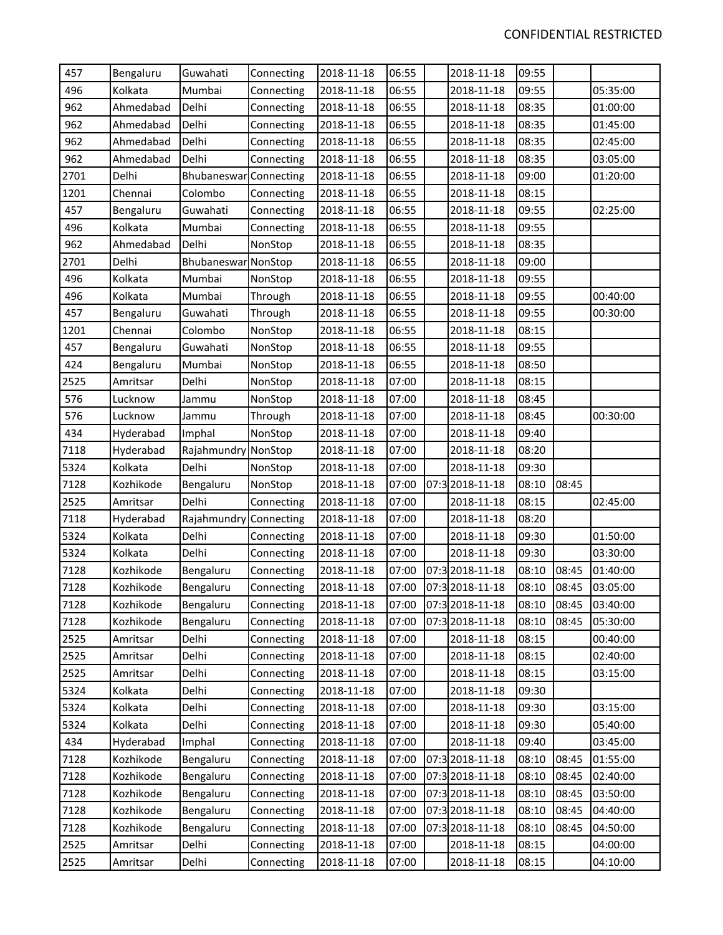| 457  | Bengaluru | Guwahati            | Connecting | 2018-11-18 | 06:55 | 2018-11-18      | 09:55 |       |          |
|------|-----------|---------------------|------------|------------|-------|-----------------|-------|-------|----------|
| 496  | Kolkata   | Mumbai              | Connecting | 2018-11-18 | 06:55 | 2018-11-18      | 09:55 |       | 05:35:00 |
| 962  | Ahmedabad | Delhi               | Connecting | 2018-11-18 | 06:55 | 2018-11-18      | 08:35 |       | 01:00:00 |
| 962  | Ahmedabad | Delhi               | Connecting | 2018-11-18 | 06:55 | 2018-11-18      | 08:35 |       | 01:45:00 |
| 962  | Ahmedabad | Delhi               | Connecting | 2018-11-18 | 06:55 | 2018-11-18      | 08:35 |       | 02:45:00 |
| 962  | Ahmedabad | Delhi               | Connecting | 2018-11-18 | 06:55 | 2018-11-18      | 08:35 |       | 03:05:00 |
| 2701 | Delhi     | Bhubaneswar         | Connecting | 2018-11-18 | 06:55 | 2018-11-18      | 09:00 |       | 01:20:00 |
| 1201 | Chennai   | Colombo             | Connecting | 2018-11-18 | 06:55 | 2018-11-18      | 08:15 |       |          |
| 457  | Bengaluru | Guwahati            | Connecting | 2018-11-18 | 06:55 | 2018-11-18      | 09:55 |       | 02:25:00 |
| 496  | Kolkata   | Mumbai              | Connecting | 2018-11-18 | 06:55 | 2018-11-18      | 09:55 |       |          |
| 962  | Ahmedabad | Delhi               | NonStop    | 2018-11-18 | 06:55 | 2018-11-18      | 08:35 |       |          |
| 2701 | Delhi     | Bhubaneswar NonStop |            | 2018-11-18 | 06:55 | 2018-11-18      | 09:00 |       |          |
| 496  | Kolkata   | Mumbai              | NonStop    | 2018-11-18 | 06:55 | 2018-11-18      | 09:55 |       |          |
| 496  | Kolkata   | Mumbai              | Through    | 2018-11-18 | 06:55 | 2018-11-18      | 09:55 |       | 00:40:00 |
| 457  | Bengaluru | Guwahati            | Through    | 2018-11-18 | 06:55 | 2018-11-18      | 09:55 |       | 00:30:00 |
| 1201 | Chennai   | Colombo             | NonStop    | 2018-11-18 | 06:55 | 2018-11-18      | 08:15 |       |          |
| 457  | Bengaluru | Guwahati            | NonStop    | 2018-11-18 | 06:55 | 2018-11-18      | 09:55 |       |          |
| 424  | Bengaluru | Mumbai              | NonStop    | 2018-11-18 | 06:55 | 2018-11-18      | 08:50 |       |          |
| 2525 | Amritsar  | Delhi               | NonStop    | 2018-11-18 | 07:00 | 2018-11-18      | 08:15 |       |          |
| 576  | Lucknow   | Jammu               | NonStop    | 2018-11-18 | 07:00 | 2018-11-18      | 08:45 |       |          |
| 576  | Lucknow   | Jammu               | Through    | 2018-11-18 | 07:00 | 2018-11-18      | 08:45 |       | 00:30:00 |
| 434  | Hyderabad | Imphal              | NonStop    | 2018-11-18 | 07:00 | 2018-11-18      | 09:40 |       |          |
| 7118 | Hyderabad | Rajahmundry NonStop |            | 2018-11-18 | 07:00 | 2018-11-18      | 08:20 |       |          |
| 5324 | Kolkata   | Delhi               | NonStop    | 2018-11-18 | 07:00 | 2018-11-18      | 09:30 |       |          |
| 7128 | Kozhikode | Bengaluru           | NonStop    | 2018-11-18 | 07:00 | 07:3 2018-11-18 | 08:10 | 08:45 |          |
| 2525 | Amritsar  | Delhi               | Connecting | 2018-11-18 | 07:00 | 2018-11-18      | 08:15 |       | 02:45:00 |
| 7118 | Hyderabad | Rajahmundry         | Connecting | 2018-11-18 | 07:00 | 2018-11-18      | 08:20 |       |          |
| 5324 | Kolkata   | Delhi               | Connecting | 2018-11-18 | 07:00 | 2018-11-18      | 09:30 |       | 01:50:00 |
| 5324 | Kolkata   | Delhi               | Connecting | 2018-11-18 | 07:00 | 2018-11-18      | 09:30 |       | 03:30:00 |
| 7128 | Kozhikode | Bengaluru           | Connecting | 2018-11-18 | 07:00 | 07:3 2018-11-18 | 08:10 | 08:45 | 01:40:00 |
| 7128 | Kozhikode | Bengaluru           | Connecting | 2018-11-18 | 07:00 | 07:3 2018-11-18 | 08:10 | 08:45 | 03:05:00 |
| 7128 | Kozhikode | Bengaluru           | Connecting | 2018-11-18 | 07:00 | 07:3 2018-11-18 | 08:10 | 08:45 | 03:40:00 |
| 7128 | Kozhikode | Bengaluru           | Connecting | 2018-11-18 | 07:00 | 07:3 2018-11-18 | 08:10 | 08:45 | 05:30:00 |
| 2525 | Amritsar  | Delhi               | Connecting | 2018-11-18 | 07:00 | 2018-11-18      | 08:15 |       | 00:40:00 |
| 2525 | Amritsar  | Delhi               | Connecting | 2018-11-18 | 07:00 | 2018-11-18      | 08:15 |       | 02:40:00 |
| 2525 | Amritsar  | Delhi               | Connecting | 2018-11-18 | 07:00 | 2018-11-18      | 08:15 |       | 03:15:00 |
| 5324 | Kolkata   | Delhi               | Connecting | 2018-11-18 | 07:00 | 2018-11-18      | 09:30 |       |          |
| 5324 | Kolkata   | Delhi               | Connecting | 2018-11-18 | 07:00 | 2018-11-18      | 09:30 |       | 03:15:00 |
| 5324 | Kolkata   | Delhi               | Connecting | 2018-11-18 | 07:00 | 2018-11-18      | 09:30 |       | 05:40:00 |
| 434  | Hyderabad | Imphal              | Connecting | 2018-11-18 | 07:00 | 2018-11-18      | 09:40 |       | 03:45:00 |
| 7128 | Kozhikode | Bengaluru           | Connecting | 2018-11-18 | 07:00 | 07:3 2018-11-18 | 08:10 | 08:45 | 01:55:00 |
| 7128 | Kozhikode | Bengaluru           | Connecting | 2018-11-18 | 07:00 | 07:3 2018-11-18 | 08:10 | 08:45 | 02:40:00 |
| 7128 | Kozhikode | Bengaluru           | Connecting | 2018-11-18 | 07:00 | 07:3 2018-11-18 | 08:10 | 08:45 | 03:50:00 |
| 7128 | Kozhikode | Bengaluru           | Connecting | 2018-11-18 | 07:00 | 07:3 2018-11-18 | 08:10 | 08:45 | 04:40:00 |
| 7128 | Kozhikode | Bengaluru           | Connecting | 2018-11-18 | 07:00 | 07:3 2018-11-18 | 08:10 | 08:45 | 04:50:00 |
| 2525 | Amritsar  | Delhi               | Connecting | 2018-11-18 | 07:00 | 2018-11-18      | 08:15 |       | 04:00:00 |
| 2525 | Amritsar  | Delhi               | Connecting | 2018-11-18 | 07:00 | 2018-11-18      | 08:15 |       | 04:10:00 |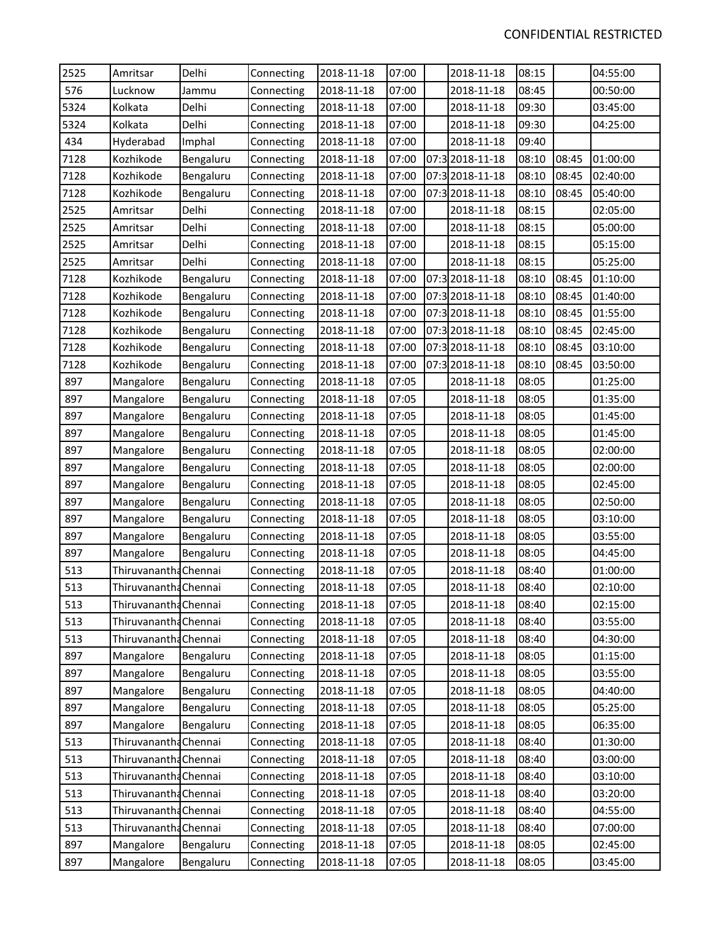| 2525 | Amritsar              | Delhi     | Connecting | 2018-11-18 | 07:00 | 2018-11-18      | 08:15 |       | 04:55:00 |
|------|-----------------------|-----------|------------|------------|-------|-----------------|-------|-------|----------|
| 576  | Lucknow               | Jammu     | Connecting | 2018-11-18 | 07:00 | 2018-11-18      | 08:45 |       | 00:50:00 |
| 5324 | Kolkata               | Delhi     | Connecting | 2018-11-18 | 07:00 | 2018-11-18      | 09:30 |       | 03:45:00 |
| 5324 | Kolkata               | Delhi     | Connecting | 2018-11-18 | 07:00 | 2018-11-18      | 09:30 |       | 04:25:00 |
| 434  | Hyderabad             | Imphal    | Connecting | 2018-11-18 | 07:00 | 2018-11-18      | 09:40 |       |          |
| 7128 | Kozhikode             | Bengaluru | Connecting | 2018-11-18 | 07:00 | 07:3 2018-11-18 | 08:10 | 08:45 | 01:00:00 |
| 7128 | Kozhikode             | Bengaluru | Connecting | 2018-11-18 | 07:00 | 07:3 2018-11-18 | 08:10 | 08:45 | 02:40:00 |
| 7128 | Kozhikode             | Bengaluru | Connecting | 2018-11-18 | 07:00 | 07:3 2018-11-18 | 08:10 | 08:45 | 05:40:00 |
| 2525 | Amritsar              | Delhi     | Connecting | 2018-11-18 | 07:00 | 2018-11-18      | 08:15 |       | 02:05:00 |
| 2525 | Amritsar              | Delhi     | Connecting | 2018-11-18 | 07:00 | 2018-11-18      | 08:15 |       | 05:00:00 |
| 2525 | Amritsar              | Delhi     | Connecting | 2018-11-18 | 07:00 | 2018-11-18      | 08:15 |       | 05:15:00 |
| 2525 | Amritsar              | Delhi     | Connecting | 2018-11-18 | 07:00 | 2018-11-18      | 08:15 |       | 05:25:00 |
| 7128 | Kozhikode             | Bengaluru | Connecting | 2018-11-18 | 07:00 | 07:3 2018-11-18 | 08:10 | 08:45 | 01:10:00 |
| 7128 | Kozhikode             | Bengaluru | Connecting | 2018-11-18 | 07:00 | 07:3 2018-11-18 | 08:10 | 08:45 | 01:40:00 |
| 7128 | Kozhikode             | Bengaluru | Connecting | 2018-11-18 | 07:00 | 07:3 2018-11-18 | 08:10 | 08:45 | 01:55:00 |
| 7128 | Kozhikode             | Bengaluru | Connecting | 2018-11-18 | 07:00 | 07:3 2018-11-18 | 08:10 | 08:45 | 02:45:00 |
| 7128 | Kozhikode             | Bengaluru | Connecting | 2018-11-18 | 07:00 | 07:3 2018-11-18 | 08:10 | 08:45 | 03:10:00 |
| 7128 | Kozhikode             | Bengaluru | Connecting | 2018-11-18 | 07:00 | 07:3 2018-11-18 | 08:10 | 08:45 | 03:50:00 |
| 897  | Mangalore             | Bengaluru | Connecting | 2018-11-18 | 07:05 | 2018-11-18      | 08:05 |       | 01:25:00 |
| 897  | Mangalore             | Bengaluru | Connecting | 2018-11-18 | 07:05 | 2018-11-18      | 08:05 |       | 01:35:00 |
| 897  | Mangalore             | Bengaluru | Connecting | 2018-11-18 | 07:05 | 2018-11-18      | 08:05 |       | 01:45:00 |
| 897  | Mangalore             | Bengaluru | Connecting | 2018-11-18 | 07:05 | 2018-11-18      | 08:05 |       | 01:45:00 |
| 897  | Mangalore             | Bengaluru | Connecting | 2018-11-18 | 07:05 | 2018-11-18      | 08:05 |       | 02:00:00 |
| 897  | Mangalore             | Bengaluru | Connecting | 2018-11-18 | 07:05 | 2018-11-18      | 08:05 |       | 02:00:00 |
| 897  | Mangalore             | Bengaluru | Connecting | 2018-11-18 | 07:05 | 2018-11-18      | 08:05 |       | 02:45:00 |
| 897  | Mangalore             | Bengaluru | Connecting | 2018-11-18 | 07:05 | 2018-11-18      | 08:05 |       | 02:50:00 |
| 897  | Mangalore             | Bengaluru | Connecting | 2018-11-18 | 07:05 | 2018-11-18      | 08:05 |       | 03:10:00 |
| 897  | Mangalore             | Bengaluru | Connecting | 2018-11-18 | 07:05 | 2018-11-18      | 08:05 |       | 03:55:00 |
| 897  | Mangalore             | Bengaluru | Connecting | 2018-11-18 | 07:05 | 2018-11-18      | 08:05 |       | 04:45:00 |
| 513  | Thiruvanantha Chennai |           | Connecting | 2018-11-18 | 07:05 | 2018-11-18      | 08:40 |       | 01:00:00 |
| 513  | Thiruvanantha Chennai |           | Connecting | 2018-11-18 | 07:05 | 2018-11-18      | 08:40 |       | 02:10:00 |
| 513  | Thiruvanantha Chennai |           | Connecting | 2018-11-18 | 07:05 | 2018-11-18      | 08:40 |       | 02:15:00 |
| 513  | Thiruvanantha Chennai |           | Connecting | 2018-11-18 | 07:05 | 2018-11-18      | 08:40 |       | 03:55:00 |
| 513  | Thiruvanantha Chennai |           | Connecting | 2018-11-18 | 07:05 | 2018-11-18      | 08:40 |       | 04:30:00 |
| 897  | Mangalore             | Bengaluru | Connecting | 2018-11-18 | 07:05 | 2018-11-18      | 08:05 |       | 01:15:00 |
| 897  | Mangalore             | Bengaluru | Connecting | 2018-11-18 | 07:05 | 2018-11-18      | 08:05 |       | 03:55:00 |
| 897  | Mangalore             | Bengaluru | Connecting | 2018-11-18 | 07:05 | 2018-11-18      | 08:05 |       | 04:40:00 |
| 897  | Mangalore             | Bengaluru | Connecting | 2018-11-18 | 07:05 | 2018-11-18      | 08:05 |       | 05:25:00 |
| 897  | Mangalore             | Bengaluru | Connecting | 2018-11-18 | 07:05 | 2018-11-18      | 08:05 |       | 06:35:00 |
| 513  | Thiruvanantha Chennai |           | Connecting | 2018-11-18 | 07:05 | 2018-11-18      | 08:40 |       | 01:30:00 |
| 513  | Thiruvanantha Chennai |           | Connecting | 2018-11-18 | 07:05 | 2018-11-18      | 08:40 |       | 03:00:00 |
| 513  | Thiruvanantha Chennai |           | Connecting | 2018-11-18 | 07:05 | 2018-11-18      | 08:40 |       | 03:10:00 |
| 513  | Thiruvanantha Chennai |           | Connecting | 2018-11-18 | 07:05 | 2018-11-18      | 08:40 |       | 03:20:00 |
| 513  | Thiruvanantha Chennai |           | Connecting | 2018-11-18 | 07:05 | 2018-11-18      | 08:40 |       | 04:55:00 |
| 513  | Thiruvanantha Chennai |           | Connecting | 2018-11-18 | 07:05 | 2018-11-18      | 08:40 |       | 07:00:00 |
| 897  | Mangalore             | Bengaluru | Connecting | 2018-11-18 | 07:05 | 2018-11-18      | 08:05 |       | 02:45:00 |
| 897  | Mangalore             | Bengaluru | Connecting | 2018-11-18 | 07:05 | 2018-11-18      | 08:05 |       | 03:45:00 |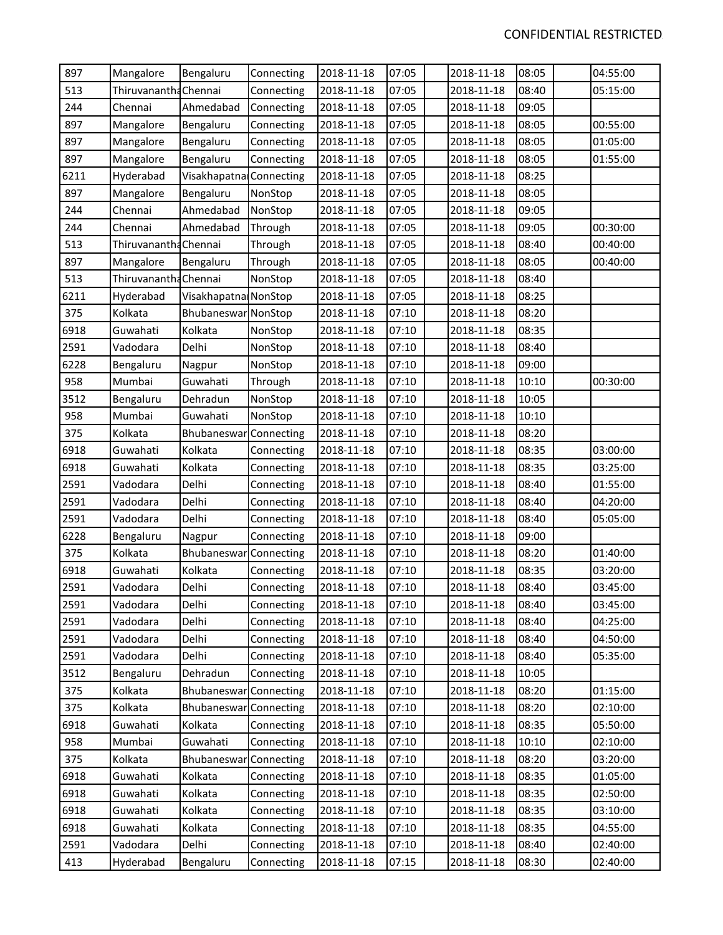| 897  | Mangalore             | Bengaluru               | Connecting | 2018-11-18 | 07:05 | 2018-11-18 | 08:05 | 04:55:00 |
|------|-----------------------|-------------------------|------------|------------|-------|------------|-------|----------|
| 513  | Thiruvanantha Chennai |                         | Connecting | 2018-11-18 | 07:05 | 2018-11-18 | 08:40 | 05:15:00 |
| 244  | Chennai               | Ahmedabad               | Connecting | 2018-11-18 | 07:05 | 2018-11-18 | 09:05 |          |
| 897  | Mangalore             | Bengaluru               | Connecting | 2018-11-18 | 07:05 | 2018-11-18 | 08:05 | 00:55:00 |
| 897  | Mangalore             | Bengaluru               | Connecting | 2018-11-18 | 07:05 | 2018-11-18 | 08:05 | 01:05:00 |
| 897  | Mangalore             | Bengaluru               | Connecting | 2018-11-18 | 07:05 | 2018-11-18 | 08:05 | 01:55:00 |
| 6211 | Hyderabad             | Visakhapatna Connecting |            | 2018-11-18 | 07:05 | 2018-11-18 | 08:25 |          |
| 897  | Mangalore             | Bengaluru               | NonStop    | 2018-11-18 | 07:05 | 2018-11-18 | 08:05 |          |
| 244  | Chennai               | Ahmedabad               | NonStop    | 2018-11-18 | 07:05 | 2018-11-18 | 09:05 |          |
| 244  | Chennai               | Ahmedabad               | Through    | 2018-11-18 | 07:05 | 2018-11-18 | 09:05 | 00:30:00 |
| 513  | Thiruvananth: Chennai |                         | Through    | 2018-11-18 | 07:05 | 2018-11-18 | 08:40 | 00:40:00 |
| 897  | Mangalore             | Bengaluru               | Through    | 2018-11-18 | 07:05 | 2018-11-18 | 08:05 | 00:40:00 |
| 513  | Thiruvanantha Chennai |                         | NonStop    | 2018-11-18 | 07:05 | 2018-11-18 | 08:40 |          |
| 6211 | Hyderabad             | Visakhapatna NonStop    |            | 2018-11-18 | 07:05 | 2018-11-18 | 08:25 |          |
| 375  | Kolkata               | Bhubaneswar NonStop     |            | 2018-11-18 | 07:10 | 2018-11-18 | 08:20 |          |
| 6918 | Guwahati              | Kolkata                 | NonStop    | 2018-11-18 | 07:10 | 2018-11-18 | 08:35 |          |
| 2591 | Vadodara              | Delhi                   | NonStop    | 2018-11-18 | 07:10 | 2018-11-18 | 08:40 |          |
| 6228 | Bengaluru             | Nagpur                  | NonStop    | 2018-11-18 | 07:10 | 2018-11-18 | 09:00 |          |
| 958  | Mumbai                | Guwahati                | Through    | 2018-11-18 | 07:10 | 2018-11-18 | 10:10 | 00:30:00 |
| 3512 | Bengaluru             | Dehradun                | NonStop    | 2018-11-18 | 07:10 | 2018-11-18 | 10:05 |          |
| 958  | Mumbai                | Guwahati                | NonStop    | 2018-11-18 | 07:10 | 2018-11-18 | 10:10 |          |
| 375  | Kolkata               | Bhubaneswar Connecting  |            | 2018-11-18 | 07:10 | 2018-11-18 | 08:20 |          |
| 6918 | Guwahati              | Kolkata                 | Connecting | 2018-11-18 | 07:10 | 2018-11-18 | 08:35 | 03:00:00 |
| 6918 | Guwahati              | Kolkata                 | Connecting | 2018-11-18 | 07:10 | 2018-11-18 | 08:35 | 03:25:00 |
| 2591 | Vadodara              | Delhi                   | Connecting | 2018-11-18 | 07:10 | 2018-11-18 | 08:40 | 01:55:00 |
| 2591 | Vadodara              | Delhi                   | Connecting | 2018-11-18 | 07:10 | 2018-11-18 | 08:40 | 04:20:00 |
| 2591 | Vadodara              | Delhi                   | Connecting | 2018-11-18 | 07:10 | 2018-11-18 | 08:40 | 05:05:00 |
| 6228 | Bengaluru             | Nagpur                  | Connecting | 2018-11-18 | 07:10 | 2018-11-18 | 09:00 |          |
| 375  | Kolkata               | Bhubaneswar             | Connecting | 2018-11-18 | 07:10 | 2018-11-18 | 08:20 | 01:40:00 |
| 6918 | Guwahati              | Kolkata                 | Connecting | 2018-11-18 | 07:10 | 2018-11-18 | 08:35 | 03:20:00 |
| 2591 | Vadodara              | Delhi                   | Connecting | 2018-11-18 | 07:10 | 2018-11-18 | 08:40 | 03:45:00 |
| 2591 | Vadodara              | Delhi                   | Connecting | 2018-11-18 | 07:10 | 2018-11-18 | 08:40 | 03:45:00 |
| 2591 | Vadodara              | Delhi                   | Connecting | 2018-11-18 | 07:10 | 2018-11-18 | 08:40 | 04:25:00 |
| 2591 | Vadodara              | Delhi                   | Connecting | 2018-11-18 | 07:10 | 2018-11-18 | 08:40 | 04:50:00 |
| 2591 | Vadodara              | Delhi                   | Connecting | 2018-11-18 | 07:10 | 2018-11-18 | 08:40 | 05:35:00 |
| 3512 | Bengaluru             | Dehradun                | Connecting | 2018-11-18 | 07:10 | 2018-11-18 | 10:05 |          |
| 375  | Kolkata               | Bhubaneswar Connecting  |            | 2018-11-18 | 07:10 | 2018-11-18 | 08:20 | 01:15:00 |
| 375  | Kolkata               | Bhubaneswar Connecting  |            | 2018-11-18 | 07:10 | 2018-11-18 | 08:20 | 02:10:00 |
| 6918 | Guwahati              | Kolkata                 | Connecting | 2018-11-18 | 07:10 | 2018-11-18 | 08:35 | 05:50:00 |
| 958  | Mumbai                | Guwahati                | Connecting | 2018-11-18 | 07:10 | 2018-11-18 | 10:10 | 02:10:00 |
| 375  | Kolkata               | Bhubaneswar             | Connecting | 2018-11-18 | 07:10 | 2018-11-18 | 08:20 | 03:20:00 |
| 6918 | Guwahati              | Kolkata                 | Connecting | 2018-11-18 | 07:10 | 2018-11-18 | 08:35 | 01:05:00 |
| 6918 | Guwahati              | Kolkata                 | Connecting | 2018-11-18 | 07:10 | 2018-11-18 | 08:35 | 02:50:00 |
| 6918 | Guwahati              | Kolkata                 | Connecting | 2018-11-18 | 07:10 | 2018-11-18 | 08:35 | 03:10:00 |
| 6918 | Guwahati              | Kolkata                 | Connecting | 2018-11-18 | 07:10 | 2018-11-18 | 08:35 | 04:55:00 |
| 2591 | Vadodara              | Delhi                   | Connecting | 2018-11-18 | 07:10 | 2018-11-18 | 08:40 | 02:40:00 |
| 413  | Hyderabad             | Bengaluru               | Connecting | 2018-11-18 | 07:15 | 2018-11-18 | 08:30 | 02:40:00 |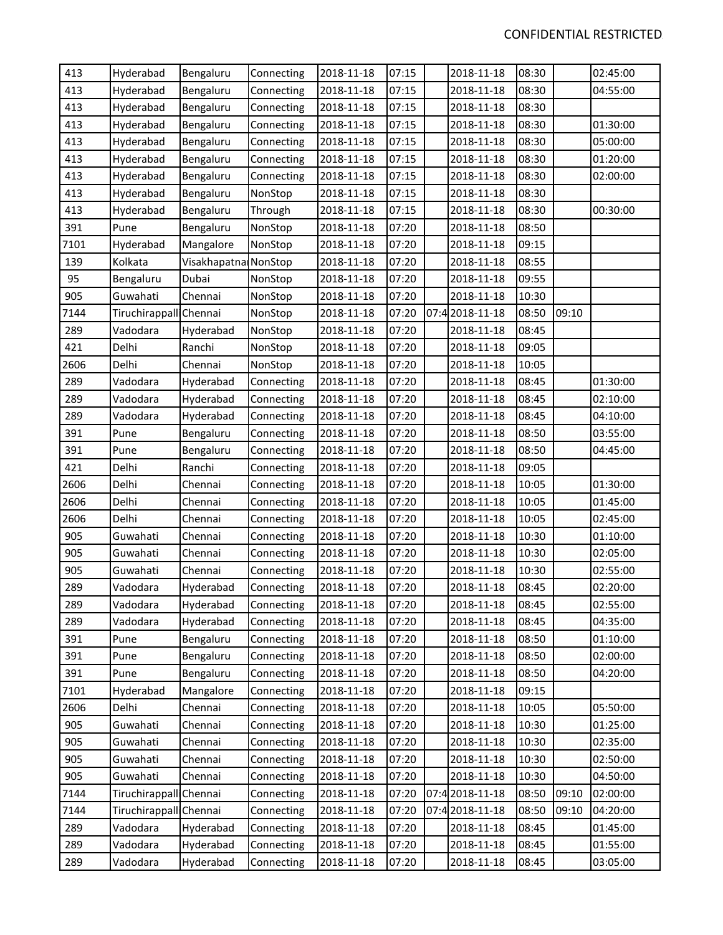| 413  | Hyderabad              | Bengaluru            | Connecting | 2018-11-18 | 07:15 | 2018-11-18      | 08:30 |       | 02:45:00 |
|------|------------------------|----------------------|------------|------------|-------|-----------------|-------|-------|----------|
| 413  | Hyderabad              | Bengaluru            | Connecting | 2018-11-18 | 07:15 | 2018-11-18      | 08:30 |       | 04:55:00 |
| 413  | Hyderabad              | Bengaluru            | Connecting | 2018-11-18 | 07:15 | 2018-11-18      | 08:30 |       |          |
| 413  | Hyderabad              | Bengaluru            | Connecting | 2018-11-18 | 07:15 | 2018-11-18      | 08:30 |       | 01:30:00 |
| 413  | Hyderabad              | Bengaluru            | Connecting | 2018-11-18 | 07:15 | 2018-11-18      | 08:30 |       | 05:00:00 |
| 413  | Hyderabad              | Bengaluru            | Connecting | 2018-11-18 | 07:15 | 2018-11-18      | 08:30 |       | 01:20:00 |
| 413  | Hyderabad              | Bengaluru            | Connecting | 2018-11-18 | 07:15 | 2018-11-18      | 08:30 |       | 02:00:00 |
| 413  | Hyderabad              | Bengaluru            | NonStop    | 2018-11-18 | 07:15 | 2018-11-18      | 08:30 |       |          |
| 413  | Hyderabad              | Bengaluru            | Through    | 2018-11-18 | 07:15 | 2018-11-18      | 08:30 |       | 00:30:00 |
| 391  | Pune                   | Bengaluru            | NonStop    | 2018-11-18 | 07:20 | 2018-11-18      | 08:50 |       |          |
| 7101 | Hyderabad              | Mangalore            | NonStop    | 2018-11-18 | 07:20 | 2018-11-18      | 09:15 |       |          |
| 139  | Kolkata                | Visakhapatna NonStop |            | 2018-11-18 | 07:20 | 2018-11-18      | 08:55 |       |          |
| 95   | Bengaluru              | Dubai                | NonStop    | 2018-11-18 | 07:20 | 2018-11-18      | 09:55 |       |          |
| 905  | Guwahati               | Chennai              | NonStop    | 2018-11-18 | 07:20 | 2018-11-18      | 10:30 |       |          |
| 7144 | Tiruchirappall Chennai |                      | NonStop    | 2018-11-18 | 07:20 | 07:42018-11-18  | 08:50 | 09:10 |          |
| 289  | Vadodara               | Hyderabad            | NonStop    | 2018-11-18 | 07:20 | 2018-11-18      | 08:45 |       |          |
| 421  | Delhi                  | Ranchi               | NonStop    | 2018-11-18 | 07:20 | 2018-11-18      | 09:05 |       |          |
| 2606 | Delhi                  | Chennai              | NonStop    | 2018-11-18 | 07:20 | 2018-11-18      | 10:05 |       |          |
| 289  | Vadodara               | Hyderabad            | Connecting | 2018-11-18 | 07:20 | 2018-11-18      | 08:45 |       | 01:30:00 |
| 289  | Vadodara               | Hyderabad            | Connecting | 2018-11-18 | 07:20 | 2018-11-18      | 08:45 |       | 02:10:00 |
| 289  | Vadodara               | Hyderabad            | Connecting | 2018-11-18 | 07:20 | 2018-11-18      | 08:45 |       | 04:10:00 |
| 391  | Pune                   | Bengaluru            | Connecting | 2018-11-18 | 07:20 | 2018-11-18      | 08:50 |       | 03:55:00 |
| 391  | Pune                   | Bengaluru            | Connecting | 2018-11-18 | 07:20 | 2018-11-18      | 08:50 |       | 04:45:00 |
| 421  | Delhi                  | Ranchi               | Connecting | 2018-11-18 | 07:20 | 2018-11-18      | 09:05 |       |          |
| 2606 | Delhi                  | Chennai              | Connecting | 2018-11-18 | 07:20 | 2018-11-18      | 10:05 |       | 01:30:00 |
| 2606 | Delhi                  | Chennai              | Connecting | 2018-11-18 | 07:20 | 2018-11-18      | 10:05 |       | 01:45:00 |
| 2606 | Delhi                  | Chennai              | Connecting | 2018-11-18 | 07:20 | 2018-11-18      | 10:05 |       | 02:45:00 |
| 905  | Guwahati               | Chennai              | Connecting | 2018-11-18 | 07:20 | 2018-11-18      | 10:30 |       | 01:10:00 |
| 905  | Guwahati               | Chennai              | Connecting | 2018-11-18 | 07:20 | 2018-11-18      | 10:30 |       | 02:05:00 |
| 905  | Guwahati               | Chennai              | Connecting | 2018-11-18 | 07:20 | 2018-11-18      | 10:30 |       | 02:55:00 |
| 289  | Vadodara               | Hyderabad            | Connecting | 2018-11-18 | 07:20 | 2018-11-18      | 08:45 |       | 02:20:00 |
| 289  | Vadodara               | Hyderabad            | Connecting | 2018-11-18 | 07:20 | 2018-11-18      | 08:45 |       | 02:55:00 |
| 289  | Vadodara               | Hyderabad            | Connecting | 2018-11-18 | 07:20 | 2018-11-18      | 08:45 |       | 04:35:00 |
| 391  | Pune                   | Bengaluru            | Connecting | 2018-11-18 | 07:20 | 2018-11-18      | 08:50 |       | 01:10:00 |
| 391  | Pune                   | Bengaluru            | Connecting | 2018-11-18 | 07:20 | 2018-11-18      | 08:50 |       | 02:00:00 |
| 391  | Pune                   | Bengaluru            | Connecting | 2018-11-18 | 07:20 | 2018-11-18      | 08:50 |       | 04:20:00 |
| 7101 | Hyderabad              | Mangalore            | Connecting | 2018-11-18 | 07:20 | 2018-11-18      | 09:15 |       |          |
| 2606 | Delhi                  | Chennai              | Connecting | 2018-11-18 | 07:20 | 2018-11-18      | 10:05 |       | 05:50:00 |
| 905  | Guwahati               | Chennai              | Connecting | 2018-11-18 | 07:20 | 2018-11-18      | 10:30 |       | 01:25:00 |
| 905  | Guwahati               | Chennai              | Connecting | 2018-11-18 | 07:20 | 2018-11-18      | 10:30 |       | 02:35:00 |
| 905  | Guwahati               | Chennai              | Connecting | 2018-11-18 | 07:20 | 2018-11-18      | 10:30 |       | 02:50:00 |
| 905  | Guwahati               | Chennai              | Connecting | 2018-11-18 | 07:20 | 2018-11-18      | 10:30 |       | 04:50:00 |
| 7144 | Tiruchirappall Chennai |                      | Connecting | 2018-11-18 | 07:20 | 07:4 2018-11-18 | 08:50 | 09:10 | 02:00:00 |
| 7144 | Tiruchirappall Chennai |                      | Connecting | 2018-11-18 | 07:20 | 07:4 2018-11-18 | 08:50 | 09:10 | 04:20:00 |
| 289  | Vadodara               | Hyderabad            | Connecting | 2018-11-18 | 07:20 | 2018-11-18      | 08:45 |       | 01:45:00 |
| 289  | Vadodara               | Hyderabad            | Connecting | 2018-11-18 | 07:20 | 2018-11-18      | 08:45 |       | 01:55:00 |
| 289  | Vadodara               | Hyderabad            | Connecting | 2018-11-18 | 07:20 | 2018-11-18      | 08:45 |       | 03:05:00 |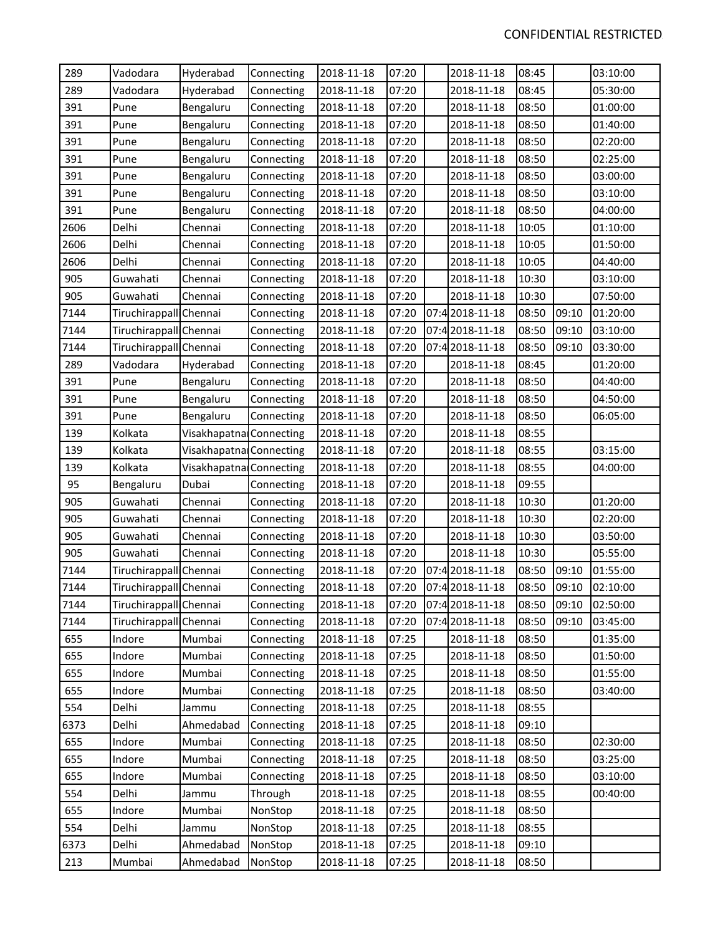| 289  | Vadodara               | Hyderabad               | Connecting | 2018-11-18 | 07:20 | 2018-11-18      | 08:45 |       | 03:10:00 |
|------|------------------------|-------------------------|------------|------------|-------|-----------------|-------|-------|----------|
| 289  | Vadodara               | Hyderabad               | Connecting | 2018-11-18 | 07:20 | 2018-11-18      | 08:45 |       | 05:30:00 |
| 391  | Pune                   | Bengaluru               | Connecting | 2018-11-18 | 07:20 | 2018-11-18      | 08:50 |       | 01:00:00 |
| 391  | Pune                   | Bengaluru               | Connecting | 2018-11-18 | 07:20 | 2018-11-18      | 08:50 |       | 01:40:00 |
| 391  | Pune                   | Bengaluru               | Connecting | 2018-11-18 | 07:20 | 2018-11-18      | 08:50 |       | 02:20:00 |
| 391  | Pune                   | Bengaluru               | Connecting | 2018-11-18 | 07:20 | 2018-11-18      | 08:50 |       | 02:25:00 |
| 391  | Pune                   | Bengaluru               | Connecting | 2018-11-18 | 07:20 | 2018-11-18      | 08:50 |       | 03:00:00 |
| 391  | Pune                   | Bengaluru               | Connecting | 2018-11-18 | 07:20 | 2018-11-18      | 08:50 |       | 03:10:00 |
| 391  | Pune                   | Bengaluru               | Connecting | 2018-11-18 | 07:20 | 2018-11-18      | 08:50 |       | 04:00:00 |
| 2606 | Delhi                  | Chennai                 | Connecting | 2018-11-18 | 07:20 | 2018-11-18      | 10:05 |       | 01:10:00 |
| 2606 | Delhi                  | Chennai                 | Connecting | 2018-11-18 | 07:20 | 2018-11-18      | 10:05 |       | 01:50:00 |
| 2606 | Delhi                  | Chennai                 | Connecting | 2018-11-18 | 07:20 | 2018-11-18      | 10:05 |       | 04:40:00 |
| 905  | Guwahati               | Chennai                 | Connecting | 2018-11-18 | 07:20 | 2018-11-18      | 10:30 |       | 03:10:00 |
| 905  | Guwahati               | Chennai                 | Connecting | 2018-11-18 | 07:20 | 2018-11-18      | 10:30 |       | 07:50:00 |
| 7144 | Tiruchirappall Chennai |                         | Connecting | 2018-11-18 | 07:20 | 07:4 2018-11-18 | 08:50 | 09:10 | 01:20:00 |
| 7144 | Tiruchirappall Chennai |                         | Connecting | 2018-11-18 | 07:20 | 07:4 2018-11-18 | 08:50 | 09:10 | 03:10:00 |
| 7144 | Tiruchirappall Chennai |                         | Connecting | 2018-11-18 | 07:20 | 07:4 2018-11-18 | 08:50 | 09:10 | 03:30:00 |
| 289  | Vadodara               | Hyderabad               | Connecting | 2018-11-18 | 07:20 | 2018-11-18      | 08:45 |       | 01:20:00 |
| 391  | Pune                   | Bengaluru               | Connecting | 2018-11-18 | 07:20 | 2018-11-18      | 08:50 |       | 04:40:00 |
| 391  | Pune                   | Bengaluru               | Connecting | 2018-11-18 | 07:20 | 2018-11-18      | 08:50 |       | 04:50:00 |
| 391  | Pune                   | Bengaluru               | Connecting | 2018-11-18 | 07:20 | 2018-11-18      | 08:50 |       | 06:05:00 |
| 139  | Kolkata                | Visakhapatna Connecting |            | 2018-11-18 | 07:20 | 2018-11-18      | 08:55 |       |          |
| 139  | Kolkata                | Visakhapatna Connecting |            | 2018-11-18 | 07:20 | 2018-11-18      | 08:55 |       | 03:15:00 |
| 139  | Kolkata                | Visakhapatna Connecting |            | 2018-11-18 | 07:20 | 2018-11-18      | 08:55 |       | 04:00:00 |
| 95   | Bengaluru              | Dubai                   | Connecting | 2018-11-18 | 07:20 | 2018-11-18      | 09:55 |       |          |
| 905  | Guwahati               | Chennai                 | Connecting | 2018-11-18 | 07:20 | 2018-11-18      | 10:30 |       | 01:20:00 |
| 905  | Guwahati               | Chennai                 | Connecting | 2018-11-18 | 07:20 | 2018-11-18      | 10:30 |       | 02:20:00 |
| 905  | Guwahati               | Chennai                 | Connecting | 2018-11-18 | 07:20 | 2018-11-18      | 10:30 |       | 03:50:00 |
| 905  | Guwahati               | Chennai                 | Connecting | 2018-11-18 | 07:20 | 2018-11-18      | 10:30 |       | 05:55:00 |
| 7144 | Tiruchirappall Chennai |                         | Connecting | 2018-11-18 | 07:20 | 07:4 2018-11-18 | 08:50 | 09:10 | 01:55:00 |
| 7144 | Tiruchirappall Chennai |                         | Connecting | 2018-11-18 | 07:20 | 07:4 2018-11-18 | 08:50 | 09:10 | 02:10:00 |
| 7144 | Tiruchirappall Chennai |                         | Connecting | 2018-11-18 | 07:20 | 07:4 2018-11-18 | 08:50 | 09:10 | 02:50:00 |
| 7144 | Tiruchirappall Chennai |                         | Connecting | 2018-11-18 | 07:20 | 07:42018-11-18  | 08:50 | 09:10 | 03:45:00 |
| 655  | Indore                 | Mumbai                  | Connecting | 2018-11-18 | 07:25 | 2018-11-18      | 08:50 |       | 01:35:00 |
| 655  | Indore                 | Mumbai                  | Connecting | 2018-11-18 | 07:25 | 2018-11-18      | 08:50 |       | 01:50:00 |
| 655  | Indore                 | Mumbai                  | Connecting | 2018-11-18 | 07:25 | 2018-11-18      | 08:50 |       | 01:55:00 |
| 655  | Indore                 | Mumbai                  | Connecting | 2018-11-18 | 07:25 | 2018-11-18      | 08:50 |       | 03:40:00 |
| 554  | Delhi                  | Jammu                   | Connecting | 2018-11-18 | 07:25 | 2018-11-18      | 08:55 |       |          |
| 6373 | Delhi                  | Ahmedabad               | Connecting | 2018-11-18 | 07:25 | 2018-11-18      | 09:10 |       |          |
| 655  | Indore                 | Mumbai                  | Connecting | 2018-11-18 | 07:25 | 2018-11-18      | 08:50 |       | 02:30:00 |
| 655  | Indore                 | Mumbai                  | Connecting | 2018-11-18 | 07:25 | 2018-11-18      | 08:50 |       | 03:25:00 |
| 655  | Indore                 | Mumbai                  | Connecting | 2018-11-18 | 07:25 | 2018-11-18      | 08:50 |       | 03:10:00 |
| 554  | Delhi                  | Jammu                   | Through    | 2018-11-18 | 07:25 | 2018-11-18      | 08:55 |       | 00:40:00 |
| 655  | Indore                 | Mumbai                  | NonStop    | 2018-11-18 | 07:25 | 2018-11-18      | 08:50 |       |          |
| 554  | Delhi                  | Jammu                   | NonStop    | 2018-11-18 | 07:25 | 2018-11-18      | 08:55 |       |          |
| 6373 | Delhi                  | Ahmedabad               | NonStop    | 2018-11-18 | 07:25 | 2018-11-18      | 09:10 |       |          |
| 213  | Mumbai                 | Ahmedabad               | NonStop    | 2018-11-18 | 07:25 | 2018-11-18      | 08:50 |       |          |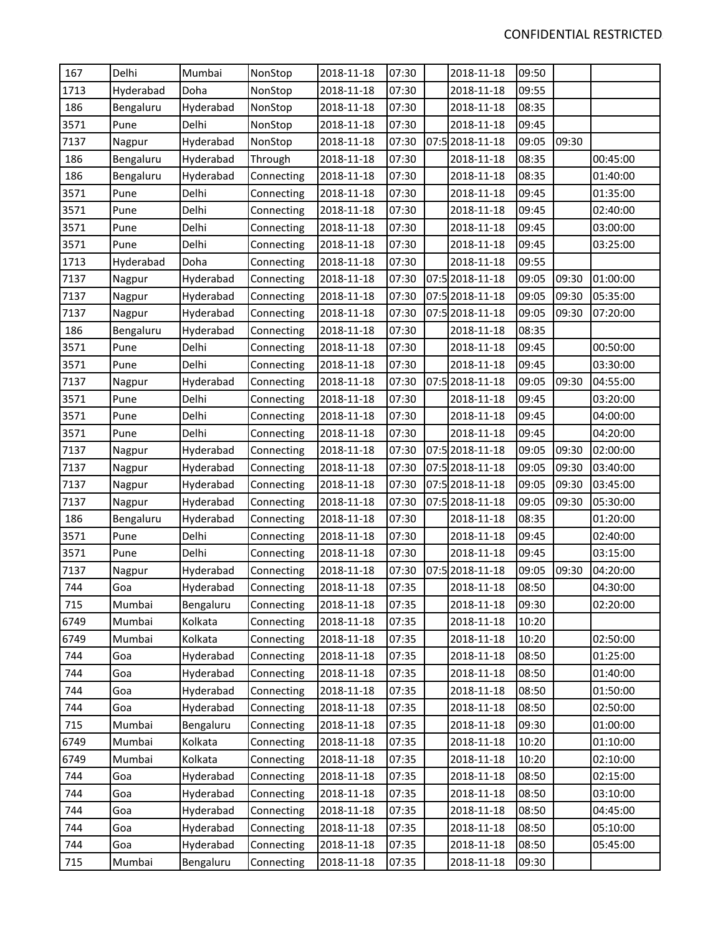| 167  | Delhi     | Mumbai    | NonStop    | 2018-11-18 | 07:30 | 2018-11-18      | 09:50 |       |          |
|------|-----------|-----------|------------|------------|-------|-----------------|-------|-------|----------|
| 1713 | Hyderabad | Doha      | NonStop    | 2018-11-18 | 07:30 | 2018-11-18      | 09:55 |       |          |
| 186  | Bengaluru | Hyderabad | NonStop    | 2018-11-18 | 07:30 | 2018-11-18      | 08:35 |       |          |
| 3571 | Pune      | Delhi     | NonStop    | 2018-11-18 | 07:30 | 2018-11-18      | 09:45 |       |          |
| 7137 | Nagpur    | Hyderabad | NonStop    | 2018-11-18 | 07:30 | 07:5 2018-11-18 | 09:05 | 09:30 |          |
| 186  | Bengaluru | Hyderabad | Through    | 2018-11-18 | 07:30 | 2018-11-18      | 08:35 |       | 00:45:00 |
| 186  | Bengaluru | Hyderabad | Connecting | 2018-11-18 | 07:30 | 2018-11-18      | 08:35 |       | 01:40:00 |
| 3571 | Pune      | Delhi     | Connecting | 2018-11-18 | 07:30 | 2018-11-18      | 09:45 |       | 01:35:00 |
| 3571 | Pune      | Delhi     | Connecting | 2018-11-18 | 07:30 | 2018-11-18      | 09:45 |       | 02:40:00 |
| 3571 | Pune      | Delhi     | Connecting | 2018-11-18 | 07:30 | 2018-11-18      | 09:45 |       | 03:00:00 |
| 3571 | Pune      | Delhi     | Connecting | 2018-11-18 | 07:30 | 2018-11-18      | 09:45 |       | 03:25:00 |
| 1713 | Hyderabad | Doha      | Connecting | 2018-11-18 | 07:30 | 2018-11-18      | 09:55 |       |          |
| 7137 | Nagpur    | Hyderabad | Connecting | 2018-11-18 | 07:30 | 07:5 2018-11-18 | 09:05 | 09:30 | 01:00:00 |
| 7137 | Nagpur    | Hyderabad | Connecting | 2018-11-18 | 07:30 | 07:5 2018-11-18 | 09:05 | 09:30 | 05:35:00 |
| 7137 | Nagpur    | Hyderabad | Connecting | 2018-11-18 | 07:30 | 07:5 2018-11-18 | 09:05 | 09:30 | 07:20:00 |
| 186  | Bengaluru | Hyderabad | Connecting | 2018-11-18 | 07:30 | 2018-11-18      | 08:35 |       |          |
| 3571 | Pune      | Delhi     | Connecting | 2018-11-18 | 07:30 | 2018-11-18      | 09:45 |       | 00:50:00 |
| 3571 | Pune      | Delhi     | Connecting | 2018-11-18 | 07:30 | 2018-11-18      | 09:45 |       | 03:30:00 |
| 7137 | Nagpur    | Hyderabad | Connecting | 2018-11-18 | 07:30 | 07:5 2018-11-18 | 09:05 | 09:30 | 04:55:00 |
| 3571 | Pune      | Delhi     | Connecting | 2018-11-18 | 07:30 | 2018-11-18      | 09:45 |       | 03:20:00 |
| 3571 | Pune      | Delhi     | Connecting | 2018-11-18 | 07:30 | 2018-11-18      | 09:45 |       | 04:00:00 |
| 3571 | Pune      | Delhi     | Connecting | 2018-11-18 | 07:30 | 2018-11-18      | 09:45 |       | 04:20:00 |
| 7137 | Nagpur    | Hyderabad | Connecting | 2018-11-18 | 07:30 | 07:5 2018-11-18 | 09:05 | 09:30 | 02:00:00 |
| 7137 | Nagpur    | Hyderabad | Connecting | 2018-11-18 | 07:30 | 07:5 2018-11-18 | 09:05 | 09:30 | 03:40:00 |
| 7137 | Nagpur    | Hyderabad | Connecting | 2018-11-18 | 07:30 | 07:5 2018-11-18 | 09:05 | 09:30 | 03:45:00 |
| 7137 | Nagpur    | Hyderabad | Connecting | 2018-11-18 | 07:30 | 07:5 2018-11-18 | 09:05 | 09:30 | 05:30:00 |
| 186  | Bengaluru | Hyderabad | Connecting | 2018-11-18 | 07:30 | 2018-11-18      | 08:35 |       | 01:20:00 |
| 3571 | Pune      | Delhi     | Connecting | 2018-11-18 | 07:30 | 2018-11-18      | 09:45 |       | 02:40:00 |
| 3571 | Pune      | Delhi     | Connecting | 2018-11-18 | 07:30 | 2018-11-18      | 09:45 |       | 03:15:00 |
| 7137 | Nagpur    | Hyderabad | Connecting | 2018-11-18 | 07:30 | 07:5 2018-11-18 | 09:05 | 09:30 | 04:20:00 |
| 744  | Goa       | Hyderabad | Connecting | 2018-11-18 | 07:35 | 2018-11-18      | 08:50 |       | 04:30:00 |
| 715  | Mumbai    | Bengaluru | Connecting | 2018-11-18 | 07:35 | 2018-11-18      | 09:30 |       | 02:20:00 |
| 6749 | Mumbai    | Kolkata   | Connecting | 2018-11-18 | 07:35 | 2018-11-18      | 10:20 |       |          |
| 6749 | Mumbai    | Kolkata   | Connecting | 2018-11-18 | 07:35 | 2018-11-18      | 10:20 |       | 02:50:00 |
| 744  | Goa       | Hyderabad | Connecting | 2018-11-18 | 07:35 | 2018-11-18      | 08:50 |       | 01:25:00 |
| 744  | Goa       | Hyderabad | Connecting | 2018-11-18 | 07:35 | 2018-11-18      | 08:50 |       | 01:40:00 |
| 744  | Goa       | Hyderabad | Connecting | 2018-11-18 | 07:35 | 2018-11-18      | 08:50 |       | 01:50:00 |
| 744  | Goa       | Hyderabad | Connecting | 2018-11-18 | 07:35 | 2018-11-18      | 08:50 |       | 02:50:00 |
| 715  | Mumbai    | Bengaluru | Connecting | 2018-11-18 | 07:35 | 2018-11-18      | 09:30 |       | 01:00:00 |
| 6749 | Mumbai    | Kolkata   | Connecting | 2018-11-18 | 07:35 | 2018-11-18      | 10:20 |       | 01:10:00 |
| 6749 | Mumbai    | Kolkata   | Connecting | 2018-11-18 | 07:35 | 2018-11-18      | 10:20 |       | 02:10:00 |
| 744  | Goa       | Hyderabad | Connecting | 2018-11-18 | 07:35 | 2018-11-18      | 08:50 |       | 02:15:00 |
| 744  | Goa       | Hyderabad | Connecting | 2018-11-18 | 07:35 | 2018-11-18      | 08:50 |       | 03:10:00 |
| 744  | Goa       | Hyderabad | Connecting | 2018-11-18 | 07:35 | 2018-11-18      | 08:50 |       | 04:45:00 |
| 744  | Goa       | Hyderabad | Connecting | 2018-11-18 | 07:35 | 2018-11-18      | 08:50 |       | 05:10:00 |
| 744  | Goa       | Hyderabad | Connecting | 2018-11-18 | 07:35 | 2018-11-18      | 08:50 |       | 05:45:00 |
| 715  | Mumbai    | Bengaluru | Connecting | 2018-11-18 | 07:35 | 2018-11-18      | 09:30 |       |          |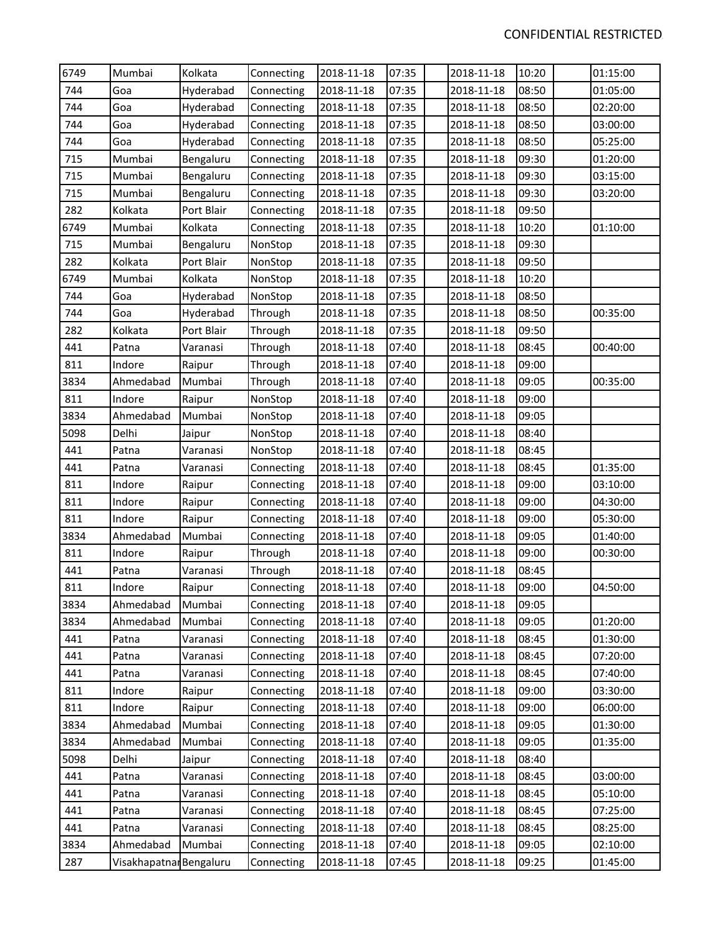| 6749 | Mumbai                  | Kolkata    | Connecting | 2018-11-18 | 07:35 | 2018-11-18 | 10:20 | 01:15:00 |
|------|-------------------------|------------|------------|------------|-------|------------|-------|----------|
| 744  | Goa                     | Hyderabad  | Connecting | 2018-11-18 | 07:35 | 2018-11-18 | 08:50 | 01:05:00 |
| 744  | Goa                     | Hyderabad  | Connecting | 2018-11-18 | 07:35 | 2018-11-18 | 08:50 | 02:20:00 |
| 744  | Goa                     | Hyderabad  | Connecting | 2018-11-18 | 07:35 | 2018-11-18 | 08:50 | 03:00:00 |
| 744  | Goa                     | Hyderabad  | Connecting | 2018-11-18 | 07:35 | 2018-11-18 | 08:50 | 05:25:00 |
| 715  | Mumbai                  | Bengaluru  | Connecting | 2018-11-18 | 07:35 | 2018-11-18 | 09:30 | 01:20:00 |
| 715  | Mumbai                  | Bengaluru  | Connecting | 2018-11-18 | 07:35 | 2018-11-18 | 09:30 | 03:15:00 |
| 715  | Mumbai                  | Bengaluru  | Connecting | 2018-11-18 | 07:35 | 2018-11-18 | 09:30 | 03:20:00 |
| 282  | Kolkata                 | Port Blair | Connecting | 2018-11-18 | 07:35 | 2018-11-18 | 09:50 |          |
| 6749 | Mumbai                  | Kolkata    | Connecting | 2018-11-18 | 07:35 | 2018-11-18 | 10:20 | 01:10:00 |
| 715  | Mumbai                  | Bengaluru  | NonStop    | 2018-11-18 | 07:35 | 2018-11-18 | 09:30 |          |
| 282  | Kolkata                 | Port Blair | NonStop    | 2018-11-18 | 07:35 | 2018-11-18 | 09:50 |          |
| 6749 | Mumbai                  | Kolkata    | NonStop    | 2018-11-18 | 07:35 | 2018-11-18 | 10:20 |          |
| 744  | Goa                     | Hyderabad  | NonStop    | 2018-11-18 | 07:35 | 2018-11-18 | 08:50 |          |
| 744  | Goa                     | Hyderabad  | Through    | 2018-11-18 | 07:35 | 2018-11-18 | 08:50 | 00:35:00 |
| 282  | Kolkata                 | Port Blair | Through    | 2018-11-18 | 07:35 | 2018-11-18 | 09:50 |          |
| 441  | Patna                   | Varanasi   | Through    | 2018-11-18 | 07:40 | 2018-11-18 | 08:45 | 00:40:00 |
| 811  | Indore                  | Raipur     | Through    | 2018-11-18 | 07:40 | 2018-11-18 | 09:00 |          |
| 3834 | Ahmedabad               | Mumbai     | Through    | 2018-11-18 | 07:40 | 2018-11-18 | 09:05 | 00:35:00 |
| 811  | Indore                  | Raipur     | NonStop    | 2018-11-18 | 07:40 | 2018-11-18 | 09:00 |          |
| 3834 | Ahmedabad               | Mumbai     | NonStop    | 2018-11-18 | 07:40 | 2018-11-18 | 09:05 |          |
| 5098 | Delhi                   | Jaipur     | NonStop    | 2018-11-18 | 07:40 | 2018-11-18 | 08:40 |          |
| 441  | Patna                   | Varanasi   | NonStop    | 2018-11-18 | 07:40 | 2018-11-18 | 08:45 |          |
| 441  | Patna                   | Varanasi   | Connecting | 2018-11-18 | 07:40 | 2018-11-18 | 08:45 | 01:35:00 |
| 811  | Indore                  | Raipur     | Connecting | 2018-11-18 | 07:40 | 2018-11-18 | 09:00 | 03:10:00 |
| 811  | Indore                  | Raipur     | Connecting | 2018-11-18 | 07:40 | 2018-11-18 | 09:00 | 04:30:00 |
| 811  | Indore                  | Raipur     | Connecting | 2018-11-18 | 07:40 | 2018-11-18 | 09:00 | 05:30:00 |
| 3834 | Ahmedabad               | Mumbai     | Connecting | 2018-11-18 | 07:40 | 2018-11-18 | 09:05 | 01:40:00 |
| 811  | Indore                  | Raipur     | Through    | 2018-11-18 | 07:40 | 2018-11-18 | 09:00 | 00:30:00 |
| 441  | Patna                   | Varanasi   | Through    | 2018-11-18 | 07:40 | 2018-11-18 | 08:45 |          |
| 811  | Indore                  | Raipur     | Connecting | 2018-11-18 | 07:40 | 2018-11-18 | 09:00 | 04:50:00 |
| 3834 | Ahmedabad               | Mumbai     | Connecting | 2018-11-18 | 07:40 | 2018-11-18 | 09:05 |          |
| 3834 | Ahmedabad               | Mumbai     | Connecting | 2018-11-18 | 07:40 | 2018-11-18 | 09:05 | 01:20:00 |
| 441  | Patna                   | Varanasi   | Connecting | 2018-11-18 | 07:40 | 2018-11-18 | 08:45 | 01:30:00 |
| 441  | Patna                   | Varanasi   | Connecting | 2018-11-18 | 07:40 | 2018-11-18 | 08:45 | 07:20:00 |
| 441  | Patna                   | Varanasi   | Connecting | 2018-11-18 | 07:40 | 2018-11-18 | 08:45 | 07:40:00 |
| 811  | Indore                  | Raipur     | Connecting | 2018-11-18 | 07:40 | 2018-11-18 | 09:00 | 03:30:00 |
| 811  | Indore                  | Raipur     | Connecting | 2018-11-18 | 07:40 | 2018-11-18 | 09:00 | 06:00:00 |
| 3834 | Ahmedabad               | Mumbai     | Connecting | 2018-11-18 | 07:40 | 2018-11-18 | 09:05 | 01:30:00 |
| 3834 | Ahmedabad               | Mumbai     | Connecting | 2018-11-18 | 07:40 | 2018-11-18 | 09:05 | 01:35:00 |
| 5098 | Delhi                   | Jaipur     | Connecting | 2018-11-18 | 07:40 | 2018-11-18 | 08:40 |          |
| 441  | Patna                   | Varanasi   | Connecting | 2018-11-18 | 07:40 | 2018-11-18 | 08:45 | 03:00:00 |
| 441  | Patna                   | Varanasi   | Connecting | 2018-11-18 | 07:40 | 2018-11-18 | 08:45 | 05:10:00 |
| 441  | Patna                   | Varanasi   | Connecting | 2018-11-18 | 07:40 | 2018-11-18 | 08:45 | 07:25:00 |
| 441  | Patna                   | Varanasi   | Connecting | 2018-11-18 | 07:40 | 2018-11-18 | 08:45 | 08:25:00 |
| 3834 | Ahmedabad               | Mumbai     | Connecting | 2018-11-18 | 07:40 | 2018-11-18 | 09:05 | 02:10:00 |
| 287  | Visakhapatnar Bengaluru |            | Connecting | 2018-11-18 | 07:45 | 2018-11-18 | 09:25 | 01:45:00 |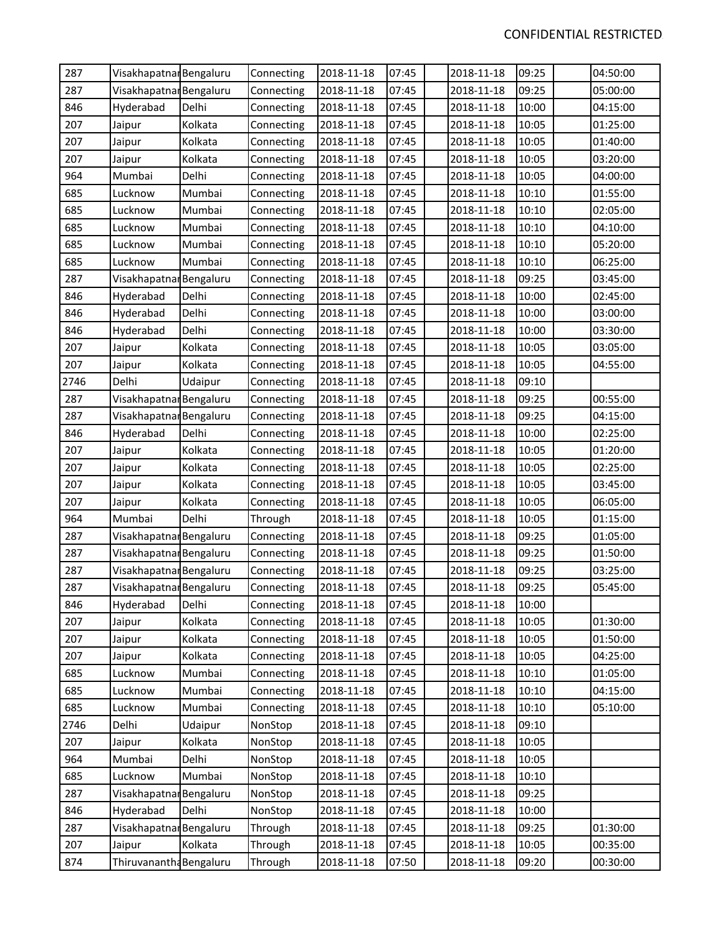| 287  | Visakhapatnar Bengaluru |         | Connecting | 2018-11-18 | 07:45 | 2018-11-18 | 09:25 | 04:50:00 |
|------|-------------------------|---------|------------|------------|-------|------------|-------|----------|
| 287  | Visakhapatnar Bengaluru |         | Connecting | 2018-11-18 | 07:45 | 2018-11-18 | 09:25 | 05:00:00 |
| 846  | Hyderabad               | Delhi   | Connecting | 2018-11-18 | 07:45 | 2018-11-18 | 10:00 | 04:15:00 |
| 207  | Jaipur                  | Kolkata | Connecting | 2018-11-18 | 07:45 | 2018-11-18 | 10:05 | 01:25:00 |
| 207  | Jaipur                  | Kolkata | Connecting | 2018-11-18 | 07:45 | 2018-11-18 | 10:05 | 01:40:00 |
| 207  | Jaipur                  | Kolkata | Connecting | 2018-11-18 | 07:45 | 2018-11-18 | 10:05 | 03:20:00 |
| 964  | Mumbai                  | Delhi   | Connecting | 2018-11-18 | 07:45 | 2018-11-18 | 10:05 | 04:00:00 |
| 685  | Lucknow                 | Mumbai  | Connecting | 2018-11-18 | 07:45 | 2018-11-18 | 10:10 | 01:55:00 |
| 685  | Lucknow                 | Mumbai  | Connecting | 2018-11-18 | 07:45 | 2018-11-18 | 10:10 | 02:05:00 |
| 685  | Lucknow                 | Mumbai  | Connecting | 2018-11-18 | 07:45 | 2018-11-18 | 10:10 | 04:10:00 |
| 685  | Lucknow                 | Mumbai  | Connecting | 2018-11-18 | 07:45 | 2018-11-18 | 10:10 | 05:20:00 |
| 685  | Lucknow                 | Mumbai  | Connecting | 2018-11-18 | 07:45 | 2018-11-18 | 10:10 | 06:25:00 |
| 287  | Visakhapatnar Bengaluru |         | Connecting | 2018-11-18 | 07:45 | 2018-11-18 | 09:25 | 03:45:00 |
| 846  | Hyderabad               | Delhi   | Connecting | 2018-11-18 | 07:45 | 2018-11-18 | 10:00 | 02:45:00 |
| 846  | Hyderabad               | Delhi   | Connecting | 2018-11-18 | 07:45 | 2018-11-18 | 10:00 | 03:00:00 |
| 846  | Hyderabad               | Delhi   | Connecting | 2018-11-18 | 07:45 | 2018-11-18 | 10:00 | 03:30:00 |
| 207  | Jaipur                  | Kolkata | Connecting | 2018-11-18 | 07:45 | 2018-11-18 | 10:05 | 03:05:00 |
| 207  | Jaipur                  | Kolkata | Connecting | 2018-11-18 | 07:45 | 2018-11-18 | 10:05 | 04:55:00 |
| 2746 | Delhi                   | Udaipur | Connecting | 2018-11-18 | 07:45 | 2018-11-18 | 09:10 |          |
| 287  | Visakhapatnar Bengaluru |         | Connecting | 2018-11-18 | 07:45 | 2018-11-18 | 09:25 | 00:55:00 |
| 287  | Visakhapatnar Bengaluru |         | Connecting | 2018-11-18 | 07:45 | 2018-11-18 | 09:25 | 04:15:00 |
| 846  | Hyderabad               | Delhi   | Connecting | 2018-11-18 | 07:45 | 2018-11-18 | 10:00 | 02:25:00 |
| 207  | Jaipur                  | Kolkata | Connecting | 2018-11-18 | 07:45 | 2018-11-18 | 10:05 | 01:20:00 |
| 207  | Jaipur                  | Kolkata | Connecting | 2018-11-18 | 07:45 | 2018-11-18 | 10:05 | 02:25:00 |
| 207  | Jaipur                  | Kolkata | Connecting | 2018-11-18 | 07:45 | 2018-11-18 | 10:05 | 03:45:00 |
| 207  | Jaipur                  | Kolkata | Connecting | 2018-11-18 | 07:45 | 2018-11-18 | 10:05 | 06:05:00 |
| 964  | Mumbai                  | Delhi   | Through    | 2018-11-18 | 07:45 | 2018-11-18 | 10:05 | 01:15:00 |
| 287  | Visakhapatnar Bengaluru |         | Connecting | 2018-11-18 | 07:45 | 2018-11-18 | 09:25 | 01:05:00 |
| 287  | Visakhapatnar Bengaluru |         | Connecting | 2018-11-18 | 07:45 | 2018-11-18 | 09:25 | 01:50:00 |
| 287  | Visakhapatnar Bengaluru |         | Connecting | 2018-11-18 | 07:45 | 2018-11-18 | 09:25 | 03:25:00 |
| 287  | Visakhapatnar Bengaluru |         | Connecting | 2018-11-18 | 07:45 | 2018-11-18 | 09:25 | 05:45:00 |
| 846  | Hyderabad               | Delhi   | Connecting | 2018-11-18 | 07:45 | 2018-11-18 | 10:00 |          |
| 207  | Jaipur                  | Kolkata | Connecting | 2018-11-18 | 07:45 | 2018-11-18 | 10:05 | 01:30:00 |
| 207  | Jaipur                  | Kolkata | Connecting | 2018-11-18 | 07:45 | 2018-11-18 | 10:05 | 01:50:00 |
| 207  | Jaipur                  | Kolkata | Connecting | 2018-11-18 | 07:45 | 2018-11-18 | 10:05 | 04:25:00 |
| 685  | Lucknow                 | Mumbai  | Connecting | 2018-11-18 | 07:45 | 2018-11-18 | 10:10 | 01:05:00 |
| 685  | Lucknow                 | Mumbai  | Connecting | 2018-11-18 | 07:45 | 2018-11-18 | 10:10 | 04:15:00 |
| 685  | Lucknow                 | Mumbai  | Connecting | 2018-11-18 | 07:45 | 2018-11-18 | 10:10 | 05:10:00 |
| 2746 | Delhi                   | Udaipur | NonStop    | 2018-11-18 | 07:45 | 2018-11-18 | 09:10 |          |
| 207  | Jaipur                  | Kolkata | NonStop    | 2018-11-18 | 07:45 | 2018-11-18 | 10:05 |          |
| 964  | Mumbai                  | Delhi   | NonStop    | 2018-11-18 | 07:45 | 2018-11-18 | 10:05 |          |
| 685  | Lucknow                 | Mumbai  | NonStop    | 2018-11-18 | 07:45 | 2018-11-18 | 10:10 |          |
| 287  | Visakhapatnar Bengaluru |         | NonStop    | 2018-11-18 | 07:45 | 2018-11-18 | 09:25 |          |
| 846  | Hyderabad               | Delhi   | NonStop    | 2018-11-18 | 07:45 | 2018-11-18 | 10:00 |          |
| 287  | Visakhapatnar Bengaluru |         | Through    | 2018-11-18 | 07:45 | 2018-11-18 | 09:25 | 01:30:00 |
| 207  | Jaipur                  | Kolkata | Through    | 2018-11-18 | 07:45 | 2018-11-18 | 10:05 | 00:35:00 |
| 874  | Thiruvanantha Bengaluru |         | Through    | 2018-11-18 | 07:50 | 2018-11-18 | 09:20 | 00:30:00 |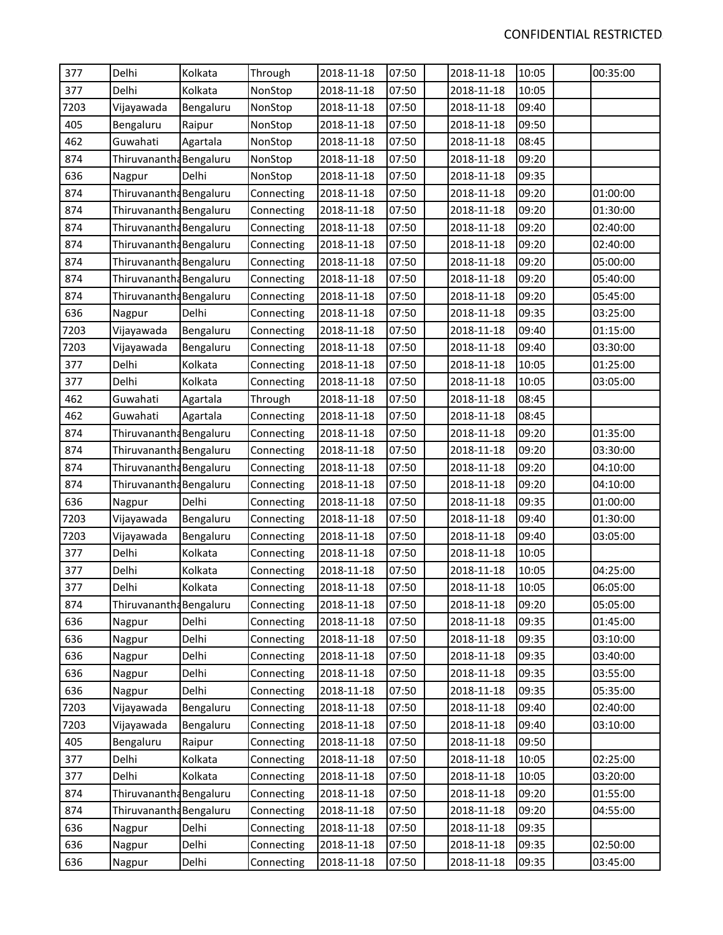| 377  | Delhi                   | Kolkata   | Through    | 2018-11-18 | 07:50 | 2018-11-18 | 10:05 | 00:35:00 |
|------|-------------------------|-----------|------------|------------|-------|------------|-------|----------|
| 377  | Delhi                   | Kolkata   | NonStop    | 2018-11-18 | 07:50 | 2018-11-18 | 10:05 |          |
| 7203 | Vijayawada              | Bengaluru | NonStop    | 2018-11-18 | 07:50 | 2018-11-18 | 09:40 |          |
| 405  | Bengaluru               | Raipur    | NonStop    | 2018-11-18 | 07:50 | 2018-11-18 | 09:50 |          |
| 462  | Guwahati                | Agartala  | NonStop    | 2018-11-18 | 07:50 | 2018-11-18 | 08:45 |          |
| 874  | Thiruvanantha Bengaluru |           | NonStop    | 2018-11-18 | 07:50 | 2018-11-18 | 09:20 |          |
| 636  | Nagpur                  | Delhi     | NonStop    | 2018-11-18 | 07:50 | 2018-11-18 | 09:35 |          |
| 874  | Thiruvanantha Bengaluru |           | Connecting | 2018-11-18 | 07:50 | 2018-11-18 | 09:20 | 01:00:00 |
| 874  | Thiruvanantha Bengaluru |           | Connecting | 2018-11-18 | 07:50 | 2018-11-18 | 09:20 | 01:30:00 |
| 874  | Thiruvanantha Bengaluru |           | Connecting | 2018-11-18 | 07:50 | 2018-11-18 | 09:20 | 02:40:00 |
| 874  | Thiruvanantha Bengaluru |           | Connecting | 2018-11-18 | 07:50 | 2018-11-18 | 09:20 | 02:40:00 |
| 874  | Thiruvanantha Bengaluru |           | Connecting | 2018-11-18 | 07:50 | 2018-11-18 | 09:20 | 05:00:00 |
| 874  | Thiruvanantha Bengaluru |           | Connecting | 2018-11-18 | 07:50 | 2018-11-18 | 09:20 | 05:40:00 |
| 874  | Thiruvanantha Bengaluru |           | Connecting | 2018-11-18 | 07:50 | 2018-11-18 | 09:20 | 05:45:00 |
| 636  | Nagpur                  | Delhi     | Connecting | 2018-11-18 | 07:50 | 2018-11-18 | 09:35 | 03:25:00 |
| 7203 | Vijayawada              | Bengaluru | Connecting | 2018-11-18 | 07:50 | 2018-11-18 | 09:40 | 01:15:00 |
| 7203 | Vijayawada              | Bengaluru | Connecting | 2018-11-18 | 07:50 | 2018-11-18 | 09:40 | 03:30:00 |
| 377  | Delhi                   | Kolkata   | Connecting | 2018-11-18 | 07:50 | 2018-11-18 | 10:05 | 01:25:00 |
| 377  | Delhi                   | Kolkata   | Connecting | 2018-11-18 | 07:50 | 2018-11-18 | 10:05 | 03:05:00 |
| 462  | Guwahati                | Agartala  | Through    | 2018-11-18 | 07:50 | 2018-11-18 | 08:45 |          |
| 462  | Guwahati                | Agartala  | Connecting | 2018-11-18 | 07:50 | 2018-11-18 | 08:45 |          |
| 874  | Thiruvanantha Bengaluru |           | Connecting | 2018-11-18 | 07:50 | 2018-11-18 | 09:20 | 01:35:00 |
| 874  | Thiruvanantha Bengaluru |           | Connecting | 2018-11-18 | 07:50 | 2018-11-18 | 09:20 | 03:30:00 |
| 874  | Thiruvanantha Bengaluru |           | Connecting | 2018-11-18 | 07:50 | 2018-11-18 | 09:20 | 04:10:00 |
| 874  | Thiruvanantha Bengaluru |           | Connecting | 2018-11-18 | 07:50 | 2018-11-18 | 09:20 | 04:10:00 |
| 636  | Nagpur                  | Delhi     | Connecting | 2018-11-18 | 07:50 | 2018-11-18 | 09:35 | 01:00:00 |
| 7203 | Vijayawada              | Bengaluru | Connecting | 2018-11-18 | 07:50 | 2018-11-18 | 09:40 | 01:30:00 |
| 7203 | Vijayawada              | Bengaluru | Connecting | 2018-11-18 | 07:50 | 2018-11-18 | 09:40 | 03:05:00 |
| 377  | Delhi                   | Kolkata   | Connecting | 2018-11-18 | 07:50 | 2018-11-18 | 10:05 |          |
| 377  | Delhi                   | Kolkata   | Connecting | 2018-11-18 | 07:50 | 2018-11-18 | 10:05 | 04:25:00 |
| 377  | Delhi                   | Kolkata   | Connecting | 2018-11-18 | 07:50 | 2018-11-18 | 10:05 | 06:05:00 |
| 874  | Thiruvanantha Bengaluru |           | Connecting | 2018-11-18 | 07:50 | 2018-11-18 | 09:20 | 05:05:00 |
| 636  | Nagpur                  | Delhi     | Connecting | 2018-11-18 | 07:50 | 2018-11-18 | 09:35 | 01:45:00 |
| 636  | Nagpur                  | Delhi     | Connecting | 2018-11-18 | 07:50 | 2018-11-18 | 09:35 | 03:10:00 |
| 636  | Nagpur                  | Delhi     | Connecting | 2018-11-18 | 07:50 | 2018-11-18 | 09:35 | 03:40:00 |
| 636  | Nagpur                  | Delhi     | Connecting | 2018-11-18 | 07:50 | 2018-11-18 | 09:35 | 03:55:00 |
| 636  | Nagpur                  | Delhi     | Connecting | 2018-11-18 | 07:50 | 2018-11-18 | 09:35 | 05:35:00 |
| 7203 | Vijayawada              | Bengaluru | Connecting | 2018-11-18 | 07:50 | 2018-11-18 | 09:40 | 02:40:00 |
| 7203 | Vijayawada              | Bengaluru | Connecting | 2018-11-18 | 07:50 | 2018-11-18 | 09:40 | 03:10:00 |
| 405  | Bengaluru               | Raipur    | Connecting | 2018-11-18 | 07:50 | 2018-11-18 | 09:50 |          |
| 377  | Delhi                   | Kolkata   | Connecting | 2018-11-18 | 07:50 | 2018-11-18 | 10:05 | 02:25:00 |
| 377  | Delhi                   | Kolkata   | Connecting | 2018-11-18 | 07:50 | 2018-11-18 | 10:05 | 03:20:00 |
| 874  | Thiruvanantha Bengaluru |           | Connecting | 2018-11-18 | 07:50 | 2018-11-18 | 09:20 | 01:55:00 |
| 874  | Thiruvanantha Bengaluru |           | Connecting | 2018-11-18 | 07:50 | 2018-11-18 | 09:20 | 04:55:00 |
| 636  | Nagpur                  | Delhi     | Connecting | 2018-11-18 | 07:50 | 2018-11-18 | 09:35 |          |
| 636  | Nagpur                  | Delhi     | Connecting | 2018-11-18 | 07:50 | 2018-11-18 | 09:35 | 02:50:00 |
| 636  | Nagpur                  | Delhi     | Connecting | 2018-11-18 | 07:50 | 2018-11-18 | 09:35 | 03:45:00 |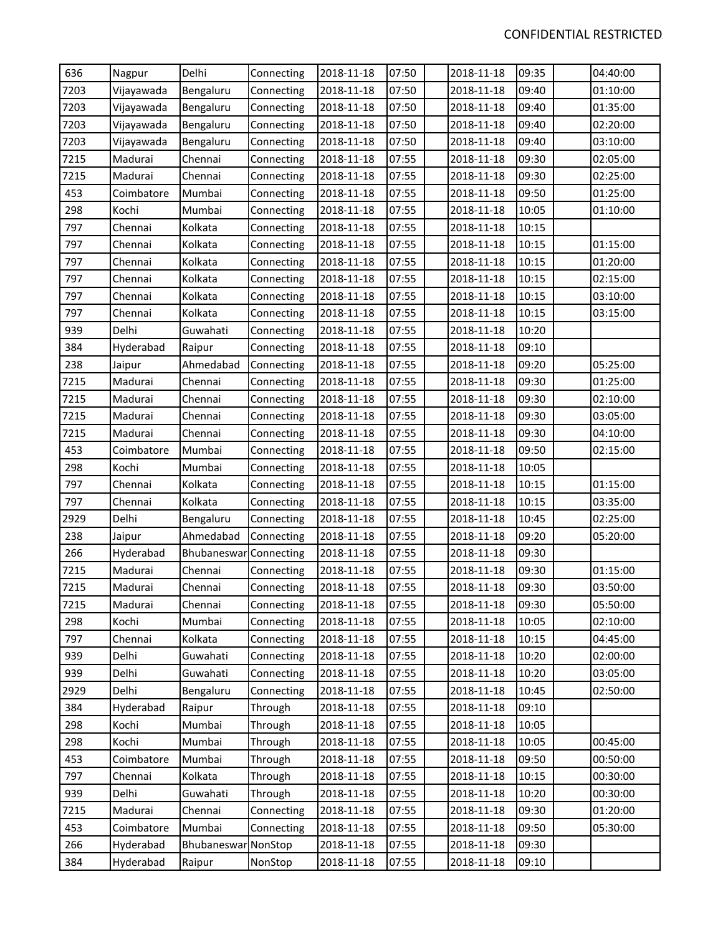| 636  | Nagpur     | Delhi                  | Connecting | 2018-11-18 | 07:50 | 2018-11-18 | 09:35 | 04:40:00 |
|------|------------|------------------------|------------|------------|-------|------------|-------|----------|
| 7203 | Vijayawada | Bengaluru              | Connecting | 2018-11-18 | 07:50 | 2018-11-18 | 09:40 | 01:10:00 |
| 7203 | Vijayawada | Bengaluru              | Connecting | 2018-11-18 | 07:50 | 2018-11-18 | 09:40 | 01:35:00 |
| 7203 | Vijayawada | Bengaluru              | Connecting | 2018-11-18 | 07:50 | 2018-11-18 | 09:40 | 02:20:00 |
| 7203 | Vijayawada | Bengaluru              | Connecting | 2018-11-18 | 07:50 | 2018-11-18 | 09:40 | 03:10:00 |
| 7215 | Madurai    | Chennai                | Connecting | 2018-11-18 | 07:55 | 2018-11-18 | 09:30 | 02:05:00 |
| 7215 | Madurai    | Chennai                | Connecting | 2018-11-18 | 07:55 | 2018-11-18 | 09:30 | 02:25:00 |
| 453  | Coimbatore | Mumbai                 | Connecting | 2018-11-18 | 07:55 | 2018-11-18 | 09:50 | 01:25:00 |
| 298  | Kochi      | Mumbai                 | Connecting | 2018-11-18 | 07:55 | 2018-11-18 | 10:05 | 01:10:00 |
| 797  | Chennai    | Kolkata                | Connecting | 2018-11-18 | 07:55 | 2018-11-18 | 10:15 |          |
| 797  | Chennai    | Kolkata                | Connecting | 2018-11-18 | 07:55 | 2018-11-18 | 10:15 | 01:15:00 |
| 797  | Chennai    | Kolkata                | Connecting | 2018-11-18 | 07:55 | 2018-11-18 | 10:15 | 01:20:00 |
| 797  | Chennai    | Kolkata                | Connecting | 2018-11-18 | 07:55 | 2018-11-18 | 10:15 | 02:15:00 |
| 797  | Chennai    | Kolkata                | Connecting | 2018-11-18 | 07:55 | 2018-11-18 | 10:15 | 03:10:00 |
| 797  | Chennai    | Kolkata                | Connecting | 2018-11-18 | 07:55 | 2018-11-18 | 10:15 | 03:15:00 |
| 939  | Delhi      | Guwahati               | Connecting | 2018-11-18 | 07:55 | 2018-11-18 | 10:20 |          |
| 384  | Hyderabad  | Raipur                 | Connecting | 2018-11-18 | 07:55 | 2018-11-18 | 09:10 |          |
| 238  | Jaipur     | Ahmedabad              | Connecting | 2018-11-18 | 07:55 | 2018-11-18 | 09:20 | 05:25:00 |
| 7215 | Madurai    | Chennai                | Connecting | 2018-11-18 | 07:55 | 2018-11-18 | 09:30 | 01:25:00 |
| 7215 | Madurai    | Chennai                | Connecting | 2018-11-18 | 07:55 | 2018-11-18 | 09:30 | 02:10:00 |
| 7215 | Madurai    | Chennai                | Connecting | 2018-11-18 | 07:55 | 2018-11-18 | 09:30 | 03:05:00 |
| 7215 | Madurai    | Chennai                | Connecting | 2018-11-18 | 07:55 | 2018-11-18 | 09:30 | 04:10:00 |
| 453  | Coimbatore | Mumbai                 | Connecting | 2018-11-18 | 07:55 | 2018-11-18 | 09:50 | 02:15:00 |
| 298  | Kochi      | Mumbai                 | Connecting | 2018-11-18 | 07:55 | 2018-11-18 | 10:05 |          |
| 797  | Chennai    | Kolkata                | Connecting | 2018-11-18 | 07:55 | 2018-11-18 | 10:15 | 01:15:00 |
| 797  | Chennai    | Kolkata                | Connecting | 2018-11-18 | 07:55 | 2018-11-18 | 10:15 | 03:35:00 |
| 2929 | Delhi      | Bengaluru              | Connecting | 2018-11-18 | 07:55 | 2018-11-18 | 10:45 | 02:25:00 |
| 238  | Jaipur     | Ahmedabad              | Connecting | 2018-11-18 | 07:55 | 2018-11-18 | 09:20 | 05:20:00 |
| 266  | Hyderabad  | Bhubaneswar Connecting |            | 2018-11-18 | 07:55 | 2018-11-18 | 09:30 |          |
| 7215 | Madurai    | Chennai                | Connecting | 2018-11-18 | 07:55 | 2018-11-18 | 09:30 | 01:15:00 |
| 7215 | Madurai    | Chennai                | Connecting | 2018-11-18 | 07:55 | 2018-11-18 | 09:30 | 03:50:00 |
| 7215 | Madurai    | Chennai                | Connecting | 2018-11-18 | 07:55 | 2018-11-18 | 09:30 | 05:50:00 |
| 298  | Kochi      | Mumbai                 | Connecting | 2018-11-18 | 07:55 | 2018-11-18 | 10:05 | 02:10:00 |
| 797  | Chennai    | Kolkata                | Connecting | 2018-11-18 | 07:55 | 2018-11-18 | 10:15 | 04:45:00 |
| 939  | Delhi      | Guwahati               | Connecting | 2018-11-18 | 07:55 | 2018-11-18 | 10:20 | 02:00:00 |
| 939  | Delhi      | Guwahati               | Connecting | 2018-11-18 | 07:55 | 2018-11-18 | 10:20 | 03:05:00 |
| 2929 | Delhi      | Bengaluru              | Connecting | 2018-11-18 | 07:55 | 2018-11-18 | 10:45 | 02:50:00 |
| 384  | Hyderabad  | Raipur                 | Through    | 2018-11-18 | 07:55 | 2018-11-18 | 09:10 |          |
| 298  | Kochi      | Mumbai                 | Through    | 2018-11-18 | 07:55 | 2018-11-18 | 10:05 |          |
| 298  | Kochi      | Mumbai                 | Through    | 2018-11-18 | 07:55 | 2018-11-18 | 10:05 | 00:45:00 |
| 453  | Coimbatore | Mumbai                 | Through    | 2018-11-18 | 07:55 | 2018-11-18 | 09:50 | 00:50:00 |
| 797  | Chennai    | Kolkata                | Through    | 2018-11-18 | 07:55 | 2018-11-18 | 10:15 | 00:30:00 |
| 939  | Delhi      | Guwahati               | Through    | 2018-11-18 | 07:55 | 2018-11-18 | 10:20 | 00:30:00 |
| 7215 | Madurai    | Chennai                | Connecting | 2018-11-18 | 07:55 | 2018-11-18 | 09:30 | 01:20:00 |
| 453  | Coimbatore | Mumbai                 | Connecting | 2018-11-18 | 07:55 | 2018-11-18 | 09:50 | 05:30:00 |
| 266  | Hyderabad  | Bhubaneswar NonStop    |            | 2018-11-18 | 07:55 | 2018-11-18 | 09:30 |          |
| 384  | Hyderabad  | Raipur                 | NonStop    | 2018-11-18 | 07:55 | 2018-11-18 | 09:10 |          |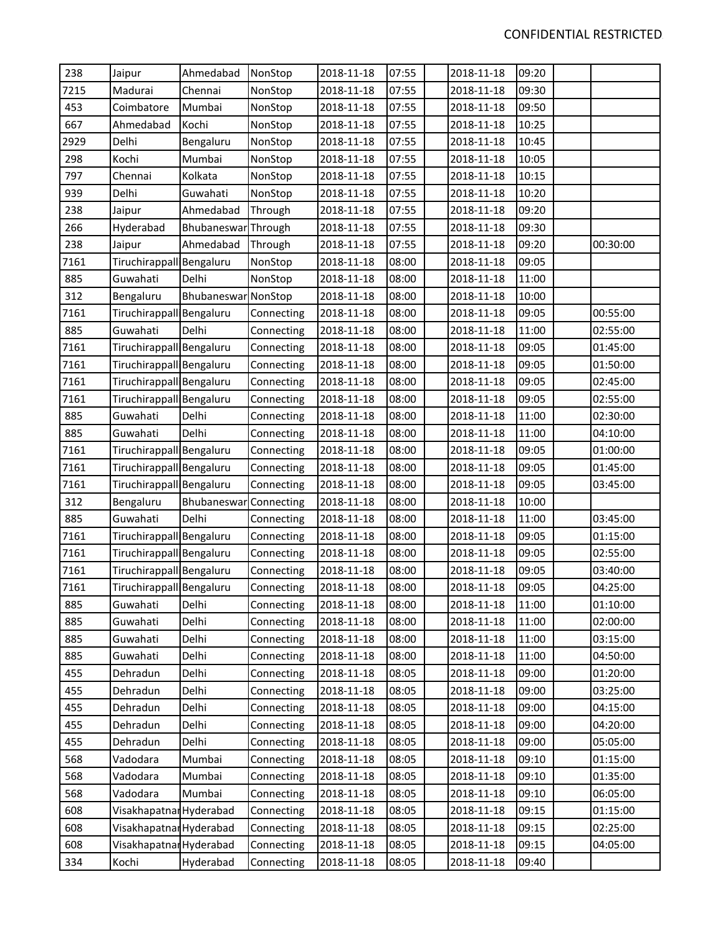| 238  | Jaipur                   | Ahmedabad           | NonStop    | 2018-11-18 | 07:55 | 2018-11-18 | 09:20 |          |
|------|--------------------------|---------------------|------------|------------|-------|------------|-------|----------|
| 7215 | Madurai                  | Chennai             | NonStop    | 2018-11-18 | 07:55 | 2018-11-18 | 09:30 |          |
| 453  | Coimbatore               | Mumbai              | NonStop    | 2018-11-18 | 07:55 | 2018-11-18 | 09:50 |          |
| 667  | Ahmedabad                | Kochi               | NonStop    | 2018-11-18 | 07:55 | 2018-11-18 | 10:25 |          |
| 2929 | Delhi                    | Bengaluru           | NonStop    | 2018-11-18 | 07:55 | 2018-11-18 | 10:45 |          |
| 298  | Kochi                    | Mumbai              | NonStop    | 2018-11-18 | 07:55 | 2018-11-18 | 10:05 |          |
| 797  | Chennai                  | Kolkata             | NonStop    | 2018-11-18 | 07:55 | 2018-11-18 | 10:15 |          |
| 939  | Delhi                    | Guwahati            | NonStop    | 2018-11-18 | 07:55 | 2018-11-18 | 10:20 |          |
| 238  | Jaipur                   | Ahmedabad           | Through    | 2018-11-18 | 07:55 | 2018-11-18 | 09:20 |          |
| 266  | Hyderabad                | Bhubaneswar Through |            | 2018-11-18 | 07:55 | 2018-11-18 | 09:30 |          |
| 238  | Jaipur                   | Ahmedabad           | Through    | 2018-11-18 | 07:55 | 2018-11-18 | 09:20 | 00:30:00 |
| 7161 | Tiruchirappall Bengaluru |                     | NonStop    | 2018-11-18 | 08:00 | 2018-11-18 | 09:05 |          |
| 885  | Guwahati                 | Delhi               | NonStop    | 2018-11-18 | 08:00 | 2018-11-18 | 11:00 |          |
| 312  | Bengaluru                | Bhubaneswar NonStop |            | 2018-11-18 | 08:00 | 2018-11-18 | 10:00 |          |
| 7161 | Tiruchirappall Bengaluru |                     | Connecting | 2018-11-18 | 08:00 | 2018-11-18 | 09:05 | 00:55:00 |
| 885  | Guwahati                 | Delhi               | Connecting | 2018-11-18 | 08:00 | 2018-11-18 | 11:00 | 02:55:00 |
| 7161 | Tiruchirappall Bengaluru |                     | Connecting | 2018-11-18 | 08:00 | 2018-11-18 | 09:05 | 01:45:00 |
| 7161 | Tiruchirappall Bengaluru |                     | Connecting | 2018-11-18 | 08:00 | 2018-11-18 | 09:05 | 01:50:00 |
| 7161 | Tiruchirappall Bengaluru |                     | Connecting | 2018-11-18 | 08:00 | 2018-11-18 | 09:05 | 02:45:00 |
| 7161 | Tiruchirappall Bengaluru |                     | Connecting | 2018-11-18 | 08:00 | 2018-11-18 | 09:05 | 02:55:00 |
| 885  | Guwahati                 | Delhi               | Connecting | 2018-11-18 | 08:00 | 2018-11-18 | 11:00 | 02:30:00 |
| 885  | Guwahati                 | Delhi               | Connecting | 2018-11-18 | 08:00 | 2018-11-18 | 11:00 | 04:10:00 |
| 7161 | Tiruchirappall Bengaluru |                     | Connecting | 2018-11-18 | 08:00 | 2018-11-18 | 09:05 | 01:00:00 |
| 7161 | Tiruchirappall Bengaluru |                     | Connecting | 2018-11-18 | 08:00 | 2018-11-18 | 09:05 | 01:45:00 |
| 7161 | Tiruchirappall Bengaluru |                     | Connecting | 2018-11-18 | 08:00 | 2018-11-18 | 09:05 | 03:45:00 |
| 312  | Bengaluru                | Bhubaneswar         | Connecting | 2018-11-18 | 08:00 | 2018-11-18 | 10:00 |          |
| 885  | Guwahati                 | Delhi               | Connecting | 2018-11-18 | 08:00 | 2018-11-18 | 11:00 | 03:45:00 |
| 7161 | Tiruchirappall Bengaluru |                     | Connecting | 2018-11-18 | 08:00 | 2018-11-18 | 09:05 | 01:15:00 |
| 7161 | Tiruchirappall Bengaluru |                     | Connecting | 2018-11-18 | 08:00 | 2018-11-18 | 09:05 | 02:55:00 |
| 7161 | Tiruchirappall Bengaluru |                     | Connecting | 2018-11-18 | 08:00 | 2018-11-18 | 09:05 | 03:40:00 |
| 7161 | Tiruchirappall Bengaluru |                     | Connecting | 2018-11-18 | 08:00 | 2018-11-18 | 09:05 | 04:25:00 |
| 885  | Guwahati                 | Delhi               | Connecting | 2018-11-18 | 08:00 | 2018-11-18 | 11:00 | 01:10:00 |
| 885  | Guwahati                 | Delhi               | Connecting | 2018-11-18 | 08:00 | 2018-11-18 | 11:00 | 02:00:00 |
| 885  | Guwahati                 | Delhi               | Connecting | 2018-11-18 | 08:00 | 2018-11-18 | 11:00 | 03:15:00 |
| 885  | Guwahati                 | Delhi               | Connecting | 2018-11-18 | 08:00 | 2018-11-18 | 11:00 | 04:50:00 |
| 455  | Dehradun                 | Delhi               | Connecting | 2018-11-18 | 08:05 | 2018-11-18 | 09:00 | 01:20:00 |
| 455  | Dehradun                 | Delhi               | Connecting | 2018-11-18 | 08:05 | 2018-11-18 | 09:00 | 03:25:00 |
| 455  | Dehradun                 | Delhi               | Connecting | 2018-11-18 | 08:05 | 2018-11-18 | 09:00 | 04:15:00 |
| 455  | Dehradun                 | Delhi               | Connecting | 2018-11-18 | 08:05 | 2018-11-18 | 09:00 | 04:20:00 |
| 455  | Dehradun                 | Delhi               | Connecting | 2018-11-18 | 08:05 | 2018-11-18 | 09:00 | 05:05:00 |
| 568  | Vadodara                 | Mumbai              | Connecting | 2018-11-18 | 08:05 | 2018-11-18 | 09:10 | 01:15:00 |
| 568  | Vadodara                 | Mumbai              | Connecting | 2018-11-18 | 08:05 | 2018-11-18 | 09:10 | 01:35:00 |
| 568  | Vadodara                 | Mumbai              | Connecting | 2018-11-18 | 08:05 | 2018-11-18 | 09:10 | 06:05:00 |
| 608  | Visakhapatnar Hyderabad  |                     | Connecting | 2018-11-18 | 08:05 | 2018-11-18 | 09:15 | 01:15:00 |
| 608  | Visakhapatnar Hyderabad  |                     | Connecting | 2018-11-18 | 08:05 | 2018-11-18 | 09:15 | 02:25:00 |
| 608  | Visakhapatnar Hyderabad  |                     | Connecting | 2018-11-18 | 08:05 | 2018-11-18 | 09:15 | 04:05:00 |
| 334  | Kochi                    | Hyderabad           | Connecting | 2018-11-18 | 08:05 | 2018-11-18 | 09:40 |          |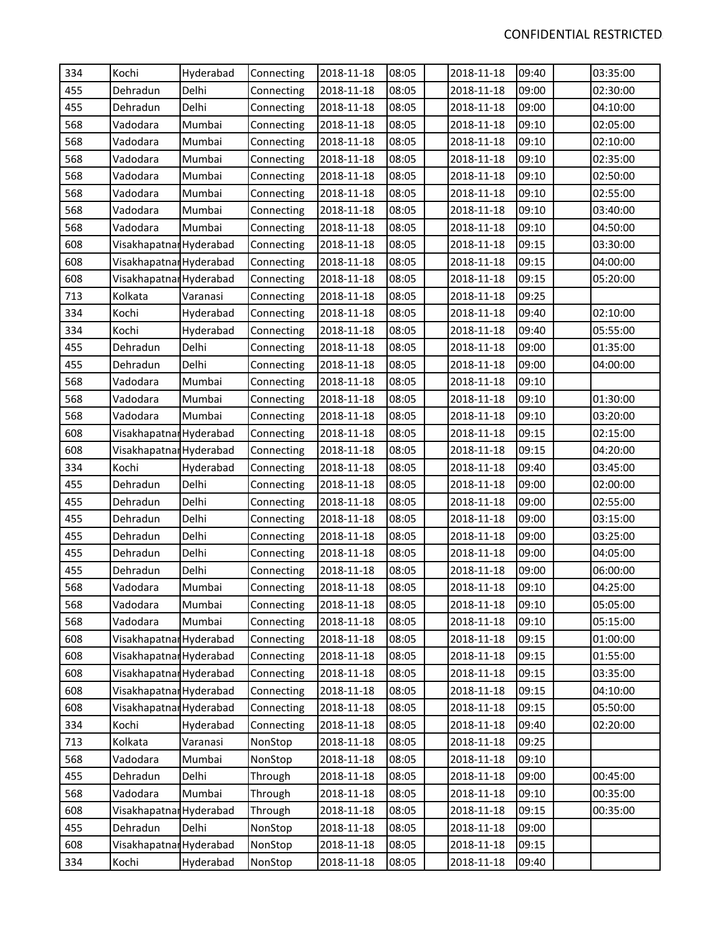| 334 | Kochi                   | Hyderabad | Connecting | 2018-11-18 | 08:05 | 2018-11-18 | 09:40 | 03:35:00 |
|-----|-------------------------|-----------|------------|------------|-------|------------|-------|----------|
| 455 | Dehradun                | Delhi     | Connecting | 2018-11-18 | 08:05 | 2018-11-18 | 09:00 | 02:30:00 |
| 455 | Dehradun                | Delhi     | Connecting | 2018-11-18 | 08:05 | 2018-11-18 | 09:00 | 04:10:00 |
| 568 | Vadodara                | Mumbai    | Connecting | 2018-11-18 | 08:05 | 2018-11-18 | 09:10 | 02:05:00 |
| 568 | Vadodara                | Mumbai    | Connecting | 2018-11-18 | 08:05 | 2018-11-18 | 09:10 | 02:10:00 |
| 568 | Vadodara                | Mumbai    | Connecting | 2018-11-18 | 08:05 | 2018-11-18 | 09:10 | 02:35:00 |
| 568 | Vadodara                | Mumbai    | Connecting | 2018-11-18 | 08:05 | 2018-11-18 | 09:10 | 02:50:00 |
| 568 | Vadodara                | Mumbai    | Connecting | 2018-11-18 | 08:05 | 2018-11-18 | 09:10 | 02:55:00 |
| 568 | Vadodara                | Mumbai    | Connecting | 2018-11-18 | 08:05 | 2018-11-18 | 09:10 | 03:40:00 |
| 568 | Vadodara                | Mumbai    | Connecting | 2018-11-18 | 08:05 | 2018-11-18 | 09:10 | 04:50:00 |
| 608 | Visakhapatnar Hyderabad |           | Connecting | 2018-11-18 | 08:05 | 2018-11-18 | 09:15 | 03:30:00 |
| 608 | Visakhapatnal Hyderabad |           | Connecting | 2018-11-18 | 08:05 | 2018-11-18 | 09:15 | 04:00:00 |
| 608 | Visakhapatnar Hyderabad |           | Connecting | 2018-11-18 | 08:05 | 2018-11-18 | 09:15 | 05:20:00 |
| 713 | Kolkata                 | Varanasi  | Connecting | 2018-11-18 | 08:05 | 2018-11-18 | 09:25 |          |
| 334 | Kochi                   | Hyderabad | Connecting | 2018-11-18 | 08:05 | 2018-11-18 | 09:40 | 02:10:00 |
| 334 | Kochi                   | Hyderabad | Connecting | 2018-11-18 | 08:05 | 2018-11-18 | 09:40 | 05:55:00 |
| 455 | Dehradun                | Delhi     | Connecting | 2018-11-18 | 08:05 | 2018-11-18 | 09:00 | 01:35:00 |
| 455 | Dehradun                | Delhi     | Connecting | 2018-11-18 | 08:05 | 2018-11-18 | 09:00 | 04:00:00 |
| 568 | Vadodara                | Mumbai    | Connecting | 2018-11-18 | 08:05 | 2018-11-18 | 09:10 |          |
| 568 | Vadodara                | Mumbai    | Connecting | 2018-11-18 | 08:05 | 2018-11-18 | 09:10 | 01:30:00 |
| 568 | Vadodara                | Mumbai    | Connecting | 2018-11-18 | 08:05 | 2018-11-18 | 09:10 | 03:20:00 |
| 608 | Visakhapatnar Hyderabad |           | Connecting | 2018-11-18 | 08:05 | 2018-11-18 | 09:15 | 02:15:00 |
| 608 | Visakhapatnar Hyderabad |           | Connecting | 2018-11-18 | 08:05 | 2018-11-18 | 09:15 | 04:20:00 |
| 334 | Kochi                   | Hyderabad | Connecting | 2018-11-18 | 08:05 | 2018-11-18 | 09:40 | 03:45:00 |
| 455 | Dehradun                | Delhi     | Connecting | 2018-11-18 | 08:05 | 2018-11-18 | 09:00 | 02:00:00 |
| 455 | Dehradun                | Delhi     | Connecting | 2018-11-18 | 08:05 | 2018-11-18 | 09:00 | 02:55:00 |
| 455 | Dehradun                | Delhi     | Connecting | 2018-11-18 | 08:05 | 2018-11-18 | 09:00 | 03:15:00 |
| 455 | Dehradun                | Delhi     | Connecting | 2018-11-18 | 08:05 | 2018-11-18 | 09:00 | 03:25:00 |
| 455 | Dehradun                | Delhi     | Connecting | 2018-11-18 | 08:05 | 2018-11-18 | 09:00 | 04:05:00 |
| 455 | Dehradun                | Delhi     | Connecting | 2018-11-18 | 08:05 | 2018-11-18 | 09:00 | 06:00:00 |
| 568 | Vadodara                | Mumbai    | Connecting | 2018-11-18 | 08:05 | 2018-11-18 | 09:10 | 04:25:00 |
| 568 | Vadodara                | Mumbai    | Connecting | 2018-11-18 | 08:05 | 2018-11-18 | 09:10 | 05:05:00 |
| 568 | Vadodara                | Mumbai    | Connecting | 2018-11-18 | 08:05 | 2018-11-18 | 09:10 | 05:15:00 |
| 608 | Visakhapatnar Hyderabad |           | Connecting | 2018-11-18 | 08:05 | 2018-11-18 | 09:15 | 01:00:00 |
| 608 | Visakhapatnar Hyderabad |           | Connecting | 2018-11-18 | 08:05 | 2018-11-18 | 09:15 | 01:55:00 |
| 608 | Visakhapatnar Hyderabad |           | Connecting | 2018-11-18 | 08:05 | 2018-11-18 | 09:15 | 03:35:00 |
| 608 | Visakhapatnar Hyderabad |           | Connecting | 2018-11-18 | 08:05 | 2018-11-18 | 09:15 | 04:10:00 |
| 608 | Visakhapatnar Hyderabad |           | Connecting | 2018-11-18 | 08:05 | 2018-11-18 | 09:15 | 05:50:00 |
| 334 | Kochi                   | Hyderabad | Connecting | 2018-11-18 | 08:05 | 2018-11-18 | 09:40 | 02:20:00 |
| 713 | Kolkata                 | Varanasi  | NonStop    | 2018-11-18 | 08:05 | 2018-11-18 | 09:25 |          |
| 568 | Vadodara                | Mumbai    | NonStop    | 2018-11-18 | 08:05 | 2018-11-18 | 09:10 |          |
| 455 | Dehradun                | Delhi     | Through    | 2018-11-18 | 08:05 | 2018-11-18 | 09:00 | 00:45:00 |
| 568 | Vadodara                | Mumbai    | Through    | 2018-11-18 | 08:05 | 2018-11-18 | 09:10 | 00:35:00 |
| 608 | Visakhapatnar Hyderabad |           | Through    | 2018-11-18 | 08:05 | 2018-11-18 | 09:15 | 00:35:00 |
| 455 | Dehradun                | Delhi     | NonStop    | 2018-11-18 | 08:05 | 2018-11-18 | 09:00 |          |
| 608 | Visakhapatnar Hyderabad |           | NonStop    | 2018-11-18 | 08:05 | 2018-11-18 | 09:15 |          |
| 334 | Kochi                   | Hyderabad | NonStop    | 2018-11-18 | 08:05 | 2018-11-18 | 09:40 |          |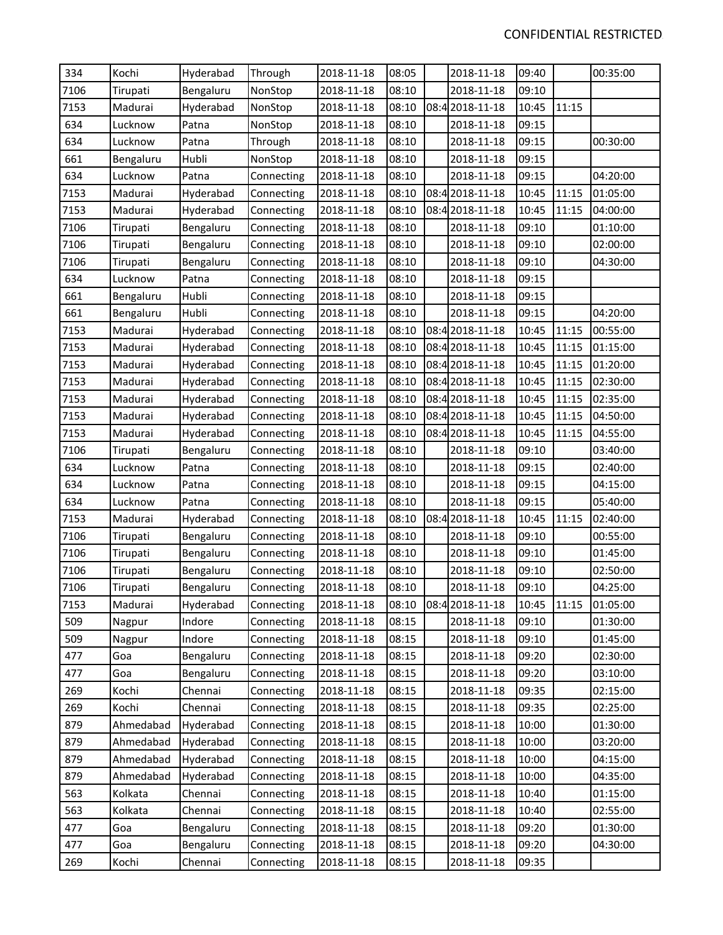| 334  | Kochi     | Hyderabad | Through    | 2018-11-18 | 08:05 | 2018-11-18      | 09:40 |       | 00:35:00 |
|------|-----------|-----------|------------|------------|-------|-----------------|-------|-------|----------|
| 7106 | Tirupati  | Bengaluru | NonStop    | 2018-11-18 | 08:10 | 2018-11-18      | 09:10 |       |          |
| 7153 | Madurai   | Hyderabad | NonStop    | 2018-11-18 | 08:10 | 08:4 2018-11-18 | 10:45 | 11:15 |          |
| 634  | Lucknow   | Patna     | NonStop    | 2018-11-18 | 08:10 | 2018-11-18      | 09:15 |       |          |
| 634  | Lucknow   | Patna     | Through    | 2018-11-18 | 08:10 | 2018-11-18      | 09:15 |       | 00:30:00 |
| 661  | Bengaluru | Hubli     | NonStop    | 2018-11-18 | 08:10 | 2018-11-18      | 09:15 |       |          |
| 634  | Lucknow   | Patna     | Connecting | 2018-11-18 | 08:10 | 2018-11-18      | 09:15 |       | 04:20:00 |
| 7153 | Madurai   | Hyderabad | Connecting | 2018-11-18 | 08:10 | 08:4 2018-11-18 | 10:45 | 11:15 | 01:05:00 |
| 7153 | Madurai   | Hyderabad | Connecting | 2018-11-18 | 08:10 | 08:42018-11-18  | 10:45 | 11:15 | 04:00:00 |
| 7106 | Tirupati  | Bengaluru | Connecting | 2018-11-18 | 08:10 | 2018-11-18      | 09:10 |       | 01:10:00 |
| 7106 | Tirupati  | Bengaluru | Connecting | 2018-11-18 | 08:10 | 2018-11-18      | 09:10 |       | 02:00:00 |
| 7106 | Tirupati  | Bengaluru | Connecting | 2018-11-18 | 08:10 | 2018-11-18      | 09:10 |       | 04:30:00 |
| 634  | Lucknow   | Patna     | Connecting | 2018-11-18 | 08:10 | 2018-11-18      | 09:15 |       |          |
| 661  | Bengaluru | Hubli     | Connecting | 2018-11-18 | 08:10 | 2018-11-18      | 09:15 |       |          |
| 661  | Bengaluru | Hubli     | Connecting | 2018-11-18 | 08:10 | 2018-11-18      | 09:15 |       | 04:20:00 |
| 7153 | Madurai   | Hyderabad | Connecting | 2018-11-18 | 08:10 | 08:4 2018-11-18 | 10:45 | 11:15 | 00:55:00 |
| 7153 | Madurai   | Hyderabad | Connecting | 2018-11-18 | 08:10 | 08:4 2018-11-18 | 10:45 | 11:15 | 01:15:00 |
| 7153 | Madurai   | Hyderabad | Connecting | 2018-11-18 | 08:10 | 08:4 2018-11-18 | 10:45 | 11:15 | 01:20:00 |
| 7153 | Madurai   | Hyderabad | Connecting | 2018-11-18 | 08:10 | 08:4 2018-11-18 | 10:45 | 11:15 | 02:30:00 |
| 7153 | Madurai   | Hyderabad | Connecting | 2018-11-18 | 08:10 | 08:4 2018-11-18 | 10:45 | 11:15 | 02:35:00 |
| 7153 | Madurai   | Hyderabad | Connecting | 2018-11-18 | 08:10 | 08:4 2018-11-18 | 10:45 | 11:15 | 04:50:00 |
| 7153 | Madurai   | Hyderabad | Connecting | 2018-11-18 | 08:10 | 08:4 2018-11-18 | 10:45 | 11:15 | 04:55:00 |
| 7106 | Tirupati  | Bengaluru | Connecting | 2018-11-18 | 08:10 | 2018-11-18      | 09:10 |       | 03:40:00 |
| 634  | Lucknow   | Patna     | Connecting | 2018-11-18 | 08:10 | 2018-11-18      | 09:15 |       | 02:40:00 |
| 634  | Lucknow   | Patna     | Connecting | 2018-11-18 | 08:10 | 2018-11-18      | 09:15 |       | 04:15:00 |
| 634  | Lucknow   | Patna     | Connecting | 2018-11-18 | 08:10 | 2018-11-18      | 09:15 |       | 05:40:00 |
| 7153 | Madurai   | Hyderabad | Connecting | 2018-11-18 | 08:10 | 08:4 2018-11-18 | 10:45 | 11:15 | 02:40:00 |
| 7106 | Tirupati  | Bengaluru | Connecting | 2018-11-18 | 08:10 | 2018-11-18      | 09:10 |       | 00:55:00 |
| 7106 | Tirupati  | Bengaluru | Connecting | 2018-11-18 | 08:10 | 2018-11-18      | 09:10 |       | 01:45:00 |
| 7106 | Tirupati  | Bengaluru | Connecting | 2018-11-18 | 08:10 | 2018-11-18      | 09:10 |       | 02:50:00 |
| 7106 | Tirupati  | Bengaluru | Connecting | 2018-11-18 | 08:10 | 2018-11-18      | 09:10 |       | 04:25:00 |
| 7153 | Madurai   | Hyderabad | Connecting | 2018-11-18 | 08:10 | 08:4 2018-11-18 | 10:45 | 11:15 | 01:05:00 |
| 509  | Nagpur    | Indore    | Connecting | 2018-11-18 | 08:15 | 2018-11-18      | 09:10 |       | 01:30:00 |
| 509  | Nagpur    | Indore    | Connecting | 2018-11-18 | 08:15 | 2018-11-18      | 09:10 |       | 01:45:00 |
| 477  | Goa       | Bengaluru | Connecting | 2018-11-18 | 08:15 | 2018-11-18      | 09:20 |       | 02:30:00 |
| 477  | Goa       | Bengaluru | Connecting | 2018-11-18 | 08:15 | 2018-11-18      | 09:20 |       | 03:10:00 |
| 269  | Kochi     | Chennai   | Connecting | 2018-11-18 | 08:15 | 2018-11-18      | 09:35 |       | 02:15:00 |
| 269  | Kochi     | Chennai   | Connecting | 2018-11-18 | 08:15 | 2018-11-18      | 09:35 |       | 02:25:00 |
| 879  | Ahmedabad | Hyderabad | Connecting | 2018-11-18 | 08:15 | 2018-11-18      | 10:00 |       | 01:30:00 |
| 879  | Ahmedabad | Hyderabad | Connecting | 2018-11-18 | 08:15 | 2018-11-18      | 10:00 |       | 03:20:00 |
| 879  | Ahmedabad | Hyderabad | Connecting | 2018-11-18 | 08:15 | 2018-11-18      | 10:00 |       | 04:15:00 |
| 879  | Ahmedabad | Hyderabad | Connecting | 2018-11-18 | 08:15 | 2018-11-18      | 10:00 |       | 04:35:00 |
| 563  | Kolkata   | Chennai   | Connecting | 2018-11-18 | 08:15 | 2018-11-18      | 10:40 |       | 01:15:00 |
| 563  | Kolkata   | Chennai   | Connecting | 2018-11-18 | 08:15 | 2018-11-18      | 10:40 |       | 02:55:00 |
| 477  | Goa       | Bengaluru | Connecting | 2018-11-18 | 08:15 | 2018-11-18      | 09:20 |       | 01:30:00 |
| 477  | Goa       | Bengaluru | Connecting | 2018-11-18 | 08:15 | 2018-11-18      | 09:20 |       | 04:30:00 |
| 269  | Kochi     | Chennai   | Connecting | 2018-11-18 | 08:15 | 2018-11-18      | 09:35 |       |          |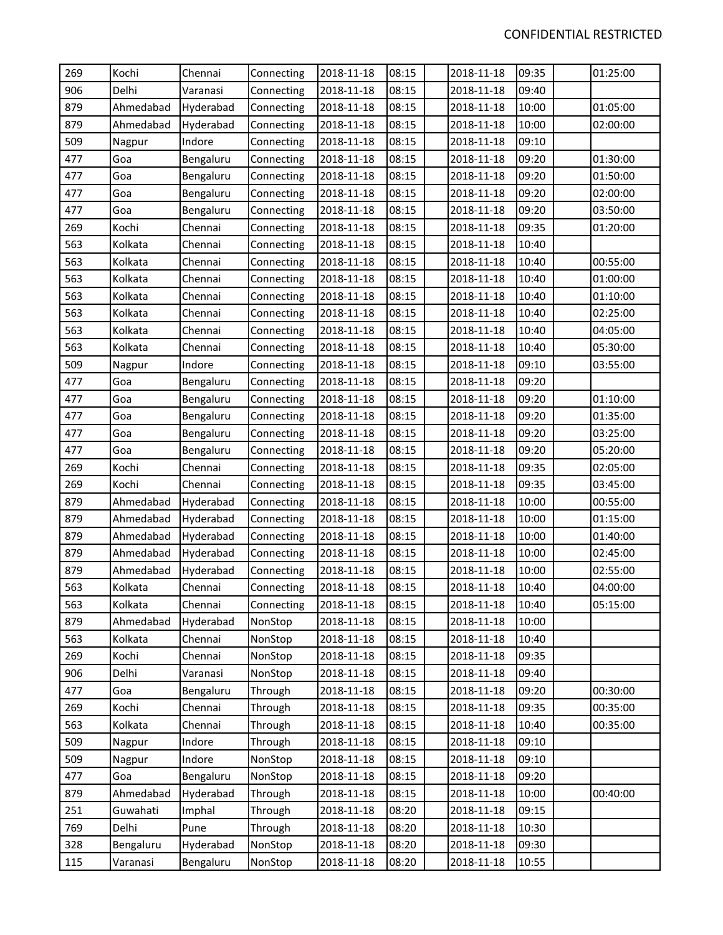| 269 | Kochi     | Chennai   | Connecting | 2018-11-18 | 08:15 | 2018-11-18 | 09:35 | 01:25:00 |
|-----|-----------|-----------|------------|------------|-------|------------|-------|----------|
| 906 | Delhi     | Varanasi  | Connecting | 2018-11-18 | 08:15 | 2018-11-18 | 09:40 |          |
| 879 | Ahmedabad | Hyderabad | Connecting | 2018-11-18 | 08:15 | 2018-11-18 | 10:00 | 01:05:00 |
| 879 | Ahmedabad | Hyderabad | Connecting | 2018-11-18 | 08:15 | 2018-11-18 | 10:00 | 02:00:00 |
| 509 | Nagpur    | Indore    | Connecting | 2018-11-18 | 08:15 | 2018-11-18 | 09:10 |          |
| 477 | Goa       | Bengaluru | Connecting | 2018-11-18 | 08:15 | 2018-11-18 | 09:20 | 01:30:00 |
| 477 | Goa       | Bengaluru | Connecting | 2018-11-18 | 08:15 | 2018-11-18 | 09:20 | 01:50:00 |
| 477 | Goa       | Bengaluru | Connecting | 2018-11-18 | 08:15 | 2018-11-18 | 09:20 | 02:00:00 |
| 477 | Goa       | Bengaluru | Connecting | 2018-11-18 | 08:15 | 2018-11-18 | 09:20 | 03:50:00 |
| 269 | Kochi     | Chennai   | Connecting | 2018-11-18 | 08:15 | 2018-11-18 | 09:35 | 01:20:00 |
| 563 | Kolkata   | Chennai   | Connecting | 2018-11-18 | 08:15 | 2018-11-18 | 10:40 |          |
| 563 | Kolkata   | Chennai   | Connecting | 2018-11-18 | 08:15 | 2018-11-18 | 10:40 | 00:55:00 |
| 563 | Kolkata   | Chennai   | Connecting | 2018-11-18 | 08:15 | 2018-11-18 | 10:40 | 01:00:00 |
| 563 | Kolkata   | Chennai   | Connecting | 2018-11-18 | 08:15 | 2018-11-18 | 10:40 | 01:10:00 |
| 563 | Kolkata   | Chennai   | Connecting | 2018-11-18 | 08:15 | 2018-11-18 | 10:40 | 02:25:00 |
| 563 | Kolkata   | Chennai   | Connecting | 2018-11-18 | 08:15 | 2018-11-18 | 10:40 | 04:05:00 |
| 563 | Kolkata   | Chennai   | Connecting | 2018-11-18 | 08:15 | 2018-11-18 | 10:40 | 05:30:00 |
| 509 | Nagpur    | Indore    | Connecting | 2018-11-18 | 08:15 | 2018-11-18 | 09:10 | 03:55:00 |
| 477 | Goa       | Bengaluru | Connecting | 2018-11-18 | 08:15 | 2018-11-18 | 09:20 |          |
| 477 | Goa       | Bengaluru | Connecting | 2018-11-18 | 08:15 | 2018-11-18 | 09:20 | 01:10:00 |
| 477 | Goa       | Bengaluru | Connecting | 2018-11-18 | 08:15 | 2018-11-18 | 09:20 | 01:35:00 |
| 477 | Goa       | Bengaluru | Connecting | 2018-11-18 | 08:15 | 2018-11-18 | 09:20 | 03:25:00 |
| 477 | Goa       | Bengaluru | Connecting | 2018-11-18 | 08:15 | 2018-11-18 | 09:20 | 05:20:00 |
| 269 | Kochi     | Chennai   | Connecting | 2018-11-18 | 08:15 | 2018-11-18 | 09:35 | 02:05:00 |
| 269 | Kochi     | Chennai   | Connecting | 2018-11-18 | 08:15 | 2018-11-18 | 09:35 | 03:45:00 |
| 879 | Ahmedabad | Hyderabad | Connecting | 2018-11-18 | 08:15 | 2018-11-18 | 10:00 | 00:55:00 |
| 879 | Ahmedabad | Hyderabad | Connecting | 2018-11-18 | 08:15 | 2018-11-18 | 10:00 | 01:15:00 |
| 879 | Ahmedabad | Hyderabad | Connecting | 2018-11-18 | 08:15 | 2018-11-18 | 10:00 | 01:40:00 |
| 879 | Ahmedabad | Hyderabad | Connecting | 2018-11-18 | 08:15 | 2018-11-18 | 10:00 | 02:45:00 |
| 879 | Ahmedabad | Hyderabad | Connecting | 2018-11-18 | 08:15 | 2018-11-18 | 10:00 | 02:55:00 |
| 563 | Kolkata   | Chennai   | Connecting | 2018-11-18 | 08:15 | 2018-11-18 | 10:40 | 04:00:00 |
| 563 | Kolkata   | Chennai   | Connecting | 2018-11-18 | 08:15 | 2018-11-18 | 10:40 | 05:15:00 |
| 879 | Ahmedabad | Hyderabad | NonStop    | 2018-11-18 | 08:15 | 2018-11-18 | 10:00 |          |
| 563 | Kolkata   | Chennai   | NonStop    | 2018-11-18 | 08:15 | 2018-11-18 | 10:40 |          |
| 269 | Kochi     | Chennai   | NonStop    | 2018-11-18 | 08:15 | 2018-11-18 | 09:35 |          |
| 906 | Delhi     | Varanasi  | NonStop    | 2018-11-18 | 08:15 | 2018-11-18 | 09:40 |          |
| 477 | Goa       | Bengaluru | Through    | 2018-11-18 | 08:15 | 2018-11-18 | 09:20 | 00:30:00 |
| 269 | Kochi     | Chennai   | Through    | 2018-11-18 | 08:15 | 2018-11-18 | 09:35 | 00:35:00 |
| 563 | Kolkata   | Chennai   | Through    | 2018-11-18 | 08:15 | 2018-11-18 | 10:40 | 00:35:00 |
| 509 | Nagpur    | Indore    | Through    | 2018-11-18 | 08:15 | 2018-11-18 | 09:10 |          |
| 509 | Nagpur    | Indore    | NonStop    | 2018-11-18 | 08:15 | 2018-11-18 | 09:10 |          |
| 477 | Goa       | Bengaluru | NonStop    | 2018-11-18 | 08:15 | 2018-11-18 | 09:20 |          |
| 879 | Ahmedabad | Hyderabad | Through    | 2018-11-18 | 08:15 | 2018-11-18 | 10:00 | 00:40:00 |
| 251 | Guwahati  | Imphal    | Through    | 2018-11-18 | 08:20 | 2018-11-18 | 09:15 |          |
| 769 | Delhi     | Pune      | Through    | 2018-11-18 | 08:20 | 2018-11-18 | 10:30 |          |
| 328 | Bengaluru | Hyderabad | NonStop    | 2018-11-18 | 08:20 | 2018-11-18 | 09:30 |          |
| 115 | Varanasi  | Bengaluru | NonStop    | 2018-11-18 | 08:20 | 2018-11-18 | 10:55 |          |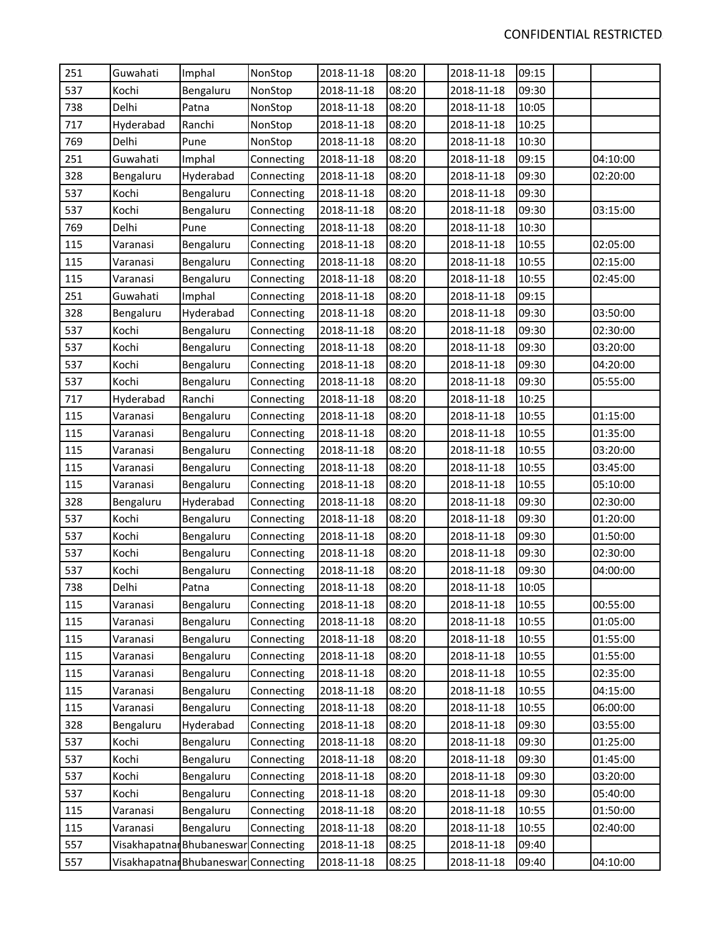| 251 | Guwahati  | Imphal                               | NonStop    | 2018-11-18 | 08:20 | 2018-11-18 | 09:15 |          |
|-----|-----------|--------------------------------------|------------|------------|-------|------------|-------|----------|
| 537 | Kochi     | Bengaluru                            | NonStop    | 2018-11-18 | 08:20 | 2018-11-18 | 09:30 |          |
| 738 | Delhi     | Patna                                | NonStop    | 2018-11-18 | 08:20 | 2018-11-18 | 10:05 |          |
| 717 | Hyderabad | Ranchi                               | NonStop    | 2018-11-18 | 08:20 | 2018-11-18 | 10:25 |          |
| 769 | Delhi     | Pune                                 | NonStop    | 2018-11-18 | 08:20 | 2018-11-18 | 10:30 |          |
| 251 | Guwahati  | Imphal                               | Connecting | 2018-11-18 | 08:20 | 2018-11-18 | 09:15 | 04:10:00 |
| 328 | Bengaluru | Hyderabad                            | Connecting | 2018-11-18 | 08:20 | 2018-11-18 | 09:30 | 02:20:00 |
| 537 | Kochi     | Bengaluru                            | Connecting | 2018-11-18 | 08:20 | 2018-11-18 | 09:30 |          |
| 537 | Kochi     | Bengaluru                            | Connecting | 2018-11-18 | 08:20 | 2018-11-18 | 09:30 | 03:15:00 |
| 769 | Delhi     | Pune                                 | Connecting | 2018-11-18 | 08:20 | 2018-11-18 | 10:30 |          |
| 115 | Varanasi  | Bengaluru                            | Connecting | 2018-11-18 | 08:20 | 2018-11-18 | 10:55 | 02:05:00 |
| 115 | Varanasi  | Bengaluru                            | Connecting | 2018-11-18 | 08:20 | 2018-11-18 | 10:55 | 02:15:00 |
| 115 | Varanasi  | Bengaluru                            | Connecting | 2018-11-18 | 08:20 | 2018-11-18 | 10:55 | 02:45:00 |
| 251 | Guwahati  | Imphal                               | Connecting | 2018-11-18 | 08:20 | 2018-11-18 | 09:15 |          |
| 328 | Bengaluru | Hyderabad                            | Connecting | 2018-11-18 | 08:20 | 2018-11-18 | 09:30 | 03:50:00 |
| 537 | Kochi     | Bengaluru                            | Connecting | 2018-11-18 | 08:20 | 2018-11-18 | 09:30 | 02:30:00 |
| 537 | Kochi     | Bengaluru                            | Connecting | 2018-11-18 | 08:20 | 2018-11-18 | 09:30 | 03:20:00 |
| 537 | Kochi     | Bengaluru                            | Connecting | 2018-11-18 | 08:20 | 2018-11-18 | 09:30 | 04:20:00 |
| 537 | Kochi     | Bengaluru                            | Connecting | 2018-11-18 | 08:20 | 2018-11-18 | 09:30 | 05:55:00 |
| 717 | Hyderabad | Ranchi                               | Connecting | 2018-11-18 | 08:20 | 2018-11-18 | 10:25 |          |
| 115 | Varanasi  | Bengaluru                            | Connecting | 2018-11-18 | 08:20 | 2018-11-18 | 10:55 | 01:15:00 |
| 115 | Varanasi  | Bengaluru                            | Connecting | 2018-11-18 | 08:20 | 2018-11-18 | 10:55 | 01:35:00 |
| 115 | Varanasi  | Bengaluru                            | Connecting | 2018-11-18 | 08:20 | 2018-11-18 | 10:55 | 03:20:00 |
| 115 | Varanasi  | Bengaluru                            | Connecting | 2018-11-18 | 08:20 | 2018-11-18 | 10:55 | 03:45:00 |
| 115 | Varanasi  | Bengaluru                            | Connecting | 2018-11-18 | 08:20 | 2018-11-18 | 10:55 | 05:10:00 |
| 328 | Bengaluru | Hyderabad                            | Connecting | 2018-11-18 | 08:20 | 2018-11-18 | 09:30 | 02:30:00 |
| 537 | Kochi     | Bengaluru                            | Connecting | 2018-11-18 | 08:20 | 2018-11-18 | 09:30 | 01:20:00 |
| 537 | Kochi     | Bengaluru                            | Connecting | 2018-11-18 | 08:20 | 2018-11-18 | 09:30 | 01:50:00 |
| 537 | Kochi     | Bengaluru                            | Connecting | 2018-11-18 | 08:20 | 2018-11-18 | 09:30 | 02:30:00 |
| 537 | Kochi     | Bengaluru                            | Connecting | 2018-11-18 | 08:20 | 2018-11-18 | 09:30 | 04:00:00 |
| 738 | Delhi     | Patna                                | Connecting | 2018-11-18 | 08:20 | 2018-11-18 | 10:05 |          |
| 115 | Varanasi  | Bengaluru                            | Connecting | 2018-11-18 | 08:20 | 2018-11-18 | 10:55 | 00:55:00 |
| 115 | Varanasi  | Bengaluru                            | Connecting | 2018-11-18 | 08:20 | 2018-11-18 | 10:55 | 01:05:00 |
| 115 | Varanasi  | Bengaluru                            | Connecting | 2018-11-18 | 08:20 | 2018-11-18 | 10:55 | 01:55:00 |
| 115 | Varanasi  | Bengaluru                            | Connecting | 2018-11-18 | 08:20 | 2018-11-18 | 10:55 | 01:55:00 |
| 115 | Varanasi  | Bengaluru                            | Connecting | 2018-11-18 | 08:20 | 2018-11-18 | 10:55 | 02:35:00 |
| 115 | Varanasi  | Bengaluru                            | Connecting | 2018-11-18 | 08:20 | 2018-11-18 | 10:55 | 04:15:00 |
| 115 | Varanasi  | Bengaluru                            | Connecting | 2018-11-18 | 08:20 | 2018-11-18 | 10:55 | 06:00:00 |
| 328 | Bengaluru | Hyderabad                            | Connecting | 2018-11-18 | 08:20 | 2018-11-18 | 09:30 | 03:55:00 |
| 537 | Kochi     | Bengaluru                            | Connecting | 2018-11-18 | 08:20 | 2018-11-18 | 09:30 | 01:25:00 |
| 537 | Kochi     | Bengaluru                            | Connecting | 2018-11-18 | 08:20 | 2018-11-18 | 09:30 | 01:45:00 |
| 537 | Kochi     | Bengaluru                            | Connecting | 2018-11-18 | 08:20 | 2018-11-18 | 09:30 | 03:20:00 |
| 537 | Kochi     | Bengaluru                            | Connecting | 2018-11-18 | 08:20 | 2018-11-18 | 09:30 | 05:40:00 |
| 115 | Varanasi  | Bengaluru                            | Connecting | 2018-11-18 | 08:20 | 2018-11-18 | 10:55 | 01:50:00 |
| 115 | Varanasi  | Bengaluru                            | Connecting | 2018-11-18 | 08:20 | 2018-11-18 | 10:55 | 02:40:00 |
| 557 |           | Visakhapatnar Bhubaneswar Connecting |            | 2018-11-18 | 08:25 | 2018-11-18 | 09:40 |          |
| 557 |           | Visakhapatnar Bhubaneswar Connecting |            | 2018-11-18 | 08:25 | 2018-11-18 | 09:40 | 04:10:00 |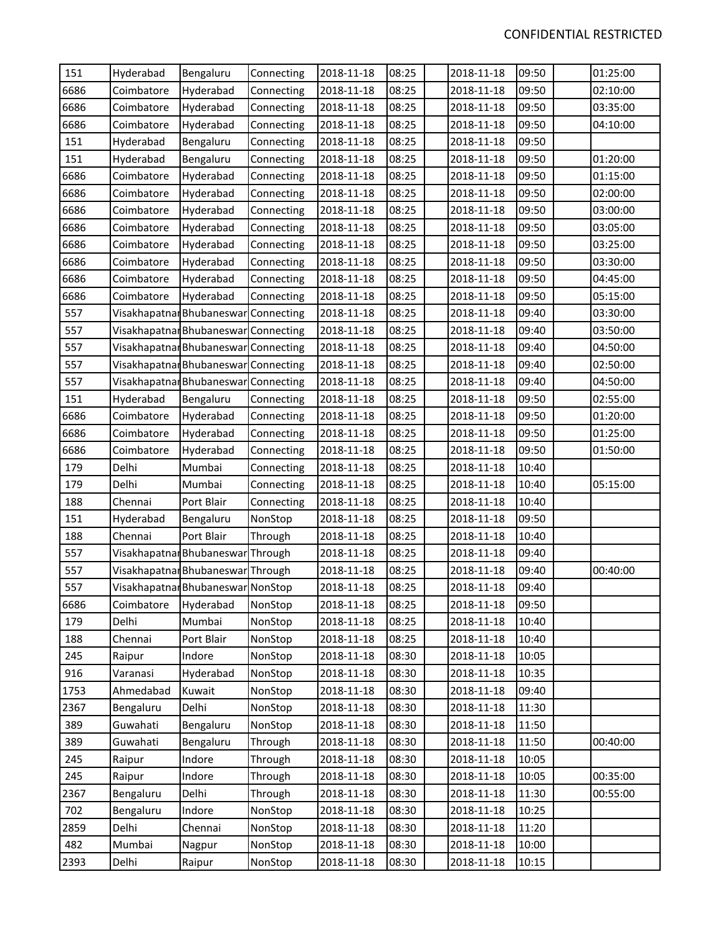| 151  | Hyderabad                            | Bengaluru                            | Connecting | 2018-11-18 | 08:25 | 2018-11-18 | 09:50 | 01:25:00 |
|------|--------------------------------------|--------------------------------------|------------|------------|-------|------------|-------|----------|
| 6686 | Coimbatore                           | Hyderabad                            | Connecting | 2018-11-18 | 08:25 | 2018-11-18 | 09:50 | 02:10:00 |
| 6686 | Coimbatore                           | Hyderabad                            | Connecting | 2018-11-18 | 08:25 | 2018-11-18 | 09:50 | 03:35:00 |
| 6686 | Coimbatore                           | Hyderabad                            | Connecting | 2018-11-18 | 08:25 | 2018-11-18 | 09:50 | 04:10:00 |
| 151  | Hyderabad                            | Bengaluru                            | Connecting | 2018-11-18 | 08:25 | 2018-11-18 | 09:50 |          |
| 151  | Hyderabad                            | Bengaluru                            | Connecting | 2018-11-18 | 08:25 | 2018-11-18 | 09:50 | 01:20:00 |
| 6686 | Coimbatore                           | Hyderabad                            | Connecting | 2018-11-18 | 08:25 | 2018-11-18 | 09:50 | 01:15:00 |
| 6686 | Coimbatore                           | Hyderabad                            | Connecting | 2018-11-18 | 08:25 | 2018-11-18 | 09:50 | 02:00:00 |
| 6686 | Coimbatore                           | Hyderabad                            | Connecting | 2018-11-18 | 08:25 | 2018-11-18 | 09:50 | 03:00:00 |
| 6686 | Coimbatore                           | Hyderabad                            | Connecting | 2018-11-18 | 08:25 | 2018-11-18 | 09:50 | 03:05:00 |
| 6686 | Coimbatore                           | Hyderabad                            | Connecting | 2018-11-18 | 08:25 | 2018-11-18 | 09:50 | 03:25:00 |
| 6686 | Coimbatore                           | Hyderabad                            | Connecting | 2018-11-18 | 08:25 | 2018-11-18 | 09:50 | 03:30:00 |
| 6686 | Coimbatore                           | Hyderabad                            | Connecting | 2018-11-18 | 08:25 | 2018-11-18 | 09:50 | 04:45:00 |
| 6686 | Coimbatore                           | Hyderabad                            | Connecting | 2018-11-18 | 08:25 | 2018-11-18 | 09:50 | 05:15:00 |
| 557  | Visakhapatnar Bhubaneswar Connecting |                                      |            | 2018-11-18 | 08:25 | 2018-11-18 | 09:40 | 03:30:00 |
| 557  | Visakhapatnar Bhubaneswar Connecting |                                      |            | 2018-11-18 | 08:25 | 2018-11-18 | 09:40 | 03:50:00 |
| 557  |                                      | Visakhapatnar Bhubaneswar Connecting |            | 2018-11-18 | 08:25 | 2018-11-18 | 09:40 | 04:50:00 |
| 557  |                                      | Visakhapatnar Bhubaneswar Connecting |            | 2018-11-18 | 08:25 | 2018-11-18 | 09:40 | 02:50:00 |
| 557  |                                      | Visakhapatnar Bhubaneswar Connecting |            | 2018-11-18 | 08:25 | 2018-11-18 | 09:40 | 04:50:00 |
| 151  | Hyderabad                            | Bengaluru                            | Connecting | 2018-11-18 | 08:25 | 2018-11-18 | 09:50 | 02:55:00 |
| 6686 | Coimbatore                           | Hyderabad                            | Connecting | 2018-11-18 | 08:25 | 2018-11-18 | 09:50 | 01:20:00 |
| 6686 | Coimbatore                           | Hyderabad                            | Connecting | 2018-11-18 | 08:25 | 2018-11-18 | 09:50 | 01:25:00 |
| 6686 | Coimbatore                           | Hyderabad                            | Connecting | 2018-11-18 | 08:25 | 2018-11-18 | 09:50 | 01:50:00 |
| 179  | Delhi                                | Mumbai                               | Connecting | 2018-11-18 | 08:25 | 2018-11-18 | 10:40 |          |
| 179  | Delhi                                | Mumbai                               | Connecting | 2018-11-18 | 08:25 | 2018-11-18 | 10:40 | 05:15:00 |
| 188  | Chennai                              | Port Blair                           | Connecting | 2018-11-18 | 08:25 | 2018-11-18 | 10:40 |          |
| 151  | Hyderabad                            | Bengaluru                            | NonStop    | 2018-11-18 | 08:25 | 2018-11-18 | 09:50 |          |
| 188  | Chennai                              | Port Blair                           | Through    | 2018-11-18 | 08:25 | 2018-11-18 | 10:40 |          |
| 557  |                                      | Visakhapatnar Bhubaneswar Through    |            | 2018-11-18 | 08:25 | 2018-11-18 | 09:40 |          |
| 557  |                                      | Visakhapatnar Bhubaneswar Through    |            | 2018-11-18 | 08:25 | 2018-11-18 | 09:40 | 00:40:00 |
| 557  | Visakhapatnar Bhubaneswar NonStop    |                                      |            | 2018-11-18 | 08:25 | 2018-11-18 | 09:40 |          |
| 6686 | Coimbatore                           | Hyderabad                            | NonStop    | 2018-11-18 | 08:25 | 2018-11-18 | 09:50 |          |
| 179  | Delhi                                | Mumbai                               | NonStop    | 2018-11-18 | 08:25 | 2018-11-18 | 10:40 |          |
| 188  | Chennai                              | Port Blair                           | NonStop    | 2018-11-18 | 08:25 | 2018-11-18 | 10:40 |          |
| 245  | Raipur                               | Indore                               | NonStop    | 2018-11-18 | 08:30 | 2018-11-18 | 10:05 |          |
| 916  | Varanasi                             | Hyderabad                            | NonStop    | 2018-11-18 | 08:30 | 2018-11-18 | 10:35 |          |
| 1753 | Ahmedabad                            | Kuwait                               | NonStop    | 2018-11-18 | 08:30 | 2018-11-18 | 09:40 |          |
| 2367 | Bengaluru                            | Delhi                                | NonStop    | 2018-11-18 | 08:30 | 2018-11-18 | 11:30 |          |
| 389  | Guwahati                             | Bengaluru                            | NonStop    | 2018-11-18 | 08:30 | 2018-11-18 | 11:50 |          |
| 389  | Guwahati                             | Bengaluru                            | Through    | 2018-11-18 | 08:30 | 2018-11-18 | 11:50 | 00:40:00 |
| 245  | Raipur                               | Indore                               | Through    | 2018-11-18 | 08:30 | 2018-11-18 | 10:05 |          |
| 245  | Raipur                               | Indore                               | Through    | 2018-11-18 | 08:30 | 2018-11-18 | 10:05 | 00:35:00 |
| 2367 | Bengaluru                            | Delhi                                | Through    | 2018-11-18 | 08:30 | 2018-11-18 | 11:30 | 00:55:00 |
| 702  | Bengaluru                            | Indore                               | NonStop    | 2018-11-18 | 08:30 | 2018-11-18 | 10:25 |          |
| 2859 | Delhi                                | Chennai                              | NonStop    | 2018-11-18 | 08:30 | 2018-11-18 | 11:20 |          |
| 482  | Mumbai                               | Nagpur                               | NonStop    | 2018-11-18 | 08:30 | 2018-11-18 | 10:00 |          |
| 2393 | Delhi                                | Raipur                               | NonStop    | 2018-11-18 | 08:30 | 2018-11-18 | 10:15 |          |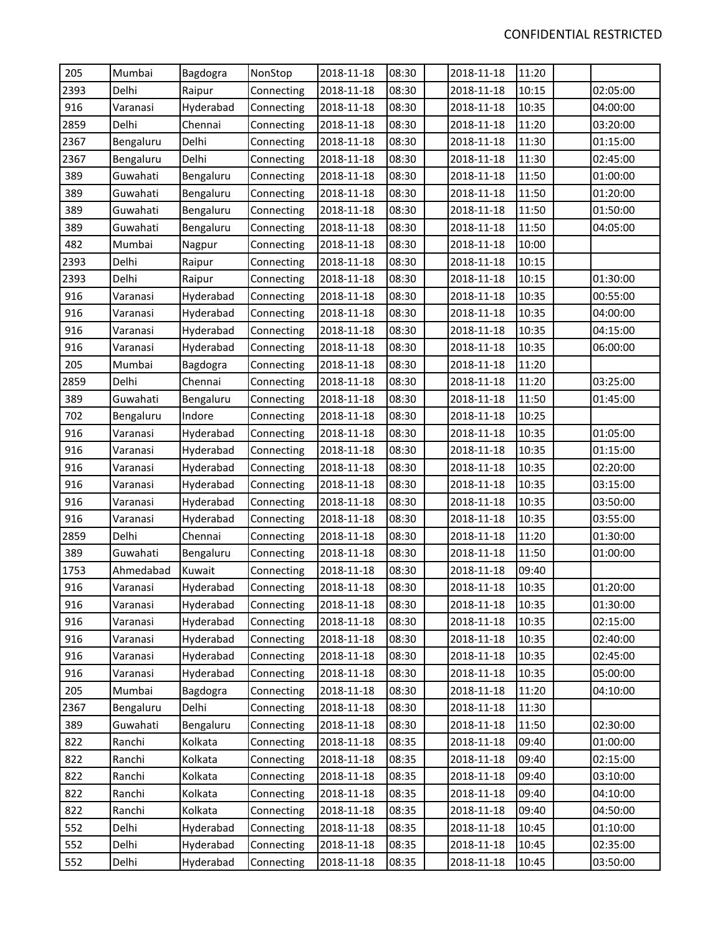| 205  | Mumbai    | Bagdogra  | NonStop    | 2018-11-18 | 08:30 | 2018-11-18 | 11:20 |          |
|------|-----------|-----------|------------|------------|-------|------------|-------|----------|
| 2393 | Delhi     | Raipur    | Connecting | 2018-11-18 | 08:30 | 2018-11-18 | 10:15 | 02:05:00 |
| 916  | Varanasi  | Hyderabad | Connecting | 2018-11-18 | 08:30 | 2018-11-18 | 10:35 | 04:00:00 |
| 2859 | Delhi     | Chennai   | Connecting | 2018-11-18 | 08:30 | 2018-11-18 | 11:20 | 03:20:00 |
| 2367 | Bengaluru | Delhi     | Connecting | 2018-11-18 | 08:30 | 2018-11-18 | 11:30 | 01:15:00 |
| 2367 | Bengaluru | Delhi     | Connecting | 2018-11-18 | 08:30 | 2018-11-18 | 11:30 | 02:45:00 |
| 389  | Guwahati  | Bengaluru | Connecting | 2018-11-18 | 08:30 | 2018-11-18 | 11:50 | 01:00:00 |
| 389  | Guwahati  | Bengaluru | Connecting | 2018-11-18 | 08:30 | 2018-11-18 | 11:50 | 01:20:00 |
| 389  | Guwahati  | Bengaluru | Connecting | 2018-11-18 | 08:30 | 2018-11-18 | 11:50 | 01:50:00 |
| 389  | Guwahati  | Bengaluru | Connecting | 2018-11-18 | 08:30 | 2018-11-18 | 11:50 | 04:05:00 |
| 482  | Mumbai    | Nagpur    | Connecting | 2018-11-18 | 08:30 | 2018-11-18 | 10:00 |          |
| 2393 | Delhi     | Raipur    | Connecting | 2018-11-18 | 08:30 | 2018-11-18 | 10:15 |          |
| 2393 | Delhi     | Raipur    | Connecting | 2018-11-18 | 08:30 | 2018-11-18 | 10:15 | 01:30:00 |
| 916  | Varanasi  | Hyderabad | Connecting | 2018-11-18 | 08:30 | 2018-11-18 | 10:35 | 00:55:00 |
| 916  | Varanasi  | Hyderabad | Connecting | 2018-11-18 | 08:30 | 2018-11-18 | 10:35 | 04:00:00 |
| 916  | Varanasi  | Hyderabad | Connecting | 2018-11-18 | 08:30 | 2018-11-18 | 10:35 | 04:15:00 |
| 916  | Varanasi  | Hyderabad | Connecting | 2018-11-18 | 08:30 | 2018-11-18 | 10:35 | 06:00:00 |
| 205  | Mumbai    | Bagdogra  | Connecting | 2018-11-18 | 08:30 | 2018-11-18 | 11:20 |          |
| 2859 | Delhi     | Chennai   | Connecting | 2018-11-18 | 08:30 | 2018-11-18 | 11:20 | 03:25:00 |
| 389  | Guwahati  | Bengaluru | Connecting | 2018-11-18 | 08:30 | 2018-11-18 | 11:50 | 01:45:00 |
| 702  | Bengaluru | Indore    | Connecting | 2018-11-18 | 08:30 | 2018-11-18 | 10:25 |          |
| 916  | Varanasi  | Hyderabad | Connecting | 2018-11-18 | 08:30 | 2018-11-18 | 10:35 | 01:05:00 |
| 916  | Varanasi  | Hyderabad | Connecting | 2018-11-18 | 08:30 | 2018-11-18 | 10:35 | 01:15:00 |
| 916  | Varanasi  | Hyderabad | Connecting | 2018-11-18 | 08:30 | 2018-11-18 | 10:35 | 02:20:00 |
| 916  | Varanasi  | Hyderabad | Connecting | 2018-11-18 | 08:30 | 2018-11-18 | 10:35 | 03:15:00 |
| 916  | Varanasi  | Hyderabad | Connecting | 2018-11-18 | 08:30 | 2018-11-18 | 10:35 | 03:50:00 |
| 916  | Varanasi  | Hyderabad | Connecting | 2018-11-18 | 08:30 | 2018-11-18 | 10:35 | 03:55:00 |
| 2859 | Delhi     | Chennai   | Connecting | 2018-11-18 | 08:30 | 2018-11-18 | 11:20 | 01:30:00 |
| 389  | Guwahati  | Bengaluru | Connecting | 2018-11-18 | 08:30 | 2018-11-18 | 11:50 | 01:00:00 |
| 1753 | Ahmedabad | Kuwait    | Connecting | 2018-11-18 | 08:30 | 2018-11-18 | 09:40 |          |
| 916  | Varanasi  | Hyderabad | Connecting | 2018-11-18 | 08:30 | 2018-11-18 | 10:35 | 01:20:00 |
| 916  | Varanasi  | Hyderabad | Connecting | 2018-11-18 | 08:30 | 2018-11-18 | 10:35 | 01:30:00 |
| 916  | Varanasi  | Hyderabad | Connecting | 2018-11-18 | 08:30 | 2018-11-18 | 10:35 | 02:15:00 |
| 916  | Varanasi  | Hyderabad | Connecting | 2018-11-18 | 08:30 | 2018-11-18 | 10:35 | 02:40:00 |
| 916  | Varanasi  | Hyderabad | Connecting | 2018-11-18 | 08:30 | 2018-11-18 | 10:35 | 02:45:00 |
| 916  | Varanasi  | Hyderabad | Connecting | 2018-11-18 | 08:30 | 2018-11-18 | 10:35 | 05:00:00 |
| 205  | Mumbai    | Bagdogra  | Connecting | 2018-11-18 | 08:30 | 2018-11-18 | 11:20 | 04:10:00 |
| 2367 | Bengaluru | Delhi     | Connecting | 2018-11-18 | 08:30 | 2018-11-18 | 11:30 |          |
| 389  | Guwahati  | Bengaluru | Connecting | 2018-11-18 | 08:30 | 2018-11-18 | 11:50 | 02:30:00 |
| 822  | Ranchi    | Kolkata   | Connecting | 2018-11-18 | 08:35 | 2018-11-18 | 09:40 | 01:00:00 |
| 822  | Ranchi    | Kolkata   | Connecting | 2018-11-18 | 08:35 | 2018-11-18 | 09:40 | 02:15:00 |
| 822  | Ranchi    | Kolkata   | Connecting | 2018-11-18 | 08:35 | 2018-11-18 | 09:40 | 03:10:00 |
| 822  | Ranchi    | Kolkata   | Connecting | 2018-11-18 | 08:35 | 2018-11-18 | 09:40 | 04:10:00 |
| 822  | Ranchi    | Kolkata   | Connecting | 2018-11-18 | 08:35 | 2018-11-18 | 09:40 | 04:50:00 |
| 552  | Delhi     | Hyderabad | Connecting | 2018-11-18 | 08:35 | 2018-11-18 | 10:45 | 01:10:00 |
| 552  | Delhi     | Hyderabad | Connecting | 2018-11-18 | 08:35 | 2018-11-18 | 10:45 | 02:35:00 |
| 552  | Delhi     | Hyderabad | Connecting | 2018-11-18 | 08:35 | 2018-11-18 | 10:45 | 03:50:00 |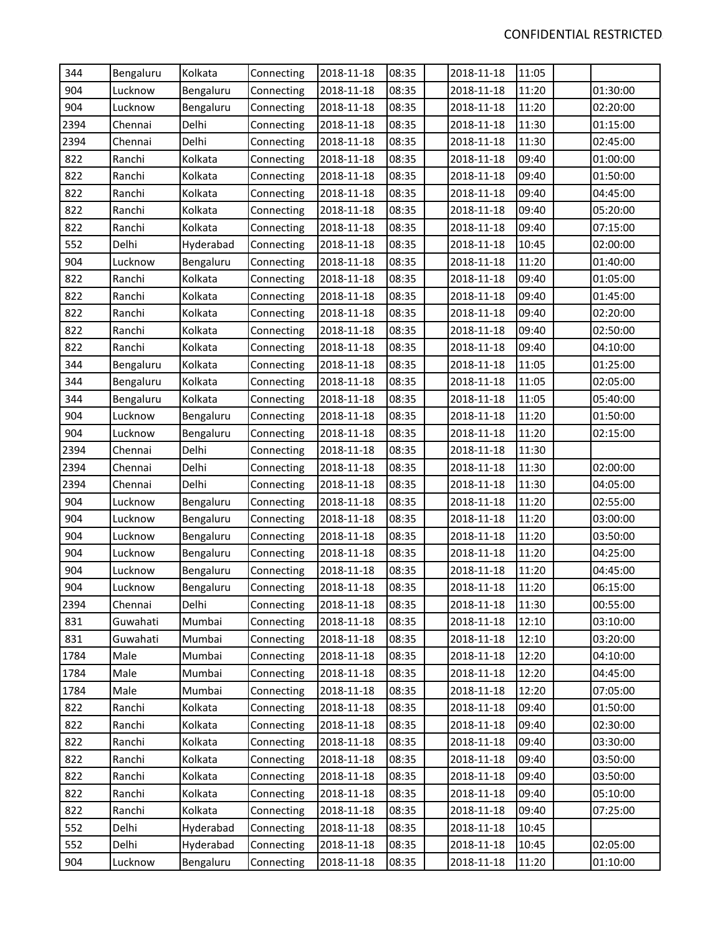| 344  | Bengaluru | Kolkata   | Connecting | 2018-11-18 | 08:35 | 2018-11-18 | 11:05 |          |
|------|-----------|-----------|------------|------------|-------|------------|-------|----------|
| 904  | Lucknow   | Bengaluru | Connecting | 2018-11-18 | 08:35 | 2018-11-18 | 11:20 | 01:30:00 |
| 904  | Lucknow   | Bengaluru | Connecting | 2018-11-18 | 08:35 | 2018-11-18 | 11:20 | 02:20:00 |
| 2394 | Chennai   | Delhi     | Connecting | 2018-11-18 | 08:35 | 2018-11-18 | 11:30 | 01:15:00 |
| 2394 | Chennai   | Delhi     | Connecting | 2018-11-18 | 08:35 | 2018-11-18 | 11:30 | 02:45:00 |
| 822  | Ranchi    | Kolkata   | Connecting | 2018-11-18 | 08:35 | 2018-11-18 | 09:40 | 01:00:00 |
| 822  | Ranchi    | Kolkata   | Connecting | 2018-11-18 | 08:35 | 2018-11-18 | 09:40 | 01:50:00 |
| 822  | Ranchi    | Kolkata   | Connecting | 2018-11-18 | 08:35 | 2018-11-18 | 09:40 | 04:45:00 |
| 822  | Ranchi    | Kolkata   | Connecting | 2018-11-18 | 08:35 | 2018-11-18 | 09:40 | 05:20:00 |
| 822  | Ranchi    | Kolkata   | Connecting | 2018-11-18 | 08:35 | 2018-11-18 | 09:40 | 07:15:00 |
| 552  | Delhi     | Hyderabad | Connecting | 2018-11-18 | 08:35 | 2018-11-18 | 10:45 | 02:00:00 |
| 904  | Lucknow   | Bengaluru | Connecting | 2018-11-18 | 08:35 | 2018-11-18 | 11:20 | 01:40:00 |
| 822  | Ranchi    | Kolkata   | Connecting | 2018-11-18 | 08:35 | 2018-11-18 | 09:40 | 01:05:00 |
| 822  | Ranchi    | Kolkata   | Connecting | 2018-11-18 | 08:35 | 2018-11-18 | 09:40 | 01:45:00 |
| 822  | Ranchi    | Kolkata   | Connecting | 2018-11-18 | 08:35 | 2018-11-18 | 09:40 | 02:20:00 |
| 822  | Ranchi    | Kolkata   | Connecting | 2018-11-18 | 08:35 | 2018-11-18 | 09:40 | 02:50:00 |
| 822  | Ranchi    | Kolkata   | Connecting | 2018-11-18 | 08:35 | 2018-11-18 | 09:40 | 04:10:00 |
| 344  | Bengaluru | Kolkata   | Connecting | 2018-11-18 | 08:35 | 2018-11-18 | 11:05 | 01:25:00 |
| 344  | Bengaluru | Kolkata   | Connecting | 2018-11-18 | 08:35 | 2018-11-18 | 11:05 | 02:05:00 |
| 344  | Bengaluru | Kolkata   | Connecting | 2018-11-18 | 08:35 | 2018-11-18 | 11:05 | 05:40:00 |
| 904  | Lucknow   | Bengaluru | Connecting | 2018-11-18 | 08:35 | 2018-11-18 | 11:20 | 01:50:00 |
| 904  | Lucknow   | Bengaluru | Connecting | 2018-11-18 | 08:35 | 2018-11-18 | 11:20 | 02:15:00 |
| 2394 | Chennai   | Delhi     | Connecting | 2018-11-18 | 08:35 | 2018-11-18 | 11:30 |          |
| 2394 | Chennai   | Delhi     | Connecting | 2018-11-18 | 08:35 | 2018-11-18 | 11:30 | 02:00:00 |
| 2394 | Chennai   | Delhi     | Connecting | 2018-11-18 | 08:35 | 2018-11-18 | 11:30 | 04:05:00 |
| 904  | Lucknow   | Bengaluru | Connecting | 2018-11-18 | 08:35 | 2018-11-18 | 11:20 | 02:55:00 |
| 904  | Lucknow   | Bengaluru | Connecting | 2018-11-18 | 08:35 | 2018-11-18 | 11:20 | 03:00:00 |
| 904  | Lucknow   | Bengaluru | Connecting | 2018-11-18 | 08:35 | 2018-11-18 | 11:20 | 03:50:00 |
| 904  | Lucknow   | Bengaluru | Connecting | 2018-11-18 | 08:35 | 2018-11-18 | 11:20 | 04:25:00 |
| 904  | Lucknow   | Bengaluru | Connecting | 2018-11-18 | 08:35 | 2018-11-18 | 11:20 | 04:45:00 |
| 904  | Lucknow   | Bengaluru | Connecting | 2018-11-18 | 08:35 | 2018-11-18 | 11:20 | 06:15:00 |
| 2394 | Chennai   | Delhi     | Connecting | 2018-11-18 | 08:35 | 2018-11-18 | 11:30 | 00:55:00 |
| 831  | Guwahati  | Mumbai    | Connecting | 2018-11-18 | 08:35 | 2018-11-18 | 12:10 | 03:10:00 |
| 831  | Guwahati  | Mumbai    | Connecting | 2018-11-18 | 08:35 | 2018-11-18 | 12:10 | 03:20:00 |
| 1784 | Male      | Mumbai    | Connecting | 2018-11-18 | 08:35 | 2018-11-18 | 12:20 | 04:10:00 |
| 1784 | Male      | Mumbai    | Connecting | 2018-11-18 | 08:35 | 2018-11-18 | 12:20 | 04:45:00 |
| 1784 | Male      | Mumbai    | Connecting | 2018-11-18 | 08:35 | 2018-11-18 | 12:20 | 07:05:00 |
| 822  | Ranchi    | Kolkata   | Connecting | 2018-11-18 | 08:35 | 2018-11-18 | 09:40 | 01:50:00 |
| 822  | Ranchi    | Kolkata   | Connecting | 2018-11-18 | 08:35 | 2018-11-18 | 09:40 | 02:30:00 |
| 822  | Ranchi    | Kolkata   | Connecting | 2018-11-18 | 08:35 | 2018-11-18 | 09:40 | 03:30:00 |
| 822  | Ranchi    | Kolkata   | Connecting | 2018-11-18 | 08:35 | 2018-11-18 | 09:40 | 03:50:00 |
| 822  | Ranchi    | Kolkata   | Connecting | 2018-11-18 | 08:35 | 2018-11-18 | 09:40 | 03:50:00 |
| 822  | Ranchi    | Kolkata   | Connecting | 2018-11-18 | 08:35 | 2018-11-18 | 09:40 | 05:10:00 |
| 822  | Ranchi    | Kolkata   | Connecting | 2018-11-18 | 08:35 | 2018-11-18 | 09:40 | 07:25:00 |
| 552  | Delhi     | Hyderabad | Connecting | 2018-11-18 | 08:35 | 2018-11-18 | 10:45 |          |
| 552  | Delhi     | Hyderabad | Connecting | 2018-11-18 | 08:35 | 2018-11-18 | 10:45 | 02:05:00 |
| 904  | Lucknow   | Bengaluru | Connecting | 2018-11-18 | 08:35 | 2018-11-18 | 11:20 | 01:10:00 |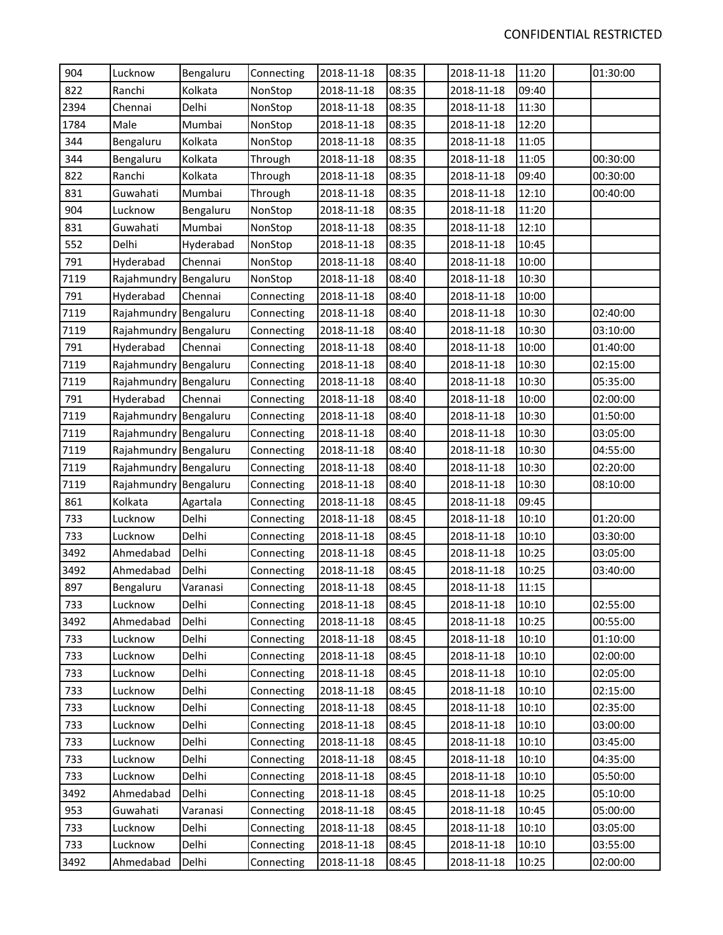| 904  | Lucknow               | Bengaluru | Connecting | 2018-11-18 | 08:35 | 2018-11-18 | 11:20 | 01:30:00 |
|------|-----------------------|-----------|------------|------------|-------|------------|-------|----------|
| 822  | Ranchi                | Kolkata   | NonStop    | 2018-11-18 | 08:35 | 2018-11-18 | 09:40 |          |
| 2394 | Chennai               | Delhi     | NonStop    | 2018-11-18 | 08:35 | 2018-11-18 | 11:30 |          |
| 1784 | Male                  | Mumbai    | NonStop    | 2018-11-18 | 08:35 | 2018-11-18 | 12:20 |          |
| 344  | Bengaluru             | Kolkata   | NonStop    | 2018-11-18 | 08:35 | 2018-11-18 | 11:05 |          |
| 344  | Bengaluru             | Kolkata   | Through    | 2018-11-18 | 08:35 | 2018-11-18 | 11:05 | 00:30:00 |
| 822  | Ranchi                | Kolkata   | Through    | 2018-11-18 | 08:35 | 2018-11-18 | 09:40 | 00:30:00 |
| 831  | Guwahati              | Mumbai    | Through    | 2018-11-18 | 08:35 | 2018-11-18 | 12:10 | 00:40:00 |
| 904  | Lucknow               | Bengaluru | NonStop    | 2018-11-18 | 08:35 | 2018-11-18 | 11:20 |          |
| 831  | Guwahati              | Mumbai    | NonStop    | 2018-11-18 | 08:35 | 2018-11-18 | 12:10 |          |
| 552  | Delhi                 | Hyderabad | NonStop    | 2018-11-18 | 08:35 | 2018-11-18 | 10:45 |          |
| 791  | Hyderabad             | Chennai   | NonStop    | 2018-11-18 | 08:40 | 2018-11-18 | 10:00 |          |
| 7119 | Rajahmundry Bengaluru |           | NonStop    | 2018-11-18 | 08:40 | 2018-11-18 | 10:30 |          |
| 791  | Hyderabad             | Chennai   | Connecting | 2018-11-18 | 08:40 | 2018-11-18 | 10:00 |          |
| 7119 | Rajahmundry           | Bengaluru | Connecting | 2018-11-18 | 08:40 | 2018-11-18 | 10:30 | 02:40:00 |
| 7119 | Rajahmundry Bengaluru |           | Connecting | 2018-11-18 | 08:40 | 2018-11-18 | 10:30 | 03:10:00 |
| 791  | Hyderabad             | Chennai   | Connecting | 2018-11-18 | 08:40 | 2018-11-18 | 10:00 | 01:40:00 |
| 7119 | Rajahmundry Bengaluru |           | Connecting | 2018-11-18 | 08:40 | 2018-11-18 | 10:30 | 02:15:00 |
| 7119 | Rajahmundry Bengaluru |           | Connecting | 2018-11-18 | 08:40 | 2018-11-18 | 10:30 | 05:35:00 |
| 791  | Hyderabad             | Chennai   | Connecting | 2018-11-18 | 08:40 | 2018-11-18 | 10:00 | 02:00:00 |
| 7119 | Rajahmundry Bengaluru |           | Connecting | 2018-11-18 | 08:40 | 2018-11-18 | 10:30 | 01:50:00 |
| 7119 | Rajahmundry Bengaluru |           | Connecting | 2018-11-18 | 08:40 | 2018-11-18 | 10:30 | 03:05:00 |
| 7119 | Rajahmundry Bengaluru |           | Connecting | 2018-11-18 | 08:40 | 2018-11-18 | 10:30 | 04:55:00 |
| 7119 | Rajahmundry Bengaluru |           | Connecting | 2018-11-18 | 08:40 | 2018-11-18 | 10:30 | 02:20:00 |
| 7119 | Rajahmundry Bengaluru |           | Connecting | 2018-11-18 | 08:40 | 2018-11-18 | 10:30 | 08:10:00 |
| 861  | Kolkata               | Agartala  | Connecting | 2018-11-18 | 08:45 | 2018-11-18 | 09:45 |          |
| 733  | Lucknow               | Delhi     | Connecting | 2018-11-18 | 08:45 | 2018-11-18 | 10:10 | 01:20:00 |
| 733  | Lucknow               | Delhi     | Connecting | 2018-11-18 | 08:45 | 2018-11-18 | 10:10 | 03:30:00 |
| 3492 | Ahmedabad             | Delhi     | Connecting | 2018-11-18 | 08:45 | 2018-11-18 | 10:25 | 03:05:00 |
| 3492 | Ahmedabad             | Delhi     | Connecting | 2018-11-18 | 08:45 | 2018-11-18 | 10:25 | 03:40:00 |
| 897  | Bengaluru             | Varanasi  | Connecting | 2018-11-18 | 08:45 | 2018-11-18 | 11:15 |          |
| 733  | Lucknow               | Delhi     | Connecting | 2018-11-18 | 08:45 | 2018-11-18 | 10:10 | 02:55:00 |
| 3492 | Ahmedabad             | Delhi     | Connecting | 2018-11-18 | 08:45 | 2018-11-18 | 10:25 | 00:55:00 |
| 733  | Lucknow               | Delhi     | Connecting | 2018-11-18 | 08:45 | 2018-11-18 | 10:10 | 01:10:00 |
| 733  | Lucknow               | Delhi     | Connecting | 2018-11-18 | 08:45 | 2018-11-18 | 10:10 | 02:00:00 |
| 733  | Lucknow               | Delhi     | Connecting | 2018-11-18 | 08:45 | 2018-11-18 | 10:10 | 02:05:00 |
| 733  | Lucknow               | Delhi     | Connecting | 2018-11-18 | 08:45 | 2018-11-18 | 10:10 | 02:15:00 |
| 733  | Lucknow               | Delhi     | Connecting | 2018-11-18 | 08:45 | 2018-11-18 | 10:10 | 02:35:00 |
| 733  | Lucknow               | Delhi     | Connecting | 2018-11-18 | 08:45 | 2018-11-18 | 10:10 | 03:00:00 |
| 733  | Lucknow               | Delhi     | Connecting | 2018-11-18 | 08:45 | 2018-11-18 | 10:10 | 03:45:00 |
| 733  | Lucknow               | Delhi     | Connecting | 2018-11-18 | 08:45 | 2018-11-18 | 10:10 | 04:35:00 |
| 733  | Lucknow               | Delhi     | Connecting | 2018-11-18 | 08:45 | 2018-11-18 | 10:10 | 05:50:00 |
| 3492 | Ahmedabad             | Delhi     | Connecting | 2018-11-18 | 08:45 | 2018-11-18 | 10:25 | 05:10:00 |
| 953  | Guwahati              | Varanasi  | Connecting | 2018-11-18 | 08:45 | 2018-11-18 | 10:45 | 05:00:00 |
| 733  | Lucknow               | Delhi     | Connecting | 2018-11-18 | 08:45 | 2018-11-18 | 10:10 | 03:05:00 |
| 733  | Lucknow               | Delhi     | Connecting | 2018-11-18 | 08:45 | 2018-11-18 | 10:10 | 03:55:00 |
| 3492 | Ahmedabad             | Delhi     | Connecting | 2018-11-18 | 08:45 | 2018-11-18 | 10:25 | 02:00:00 |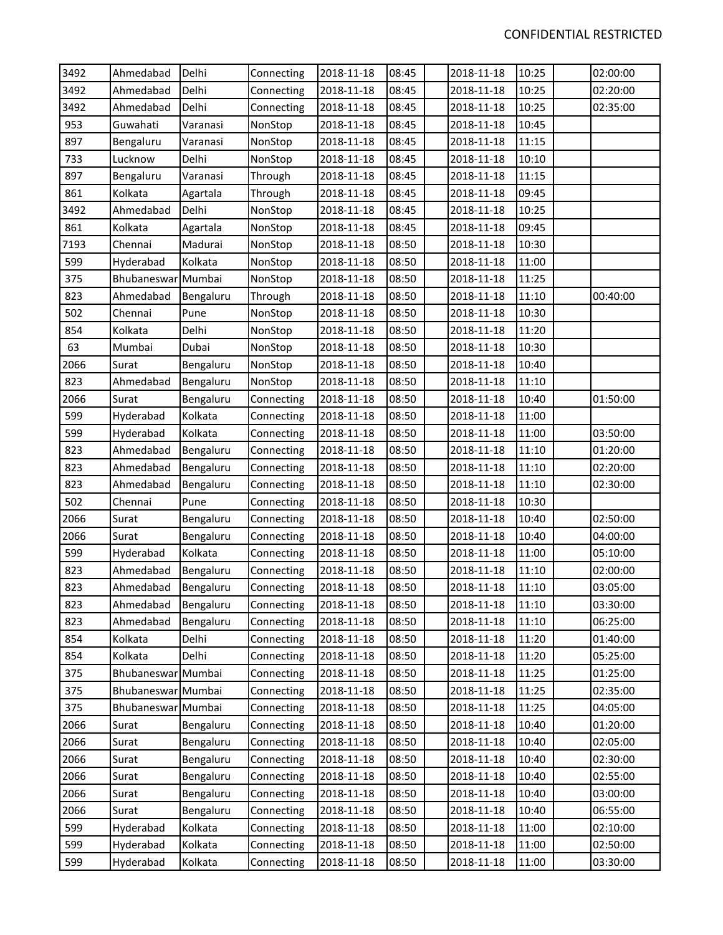| 3492 | Ahmedabad          | Delhi     | Connecting | 2018-11-18 | 08:45 | 2018-11-18 | 10:25 | 02:00:00 |
|------|--------------------|-----------|------------|------------|-------|------------|-------|----------|
| 3492 | Ahmedabad          | Delhi     | Connecting | 2018-11-18 | 08:45 | 2018-11-18 | 10:25 | 02:20:00 |
| 3492 | Ahmedabad          | Delhi     | Connecting | 2018-11-18 | 08:45 | 2018-11-18 | 10:25 | 02:35:00 |
| 953  | Guwahati           | Varanasi  | NonStop    | 2018-11-18 | 08:45 | 2018-11-18 | 10:45 |          |
| 897  | Bengaluru          | Varanasi  | NonStop    | 2018-11-18 | 08:45 | 2018-11-18 | 11:15 |          |
| 733  | Lucknow            | Delhi     | NonStop    | 2018-11-18 | 08:45 | 2018-11-18 | 10:10 |          |
| 897  | Bengaluru          | Varanasi  | Through    | 2018-11-18 | 08:45 | 2018-11-18 | 11:15 |          |
| 861  | Kolkata            | Agartala  | Through    | 2018-11-18 | 08:45 | 2018-11-18 | 09:45 |          |
| 3492 | Ahmedabad          | Delhi     | NonStop    | 2018-11-18 | 08:45 | 2018-11-18 | 10:25 |          |
| 861  | Kolkata            | Agartala  | NonStop    | 2018-11-18 | 08:45 | 2018-11-18 | 09:45 |          |
| 7193 | Chennai            | Madurai   | NonStop    | 2018-11-18 | 08:50 | 2018-11-18 | 10:30 |          |
| 599  | Hyderabad          | Kolkata   | NonStop    | 2018-11-18 | 08:50 | 2018-11-18 | 11:00 |          |
| 375  | Bhubaneswar Mumbai |           | NonStop    | 2018-11-18 | 08:50 | 2018-11-18 | 11:25 |          |
| 823  | Ahmedabad          | Bengaluru | Through    | 2018-11-18 | 08:50 | 2018-11-18 | 11:10 | 00:40:00 |
| 502  | Chennai            | Pune      | NonStop    | 2018-11-18 | 08:50 | 2018-11-18 | 10:30 |          |
| 854  | Kolkata            | Delhi     | NonStop    | 2018-11-18 | 08:50 | 2018-11-18 | 11:20 |          |
| 63   | Mumbai             | Dubai     | NonStop    | 2018-11-18 | 08:50 | 2018-11-18 | 10:30 |          |
| 2066 | Surat              | Bengaluru | NonStop    | 2018-11-18 | 08:50 | 2018-11-18 | 10:40 |          |
| 823  | Ahmedabad          | Bengaluru | NonStop    | 2018-11-18 | 08:50 | 2018-11-18 | 11:10 |          |
| 2066 | Surat              | Bengaluru | Connecting | 2018-11-18 | 08:50 | 2018-11-18 | 10:40 | 01:50:00 |
| 599  | Hyderabad          | Kolkata   | Connecting | 2018-11-18 | 08:50 | 2018-11-18 | 11:00 |          |
| 599  | Hyderabad          | Kolkata   | Connecting | 2018-11-18 | 08:50 | 2018-11-18 | 11:00 | 03:50:00 |
| 823  | Ahmedabad          | Bengaluru | Connecting | 2018-11-18 | 08:50 | 2018-11-18 | 11:10 | 01:20:00 |
| 823  | Ahmedabad          | Bengaluru | Connecting | 2018-11-18 | 08:50 | 2018-11-18 | 11:10 | 02:20:00 |
| 823  | Ahmedabad          | Bengaluru | Connecting | 2018-11-18 | 08:50 | 2018-11-18 | 11:10 | 02:30:00 |
| 502  | Chennai            | Pune      | Connecting | 2018-11-18 | 08:50 | 2018-11-18 | 10:30 |          |
| 2066 | Surat              | Bengaluru | Connecting | 2018-11-18 | 08:50 | 2018-11-18 | 10:40 | 02:50:00 |
| 2066 | Surat              | Bengaluru | Connecting | 2018-11-18 | 08:50 | 2018-11-18 | 10:40 | 04:00:00 |
| 599  | Hyderabad          | Kolkata   | Connecting | 2018-11-18 | 08:50 | 2018-11-18 | 11:00 | 05:10:00 |
| 823  | Ahmedabad          | Bengaluru | Connecting | 2018-11-18 | 08:50 | 2018-11-18 | 11:10 | 02:00:00 |
| 823  | Ahmedabad          | Bengaluru | Connecting | 2018-11-18 | 08:50 | 2018-11-18 | 11:10 | 03:05:00 |
| 823  | Ahmedabad          | Bengaluru | Connecting | 2018-11-18 | 08:50 | 2018-11-18 | 11:10 | 03:30:00 |
| 823  | Ahmedabad          | Bengaluru | Connecting | 2018-11-18 | 08:50 | 2018-11-18 | 11:10 | 06:25:00 |
| 854  | Kolkata            | Delhi     | Connecting | 2018-11-18 | 08:50 | 2018-11-18 | 11:20 | 01:40:00 |
| 854  | Kolkata            | Delhi     | Connecting | 2018-11-18 | 08:50 | 2018-11-18 | 11:20 | 05:25:00 |
| 375  | Bhubaneswar Mumbai |           | Connecting | 2018-11-18 | 08:50 | 2018-11-18 | 11:25 | 01:25:00 |
| 375  | Bhubaneswar Mumbai |           | Connecting | 2018-11-18 | 08:50 | 2018-11-18 | 11:25 | 02:35:00 |
| 375  | Bhubaneswar Mumbai |           | Connecting | 2018-11-18 | 08:50 | 2018-11-18 | 11:25 | 04:05:00 |
| 2066 | Surat              | Bengaluru | Connecting | 2018-11-18 | 08:50 | 2018-11-18 | 10:40 | 01:20:00 |
| 2066 | Surat              | Bengaluru | Connecting | 2018-11-18 | 08:50 | 2018-11-18 | 10:40 | 02:05:00 |
| 2066 | Surat              | Bengaluru | Connecting | 2018-11-18 | 08:50 | 2018-11-18 | 10:40 | 02:30:00 |
| 2066 | Surat              | Bengaluru | Connecting | 2018-11-18 | 08:50 | 2018-11-18 | 10:40 | 02:55:00 |
| 2066 | Surat              | Bengaluru | Connecting | 2018-11-18 | 08:50 | 2018-11-18 | 10:40 | 03:00:00 |
| 2066 | Surat              | Bengaluru | Connecting | 2018-11-18 | 08:50 | 2018-11-18 | 10:40 | 06:55:00 |
| 599  | Hyderabad          | Kolkata   | Connecting | 2018-11-18 | 08:50 | 2018-11-18 | 11:00 | 02:10:00 |
| 599  | Hyderabad          | Kolkata   | Connecting | 2018-11-18 | 08:50 | 2018-11-18 | 11:00 | 02:50:00 |
| 599  | Hyderabad          | Kolkata   | Connecting | 2018-11-18 | 08:50 | 2018-11-18 | 11:00 | 03:30:00 |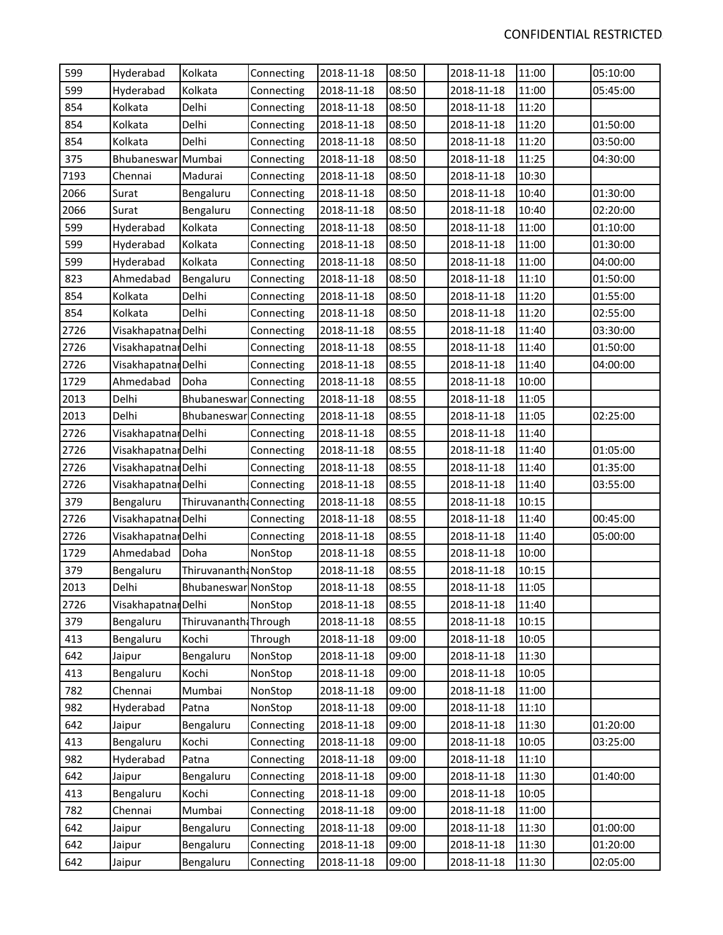| 599  | Hyderabad           | Kolkata                | Connecting | 2018-11-18 | 08:50 | 2018-11-18 | 11:00 | 05:10:00 |
|------|---------------------|------------------------|------------|------------|-------|------------|-------|----------|
| 599  | Hyderabad           | Kolkata                | Connecting | 2018-11-18 | 08:50 | 2018-11-18 | 11:00 | 05:45:00 |
| 854  | Kolkata             | Delhi                  | Connecting | 2018-11-18 | 08:50 | 2018-11-18 | 11:20 |          |
| 854  | Kolkata             | Delhi                  | Connecting | 2018-11-18 | 08:50 | 2018-11-18 | 11:20 | 01:50:00 |
| 854  | Kolkata             | Delhi                  | Connecting | 2018-11-18 | 08:50 | 2018-11-18 | 11:20 | 03:50:00 |
| 375  | Bhubaneswar Mumbai  |                        | Connecting | 2018-11-18 | 08:50 | 2018-11-18 | 11:25 | 04:30:00 |
| 7193 | Chennai             | Madurai                | Connecting | 2018-11-18 | 08:50 | 2018-11-18 | 10:30 |          |
| 2066 | Surat               | Bengaluru              | Connecting | 2018-11-18 | 08:50 | 2018-11-18 | 10:40 | 01:30:00 |
| 2066 | Surat               | Bengaluru              | Connecting | 2018-11-18 | 08:50 | 2018-11-18 | 10:40 | 02:20:00 |
| 599  | Hyderabad           | Kolkata                | Connecting | 2018-11-18 | 08:50 | 2018-11-18 | 11:00 | 01:10:00 |
| 599  | Hyderabad           | Kolkata                | Connecting | 2018-11-18 | 08:50 | 2018-11-18 | 11:00 | 01:30:00 |
| 599  | Hyderabad           | Kolkata                | Connecting | 2018-11-18 | 08:50 | 2018-11-18 | 11:00 | 04:00:00 |
| 823  | Ahmedabad           | Bengaluru              | Connecting | 2018-11-18 | 08:50 | 2018-11-18 | 11:10 | 01:50:00 |
| 854  | Kolkata             | Delhi                  | Connecting | 2018-11-18 | 08:50 | 2018-11-18 | 11:20 | 01:55:00 |
| 854  | Kolkata             | Delhi                  | Connecting | 2018-11-18 | 08:50 | 2018-11-18 | 11:20 | 02:55:00 |
| 2726 | Visakhapatnar Delhi |                        | Connecting | 2018-11-18 | 08:55 | 2018-11-18 | 11:40 | 03:30:00 |
| 2726 | Visakhapatnar Delhi |                        | Connecting | 2018-11-18 | 08:55 | 2018-11-18 | 11:40 | 01:50:00 |
| 2726 | Visakhapatnar Delhi |                        | Connecting | 2018-11-18 | 08:55 | 2018-11-18 | 11:40 | 04:00:00 |
| 1729 | Ahmedabad           | Doha                   | Connecting | 2018-11-18 | 08:55 | 2018-11-18 | 10:00 |          |
| 2013 | Delhi               | Bhubaneswar Connecting |            | 2018-11-18 | 08:55 | 2018-11-18 | 11:05 |          |
| 2013 | Delhi               | Bhubaneswar Connecting |            | 2018-11-18 | 08:55 | 2018-11-18 | 11:05 | 02:25:00 |
| 2726 | Visakhapatnar Delhi |                        | Connecting | 2018-11-18 | 08:55 | 2018-11-18 | 11:40 |          |
| 2726 | Visakhapatnar Delhi |                        | Connecting | 2018-11-18 | 08:55 | 2018-11-18 | 11:40 | 01:05:00 |
| 2726 | Visakhapatnar Delhi |                        | Connecting | 2018-11-18 | 08:55 | 2018-11-18 | 11:40 | 01:35:00 |
| 2726 | Visakhapatnar Delhi |                        | Connecting | 2018-11-18 | 08:55 | 2018-11-18 | 11:40 | 03:55:00 |
| 379  | Bengaluru           | Thiruvananth           | Connecting | 2018-11-18 | 08:55 | 2018-11-18 | 10:15 |          |
| 2726 | Visakhapatnar Delhi |                        | Connecting | 2018-11-18 | 08:55 | 2018-11-18 | 11:40 | 00:45:00 |
| 2726 | Visakhapatnar Delhi |                        | Connecting | 2018-11-18 | 08:55 | 2018-11-18 | 11:40 | 05:00:00 |
| 1729 | Ahmedabad           | Doha                   | NonStop    | 2018-11-18 | 08:55 | 2018-11-18 | 10:00 |          |
| 379  | Bengaluru           | Thiruvananth: NonStop  |            | 2018-11-18 | 08:55 | 2018-11-18 | 10:15 |          |
| 2013 | Delhi               | Bhubaneswar NonStop    |            | 2018-11-18 | 08:55 | 2018-11-18 | 11:05 |          |
| 2726 | Visakhapatnar Delhi |                        | NonStop    | 2018-11-18 | 08:55 | 2018-11-18 | 11:40 |          |
| 379  | Bengaluru           | Thiruvananth: Through  |            | 2018-11-18 | 08:55 | 2018-11-18 | 10:15 |          |
| 413  | Bengaluru           | Kochi                  | Through    | 2018-11-18 | 09:00 | 2018-11-18 | 10:05 |          |
| 642  | Jaipur              | Bengaluru              | NonStop    | 2018-11-18 | 09:00 | 2018-11-18 | 11:30 |          |
| 413  | Bengaluru           | Kochi                  | NonStop    | 2018-11-18 | 09:00 | 2018-11-18 | 10:05 |          |
| 782  | Chennai             | Mumbai                 | NonStop    | 2018-11-18 | 09:00 | 2018-11-18 | 11:00 |          |
| 982  | Hyderabad           | Patna                  | NonStop    | 2018-11-18 | 09:00 | 2018-11-18 | 11:10 |          |
| 642  | Jaipur              | Bengaluru              | Connecting | 2018-11-18 | 09:00 | 2018-11-18 | 11:30 | 01:20:00 |
| 413  | Bengaluru           | Kochi                  | Connecting | 2018-11-18 | 09:00 | 2018-11-18 | 10:05 | 03:25:00 |
| 982  | Hyderabad           | Patna                  | Connecting | 2018-11-18 | 09:00 | 2018-11-18 | 11:10 |          |
| 642  | Jaipur              | Bengaluru              | Connecting | 2018-11-18 | 09:00 | 2018-11-18 | 11:30 | 01:40:00 |
| 413  | Bengaluru           | Kochi                  | Connecting | 2018-11-18 | 09:00 | 2018-11-18 | 10:05 |          |
| 782  | Chennai             | Mumbai                 | Connecting | 2018-11-18 | 09:00 | 2018-11-18 | 11:00 |          |
| 642  | Jaipur              | Bengaluru              | Connecting | 2018-11-18 | 09:00 | 2018-11-18 | 11:30 | 01:00:00 |
| 642  | Jaipur              | Bengaluru              | Connecting | 2018-11-18 | 09:00 | 2018-11-18 | 11:30 | 01:20:00 |
| 642  | Jaipur              | Bengaluru              | Connecting | 2018-11-18 | 09:00 | 2018-11-18 | 11:30 | 02:05:00 |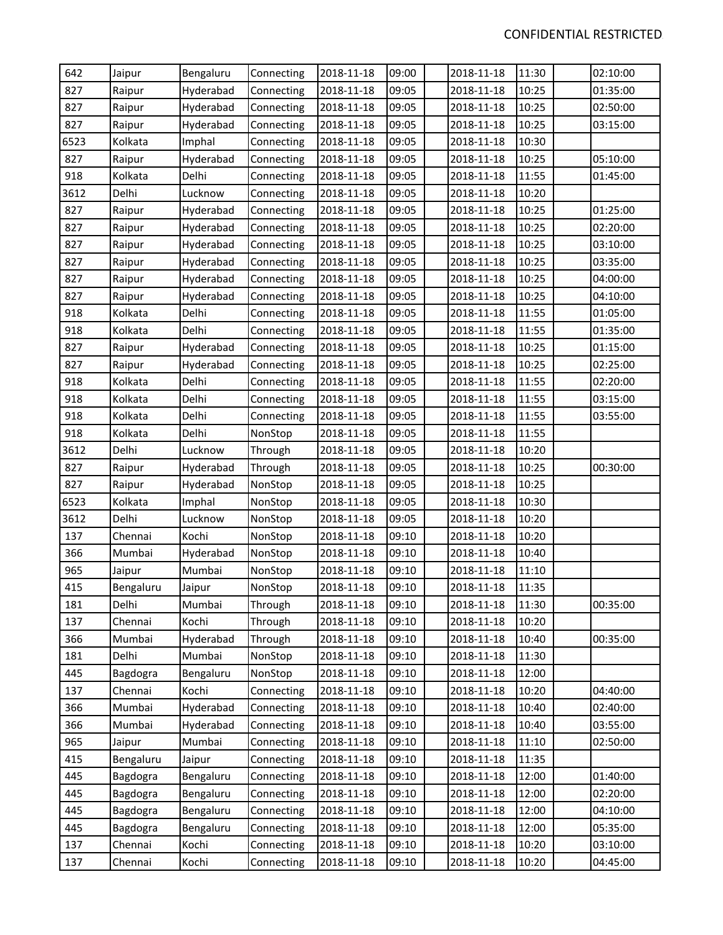| 642  | Jaipur    | Bengaluru | Connecting | 2018-11-18 | 09:00 | 2018-11-18 | 11:30 | 02:10:00 |
|------|-----------|-----------|------------|------------|-------|------------|-------|----------|
| 827  | Raipur    | Hyderabad | Connecting | 2018-11-18 | 09:05 | 2018-11-18 | 10:25 | 01:35:00 |
| 827  | Raipur    | Hyderabad | Connecting | 2018-11-18 | 09:05 | 2018-11-18 | 10:25 | 02:50:00 |
| 827  | Raipur    | Hyderabad | Connecting | 2018-11-18 | 09:05 | 2018-11-18 | 10:25 | 03:15:00 |
| 6523 | Kolkata   | Imphal    | Connecting | 2018-11-18 | 09:05 | 2018-11-18 | 10:30 |          |
| 827  | Raipur    | Hyderabad | Connecting | 2018-11-18 | 09:05 | 2018-11-18 | 10:25 | 05:10:00 |
| 918  | Kolkata   | Delhi     | Connecting | 2018-11-18 | 09:05 | 2018-11-18 | 11:55 | 01:45:00 |
| 3612 | Delhi     | Lucknow   | Connecting | 2018-11-18 | 09:05 | 2018-11-18 | 10:20 |          |
| 827  | Raipur    | Hyderabad | Connecting | 2018-11-18 | 09:05 | 2018-11-18 | 10:25 | 01:25:00 |
| 827  | Raipur    | Hyderabad | Connecting | 2018-11-18 | 09:05 | 2018-11-18 | 10:25 | 02:20:00 |
| 827  | Raipur    | Hyderabad | Connecting | 2018-11-18 | 09:05 | 2018-11-18 | 10:25 | 03:10:00 |
| 827  | Raipur    | Hyderabad | Connecting | 2018-11-18 | 09:05 | 2018-11-18 | 10:25 | 03:35:00 |
| 827  | Raipur    | Hyderabad | Connecting | 2018-11-18 | 09:05 | 2018-11-18 | 10:25 | 04:00:00 |
| 827  | Raipur    | Hyderabad | Connecting | 2018-11-18 | 09:05 | 2018-11-18 | 10:25 | 04:10:00 |
| 918  | Kolkata   | Delhi     | Connecting | 2018-11-18 | 09:05 | 2018-11-18 | 11:55 | 01:05:00 |
| 918  | Kolkata   | Delhi     | Connecting | 2018-11-18 | 09:05 | 2018-11-18 | 11:55 | 01:35:00 |
| 827  | Raipur    | Hyderabad | Connecting | 2018-11-18 | 09:05 | 2018-11-18 | 10:25 | 01:15:00 |
| 827  | Raipur    | Hyderabad | Connecting | 2018-11-18 | 09:05 | 2018-11-18 | 10:25 | 02:25:00 |
| 918  | Kolkata   | Delhi     | Connecting | 2018-11-18 | 09:05 | 2018-11-18 | 11:55 | 02:20:00 |
| 918  | Kolkata   | Delhi     | Connecting | 2018-11-18 | 09:05 | 2018-11-18 | 11:55 | 03:15:00 |
| 918  | Kolkata   | Delhi     | Connecting | 2018-11-18 | 09:05 | 2018-11-18 | 11:55 | 03:55:00 |
| 918  | Kolkata   | Delhi     | NonStop    | 2018-11-18 | 09:05 | 2018-11-18 | 11:55 |          |
| 3612 | Delhi     | Lucknow   | Through    | 2018-11-18 | 09:05 | 2018-11-18 | 10:20 |          |
| 827  | Raipur    | Hyderabad | Through    | 2018-11-18 | 09:05 | 2018-11-18 | 10:25 | 00:30:00 |
| 827  | Raipur    | Hyderabad | NonStop    | 2018-11-18 | 09:05 | 2018-11-18 | 10:25 |          |
| 6523 | Kolkata   | Imphal    | NonStop    | 2018-11-18 | 09:05 | 2018-11-18 | 10:30 |          |
| 3612 | Delhi     | Lucknow   | NonStop    | 2018-11-18 | 09:05 | 2018-11-18 | 10:20 |          |
| 137  | Chennai   | Kochi     | NonStop    | 2018-11-18 | 09:10 | 2018-11-18 | 10:20 |          |
| 366  | Mumbai    | Hyderabad | NonStop    | 2018-11-18 | 09:10 | 2018-11-18 | 10:40 |          |
| 965  | Jaipur    | Mumbai    | NonStop    | 2018-11-18 | 09:10 | 2018-11-18 | 11:10 |          |
| 415  | Bengaluru | Jaipur    | NonStop    | 2018-11-18 | 09:10 | 2018-11-18 | 11:35 |          |
| 181  | Delhi     | Mumbai    | Through    | 2018-11-18 | 09:10 | 2018-11-18 | 11:30 | 00:35:00 |
| 137  | Chennai   | Kochi     | Through    | 2018-11-18 | 09:10 | 2018-11-18 | 10:20 |          |
| 366  | Mumbai    | Hyderabad | Through    | 2018-11-18 | 09:10 | 2018-11-18 | 10:40 | 00:35:00 |
| 181  | Delhi     | Mumbai    | NonStop    | 2018-11-18 | 09:10 | 2018-11-18 | 11:30 |          |
| 445  | Bagdogra  | Bengaluru | NonStop    | 2018-11-18 | 09:10 | 2018-11-18 | 12:00 |          |
| 137  | Chennai   | Kochi     | Connecting | 2018-11-18 | 09:10 | 2018-11-18 | 10:20 | 04:40:00 |
| 366  | Mumbai    | Hyderabad | Connecting | 2018-11-18 | 09:10 | 2018-11-18 | 10:40 | 02:40:00 |
| 366  | Mumbai    | Hyderabad | Connecting | 2018-11-18 | 09:10 | 2018-11-18 | 10:40 | 03:55:00 |
| 965  | Jaipur    | Mumbai    | Connecting | 2018-11-18 | 09:10 | 2018-11-18 | 11:10 | 02:50:00 |
| 415  | Bengaluru | Jaipur    | Connecting | 2018-11-18 | 09:10 | 2018-11-18 | 11:35 |          |
| 445  | Bagdogra  | Bengaluru | Connecting | 2018-11-18 | 09:10 | 2018-11-18 | 12:00 | 01:40:00 |
| 445  | Bagdogra  | Bengaluru | Connecting | 2018-11-18 | 09:10 | 2018-11-18 | 12:00 | 02:20:00 |
| 445  | Bagdogra  | Bengaluru | Connecting | 2018-11-18 | 09:10 | 2018-11-18 | 12:00 | 04:10:00 |
| 445  | Bagdogra  | Bengaluru | Connecting | 2018-11-18 | 09:10 | 2018-11-18 | 12:00 | 05:35:00 |
| 137  | Chennai   | Kochi     | Connecting | 2018-11-18 | 09:10 | 2018-11-18 | 10:20 | 03:10:00 |
| 137  | Chennai   | Kochi     | Connecting | 2018-11-18 | 09:10 | 2018-11-18 | 10:20 | 04:45:00 |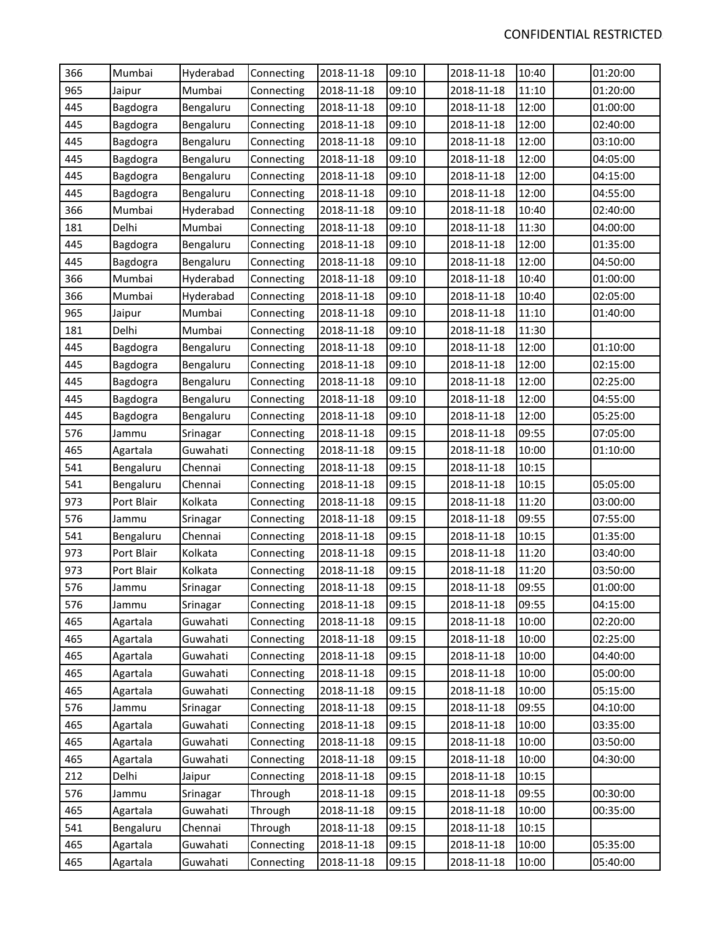| 366 | Mumbai     | Hyderabad | Connecting | 2018-11-18 | 09:10 | 2018-11-18 | 10:40 | 01:20:00 |
|-----|------------|-----------|------------|------------|-------|------------|-------|----------|
| 965 | Jaipur     | Mumbai    | Connecting | 2018-11-18 | 09:10 | 2018-11-18 | 11:10 | 01:20:00 |
| 445 | Bagdogra   | Bengaluru | Connecting | 2018-11-18 | 09:10 | 2018-11-18 | 12:00 | 01:00:00 |
| 445 | Bagdogra   | Bengaluru | Connecting | 2018-11-18 | 09:10 | 2018-11-18 | 12:00 | 02:40:00 |
| 445 | Bagdogra   | Bengaluru | Connecting | 2018-11-18 | 09:10 | 2018-11-18 | 12:00 | 03:10:00 |
| 445 | Bagdogra   | Bengaluru | Connecting | 2018-11-18 | 09:10 | 2018-11-18 | 12:00 | 04:05:00 |
| 445 | Bagdogra   | Bengaluru | Connecting | 2018-11-18 | 09:10 | 2018-11-18 | 12:00 | 04:15:00 |
| 445 | Bagdogra   | Bengaluru | Connecting | 2018-11-18 | 09:10 | 2018-11-18 | 12:00 | 04:55:00 |
| 366 | Mumbai     | Hyderabad | Connecting | 2018-11-18 | 09:10 | 2018-11-18 | 10:40 | 02:40:00 |
| 181 | Delhi      | Mumbai    | Connecting | 2018-11-18 | 09:10 | 2018-11-18 | 11:30 | 04:00:00 |
| 445 | Bagdogra   | Bengaluru | Connecting | 2018-11-18 | 09:10 | 2018-11-18 | 12:00 | 01:35:00 |
| 445 | Bagdogra   | Bengaluru | Connecting | 2018-11-18 | 09:10 | 2018-11-18 | 12:00 | 04:50:00 |
| 366 | Mumbai     | Hyderabad | Connecting | 2018-11-18 | 09:10 | 2018-11-18 | 10:40 | 01:00:00 |
| 366 | Mumbai     | Hyderabad | Connecting | 2018-11-18 | 09:10 | 2018-11-18 | 10:40 | 02:05:00 |
| 965 | Jaipur     | Mumbai    | Connecting | 2018-11-18 | 09:10 | 2018-11-18 | 11:10 | 01:40:00 |
| 181 | Delhi      | Mumbai    | Connecting | 2018-11-18 | 09:10 | 2018-11-18 | 11:30 |          |
| 445 | Bagdogra   | Bengaluru | Connecting | 2018-11-18 | 09:10 | 2018-11-18 | 12:00 | 01:10:00 |
| 445 | Bagdogra   | Bengaluru | Connecting | 2018-11-18 | 09:10 | 2018-11-18 | 12:00 | 02:15:00 |
| 445 | Bagdogra   | Bengaluru | Connecting | 2018-11-18 | 09:10 | 2018-11-18 | 12:00 | 02:25:00 |
| 445 | Bagdogra   | Bengaluru | Connecting | 2018-11-18 | 09:10 | 2018-11-18 | 12:00 | 04:55:00 |
| 445 | Bagdogra   | Bengaluru | Connecting | 2018-11-18 | 09:10 | 2018-11-18 | 12:00 | 05:25:00 |
| 576 | Jammu      | Srinagar  | Connecting | 2018-11-18 | 09:15 | 2018-11-18 | 09:55 | 07:05:00 |
| 465 | Agartala   | Guwahati  | Connecting | 2018-11-18 | 09:15 | 2018-11-18 | 10:00 | 01:10:00 |
| 541 | Bengaluru  | Chennai   | Connecting | 2018-11-18 | 09:15 | 2018-11-18 | 10:15 |          |
| 541 | Bengaluru  | Chennai   | Connecting | 2018-11-18 | 09:15 | 2018-11-18 | 10:15 | 05:05:00 |
| 973 | Port Blair | Kolkata   | Connecting | 2018-11-18 | 09:15 | 2018-11-18 | 11:20 | 03:00:00 |
| 576 | Jammu      | Srinagar  | Connecting | 2018-11-18 | 09:15 | 2018-11-18 | 09:55 | 07:55:00 |
| 541 | Bengaluru  | Chennai   | Connecting | 2018-11-18 | 09:15 | 2018-11-18 | 10:15 | 01:35:00 |
| 973 | Port Blair | Kolkata   | Connecting | 2018-11-18 | 09:15 | 2018-11-18 | 11:20 | 03:40:00 |
| 973 | Port Blair | Kolkata   | Connecting | 2018-11-18 | 09:15 | 2018-11-18 | 11:20 | 03:50:00 |
| 576 | Jammu      | Srinagar  | Connecting | 2018-11-18 | 09:15 | 2018-11-18 | 09:55 | 01:00:00 |
| 576 | Jammu      | Srinagar  | Connecting | 2018-11-18 | 09:15 | 2018-11-18 | 09:55 | 04:15:00 |
| 465 | Agartala   | Guwahati  | Connecting | 2018-11-18 | 09:15 | 2018-11-18 | 10:00 | 02:20:00 |
| 465 | Agartala   | Guwahati  | Connecting | 2018-11-18 | 09:15 | 2018-11-18 | 10:00 | 02:25:00 |
| 465 | Agartala   | Guwahati  | Connecting | 2018-11-18 | 09:15 | 2018-11-18 | 10:00 | 04:40:00 |
| 465 | Agartala   | Guwahati  | Connecting | 2018-11-18 | 09:15 | 2018-11-18 | 10:00 | 05:00:00 |
| 465 | Agartala   | Guwahati  | Connecting | 2018-11-18 | 09:15 | 2018-11-18 | 10:00 | 05:15:00 |
| 576 | Jammu      | Srinagar  | Connecting | 2018-11-18 | 09:15 | 2018-11-18 | 09:55 | 04:10:00 |
| 465 | Agartala   | Guwahati  | Connecting | 2018-11-18 | 09:15 | 2018-11-18 | 10:00 | 03:35:00 |
| 465 | Agartala   | Guwahati  | Connecting | 2018-11-18 | 09:15 | 2018-11-18 | 10:00 | 03:50:00 |
| 465 | Agartala   | Guwahati  | Connecting | 2018-11-18 | 09:15 | 2018-11-18 | 10:00 | 04:30:00 |
| 212 | Delhi      | Jaipur    | Connecting | 2018-11-18 | 09:15 | 2018-11-18 | 10:15 |          |
| 576 | Jammu      | Srinagar  | Through    | 2018-11-18 | 09:15 | 2018-11-18 | 09:55 | 00:30:00 |
| 465 | Agartala   | Guwahati  | Through    | 2018-11-18 | 09:15 | 2018-11-18 | 10:00 | 00:35:00 |
| 541 | Bengaluru  | Chennai   | Through    | 2018-11-18 | 09:15 | 2018-11-18 | 10:15 |          |
| 465 | Agartala   | Guwahati  | Connecting | 2018-11-18 | 09:15 | 2018-11-18 | 10:00 | 05:35:00 |
| 465 | Agartala   | Guwahati  | Connecting | 2018-11-18 | 09:15 | 2018-11-18 | 10:00 | 05:40:00 |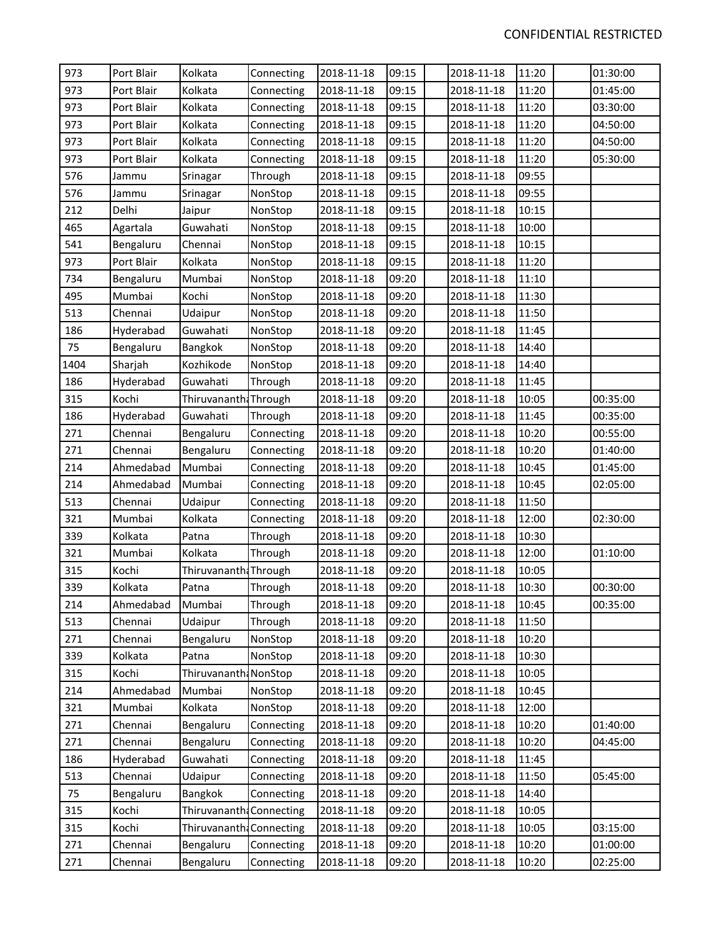| 973     | Port Blair | Kolkata                  | Connecting | 2018-11-18 | 09:15 | 2018-11-18 | 11:20 | 01:30:00 |
|---------|------------|--------------------------|------------|------------|-------|------------|-------|----------|
| 973     | Port Blair | Kolkata                  | Connecting | 2018-11-18 | 09:15 | 2018-11-18 | 11:20 | 01:45:00 |
| 973     | Port Blair | Kolkata                  | Connecting | 2018-11-18 | 09:15 | 2018-11-18 | 11:20 | 03:30:00 |
| 973     | Port Blair | Kolkata                  | Connecting | 2018-11-18 | 09:15 | 2018-11-18 | 11:20 | 04:50:00 |
| 973     | Port Blair | Kolkata                  | Connecting | 2018-11-18 | 09:15 | 2018-11-18 | 11:20 | 04:50:00 |
| 973     | Port Blair | Kolkata                  | Connecting | 2018-11-18 | 09:15 | 2018-11-18 | 11:20 | 05:30:00 |
| 576     | Jammu      | Srinagar                 | Through    | 2018-11-18 | 09:15 | 2018-11-18 | 09:55 |          |
| 576     | Jammu      | Srinagar                 | NonStop    | 2018-11-18 | 09:15 | 2018-11-18 | 09:55 |          |
| 212     | Delhi      | Jaipur                   | NonStop    | 2018-11-18 | 09:15 | 2018-11-18 | 10:15 |          |
| 465     | Agartala   | Guwahati                 | NonStop    | 2018-11-18 | 09:15 | 2018-11-18 | 10:00 |          |
| 541     | Bengaluru  | Chennai                  | NonStop    | 2018-11-18 | 09:15 | 2018-11-18 | 10:15 |          |
| 973     | Port Blair | Kolkata                  | NonStop    | 2018-11-18 | 09:15 | 2018-11-18 | 11:20 |          |
| 734     | Bengaluru  | Mumbai                   | NonStop    | 2018-11-18 | 09:20 | 2018-11-18 | 11:10 |          |
| 495     | Mumbai     | Kochi                    | NonStop    | 2018-11-18 | 09:20 | 2018-11-18 | 11:30 |          |
| 513     | Chennai    | Udaipur                  | NonStop    | 2018-11-18 | 09:20 | 2018-11-18 | 11:50 |          |
| 186     | Hyderabad  | Guwahati                 | NonStop    | 2018-11-18 | 09:20 | 2018-11-18 | 11:45 |          |
| 75      | Bengaluru  | Bangkok                  | NonStop    | 2018-11-18 | 09:20 | 2018-11-18 | 14:40 |          |
| 1404    | Sharjah    | Kozhikode                | NonStop    | 2018-11-18 | 09:20 | 2018-11-18 | 14:40 |          |
| 186     | Hyderabad  | Guwahati                 | Through    | 2018-11-18 | 09:20 | 2018-11-18 | 11:45 |          |
| 315     | Kochi      | Thiruvananth: Through    |            | 2018-11-18 | 09:20 | 2018-11-18 | 10:05 | 00:35:00 |
| 186     | Hyderabad  | Guwahati                 | Through    | 2018-11-18 | 09:20 | 2018-11-18 | 11:45 | 00:35:00 |
| 271     | Chennai    | Bengaluru                | Connecting | 2018-11-18 | 09:20 | 2018-11-18 | 10:20 | 00:55:00 |
| 271     | Chennai    | Bengaluru                | Connecting | 2018-11-18 | 09:20 | 2018-11-18 | 10:20 | 01:40:00 |
| 214     | Ahmedabad  | Mumbai                   | Connecting | 2018-11-18 | 09:20 | 2018-11-18 | 10:45 | 01:45:00 |
| 214     | Ahmedabad  | Mumbai                   | Connecting | 2018-11-18 | 09:20 | 2018-11-18 | 10:45 | 02:05:00 |
| 513     | Chennai    | Udaipur                  | Connecting | 2018-11-18 | 09:20 | 2018-11-18 | 11:50 |          |
| 321     | Mumbai     | Kolkata                  | Connecting | 2018-11-18 | 09:20 | 2018-11-18 | 12:00 | 02:30:00 |
| 339     | Kolkata    | Patna                    | Through    | 2018-11-18 | 09:20 | 2018-11-18 | 10:30 |          |
| 321     | Mumbai     | Kolkata                  | Through    | 2018-11-18 | 09:20 | 2018-11-18 | 12:00 | 01:10:00 |
| 315     | Kochi      | Thiruvananth: Through    |            | 2018-11-18 | 09:20 | 2018-11-18 | 10:05 |          |
| 339     | Kolkata    | Patna                    | Through    | 2018-11-18 | 09:20 | 2018-11-18 | 10:30 | 00:30:00 |
| 214     | Ahmedabad  | Mumbai                   | Through    | 2018-11-18 | 09:20 | 2018-11-18 | 10:45 | 00:35:00 |
| 513     | Chennai    | Udaipur                  | Through    | 2018-11-18 | 09:20 | 2018-11-18 | 11:50 |          |
| 271     | Chennai    | Bengaluru                | NonStop    | 2018-11-18 | 09:20 | 2018-11-18 | 10:20 |          |
| 339     | Kolkata    | Patna                    | NonStop    | 2018-11-18 | 09:20 | 2018-11-18 | 10:30 |          |
| 315     | Kochi      | Thiruvananth: NonStop    |            | 2018-11-18 | 09:20 | 2018-11-18 | 10:05 |          |
| 214     | Ahmedabad  | Mumbai                   | NonStop    | 2018-11-18 | 09:20 | 2018-11-18 | 10:45 |          |
| 321     | Mumbai     | Kolkata                  | NonStop    | 2018-11-18 | 09:20 | 2018-11-18 | 12:00 |          |
| 271     | Chennai    | Bengaluru                | Connecting | 2018-11-18 | 09:20 | 2018-11-18 | 10:20 | 01:40:00 |
| 271     | Chennai    | Bengaluru                | Connecting | 2018-11-18 | 09:20 | 2018-11-18 | 10:20 | 04:45:00 |
| 186     | Hyderabad  | Guwahati                 | Connecting | 2018-11-18 | 09:20 | 2018-11-18 | 11:45 |          |
| 513     | Chennai    | Udaipur                  | Connecting | 2018-11-18 | 09:20 | 2018-11-18 | 11:50 | 05:45:00 |
| 75      | Bengaluru  | Bangkok                  | Connecting | 2018-11-18 | 09:20 | 2018-11-18 | 14:40 |          |
| 315     | Kochi      | Thiruvananth             | Connecting | 2018-11-18 | 09:20 | 2018-11-18 | 10:05 |          |
| 315     | Kochi      | Thiruvananth: Connecting |            | 2018-11-18 | 09:20 | 2018-11-18 | 10:05 | 03:15:00 |
| $271\,$ | Chennai    | Bengaluru                | Connecting | 2018-11-18 | 09:20 | 2018-11-18 | 10:20 | 01:00:00 |
| 271     | Chennai    | Bengaluru                | Connecting | 2018-11-18 | 09:20 | 2018-11-18 | 10:20 | 02:25:00 |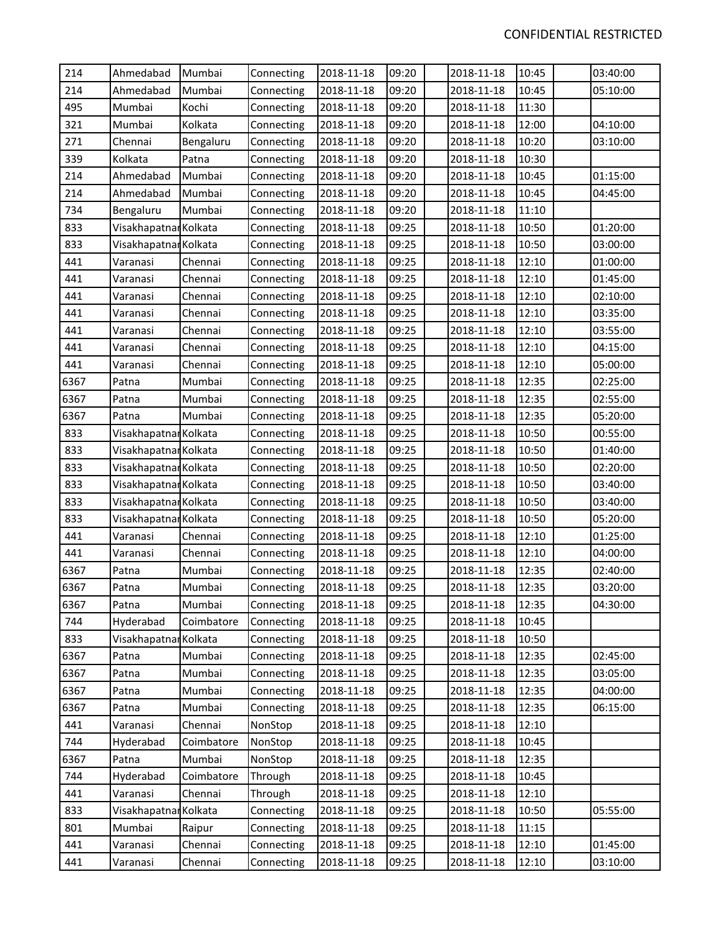| 214  | Ahmedabad             | Mumbai     | Connecting | 2018-11-18 | 09:20 | 2018-11-18 | 10:45 | 03:40:00 |
|------|-----------------------|------------|------------|------------|-------|------------|-------|----------|
| 214  | Ahmedabad             | Mumbai     | Connecting | 2018-11-18 | 09:20 | 2018-11-18 | 10:45 | 05:10:00 |
| 495  | Mumbai                | Kochi      | Connecting | 2018-11-18 | 09:20 | 2018-11-18 | 11:30 |          |
| 321  | Mumbai                | Kolkata    | Connecting | 2018-11-18 | 09:20 | 2018-11-18 | 12:00 | 04:10:00 |
| 271  | Chennai               | Bengaluru  | Connecting | 2018-11-18 | 09:20 | 2018-11-18 | 10:20 | 03:10:00 |
| 339  | Kolkata               | Patna      | Connecting | 2018-11-18 | 09:20 | 2018-11-18 | 10:30 |          |
| 214  | Ahmedabad             | Mumbai     | Connecting | 2018-11-18 | 09:20 | 2018-11-18 | 10:45 | 01:15:00 |
| 214  | Ahmedabad             | Mumbai     | Connecting | 2018-11-18 | 09:20 | 2018-11-18 | 10:45 | 04:45:00 |
| 734  | Bengaluru             | Mumbai     | Connecting | 2018-11-18 | 09:20 | 2018-11-18 | 11:10 |          |
| 833  | Visakhapatnar Kolkata |            | Connecting | 2018-11-18 | 09:25 | 2018-11-18 | 10:50 | 01:20:00 |
| 833  | Visakhapatnar Kolkata |            | Connecting | 2018-11-18 | 09:25 | 2018-11-18 | 10:50 | 03:00:00 |
| 441  | Varanasi              | Chennai    | Connecting | 2018-11-18 | 09:25 | 2018-11-18 | 12:10 | 01:00:00 |
| 441  | Varanasi              | Chennai    | Connecting | 2018-11-18 | 09:25 | 2018-11-18 | 12:10 | 01:45:00 |
| 441  | Varanasi              | Chennai    | Connecting | 2018-11-18 | 09:25 | 2018-11-18 | 12:10 | 02:10:00 |
| 441  | Varanasi              | Chennai    | Connecting | 2018-11-18 | 09:25 | 2018-11-18 | 12:10 | 03:35:00 |
| 441  | Varanasi              | Chennai    | Connecting | 2018-11-18 | 09:25 | 2018-11-18 | 12:10 | 03:55:00 |
| 441  | Varanasi              | Chennai    | Connecting | 2018-11-18 | 09:25 | 2018-11-18 | 12:10 | 04:15:00 |
| 441  | Varanasi              | Chennai    | Connecting | 2018-11-18 | 09:25 | 2018-11-18 | 12:10 | 05:00:00 |
| 6367 | Patna                 | Mumbai     | Connecting | 2018-11-18 | 09:25 | 2018-11-18 | 12:35 | 02:25:00 |
| 6367 | Patna                 | Mumbai     | Connecting | 2018-11-18 | 09:25 | 2018-11-18 | 12:35 | 02:55:00 |
| 6367 | Patna                 | Mumbai     | Connecting | 2018-11-18 | 09:25 | 2018-11-18 | 12:35 | 05:20:00 |
| 833  | Visakhapatnar Kolkata |            | Connecting | 2018-11-18 | 09:25 | 2018-11-18 | 10:50 | 00:55:00 |
| 833  | Visakhapatnar Kolkata |            | Connecting | 2018-11-18 | 09:25 | 2018-11-18 | 10:50 | 01:40:00 |
| 833  | Visakhapatnar Kolkata |            | Connecting | 2018-11-18 | 09:25 | 2018-11-18 | 10:50 | 02:20:00 |
| 833  | Visakhapatnar Kolkata |            | Connecting | 2018-11-18 | 09:25 | 2018-11-18 | 10:50 | 03:40:00 |
| 833  | Visakhapatnar Kolkata |            | Connecting | 2018-11-18 | 09:25 | 2018-11-18 | 10:50 | 03:40:00 |
| 833  | Visakhapatnar Kolkata |            | Connecting | 2018-11-18 | 09:25 | 2018-11-18 | 10:50 | 05:20:00 |
| 441  | Varanasi              | Chennai    | Connecting | 2018-11-18 | 09:25 | 2018-11-18 | 12:10 | 01:25:00 |
| 441  | Varanasi              | Chennai    | Connecting | 2018-11-18 | 09:25 | 2018-11-18 | 12:10 | 04:00:00 |
| 6367 | Patna                 | Mumbai     | Connecting | 2018-11-18 | 09:25 | 2018-11-18 | 12:35 | 02:40:00 |
| 6367 | Patna                 | Mumbai     | Connecting | 2018-11-18 | 09:25 | 2018-11-18 | 12:35 | 03:20:00 |
| 6367 | Patna                 | Mumbai     | Connecting | 2018-11-18 | 09:25 | 2018-11-18 | 12:35 | 04:30:00 |
| 744  | Hyderabad             | Coimbatore | Connecting | 2018-11-18 | 09:25 | 2018-11-18 | 10:45 |          |
| 833  | Visakhapatnar Kolkata |            | Connecting | 2018-11-18 | 09:25 | 2018-11-18 | 10:50 |          |
| 6367 | Patna                 | Mumbai     | Connecting | 2018-11-18 | 09:25 | 2018-11-18 | 12:35 | 02:45:00 |
| 6367 | Patna                 | Mumbai     | Connecting | 2018-11-18 | 09:25 | 2018-11-18 | 12:35 | 03:05:00 |
| 6367 | Patna                 | Mumbai     | Connecting | 2018-11-18 | 09:25 | 2018-11-18 | 12:35 | 04:00:00 |
| 6367 | Patna                 | Mumbai     | Connecting | 2018-11-18 | 09:25 | 2018-11-18 | 12:35 | 06:15:00 |
| 441  | Varanasi              | Chennai    | NonStop    | 2018-11-18 | 09:25 | 2018-11-18 | 12:10 |          |
| 744  | Hyderabad             | Coimbatore | NonStop    | 2018-11-18 | 09:25 | 2018-11-18 | 10:45 |          |
| 6367 | Patna                 | Mumbai     | NonStop    | 2018-11-18 | 09:25 | 2018-11-18 | 12:35 |          |
| 744  | Hyderabad             | Coimbatore | Through    | 2018-11-18 | 09:25 | 2018-11-18 | 10:45 |          |
| 441  | Varanasi              | Chennai    | Through    | 2018-11-18 | 09:25 | 2018-11-18 | 12:10 |          |
| 833  | Visakhapatnar Kolkata |            | Connecting | 2018-11-18 | 09:25 | 2018-11-18 | 10:50 | 05:55:00 |
| 801  | Mumbai                | Raipur     | Connecting | 2018-11-18 | 09:25 | 2018-11-18 | 11:15 |          |
| 441  | Varanasi              | Chennai    | Connecting | 2018-11-18 | 09:25 | 2018-11-18 | 12:10 | 01:45:00 |
| 441  | Varanasi              | Chennai    | Connecting | 2018-11-18 | 09:25 | 2018-11-18 | 12:10 | 03:10:00 |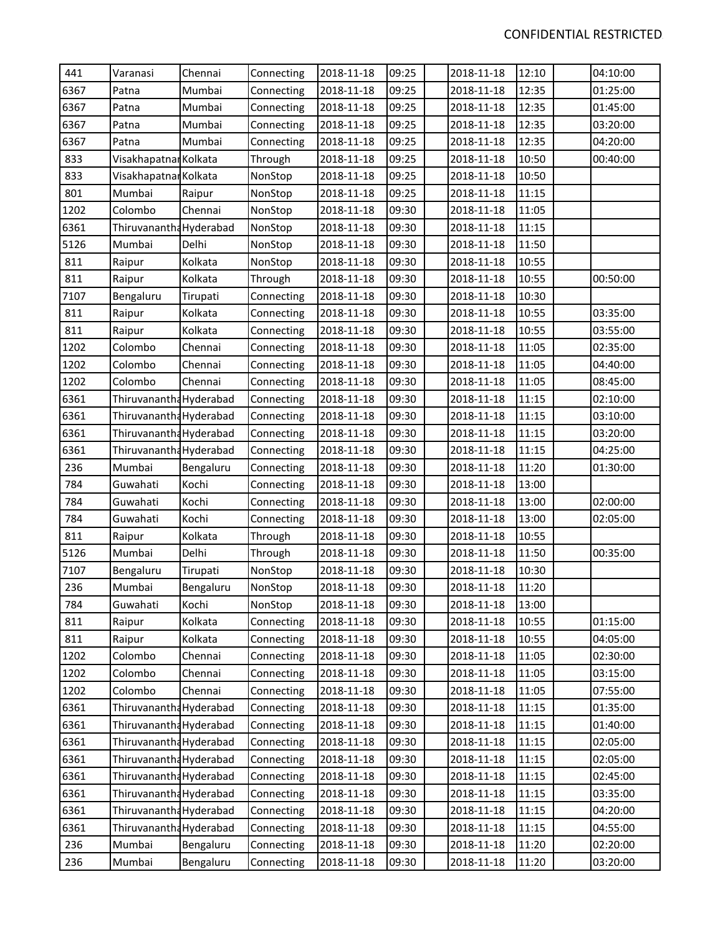| 441  | Varanasi                | Chennai   | Connecting | 2018-11-18 | 09:25 | 2018-11-18 | 12:10 | 04:10:00 |
|------|-------------------------|-----------|------------|------------|-------|------------|-------|----------|
| 6367 | Patna                   | Mumbai    | Connecting | 2018-11-18 | 09:25 | 2018-11-18 | 12:35 | 01:25:00 |
| 6367 | Patna                   | Mumbai    | Connecting | 2018-11-18 | 09:25 | 2018-11-18 | 12:35 | 01:45:00 |
| 6367 | Patna                   | Mumbai    | Connecting | 2018-11-18 | 09:25 | 2018-11-18 | 12:35 | 03:20:00 |
| 6367 | Patna                   | Mumbai    | Connecting | 2018-11-18 | 09:25 | 2018-11-18 | 12:35 | 04:20:00 |
| 833  | Visakhapatnar Kolkata   |           | Through    | 2018-11-18 | 09:25 | 2018-11-18 | 10:50 | 00:40:00 |
| 833  | Visakhapatnar Kolkata   |           | NonStop    | 2018-11-18 | 09:25 | 2018-11-18 | 10:50 |          |
| 801  | Mumbai                  | Raipur    | NonStop    | 2018-11-18 | 09:25 | 2018-11-18 | 11:15 |          |
| 1202 | Colombo                 | Chennai   | NonStop    | 2018-11-18 | 09:30 | 2018-11-18 | 11:05 |          |
| 6361 | Thiruvanantha Hyderabad |           | NonStop    | 2018-11-18 | 09:30 | 2018-11-18 | 11:15 |          |
| 5126 | Mumbai                  | Delhi     | NonStop    | 2018-11-18 | 09:30 | 2018-11-18 | 11:50 |          |
| 811  | Raipur                  | Kolkata   | NonStop    | 2018-11-18 | 09:30 | 2018-11-18 | 10:55 |          |
| 811  | Raipur                  | Kolkata   | Through    | 2018-11-18 | 09:30 | 2018-11-18 | 10:55 | 00:50:00 |
| 7107 | Bengaluru               | Tirupati  | Connecting | 2018-11-18 | 09:30 | 2018-11-18 | 10:30 |          |
| 811  | Raipur                  | Kolkata   | Connecting | 2018-11-18 | 09:30 | 2018-11-18 | 10:55 | 03:35:00 |
| 811  | Raipur                  | Kolkata   | Connecting | 2018-11-18 | 09:30 | 2018-11-18 | 10:55 | 03:55:00 |
| 1202 | Colombo                 | Chennai   | Connecting | 2018-11-18 | 09:30 | 2018-11-18 | 11:05 | 02:35:00 |
| 1202 | Colombo                 | Chennai   | Connecting | 2018-11-18 | 09:30 | 2018-11-18 | 11:05 | 04:40:00 |
| 1202 | Colombo                 | Chennai   | Connecting | 2018-11-18 | 09:30 | 2018-11-18 | 11:05 | 08:45:00 |
| 6361 | Thiruvanantha Hyderabad |           | Connecting | 2018-11-18 | 09:30 | 2018-11-18 | 11:15 | 02:10:00 |
| 6361 | Thiruvanantha Hyderabad |           | Connecting | 2018-11-18 | 09:30 | 2018-11-18 | 11:15 | 03:10:00 |
| 6361 | Thiruvanantha Hyderabad |           | Connecting | 2018-11-18 | 09:30 | 2018-11-18 | 11:15 | 03:20:00 |
| 6361 | Thiruvanantha Hyderabad |           | Connecting | 2018-11-18 | 09:30 | 2018-11-18 | 11:15 | 04:25:00 |
| 236  | Mumbai                  | Bengaluru | Connecting | 2018-11-18 | 09:30 | 2018-11-18 | 11:20 | 01:30:00 |
| 784  | Guwahati                | Kochi     | Connecting | 2018-11-18 | 09:30 | 2018-11-18 | 13:00 |          |
| 784  | Guwahati                | Kochi     | Connecting | 2018-11-18 | 09:30 | 2018-11-18 | 13:00 | 02:00:00 |
| 784  | Guwahati                | Kochi     | Connecting | 2018-11-18 | 09:30 | 2018-11-18 | 13:00 | 02:05:00 |
| 811  | Raipur                  | Kolkata   | Through    | 2018-11-18 | 09:30 | 2018-11-18 | 10:55 |          |
| 5126 | Mumbai                  | Delhi     | Through    | 2018-11-18 | 09:30 | 2018-11-18 | 11:50 | 00:35:00 |
| 7107 | Bengaluru               | Tirupati  | NonStop    | 2018-11-18 | 09:30 | 2018-11-18 | 10:30 |          |
| 236  | Mumbai                  | Bengaluru | NonStop    | 2018-11-18 | 09:30 | 2018-11-18 | 11:20 |          |
| 784  | Guwahati                | Kochi     | NonStop    | 2018-11-18 | 09:30 | 2018-11-18 | 13:00 |          |
| 811  | Raipur                  | Kolkata   | Connecting | 2018-11-18 | 09:30 | 2018-11-18 | 10:55 | 01:15:00 |
| 811  | Raipur                  | Kolkata   | Connecting | 2018-11-18 | 09:30 | 2018-11-18 | 10:55 | 04:05:00 |
| 1202 | Colombo                 | Chennai   | Connecting | 2018-11-18 | 09:30 | 2018-11-18 | 11:05 | 02:30:00 |
| 1202 | Colombo                 | Chennai   | Connecting | 2018-11-18 | 09:30 | 2018-11-18 | 11:05 | 03:15:00 |
| 1202 | Colombo                 | Chennai   | Connecting | 2018-11-18 | 09:30 | 2018-11-18 | 11:05 | 07:55:00 |
| 6361 | Thiruvanantha Hyderabad |           | Connecting | 2018-11-18 | 09:30 | 2018-11-18 | 11:15 | 01:35:00 |
| 6361 | Thiruvanantha Hyderabad |           | Connecting | 2018-11-18 | 09:30 | 2018-11-18 | 11:15 | 01:40:00 |
| 6361 | Thiruvanantha Hyderabad |           | Connecting | 2018-11-18 | 09:30 | 2018-11-18 | 11:15 | 02:05:00 |
| 6361 | Thiruvanantha Hyderabad |           | Connecting | 2018-11-18 | 09:30 | 2018-11-18 | 11:15 | 02:05:00 |
| 6361 | Thiruvanantha Hyderabad |           | Connecting | 2018-11-18 | 09:30 | 2018-11-18 | 11:15 | 02:45:00 |
| 6361 | Thiruvanantha Hyderabad |           | Connecting | 2018-11-18 | 09:30 | 2018-11-18 | 11:15 | 03:35:00 |
| 6361 | Thiruvanantha Hyderabad |           | Connecting | 2018-11-18 | 09:30 | 2018-11-18 | 11:15 | 04:20:00 |
| 6361 | Thiruvanantha Hyderabad |           | Connecting | 2018-11-18 | 09:30 | 2018-11-18 | 11:15 | 04:55:00 |
| 236  | Mumbai                  | Bengaluru | Connecting | 2018-11-18 | 09:30 | 2018-11-18 | 11:20 | 02:20:00 |
| 236  | Mumbai                  | Bengaluru | Connecting | 2018-11-18 | 09:30 | 2018-11-18 | 11:20 | 03:20:00 |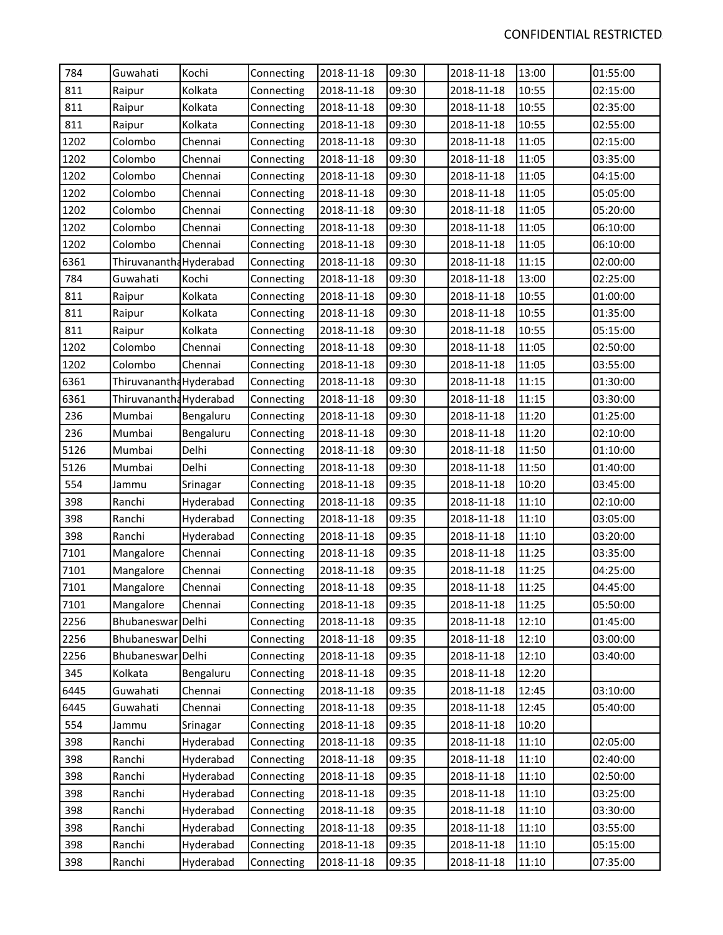| 784  | Guwahati                | Kochi     | Connecting | 2018-11-18 | 09:30 | 2018-11-18 | 13:00 | 01:55:00 |
|------|-------------------------|-----------|------------|------------|-------|------------|-------|----------|
| 811  | Raipur                  | Kolkata   | Connecting | 2018-11-18 | 09:30 | 2018-11-18 | 10:55 | 02:15:00 |
| 811  | Raipur                  | Kolkata   | Connecting | 2018-11-18 | 09:30 | 2018-11-18 | 10:55 | 02:35:00 |
| 811  | Raipur                  | Kolkata   | Connecting | 2018-11-18 | 09:30 | 2018-11-18 | 10:55 | 02:55:00 |
| 1202 | Colombo                 | Chennai   | Connecting | 2018-11-18 | 09:30 | 2018-11-18 | 11:05 | 02:15:00 |
| 1202 | Colombo                 | Chennai   | Connecting | 2018-11-18 | 09:30 | 2018-11-18 | 11:05 | 03:35:00 |
| 1202 | Colombo                 | Chennai   | Connecting | 2018-11-18 | 09:30 | 2018-11-18 | 11:05 | 04:15:00 |
| 1202 | Colombo                 | Chennai   | Connecting | 2018-11-18 | 09:30 | 2018-11-18 | 11:05 | 05:05:00 |
| 1202 | Colombo                 | Chennai   | Connecting | 2018-11-18 | 09:30 | 2018-11-18 | 11:05 | 05:20:00 |
| 1202 | Colombo                 | Chennai   | Connecting | 2018-11-18 | 09:30 | 2018-11-18 | 11:05 | 06:10:00 |
| 1202 | Colombo                 | Chennai   | Connecting | 2018-11-18 | 09:30 | 2018-11-18 | 11:05 | 06:10:00 |
| 6361 | Thiruvanantha Hyderabad |           | Connecting | 2018-11-18 | 09:30 | 2018-11-18 | 11:15 | 02:00:00 |
| 784  | Guwahati                | Kochi     | Connecting | 2018-11-18 | 09:30 | 2018-11-18 | 13:00 | 02:25:00 |
| 811  | Raipur                  | Kolkata   | Connecting | 2018-11-18 | 09:30 | 2018-11-18 | 10:55 | 01:00:00 |
| 811  | Raipur                  | Kolkata   | Connecting | 2018-11-18 | 09:30 | 2018-11-18 | 10:55 | 01:35:00 |
| 811  | Raipur                  | Kolkata   | Connecting | 2018-11-18 | 09:30 | 2018-11-18 | 10:55 | 05:15:00 |
| 1202 | Colombo                 | Chennai   | Connecting | 2018-11-18 | 09:30 | 2018-11-18 | 11:05 | 02:50:00 |
| 1202 | Colombo                 | Chennai   | Connecting | 2018-11-18 | 09:30 | 2018-11-18 | 11:05 | 03:55:00 |
| 6361 | Thiruvanantha Hyderabad |           | Connecting | 2018-11-18 | 09:30 | 2018-11-18 | 11:15 | 01:30:00 |
| 6361 | Thiruvanantha Hyderabad |           | Connecting | 2018-11-18 | 09:30 | 2018-11-18 | 11:15 | 03:30:00 |
| 236  | Mumbai                  | Bengaluru | Connecting | 2018-11-18 | 09:30 | 2018-11-18 | 11:20 | 01:25:00 |
| 236  | Mumbai                  | Bengaluru | Connecting | 2018-11-18 | 09:30 | 2018-11-18 | 11:20 | 02:10:00 |
| 5126 | Mumbai                  | Delhi     | Connecting | 2018-11-18 | 09:30 | 2018-11-18 | 11:50 | 01:10:00 |
| 5126 | Mumbai                  | Delhi     | Connecting | 2018-11-18 | 09:30 | 2018-11-18 | 11:50 | 01:40:00 |
| 554  | Jammu                   | Srinagar  | Connecting | 2018-11-18 | 09:35 | 2018-11-18 | 10:20 | 03:45:00 |
| 398  | Ranchi                  | Hyderabad | Connecting | 2018-11-18 | 09:35 | 2018-11-18 | 11:10 | 02:10:00 |
| 398  | Ranchi                  | Hyderabad | Connecting | 2018-11-18 | 09:35 | 2018-11-18 | 11:10 | 03:05:00 |
| 398  | Ranchi                  | Hyderabad | Connecting | 2018-11-18 | 09:35 | 2018-11-18 | 11:10 | 03:20:00 |
| 7101 | Mangalore               | Chennai   | Connecting | 2018-11-18 | 09:35 | 2018-11-18 | 11:25 | 03:35:00 |
| 7101 | Mangalore               | Chennai   | Connecting | 2018-11-18 | 09:35 | 2018-11-18 | 11:25 | 04:25:00 |
| 7101 | Mangalore               | Chennai   | Connecting | 2018-11-18 | 09:35 | 2018-11-18 | 11:25 | 04:45:00 |
| 7101 | Mangalore               | Chennai   | Connecting | 2018-11-18 | 09:35 | 2018-11-18 | 11:25 | 05:50:00 |
| 2256 | Bhubaneswar Delhi       |           | Connecting | 2018-11-18 | 09:35 | 2018-11-18 | 12:10 | 01:45:00 |
| 2256 | Bhubaneswar Delhi       |           | Connecting | 2018-11-18 | 09:35 | 2018-11-18 | 12:10 | 03:00:00 |
| 2256 | Bhubaneswar Delhi       |           | Connecting | 2018-11-18 | 09:35 | 2018-11-18 | 12:10 | 03:40:00 |
| 345  | Kolkata                 | Bengaluru | Connecting | 2018-11-18 | 09:35 | 2018-11-18 | 12:20 |          |
| 6445 | Guwahati                | Chennai   | Connecting | 2018-11-18 | 09:35 | 2018-11-18 | 12:45 | 03:10:00 |
| 6445 | Guwahati                | Chennai   | Connecting | 2018-11-18 | 09:35 | 2018-11-18 | 12:45 | 05:40:00 |
| 554  | Jammu                   | Srinagar  | Connecting | 2018-11-18 | 09:35 | 2018-11-18 | 10:20 |          |
| 398  | Ranchi                  | Hyderabad | Connecting | 2018-11-18 | 09:35 | 2018-11-18 | 11:10 | 02:05:00 |
| 398  | Ranchi                  | Hyderabad | Connecting | 2018-11-18 | 09:35 | 2018-11-18 | 11:10 | 02:40:00 |
| 398  | Ranchi                  | Hyderabad | Connecting | 2018-11-18 | 09:35 | 2018-11-18 | 11:10 | 02:50:00 |
| 398  | Ranchi                  | Hyderabad | Connecting | 2018-11-18 | 09:35 | 2018-11-18 | 11:10 | 03:25:00 |
| 398  | Ranchi                  | Hyderabad | Connecting | 2018-11-18 | 09:35 | 2018-11-18 | 11:10 | 03:30:00 |
| 398  | Ranchi                  | Hyderabad | Connecting | 2018-11-18 | 09:35 | 2018-11-18 | 11:10 | 03:55:00 |
| 398  | Ranchi                  | Hyderabad | Connecting | 2018-11-18 | 09:35 | 2018-11-18 | 11:10 | 05:15:00 |
| 398  | Ranchi                  | Hyderabad | Connecting | 2018-11-18 | 09:35 | 2018-11-18 | 11:10 | 07:35:00 |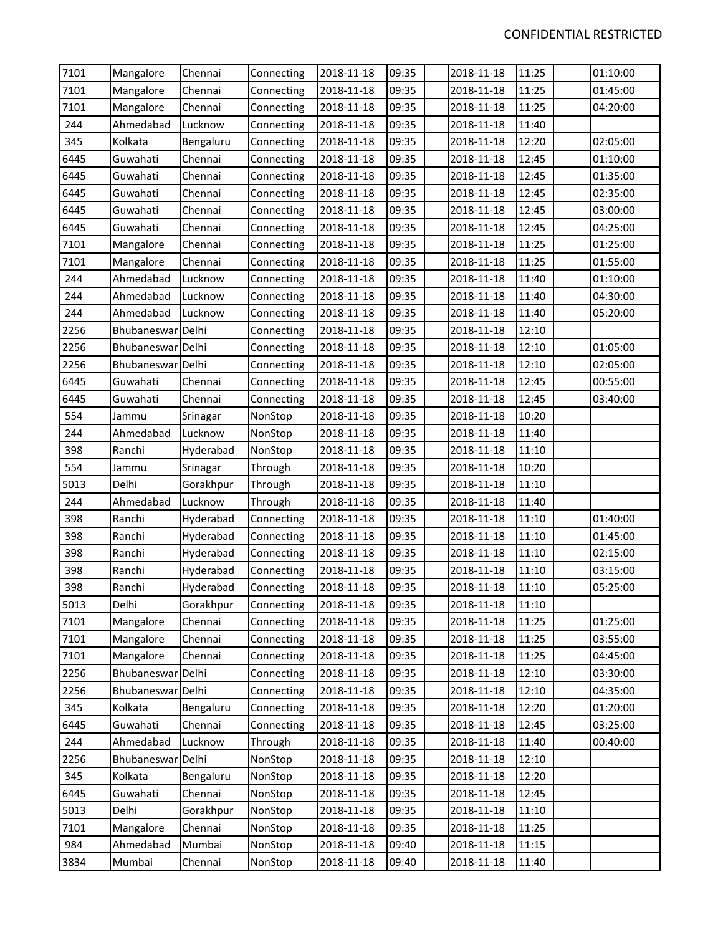| 7101 | Mangalore         | Chennai   | Connecting | 2018-11-18 | 09:35 | 2018-11-18 | 11:25 | 01:10:00 |
|------|-------------------|-----------|------------|------------|-------|------------|-------|----------|
| 7101 | Mangalore         | Chennai   | Connecting | 2018-11-18 | 09:35 | 2018-11-18 | 11:25 | 01:45:00 |
| 7101 | Mangalore         | Chennai   | Connecting | 2018-11-18 | 09:35 | 2018-11-18 | 11:25 | 04:20:00 |
| 244  | Ahmedabad         | Lucknow   | Connecting | 2018-11-18 | 09:35 | 2018-11-18 | 11:40 |          |
| 345  | Kolkata           | Bengaluru | Connecting | 2018-11-18 | 09:35 | 2018-11-18 | 12:20 | 02:05:00 |
| 6445 | Guwahati          | Chennai   | Connecting | 2018-11-18 | 09:35 | 2018-11-18 | 12:45 | 01:10:00 |
| 6445 | Guwahati          | Chennai   | Connecting | 2018-11-18 | 09:35 | 2018-11-18 | 12:45 | 01:35:00 |
| 6445 | Guwahati          | Chennai   | Connecting | 2018-11-18 | 09:35 | 2018-11-18 | 12:45 | 02:35:00 |
| 6445 | Guwahati          | Chennai   | Connecting | 2018-11-18 | 09:35 | 2018-11-18 | 12:45 | 03:00:00 |
| 6445 | Guwahati          | Chennai   | Connecting | 2018-11-18 | 09:35 | 2018-11-18 | 12:45 | 04:25:00 |
| 7101 | Mangalore         | Chennai   | Connecting | 2018-11-18 | 09:35 | 2018-11-18 | 11:25 | 01:25:00 |
| 7101 | Mangalore         | Chennai   | Connecting | 2018-11-18 | 09:35 | 2018-11-18 | 11:25 | 01:55:00 |
| 244  | Ahmedabad         | Lucknow   | Connecting | 2018-11-18 | 09:35 | 2018-11-18 | 11:40 | 01:10:00 |
| 244  | Ahmedabad         | Lucknow   | Connecting | 2018-11-18 | 09:35 | 2018-11-18 | 11:40 | 04:30:00 |
| 244  | Ahmedabad         | Lucknow   | Connecting | 2018-11-18 | 09:35 | 2018-11-18 | 11:40 | 05:20:00 |
| 2256 | Bhubaneswar Delhi |           | Connecting | 2018-11-18 | 09:35 | 2018-11-18 | 12:10 |          |
| 2256 | Bhubaneswar Delhi |           | Connecting | 2018-11-18 | 09:35 | 2018-11-18 | 12:10 | 01:05:00 |
| 2256 | Bhubaneswar Delhi |           | Connecting | 2018-11-18 | 09:35 | 2018-11-18 | 12:10 | 02:05:00 |
| 6445 | Guwahati          | Chennai   | Connecting | 2018-11-18 | 09:35 | 2018-11-18 | 12:45 | 00:55:00 |
| 6445 | Guwahati          | Chennai   | Connecting | 2018-11-18 | 09:35 | 2018-11-18 | 12:45 | 03:40:00 |
| 554  | Jammu             | Srinagar  | NonStop    | 2018-11-18 | 09:35 | 2018-11-18 | 10:20 |          |
| 244  | Ahmedabad         | Lucknow   | NonStop    | 2018-11-18 | 09:35 | 2018-11-18 | 11:40 |          |
| 398  | Ranchi            | Hyderabad | NonStop    | 2018-11-18 | 09:35 | 2018-11-18 | 11:10 |          |
| 554  | Jammu             | Srinagar  | Through    | 2018-11-18 | 09:35 | 2018-11-18 | 10:20 |          |
| 5013 | Delhi             | Gorakhpur | Through    | 2018-11-18 | 09:35 | 2018-11-18 | 11:10 |          |
| 244  | Ahmedabad         | Lucknow   | Through    | 2018-11-18 | 09:35 | 2018-11-18 | 11:40 |          |
| 398  | Ranchi            | Hyderabad | Connecting | 2018-11-18 | 09:35 | 2018-11-18 | 11:10 | 01:40:00 |
| 398  | Ranchi            | Hyderabad | Connecting | 2018-11-18 | 09:35 | 2018-11-18 | 11:10 | 01:45:00 |
| 398  | Ranchi            | Hyderabad | Connecting | 2018-11-18 | 09:35 | 2018-11-18 | 11:10 | 02:15:00 |
| 398  | Ranchi            | Hyderabad | Connecting | 2018-11-18 | 09:35 | 2018-11-18 | 11:10 | 03:15:00 |
| 398  | Ranchi            | Hyderabad | Connecting | 2018-11-18 | 09:35 | 2018-11-18 | 11:10 | 05:25:00 |
| 5013 | Delhi             | Gorakhpur | Connecting | 2018-11-18 | 09:35 | 2018-11-18 | 11:10 |          |
| 7101 | Mangalore         | Chennai   | Connecting | 2018-11-18 | 09:35 | 2018-11-18 | 11:25 | 01:25:00 |
| 7101 | Mangalore         | Chennai   | Connecting | 2018-11-18 | 09:35 | 2018-11-18 | 11:25 | 03:55:00 |
| 7101 | Mangalore         | Chennai   | Connecting | 2018-11-18 | 09:35 | 2018-11-18 | 11:25 | 04:45:00 |
| 2256 | Bhubaneswar       | Delhi     | Connecting | 2018-11-18 | 09:35 | 2018-11-18 | 12:10 | 03:30:00 |
| 2256 | Bhubaneswar Delhi |           | Connecting | 2018-11-18 | 09:35 | 2018-11-18 | 12:10 | 04:35:00 |
| 345  | Kolkata           | Bengaluru | Connecting | 2018-11-18 | 09:35 | 2018-11-18 | 12:20 | 01:20:00 |
| 6445 | Guwahati          | Chennai   | Connecting | 2018-11-18 | 09:35 | 2018-11-18 | 12:45 | 03:25:00 |
| 244  | Ahmedabad         | Lucknow   | Through    | 2018-11-18 | 09:35 | 2018-11-18 | 11:40 | 00:40:00 |
| 2256 | Bhubaneswar       | Delhi     | NonStop    | 2018-11-18 | 09:35 | 2018-11-18 | 12:10 |          |
| 345  | Kolkata           | Bengaluru | NonStop    | 2018-11-18 | 09:35 | 2018-11-18 | 12:20 |          |
| 6445 | Guwahati          | Chennai   | NonStop    | 2018-11-18 | 09:35 | 2018-11-18 | 12:45 |          |
| 5013 | Delhi             | Gorakhpur | NonStop    | 2018-11-18 | 09:35 | 2018-11-18 | 11:10 |          |
| 7101 | Mangalore         | Chennai   | NonStop    | 2018-11-18 | 09:35 | 2018-11-18 | 11:25 |          |
| 984  | Ahmedabad         | Mumbai    | NonStop    | 2018-11-18 | 09:40 | 2018-11-18 | 11:15 |          |
| 3834 | Mumbai            | Chennai   | NonStop    | 2018-11-18 | 09:40 | 2018-11-18 | 11:40 |          |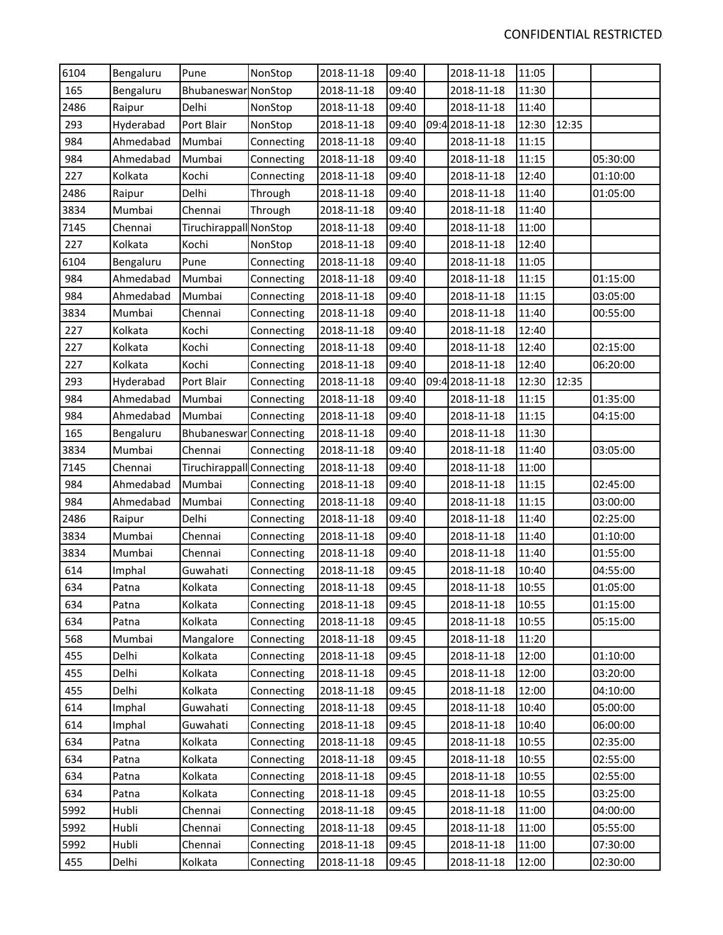| 6104 | Bengaluru | Pune                      | NonStop    | 2018-11-18 | 09:40 | 2018-11-18      | 11:05 |       |          |
|------|-----------|---------------------------|------------|------------|-------|-----------------|-------|-------|----------|
| 165  | Bengaluru | Bhubaneswar NonStop       |            | 2018-11-18 | 09:40 | 2018-11-18      | 11:30 |       |          |
| 2486 | Raipur    | Delhi                     | NonStop    | 2018-11-18 | 09:40 | 2018-11-18      | 11:40 |       |          |
| 293  | Hyderabad | Port Blair                | NonStop    | 2018-11-18 | 09:40 | 09:4 2018-11-18 | 12:30 | 12:35 |          |
| 984  | Ahmedabad | Mumbai                    | Connecting | 2018-11-18 | 09:40 | 2018-11-18      | 11:15 |       |          |
| 984  | Ahmedabad | Mumbai                    | Connecting | 2018-11-18 | 09:40 | 2018-11-18      | 11:15 |       | 05:30:00 |
| 227  | Kolkata   | Kochi                     | Connecting | 2018-11-18 | 09:40 | 2018-11-18      | 12:40 |       | 01:10:00 |
| 2486 | Raipur    | Delhi                     | Through    | 2018-11-18 | 09:40 | 2018-11-18      | 11:40 |       | 01:05:00 |
| 3834 | Mumbai    | Chennai                   | Through    | 2018-11-18 | 09:40 | 2018-11-18      | 11:40 |       |          |
| 7145 | Chennai   | Tiruchirappall NonStop    |            | 2018-11-18 | 09:40 | 2018-11-18      | 11:00 |       |          |
| 227  | Kolkata   | Kochi                     | NonStop    | 2018-11-18 | 09:40 | 2018-11-18      | 12:40 |       |          |
| 6104 | Bengaluru | Pune                      | Connecting | 2018-11-18 | 09:40 | 2018-11-18      | 11:05 |       |          |
| 984  | Ahmedabad | Mumbai                    | Connecting | 2018-11-18 | 09:40 | 2018-11-18      | 11:15 |       | 01:15:00 |
| 984  | Ahmedabad | Mumbai                    | Connecting | 2018-11-18 | 09:40 | 2018-11-18      | 11:15 |       | 03:05:00 |
| 3834 | Mumbai    | Chennai                   | Connecting | 2018-11-18 | 09:40 | 2018-11-18      | 11:40 |       | 00:55:00 |
| 227  | Kolkata   | Kochi                     | Connecting | 2018-11-18 | 09:40 | 2018-11-18      | 12:40 |       |          |
| 227  | Kolkata   | Kochi                     | Connecting | 2018-11-18 | 09:40 | 2018-11-18      | 12:40 |       | 02:15:00 |
| 227  | Kolkata   | Kochi                     | Connecting | 2018-11-18 | 09:40 | 2018-11-18      | 12:40 |       | 06:20:00 |
| 293  | Hyderabad | Port Blair                | Connecting | 2018-11-18 | 09:40 | 09:4 2018-11-18 | 12:30 | 12:35 |          |
| 984  | Ahmedabad | Mumbai                    | Connecting | 2018-11-18 | 09:40 | 2018-11-18      | 11:15 |       | 01:35:00 |
| 984  | Ahmedabad | Mumbai                    | Connecting | 2018-11-18 | 09:40 | 2018-11-18      | 11:15 |       | 04:15:00 |
| 165  | Bengaluru | Bhubaneswar Connecting    |            | 2018-11-18 | 09:40 | 2018-11-18      | 11:30 |       |          |
| 3834 | Mumbai    | Chennai                   | Connecting | 2018-11-18 | 09:40 | 2018-11-18      | 11:40 |       | 03:05:00 |
| 7145 | Chennai   | Tiruchirappall Connecting |            | 2018-11-18 | 09:40 | 2018-11-18      | 11:00 |       |          |
| 984  | Ahmedabad | Mumbai                    | Connecting | 2018-11-18 | 09:40 | 2018-11-18      | 11:15 |       | 02:45:00 |
| 984  | Ahmedabad | Mumbai                    | Connecting | 2018-11-18 | 09:40 | 2018-11-18      | 11:15 |       | 03:00:00 |
| 2486 | Raipur    | Delhi                     | Connecting | 2018-11-18 | 09:40 | 2018-11-18      | 11:40 |       | 02:25:00 |
| 3834 | Mumbai    | Chennai                   | Connecting | 2018-11-18 | 09:40 | 2018-11-18      | 11:40 |       | 01:10:00 |
| 3834 | Mumbai    | Chennai                   | Connecting | 2018-11-18 | 09:40 | 2018-11-18      | 11:40 |       | 01:55:00 |
| 614  | Imphal    | Guwahati                  | Connecting | 2018-11-18 | 09:45 | 2018-11-18      | 10:40 |       | 04:55:00 |
| 634  | Patna     | Kolkata                   | Connecting | 2018-11-18 | 09:45 | 2018-11-18      | 10:55 |       | 01:05:00 |
| 634  | Patna     | Kolkata                   | Connecting | 2018-11-18 | 09:45 | 2018-11-18      | 10:55 |       | 01:15:00 |
| 634  | Patna     | Kolkata                   | Connecting | 2018-11-18 | 09:45 | 2018-11-18      | 10:55 |       | 05:15:00 |
| 568  | Mumbai    | Mangalore                 | Connecting | 2018-11-18 | 09:45 | 2018-11-18      | 11:20 |       |          |
| 455  | Delhi     | Kolkata                   | Connecting | 2018-11-18 | 09:45 | 2018-11-18      | 12:00 |       | 01:10:00 |
| 455  | Delhi     | Kolkata                   | Connecting | 2018-11-18 | 09:45 | 2018-11-18      | 12:00 |       | 03:20:00 |
| 455  | Delhi     | Kolkata                   | Connecting | 2018-11-18 | 09:45 | 2018-11-18      | 12:00 |       | 04:10:00 |
| 614  | Imphal    | Guwahati                  | Connecting | 2018-11-18 | 09:45 | 2018-11-18      | 10:40 |       | 05:00:00 |
| 614  | Imphal    | Guwahati                  | Connecting | 2018-11-18 | 09:45 | 2018-11-18      | 10:40 |       | 06:00:00 |
| 634  | Patna     | Kolkata                   | Connecting | 2018-11-18 | 09:45 | 2018-11-18      | 10:55 |       | 02:35:00 |
| 634  | Patna     | Kolkata                   | Connecting | 2018-11-18 | 09:45 | 2018-11-18      | 10:55 |       | 02:55:00 |
| 634  | Patna     | Kolkata                   | Connecting | 2018-11-18 | 09:45 | 2018-11-18      | 10:55 |       | 02:55:00 |
| 634  | Patna     | Kolkata                   | Connecting | 2018-11-18 | 09:45 | 2018-11-18      | 10:55 |       | 03:25:00 |
| 5992 | Hubli     | Chennai                   | Connecting | 2018-11-18 | 09:45 | 2018-11-18      | 11:00 |       | 04:00:00 |
| 5992 | Hubli     | Chennai                   | Connecting | 2018-11-18 | 09:45 | 2018-11-18      | 11:00 |       | 05:55:00 |
| 5992 | Hubli     | Chennai                   | Connecting | 2018-11-18 | 09:45 | 2018-11-18      | 11:00 |       | 07:30:00 |
| 455  | Delhi     | Kolkata                   | Connecting | 2018-11-18 | 09:45 | 2018-11-18      | 12:00 |       | 02:30:00 |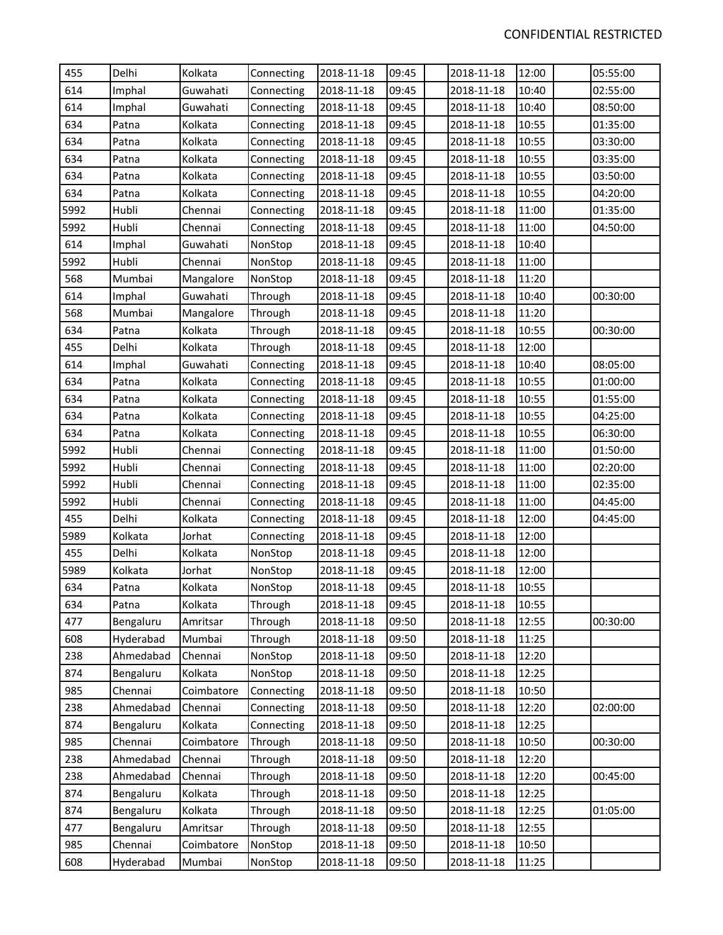| 455  | Delhi     | Kolkata    | Connecting | 2018-11-18 | 09:45 | 2018-11-18 | 12:00 | 05:55:00 |
|------|-----------|------------|------------|------------|-------|------------|-------|----------|
| 614  | Imphal    | Guwahati   | Connecting | 2018-11-18 | 09:45 | 2018-11-18 | 10:40 | 02:55:00 |
| 614  | Imphal    | Guwahati   | Connecting | 2018-11-18 | 09:45 | 2018-11-18 | 10:40 | 08:50:00 |
| 634  | Patna     | Kolkata    | Connecting | 2018-11-18 | 09:45 | 2018-11-18 | 10:55 | 01:35:00 |
| 634  | Patna     | Kolkata    | Connecting | 2018-11-18 | 09:45 | 2018-11-18 | 10:55 | 03:30:00 |
| 634  | Patna     | Kolkata    | Connecting | 2018-11-18 | 09:45 | 2018-11-18 | 10:55 | 03:35:00 |
| 634  | Patna     | Kolkata    | Connecting | 2018-11-18 | 09:45 | 2018-11-18 | 10:55 | 03:50:00 |
| 634  | Patna     | Kolkata    | Connecting | 2018-11-18 | 09:45 | 2018-11-18 | 10:55 | 04:20:00 |
| 5992 | Hubli     | Chennai    | Connecting | 2018-11-18 | 09:45 | 2018-11-18 | 11:00 | 01:35:00 |
| 5992 | Hubli     | Chennai    | Connecting | 2018-11-18 | 09:45 | 2018-11-18 | 11:00 | 04:50:00 |
| 614  | Imphal    | Guwahati   | NonStop    | 2018-11-18 | 09:45 | 2018-11-18 | 10:40 |          |
| 5992 | Hubli     | Chennai    | NonStop    | 2018-11-18 | 09:45 | 2018-11-18 | 11:00 |          |
| 568  | Mumbai    | Mangalore  | NonStop    | 2018-11-18 | 09:45 | 2018-11-18 | 11:20 |          |
| 614  | Imphal    | Guwahati   | Through    | 2018-11-18 | 09:45 | 2018-11-18 | 10:40 | 00:30:00 |
| 568  | Mumbai    | Mangalore  | Through    | 2018-11-18 | 09:45 | 2018-11-18 | 11:20 |          |
| 634  | Patna     | Kolkata    | Through    | 2018-11-18 | 09:45 | 2018-11-18 | 10:55 | 00:30:00 |
| 455  | Delhi     | Kolkata    | Through    | 2018-11-18 | 09:45 | 2018-11-18 | 12:00 |          |
| 614  | Imphal    | Guwahati   | Connecting | 2018-11-18 | 09:45 | 2018-11-18 | 10:40 | 08:05:00 |
| 634  | Patna     | Kolkata    | Connecting | 2018-11-18 | 09:45 | 2018-11-18 | 10:55 | 01:00:00 |
| 634  | Patna     | Kolkata    | Connecting | 2018-11-18 | 09:45 | 2018-11-18 | 10:55 | 01:55:00 |
| 634  | Patna     | Kolkata    | Connecting | 2018-11-18 | 09:45 | 2018-11-18 | 10:55 | 04:25:00 |
| 634  | Patna     | Kolkata    | Connecting | 2018-11-18 | 09:45 | 2018-11-18 | 10:55 | 06:30:00 |
| 5992 | Hubli     | Chennai    | Connecting | 2018-11-18 | 09:45 | 2018-11-18 | 11:00 | 01:50:00 |
| 5992 | Hubli     | Chennai    | Connecting | 2018-11-18 | 09:45 | 2018-11-18 | 11:00 | 02:20:00 |
| 5992 | Hubli     | Chennai    | Connecting | 2018-11-18 | 09:45 | 2018-11-18 | 11:00 | 02:35:00 |
| 5992 | Hubli     | Chennai    | Connecting | 2018-11-18 | 09:45 | 2018-11-18 | 11:00 | 04:45:00 |
| 455  | Delhi     | Kolkata    | Connecting | 2018-11-18 | 09:45 | 2018-11-18 | 12:00 | 04:45:00 |
| 5989 | Kolkata   | Jorhat     | Connecting | 2018-11-18 | 09:45 | 2018-11-18 | 12:00 |          |
| 455  | Delhi     | Kolkata    | NonStop    | 2018-11-18 | 09:45 | 2018-11-18 | 12:00 |          |
| 5989 | Kolkata   | Jorhat     | NonStop    | 2018-11-18 | 09:45 | 2018-11-18 | 12:00 |          |
| 634  | Patna     | Kolkata    | NonStop    | 2018-11-18 | 09:45 | 2018-11-18 | 10:55 |          |
| 634  | Patna     | Kolkata    | Through    | 2018-11-18 | 09:45 | 2018-11-18 | 10:55 |          |
| 477  | Bengaluru | Amritsar   | Through    | 2018-11-18 | 09:50 | 2018-11-18 | 12:55 | 00:30:00 |
| 608  | Hyderabad | Mumbai     | Through    | 2018-11-18 | 09:50 | 2018-11-18 | 11:25 |          |
| 238  | Ahmedabad | Chennai    | NonStop    | 2018-11-18 | 09:50 | 2018-11-18 | 12:20 |          |
| 874  | Bengaluru | Kolkata    | NonStop    | 2018-11-18 | 09:50 | 2018-11-18 | 12:25 |          |
| 985  | Chennai   | Coimbatore | Connecting | 2018-11-18 | 09:50 | 2018-11-18 | 10:50 |          |
| 238  | Ahmedabad | Chennai    | Connecting | 2018-11-18 | 09:50 | 2018-11-18 | 12:20 | 02:00:00 |
| 874  | Bengaluru | Kolkata    | Connecting | 2018-11-18 | 09:50 | 2018-11-18 | 12:25 |          |
| 985  | Chennai   | Coimbatore | Through    | 2018-11-18 | 09:50 | 2018-11-18 | 10:50 | 00:30:00 |
| 238  | Ahmedabad | Chennai    | Through    | 2018-11-18 | 09:50 | 2018-11-18 | 12:20 |          |
| 238  | Ahmedabad | Chennai    | Through    | 2018-11-18 | 09:50 | 2018-11-18 | 12:20 | 00:45:00 |
| 874  | Bengaluru | Kolkata    | Through    | 2018-11-18 | 09:50 | 2018-11-18 | 12:25 |          |
| 874  | Bengaluru | Kolkata    | Through    | 2018-11-18 | 09:50 | 2018-11-18 | 12:25 | 01:05:00 |
| 477  | Bengaluru | Amritsar   | Through    | 2018-11-18 | 09:50 | 2018-11-18 | 12:55 |          |
| 985  | Chennai   | Coimbatore | NonStop    | 2018-11-18 | 09:50 | 2018-11-18 | 10:50 |          |
| 608  | Hyderabad | Mumbai     | NonStop    | 2018-11-18 | 09:50 | 2018-11-18 | 11:25 |          |
|      |           |            |            |            |       |            |       |          |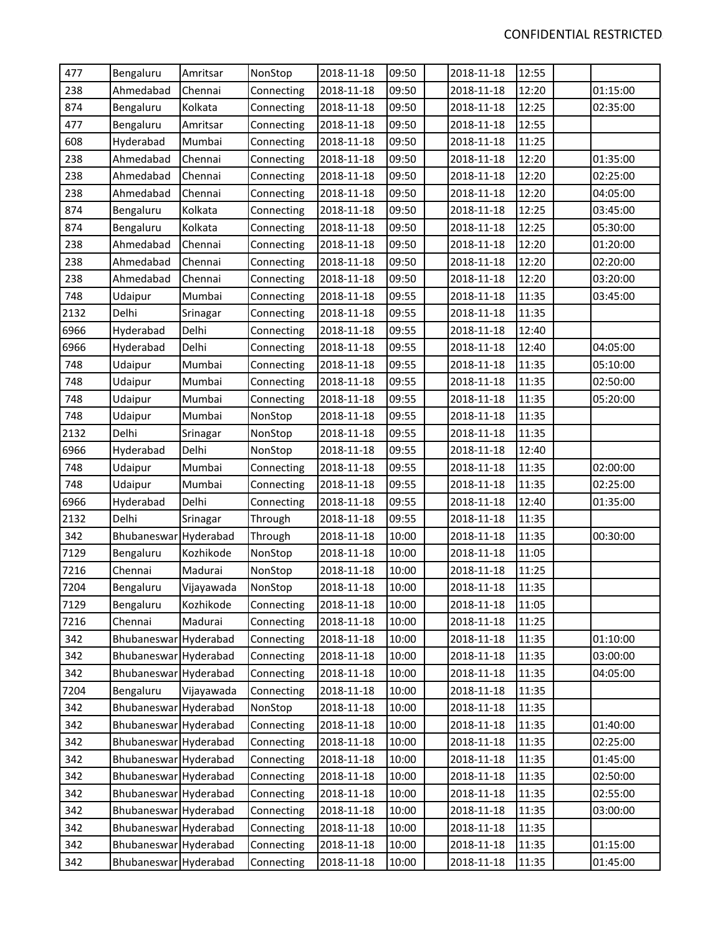| 477  | Bengaluru             | Amritsar   | NonStop    | 2018-11-18 | 09:50 | 2018-11-18 | 12:55 |          |
|------|-----------------------|------------|------------|------------|-------|------------|-------|----------|
| 238  | Ahmedabad             | Chennai    | Connecting | 2018-11-18 | 09:50 | 2018-11-18 | 12:20 | 01:15:00 |
| 874  | Bengaluru             | Kolkata    | Connecting | 2018-11-18 | 09:50 | 2018-11-18 | 12:25 | 02:35:00 |
| 477  | Bengaluru             | Amritsar   | Connecting | 2018-11-18 | 09:50 | 2018-11-18 | 12:55 |          |
| 608  | Hyderabad             | Mumbai     | Connecting | 2018-11-18 | 09:50 | 2018-11-18 | 11:25 |          |
| 238  | Ahmedabad             | Chennai    | Connecting | 2018-11-18 | 09:50 | 2018-11-18 | 12:20 | 01:35:00 |
| 238  | Ahmedabad             | Chennai    | Connecting | 2018-11-18 | 09:50 | 2018-11-18 | 12:20 | 02:25:00 |
| 238  | Ahmedabad             | Chennai    | Connecting | 2018-11-18 | 09:50 | 2018-11-18 | 12:20 | 04:05:00 |
| 874  | Bengaluru             | Kolkata    | Connecting | 2018-11-18 | 09:50 | 2018-11-18 | 12:25 | 03:45:00 |
| 874  | Bengaluru             | Kolkata    | Connecting | 2018-11-18 | 09:50 | 2018-11-18 | 12:25 | 05:30:00 |
| 238  | Ahmedabad             | Chennai    | Connecting | 2018-11-18 | 09:50 | 2018-11-18 | 12:20 | 01:20:00 |
| 238  | Ahmedabad             | Chennai    | Connecting | 2018-11-18 | 09:50 | 2018-11-18 | 12:20 | 02:20:00 |
| 238  | Ahmedabad             | Chennai    | Connecting | 2018-11-18 | 09:50 | 2018-11-18 | 12:20 | 03:20:00 |
| 748  | Udaipur               | Mumbai     | Connecting | 2018-11-18 | 09:55 | 2018-11-18 | 11:35 | 03:45:00 |
| 2132 | Delhi                 | Srinagar   | Connecting | 2018-11-18 | 09:55 | 2018-11-18 | 11:35 |          |
| 6966 | Hyderabad             | Delhi      | Connecting | 2018-11-18 | 09:55 | 2018-11-18 | 12:40 |          |
| 6966 | Hyderabad             | Delhi      | Connecting | 2018-11-18 | 09:55 | 2018-11-18 | 12:40 | 04:05:00 |
| 748  | Udaipur               | Mumbai     | Connecting | 2018-11-18 | 09:55 | 2018-11-18 | 11:35 | 05:10:00 |
| 748  | Udaipur               | Mumbai     | Connecting | 2018-11-18 | 09:55 | 2018-11-18 | 11:35 | 02:50:00 |
| 748  | Udaipur               | Mumbai     | Connecting | 2018-11-18 | 09:55 | 2018-11-18 | 11:35 | 05:20:00 |
| 748  | Udaipur               | Mumbai     | NonStop    | 2018-11-18 | 09:55 | 2018-11-18 | 11:35 |          |
| 2132 | Delhi                 | Srinagar   | NonStop    | 2018-11-18 | 09:55 | 2018-11-18 | 11:35 |          |
| 6966 | Hyderabad             | Delhi      | NonStop    | 2018-11-18 | 09:55 | 2018-11-18 | 12:40 |          |
| 748  | Udaipur               | Mumbai     | Connecting | 2018-11-18 | 09:55 | 2018-11-18 | 11:35 | 02:00:00 |
| 748  | Udaipur               | Mumbai     | Connecting | 2018-11-18 | 09:55 | 2018-11-18 | 11:35 | 02:25:00 |
| 6966 | Hyderabad             | Delhi      | Connecting | 2018-11-18 | 09:55 | 2018-11-18 | 12:40 | 01:35:00 |
| 2132 | Delhi                 | Srinagar   | Through    | 2018-11-18 | 09:55 | 2018-11-18 | 11:35 |          |
| 342  | Bhubaneswar Hyderabad |            | Through    | 2018-11-18 | 10:00 | 2018-11-18 | 11:35 | 00:30:00 |
| 7129 | Bengaluru             | Kozhikode  | NonStop    | 2018-11-18 | 10:00 | 2018-11-18 | 11:05 |          |
| 7216 | Chennai               | Madurai    | NonStop    | 2018-11-18 | 10:00 | 2018-11-18 | 11:25 |          |
| 7204 | Bengaluru             | Vijayawada | NonStop    | 2018-11-18 | 10:00 | 2018-11-18 | 11:35 |          |
| 7129 | Bengaluru             | Kozhikode  | Connecting | 2018-11-18 | 10:00 | 2018-11-18 | 11:05 |          |
| 7216 | Chennai               | Madurai    | Connecting | 2018-11-18 | 10:00 | 2018-11-18 | 11:25 |          |
| 342  | Bhubaneswar           | Hyderabad  | Connecting | 2018-11-18 | 10:00 | 2018-11-18 | 11:35 | 01:10:00 |
| 342  | Bhubaneswar Hyderabad |            | Connecting | 2018-11-18 | 10:00 | 2018-11-18 | 11:35 | 03:00:00 |
| 342  | Bhubaneswar Hyderabad |            | Connecting | 2018-11-18 | 10:00 | 2018-11-18 | 11:35 | 04:05:00 |
| 7204 | Bengaluru             | Vijayawada | Connecting | 2018-11-18 | 10:00 | 2018-11-18 | 11:35 |          |
| 342  | Bhubaneswar Hyderabad |            | NonStop    | 2018-11-18 | 10:00 | 2018-11-18 | 11:35 |          |
| 342  | Bhubaneswar Hyderabad |            | Connecting | 2018-11-18 | 10:00 | 2018-11-18 | 11:35 | 01:40:00 |
| 342  | Bhubaneswar Hyderabad |            | Connecting | 2018-11-18 | 10:00 | 2018-11-18 | 11:35 | 02:25:00 |
| 342  | Bhubaneswar Hyderabad |            | Connecting | 2018-11-18 | 10:00 | 2018-11-18 | 11:35 | 01:45:00 |
| 342  | Bhubaneswar Hyderabad |            | Connecting | 2018-11-18 | 10:00 | 2018-11-18 | 11:35 | 02:50:00 |
| 342  | Bhubaneswar Hyderabad |            | Connecting | 2018-11-18 | 10:00 | 2018-11-18 | 11:35 | 02:55:00 |
| 342  | Bhubaneswar Hyderabad |            | Connecting | 2018-11-18 | 10:00 | 2018-11-18 | 11:35 | 03:00:00 |
| 342  | Bhubaneswar Hyderabad |            | Connecting | 2018-11-18 | 10:00 | 2018-11-18 | 11:35 |          |
| 342  | Bhubaneswar Hyderabad |            | Connecting | 2018-11-18 | 10:00 | 2018-11-18 | 11:35 | 01:15:00 |
| 342  | Bhubaneswar Hyderabad |            | Connecting | 2018-11-18 | 10:00 | 2018-11-18 | 11:35 | 01:45:00 |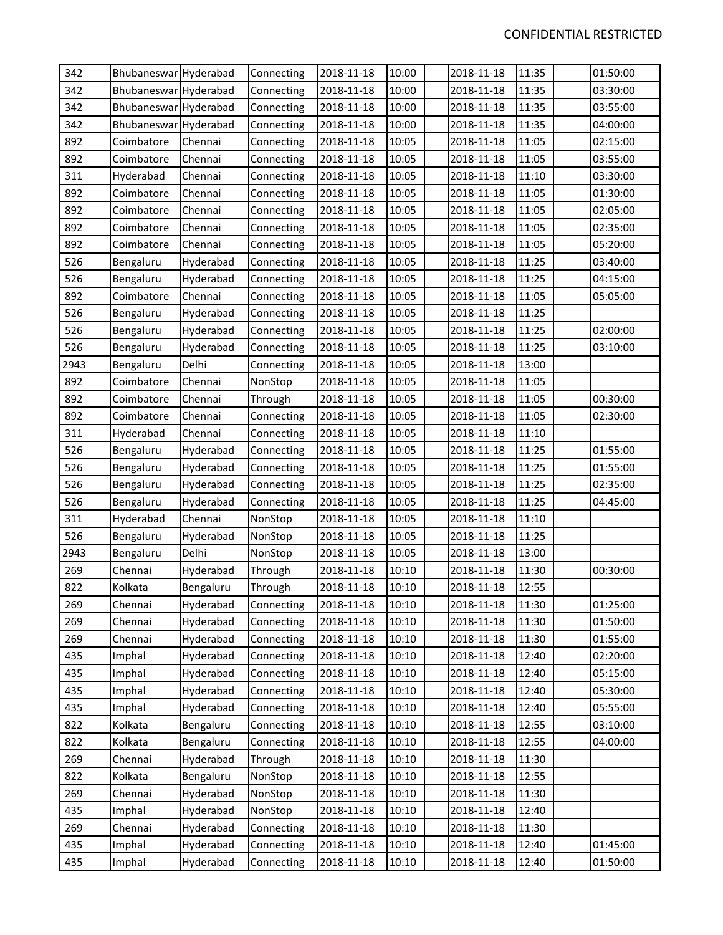| 342  | Bhubaneswar Hyderabad |           | Connecting | 2018-11-18 | 10:00 | 2018-11-18 | 11:35 | 01:50:00 |
|------|-----------------------|-----------|------------|------------|-------|------------|-------|----------|
| 342  | Bhubaneswar Hyderabad |           | Connecting | 2018-11-18 | 10:00 | 2018-11-18 | 11:35 | 03:30:00 |
| 342  | Bhubaneswar Hyderabad |           | Connecting | 2018-11-18 | 10:00 | 2018-11-18 | 11:35 | 03:55:00 |
| 342  | Bhubaneswar Hyderabad |           | Connecting | 2018-11-18 | 10:00 | 2018-11-18 | 11:35 | 04:00:00 |
| 892  | Coimbatore            | Chennai   | Connecting | 2018-11-18 | 10:05 | 2018-11-18 | 11:05 | 02:15:00 |
| 892  | Coimbatore            | Chennai   | Connecting | 2018-11-18 | 10:05 | 2018-11-18 | 11:05 | 03:55:00 |
| 311  | Hyderabad             | Chennai   | Connecting | 2018-11-18 | 10:05 | 2018-11-18 | 11:10 | 03:30:00 |
| 892  | Coimbatore            | Chennai   | Connecting | 2018-11-18 | 10:05 | 2018-11-18 | 11:05 | 01:30:00 |
| 892  | Coimbatore            | Chennai   | Connecting | 2018-11-18 | 10:05 | 2018-11-18 | 11:05 | 02:05:00 |
| 892  | Coimbatore            | Chennai   | Connecting | 2018-11-18 | 10:05 | 2018-11-18 | 11:05 | 02:35:00 |
| 892  | Coimbatore            | Chennai   | Connecting | 2018-11-18 | 10:05 | 2018-11-18 | 11:05 | 05:20:00 |
| 526  | Bengaluru             | Hyderabad | Connecting | 2018-11-18 | 10:05 | 2018-11-18 | 11:25 | 03:40:00 |
| 526  | Bengaluru             | Hyderabad | Connecting | 2018-11-18 | 10:05 | 2018-11-18 | 11:25 | 04:15:00 |
| 892  | Coimbatore            | Chennai   | Connecting | 2018-11-18 | 10:05 | 2018-11-18 | 11:05 | 05:05:00 |
| 526  | Bengaluru             | Hyderabad | Connecting | 2018-11-18 | 10:05 | 2018-11-18 | 11:25 |          |
| 526  | Bengaluru             | Hyderabad | Connecting | 2018-11-18 | 10:05 | 2018-11-18 | 11:25 | 02:00:00 |
| 526  | Bengaluru             | Hyderabad | Connecting | 2018-11-18 | 10:05 | 2018-11-18 | 11:25 | 03:10:00 |
| 2943 | Bengaluru             | Delhi     | Connecting | 2018-11-18 | 10:05 | 2018-11-18 | 13:00 |          |
| 892  | Coimbatore            | Chennai   | NonStop    | 2018-11-18 | 10:05 | 2018-11-18 | 11:05 |          |
| 892  | Coimbatore            | Chennai   | Through    | 2018-11-18 | 10:05 | 2018-11-18 | 11:05 | 00:30:00 |
| 892  | Coimbatore            | Chennai   | Connecting | 2018-11-18 | 10:05 | 2018-11-18 | 11:05 | 02:30:00 |
| 311  | Hyderabad             | Chennai   | Connecting | 2018-11-18 | 10:05 | 2018-11-18 | 11:10 |          |
| 526  | Bengaluru             | Hyderabad | Connecting | 2018-11-18 | 10:05 | 2018-11-18 | 11:25 | 01:55:00 |
| 526  | Bengaluru             | Hyderabad | Connecting | 2018-11-18 | 10:05 | 2018-11-18 | 11:25 | 01:55:00 |
| 526  | Bengaluru             | Hyderabad | Connecting | 2018-11-18 | 10:05 | 2018-11-18 | 11:25 | 02:35:00 |
| 526  | Bengaluru             | Hyderabad | Connecting | 2018-11-18 | 10:05 | 2018-11-18 | 11:25 | 04:45:00 |
| 311  | Hyderabad             | Chennai   | NonStop    | 2018-11-18 | 10:05 | 2018-11-18 | 11:10 |          |
| 526  | Bengaluru             | Hyderabad | NonStop    | 2018-11-18 | 10:05 | 2018-11-18 | 11:25 |          |
| 2943 | Bengaluru             | Delhi     | NonStop    | 2018-11-18 | 10:05 | 2018-11-18 | 13:00 |          |
| 269  | Chennai               | Hyderabad | Through    | 2018-11-18 | 10:10 | 2018-11-18 | 11:30 | 00:30:00 |
| 822  | Kolkata               | Bengaluru | Through    | 2018-11-18 | 10:10 | 2018-11-18 | 12:55 |          |
| 269  | Chennai               | Hyderabad | Connecting | 2018-11-18 | 10:10 | 2018-11-18 | 11:30 | 01:25:00 |
| 269  | Chennai               | Hyderabad | Connecting | 2018-11-18 | 10:10 | 2018-11-18 | 11:30 | 01:50:00 |
| 269  | Chennai               | Hyderabad | Connecting | 2018-11-18 | 10:10 | 2018-11-18 | 11:30 | 01:55:00 |
| 435  | Imphal                | Hyderabad | Connecting | 2018-11-18 | 10:10 | 2018-11-18 | 12:40 | 02:20:00 |
| 435  | Imphal                | Hyderabad | Connecting | 2018-11-18 | 10:10 | 2018-11-18 | 12:40 | 05:15:00 |
| 435  | Imphal                | Hyderabad | Connecting | 2018-11-18 | 10:10 | 2018-11-18 | 12:40 | 05:30:00 |
| 435  | Imphal                | Hyderabad | Connecting | 2018-11-18 | 10:10 | 2018-11-18 | 12:40 | 05:55:00 |
| 822  | Kolkata               | Bengaluru | Connecting | 2018-11-18 | 10:10 | 2018-11-18 | 12:55 | 03:10:00 |
| 822  | Kolkata               | Bengaluru | Connecting | 2018-11-18 | 10:10 | 2018-11-18 | 12:55 | 04:00:00 |
| 269  | Chennai               | Hyderabad | Through    | 2018-11-18 | 10:10 | 2018-11-18 | 11:30 |          |
| 822  | Kolkata               | Bengaluru | NonStop    | 2018-11-18 | 10:10 | 2018-11-18 | 12:55 |          |
| 269  | Chennai               | Hyderabad | NonStop    | 2018-11-18 | 10:10 | 2018-11-18 | 11:30 |          |
| 435  | Imphal                | Hyderabad | NonStop    | 2018-11-18 | 10:10 | 2018-11-18 | 12:40 |          |
| 269  | Chennai               | Hyderabad | Connecting | 2018-11-18 | 10:10 | 2018-11-18 | 11:30 |          |
| 435  | Imphal                | Hyderabad | Connecting | 2018-11-18 | 10:10 | 2018-11-18 | 12:40 | 01:45:00 |
| 435  | Imphal                | Hyderabad | Connecting | 2018-11-18 | 10:10 | 2018-11-18 | 12:40 | 01:50:00 |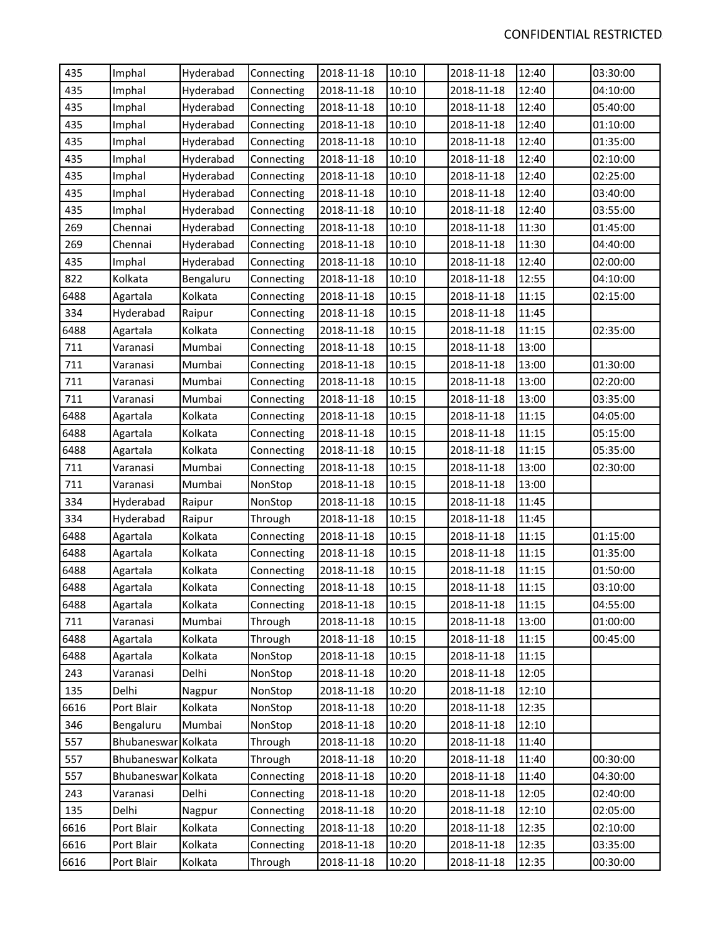| 435  | Imphal              | Hyderabad | Connecting | 2018-11-18 | 10:10 | 2018-11-18 | 12:40 | 03:30:00 |
|------|---------------------|-----------|------------|------------|-------|------------|-------|----------|
| 435  | Imphal              | Hyderabad | Connecting | 2018-11-18 | 10:10 | 2018-11-18 | 12:40 | 04:10:00 |
| 435  | Imphal              | Hyderabad | Connecting | 2018-11-18 | 10:10 | 2018-11-18 | 12:40 | 05:40:00 |
| 435  | Imphal              | Hyderabad | Connecting | 2018-11-18 | 10:10 | 2018-11-18 | 12:40 | 01:10:00 |
| 435  | Imphal              | Hyderabad | Connecting | 2018-11-18 | 10:10 | 2018-11-18 | 12:40 | 01:35:00 |
| 435  | Imphal              | Hyderabad | Connecting | 2018-11-18 | 10:10 | 2018-11-18 | 12:40 | 02:10:00 |
| 435  | Imphal              | Hyderabad | Connecting | 2018-11-18 | 10:10 | 2018-11-18 | 12:40 | 02:25:00 |
| 435  | Imphal              | Hyderabad | Connecting | 2018-11-18 | 10:10 | 2018-11-18 | 12:40 | 03:40:00 |
| 435  | Imphal              | Hyderabad | Connecting | 2018-11-18 | 10:10 | 2018-11-18 | 12:40 | 03:55:00 |
| 269  | Chennai             | Hyderabad | Connecting | 2018-11-18 | 10:10 | 2018-11-18 | 11:30 | 01:45:00 |
| 269  | Chennai             | Hyderabad | Connecting | 2018-11-18 | 10:10 | 2018-11-18 | 11:30 | 04:40:00 |
| 435  | Imphal              | Hyderabad | Connecting | 2018-11-18 | 10:10 | 2018-11-18 | 12:40 | 02:00:00 |
| 822  | Kolkata             | Bengaluru | Connecting | 2018-11-18 | 10:10 | 2018-11-18 | 12:55 | 04:10:00 |
| 6488 | Agartala            | Kolkata   | Connecting | 2018-11-18 | 10:15 | 2018-11-18 | 11:15 | 02:15:00 |
| 334  | Hyderabad           | Raipur    | Connecting | 2018-11-18 | 10:15 | 2018-11-18 | 11:45 |          |
| 6488 | Agartala            | Kolkata   | Connecting | 2018-11-18 | 10:15 | 2018-11-18 | 11:15 | 02:35:00 |
| 711  | Varanasi            | Mumbai    | Connecting | 2018-11-18 | 10:15 | 2018-11-18 | 13:00 |          |
| 711  | Varanasi            | Mumbai    | Connecting | 2018-11-18 | 10:15 | 2018-11-18 | 13:00 | 01:30:00 |
| 711  | Varanasi            | Mumbai    | Connecting | 2018-11-18 | 10:15 | 2018-11-18 | 13:00 | 02:20:00 |
| 711  | Varanasi            | Mumbai    | Connecting | 2018-11-18 | 10:15 | 2018-11-18 | 13:00 | 03:35:00 |
| 6488 | Agartala            | Kolkata   | Connecting | 2018-11-18 | 10:15 | 2018-11-18 | 11:15 | 04:05:00 |
| 6488 | Agartala            | Kolkata   | Connecting | 2018-11-18 | 10:15 | 2018-11-18 | 11:15 | 05:15:00 |
| 6488 | Agartala            | Kolkata   | Connecting | 2018-11-18 | 10:15 | 2018-11-18 | 11:15 | 05:35:00 |
| 711  | Varanasi            | Mumbai    | Connecting | 2018-11-18 | 10:15 | 2018-11-18 | 13:00 | 02:30:00 |
| 711  | Varanasi            | Mumbai    | NonStop    | 2018-11-18 | 10:15 | 2018-11-18 | 13:00 |          |
| 334  | Hyderabad           | Raipur    | NonStop    | 2018-11-18 | 10:15 | 2018-11-18 | 11:45 |          |
| 334  | Hyderabad           | Raipur    | Through    | 2018-11-18 | 10:15 | 2018-11-18 | 11:45 |          |
| 6488 | Agartala            | Kolkata   | Connecting | 2018-11-18 | 10:15 | 2018-11-18 | 11:15 | 01:15:00 |
| 6488 | Agartala            | Kolkata   | Connecting | 2018-11-18 | 10:15 | 2018-11-18 | 11:15 | 01:35:00 |
| 6488 | Agartala            | Kolkata   | Connecting | 2018-11-18 | 10:15 | 2018-11-18 | 11:15 | 01:50:00 |
| 6488 | Agartala            | Kolkata   | Connecting | 2018-11-18 | 10:15 | 2018-11-18 | 11:15 | 03:10:00 |
| 6488 | Agartala            | Kolkata   | Connecting | 2018-11-18 | 10:15 | 2018-11-18 | 11:15 | 04:55:00 |
| 711  | Varanasi            | Mumbai    | Through    | 2018-11-18 | 10:15 | 2018-11-18 | 13:00 | 01:00:00 |
| 6488 | Agartala            | Kolkata   | Through    | 2018-11-18 | 10:15 | 2018-11-18 | 11:15 | 00:45:00 |
| 6488 | Agartala            | Kolkata   | NonStop    | 2018-11-18 | 10:15 | 2018-11-18 | 11:15 |          |
| 243  | Varanasi            | Delhi     | NonStop    | 2018-11-18 | 10:20 | 2018-11-18 | 12:05 |          |
| 135  | Delhi               | Nagpur    | NonStop    | 2018-11-18 | 10:20 | 2018-11-18 | 12:10 |          |
| 6616 | Port Blair          | Kolkata   | NonStop    | 2018-11-18 | 10:20 | 2018-11-18 | 12:35 |          |
| 346  | Bengaluru           | Mumbai    | NonStop    | 2018-11-18 | 10:20 | 2018-11-18 | 12:10 |          |
| 557  | Bhubaneswar Kolkata |           | Through    | 2018-11-18 | 10:20 | 2018-11-18 | 11:40 |          |
| 557  | Bhubaneswar Kolkata |           | Through    | 2018-11-18 | 10:20 | 2018-11-18 | 11:40 | 00:30:00 |
| 557  | Bhubaneswar Kolkata |           | Connecting | 2018-11-18 | 10:20 | 2018-11-18 | 11:40 | 04:30:00 |
| 243  | Varanasi            | Delhi     | Connecting | 2018-11-18 | 10:20 | 2018-11-18 | 12:05 | 02:40:00 |
| 135  | Delhi               | Nagpur    | Connecting | 2018-11-18 | 10:20 | 2018-11-18 | 12:10 | 02:05:00 |
| 6616 | Port Blair          | Kolkata   | Connecting | 2018-11-18 | 10:20 | 2018-11-18 | 12:35 | 02:10:00 |
| 6616 | Port Blair          | Kolkata   | Connecting | 2018-11-18 | 10:20 | 2018-11-18 | 12:35 | 03:35:00 |
| 6616 | Port Blair          | Kolkata   | Through    | 2018-11-18 | 10:20 | 2018-11-18 | 12:35 | 00:30:00 |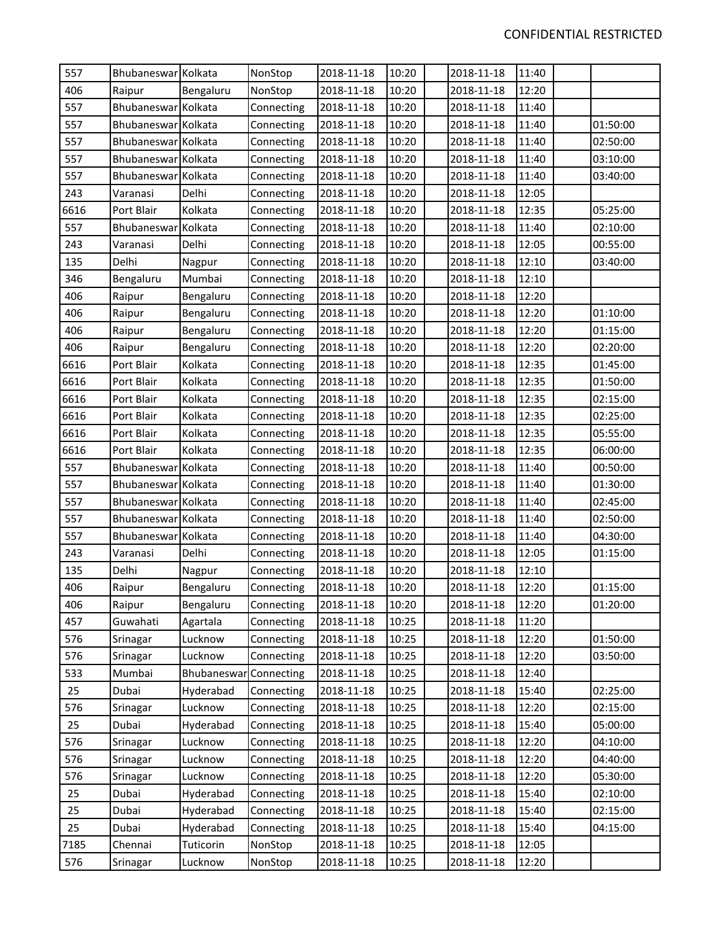| 557  | Bhubaneswar Kolkata |             | NonStop    | 2018-11-18 | 10:20 | 2018-11-18 | 11:40 |          |
|------|---------------------|-------------|------------|------------|-------|------------|-------|----------|
| 406  | Raipur              | Bengaluru   | NonStop    | 2018-11-18 | 10:20 | 2018-11-18 | 12:20 |          |
| 557  | Bhubaneswar Kolkata |             | Connecting | 2018-11-18 | 10:20 | 2018-11-18 | 11:40 |          |
| 557  | Bhubaneswar Kolkata |             | Connecting | 2018-11-18 | 10:20 | 2018-11-18 | 11:40 | 01:50:00 |
| 557  | Bhubaneswar Kolkata |             | Connecting | 2018-11-18 | 10:20 | 2018-11-18 | 11:40 | 02:50:00 |
| 557  | Bhubaneswar Kolkata |             | Connecting | 2018-11-18 | 10:20 | 2018-11-18 | 11:40 | 03:10:00 |
| 557  | Bhubaneswar Kolkata |             | Connecting | 2018-11-18 | 10:20 | 2018-11-18 | 11:40 | 03:40:00 |
| 243  | Varanasi            | Delhi       | Connecting | 2018-11-18 | 10:20 | 2018-11-18 | 12:05 |          |
| 6616 | Port Blair          | Kolkata     | Connecting | 2018-11-18 | 10:20 | 2018-11-18 | 12:35 | 05:25:00 |
| 557  | Bhubaneswar Kolkata |             | Connecting | 2018-11-18 | 10:20 | 2018-11-18 | 11:40 | 02:10:00 |
| 243  | Varanasi            | Delhi       | Connecting | 2018-11-18 | 10:20 | 2018-11-18 | 12:05 | 00:55:00 |
| 135  | Delhi               | Nagpur      | Connecting | 2018-11-18 | 10:20 | 2018-11-18 | 12:10 | 03:40:00 |
| 346  | Bengaluru           | Mumbai      | Connecting | 2018-11-18 | 10:20 | 2018-11-18 | 12:10 |          |
| 406  | Raipur              | Bengaluru   | Connecting | 2018-11-18 | 10:20 | 2018-11-18 | 12:20 |          |
| 406  | Raipur              | Bengaluru   | Connecting | 2018-11-18 | 10:20 | 2018-11-18 | 12:20 | 01:10:00 |
| 406  | Raipur              | Bengaluru   | Connecting | 2018-11-18 | 10:20 | 2018-11-18 | 12:20 | 01:15:00 |
| 406  | Raipur              | Bengaluru   | Connecting | 2018-11-18 | 10:20 | 2018-11-18 | 12:20 | 02:20:00 |
| 6616 | Port Blair          | Kolkata     | Connecting | 2018-11-18 | 10:20 | 2018-11-18 | 12:35 | 01:45:00 |
| 6616 | Port Blair          | Kolkata     | Connecting | 2018-11-18 | 10:20 | 2018-11-18 | 12:35 | 01:50:00 |
| 6616 | Port Blair          | Kolkata     | Connecting | 2018-11-18 | 10:20 | 2018-11-18 | 12:35 | 02:15:00 |
| 6616 | Port Blair          | Kolkata     | Connecting | 2018-11-18 | 10:20 | 2018-11-18 | 12:35 | 02:25:00 |
| 6616 | Port Blair          | Kolkata     | Connecting | 2018-11-18 | 10:20 | 2018-11-18 | 12:35 | 05:55:00 |
| 6616 | Port Blair          | Kolkata     | Connecting | 2018-11-18 | 10:20 | 2018-11-18 | 12:35 | 06:00:00 |
| 557  | Bhubaneswar Kolkata |             | Connecting | 2018-11-18 | 10:20 | 2018-11-18 | 11:40 | 00:50:00 |
| 557  | Bhubaneswar Kolkata |             | Connecting | 2018-11-18 | 10:20 | 2018-11-18 | 11:40 | 01:30:00 |
| 557  | Bhubaneswar Kolkata |             | Connecting | 2018-11-18 | 10:20 | 2018-11-18 | 11:40 | 02:45:00 |
| 557  | Bhubaneswar Kolkata |             | Connecting | 2018-11-18 | 10:20 | 2018-11-18 | 11:40 | 02:50:00 |
| 557  | Bhubaneswar Kolkata |             | Connecting | 2018-11-18 | 10:20 | 2018-11-18 | 11:40 | 04:30:00 |
| 243  | Varanasi            | Delhi       | Connecting | 2018-11-18 | 10:20 | 2018-11-18 | 12:05 | 01:15:00 |
| 135  | Delhi               | Nagpur      | Connecting | 2018-11-18 | 10:20 | 2018-11-18 | 12:10 |          |
| 406  | Raipur              | Bengaluru   | Connecting | 2018-11-18 | 10:20 | 2018-11-18 | 12:20 | 01:15:00 |
| 406  | Raipur              | Bengaluru   | Connecting | 2018-11-18 | 10:20 | 2018-11-18 | 12:20 | 01:20:00 |
| 457  | Guwahati            | Agartala    | Connecting | 2018-11-18 | 10:25 | 2018-11-18 | 11:20 |          |
| 576  | Srinagar            | Lucknow     | Connecting | 2018-11-18 | 10:25 | 2018-11-18 | 12:20 | 01:50:00 |
| 576  | Srinagar            | Lucknow     | Connecting | 2018-11-18 | 10:25 | 2018-11-18 | 12:20 | 03:50:00 |
| 533  | Mumbai              | Bhubaneswar | Connecting | 2018-11-18 | 10:25 | 2018-11-18 | 12:40 |          |
| 25   | Dubai               | Hyderabad   | Connecting | 2018-11-18 | 10:25 | 2018-11-18 | 15:40 | 02:25:00 |
| 576  | Srinagar            | Lucknow     | Connecting | 2018-11-18 | 10:25 | 2018-11-18 | 12:20 | 02:15:00 |
| 25   | Dubai               | Hyderabad   | Connecting | 2018-11-18 | 10:25 | 2018-11-18 | 15:40 | 05:00:00 |
| 576  | Srinagar            | Lucknow     | Connecting | 2018-11-18 | 10:25 | 2018-11-18 | 12:20 | 04:10:00 |
| 576  | Srinagar            | Lucknow     | Connecting | 2018-11-18 | 10:25 | 2018-11-18 | 12:20 | 04:40:00 |
| 576  | Srinagar            | Lucknow     | Connecting | 2018-11-18 | 10:25 | 2018-11-18 | 12:20 | 05:30:00 |
| 25   | Dubai               | Hyderabad   | Connecting | 2018-11-18 | 10:25 | 2018-11-18 | 15:40 | 02:10:00 |
| 25   | Dubai               | Hyderabad   | Connecting | 2018-11-18 | 10:25 | 2018-11-18 | 15:40 | 02:15:00 |
| 25   | Dubai               | Hyderabad   | Connecting | 2018-11-18 | 10:25 | 2018-11-18 | 15:40 | 04:15:00 |
| 7185 | Chennai             | Tuticorin   | NonStop    | 2018-11-18 | 10:25 | 2018-11-18 | 12:05 |          |
| 576  | Srinagar            | Lucknow     | NonStop    | 2018-11-18 | 10:25 | 2018-11-18 | 12:20 |          |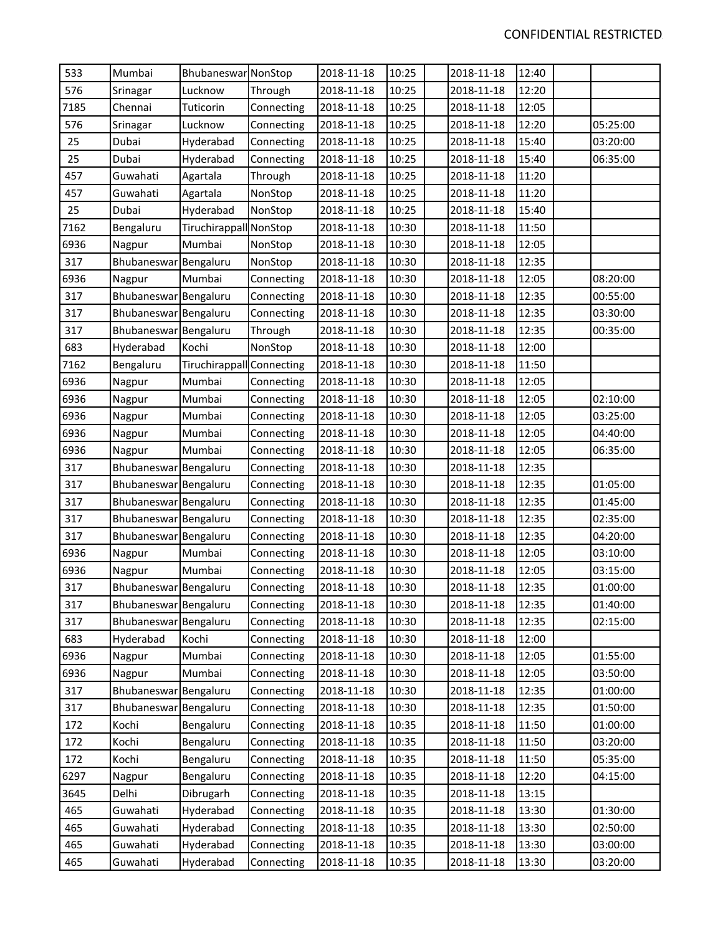| 533  | Mumbai                | Bhubaneswar NonStop       |            | 2018-11-18 | 10:25 | 2018-11-18 | 12:40 |          |
|------|-----------------------|---------------------------|------------|------------|-------|------------|-------|----------|
| 576  | Srinagar              | Lucknow                   | Through    | 2018-11-18 | 10:25 | 2018-11-18 | 12:20 |          |
| 7185 | Chennai               | Tuticorin                 | Connecting | 2018-11-18 | 10:25 | 2018-11-18 | 12:05 |          |
| 576  | Srinagar              | Lucknow                   | Connecting | 2018-11-18 | 10:25 | 2018-11-18 | 12:20 | 05:25:00 |
| 25   | Dubai                 | Hyderabad                 | Connecting | 2018-11-18 | 10:25 | 2018-11-18 | 15:40 | 03:20:00 |
| 25   | Dubai                 | Hyderabad                 | Connecting | 2018-11-18 | 10:25 | 2018-11-18 | 15:40 | 06:35:00 |
| 457  | Guwahati              | Agartala                  | Through    | 2018-11-18 | 10:25 | 2018-11-18 | 11:20 |          |
| 457  | Guwahati              | Agartala                  | NonStop    | 2018-11-18 | 10:25 | 2018-11-18 | 11:20 |          |
| 25   | Dubai                 | Hyderabad                 | NonStop    | 2018-11-18 | 10:25 | 2018-11-18 | 15:40 |          |
| 7162 | Bengaluru             | Tiruchirappall NonStop    |            | 2018-11-18 | 10:30 | 2018-11-18 | 11:50 |          |
| 6936 | Nagpur                | Mumbai                    | NonStop    | 2018-11-18 | 10:30 | 2018-11-18 | 12:05 |          |
| 317  | Bhubaneswar Bengaluru |                           | NonStop    | 2018-11-18 | 10:30 | 2018-11-18 | 12:35 |          |
| 6936 | Nagpur                | Mumbai                    | Connecting | 2018-11-18 | 10:30 | 2018-11-18 | 12:05 | 08:20:00 |
| 317  | Bhubaneswar Bengaluru |                           | Connecting | 2018-11-18 | 10:30 | 2018-11-18 | 12:35 | 00:55:00 |
| 317  | Bhubaneswar Bengaluru |                           | Connecting | 2018-11-18 | 10:30 | 2018-11-18 | 12:35 | 03:30:00 |
| 317  | Bhubaneswar Bengaluru |                           | Through    | 2018-11-18 | 10:30 | 2018-11-18 | 12:35 | 00:35:00 |
| 683  | Hyderabad             | Kochi                     | NonStop    | 2018-11-18 | 10:30 | 2018-11-18 | 12:00 |          |
| 7162 | Bengaluru             | Tiruchirappall Connecting |            | 2018-11-18 | 10:30 | 2018-11-18 | 11:50 |          |
| 6936 | Nagpur                | Mumbai                    | Connecting | 2018-11-18 | 10:30 | 2018-11-18 | 12:05 |          |
| 6936 | Nagpur                | Mumbai                    | Connecting | 2018-11-18 | 10:30 | 2018-11-18 | 12:05 | 02:10:00 |
| 6936 | Nagpur                | Mumbai                    | Connecting | 2018-11-18 | 10:30 | 2018-11-18 | 12:05 | 03:25:00 |
| 6936 | Nagpur                | Mumbai                    | Connecting | 2018-11-18 | 10:30 | 2018-11-18 | 12:05 | 04:40:00 |
| 6936 | Nagpur                | Mumbai                    | Connecting | 2018-11-18 | 10:30 | 2018-11-18 | 12:05 | 06:35:00 |
| 317  | Bhubaneswar Bengaluru |                           | Connecting | 2018-11-18 | 10:30 | 2018-11-18 | 12:35 |          |
| 317  | Bhubaneswar Bengaluru |                           | Connecting | 2018-11-18 | 10:30 | 2018-11-18 | 12:35 | 01:05:00 |
| 317  | Bhubaneswar Bengaluru |                           | Connecting | 2018-11-18 | 10:30 | 2018-11-18 | 12:35 | 01:45:00 |
| 317  | Bhubaneswar Bengaluru |                           | Connecting | 2018-11-18 | 10:30 | 2018-11-18 | 12:35 | 02:35:00 |
| 317  | Bhubaneswar Bengaluru |                           | Connecting | 2018-11-18 | 10:30 | 2018-11-18 | 12:35 | 04:20:00 |
| 6936 | Nagpur                | Mumbai                    | Connecting | 2018-11-18 | 10:30 | 2018-11-18 | 12:05 | 03:10:00 |
| 6936 | Nagpur                | Mumbai                    | Connecting | 2018-11-18 | 10:30 | 2018-11-18 | 12:05 | 03:15:00 |
| 317  | Bhubaneswar Bengaluru |                           | Connecting | 2018-11-18 | 10:30 | 2018-11-18 | 12:35 | 01:00:00 |
| 317  | Bhubaneswar Bengaluru |                           | Connecting | 2018-11-18 | 10:30 | 2018-11-18 | 12:35 | 01:40:00 |
| 317  | Bhubaneswar Bengaluru |                           | Connecting | 2018-11-18 | 10:30 | 2018-11-18 | 12:35 | 02:15:00 |
| 683  | Hyderabad             | Kochi                     | Connecting | 2018-11-18 | 10:30 | 2018-11-18 | 12:00 |          |
| 6936 | Nagpur                | Mumbai                    | Connecting | 2018-11-18 | 10:30 | 2018-11-18 | 12:05 | 01:55:00 |
| 6936 | Nagpur                | Mumbai                    | Connecting | 2018-11-18 | 10:30 | 2018-11-18 | 12:05 | 03:50:00 |
| 317  | Bhubaneswar Bengaluru |                           | Connecting | 2018-11-18 | 10:30 | 2018-11-18 | 12:35 | 01:00:00 |
| 317  | Bhubaneswar Bengaluru |                           | Connecting | 2018-11-18 | 10:30 | 2018-11-18 | 12:35 | 01:50:00 |
| 172  | Kochi                 | Bengaluru                 | Connecting | 2018-11-18 | 10:35 | 2018-11-18 | 11:50 | 01:00:00 |
| 172  | Kochi                 | Bengaluru                 | Connecting | 2018-11-18 | 10:35 | 2018-11-18 | 11:50 | 03:20:00 |
| 172  | Kochi                 | Bengaluru                 | Connecting | 2018-11-18 | 10:35 | 2018-11-18 | 11:50 | 05:35:00 |
| 6297 | Nagpur                | Bengaluru                 | Connecting | 2018-11-18 | 10:35 | 2018-11-18 | 12:20 | 04:15:00 |
| 3645 | Delhi                 | Dibrugarh                 | Connecting | 2018-11-18 | 10:35 | 2018-11-18 | 13:15 |          |
| 465  | Guwahati              | Hyderabad                 | Connecting | 2018-11-18 | 10:35 | 2018-11-18 | 13:30 | 01:30:00 |
| 465  | Guwahati              | Hyderabad                 | Connecting | 2018-11-18 | 10:35 | 2018-11-18 | 13:30 | 02:50:00 |
| 465  | Guwahati              | Hyderabad                 | Connecting | 2018-11-18 | 10:35 | 2018-11-18 | 13:30 | 03:00:00 |
| 465  | Guwahati              | Hyderabad                 | Connecting | 2018-11-18 | 10:35 | 2018-11-18 | 13:30 | 03:20:00 |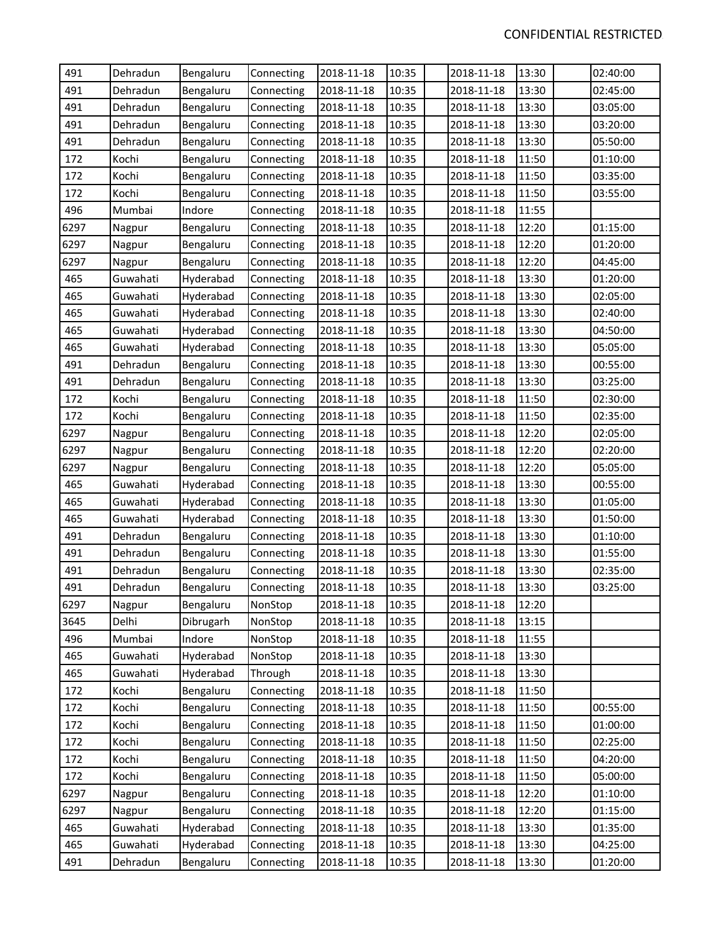| 491  | Dehradun | Bengaluru | Connecting | 2018-11-18 | 10:35 | 2018-11-18 | 13:30 | 02:40:00 |
|------|----------|-----------|------------|------------|-------|------------|-------|----------|
| 491  | Dehradun | Bengaluru | Connecting | 2018-11-18 | 10:35 | 2018-11-18 | 13:30 | 02:45:00 |
| 491  | Dehradun | Bengaluru | Connecting | 2018-11-18 | 10:35 | 2018-11-18 | 13:30 | 03:05:00 |
| 491  | Dehradun | Bengaluru | Connecting | 2018-11-18 | 10:35 | 2018-11-18 | 13:30 | 03:20:00 |
| 491  | Dehradun | Bengaluru | Connecting | 2018-11-18 | 10:35 | 2018-11-18 | 13:30 | 05:50:00 |
| 172  | Kochi    | Bengaluru | Connecting | 2018-11-18 | 10:35 | 2018-11-18 | 11:50 | 01:10:00 |
| 172  | Kochi    | Bengaluru | Connecting | 2018-11-18 | 10:35 | 2018-11-18 | 11:50 | 03:35:00 |
| 172  | Kochi    | Bengaluru | Connecting | 2018-11-18 | 10:35 | 2018-11-18 | 11:50 | 03:55:00 |
| 496  | Mumbai   | Indore    | Connecting | 2018-11-18 | 10:35 | 2018-11-18 | 11:55 |          |
| 6297 | Nagpur   | Bengaluru | Connecting | 2018-11-18 | 10:35 | 2018-11-18 | 12:20 | 01:15:00 |
| 6297 | Nagpur   | Bengaluru | Connecting | 2018-11-18 | 10:35 | 2018-11-18 | 12:20 | 01:20:00 |
| 6297 | Nagpur   | Bengaluru | Connecting | 2018-11-18 | 10:35 | 2018-11-18 | 12:20 | 04:45:00 |
| 465  | Guwahati | Hyderabad | Connecting | 2018-11-18 | 10:35 | 2018-11-18 | 13:30 | 01:20:00 |
| 465  | Guwahati | Hyderabad | Connecting | 2018-11-18 | 10:35 | 2018-11-18 | 13:30 | 02:05:00 |
| 465  | Guwahati | Hyderabad | Connecting | 2018-11-18 | 10:35 | 2018-11-18 | 13:30 | 02:40:00 |
| 465  | Guwahati | Hyderabad | Connecting | 2018-11-18 | 10:35 | 2018-11-18 | 13:30 | 04:50:00 |
| 465  | Guwahati | Hyderabad | Connecting | 2018-11-18 | 10:35 | 2018-11-18 | 13:30 | 05:05:00 |
| 491  | Dehradun | Bengaluru | Connecting | 2018-11-18 | 10:35 | 2018-11-18 | 13:30 | 00:55:00 |
| 491  | Dehradun | Bengaluru | Connecting | 2018-11-18 | 10:35 | 2018-11-18 | 13:30 | 03:25:00 |
| 172  | Kochi    | Bengaluru | Connecting | 2018-11-18 | 10:35 | 2018-11-18 | 11:50 | 02:30:00 |
| 172  | Kochi    | Bengaluru | Connecting | 2018-11-18 | 10:35 | 2018-11-18 | 11:50 | 02:35:00 |
| 6297 | Nagpur   | Bengaluru | Connecting | 2018-11-18 | 10:35 | 2018-11-18 | 12:20 | 02:05:00 |
| 6297 | Nagpur   | Bengaluru | Connecting | 2018-11-18 | 10:35 | 2018-11-18 | 12:20 | 02:20:00 |
| 6297 | Nagpur   | Bengaluru | Connecting | 2018-11-18 | 10:35 | 2018-11-18 | 12:20 | 05:05:00 |
| 465  | Guwahati | Hyderabad | Connecting | 2018-11-18 | 10:35 | 2018-11-18 | 13:30 | 00:55:00 |
| 465  | Guwahati | Hyderabad | Connecting | 2018-11-18 | 10:35 | 2018-11-18 | 13:30 | 01:05:00 |
| 465  | Guwahati | Hyderabad | Connecting | 2018-11-18 | 10:35 | 2018-11-18 | 13:30 | 01:50:00 |
| 491  | Dehradun | Bengaluru | Connecting | 2018-11-18 | 10:35 | 2018-11-18 | 13:30 | 01:10:00 |
| 491  | Dehradun | Bengaluru | Connecting | 2018-11-18 | 10:35 | 2018-11-18 | 13:30 | 01:55:00 |
| 491  | Dehradun | Bengaluru | Connecting | 2018-11-18 | 10:35 | 2018-11-18 | 13:30 | 02:35:00 |
| 491  | Dehradun | Bengaluru | Connecting | 2018-11-18 | 10:35 | 2018-11-18 | 13:30 | 03:25:00 |
| 6297 | Nagpur   | Bengaluru | NonStop    | 2018-11-18 | 10:35 | 2018-11-18 | 12:20 |          |
| 3645 | Delhi    | Dibrugarh | NonStop    | 2018-11-18 | 10:35 | 2018-11-18 | 13:15 |          |
| 496  | Mumbai   | Indore    | NonStop    | 2018-11-18 | 10:35 | 2018-11-18 | 11:55 |          |
| 465  | Guwahati | Hyderabad | NonStop    | 2018-11-18 | 10:35 | 2018-11-18 | 13:30 |          |
| 465  | Guwahati | Hyderabad | Through    | 2018-11-18 | 10:35 | 2018-11-18 | 13:30 |          |
| 172  | Kochi    | Bengaluru | Connecting | 2018-11-18 | 10:35 | 2018-11-18 | 11:50 |          |
| 172  | Kochi    | Bengaluru | Connecting | 2018-11-18 | 10:35 | 2018-11-18 | 11:50 | 00:55:00 |
| 172  | Kochi    | Bengaluru | Connecting | 2018-11-18 | 10:35 | 2018-11-18 | 11:50 | 01:00:00 |
| 172  | Kochi    | Bengaluru | Connecting | 2018-11-18 | 10:35 | 2018-11-18 | 11:50 | 02:25:00 |
| 172  | Kochi    | Bengaluru | Connecting | 2018-11-18 | 10:35 | 2018-11-18 | 11:50 | 04:20:00 |
| 172  | Kochi    | Bengaluru | Connecting | 2018-11-18 | 10:35 | 2018-11-18 | 11:50 | 05:00:00 |
| 6297 | Nagpur   | Bengaluru | Connecting | 2018-11-18 | 10:35 | 2018-11-18 | 12:20 | 01:10:00 |
| 6297 | Nagpur   | Bengaluru | Connecting | 2018-11-18 | 10:35 | 2018-11-18 | 12:20 | 01:15:00 |
| 465  | Guwahati | Hyderabad | Connecting | 2018-11-18 | 10:35 | 2018-11-18 | 13:30 | 01:35:00 |
| 465  | Guwahati | Hyderabad | Connecting | 2018-11-18 | 10:35 | 2018-11-18 | 13:30 | 04:25:00 |
| 491  | Dehradun | Bengaluru | Connecting | 2018-11-18 | 10:35 | 2018-11-18 | 13:30 | 01:20:00 |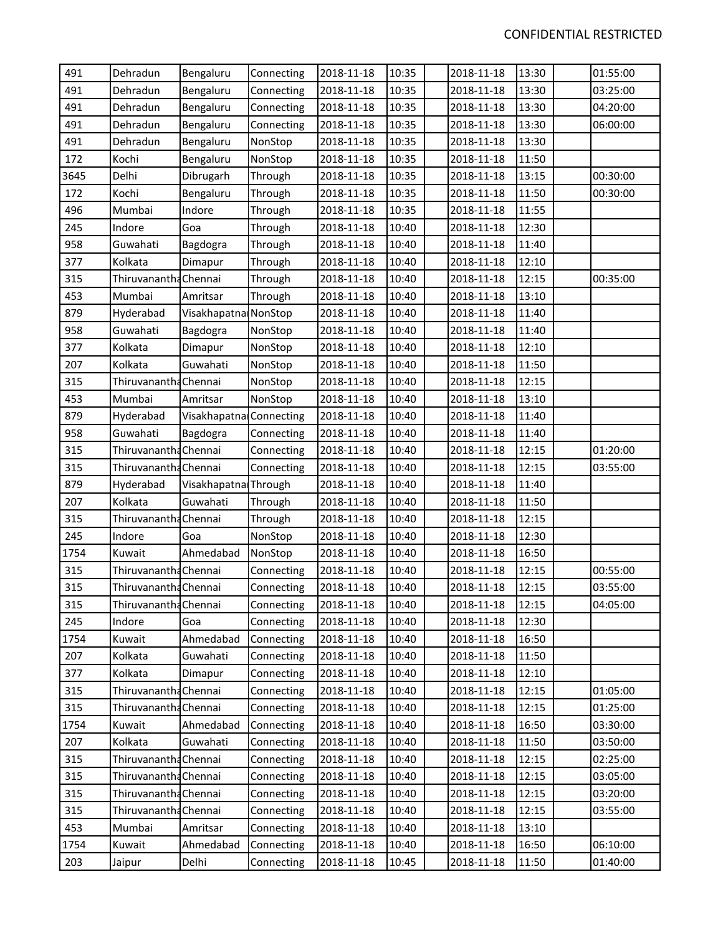| 491  | Dehradun              | Bengaluru               | Connecting | 2018-11-18 | 10:35 | 2018-11-18 | 13:30 | 01:55:00 |
|------|-----------------------|-------------------------|------------|------------|-------|------------|-------|----------|
| 491  | Dehradun              | Bengaluru               | Connecting | 2018-11-18 | 10:35 | 2018-11-18 | 13:30 | 03:25:00 |
| 491  | Dehradun              | Bengaluru               | Connecting | 2018-11-18 | 10:35 | 2018-11-18 | 13:30 | 04:20:00 |
| 491  | Dehradun              | Bengaluru               | Connecting | 2018-11-18 | 10:35 | 2018-11-18 | 13:30 | 06:00:00 |
| 491  | Dehradun              | Bengaluru               | NonStop    | 2018-11-18 | 10:35 | 2018-11-18 | 13:30 |          |
| 172  | Kochi                 | Bengaluru               | NonStop    | 2018-11-18 | 10:35 | 2018-11-18 | 11:50 |          |
| 3645 | Delhi                 | Dibrugarh               | Through    | 2018-11-18 | 10:35 | 2018-11-18 | 13:15 | 00:30:00 |
| 172  | Kochi                 | Bengaluru               | Through    | 2018-11-18 | 10:35 | 2018-11-18 | 11:50 | 00:30:00 |
| 496  | Mumbai                | Indore                  | Through    | 2018-11-18 | 10:35 | 2018-11-18 | 11:55 |          |
| 245  | Indore                | Goa                     | Through    | 2018-11-18 | 10:40 | 2018-11-18 | 12:30 |          |
| 958  | Guwahati              | Bagdogra                | Through    | 2018-11-18 | 10:40 | 2018-11-18 | 11:40 |          |
| 377  | Kolkata               | Dimapur                 | Through    | 2018-11-18 | 10:40 | 2018-11-18 | 12:10 |          |
| 315  | Thiruvanantha Chennai |                         | Through    | 2018-11-18 | 10:40 | 2018-11-18 | 12:15 | 00:35:00 |
| 453  | Mumbai                | Amritsar                | Through    | 2018-11-18 | 10:40 | 2018-11-18 | 13:10 |          |
| 879  | Hyderabad             | Visakhapatna NonStop    |            | 2018-11-18 | 10:40 | 2018-11-18 | 11:40 |          |
| 958  | Guwahati              | Bagdogra                | NonStop    | 2018-11-18 | 10:40 | 2018-11-18 | 11:40 |          |
| 377  | Kolkata               | Dimapur                 | NonStop    | 2018-11-18 | 10:40 | 2018-11-18 | 12:10 |          |
| 207  | Kolkata               | Guwahati                | NonStop    | 2018-11-18 | 10:40 | 2018-11-18 | 11:50 |          |
| 315  | Thiruvanantha Chennai |                         | NonStop    | 2018-11-18 | 10:40 | 2018-11-18 | 12:15 |          |
| 453  | Mumbai                | Amritsar                | NonStop    | 2018-11-18 | 10:40 | 2018-11-18 | 13:10 |          |
| 879  | Hyderabad             | Visakhapatna Connecting |            | 2018-11-18 | 10:40 | 2018-11-18 | 11:40 |          |
| 958  | Guwahati              | Bagdogra                | Connecting | 2018-11-18 | 10:40 | 2018-11-18 | 11:40 |          |
| 315  | Thiruvanantha Chennai |                         | Connecting | 2018-11-18 | 10:40 | 2018-11-18 | 12:15 | 01:20:00 |
| 315  | Thiruvanantha Chennai |                         | Connecting | 2018-11-18 | 10:40 | 2018-11-18 | 12:15 | 03:55:00 |
| 879  | Hyderabad             | Visakhapatna Through    |            | 2018-11-18 | 10:40 | 2018-11-18 | 11:40 |          |
| 207  | Kolkata               | Guwahati                | Through    | 2018-11-18 | 10:40 | 2018-11-18 | 11:50 |          |
| 315  | Thiruvanantha Chennai |                         | Through    | 2018-11-18 | 10:40 | 2018-11-18 | 12:15 |          |
| 245  | Indore                | Goa                     | NonStop    | 2018-11-18 | 10:40 | 2018-11-18 | 12:30 |          |
| 1754 | Kuwait                | Ahmedabad               | NonStop    | 2018-11-18 | 10:40 | 2018-11-18 | 16:50 |          |
| 315  | Thiruvanantha Chennai |                         | Connecting | 2018-11-18 | 10:40 | 2018-11-18 | 12:15 | 00:55:00 |
| 315  | Thiruvanantha Chennai |                         | Connecting | 2018-11-18 | 10:40 | 2018-11-18 | 12:15 | 03:55:00 |
| 315  | Thiruvanantha Chennai |                         | Connecting | 2018-11-18 | 10:40 | 2018-11-18 | 12:15 | 04:05:00 |
| 245  | Indore                | Goa                     | Connecting | 2018-11-18 | 10:40 | 2018-11-18 | 12:30 |          |
| 1754 | Kuwait                | Ahmedabad               | Connecting | 2018-11-18 | 10:40 | 2018-11-18 | 16:50 |          |
| 207  | Kolkata               | Guwahati                | Connecting | 2018-11-18 | 10:40 | 2018-11-18 | 11:50 |          |
| 377  | Kolkata               | Dimapur                 | Connecting | 2018-11-18 | 10:40 | 2018-11-18 | 12:10 |          |
| 315  | Thiruvanantha Chennai |                         | Connecting | 2018-11-18 | 10:40 | 2018-11-18 | 12:15 | 01:05:00 |
| 315  | Thiruvanantha Chennai |                         | Connecting | 2018-11-18 | 10:40 | 2018-11-18 | 12:15 | 01:25:00 |
| 1754 | Kuwait                | Ahmedabad               | Connecting | 2018-11-18 | 10:40 | 2018-11-18 | 16:50 | 03:30:00 |
| 207  | Kolkata               | Guwahati                | Connecting | 2018-11-18 | 10:40 | 2018-11-18 | 11:50 | 03:50:00 |
| 315  | Thiruvanantha Chennai |                         | Connecting | 2018-11-18 | 10:40 | 2018-11-18 | 12:15 | 02:25:00 |
| 315  | Thiruvanantha Chennai |                         | Connecting | 2018-11-18 | 10:40 | 2018-11-18 | 12:15 | 03:05:00 |
| 315  | Thiruvanantha Chennai |                         | Connecting | 2018-11-18 | 10:40 | 2018-11-18 | 12:15 | 03:20:00 |
| 315  | Thiruvanantha Chennai |                         | Connecting | 2018-11-18 | 10:40 | 2018-11-18 | 12:15 | 03:55:00 |
| 453  | Mumbai                | Amritsar                | Connecting | 2018-11-18 | 10:40 | 2018-11-18 | 13:10 |          |
| 1754 | Kuwait                | Ahmedabad               | Connecting | 2018-11-18 | 10:40 | 2018-11-18 | 16:50 | 06:10:00 |
| 203  | Jaipur                | Delhi                   | Connecting | 2018-11-18 | 10:45 | 2018-11-18 | 11:50 | 01:40:00 |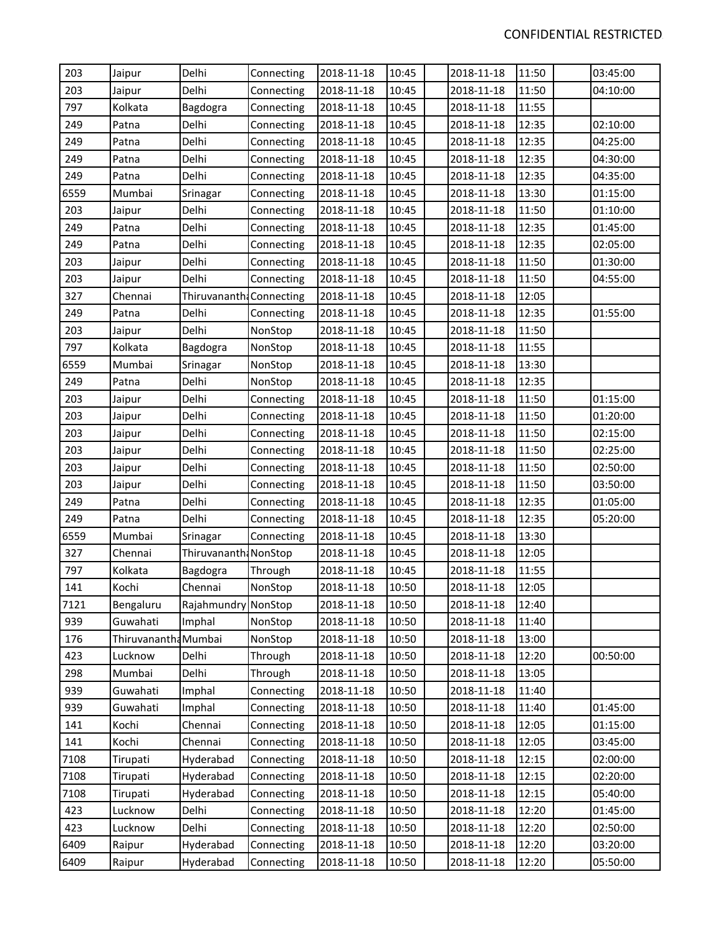| 203  | Jaipur               | Delhi                    | Connecting | 2018-11-18 | 10:45 | 2018-11-18 | 11:50 | 03:45:00 |
|------|----------------------|--------------------------|------------|------------|-------|------------|-------|----------|
| 203  | Jaipur               | Delhi                    | Connecting | 2018-11-18 | 10:45 | 2018-11-18 | 11:50 | 04:10:00 |
| 797  | Kolkata              | Bagdogra                 | Connecting | 2018-11-18 | 10:45 | 2018-11-18 | 11:55 |          |
| 249  | Patna                | Delhi                    | Connecting | 2018-11-18 | 10:45 | 2018-11-18 | 12:35 | 02:10:00 |
| 249  | Patna                | Delhi                    | Connecting | 2018-11-18 | 10:45 | 2018-11-18 | 12:35 | 04:25:00 |
| 249  | Patna                | Delhi                    | Connecting | 2018-11-18 | 10:45 | 2018-11-18 | 12:35 | 04:30:00 |
| 249  | Patna                | Delhi                    | Connecting | 2018-11-18 | 10:45 | 2018-11-18 | 12:35 | 04:35:00 |
| 6559 | Mumbai               | Srinagar                 | Connecting | 2018-11-18 | 10:45 | 2018-11-18 | 13:30 | 01:15:00 |
| 203  | Jaipur               | Delhi                    | Connecting | 2018-11-18 | 10:45 | 2018-11-18 | 11:50 | 01:10:00 |
| 249  | Patna                | Delhi                    | Connecting | 2018-11-18 | 10:45 | 2018-11-18 | 12:35 | 01:45:00 |
| 249  | Patna                | Delhi                    | Connecting | 2018-11-18 | 10:45 | 2018-11-18 | 12:35 | 02:05:00 |
| 203  | Jaipur               | Delhi                    | Connecting | 2018-11-18 | 10:45 | 2018-11-18 | 11:50 | 01:30:00 |
| 203  | Jaipur               | Delhi                    | Connecting | 2018-11-18 | 10:45 | 2018-11-18 | 11:50 | 04:55:00 |
| 327  | Chennai              | Thiruvananth: Connecting |            | 2018-11-18 | 10:45 | 2018-11-18 | 12:05 |          |
| 249  | Patna                | Delhi                    | Connecting | 2018-11-18 | 10:45 | 2018-11-18 | 12:35 | 01:55:00 |
| 203  | Jaipur               | Delhi                    | NonStop    | 2018-11-18 | 10:45 | 2018-11-18 | 11:50 |          |
| 797  | Kolkata              | Bagdogra                 | NonStop    | 2018-11-18 | 10:45 | 2018-11-18 | 11:55 |          |
| 6559 | Mumbai               | Srinagar                 | NonStop    | 2018-11-18 | 10:45 | 2018-11-18 | 13:30 |          |
| 249  | Patna                | Delhi                    | NonStop    | 2018-11-18 | 10:45 | 2018-11-18 | 12:35 |          |
| 203  | Jaipur               | Delhi                    | Connecting | 2018-11-18 | 10:45 | 2018-11-18 | 11:50 | 01:15:00 |
| 203  | Jaipur               | Delhi                    | Connecting | 2018-11-18 | 10:45 | 2018-11-18 | 11:50 | 01:20:00 |
| 203  | Jaipur               | Delhi                    | Connecting | 2018-11-18 | 10:45 | 2018-11-18 | 11:50 | 02:15:00 |
| 203  | Jaipur               | Delhi                    | Connecting | 2018-11-18 | 10:45 | 2018-11-18 | 11:50 | 02:25:00 |
| 203  | Jaipur               | Delhi                    | Connecting | 2018-11-18 | 10:45 | 2018-11-18 | 11:50 | 02:50:00 |
| 203  | Jaipur               | Delhi                    | Connecting | 2018-11-18 | 10:45 | 2018-11-18 | 11:50 | 03:50:00 |
| 249  | Patna                | Delhi                    | Connecting | 2018-11-18 | 10:45 | 2018-11-18 | 12:35 | 01:05:00 |
| 249  | Patna                | Delhi                    | Connecting | 2018-11-18 | 10:45 | 2018-11-18 | 12:35 | 05:20:00 |
| 6559 | Mumbai               | Srinagar                 | Connecting | 2018-11-18 | 10:45 | 2018-11-18 | 13:30 |          |
| 327  | Chennai              | Thiruvananth: NonStop    |            | 2018-11-18 | 10:45 | 2018-11-18 | 12:05 |          |
| 797  | Kolkata              | Bagdogra                 | Through    | 2018-11-18 | 10:45 | 2018-11-18 | 11:55 |          |
| 141  | Kochi                | Chennai                  | NonStop    | 2018-11-18 | 10:50 | 2018-11-18 | 12:05 |          |
| 7121 | Bengaluru            | Rajahmundry NonStop      |            | 2018-11-18 | 10:50 | 2018-11-18 | 12:40 |          |
| 939  | Guwahati             | Imphal                   | NonStop    | 2018-11-18 | 10:50 | 2018-11-18 | 11:40 |          |
| 176  | Thiruvanantha Mumbai |                          | NonStop    | 2018-11-18 | 10:50 | 2018-11-18 | 13:00 |          |
| 423  | Lucknow              | Delhi                    | Through    | 2018-11-18 | 10:50 | 2018-11-18 | 12:20 | 00:50:00 |
| 298  | Mumbai               | Delhi                    | Through    | 2018-11-18 | 10:50 | 2018-11-18 | 13:05 |          |
| 939  | Guwahati             | Imphal                   | Connecting | 2018-11-18 | 10:50 | 2018-11-18 | 11:40 |          |
| 939  | Guwahati             | Imphal                   | Connecting | 2018-11-18 | 10:50 | 2018-11-18 | 11:40 | 01:45:00 |
| 141  | Kochi                | Chennai                  | Connecting | 2018-11-18 | 10:50 | 2018-11-18 | 12:05 | 01:15:00 |
| 141  | Kochi                | Chennai                  | Connecting | 2018-11-18 | 10:50 | 2018-11-18 | 12:05 | 03:45:00 |
| 7108 | Tirupati             | Hyderabad                | Connecting | 2018-11-18 | 10:50 | 2018-11-18 | 12:15 | 02:00:00 |
| 7108 | Tirupati             | Hyderabad                | Connecting | 2018-11-18 | 10:50 | 2018-11-18 | 12:15 | 02:20:00 |
| 7108 | Tirupati             | Hyderabad                | Connecting | 2018-11-18 | 10:50 | 2018-11-18 | 12:15 | 05:40:00 |
| 423  | Lucknow              | Delhi                    | Connecting | 2018-11-18 | 10:50 | 2018-11-18 | 12:20 | 01:45:00 |
| 423  | Lucknow              | Delhi                    | Connecting | 2018-11-18 | 10:50 | 2018-11-18 | 12:20 | 02:50:00 |
| 6409 | Raipur               | Hyderabad                | Connecting | 2018-11-18 | 10:50 | 2018-11-18 | 12:20 | 03:20:00 |
| 6409 | Raipur               | Hyderabad                | Connecting | 2018-11-18 | 10:50 | 2018-11-18 | 12:20 | 05:50:00 |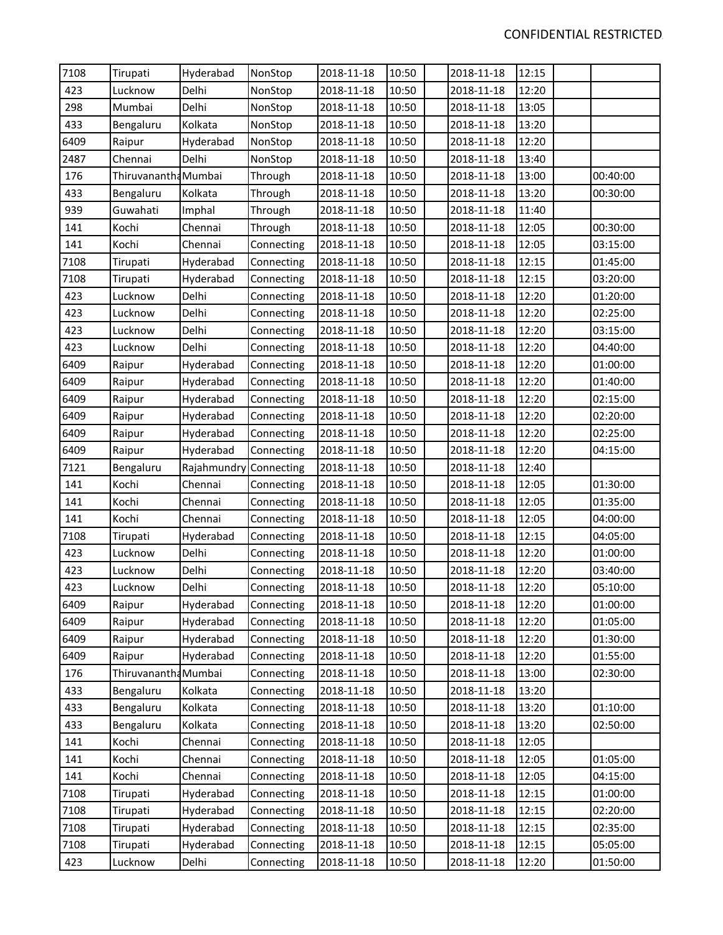| 7108 | Tirupati             | Hyderabad   | NonStop    | 2018-11-18 | 10:50 | 2018-11-18 | 12:15 |          |
|------|----------------------|-------------|------------|------------|-------|------------|-------|----------|
| 423  | Lucknow              | Delhi       | NonStop    | 2018-11-18 | 10:50 | 2018-11-18 | 12:20 |          |
| 298  | Mumbai               | Delhi       | NonStop    | 2018-11-18 | 10:50 | 2018-11-18 | 13:05 |          |
| 433  | Bengaluru            | Kolkata     | NonStop    | 2018-11-18 | 10:50 | 2018-11-18 | 13:20 |          |
| 6409 | Raipur               | Hyderabad   | NonStop    | 2018-11-18 | 10:50 | 2018-11-18 | 12:20 |          |
| 2487 | Chennai              | Delhi       | NonStop    | 2018-11-18 | 10:50 | 2018-11-18 | 13:40 |          |
| 176  | Thiruvanantha Mumbai |             | Through    | 2018-11-18 | 10:50 | 2018-11-18 | 13:00 | 00:40:00 |
| 433  | Bengaluru            | Kolkata     | Through    | 2018-11-18 | 10:50 | 2018-11-18 | 13:20 | 00:30:00 |
| 939  | Guwahati             | Imphal      | Through    | 2018-11-18 | 10:50 | 2018-11-18 | 11:40 |          |
| 141  | Kochi                | Chennai     | Through    | 2018-11-18 | 10:50 | 2018-11-18 | 12:05 | 00:30:00 |
| 141  | Kochi                | Chennai     | Connecting | 2018-11-18 | 10:50 | 2018-11-18 | 12:05 | 03:15:00 |
| 7108 | Tirupati             | Hyderabad   | Connecting | 2018-11-18 | 10:50 | 2018-11-18 | 12:15 | 01:45:00 |
| 7108 | Tirupati             | Hyderabad   | Connecting | 2018-11-18 | 10:50 | 2018-11-18 | 12:15 | 03:20:00 |
| 423  | Lucknow              | Delhi       | Connecting | 2018-11-18 | 10:50 | 2018-11-18 | 12:20 | 01:20:00 |
| 423  | Lucknow              | Delhi       | Connecting | 2018-11-18 | 10:50 | 2018-11-18 | 12:20 | 02:25:00 |
| 423  | Lucknow              | Delhi       | Connecting | 2018-11-18 | 10:50 | 2018-11-18 | 12:20 | 03:15:00 |
| 423  | Lucknow              | Delhi       | Connecting | 2018-11-18 | 10:50 | 2018-11-18 | 12:20 | 04:40:00 |
| 6409 | Raipur               | Hyderabad   | Connecting | 2018-11-18 | 10:50 | 2018-11-18 | 12:20 | 01:00:00 |
| 6409 | Raipur               | Hyderabad   | Connecting | 2018-11-18 | 10:50 | 2018-11-18 | 12:20 | 01:40:00 |
| 6409 | Raipur               | Hyderabad   | Connecting | 2018-11-18 | 10:50 | 2018-11-18 | 12:20 | 02:15:00 |
| 6409 | Raipur               | Hyderabad   | Connecting | 2018-11-18 | 10:50 | 2018-11-18 | 12:20 | 02:20:00 |
| 6409 | Raipur               | Hyderabad   | Connecting | 2018-11-18 | 10:50 | 2018-11-18 | 12:20 | 02:25:00 |
| 6409 | Raipur               | Hyderabad   | Connecting | 2018-11-18 | 10:50 | 2018-11-18 | 12:20 | 04:15:00 |
| 7121 | Bengaluru            | Rajahmundry | Connecting | 2018-11-18 | 10:50 | 2018-11-18 | 12:40 |          |
| 141  | Kochi                | Chennai     | Connecting | 2018-11-18 | 10:50 | 2018-11-18 | 12:05 | 01:30:00 |
| 141  | Kochi                | Chennai     | Connecting | 2018-11-18 | 10:50 | 2018-11-18 | 12:05 | 01:35:00 |
| 141  | Kochi                | Chennai     | Connecting | 2018-11-18 | 10:50 | 2018-11-18 | 12:05 | 04:00:00 |
| 7108 | Tirupati             | Hyderabad   | Connecting | 2018-11-18 | 10:50 | 2018-11-18 | 12:15 | 04:05:00 |
| 423  | Lucknow              | Delhi       | Connecting | 2018-11-18 | 10:50 | 2018-11-18 | 12:20 | 01:00:00 |
| 423  | Lucknow              | Delhi       | Connecting | 2018-11-18 | 10:50 | 2018-11-18 | 12:20 | 03:40:00 |
| 423  | Lucknow              | Delhi       | Connecting | 2018-11-18 | 10:50 | 2018-11-18 | 12:20 | 05:10:00 |
| 6409 | Raipur               | Hyderabad   | Connecting | 2018-11-18 | 10:50 | 2018-11-18 | 12:20 | 01:00:00 |
| 6409 | Raipur               | Hyderabad   | Connecting | 2018-11-18 | 10:50 | 2018-11-18 | 12:20 | 01:05:00 |
| 6409 | Raipur               | Hyderabad   | Connecting | 2018-11-18 | 10:50 | 2018-11-18 | 12:20 | 01:30:00 |
| 6409 | Raipur               | Hyderabad   | Connecting | 2018-11-18 | 10:50 | 2018-11-18 | 12:20 | 01:55:00 |
| 176  | Thiruvanantha Mumbai |             | Connecting | 2018-11-18 | 10:50 | 2018-11-18 | 13:00 | 02:30:00 |
| 433  | Bengaluru            | Kolkata     | Connecting | 2018-11-18 | 10:50 | 2018-11-18 | 13:20 |          |
| 433  | Bengaluru            | Kolkata     | Connecting | 2018-11-18 | 10:50 | 2018-11-18 | 13:20 | 01:10:00 |
| 433  | Bengaluru            | Kolkata     | Connecting | 2018-11-18 | 10:50 | 2018-11-18 | 13:20 | 02:50:00 |
| 141  | Kochi                | Chennai     | Connecting | 2018-11-18 | 10:50 | 2018-11-18 | 12:05 |          |
| 141  | Kochi                | Chennai     | Connecting | 2018-11-18 | 10:50 | 2018-11-18 | 12:05 | 01:05:00 |
| 141  | Kochi                | Chennai     | Connecting | 2018-11-18 | 10:50 | 2018-11-18 | 12:05 | 04:15:00 |
| 7108 | Tirupati             | Hyderabad   | Connecting | 2018-11-18 | 10:50 | 2018-11-18 | 12:15 | 01:00:00 |
| 7108 | Tirupati             | Hyderabad   | Connecting | 2018-11-18 | 10:50 | 2018-11-18 | 12:15 | 02:20:00 |
| 7108 | Tirupati             | Hyderabad   | Connecting | 2018-11-18 | 10:50 | 2018-11-18 | 12:15 | 02:35:00 |
| 7108 | Tirupati             | Hyderabad   | Connecting | 2018-11-18 | 10:50 | 2018-11-18 | 12:15 | 05:05:00 |
| 423  | Lucknow              | Delhi       | Connecting | 2018-11-18 | 10:50 | 2018-11-18 | 12:20 | 01:50:00 |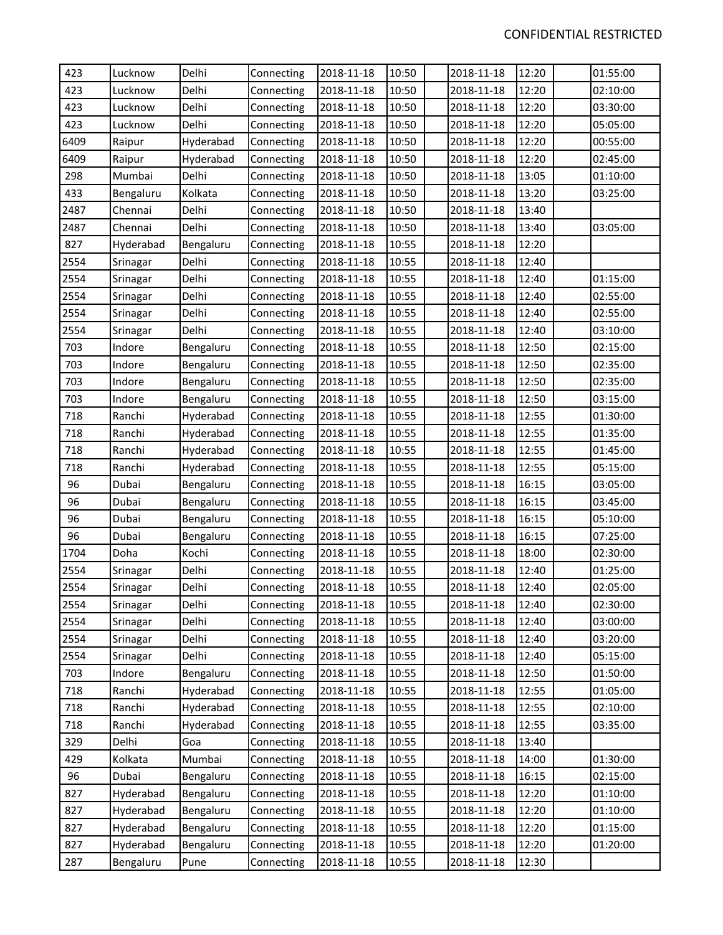| 423  | Lucknow   | Delhi     | Connecting | 2018-11-18 | 10:50 | 2018-11-18 | 12:20 | 01:55:00 |
|------|-----------|-----------|------------|------------|-------|------------|-------|----------|
| 423  | Lucknow   | Delhi     | Connecting | 2018-11-18 | 10:50 | 2018-11-18 | 12:20 | 02:10:00 |
| 423  | Lucknow   | Delhi     | Connecting | 2018-11-18 | 10:50 | 2018-11-18 | 12:20 | 03:30:00 |
| 423  | Lucknow   | Delhi     | Connecting | 2018-11-18 | 10:50 | 2018-11-18 | 12:20 | 05:05:00 |
| 6409 | Raipur    | Hyderabad | Connecting | 2018-11-18 | 10:50 | 2018-11-18 | 12:20 | 00:55:00 |
| 6409 | Raipur    | Hyderabad | Connecting | 2018-11-18 | 10:50 | 2018-11-18 | 12:20 | 02:45:00 |
| 298  | Mumbai    | Delhi     | Connecting | 2018-11-18 | 10:50 | 2018-11-18 | 13:05 | 01:10:00 |
| 433  | Bengaluru | Kolkata   | Connecting | 2018-11-18 | 10:50 | 2018-11-18 | 13:20 | 03:25:00 |
| 2487 | Chennai   | Delhi     | Connecting | 2018-11-18 | 10:50 | 2018-11-18 | 13:40 |          |
| 2487 | Chennai   | Delhi     | Connecting | 2018-11-18 | 10:50 | 2018-11-18 | 13:40 | 03:05:00 |
| 827  | Hyderabad | Bengaluru | Connecting | 2018-11-18 | 10:55 | 2018-11-18 | 12:20 |          |
| 2554 | Srinagar  | Delhi     | Connecting | 2018-11-18 | 10:55 | 2018-11-18 | 12:40 |          |
| 2554 | Srinagar  | Delhi     | Connecting | 2018-11-18 | 10:55 | 2018-11-18 | 12:40 | 01:15:00 |
| 2554 | Srinagar  | Delhi     | Connecting | 2018-11-18 | 10:55 | 2018-11-18 | 12:40 | 02:55:00 |
| 2554 | Srinagar  | Delhi     | Connecting | 2018-11-18 | 10:55 | 2018-11-18 | 12:40 | 02:55:00 |
| 2554 | Srinagar  | Delhi     | Connecting | 2018-11-18 | 10:55 | 2018-11-18 | 12:40 | 03:10:00 |
| 703  | Indore    | Bengaluru | Connecting | 2018-11-18 | 10:55 | 2018-11-18 | 12:50 | 02:15:00 |
| 703  | Indore    | Bengaluru | Connecting | 2018-11-18 | 10:55 | 2018-11-18 | 12:50 | 02:35:00 |
| 703  | Indore    | Bengaluru | Connecting | 2018-11-18 | 10:55 | 2018-11-18 | 12:50 | 02:35:00 |
| 703  | Indore    | Bengaluru | Connecting | 2018-11-18 | 10:55 | 2018-11-18 | 12:50 | 03:15:00 |
| 718  | Ranchi    | Hyderabad | Connecting | 2018-11-18 | 10:55 | 2018-11-18 | 12:55 | 01:30:00 |
| 718  | Ranchi    | Hyderabad | Connecting | 2018-11-18 | 10:55 | 2018-11-18 | 12:55 | 01:35:00 |
| 718  | Ranchi    | Hyderabad | Connecting | 2018-11-18 | 10:55 | 2018-11-18 | 12:55 | 01:45:00 |
| 718  | Ranchi    | Hyderabad | Connecting | 2018-11-18 | 10:55 | 2018-11-18 | 12:55 | 05:15:00 |
| 96   | Dubai     | Bengaluru | Connecting | 2018-11-18 | 10:55 | 2018-11-18 | 16:15 | 03:05:00 |
| 96   | Dubai     | Bengaluru | Connecting | 2018-11-18 | 10:55 | 2018-11-18 | 16:15 | 03:45:00 |
| 96   | Dubai     | Bengaluru | Connecting | 2018-11-18 | 10:55 | 2018-11-18 | 16:15 | 05:10:00 |
| 96   | Dubai     | Bengaluru | Connecting | 2018-11-18 | 10:55 | 2018-11-18 | 16:15 | 07:25:00 |
| 1704 | Doha      | Kochi     | Connecting | 2018-11-18 | 10:55 | 2018-11-18 | 18:00 | 02:30:00 |
| 2554 | Srinagar  | Delhi     | Connecting | 2018-11-18 | 10:55 | 2018-11-18 | 12:40 | 01:25:00 |
| 2554 | Srinagar  | Delhi     | Connecting | 2018-11-18 | 10:55 | 2018-11-18 | 12:40 | 02:05:00 |
| 2554 | Srinagar  | Delhi     | Connecting | 2018-11-18 | 10:55 | 2018-11-18 | 12:40 | 02:30:00 |
| 2554 | Srinagar  | Delhi     | Connecting | 2018-11-18 | 10:55 | 2018-11-18 | 12:40 | 03:00:00 |
| 2554 | Srinagar  | Delhi     | Connecting | 2018-11-18 | 10:55 | 2018-11-18 | 12:40 | 03:20:00 |
| 2554 | Srinagar  | Delhi     | Connecting | 2018-11-18 | 10:55 | 2018-11-18 | 12:40 | 05:15:00 |
| 703  | Indore    | Bengaluru | Connecting | 2018-11-18 | 10:55 | 2018-11-18 | 12:50 | 01:50:00 |
| 718  | Ranchi    | Hyderabad | Connecting | 2018-11-18 | 10:55 | 2018-11-18 | 12:55 | 01:05:00 |
| 718  | Ranchi    | Hyderabad | Connecting | 2018-11-18 | 10:55 | 2018-11-18 | 12:55 | 02:10:00 |
| 718  | Ranchi    | Hyderabad | Connecting | 2018-11-18 | 10:55 | 2018-11-18 | 12:55 | 03:35:00 |
| 329  | Delhi     | Goa       | Connecting | 2018-11-18 | 10:55 | 2018-11-18 | 13:40 |          |
| 429  | Kolkata   | Mumbai    | Connecting | 2018-11-18 | 10:55 | 2018-11-18 | 14:00 | 01:30:00 |
| 96   | Dubai     | Bengaluru | Connecting | 2018-11-18 | 10:55 | 2018-11-18 | 16:15 | 02:15:00 |
| 827  | Hyderabad | Bengaluru | Connecting | 2018-11-18 | 10:55 | 2018-11-18 | 12:20 | 01:10:00 |
| 827  | Hyderabad | Bengaluru | Connecting | 2018-11-18 | 10:55 | 2018-11-18 | 12:20 | 01:10:00 |
| 827  | Hyderabad | Bengaluru | Connecting | 2018-11-18 | 10:55 | 2018-11-18 | 12:20 | 01:15:00 |
| 827  | Hyderabad | Bengaluru | Connecting | 2018-11-18 | 10:55 | 2018-11-18 | 12:20 | 01:20:00 |
| 287  | Bengaluru | Pune      | Connecting | 2018-11-18 | 10:55 | 2018-11-18 | 12:30 |          |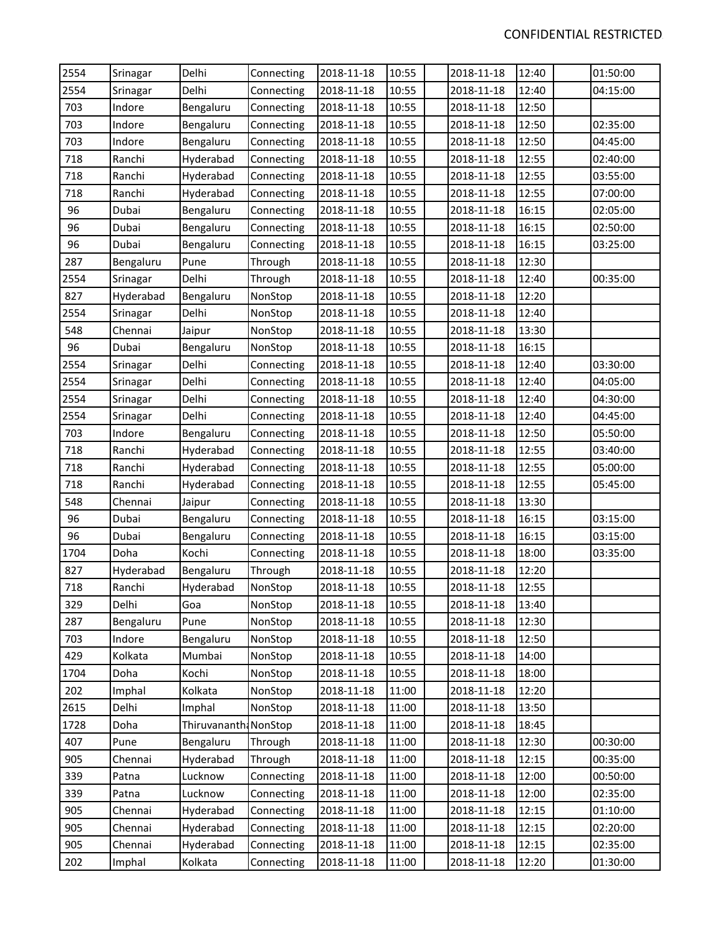| 2554 | Srinagar  | Delhi                 | Connecting | 2018-11-18 | 10:55 | 2018-11-18 | 12:40 | 01:50:00 |
|------|-----------|-----------------------|------------|------------|-------|------------|-------|----------|
| 2554 | Srinagar  | Delhi                 | Connecting | 2018-11-18 | 10:55 | 2018-11-18 | 12:40 | 04:15:00 |
| 703  | Indore    | Bengaluru             | Connecting | 2018-11-18 | 10:55 | 2018-11-18 | 12:50 |          |
| 703  | Indore    | Bengaluru             | Connecting | 2018-11-18 | 10:55 | 2018-11-18 | 12:50 | 02:35:00 |
| 703  | Indore    | Bengaluru             | Connecting | 2018-11-18 | 10:55 | 2018-11-18 | 12:50 | 04:45:00 |
| 718  | Ranchi    | Hyderabad             | Connecting | 2018-11-18 | 10:55 | 2018-11-18 | 12:55 | 02:40:00 |
| 718  | Ranchi    | Hyderabad             | Connecting | 2018-11-18 | 10:55 | 2018-11-18 | 12:55 | 03:55:00 |
| 718  | Ranchi    | Hyderabad             | Connecting | 2018-11-18 | 10:55 | 2018-11-18 | 12:55 | 07:00:00 |
| 96   | Dubai     | Bengaluru             | Connecting | 2018-11-18 | 10:55 | 2018-11-18 | 16:15 | 02:05:00 |
| 96   | Dubai     | Bengaluru             | Connecting | 2018-11-18 | 10:55 | 2018-11-18 | 16:15 | 02:50:00 |
| 96   | Dubai     | Bengaluru             | Connecting | 2018-11-18 | 10:55 | 2018-11-18 | 16:15 | 03:25:00 |
| 287  | Bengaluru | Pune                  | Through    | 2018-11-18 | 10:55 | 2018-11-18 | 12:30 |          |
| 2554 | Srinagar  | Delhi                 | Through    | 2018-11-18 | 10:55 | 2018-11-18 | 12:40 | 00:35:00 |
| 827  | Hyderabad | Bengaluru             | NonStop    | 2018-11-18 | 10:55 | 2018-11-18 | 12:20 |          |
| 2554 | Srinagar  | Delhi                 | NonStop    | 2018-11-18 | 10:55 | 2018-11-18 | 12:40 |          |
| 548  | Chennai   | Jaipur                | NonStop    | 2018-11-18 | 10:55 | 2018-11-18 | 13:30 |          |
| 96   | Dubai     | Bengaluru             | NonStop    | 2018-11-18 | 10:55 | 2018-11-18 | 16:15 |          |
| 2554 | Srinagar  | Delhi                 | Connecting | 2018-11-18 | 10:55 | 2018-11-18 | 12:40 | 03:30:00 |
| 2554 | Srinagar  | Delhi                 | Connecting | 2018-11-18 | 10:55 | 2018-11-18 | 12:40 | 04:05:00 |
| 2554 | Srinagar  | Delhi                 | Connecting | 2018-11-18 | 10:55 | 2018-11-18 | 12:40 | 04:30:00 |
| 2554 | Srinagar  | Delhi                 | Connecting | 2018-11-18 | 10:55 | 2018-11-18 | 12:40 | 04:45:00 |
| 703  | Indore    | Bengaluru             | Connecting | 2018-11-18 | 10:55 | 2018-11-18 | 12:50 | 05:50:00 |
| 718  | Ranchi    | Hyderabad             | Connecting | 2018-11-18 | 10:55 | 2018-11-18 | 12:55 | 03:40:00 |
| 718  | Ranchi    | Hyderabad             | Connecting | 2018-11-18 | 10:55 | 2018-11-18 | 12:55 | 05:00:00 |
| 718  | Ranchi    | Hyderabad             | Connecting | 2018-11-18 | 10:55 | 2018-11-18 | 12:55 | 05:45:00 |
| 548  | Chennai   | Jaipur                | Connecting | 2018-11-18 | 10:55 | 2018-11-18 | 13:30 |          |
| 96   | Dubai     | Bengaluru             | Connecting | 2018-11-18 | 10:55 | 2018-11-18 | 16:15 | 03:15:00 |
| 96   | Dubai     | Bengaluru             | Connecting | 2018-11-18 | 10:55 | 2018-11-18 | 16:15 | 03:15:00 |
| 1704 | Doha      | Kochi                 | Connecting | 2018-11-18 | 10:55 | 2018-11-18 | 18:00 | 03:35:00 |
| 827  | Hyderabad | Bengaluru             | Through    | 2018-11-18 | 10:55 | 2018-11-18 | 12:20 |          |
| 718  | Ranchi    | Hyderabad             | NonStop    | 2018-11-18 | 10:55 | 2018-11-18 | 12:55 |          |
| 329  | Delhi     | Goa                   | NonStop    | 2018-11-18 | 10:55 | 2018-11-18 | 13:40 |          |
| 287  | Bengaluru | Pune                  | NonStop    | 2018-11-18 | 10:55 | 2018-11-18 | 12:30 |          |
| 703  | Indore    | Bengaluru             | NonStop    | 2018-11-18 | 10:55 | 2018-11-18 | 12:50 |          |
| 429  | Kolkata   | Mumbai                | NonStop    | 2018-11-18 | 10:55 | 2018-11-18 | 14:00 |          |
| 1704 | Doha      | Kochi                 | NonStop    | 2018-11-18 | 10:55 | 2018-11-18 | 18:00 |          |
| 202  | Imphal    | Kolkata               | NonStop    | 2018-11-18 | 11:00 | 2018-11-18 | 12:20 |          |
| 2615 | Delhi     | Imphal                | NonStop    | 2018-11-18 | 11:00 | 2018-11-18 | 13:50 |          |
| 1728 | Doha      | Thiruvananth: NonStop |            | 2018-11-18 | 11:00 | 2018-11-18 | 18:45 |          |
| 407  | Pune      | Bengaluru             | Through    | 2018-11-18 | 11:00 | 2018-11-18 | 12:30 | 00:30:00 |
| 905  | Chennai   | Hyderabad             | Through    | 2018-11-18 | 11:00 | 2018-11-18 | 12:15 | 00:35:00 |
| 339  | Patna     | Lucknow               | Connecting | 2018-11-18 | 11:00 | 2018-11-18 | 12:00 | 00:50:00 |
| 339  | Patna     | Lucknow               | Connecting | 2018-11-18 | 11:00 | 2018-11-18 | 12:00 | 02:35:00 |
| 905  | Chennai   | Hyderabad             | Connecting | 2018-11-18 | 11:00 | 2018-11-18 | 12:15 | 01:10:00 |
| 905  | Chennai   | Hyderabad             | Connecting | 2018-11-18 | 11:00 | 2018-11-18 | 12:15 | 02:20:00 |
| 905  | Chennai   | Hyderabad             | Connecting | 2018-11-18 | 11:00 | 2018-11-18 | 12:15 | 02:35:00 |
| 202  | Imphal    | Kolkata               | Connecting | 2018-11-18 | 11:00 | 2018-11-18 | 12:20 | 01:30:00 |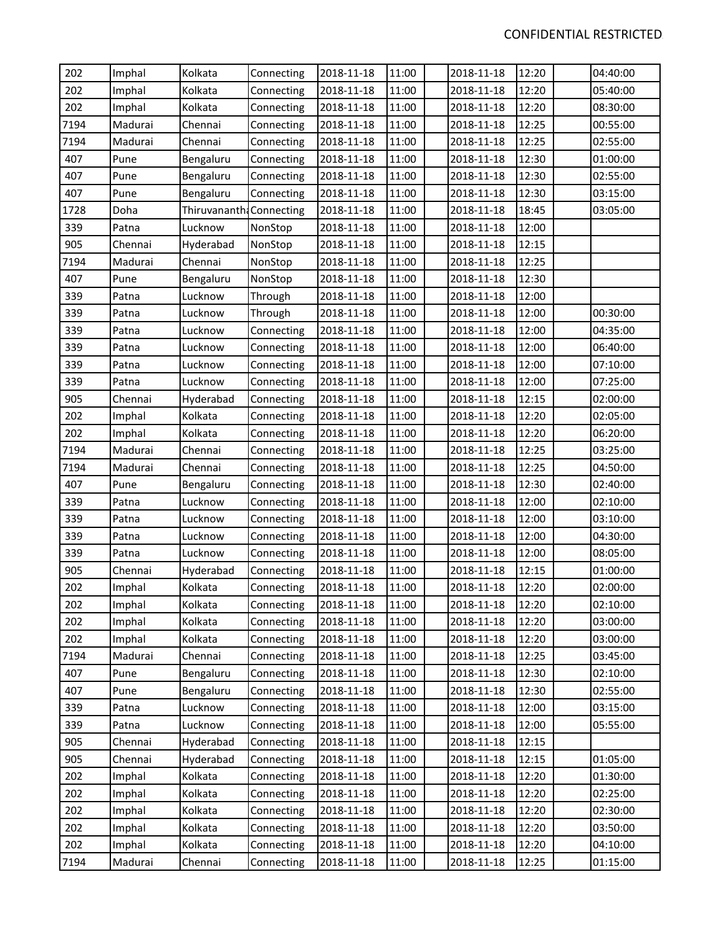| 202  | Imphal  | Kolkata                  | Connecting | 2018-11-18 | 11:00 | 2018-11-18 | 12:20 | 04:40:00 |
|------|---------|--------------------------|------------|------------|-------|------------|-------|----------|
| 202  | Imphal  | Kolkata                  | Connecting | 2018-11-18 | 11:00 | 2018-11-18 | 12:20 | 05:40:00 |
| 202  | Imphal  | Kolkata                  | Connecting | 2018-11-18 | 11:00 | 2018-11-18 | 12:20 | 08:30:00 |
| 7194 | Madurai | Chennai                  | Connecting | 2018-11-18 | 11:00 | 2018-11-18 | 12:25 | 00:55:00 |
| 7194 | Madurai | Chennai                  | Connecting | 2018-11-18 | 11:00 | 2018-11-18 | 12:25 | 02:55:00 |
| 407  | Pune    | Bengaluru                | Connecting | 2018-11-18 | 11:00 | 2018-11-18 | 12:30 | 01:00:00 |
| 407  | Pune    | Bengaluru                | Connecting | 2018-11-18 | 11:00 | 2018-11-18 | 12:30 | 02:55:00 |
| 407  | Pune    | Bengaluru                | Connecting | 2018-11-18 | 11:00 | 2018-11-18 | 12:30 | 03:15:00 |
| 1728 | Doha    | Thiruvananth: Connecting |            | 2018-11-18 | 11:00 | 2018-11-18 | 18:45 | 03:05:00 |
| 339  | Patna   | Lucknow                  | NonStop    | 2018-11-18 | 11:00 | 2018-11-18 | 12:00 |          |
| 905  | Chennai | Hyderabad                | NonStop    | 2018-11-18 | 11:00 | 2018-11-18 | 12:15 |          |
| 7194 | Madurai | Chennai                  | NonStop    | 2018-11-18 | 11:00 | 2018-11-18 | 12:25 |          |
| 407  | Pune    | Bengaluru                | NonStop    | 2018-11-18 | 11:00 | 2018-11-18 | 12:30 |          |
| 339  | Patna   | Lucknow                  | Through    | 2018-11-18 | 11:00 | 2018-11-18 | 12:00 |          |
| 339  | Patna   | Lucknow                  | Through    | 2018-11-18 | 11:00 | 2018-11-18 | 12:00 | 00:30:00 |
| 339  | Patna   | Lucknow                  | Connecting | 2018-11-18 | 11:00 | 2018-11-18 | 12:00 | 04:35:00 |
| 339  | Patna   | Lucknow                  | Connecting | 2018-11-18 | 11:00 | 2018-11-18 | 12:00 | 06:40:00 |
| 339  | Patna   | Lucknow                  | Connecting | 2018-11-18 | 11:00 | 2018-11-18 | 12:00 | 07:10:00 |
| 339  | Patna   | Lucknow                  | Connecting | 2018-11-18 | 11:00 | 2018-11-18 | 12:00 | 07:25:00 |
| 905  | Chennai | Hyderabad                | Connecting | 2018-11-18 | 11:00 | 2018-11-18 | 12:15 | 02:00:00 |
| 202  | Imphal  | Kolkata                  | Connecting | 2018-11-18 | 11:00 | 2018-11-18 | 12:20 | 02:05:00 |
| 202  | Imphal  | Kolkata                  | Connecting | 2018-11-18 | 11:00 | 2018-11-18 | 12:20 | 06:20:00 |
| 7194 | Madurai | Chennai                  | Connecting | 2018-11-18 | 11:00 | 2018-11-18 | 12:25 | 03:25:00 |
| 7194 | Madurai | Chennai                  | Connecting | 2018-11-18 | 11:00 | 2018-11-18 | 12:25 | 04:50:00 |
| 407  | Pune    | Bengaluru                | Connecting | 2018-11-18 | 11:00 | 2018-11-18 | 12:30 | 02:40:00 |
| 339  | Patna   | Lucknow                  | Connecting | 2018-11-18 | 11:00 | 2018-11-18 | 12:00 | 02:10:00 |
| 339  | Patna   | Lucknow                  | Connecting | 2018-11-18 | 11:00 | 2018-11-18 | 12:00 | 03:10:00 |
| 339  | Patna   | Lucknow                  | Connecting | 2018-11-18 | 11:00 | 2018-11-18 | 12:00 | 04:30:00 |
| 339  | Patna   | Lucknow                  | Connecting | 2018-11-18 | 11:00 | 2018-11-18 | 12:00 | 08:05:00 |
| 905  | Chennai | Hyderabad                | Connecting | 2018-11-18 | 11:00 | 2018-11-18 | 12:15 | 01:00:00 |
| 202  | Imphal  | Kolkata                  | Connecting | 2018-11-18 | 11:00 | 2018-11-18 | 12:20 | 02:00:00 |
| 202  | Imphal  | Kolkata                  | Connecting | 2018-11-18 | 11:00 | 2018-11-18 | 12:20 | 02:10:00 |
| 202  | Imphal  | Kolkata                  | Connecting | 2018-11-18 | 11:00 | 2018-11-18 | 12:20 | 03:00:00 |
| 202  | Imphal  | Kolkata                  | Connecting | 2018-11-18 | 11:00 | 2018-11-18 | 12:20 | 03:00:00 |
| 7194 | Madurai | Chennai                  | Connecting | 2018-11-18 | 11:00 | 2018-11-18 | 12:25 | 03:45:00 |
| 407  | Pune    | Bengaluru                | Connecting | 2018-11-18 | 11:00 | 2018-11-18 | 12:30 | 02:10:00 |
| 407  | Pune    | Bengaluru                | Connecting | 2018-11-18 | 11:00 | 2018-11-18 | 12:30 | 02:55:00 |
| 339  | Patna   | Lucknow                  | Connecting | 2018-11-18 | 11:00 | 2018-11-18 | 12:00 | 03:15:00 |
| 339  | Patna   | Lucknow                  | Connecting | 2018-11-18 | 11:00 | 2018-11-18 | 12:00 | 05:55:00 |
| 905  | Chennai | Hyderabad                | Connecting | 2018-11-18 | 11:00 | 2018-11-18 | 12:15 |          |
| 905  | Chennai | Hyderabad                | Connecting | 2018-11-18 | 11:00 | 2018-11-18 | 12:15 | 01:05:00 |
| 202  | Imphal  | Kolkata                  | Connecting | 2018-11-18 | 11:00 | 2018-11-18 | 12:20 | 01:30:00 |
| 202  | Imphal  | Kolkata                  | Connecting | 2018-11-18 | 11:00 | 2018-11-18 | 12:20 | 02:25:00 |
| 202  | Imphal  | Kolkata                  | Connecting | 2018-11-18 | 11:00 | 2018-11-18 | 12:20 | 02:30:00 |
| 202  | Imphal  | Kolkata                  | Connecting | 2018-11-18 | 11:00 | 2018-11-18 | 12:20 | 03:50:00 |
| 202  | Imphal  | Kolkata                  | Connecting | 2018-11-18 | 11:00 | 2018-11-18 | 12:20 | 04:10:00 |
| 7194 | Madurai | Chennai                  | Connecting | 2018-11-18 | 11:00 | 2018-11-18 | 12:25 | 01:15:00 |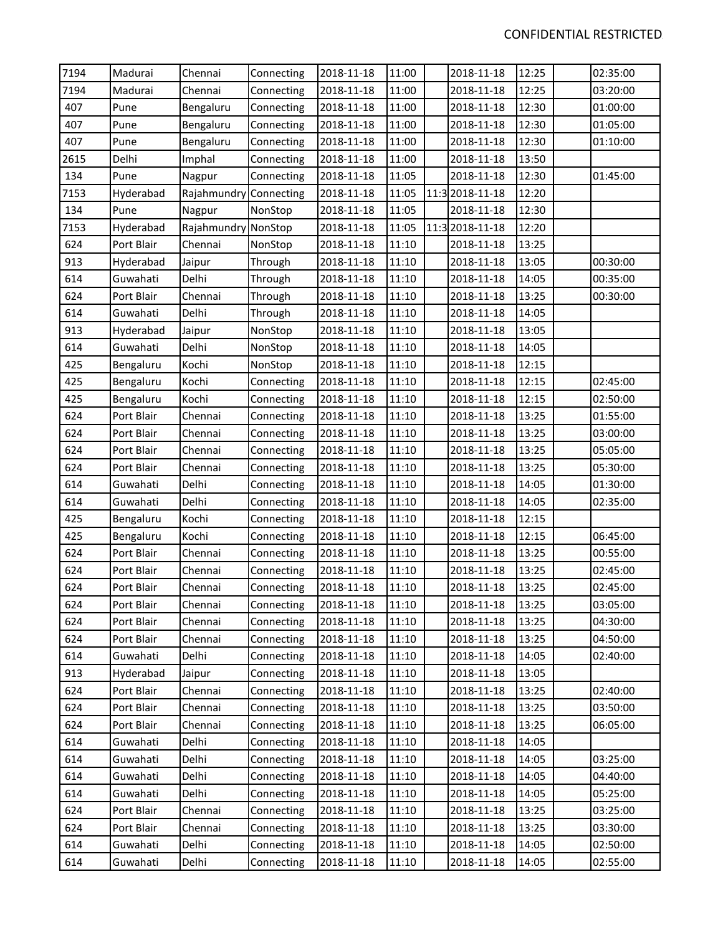| 7194 | Madurai    | Chennai                | Connecting | 2018-11-18 | 11:00 | 2018-11-18      | 12:25 | 02:35:00 |
|------|------------|------------------------|------------|------------|-------|-----------------|-------|----------|
| 7194 | Madurai    | Chennai                | Connecting | 2018-11-18 | 11:00 | 2018-11-18      | 12:25 | 03:20:00 |
| 407  | Pune       | Bengaluru              | Connecting | 2018-11-18 | 11:00 | 2018-11-18      | 12:30 | 01:00:00 |
| 407  | Pune       | Bengaluru              | Connecting | 2018-11-18 | 11:00 | 2018-11-18      | 12:30 | 01:05:00 |
| 407  | Pune       | Bengaluru              | Connecting | 2018-11-18 | 11:00 | 2018-11-18      | 12:30 | 01:10:00 |
| 2615 | Delhi      | Imphal                 | Connecting | 2018-11-18 | 11:00 | 2018-11-18      | 13:50 |          |
| 134  | Pune       | Nagpur                 | Connecting | 2018-11-18 | 11:05 | 2018-11-18      | 12:30 | 01:45:00 |
| 7153 | Hyderabad  | Rajahmundry Connecting |            | 2018-11-18 | 11:05 | 11:3 2018-11-18 | 12:20 |          |
| 134  | Pune       | Nagpur                 | NonStop    | 2018-11-18 | 11:05 | 2018-11-18      | 12:30 |          |
| 7153 | Hyderabad  | Rajahmundry NonStop    |            | 2018-11-18 | 11:05 | 11:3 2018-11-18 | 12:20 |          |
| 624  | Port Blair | Chennai                | NonStop    | 2018-11-18 | 11:10 | 2018-11-18      | 13:25 |          |
| 913  | Hyderabad  | Jaipur                 | Through    | 2018-11-18 | 11:10 | 2018-11-18      | 13:05 | 00:30:00 |
| 614  | Guwahati   | Delhi                  | Through    | 2018-11-18 | 11:10 | 2018-11-18      | 14:05 | 00:35:00 |
| 624  | Port Blair | Chennai                | Through    | 2018-11-18 | 11:10 | 2018-11-18      | 13:25 | 00:30:00 |
| 614  | Guwahati   | Delhi                  | Through    | 2018-11-18 | 11:10 | 2018-11-18      | 14:05 |          |
| 913  | Hyderabad  | Jaipur                 | NonStop    | 2018-11-18 | 11:10 | 2018-11-18      | 13:05 |          |
| 614  | Guwahati   | Delhi                  | NonStop    | 2018-11-18 | 11:10 | 2018-11-18      | 14:05 |          |
| 425  | Bengaluru  | Kochi                  | NonStop    | 2018-11-18 | 11:10 | 2018-11-18      | 12:15 |          |
| 425  | Bengaluru  | Kochi                  | Connecting | 2018-11-18 | 11:10 | 2018-11-18      | 12:15 | 02:45:00 |
| 425  | Bengaluru  | Kochi                  | Connecting | 2018-11-18 | 11:10 | 2018-11-18      | 12:15 | 02:50:00 |
| 624  | Port Blair | Chennai                | Connecting | 2018-11-18 | 11:10 | 2018-11-18      | 13:25 | 01:55:00 |
| 624  | Port Blair | Chennai                | Connecting | 2018-11-18 | 11:10 | 2018-11-18      | 13:25 | 03:00:00 |
| 624  | Port Blair | Chennai                | Connecting | 2018-11-18 | 11:10 | 2018-11-18      | 13:25 | 05:05:00 |
| 624  | Port Blair | Chennai                | Connecting | 2018-11-18 | 11:10 | 2018-11-18      | 13:25 | 05:30:00 |
| 614  | Guwahati   | Delhi                  | Connecting | 2018-11-18 | 11:10 | 2018-11-18      | 14:05 | 01:30:00 |
| 614  | Guwahati   | Delhi                  | Connecting | 2018-11-18 | 11:10 | 2018-11-18      | 14:05 | 02:35:00 |
| 425  | Bengaluru  | Kochi                  | Connecting | 2018-11-18 | 11:10 | 2018-11-18      | 12:15 |          |
| 425  | Bengaluru  | Kochi                  | Connecting | 2018-11-18 | 11:10 | 2018-11-18      | 12:15 | 06:45:00 |
| 624  | Port Blair | Chennai                | Connecting | 2018-11-18 | 11:10 | 2018-11-18      | 13:25 | 00:55:00 |
| 624  | Port Blair | Chennai                | Connecting | 2018-11-18 | 11:10 | 2018-11-18      | 13:25 | 02:45:00 |
| 624  | Port Blair | Chennai                | Connecting | 2018-11-18 | 11:10 | 2018-11-18      | 13:25 | 02:45:00 |
| 624  | Port Blair | Chennai                | Connecting | 2018-11-18 | 11:10 | 2018-11-18      | 13:25 | 03:05:00 |
| 624  | Port Blair | Chennai                | Connecting | 2018-11-18 | 11:10 | 2018-11-18      | 13:25 | 04:30:00 |
| 624  | Port Blair | Chennai                | Connecting | 2018-11-18 | 11:10 | 2018-11-18      | 13:25 | 04:50:00 |
| 614  | Guwahati   | Delhi                  | Connecting | 2018-11-18 | 11:10 | 2018-11-18      | 14:05 | 02:40:00 |
| 913  | Hyderabad  | Jaipur                 | Connecting | 2018-11-18 | 11:10 | 2018-11-18      | 13:05 |          |
| 624  | Port Blair | Chennai                | Connecting | 2018-11-18 | 11:10 | 2018-11-18      | 13:25 | 02:40:00 |
| 624  | Port Blair | Chennai                | Connecting | 2018-11-18 | 11:10 | 2018-11-18      | 13:25 | 03:50:00 |
| 624  | Port Blair | Chennai                | Connecting | 2018-11-18 | 11:10 | 2018-11-18      | 13:25 | 06:05:00 |
| 614  | Guwahati   | Delhi                  | Connecting | 2018-11-18 | 11:10 | 2018-11-18      | 14:05 |          |
| 614  | Guwahati   | Delhi                  | Connecting | 2018-11-18 | 11:10 | 2018-11-18      | 14:05 | 03:25:00 |
| 614  | Guwahati   | Delhi                  | Connecting | 2018-11-18 | 11:10 | 2018-11-18      | 14:05 | 04:40:00 |
| 614  | Guwahati   | Delhi                  | Connecting | 2018-11-18 | 11:10 | 2018-11-18      | 14:05 | 05:25:00 |
| 624  | Port Blair | Chennai                | Connecting | 2018-11-18 | 11:10 | 2018-11-18      | 13:25 | 03:25:00 |
| 624  | Port Blair | Chennai                | Connecting | 2018-11-18 | 11:10 | 2018-11-18      | 13:25 | 03:30:00 |
| 614  | Guwahati   | Delhi                  | Connecting | 2018-11-18 | 11:10 | 2018-11-18      | 14:05 | 02:50:00 |
| 614  | Guwahati   | Delhi                  | Connecting | 2018-11-18 | 11:10 | 2018-11-18      | 14:05 | 02:55:00 |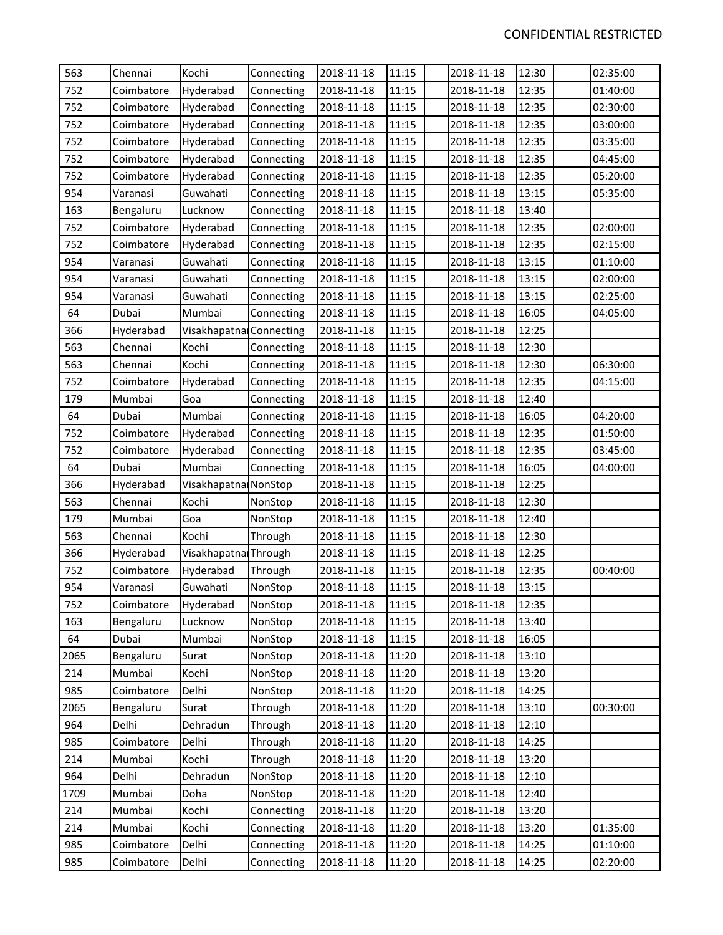| 563  | Chennai    | Kochi                   | Connecting | 2018-11-18 | 11:15 | 2018-11-18 | 12:30 | 02:35:00 |
|------|------------|-------------------------|------------|------------|-------|------------|-------|----------|
| 752  | Coimbatore | Hyderabad               | Connecting | 2018-11-18 | 11:15 | 2018-11-18 | 12:35 | 01:40:00 |
| 752  | Coimbatore | Hyderabad               | Connecting | 2018-11-18 | 11:15 | 2018-11-18 | 12:35 | 02:30:00 |
| 752  | Coimbatore | Hyderabad               | Connecting | 2018-11-18 | 11:15 | 2018-11-18 | 12:35 | 03:00:00 |
| 752  | Coimbatore | Hyderabad               | Connecting | 2018-11-18 | 11:15 | 2018-11-18 | 12:35 | 03:35:00 |
| 752  | Coimbatore | Hyderabad               | Connecting | 2018-11-18 | 11:15 | 2018-11-18 | 12:35 | 04:45:00 |
| 752  | Coimbatore | Hyderabad               | Connecting | 2018-11-18 | 11:15 | 2018-11-18 | 12:35 | 05:20:00 |
| 954  | Varanasi   | Guwahati                | Connecting | 2018-11-18 | 11:15 | 2018-11-18 | 13:15 | 05:35:00 |
| 163  | Bengaluru  | Lucknow                 | Connecting | 2018-11-18 | 11:15 | 2018-11-18 | 13:40 |          |
| 752  | Coimbatore | Hyderabad               | Connecting | 2018-11-18 | 11:15 | 2018-11-18 | 12:35 | 02:00:00 |
| 752  | Coimbatore | Hyderabad               | Connecting | 2018-11-18 | 11:15 | 2018-11-18 | 12:35 | 02:15:00 |
| 954  | Varanasi   | Guwahati                | Connecting | 2018-11-18 | 11:15 | 2018-11-18 | 13:15 | 01:10:00 |
| 954  | Varanasi   | Guwahati                | Connecting | 2018-11-18 | 11:15 | 2018-11-18 | 13:15 | 02:00:00 |
| 954  | Varanasi   | Guwahati                | Connecting | 2018-11-18 | 11:15 | 2018-11-18 | 13:15 | 02:25:00 |
| 64   | Dubai      | Mumbai                  | Connecting | 2018-11-18 | 11:15 | 2018-11-18 | 16:05 | 04:05:00 |
| 366  | Hyderabad  | Visakhapatna Connecting |            | 2018-11-18 | 11:15 | 2018-11-18 | 12:25 |          |
| 563  | Chennai    | Kochi                   | Connecting | 2018-11-18 | 11:15 | 2018-11-18 | 12:30 |          |
| 563  | Chennai    | Kochi                   | Connecting | 2018-11-18 | 11:15 | 2018-11-18 | 12:30 | 06:30:00 |
| 752  | Coimbatore | Hyderabad               | Connecting | 2018-11-18 | 11:15 | 2018-11-18 | 12:35 | 04:15:00 |
| 179  | Mumbai     | Goa                     | Connecting | 2018-11-18 | 11:15 | 2018-11-18 | 12:40 |          |
| 64   | Dubai      | Mumbai                  | Connecting | 2018-11-18 | 11:15 | 2018-11-18 | 16:05 | 04:20:00 |
| 752  | Coimbatore | Hyderabad               | Connecting | 2018-11-18 | 11:15 | 2018-11-18 | 12:35 | 01:50:00 |
| 752  | Coimbatore | Hyderabad               | Connecting | 2018-11-18 | 11:15 | 2018-11-18 | 12:35 | 03:45:00 |
| 64   | Dubai      | Mumbai                  | Connecting | 2018-11-18 | 11:15 | 2018-11-18 | 16:05 | 04:00:00 |
| 366  | Hyderabad  | Visakhapatna NonStop    |            | 2018-11-18 | 11:15 | 2018-11-18 | 12:25 |          |
| 563  | Chennai    | Kochi                   | NonStop    | 2018-11-18 | 11:15 | 2018-11-18 | 12:30 |          |
| 179  | Mumbai     | Goa                     | NonStop    | 2018-11-18 | 11:15 | 2018-11-18 | 12:40 |          |
| 563  | Chennai    | Kochi                   | Through    | 2018-11-18 | 11:15 | 2018-11-18 | 12:30 |          |
| 366  | Hyderabad  | Visakhapatna Through    |            | 2018-11-18 | 11:15 | 2018-11-18 | 12:25 |          |
| 752  | Coimbatore | Hyderabad               | Through    | 2018-11-18 | 11:15 | 2018-11-18 | 12:35 | 00:40:00 |
| 954  | Varanasi   | Guwahati                | NonStop    | 2018-11-18 | 11:15 | 2018-11-18 | 13:15 |          |
| 752  | Coimbatore | Hyderabad               | NonStop    | 2018-11-18 | 11:15 | 2018-11-18 | 12:35 |          |
| 163  | Bengaluru  | Lucknow                 | NonStop    | 2018-11-18 | 11:15 | 2018-11-18 | 13:40 |          |
| 64   | Dubai      | Mumbai                  | NonStop    | 2018-11-18 | 11:15 | 2018-11-18 | 16:05 |          |
| 2065 | Bengaluru  | Surat                   | NonStop    | 2018-11-18 | 11:20 | 2018-11-18 | 13:10 |          |
| 214  | Mumbai     | Kochi                   | NonStop    | 2018-11-18 | 11:20 | 2018-11-18 | 13:20 |          |
| 985  | Coimbatore | Delhi                   | NonStop    | 2018-11-18 | 11:20 | 2018-11-18 | 14:25 |          |
| 2065 | Bengaluru  | Surat                   | Through    | 2018-11-18 | 11:20 | 2018-11-18 | 13:10 | 00:30:00 |
| 964  | Delhi      | Dehradun                | Through    | 2018-11-18 | 11:20 | 2018-11-18 | 12:10 |          |
| 985  | Coimbatore | Delhi                   | Through    | 2018-11-18 | 11:20 | 2018-11-18 | 14:25 |          |
| 214  | Mumbai     | Kochi                   | Through    | 2018-11-18 | 11:20 | 2018-11-18 | 13:20 |          |
| 964  | Delhi      | Dehradun                | NonStop    | 2018-11-18 | 11:20 | 2018-11-18 | 12:10 |          |
| 1709 | Mumbai     | Doha                    | NonStop    | 2018-11-18 | 11:20 | 2018-11-18 | 12:40 |          |
| 214  | Mumbai     | Kochi                   | Connecting | 2018-11-18 | 11:20 | 2018-11-18 | 13:20 |          |
| 214  | Mumbai     | Kochi                   | Connecting | 2018-11-18 | 11:20 | 2018-11-18 | 13:20 | 01:35:00 |
| 985  | Coimbatore | Delhi                   | Connecting | 2018-11-18 | 11:20 | 2018-11-18 | 14:25 | 01:10:00 |
| 985  | Coimbatore | Delhi                   | Connecting | 2018-11-18 | 11:20 | 2018-11-18 | 14:25 | 02:20:00 |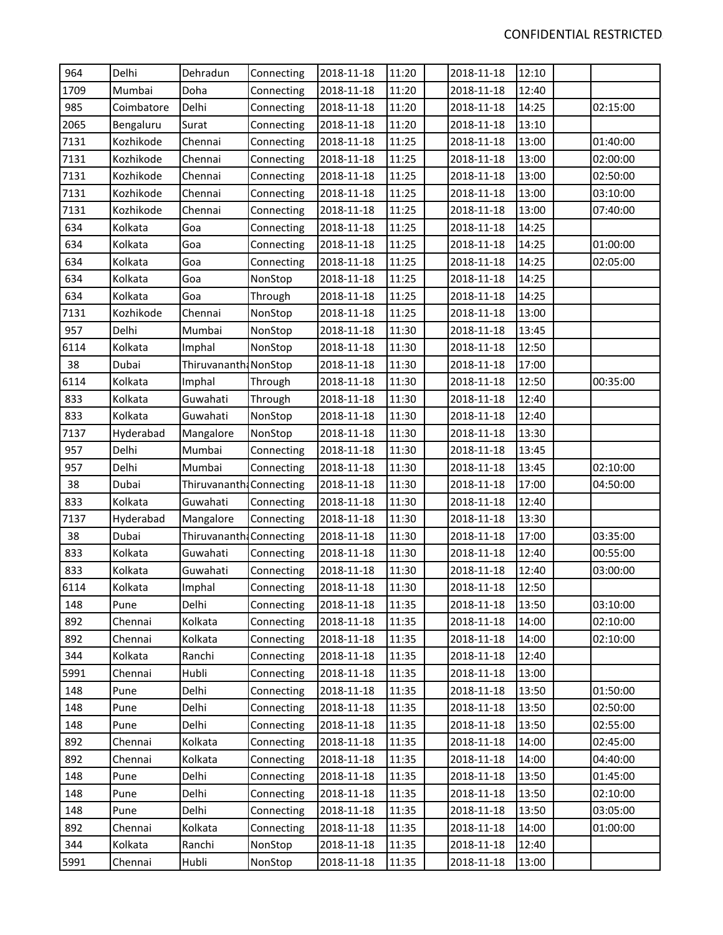| 964  | Delhi      | Dehradun                 | Connecting | 2018-11-18 | 11:20 | 2018-11-18 | 12:10 |          |
|------|------------|--------------------------|------------|------------|-------|------------|-------|----------|
| 1709 | Mumbai     | Doha                     | Connecting | 2018-11-18 | 11:20 | 2018-11-18 | 12:40 |          |
| 985  | Coimbatore | Delhi                    | Connecting | 2018-11-18 | 11:20 | 2018-11-18 | 14:25 | 02:15:00 |
| 2065 | Bengaluru  | Surat                    | Connecting | 2018-11-18 | 11:20 | 2018-11-18 | 13:10 |          |
| 7131 | Kozhikode  | Chennai                  | Connecting | 2018-11-18 | 11:25 | 2018-11-18 | 13:00 | 01:40:00 |
| 7131 | Kozhikode  | Chennai                  | Connecting | 2018-11-18 | 11:25 | 2018-11-18 | 13:00 | 02:00:00 |
| 7131 | Kozhikode  | Chennai                  | Connecting | 2018-11-18 | 11:25 | 2018-11-18 | 13:00 | 02:50:00 |
| 7131 | Kozhikode  | Chennai                  | Connecting | 2018-11-18 | 11:25 | 2018-11-18 | 13:00 | 03:10:00 |
| 7131 | Kozhikode  | Chennai                  | Connecting | 2018-11-18 | 11:25 | 2018-11-18 | 13:00 | 07:40:00 |
| 634  | Kolkata    | Goa                      | Connecting | 2018-11-18 | 11:25 | 2018-11-18 | 14:25 |          |
| 634  | Kolkata    | Goa                      | Connecting | 2018-11-18 | 11:25 | 2018-11-18 | 14:25 | 01:00:00 |
| 634  | Kolkata    | Goa                      | Connecting | 2018-11-18 | 11:25 | 2018-11-18 | 14:25 | 02:05:00 |
| 634  | Kolkata    | Goa                      | NonStop    | 2018-11-18 | 11:25 | 2018-11-18 | 14:25 |          |
| 634  | Kolkata    | Goa                      | Through    | 2018-11-18 | 11:25 | 2018-11-18 | 14:25 |          |
| 7131 | Kozhikode  | Chennai                  | NonStop    | 2018-11-18 | 11:25 | 2018-11-18 | 13:00 |          |
| 957  | Delhi      | Mumbai                   | NonStop    | 2018-11-18 | 11:30 | 2018-11-18 | 13:45 |          |
| 6114 | Kolkata    | Imphal                   | NonStop    | 2018-11-18 | 11:30 | 2018-11-18 | 12:50 |          |
| 38   | Dubai      | Thiruvananth: NonStop    |            | 2018-11-18 | 11:30 | 2018-11-18 | 17:00 |          |
| 6114 | Kolkata    | Imphal                   | Through    | 2018-11-18 | 11:30 | 2018-11-18 | 12:50 | 00:35:00 |
| 833  | Kolkata    | Guwahati                 | Through    | 2018-11-18 | 11:30 | 2018-11-18 | 12:40 |          |
| 833  | Kolkata    | Guwahati                 | NonStop    | 2018-11-18 | 11:30 | 2018-11-18 | 12:40 |          |
| 7137 | Hyderabad  | Mangalore                | NonStop    | 2018-11-18 | 11:30 | 2018-11-18 | 13:30 |          |
| 957  | Delhi      | Mumbai                   | Connecting | 2018-11-18 | 11:30 | 2018-11-18 | 13:45 |          |
| 957  | Delhi      | Mumbai                   | Connecting | 2018-11-18 | 11:30 | 2018-11-18 | 13:45 | 02:10:00 |
| 38   | Dubai      | Thiruvananth: Connecting |            | 2018-11-18 | 11:30 | 2018-11-18 | 17:00 | 04:50:00 |
| 833  | Kolkata    | Guwahati                 | Connecting | 2018-11-18 | 11:30 | 2018-11-18 | 12:40 |          |
| 7137 | Hyderabad  | Mangalore                | Connecting | 2018-11-18 | 11:30 | 2018-11-18 | 13:30 |          |
| 38   | Dubai      | Thiruvananth: Connecting |            | 2018-11-18 | 11:30 | 2018-11-18 | 17:00 | 03:35:00 |
| 833  | Kolkata    | Guwahati                 | Connecting | 2018-11-18 | 11:30 | 2018-11-18 | 12:40 | 00:55:00 |
| 833  | Kolkata    | Guwahati                 | Connecting | 2018-11-18 | 11:30 | 2018-11-18 | 12:40 | 03:00:00 |
| 6114 | Kolkata    | Imphal                   | Connecting | 2018-11-18 | 11:30 | 2018-11-18 | 12:50 |          |
| 148  | Pune       | Delhi                    | Connecting | 2018-11-18 | 11:35 | 2018-11-18 | 13:50 | 03:10:00 |
| 892  | Chennai    | Kolkata                  | Connecting | 2018-11-18 | 11:35 | 2018-11-18 | 14:00 | 02:10:00 |
| 892  | Chennai    | Kolkata                  | Connecting | 2018-11-18 | 11:35 | 2018-11-18 | 14:00 | 02:10:00 |
| 344  | Kolkata    | Ranchi                   | Connecting | 2018-11-18 | 11:35 | 2018-11-18 | 12:40 |          |
| 5991 | Chennai    | Hubli                    | Connecting | 2018-11-18 | 11:35 | 2018-11-18 | 13:00 |          |
| 148  | Pune       | Delhi                    | Connecting | 2018-11-18 | 11:35 | 2018-11-18 | 13:50 | 01:50:00 |
| 148  | Pune       | Delhi                    | Connecting | 2018-11-18 | 11:35 | 2018-11-18 | 13:50 | 02:50:00 |
| 148  | Pune       | Delhi                    | Connecting | 2018-11-18 | 11:35 | 2018-11-18 | 13:50 | 02:55:00 |
| 892  | Chennai    | Kolkata                  | Connecting | 2018-11-18 | 11:35 | 2018-11-18 | 14:00 | 02:45:00 |
| 892  | Chennai    | Kolkata                  | Connecting | 2018-11-18 | 11:35 | 2018-11-18 | 14:00 | 04:40:00 |
| 148  | Pune       | Delhi                    | Connecting | 2018-11-18 | 11:35 | 2018-11-18 | 13:50 | 01:45:00 |
| 148  | Pune       | Delhi                    | Connecting | 2018-11-18 | 11:35 | 2018-11-18 | 13:50 | 02:10:00 |
| 148  | Pune       | Delhi                    | Connecting | 2018-11-18 | 11:35 | 2018-11-18 | 13:50 | 03:05:00 |
| 892  | Chennai    | Kolkata                  | Connecting | 2018-11-18 | 11:35 | 2018-11-18 | 14:00 | 01:00:00 |
| 344  | Kolkata    | Ranchi                   | NonStop    | 2018-11-18 | 11:35 | 2018-11-18 | 12:40 |          |
| 5991 | Chennai    | Hubli                    | NonStop    | 2018-11-18 | 11:35 | 2018-11-18 | 13:00 |          |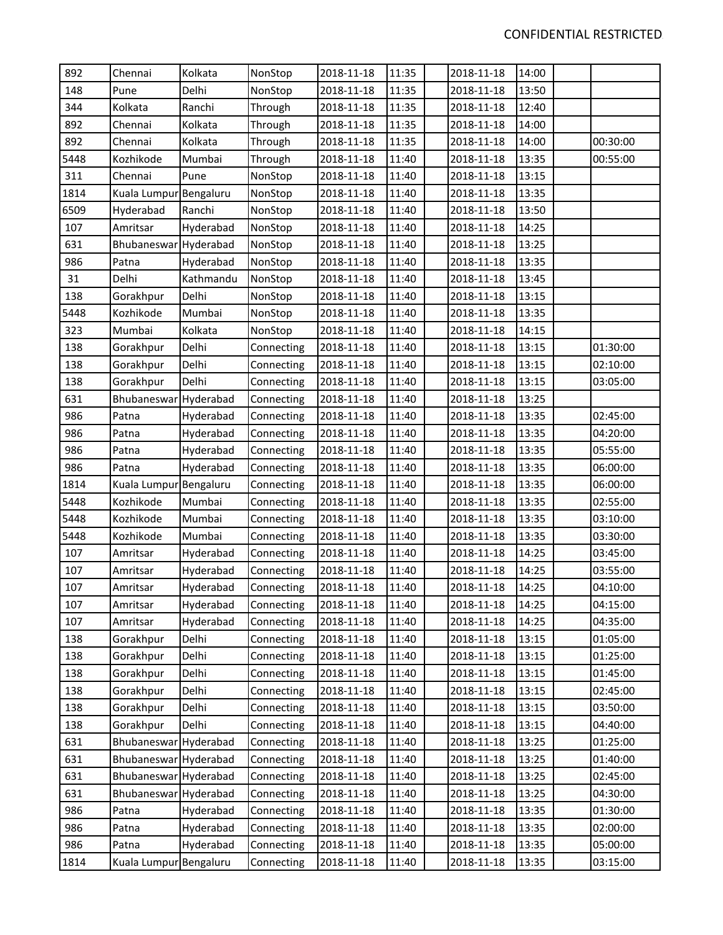| 892  | Chennai                | Kolkata   | NonStop    | 2018-11-18 | 11:35 | 2018-11-18 | 14:00 |          |
|------|------------------------|-----------|------------|------------|-------|------------|-------|----------|
| 148  | Pune                   | Delhi     | NonStop    | 2018-11-18 | 11:35 | 2018-11-18 | 13:50 |          |
| 344  | Kolkata                | Ranchi    | Through    | 2018-11-18 | 11:35 | 2018-11-18 | 12:40 |          |
| 892  | Chennai                | Kolkata   | Through    | 2018-11-18 | 11:35 | 2018-11-18 | 14:00 |          |
| 892  | Chennai                | Kolkata   | Through    | 2018-11-18 | 11:35 | 2018-11-18 | 14:00 | 00:30:00 |
| 5448 | Kozhikode              | Mumbai    | Through    | 2018-11-18 | 11:40 | 2018-11-18 | 13:35 | 00:55:00 |
| 311  | Chennai                | Pune      | NonStop    | 2018-11-18 | 11:40 | 2018-11-18 | 13:15 |          |
| 1814 | Kuala Lumpur Bengaluru |           | NonStop    | 2018-11-18 | 11:40 | 2018-11-18 | 13:35 |          |
| 6509 | Hyderabad              | Ranchi    | NonStop    | 2018-11-18 | 11:40 | 2018-11-18 | 13:50 |          |
| 107  | Amritsar               | Hyderabad | NonStop    | 2018-11-18 | 11:40 | 2018-11-18 | 14:25 |          |
| 631  | Bhubaneswar Hyderabad  |           | NonStop    | 2018-11-18 | 11:40 | 2018-11-18 | 13:25 |          |
| 986  | Patna                  | Hyderabad | NonStop    | 2018-11-18 | 11:40 | 2018-11-18 | 13:35 |          |
| 31   | Delhi                  | Kathmandu | NonStop    | 2018-11-18 | 11:40 | 2018-11-18 | 13:45 |          |
| 138  | Gorakhpur              | Delhi     | NonStop    | 2018-11-18 | 11:40 | 2018-11-18 | 13:15 |          |
| 5448 | Kozhikode              | Mumbai    | NonStop    | 2018-11-18 | 11:40 | 2018-11-18 | 13:35 |          |
| 323  | Mumbai                 | Kolkata   | NonStop    | 2018-11-18 | 11:40 | 2018-11-18 | 14:15 |          |
| 138  | Gorakhpur              | Delhi     | Connecting | 2018-11-18 | 11:40 | 2018-11-18 | 13:15 | 01:30:00 |
| 138  | Gorakhpur              | Delhi     | Connecting | 2018-11-18 | 11:40 | 2018-11-18 | 13:15 | 02:10:00 |
| 138  | Gorakhpur              | Delhi     | Connecting | 2018-11-18 | 11:40 | 2018-11-18 | 13:15 | 03:05:00 |
| 631  | Bhubaneswar            | Hyderabad | Connecting | 2018-11-18 | 11:40 | 2018-11-18 | 13:25 |          |
| 986  | Patna                  | Hyderabad | Connecting | 2018-11-18 | 11:40 | 2018-11-18 | 13:35 | 02:45:00 |
| 986  | Patna                  | Hyderabad | Connecting | 2018-11-18 | 11:40 | 2018-11-18 | 13:35 | 04:20:00 |
| 986  | Patna                  | Hyderabad | Connecting | 2018-11-18 | 11:40 | 2018-11-18 | 13:35 | 05:55:00 |
| 986  | Patna                  | Hyderabad | Connecting | 2018-11-18 | 11:40 | 2018-11-18 | 13:35 | 06:00:00 |
| 1814 | Kuala Lumpur Bengaluru |           | Connecting | 2018-11-18 | 11:40 | 2018-11-18 | 13:35 | 06:00:00 |
| 5448 | Kozhikode              | Mumbai    | Connecting | 2018-11-18 | 11:40 | 2018-11-18 | 13:35 | 02:55:00 |
| 5448 | Kozhikode              | Mumbai    | Connecting | 2018-11-18 | 11:40 | 2018-11-18 | 13:35 | 03:10:00 |
| 5448 | Kozhikode              | Mumbai    | Connecting | 2018-11-18 | 11:40 | 2018-11-18 | 13:35 | 03:30:00 |
| 107  | Amritsar               | Hyderabad | Connecting | 2018-11-18 | 11:40 | 2018-11-18 | 14:25 | 03:45:00 |
| 107  | Amritsar               | Hyderabad | Connecting | 2018-11-18 | 11:40 | 2018-11-18 | 14:25 | 03:55:00 |
| 107  | Amritsar               | Hyderabad | Connecting | 2018-11-18 | 11:40 | 2018-11-18 | 14:25 | 04:10:00 |
| 107  | Amritsar               | Hyderabad | Connecting | 2018-11-18 | 11:40 | 2018-11-18 | 14:25 | 04:15:00 |
| 107  | Amritsar               | Hyderabad | Connecting | 2018-11-18 | 11:40 | 2018-11-18 | 14:25 | 04:35:00 |
| 138  | Gorakhpur              | Delhi     | Connecting | 2018-11-18 | 11:40 | 2018-11-18 | 13:15 | 01:05:00 |
| 138  | Gorakhpur              | Delhi     | Connecting | 2018-11-18 | 11:40 | 2018-11-18 | 13:15 | 01:25:00 |
| 138  | Gorakhpur              | Delhi     | Connecting | 2018-11-18 | 11:40 | 2018-11-18 | 13:15 | 01:45:00 |
| 138  | Gorakhpur              | Delhi     | Connecting | 2018-11-18 | 11:40 | 2018-11-18 | 13:15 | 02:45:00 |
| 138  | Gorakhpur              | Delhi     | Connecting | 2018-11-18 | 11:40 | 2018-11-18 | 13:15 | 03:50:00 |
| 138  | Gorakhpur              | Delhi     | Connecting | 2018-11-18 | 11:40 | 2018-11-18 | 13:15 | 04:40:00 |
| 631  | Bhubaneswar Hyderabad  |           | Connecting | 2018-11-18 | 11:40 | 2018-11-18 | 13:25 | 01:25:00 |
| 631  | Bhubaneswar            | Hyderabad | Connecting | 2018-11-18 | 11:40 | 2018-11-18 | 13:25 | 01:40:00 |
| 631  | Bhubaneswar Hyderabad  |           | Connecting | 2018-11-18 | 11:40 | 2018-11-18 | 13:25 | 02:45:00 |
| 631  | Bhubaneswar Hyderabad  |           | Connecting | 2018-11-18 | 11:40 | 2018-11-18 | 13:25 | 04:30:00 |
| 986  | Patna                  | Hyderabad | Connecting | 2018-11-18 | 11:40 | 2018-11-18 | 13:35 | 01:30:00 |
| 986  | Patna                  | Hyderabad | Connecting | 2018-11-18 | 11:40 | 2018-11-18 | 13:35 | 02:00:00 |
| 986  | Patna                  | Hyderabad | Connecting | 2018-11-18 | 11:40 | 2018-11-18 | 13:35 | 05:00:00 |
| 1814 | Kuala Lumpur Bengaluru |           | Connecting | 2018-11-18 | 11:40 | 2018-11-18 | 13:35 | 03:15:00 |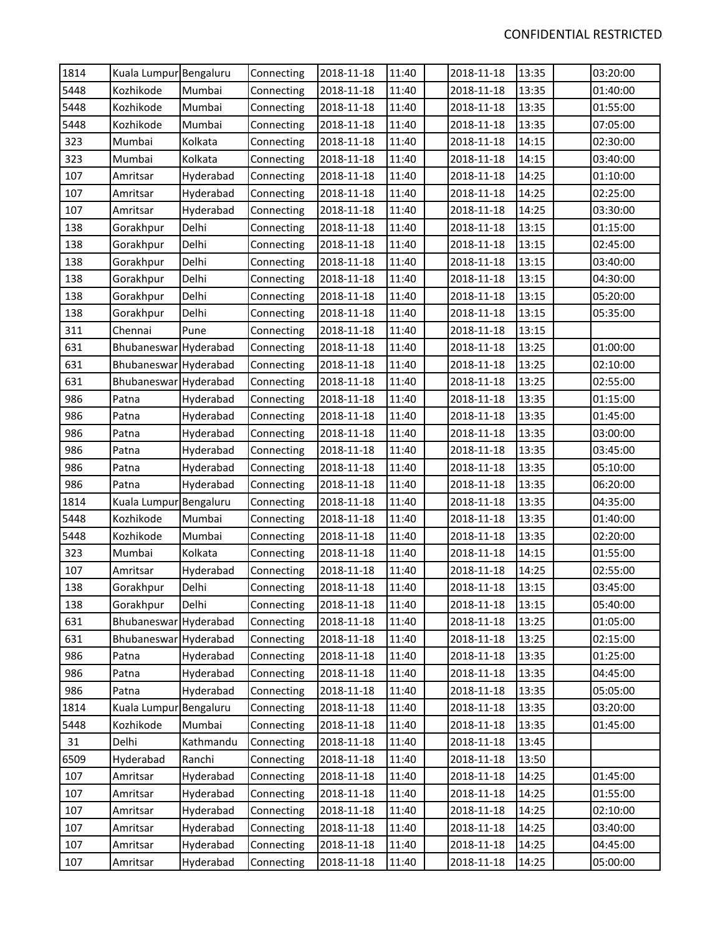| 1814 | Kuala Lumpur Bengaluru |           | Connecting | 2018-11-18 | 11:40 | 2018-11-18 | 13:35 | 03:20:00 |
|------|------------------------|-----------|------------|------------|-------|------------|-------|----------|
| 5448 | Kozhikode              | Mumbai    | Connecting | 2018-11-18 | 11:40 | 2018-11-18 | 13:35 | 01:40:00 |
| 5448 | Kozhikode              | Mumbai    | Connecting | 2018-11-18 | 11:40 | 2018-11-18 | 13:35 | 01:55:00 |
| 5448 | Kozhikode              | Mumbai    | Connecting | 2018-11-18 | 11:40 | 2018-11-18 | 13:35 | 07:05:00 |
| 323  | Mumbai                 | Kolkata   | Connecting | 2018-11-18 | 11:40 | 2018-11-18 | 14:15 | 02:30:00 |
| 323  | Mumbai                 | Kolkata   | Connecting | 2018-11-18 | 11:40 | 2018-11-18 | 14:15 | 03:40:00 |
| 107  | Amritsar               | Hyderabad | Connecting | 2018-11-18 | 11:40 | 2018-11-18 | 14:25 | 01:10:00 |
| 107  | Amritsar               | Hyderabad | Connecting | 2018-11-18 | 11:40 | 2018-11-18 | 14:25 | 02:25:00 |
| 107  | Amritsar               | Hyderabad | Connecting | 2018-11-18 | 11:40 | 2018-11-18 | 14:25 | 03:30:00 |
| 138  | Gorakhpur              | Delhi     | Connecting | 2018-11-18 | 11:40 | 2018-11-18 | 13:15 | 01:15:00 |
| 138  | Gorakhpur              | Delhi     | Connecting | 2018-11-18 | 11:40 | 2018-11-18 | 13:15 | 02:45:00 |
| 138  | Gorakhpur              | Delhi     | Connecting | 2018-11-18 | 11:40 | 2018-11-18 | 13:15 | 03:40:00 |
| 138  | Gorakhpur              | Delhi     | Connecting | 2018-11-18 | 11:40 | 2018-11-18 | 13:15 | 04:30:00 |
| 138  | Gorakhpur              | Delhi     | Connecting | 2018-11-18 | 11:40 | 2018-11-18 | 13:15 | 05:20:00 |
| 138  | Gorakhpur              | Delhi     | Connecting | 2018-11-18 | 11:40 | 2018-11-18 | 13:15 | 05:35:00 |
| 311  | Chennai                | Pune      | Connecting | 2018-11-18 | 11:40 | 2018-11-18 | 13:15 |          |
| 631  | Bhubaneswar            | Hyderabad | Connecting | 2018-11-18 | 11:40 | 2018-11-18 | 13:25 | 01:00:00 |
| 631  | Bhubaneswar Hyderabad  |           | Connecting | 2018-11-18 | 11:40 | 2018-11-18 | 13:25 | 02:10:00 |
| 631  | Bhubaneswar Hyderabad  |           | Connecting | 2018-11-18 | 11:40 | 2018-11-18 | 13:25 | 02:55:00 |
| 986  | Patna                  | Hyderabad | Connecting | 2018-11-18 | 11:40 | 2018-11-18 | 13:35 | 01:15:00 |
| 986  | Patna                  | Hyderabad | Connecting | 2018-11-18 | 11:40 | 2018-11-18 | 13:35 | 01:45:00 |
| 986  | Patna                  | Hyderabad | Connecting | 2018-11-18 | 11:40 | 2018-11-18 | 13:35 | 03:00:00 |
| 986  | Patna                  | Hyderabad | Connecting | 2018-11-18 | 11:40 | 2018-11-18 | 13:35 | 03:45:00 |
| 986  | Patna                  | Hyderabad | Connecting | 2018-11-18 | 11:40 | 2018-11-18 | 13:35 | 05:10:00 |
| 986  | Patna                  | Hyderabad | Connecting | 2018-11-18 | 11:40 | 2018-11-18 | 13:35 | 06:20:00 |
| 1814 | Kuala Lumpur Bengaluru |           | Connecting | 2018-11-18 | 11:40 | 2018-11-18 | 13:35 | 04:35:00 |
| 5448 | Kozhikode              | Mumbai    | Connecting | 2018-11-18 | 11:40 | 2018-11-18 | 13:35 | 01:40:00 |
| 5448 | Kozhikode              | Mumbai    | Connecting | 2018-11-18 | 11:40 | 2018-11-18 | 13:35 | 02:20:00 |
| 323  | Mumbai                 | Kolkata   | Connecting | 2018-11-18 | 11:40 | 2018-11-18 | 14:15 | 01:55:00 |
| 107  | Amritsar               | Hyderabad | Connecting | 2018-11-18 | 11:40 | 2018-11-18 | 14:25 | 02:55:00 |
| 138  | Gorakhpur              | Delhi     | Connecting | 2018-11-18 | 11:40 | 2018-11-18 | 13:15 | 03:45:00 |
| 138  | Gorakhpur              | Delhi     | Connecting | 2018-11-18 | 11:40 | 2018-11-18 | 13:15 | 05:40:00 |
| 631  | Bhubaneswar Hyderabad  |           | Connecting | 2018-11-18 | 11:40 | 2018-11-18 | 13:25 | 01:05:00 |
| 631  | Bhubaneswar Hyderabad  |           | Connecting | 2018-11-18 | 11:40 | 2018-11-18 | 13:25 | 02:15:00 |
| 986  | Patna                  | Hyderabad | Connecting | 2018-11-18 | 11:40 | 2018-11-18 | 13:35 | 01:25:00 |
| 986  | Patna                  | Hyderabad | Connecting | 2018-11-18 | 11:40 | 2018-11-18 | 13:35 | 04:45:00 |
| 986  | Patna                  | Hyderabad | Connecting | 2018-11-18 | 11:40 | 2018-11-18 | 13:35 | 05:05:00 |
| 1814 | Kuala Lumpur Bengaluru |           | Connecting | 2018-11-18 | 11:40 | 2018-11-18 | 13:35 | 03:20:00 |
| 5448 | Kozhikode              | Mumbai    | Connecting | 2018-11-18 | 11:40 | 2018-11-18 | 13:35 | 01:45:00 |
| 31   | Delhi                  | Kathmandu | Connecting | 2018-11-18 | 11:40 | 2018-11-18 | 13:45 |          |
| 6509 | Hyderabad              | Ranchi    | Connecting | 2018-11-18 | 11:40 | 2018-11-18 | 13:50 |          |
| 107  | Amritsar               | Hyderabad | Connecting | 2018-11-18 | 11:40 | 2018-11-18 | 14:25 | 01:45:00 |
| 107  | Amritsar               | Hyderabad | Connecting | 2018-11-18 | 11:40 | 2018-11-18 | 14:25 | 01:55:00 |
| 107  | Amritsar               | Hyderabad | Connecting | 2018-11-18 | 11:40 | 2018-11-18 | 14:25 | 02:10:00 |
| 107  | Amritsar               | Hyderabad | Connecting | 2018-11-18 | 11:40 | 2018-11-18 | 14:25 | 03:40:00 |
| 107  | Amritsar               | Hyderabad | Connecting | 2018-11-18 | 11:40 | 2018-11-18 | 14:25 | 04:45:00 |
| 107  | Amritsar               | Hyderabad | Connecting | 2018-11-18 | 11:40 | 2018-11-18 | 14:25 | 05:00:00 |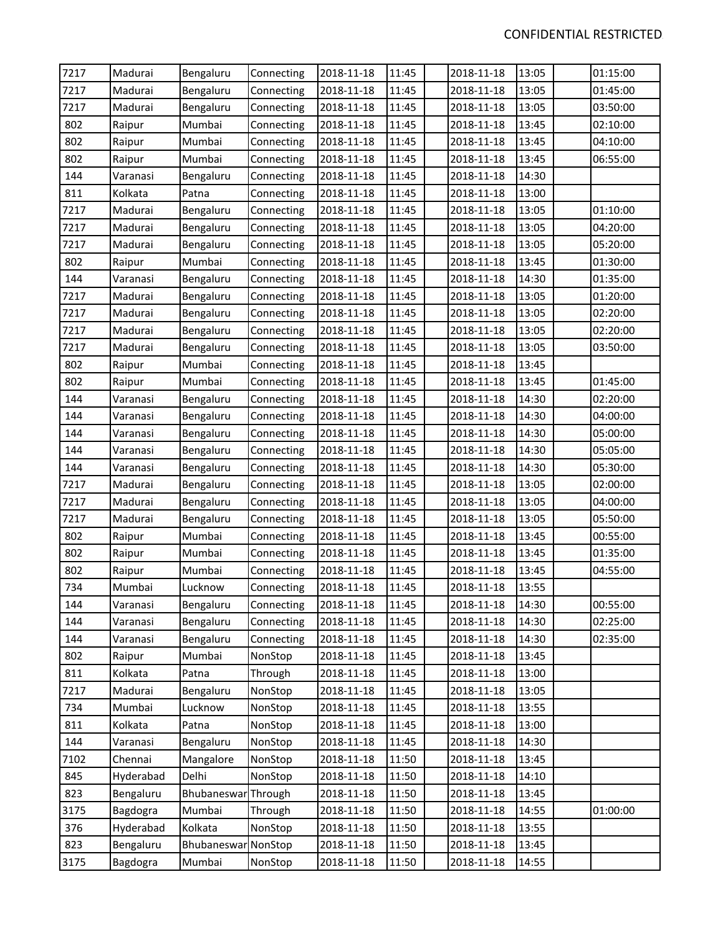| 7217 | Madurai   | Bengaluru           | Connecting | 2018-11-18 | 11:45 | 2018-11-18 | 13:05 | 01:15:00 |
|------|-----------|---------------------|------------|------------|-------|------------|-------|----------|
| 7217 | Madurai   | Bengaluru           | Connecting | 2018-11-18 | 11:45 | 2018-11-18 | 13:05 | 01:45:00 |
| 7217 | Madurai   | Bengaluru           | Connecting | 2018-11-18 | 11:45 | 2018-11-18 | 13:05 | 03:50:00 |
| 802  | Raipur    | Mumbai              | Connecting | 2018-11-18 | 11:45 | 2018-11-18 | 13:45 | 02:10:00 |
| 802  | Raipur    | Mumbai              | Connecting | 2018-11-18 | 11:45 | 2018-11-18 | 13:45 | 04:10:00 |
| 802  | Raipur    | Mumbai              | Connecting | 2018-11-18 | 11:45 | 2018-11-18 | 13:45 | 06:55:00 |
| 144  | Varanasi  | Bengaluru           | Connecting | 2018-11-18 | 11:45 | 2018-11-18 | 14:30 |          |
| 811  | Kolkata   | Patna               | Connecting | 2018-11-18 | 11:45 | 2018-11-18 | 13:00 |          |
| 7217 | Madurai   | Bengaluru           | Connecting | 2018-11-18 | 11:45 | 2018-11-18 | 13:05 | 01:10:00 |
| 7217 | Madurai   | Bengaluru           | Connecting | 2018-11-18 | 11:45 | 2018-11-18 | 13:05 | 04:20:00 |
| 7217 | Madurai   | Bengaluru           | Connecting | 2018-11-18 | 11:45 | 2018-11-18 | 13:05 | 05:20:00 |
| 802  | Raipur    | Mumbai              | Connecting | 2018-11-18 | 11:45 | 2018-11-18 | 13:45 | 01:30:00 |
| 144  | Varanasi  | Bengaluru           | Connecting | 2018-11-18 | 11:45 | 2018-11-18 | 14:30 | 01:35:00 |
| 7217 | Madurai   | Bengaluru           | Connecting | 2018-11-18 | 11:45 | 2018-11-18 | 13:05 | 01:20:00 |
| 7217 | Madurai   | Bengaluru           | Connecting | 2018-11-18 | 11:45 | 2018-11-18 | 13:05 | 02:20:00 |
| 7217 | Madurai   | Bengaluru           | Connecting | 2018-11-18 | 11:45 | 2018-11-18 | 13:05 | 02:20:00 |
| 7217 | Madurai   | Bengaluru           | Connecting | 2018-11-18 | 11:45 | 2018-11-18 | 13:05 | 03:50:00 |
| 802  | Raipur    | Mumbai              | Connecting | 2018-11-18 | 11:45 | 2018-11-18 | 13:45 |          |
| 802  | Raipur    | Mumbai              | Connecting | 2018-11-18 | 11:45 | 2018-11-18 | 13:45 | 01:45:00 |
| 144  | Varanasi  | Bengaluru           | Connecting | 2018-11-18 | 11:45 | 2018-11-18 | 14:30 | 02:20:00 |
| 144  | Varanasi  | Bengaluru           | Connecting | 2018-11-18 | 11:45 | 2018-11-18 | 14:30 | 04:00:00 |
| 144  | Varanasi  | Bengaluru           | Connecting | 2018-11-18 | 11:45 | 2018-11-18 | 14:30 | 05:00:00 |
| 144  | Varanasi  | Bengaluru           | Connecting | 2018-11-18 | 11:45 | 2018-11-18 | 14:30 | 05:05:00 |
| 144  | Varanasi  | Bengaluru           | Connecting | 2018-11-18 | 11:45 | 2018-11-18 | 14:30 | 05:30:00 |
| 7217 | Madurai   | Bengaluru           | Connecting | 2018-11-18 | 11:45 | 2018-11-18 | 13:05 | 02:00:00 |
| 7217 | Madurai   | Bengaluru           | Connecting | 2018-11-18 | 11:45 | 2018-11-18 | 13:05 | 04:00:00 |
| 7217 | Madurai   | Bengaluru           | Connecting | 2018-11-18 | 11:45 | 2018-11-18 | 13:05 | 05:50:00 |
| 802  | Raipur    | Mumbai              | Connecting | 2018-11-18 | 11:45 | 2018-11-18 | 13:45 | 00:55:00 |
| 802  | Raipur    | Mumbai              | Connecting | 2018-11-18 | 11:45 | 2018-11-18 | 13:45 | 01:35:00 |
| 802  | Raipur    | Mumbai              | Connecting | 2018-11-18 | 11:45 | 2018-11-18 | 13:45 | 04:55:00 |
| 734  | Mumbai    | Lucknow             | Connecting | 2018-11-18 | 11:45 | 2018-11-18 | 13:55 |          |
| 144  | Varanasi  | Bengaluru           | Connecting | 2018-11-18 | 11:45 | 2018-11-18 | 14:30 | 00:55:00 |
| 144  | Varanasi  | Bengaluru           | Connecting | 2018-11-18 | 11:45 | 2018-11-18 | 14:30 | 02:25:00 |
| 144  | Varanasi  | Bengaluru           | Connecting | 2018-11-18 | 11:45 | 2018-11-18 | 14:30 | 02:35:00 |
| 802  | Raipur    | Mumbai              | NonStop    | 2018-11-18 | 11:45 | 2018-11-18 | 13:45 |          |
| 811  | Kolkata   | Patna               | Through    | 2018-11-18 | 11:45 | 2018-11-18 | 13:00 |          |
| 7217 | Madurai   | Bengaluru           | NonStop    | 2018-11-18 | 11:45 | 2018-11-18 | 13:05 |          |
| 734  | Mumbai    | Lucknow             | NonStop    | 2018-11-18 | 11:45 | 2018-11-18 | 13:55 |          |
| 811  | Kolkata   | Patna               | NonStop    | 2018-11-18 | 11:45 | 2018-11-18 | 13:00 |          |
| 144  | Varanasi  | Bengaluru           | NonStop    | 2018-11-18 | 11:45 | 2018-11-18 | 14:30 |          |
| 7102 | Chennai   | Mangalore           | NonStop    | 2018-11-18 | 11:50 | 2018-11-18 | 13:45 |          |
| 845  | Hyderabad | Delhi               | NonStop    | 2018-11-18 | 11:50 | 2018-11-18 | 14:10 |          |
| 823  | Bengaluru | Bhubaneswar Through |            | 2018-11-18 | 11:50 | 2018-11-18 | 13:45 |          |
| 3175 | Bagdogra  | Mumbai              | Through    | 2018-11-18 | 11:50 | 2018-11-18 | 14:55 | 01:00:00 |
| 376  | Hyderabad | Kolkata             | NonStop    | 2018-11-18 | 11:50 | 2018-11-18 | 13:55 |          |
| 823  | Bengaluru | Bhubaneswar NonStop |            | 2018-11-18 | 11:50 | 2018-11-18 | 13:45 |          |
| 3175 | Bagdogra  | Mumbai              | NonStop    | 2018-11-18 | 11:50 | 2018-11-18 | 14:55 |          |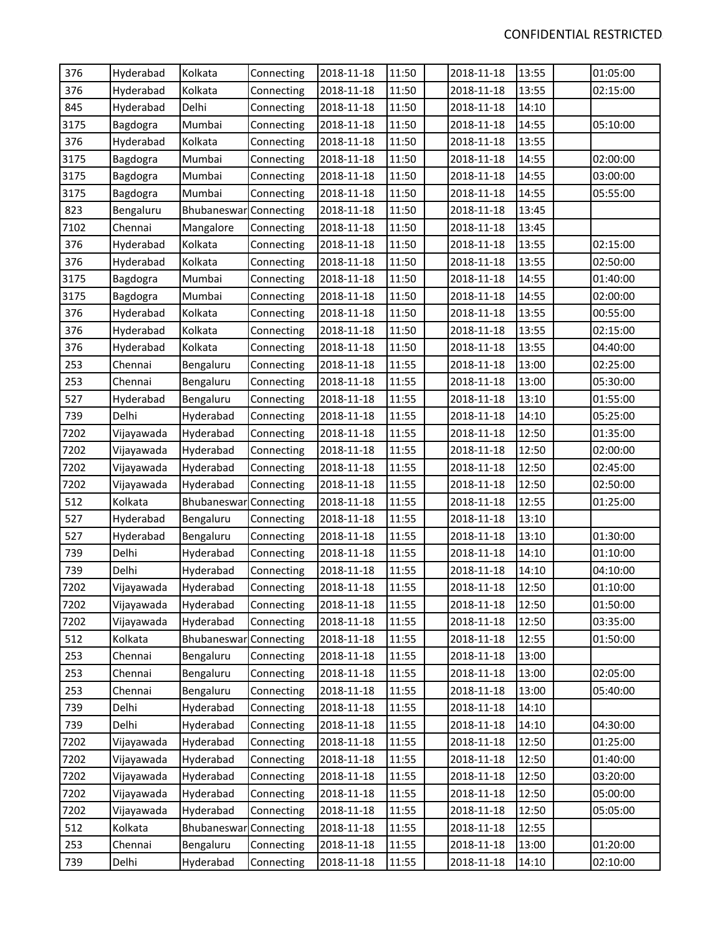| 376  | Hyderabad  | Kolkata                | Connecting | 2018-11-18 | 11:50 | 2018-11-18 | 13:55 | 01:05:00 |
|------|------------|------------------------|------------|------------|-------|------------|-------|----------|
| 376  | Hyderabad  | Kolkata                | Connecting | 2018-11-18 | 11:50 | 2018-11-18 | 13:55 | 02:15:00 |
| 845  | Hyderabad  | Delhi                  | Connecting | 2018-11-18 | 11:50 | 2018-11-18 | 14:10 |          |
| 3175 | Bagdogra   | Mumbai                 | Connecting | 2018-11-18 | 11:50 | 2018-11-18 | 14:55 | 05:10:00 |
| 376  | Hyderabad  | Kolkata                | Connecting | 2018-11-18 | 11:50 | 2018-11-18 | 13:55 |          |
| 3175 | Bagdogra   | Mumbai                 | Connecting | 2018-11-18 | 11:50 | 2018-11-18 | 14:55 | 02:00:00 |
| 3175 | Bagdogra   | Mumbai                 | Connecting | 2018-11-18 | 11:50 | 2018-11-18 | 14:55 | 03:00:00 |
| 3175 | Bagdogra   | Mumbai                 | Connecting | 2018-11-18 | 11:50 | 2018-11-18 | 14:55 | 05:55:00 |
| 823  | Bengaluru  | Bhubaneswar Connecting |            | 2018-11-18 | 11:50 | 2018-11-18 | 13:45 |          |
| 7102 | Chennai    | Mangalore              | Connecting | 2018-11-18 | 11:50 | 2018-11-18 | 13:45 |          |
| 376  | Hyderabad  | Kolkata                | Connecting | 2018-11-18 | 11:50 | 2018-11-18 | 13:55 | 02:15:00 |
| 376  | Hyderabad  | Kolkata                | Connecting | 2018-11-18 | 11:50 | 2018-11-18 | 13:55 | 02:50:00 |
| 3175 | Bagdogra   | Mumbai                 | Connecting | 2018-11-18 | 11:50 | 2018-11-18 | 14:55 | 01:40:00 |
| 3175 | Bagdogra   | Mumbai                 | Connecting | 2018-11-18 | 11:50 | 2018-11-18 | 14:55 | 02:00:00 |
| 376  | Hyderabad  | Kolkata                | Connecting | 2018-11-18 | 11:50 | 2018-11-18 | 13:55 | 00:55:00 |
| 376  | Hyderabad  | Kolkata                | Connecting | 2018-11-18 | 11:50 | 2018-11-18 | 13:55 | 02:15:00 |
| 376  | Hyderabad  | Kolkata                | Connecting | 2018-11-18 | 11:50 | 2018-11-18 | 13:55 | 04:40:00 |
| 253  | Chennai    | Bengaluru              | Connecting | 2018-11-18 | 11:55 | 2018-11-18 | 13:00 | 02:25:00 |
| 253  | Chennai    | Bengaluru              | Connecting | 2018-11-18 | 11:55 | 2018-11-18 | 13:00 | 05:30:00 |
| 527  | Hyderabad  | Bengaluru              | Connecting | 2018-11-18 | 11:55 | 2018-11-18 | 13:10 | 01:55:00 |
| 739  | Delhi      | Hyderabad              | Connecting | 2018-11-18 | 11:55 | 2018-11-18 | 14:10 | 05:25:00 |
| 7202 | Vijayawada | Hyderabad              | Connecting | 2018-11-18 | 11:55 | 2018-11-18 | 12:50 | 01:35:00 |
| 7202 | Vijayawada | Hyderabad              | Connecting | 2018-11-18 | 11:55 | 2018-11-18 | 12:50 | 02:00:00 |
| 7202 | Vijayawada | Hyderabad              | Connecting | 2018-11-18 | 11:55 | 2018-11-18 | 12:50 | 02:45:00 |
| 7202 | Vijayawada | Hyderabad              | Connecting | 2018-11-18 | 11:55 | 2018-11-18 | 12:50 | 02:50:00 |
| 512  | Kolkata    | Bhubaneswar            | Connecting | 2018-11-18 | 11:55 | 2018-11-18 | 12:55 | 01:25:00 |
| 527  | Hyderabad  | Bengaluru              | Connecting | 2018-11-18 | 11:55 | 2018-11-18 | 13:10 |          |
| 527  | Hyderabad  | Bengaluru              | Connecting | 2018-11-18 | 11:55 | 2018-11-18 | 13:10 | 01:30:00 |
| 739  | Delhi      | Hyderabad              | Connecting | 2018-11-18 | 11:55 | 2018-11-18 | 14:10 | 01:10:00 |
| 739  | Delhi      | Hyderabad              | Connecting | 2018-11-18 | 11:55 | 2018-11-18 | 14:10 | 04:10:00 |
| 7202 | Vijayawada | Hyderabad              | Connecting | 2018-11-18 | 11:55 | 2018-11-18 | 12:50 | 01:10:00 |
| 7202 | Vijayawada | Hyderabad              | Connecting | 2018-11-18 | 11:55 | 2018-11-18 | 12:50 | 01:50:00 |
| 7202 | Vijayawada | Hyderabad              | Connecting | 2018-11-18 | 11:55 | 2018-11-18 | 12:50 | 03:35:00 |
| 512  | Kolkata    | Bhubaneswar            | Connecting | 2018-11-18 | 11:55 | 2018-11-18 | 12:55 | 01:50:00 |
| 253  | Chennai    | Bengaluru              | Connecting | 2018-11-18 | 11:55 | 2018-11-18 | 13:00 |          |
| 253  | Chennai    | Bengaluru              | Connecting | 2018-11-18 | 11:55 | 2018-11-18 | 13:00 | 02:05:00 |
| 253  | Chennai    | Bengaluru              | Connecting | 2018-11-18 | 11:55 | 2018-11-18 | 13:00 | 05:40:00 |
| 739  | Delhi      | Hyderabad              | Connecting | 2018-11-18 | 11:55 | 2018-11-18 | 14:10 |          |
| 739  | Delhi      | Hyderabad              | Connecting | 2018-11-18 | 11:55 | 2018-11-18 | 14:10 | 04:30:00 |
| 7202 | Vijayawada | Hyderabad              | Connecting | 2018-11-18 | 11:55 | 2018-11-18 | 12:50 | 01:25:00 |
| 7202 | Vijayawada | Hyderabad              | Connecting | 2018-11-18 | 11:55 | 2018-11-18 | 12:50 | 01:40:00 |
| 7202 | Vijayawada | Hyderabad              | Connecting | 2018-11-18 | 11:55 | 2018-11-18 | 12:50 | 03:20:00 |
| 7202 | Vijayawada | Hyderabad              | Connecting | 2018-11-18 | 11:55 | 2018-11-18 | 12:50 | 05:00:00 |
| 7202 | Vijayawada | Hyderabad              | Connecting | 2018-11-18 | 11:55 | 2018-11-18 | 12:50 | 05:05:00 |
| 512  | Kolkata    | Bhubaneswar            | Connecting | 2018-11-18 | 11:55 | 2018-11-18 | 12:55 |          |
| 253  | Chennai    | Bengaluru              | Connecting | 2018-11-18 | 11:55 | 2018-11-18 | 13:00 | 01:20:00 |
| 739  | Delhi      | Hyderabad              | Connecting | 2018-11-18 | 11:55 | 2018-11-18 | 14:10 | 02:10:00 |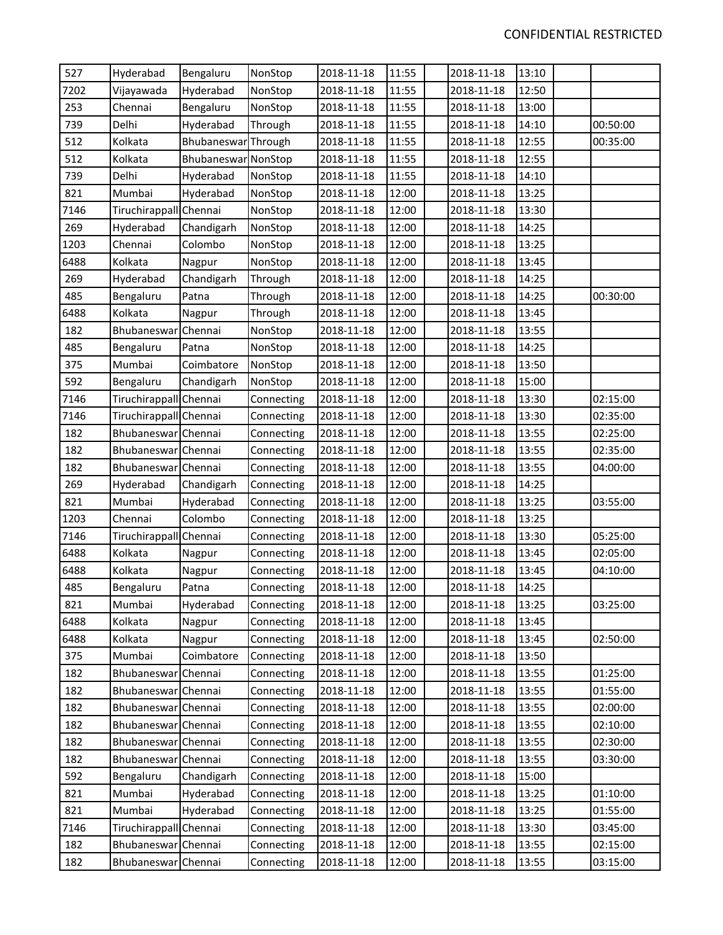| 527  | Hyderabad              | Bengaluru           | NonStop    | 2018-11-18 | 11:55 | 2018-11-18 | 13:10 |          |
|------|------------------------|---------------------|------------|------------|-------|------------|-------|----------|
| 7202 | Vijayawada             | Hyderabad           | NonStop    | 2018-11-18 | 11:55 | 2018-11-18 | 12:50 |          |
| 253  | Chennai                | Bengaluru           | NonStop    | 2018-11-18 | 11:55 | 2018-11-18 | 13:00 |          |
| 739  | Delhi                  | Hyderabad           | Through    | 2018-11-18 | 11:55 | 2018-11-18 | 14:10 | 00:50:00 |
| 512  | Kolkata                | Bhubaneswar Through |            | 2018-11-18 | 11:55 | 2018-11-18 | 12:55 | 00:35:00 |
| 512  | Kolkata                | Bhubaneswar NonStop |            | 2018-11-18 | 11:55 | 2018-11-18 | 12:55 |          |
| 739  | Delhi                  | Hyderabad           | NonStop    | 2018-11-18 | 11:55 | 2018-11-18 | 14:10 |          |
| 821  | Mumbai                 | Hyderabad           | NonStop    | 2018-11-18 | 12:00 | 2018-11-18 | 13:25 |          |
| 7146 | Tiruchirappall Chennai |                     | NonStop    | 2018-11-18 | 12:00 | 2018-11-18 | 13:30 |          |
| 269  | Hyderabad              | Chandigarh          | NonStop    | 2018-11-18 | 12:00 | 2018-11-18 | 14:25 |          |
| 1203 | Chennai                | Colombo             | NonStop    | 2018-11-18 | 12:00 | 2018-11-18 | 13:25 |          |
| 6488 | Kolkata                | Nagpur              | NonStop    | 2018-11-18 | 12:00 | 2018-11-18 | 13:45 |          |
| 269  | Hyderabad              | Chandigarh          | Through    | 2018-11-18 | 12:00 | 2018-11-18 | 14:25 |          |
| 485  | Bengaluru              | Patna               | Through    | 2018-11-18 | 12:00 | 2018-11-18 | 14:25 | 00:30:00 |
| 6488 | Kolkata                | Nagpur              | Through    | 2018-11-18 | 12:00 | 2018-11-18 | 13:45 |          |
| 182  | Bhubaneswar Chennai    |                     | NonStop    | 2018-11-18 | 12:00 | 2018-11-18 | 13:55 |          |
| 485  | Bengaluru              | Patna               | NonStop    | 2018-11-18 | 12:00 | 2018-11-18 | 14:25 |          |
| 375  | Mumbai                 | Coimbatore          | NonStop    | 2018-11-18 | 12:00 | 2018-11-18 | 13:50 |          |
| 592  | Bengaluru              | Chandigarh          | NonStop    | 2018-11-18 | 12:00 | 2018-11-18 | 15:00 |          |
| 7146 | Tiruchirappall Chennai |                     | Connecting | 2018-11-18 | 12:00 | 2018-11-18 | 13:30 | 02:15:00 |
| 7146 | Tiruchirappall Chennai |                     | Connecting | 2018-11-18 | 12:00 | 2018-11-18 | 13:30 | 02:35:00 |
| 182  | Bhubaneswar Chennai    |                     | Connecting | 2018-11-18 | 12:00 | 2018-11-18 | 13:55 | 02:25:00 |
| 182  | Bhubaneswar Chennai    |                     | Connecting | 2018-11-18 | 12:00 | 2018-11-18 | 13:55 | 02:35:00 |
| 182  | Bhubaneswar Chennai    |                     | Connecting | 2018-11-18 | 12:00 | 2018-11-18 | 13:55 | 04:00:00 |
| 269  | Hyderabad              | Chandigarh          | Connecting | 2018-11-18 | 12:00 | 2018-11-18 | 14:25 |          |
| 821  | Mumbai                 | Hyderabad           | Connecting | 2018-11-18 | 12:00 | 2018-11-18 | 13:25 | 03:55:00 |
| 1203 | Chennai                | Colombo             | Connecting | 2018-11-18 | 12:00 | 2018-11-18 | 13:25 |          |
| 7146 | Tiruchirappall Chennai |                     | Connecting | 2018-11-18 | 12:00 | 2018-11-18 | 13:30 | 05:25:00 |
| 6488 | Kolkata                | Nagpur              | Connecting | 2018-11-18 | 12:00 | 2018-11-18 | 13:45 | 02:05:00 |
| 6488 | Kolkata                | Nagpur              | Connecting | 2018-11-18 | 12:00 | 2018-11-18 | 13:45 | 04:10:00 |
| 485  | Bengaluru              | Patna               | Connecting | 2018-11-18 | 12:00 | 2018-11-18 | 14:25 |          |
| 821  | Mumbai                 | Hyderabad           | Connecting | 2018-11-18 | 12:00 | 2018-11-18 | 13:25 | 03:25:00 |
| 6488 | Kolkata                | Nagpur              | Connecting | 2018-11-18 | 12:00 | 2018-11-18 | 13:45 |          |
| 6488 | Kolkata                | Nagpur              | Connecting | 2018-11-18 | 12:00 | 2018-11-18 | 13:45 | 02:50:00 |
| 375  | Mumbai                 | Coimbatore          | Connecting | 2018-11-18 | 12:00 | 2018-11-18 | 13:50 |          |
| 182  | Bhubaneswar Chennai    |                     | Connecting | 2018-11-18 | 12:00 | 2018-11-18 | 13:55 | 01:25:00 |
| 182  | Bhubaneswar Chennai    |                     | Connecting | 2018-11-18 | 12:00 | 2018-11-18 | 13:55 | 01:55:00 |
| 182  | Bhubaneswar Chennai    |                     | Connecting | 2018-11-18 | 12:00 | 2018-11-18 | 13:55 | 02:00:00 |
| 182  | Bhubaneswar Chennai    |                     | Connecting | 2018-11-18 | 12:00 | 2018-11-18 | 13:55 | 02:10:00 |
| 182  | Bhubaneswar Chennai    |                     | Connecting | 2018-11-18 | 12:00 | 2018-11-18 | 13:55 | 02:30:00 |
| 182  | Bhubaneswar Chennai    |                     | Connecting | 2018-11-18 | 12:00 | 2018-11-18 | 13:55 | 03:30:00 |
| 592  | Bengaluru              | Chandigarh          | Connecting | 2018-11-18 | 12:00 | 2018-11-18 | 15:00 |          |
| 821  | Mumbai                 | Hyderabad           | Connecting | 2018-11-18 | 12:00 | 2018-11-18 | 13:25 | 01:10:00 |
| 821  | Mumbai                 | Hyderabad           | Connecting | 2018-11-18 | 12:00 | 2018-11-18 | 13:25 | 01:55:00 |
| 7146 | Tiruchirappall Chennai |                     | Connecting | 2018-11-18 | 12:00 | 2018-11-18 | 13:30 | 03:45:00 |
| 182  | Bhubaneswar Chennai    |                     | Connecting | 2018-11-18 | 12:00 | 2018-11-18 | 13:55 | 02:15:00 |
| 182  | Bhubaneswar Chennai    |                     | Connecting | 2018-11-18 | 12:00 | 2018-11-18 | 13:55 | 03:15:00 |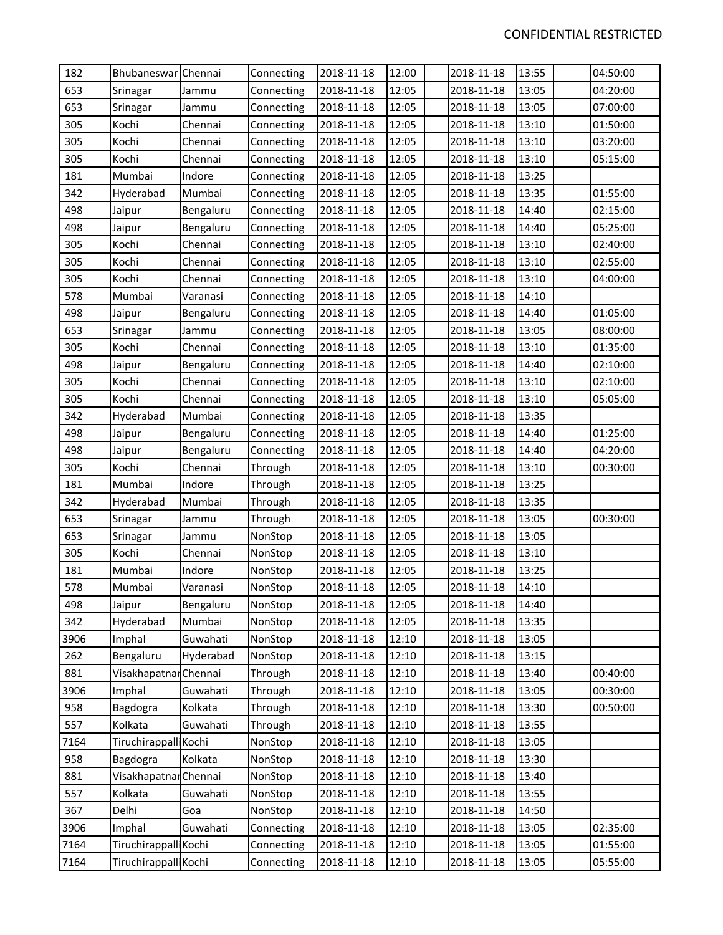| 182  | Bhubaneswar Chennai   |           | Connecting | 2018-11-18 | 12:00 | 2018-11-18 | 13:55 | 04:50:00 |
|------|-----------------------|-----------|------------|------------|-------|------------|-------|----------|
| 653  | Srinagar              | Jammu     | Connecting | 2018-11-18 | 12:05 | 2018-11-18 | 13:05 | 04:20:00 |
| 653  | Srinagar              | Jammu     | Connecting | 2018-11-18 | 12:05 | 2018-11-18 | 13:05 | 07:00:00 |
| 305  | Kochi                 | Chennai   | Connecting | 2018-11-18 | 12:05 | 2018-11-18 | 13:10 | 01:50:00 |
| 305  | Kochi                 | Chennai   | Connecting | 2018-11-18 | 12:05 | 2018-11-18 | 13:10 | 03:20:00 |
| 305  | Kochi                 | Chennai   | Connecting | 2018-11-18 | 12:05 | 2018-11-18 | 13:10 | 05:15:00 |
| 181  | Mumbai                | Indore    | Connecting | 2018-11-18 | 12:05 | 2018-11-18 | 13:25 |          |
| 342  | Hyderabad             | Mumbai    | Connecting | 2018-11-18 | 12:05 | 2018-11-18 | 13:35 | 01:55:00 |
| 498  | Jaipur                | Bengaluru | Connecting | 2018-11-18 | 12:05 | 2018-11-18 | 14:40 | 02:15:00 |
| 498  | Jaipur                | Bengaluru | Connecting | 2018-11-18 | 12:05 | 2018-11-18 | 14:40 | 05:25:00 |
| 305  | Kochi                 | Chennai   | Connecting | 2018-11-18 | 12:05 | 2018-11-18 | 13:10 | 02:40:00 |
| 305  | Kochi                 | Chennai   | Connecting | 2018-11-18 | 12:05 | 2018-11-18 | 13:10 | 02:55:00 |
| 305  | Kochi                 | Chennai   | Connecting | 2018-11-18 | 12:05 | 2018-11-18 | 13:10 | 04:00:00 |
| 578  | Mumbai                | Varanasi  | Connecting | 2018-11-18 | 12:05 | 2018-11-18 | 14:10 |          |
| 498  | Jaipur                | Bengaluru | Connecting | 2018-11-18 | 12:05 | 2018-11-18 | 14:40 | 01:05:00 |
| 653  | Srinagar              | Jammu     | Connecting | 2018-11-18 | 12:05 | 2018-11-18 | 13:05 | 08:00:00 |
| 305  | Kochi                 | Chennai   | Connecting | 2018-11-18 | 12:05 | 2018-11-18 | 13:10 | 01:35:00 |
| 498  | Jaipur                | Bengaluru | Connecting | 2018-11-18 | 12:05 | 2018-11-18 | 14:40 | 02:10:00 |
| 305  | Kochi                 | Chennai   | Connecting | 2018-11-18 | 12:05 | 2018-11-18 | 13:10 | 02:10:00 |
| 305  | Kochi                 | Chennai   | Connecting | 2018-11-18 | 12:05 | 2018-11-18 | 13:10 | 05:05:00 |
| 342  | Hyderabad             | Mumbai    | Connecting | 2018-11-18 | 12:05 | 2018-11-18 | 13:35 |          |
| 498  | Jaipur                | Bengaluru | Connecting | 2018-11-18 | 12:05 | 2018-11-18 | 14:40 | 01:25:00 |
| 498  | Jaipur                | Bengaluru | Connecting | 2018-11-18 | 12:05 | 2018-11-18 | 14:40 | 04:20:00 |
| 305  | Kochi                 | Chennai   | Through    | 2018-11-18 | 12:05 | 2018-11-18 | 13:10 | 00:30:00 |
| 181  | Mumbai                | Indore    | Through    | 2018-11-18 | 12:05 | 2018-11-18 | 13:25 |          |
| 342  | Hyderabad             | Mumbai    | Through    | 2018-11-18 | 12:05 | 2018-11-18 | 13:35 |          |
| 653  | Srinagar              | Jammu     | Through    | 2018-11-18 | 12:05 | 2018-11-18 | 13:05 | 00:30:00 |
| 653  | Srinagar              | Jammu     | NonStop    | 2018-11-18 | 12:05 | 2018-11-18 | 13:05 |          |
| 305  | Kochi                 | Chennai   | NonStop    | 2018-11-18 | 12:05 | 2018-11-18 | 13:10 |          |
| 181  | Mumbai                | Indore    | NonStop    | 2018-11-18 | 12:05 | 2018-11-18 | 13:25 |          |
| 578  | Mumbai                | Varanasi  | NonStop    | 2018-11-18 | 12:05 | 2018-11-18 | 14:10 |          |
| 498  | Jaipur                | Bengaluru | NonStop    | 2018-11-18 | 12:05 | 2018-11-18 | 14:40 |          |
| 342  | Hyderabad             | Mumbai    | NonStop    | 2018-11-18 | 12:05 | 2018-11-18 | 13:35 |          |
| 3906 | Imphal                | Guwahati  | NonStop    | 2018-11-18 | 12:10 | 2018-11-18 | 13:05 |          |
| 262  | Bengaluru             | Hyderabad | NonStop    | 2018-11-18 | 12:10 | 2018-11-18 | 13:15 |          |
| 881  | Visakhapatnar Chennai |           | Through    | 2018-11-18 | 12:10 | 2018-11-18 | 13:40 | 00:40:00 |
| 3906 | Imphal                | Guwahati  | Through    | 2018-11-18 | 12:10 | 2018-11-18 | 13:05 | 00:30:00 |
| 958  | Bagdogra              | Kolkata   | Through    | 2018-11-18 | 12:10 | 2018-11-18 | 13:30 | 00:50:00 |
| 557  | Kolkata               | Guwahati  | Through    | 2018-11-18 | 12:10 | 2018-11-18 | 13:55 |          |
| 7164 | Tiruchirappall Kochi  |           | NonStop    | 2018-11-18 | 12:10 | 2018-11-18 | 13:05 |          |
| 958  | Bagdogra              | Kolkata   | NonStop    | 2018-11-18 | 12:10 | 2018-11-18 | 13:30 |          |
| 881  | Visakhapatnar Chennai |           | NonStop    | 2018-11-18 | 12:10 | 2018-11-18 | 13:40 |          |
| 557  | Kolkata               | Guwahati  | NonStop    | 2018-11-18 | 12:10 | 2018-11-18 | 13:55 |          |
| 367  | Delhi                 | Goa       | NonStop    | 2018-11-18 | 12:10 | 2018-11-18 | 14:50 |          |
| 3906 | Imphal                | Guwahati  | Connecting | 2018-11-18 | 12:10 | 2018-11-18 | 13:05 | 02:35:00 |
| 7164 | Tiruchirappall Kochi  |           | Connecting | 2018-11-18 | 12:10 | 2018-11-18 | 13:05 | 01:55:00 |
| 7164 | Tiruchirappall Kochi  |           | Connecting | 2018-11-18 | 12:10 | 2018-11-18 | 13:05 | 05:55:00 |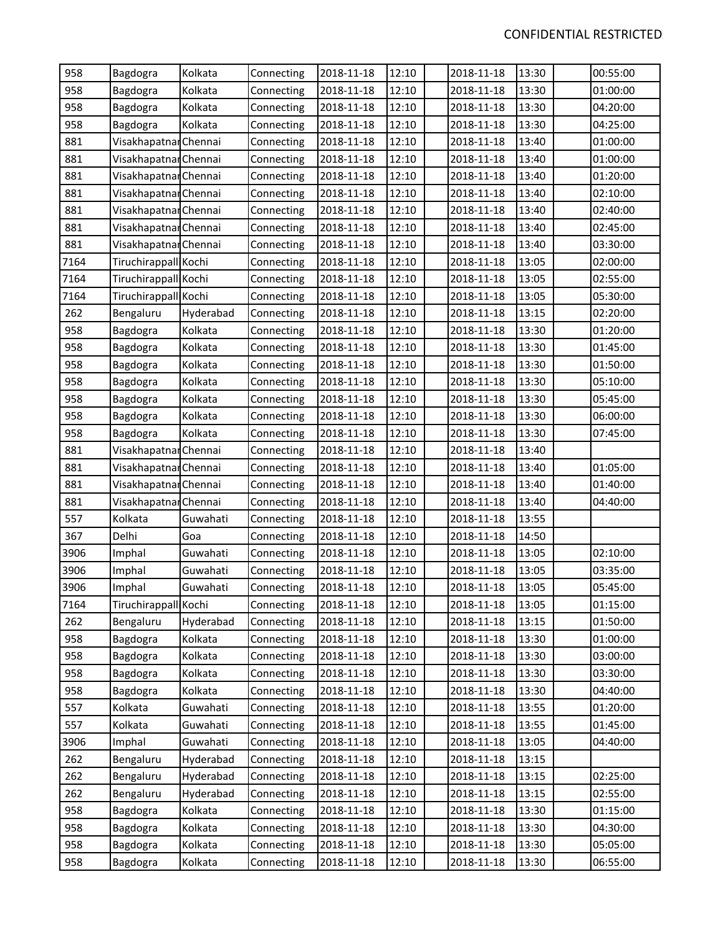| 958  | Bagdogra              | Kolkata   | Connecting | 2018-11-18 | 12:10 | 2018-11-18 | 13:30 | 00:55:00 |
|------|-----------------------|-----------|------------|------------|-------|------------|-------|----------|
| 958  | Bagdogra              | Kolkata   | Connecting | 2018-11-18 | 12:10 | 2018-11-18 | 13:30 | 01:00:00 |
| 958  | Bagdogra              | Kolkata   | Connecting | 2018-11-18 | 12:10 | 2018-11-18 | 13:30 | 04:20:00 |
| 958  | Bagdogra              | Kolkata   | Connecting | 2018-11-18 | 12:10 | 2018-11-18 | 13:30 | 04:25:00 |
| 881  | Visakhapatnar Chennai |           | Connecting | 2018-11-18 | 12:10 | 2018-11-18 | 13:40 | 01:00:00 |
| 881  | Visakhapatnar Chennai |           | Connecting | 2018-11-18 | 12:10 | 2018-11-18 | 13:40 | 01:00:00 |
| 881  | Visakhapatnar Chennai |           | Connecting | 2018-11-18 | 12:10 | 2018-11-18 | 13:40 | 01:20:00 |
| 881  | Visakhapatnar Chennai |           | Connecting | 2018-11-18 | 12:10 | 2018-11-18 | 13:40 | 02:10:00 |
| 881  | Visakhapatnar Chennai |           | Connecting | 2018-11-18 | 12:10 | 2018-11-18 | 13:40 | 02:40:00 |
| 881  | Visakhapatnar Chennai |           | Connecting | 2018-11-18 | 12:10 | 2018-11-18 | 13:40 | 02:45:00 |
| 881  | Visakhapatnar Chennai |           | Connecting | 2018-11-18 | 12:10 | 2018-11-18 | 13:40 | 03:30:00 |
| 7164 | Tiruchirappall Kochi  |           | Connecting | 2018-11-18 | 12:10 | 2018-11-18 | 13:05 | 02:00:00 |
| 7164 | Tiruchirappall Kochi  |           | Connecting | 2018-11-18 | 12:10 | 2018-11-18 | 13:05 | 02:55:00 |
| 7164 | Tiruchirappall Kochi  |           | Connecting | 2018-11-18 | 12:10 | 2018-11-18 | 13:05 | 05:30:00 |
| 262  | Bengaluru             | Hyderabad | Connecting | 2018-11-18 | 12:10 | 2018-11-18 | 13:15 | 02:20:00 |
| 958  | Bagdogra              | Kolkata   | Connecting | 2018-11-18 | 12:10 | 2018-11-18 | 13:30 | 01:20:00 |
| 958  | Bagdogra              | Kolkata   | Connecting | 2018-11-18 | 12:10 | 2018-11-18 | 13:30 | 01:45:00 |
| 958  | Bagdogra              | Kolkata   | Connecting | 2018-11-18 | 12:10 | 2018-11-18 | 13:30 | 01:50:00 |
| 958  | Bagdogra              | Kolkata   | Connecting | 2018-11-18 | 12:10 | 2018-11-18 | 13:30 | 05:10:00 |
| 958  | Bagdogra              | Kolkata   | Connecting | 2018-11-18 | 12:10 | 2018-11-18 | 13:30 | 05:45:00 |
| 958  | Bagdogra              | Kolkata   | Connecting | 2018-11-18 | 12:10 | 2018-11-18 | 13:30 | 06:00:00 |
| 958  | Bagdogra              | Kolkata   | Connecting | 2018-11-18 | 12:10 | 2018-11-18 | 13:30 | 07:45:00 |
| 881  | Visakhapatnar Chennai |           | Connecting | 2018-11-18 | 12:10 | 2018-11-18 | 13:40 |          |
| 881  | Visakhapatnar Chennai |           | Connecting | 2018-11-18 | 12:10 | 2018-11-18 | 13:40 | 01:05:00 |
| 881  | Visakhapatnar Chennai |           | Connecting | 2018-11-18 | 12:10 | 2018-11-18 | 13:40 | 01:40:00 |
| 881  | Visakhapatnar Chennai |           | Connecting | 2018-11-18 | 12:10 | 2018-11-18 | 13:40 | 04:40:00 |
| 557  | Kolkata               | Guwahati  | Connecting | 2018-11-18 | 12:10 | 2018-11-18 | 13:55 |          |
| 367  | Delhi                 | Goa       | Connecting | 2018-11-18 | 12:10 | 2018-11-18 | 14:50 |          |
| 3906 | Imphal                | Guwahati  | Connecting | 2018-11-18 | 12:10 | 2018-11-18 | 13:05 | 02:10:00 |
| 3906 | Imphal                | Guwahati  | Connecting | 2018-11-18 | 12:10 | 2018-11-18 | 13:05 | 03:35:00 |
| 3906 | Imphal                | Guwahati  | Connecting | 2018-11-18 | 12:10 | 2018-11-18 | 13:05 | 05:45:00 |
| 7164 | Tiruchirappall Kochi  |           | Connecting | 2018-11-18 | 12:10 | 2018-11-18 | 13:05 | 01:15:00 |
| 262  | Bengaluru             | Hyderabad | Connecting | 2018-11-18 | 12:10 | 2018-11-18 | 13:15 | 01:50:00 |
| 958  | Bagdogra              | Kolkata   | Connecting | 2018-11-18 | 12:10 | 2018-11-18 | 13:30 | 01:00:00 |
| 958  | Bagdogra              | Kolkata   | Connecting | 2018-11-18 | 12:10 | 2018-11-18 | 13:30 | 03:00:00 |
| 958  | Bagdogra              | Kolkata   | Connecting | 2018-11-18 | 12:10 | 2018-11-18 | 13:30 | 03:30:00 |
| 958  | Bagdogra              | Kolkata   | Connecting | 2018-11-18 | 12:10 | 2018-11-18 | 13:30 | 04:40:00 |
| 557  | Kolkata               | Guwahati  | Connecting | 2018-11-18 | 12:10 | 2018-11-18 | 13:55 | 01:20:00 |
| 557  | Kolkata               | Guwahati  | Connecting | 2018-11-18 | 12:10 | 2018-11-18 | 13:55 | 01:45:00 |
| 3906 | Imphal                | Guwahati  | Connecting | 2018-11-18 | 12:10 | 2018-11-18 | 13:05 | 04:40:00 |
| 262  | Bengaluru             | Hyderabad | Connecting | 2018-11-18 | 12:10 | 2018-11-18 | 13:15 |          |
| 262  | Bengaluru             | Hyderabad | Connecting | 2018-11-18 | 12:10 | 2018-11-18 | 13:15 | 02:25:00 |
| 262  | Bengaluru             | Hyderabad | Connecting | 2018-11-18 | 12:10 | 2018-11-18 | 13:15 | 02:55:00 |
| 958  | Bagdogra              | Kolkata   | Connecting | 2018-11-18 | 12:10 | 2018-11-18 | 13:30 | 01:15:00 |
| 958  | Bagdogra              | Kolkata   | Connecting | 2018-11-18 | 12:10 | 2018-11-18 | 13:30 | 04:30:00 |
| 958  | Bagdogra              | Kolkata   | Connecting | 2018-11-18 | 12:10 | 2018-11-18 | 13:30 | 05:05:00 |
| 958  | Bagdogra              | Kolkata   | Connecting | 2018-11-18 | 12:10 | 2018-11-18 | 13:30 | 06:55:00 |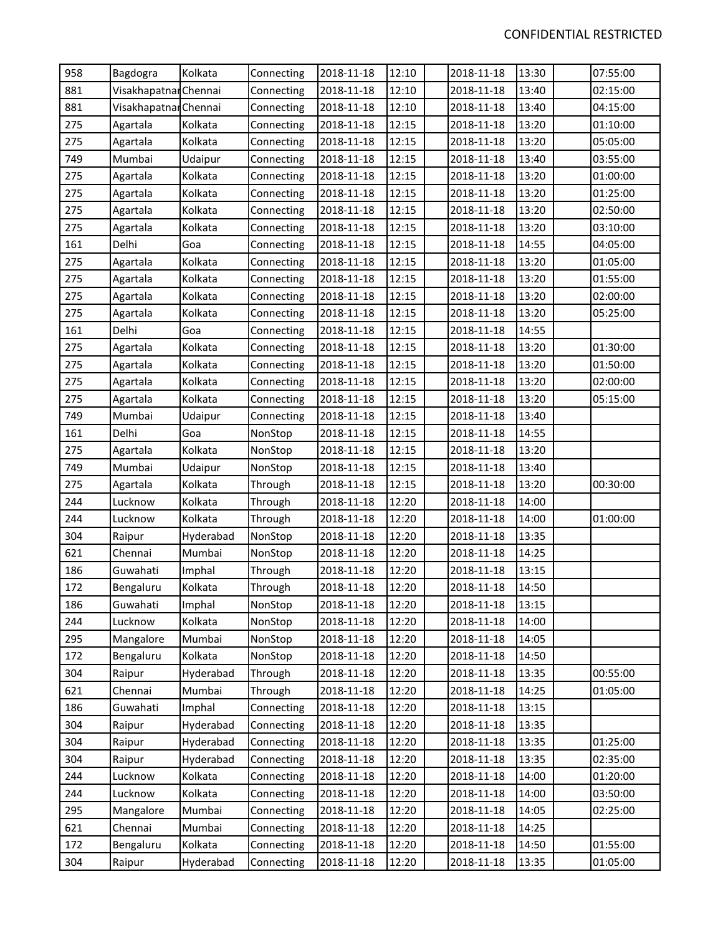| 958 | Bagdogra              | Kolkata   | Connecting | 2018-11-18 | 12:10 | 2018-11-18 | 13:30 | 07:55:00 |
|-----|-----------------------|-----------|------------|------------|-------|------------|-------|----------|
| 881 | Visakhapatnar Chennai |           | Connecting | 2018-11-18 | 12:10 | 2018-11-18 | 13:40 | 02:15:00 |
| 881 | Visakhapatnar Chennai |           | Connecting | 2018-11-18 | 12:10 | 2018-11-18 | 13:40 | 04:15:00 |
| 275 | Agartala              | Kolkata   | Connecting | 2018-11-18 | 12:15 | 2018-11-18 | 13:20 | 01:10:00 |
| 275 | Agartala              | Kolkata   | Connecting | 2018-11-18 | 12:15 | 2018-11-18 | 13:20 | 05:05:00 |
| 749 | Mumbai                | Udaipur   | Connecting | 2018-11-18 | 12:15 | 2018-11-18 | 13:40 | 03:55:00 |
| 275 | Agartala              | Kolkata   | Connecting | 2018-11-18 | 12:15 | 2018-11-18 | 13:20 | 01:00:00 |
| 275 | Agartala              | Kolkata   | Connecting | 2018-11-18 | 12:15 | 2018-11-18 | 13:20 | 01:25:00 |
| 275 | Agartala              | Kolkata   | Connecting | 2018-11-18 | 12:15 | 2018-11-18 | 13:20 | 02:50:00 |
| 275 | Agartala              | Kolkata   | Connecting | 2018-11-18 | 12:15 | 2018-11-18 | 13:20 | 03:10:00 |
| 161 | Delhi                 | Goa       | Connecting | 2018-11-18 | 12:15 | 2018-11-18 | 14:55 | 04:05:00 |
| 275 | Agartala              | Kolkata   | Connecting | 2018-11-18 | 12:15 | 2018-11-18 | 13:20 | 01:05:00 |
| 275 | Agartala              | Kolkata   | Connecting | 2018-11-18 | 12:15 | 2018-11-18 | 13:20 | 01:55:00 |
| 275 | Agartala              | Kolkata   | Connecting | 2018-11-18 | 12:15 | 2018-11-18 | 13:20 | 02:00:00 |
| 275 | Agartala              | Kolkata   | Connecting | 2018-11-18 | 12:15 | 2018-11-18 | 13:20 | 05:25:00 |
| 161 | Delhi                 | Goa       | Connecting | 2018-11-18 | 12:15 | 2018-11-18 | 14:55 |          |
| 275 | Agartala              | Kolkata   | Connecting | 2018-11-18 | 12:15 | 2018-11-18 | 13:20 | 01:30:00 |
| 275 | Agartala              | Kolkata   | Connecting | 2018-11-18 | 12:15 | 2018-11-18 | 13:20 | 01:50:00 |
| 275 | Agartala              | Kolkata   | Connecting | 2018-11-18 | 12:15 | 2018-11-18 | 13:20 | 02:00:00 |
| 275 | Agartala              | Kolkata   | Connecting | 2018-11-18 | 12:15 | 2018-11-18 | 13:20 | 05:15:00 |
| 749 | Mumbai                | Udaipur   | Connecting | 2018-11-18 | 12:15 | 2018-11-18 | 13:40 |          |
| 161 | Delhi                 | Goa       | NonStop    | 2018-11-18 | 12:15 | 2018-11-18 | 14:55 |          |
| 275 | Agartala              | Kolkata   | NonStop    | 2018-11-18 | 12:15 | 2018-11-18 | 13:20 |          |
| 749 | Mumbai                | Udaipur   | NonStop    | 2018-11-18 | 12:15 | 2018-11-18 | 13:40 |          |
| 275 | Agartala              | Kolkata   | Through    | 2018-11-18 | 12:15 | 2018-11-18 | 13:20 | 00:30:00 |
| 244 | Lucknow               | Kolkata   | Through    | 2018-11-18 | 12:20 | 2018-11-18 | 14:00 |          |
| 244 | Lucknow               | Kolkata   | Through    | 2018-11-18 | 12:20 | 2018-11-18 | 14:00 | 01:00:00 |
| 304 | Raipur                | Hyderabad | NonStop    | 2018-11-18 | 12:20 | 2018-11-18 | 13:35 |          |
| 621 | Chennai               | Mumbai    | NonStop    | 2018-11-18 | 12:20 | 2018-11-18 | 14:25 |          |
| 186 | Guwahati              | Imphal    | Through    | 2018-11-18 | 12:20 | 2018-11-18 | 13:15 |          |
| 172 | Bengaluru             | Kolkata   | Through    | 2018-11-18 | 12:20 | 2018-11-18 | 14:50 |          |
| 186 | Guwahati              | Imphal    | NonStop    | 2018-11-18 | 12:20 | 2018-11-18 | 13:15 |          |
| 244 | Lucknow               | Kolkata   | NonStop    | 2018-11-18 | 12:20 | 2018-11-18 | 14:00 |          |
| 295 | Mangalore             | Mumbai    | NonStop    | 2018-11-18 | 12:20 | 2018-11-18 | 14:05 |          |
| 172 | Bengaluru             | Kolkata   | NonStop    | 2018-11-18 | 12:20 | 2018-11-18 | 14:50 |          |
| 304 | Raipur                | Hyderabad | Through    | 2018-11-18 | 12:20 | 2018-11-18 | 13:35 | 00:55:00 |
| 621 | Chennai               | Mumbai    | Through    | 2018-11-18 | 12:20 | 2018-11-18 | 14:25 | 01:05:00 |
| 186 | Guwahati              | Imphal    | Connecting | 2018-11-18 | 12:20 | 2018-11-18 | 13:15 |          |
| 304 | Raipur                | Hyderabad | Connecting | 2018-11-18 | 12:20 | 2018-11-18 | 13:35 |          |
| 304 | Raipur                | Hyderabad | Connecting | 2018-11-18 | 12:20 | 2018-11-18 | 13:35 | 01:25:00 |
| 304 | Raipur                | Hyderabad | Connecting | 2018-11-18 | 12:20 | 2018-11-18 | 13:35 | 02:35:00 |
| 244 | Lucknow               | Kolkata   | Connecting | 2018-11-18 | 12:20 | 2018-11-18 | 14:00 | 01:20:00 |
| 244 | Lucknow               | Kolkata   | Connecting | 2018-11-18 | 12:20 | 2018-11-18 | 14:00 | 03:50:00 |
| 295 | Mangalore             | Mumbai    | Connecting | 2018-11-18 | 12:20 | 2018-11-18 | 14:05 | 02:25:00 |
| 621 | Chennai               | Mumbai    | Connecting | 2018-11-18 | 12:20 | 2018-11-18 | 14:25 |          |
| 172 | Bengaluru             | Kolkata   | Connecting | 2018-11-18 | 12:20 | 2018-11-18 | 14:50 | 01:55:00 |
| 304 | Raipur                | Hyderabad | Connecting | 2018-11-18 | 12:20 | 2018-11-18 | 13:35 | 01:05:00 |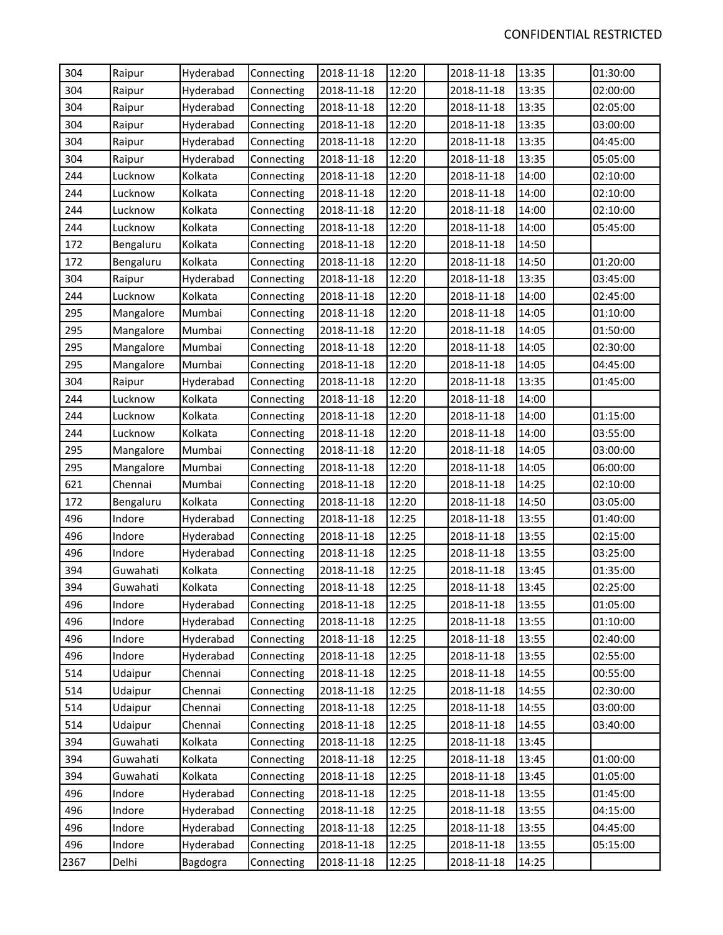| 304  | Raipur    | Hyderabad | Connecting | 2018-11-18 | 12:20 | 2018-11-18 | 13:35 | 01:30:00 |
|------|-----------|-----------|------------|------------|-------|------------|-------|----------|
| 304  | Raipur    | Hyderabad | Connecting | 2018-11-18 | 12:20 | 2018-11-18 | 13:35 | 02:00:00 |
| 304  | Raipur    | Hyderabad | Connecting | 2018-11-18 | 12:20 | 2018-11-18 | 13:35 | 02:05:00 |
| 304  | Raipur    | Hyderabad | Connecting | 2018-11-18 | 12:20 | 2018-11-18 | 13:35 | 03:00:00 |
| 304  | Raipur    | Hyderabad | Connecting | 2018-11-18 | 12:20 | 2018-11-18 | 13:35 | 04:45:00 |
| 304  | Raipur    | Hyderabad | Connecting | 2018-11-18 | 12:20 | 2018-11-18 | 13:35 | 05:05:00 |
| 244  | Lucknow   | Kolkata   | Connecting | 2018-11-18 | 12:20 | 2018-11-18 | 14:00 | 02:10:00 |
| 244  | Lucknow   | Kolkata   | Connecting | 2018-11-18 | 12:20 | 2018-11-18 | 14:00 | 02:10:00 |
| 244  | Lucknow   | Kolkata   | Connecting | 2018-11-18 | 12:20 | 2018-11-18 | 14:00 | 02:10:00 |
| 244  | Lucknow   | Kolkata   | Connecting | 2018-11-18 | 12:20 | 2018-11-18 | 14:00 | 05:45:00 |
| 172  | Bengaluru | Kolkata   | Connecting | 2018-11-18 | 12:20 | 2018-11-18 | 14:50 |          |
| 172  | Bengaluru | Kolkata   | Connecting | 2018-11-18 | 12:20 | 2018-11-18 | 14:50 | 01:20:00 |
| 304  | Raipur    | Hyderabad | Connecting | 2018-11-18 | 12:20 | 2018-11-18 | 13:35 | 03:45:00 |
| 244  | Lucknow   | Kolkata   | Connecting | 2018-11-18 | 12:20 | 2018-11-18 | 14:00 | 02:45:00 |
| 295  | Mangalore | Mumbai    | Connecting | 2018-11-18 | 12:20 | 2018-11-18 | 14:05 | 01:10:00 |
| 295  | Mangalore | Mumbai    | Connecting | 2018-11-18 | 12:20 | 2018-11-18 | 14:05 | 01:50:00 |
| 295  | Mangalore | Mumbai    | Connecting | 2018-11-18 | 12:20 | 2018-11-18 | 14:05 | 02:30:00 |
| 295  | Mangalore | Mumbai    | Connecting | 2018-11-18 | 12:20 | 2018-11-18 | 14:05 | 04:45:00 |
| 304  | Raipur    | Hyderabad | Connecting | 2018-11-18 | 12:20 | 2018-11-18 | 13:35 | 01:45:00 |
| 244  | Lucknow   | Kolkata   | Connecting | 2018-11-18 | 12:20 | 2018-11-18 | 14:00 |          |
| 244  | Lucknow   | Kolkata   | Connecting | 2018-11-18 | 12:20 | 2018-11-18 | 14:00 | 01:15:00 |
| 244  | Lucknow   | Kolkata   | Connecting | 2018-11-18 | 12:20 | 2018-11-18 | 14:00 | 03:55:00 |
| 295  | Mangalore | Mumbai    | Connecting | 2018-11-18 | 12:20 | 2018-11-18 | 14:05 | 03:00:00 |
| 295  | Mangalore | Mumbai    | Connecting | 2018-11-18 | 12:20 | 2018-11-18 | 14:05 | 06:00:00 |
| 621  | Chennai   | Mumbai    | Connecting | 2018-11-18 | 12:20 | 2018-11-18 | 14:25 | 02:10:00 |
| 172  | Bengaluru | Kolkata   | Connecting | 2018-11-18 | 12:20 | 2018-11-18 | 14:50 | 03:05:00 |
| 496  | Indore    | Hyderabad | Connecting | 2018-11-18 | 12:25 | 2018-11-18 | 13:55 | 01:40:00 |
| 496  | Indore    | Hyderabad | Connecting | 2018-11-18 | 12:25 | 2018-11-18 | 13:55 | 02:15:00 |
| 496  | Indore    | Hyderabad | Connecting | 2018-11-18 | 12:25 | 2018-11-18 | 13:55 | 03:25:00 |
| 394  | Guwahati  | Kolkata   | Connecting | 2018-11-18 | 12:25 | 2018-11-18 | 13:45 | 01:35:00 |
| 394  | Guwahati  | Kolkata   | Connecting | 2018-11-18 | 12:25 | 2018-11-18 | 13:45 | 02:25:00 |
| 496  | Indore    | Hyderabad | Connecting | 2018-11-18 | 12:25 | 2018-11-18 | 13:55 | 01:05:00 |
| 496  | Indore    | Hyderabad | Connecting | 2018-11-18 | 12:25 | 2018-11-18 | 13:55 | 01:10:00 |
| 496  | Indore    | Hyderabad | Connecting | 2018-11-18 | 12:25 | 2018-11-18 | 13:55 | 02:40:00 |
| 496  | Indore    | Hyderabad | Connecting | 2018-11-18 | 12:25 | 2018-11-18 | 13:55 | 02:55:00 |
| 514  | Udaipur   | Chennai   | Connecting | 2018-11-18 | 12:25 | 2018-11-18 | 14:55 | 00:55:00 |
| 514  | Udaipur   | Chennai   | Connecting | 2018-11-18 | 12:25 | 2018-11-18 | 14:55 | 02:30:00 |
| 514  | Udaipur   | Chennai   | Connecting | 2018-11-18 | 12:25 | 2018-11-18 | 14:55 | 03:00:00 |
| 514  | Udaipur   | Chennai   | Connecting | 2018-11-18 | 12:25 | 2018-11-18 | 14:55 | 03:40:00 |
| 394  | Guwahati  | Kolkata   | Connecting | 2018-11-18 | 12:25 | 2018-11-18 | 13:45 |          |
| 394  | Guwahati  | Kolkata   | Connecting | 2018-11-18 | 12:25 | 2018-11-18 | 13:45 | 01:00:00 |
| 394  | Guwahati  | Kolkata   | Connecting | 2018-11-18 | 12:25 | 2018-11-18 | 13:45 | 01:05:00 |
| 496  | Indore    | Hyderabad | Connecting | 2018-11-18 | 12:25 | 2018-11-18 | 13:55 | 01:45:00 |
| 496  | Indore    | Hyderabad | Connecting | 2018-11-18 | 12:25 | 2018-11-18 | 13:55 | 04:15:00 |
| 496  | Indore    | Hyderabad | Connecting | 2018-11-18 | 12:25 | 2018-11-18 | 13:55 | 04:45:00 |
| 496  | Indore    | Hyderabad | Connecting | 2018-11-18 | 12:25 | 2018-11-18 | 13:55 | 05:15:00 |
| 2367 | Delhi     | Bagdogra  | Connecting | 2018-11-18 | 12:25 | 2018-11-18 | 14:25 |          |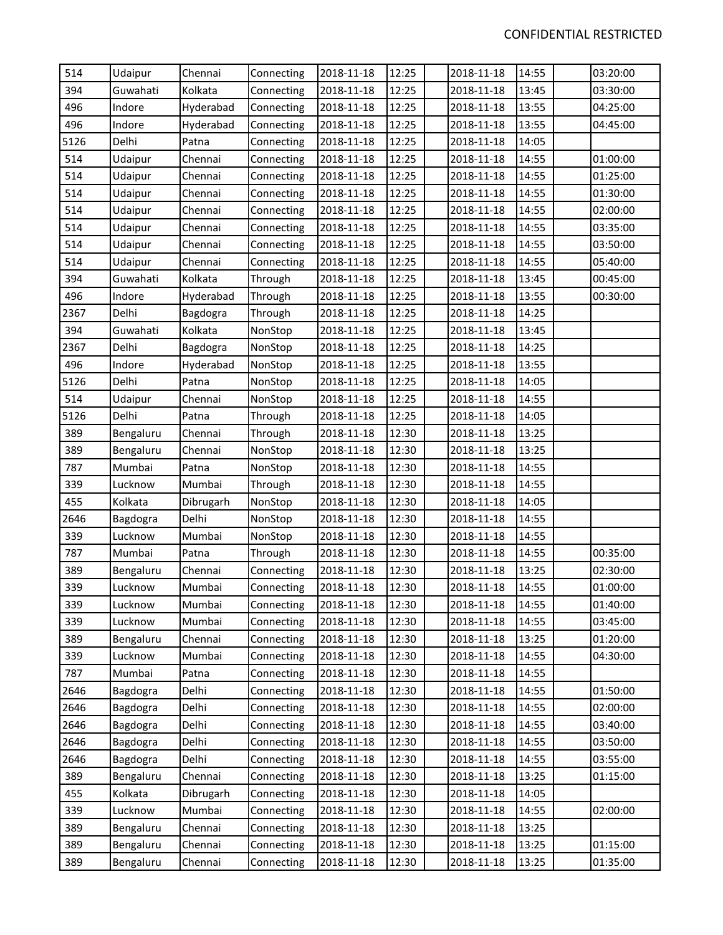| 514  | Udaipur   | Chennai   | Connecting | 2018-11-18 | 12:25 | 2018-11-18 | 14:55 | 03:20:00 |
|------|-----------|-----------|------------|------------|-------|------------|-------|----------|
| 394  | Guwahati  | Kolkata   | Connecting | 2018-11-18 | 12:25 | 2018-11-18 | 13:45 | 03:30:00 |
| 496  | Indore    | Hyderabad | Connecting | 2018-11-18 | 12:25 | 2018-11-18 | 13:55 | 04:25:00 |
| 496  | Indore    | Hyderabad | Connecting | 2018-11-18 | 12:25 | 2018-11-18 | 13:55 | 04:45:00 |
| 5126 | Delhi     | Patna     | Connecting | 2018-11-18 | 12:25 | 2018-11-18 | 14:05 |          |
| 514  | Udaipur   | Chennai   | Connecting | 2018-11-18 | 12:25 | 2018-11-18 | 14:55 | 01:00:00 |
| 514  | Udaipur   | Chennai   | Connecting | 2018-11-18 | 12:25 | 2018-11-18 | 14:55 | 01:25:00 |
| 514  | Udaipur   | Chennai   | Connecting | 2018-11-18 | 12:25 | 2018-11-18 | 14:55 | 01:30:00 |
| 514  | Udaipur   | Chennai   | Connecting | 2018-11-18 | 12:25 | 2018-11-18 | 14:55 | 02:00:00 |
| 514  | Udaipur   | Chennai   | Connecting | 2018-11-18 | 12:25 | 2018-11-18 | 14:55 | 03:35:00 |
| 514  | Udaipur   | Chennai   | Connecting | 2018-11-18 | 12:25 | 2018-11-18 | 14:55 | 03:50:00 |
| 514  | Udaipur   | Chennai   | Connecting | 2018-11-18 | 12:25 | 2018-11-18 | 14:55 | 05:40:00 |
| 394  | Guwahati  | Kolkata   | Through    | 2018-11-18 | 12:25 | 2018-11-18 | 13:45 | 00:45:00 |
| 496  | Indore    | Hyderabad | Through    | 2018-11-18 | 12:25 | 2018-11-18 | 13:55 | 00:30:00 |
| 2367 | Delhi     | Bagdogra  | Through    | 2018-11-18 | 12:25 | 2018-11-18 | 14:25 |          |
| 394  | Guwahati  | Kolkata   | NonStop    | 2018-11-18 | 12:25 | 2018-11-18 | 13:45 |          |
| 2367 | Delhi     | Bagdogra  | NonStop    | 2018-11-18 | 12:25 | 2018-11-18 | 14:25 |          |
| 496  | Indore    | Hyderabad | NonStop    | 2018-11-18 | 12:25 | 2018-11-18 | 13:55 |          |
| 5126 | Delhi     | Patna     | NonStop    | 2018-11-18 | 12:25 | 2018-11-18 | 14:05 |          |
| 514  | Udaipur   | Chennai   | NonStop    | 2018-11-18 | 12:25 | 2018-11-18 | 14:55 |          |
| 5126 | Delhi     | Patna     | Through    | 2018-11-18 | 12:25 | 2018-11-18 | 14:05 |          |
| 389  | Bengaluru | Chennai   | Through    | 2018-11-18 | 12:30 | 2018-11-18 | 13:25 |          |
| 389  | Bengaluru | Chennai   | NonStop    | 2018-11-18 | 12:30 | 2018-11-18 | 13:25 |          |
| 787  | Mumbai    | Patna     | NonStop    | 2018-11-18 | 12:30 | 2018-11-18 | 14:55 |          |
| 339  | Lucknow   | Mumbai    | Through    | 2018-11-18 | 12:30 | 2018-11-18 | 14:55 |          |
| 455  | Kolkata   | Dibrugarh | NonStop    | 2018-11-18 | 12:30 | 2018-11-18 | 14:05 |          |
| 2646 | Bagdogra  | Delhi     | NonStop    | 2018-11-18 | 12:30 | 2018-11-18 | 14:55 |          |
| 339  | Lucknow   | Mumbai    | NonStop    | 2018-11-18 | 12:30 | 2018-11-18 | 14:55 |          |
| 787  | Mumbai    | Patna     | Through    | 2018-11-18 | 12:30 | 2018-11-18 | 14:55 | 00:35:00 |
| 389  | Bengaluru | Chennai   | Connecting | 2018-11-18 | 12:30 | 2018-11-18 | 13:25 | 02:30:00 |
| 339  | Lucknow   | Mumbai    | Connecting | 2018-11-18 | 12:30 | 2018-11-18 | 14:55 | 01:00:00 |
| 339  | Lucknow   | Mumbai    | Connecting | 2018-11-18 | 12:30 | 2018-11-18 | 14:55 | 01:40:00 |
| 339  | Lucknow   | Mumbai    | Connecting | 2018-11-18 | 12:30 | 2018-11-18 | 14:55 | 03:45:00 |
| 389  | Bengaluru | Chennai   | Connecting | 2018-11-18 | 12:30 | 2018-11-18 | 13:25 | 01:20:00 |
| 339  | Lucknow   | Mumbai    | Connecting | 2018-11-18 | 12:30 | 2018-11-18 | 14:55 | 04:30:00 |
| 787  | Mumbai    | Patna     | Connecting | 2018-11-18 | 12:30 | 2018-11-18 | 14:55 |          |
| 2646 | Bagdogra  | Delhi     | Connecting | 2018-11-18 | 12:30 | 2018-11-18 | 14:55 | 01:50:00 |
| 2646 | Bagdogra  | Delhi     | Connecting | 2018-11-18 | 12:30 | 2018-11-18 | 14:55 | 02:00:00 |
| 2646 | Bagdogra  | Delhi     | Connecting | 2018-11-18 | 12:30 | 2018-11-18 | 14:55 | 03:40:00 |
| 2646 | Bagdogra  | Delhi     | Connecting | 2018-11-18 | 12:30 | 2018-11-18 | 14:55 | 03:50:00 |
| 2646 | Bagdogra  | Delhi     | Connecting | 2018-11-18 | 12:30 | 2018-11-18 | 14:55 | 03:55:00 |
| 389  | Bengaluru | Chennai   | Connecting | 2018-11-18 | 12:30 | 2018-11-18 | 13:25 | 01:15:00 |
| 455  | Kolkata   | Dibrugarh | Connecting | 2018-11-18 | 12:30 | 2018-11-18 | 14:05 |          |
| 339  | Lucknow   | Mumbai    | Connecting | 2018-11-18 | 12:30 | 2018-11-18 | 14:55 | 02:00:00 |
| 389  | Bengaluru | Chennai   | Connecting | 2018-11-18 | 12:30 | 2018-11-18 | 13:25 |          |
| 389  | Bengaluru | Chennai   | Connecting | 2018-11-18 | 12:30 | 2018-11-18 | 13:25 | 01:15:00 |
| 389  | Bengaluru | Chennai   | Connecting | 2018-11-18 | 12:30 | 2018-11-18 | 13:25 | 01:35:00 |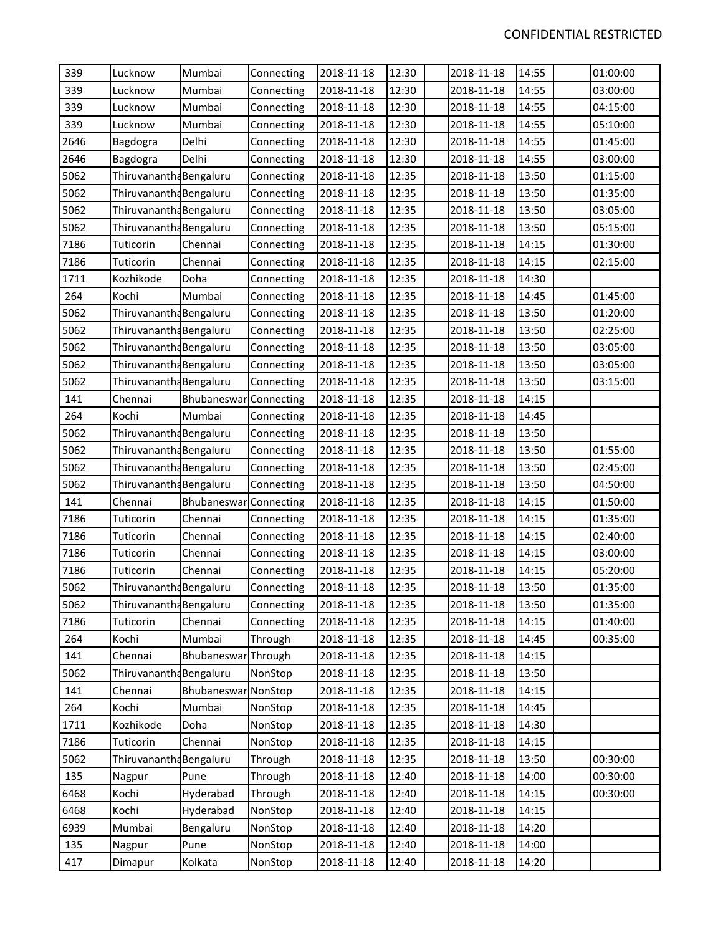| 339  | Lucknow                 | Mumbai              | Connecting | 2018-11-18 | 12:30 | 2018-11-18 | 14:55 | 01:00:00 |
|------|-------------------------|---------------------|------------|------------|-------|------------|-------|----------|
| 339  | Lucknow                 | Mumbai              | Connecting | 2018-11-18 | 12:30 | 2018-11-18 | 14:55 | 03:00:00 |
| 339  | Lucknow                 | Mumbai              | Connecting | 2018-11-18 | 12:30 | 2018-11-18 | 14:55 | 04:15:00 |
| 339  | Lucknow                 | Mumbai              | Connecting | 2018-11-18 | 12:30 | 2018-11-18 | 14:55 | 05:10:00 |
| 2646 | Bagdogra                | Delhi               | Connecting | 2018-11-18 | 12:30 | 2018-11-18 | 14:55 | 01:45:00 |
| 2646 | Bagdogra                | Delhi               | Connecting | 2018-11-18 | 12:30 | 2018-11-18 | 14:55 | 03:00:00 |
| 5062 | Thiruvanantha Bengaluru |                     | Connecting | 2018-11-18 | 12:35 | 2018-11-18 | 13:50 | 01:15:00 |
| 5062 | Thiruvanantha Bengaluru |                     | Connecting | 2018-11-18 | 12:35 | 2018-11-18 | 13:50 | 01:35:00 |
| 5062 | Thiruvanantha Bengaluru |                     | Connecting | 2018-11-18 | 12:35 | 2018-11-18 | 13:50 | 03:05:00 |
| 5062 | Thiruvanantha Bengaluru |                     | Connecting | 2018-11-18 | 12:35 | 2018-11-18 | 13:50 | 05:15:00 |
| 7186 | Tuticorin               | Chennai             | Connecting | 2018-11-18 | 12:35 | 2018-11-18 | 14:15 | 01:30:00 |
| 7186 | Tuticorin               | Chennai             | Connecting | 2018-11-18 | 12:35 | 2018-11-18 | 14:15 | 02:15:00 |
| 1711 | Kozhikode               | Doha                | Connecting | 2018-11-18 | 12:35 | 2018-11-18 | 14:30 |          |
| 264  | Kochi                   | Mumbai              | Connecting | 2018-11-18 | 12:35 | 2018-11-18 | 14:45 | 01:45:00 |
| 5062 | Thiruvanantha Bengaluru |                     | Connecting | 2018-11-18 | 12:35 | 2018-11-18 | 13:50 | 01:20:00 |
| 5062 | Thiruvanantha Bengaluru |                     | Connecting | 2018-11-18 | 12:35 | 2018-11-18 | 13:50 | 02:25:00 |
| 5062 | Thiruvanantha Bengaluru |                     | Connecting | 2018-11-18 | 12:35 | 2018-11-18 | 13:50 | 03:05:00 |
| 5062 | Thiruvanantha Bengaluru |                     | Connecting | 2018-11-18 | 12:35 | 2018-11-18 | 13:50 | 03:05:00 |
| 5062 | Thiruvanantha Bengaluru |                     | Connecting | 2018-11-18 | 12:35 | 2018-11-18 | 13:50 | 03:15:00 |
| 141  | Chennai                 | Bhubaneswar         | Connecting | 2018-11-18 | 12:35 | 2018-11-18 | 14:15 |          |
| 264  | Kochi                   | Mumbai              | Connecting | 2018-11-18 | 12:35 | 2018-11-18 | 14:45 |          |
| 5062 | Thiruvanantha Bengaluru |                     | Connecting | 2018-11-18 | 12:35 | 2018-11-18 | 13:50 |          |
| 5062 | Thiruvanantha Bengaluru |                     | Connecting | 2018-11-18 | 12:35 | 2018-11-18 | 13:50 | 01:55:00 |
| 5062 | Thiruvanantha Bengaluru |                     | Connecting | 2018-11-18 | 12:35 | 2018-11-18 | 13:50 | 02:45:00 |
| 5062 | Thiruvanantha Bengaluru |                     | Connecting | 2018-11-18 | 12:35 | 2018-11-18 | 13:50 | 04:50:00 |
| 141  | Chennai                 | Bhubaneswar         | Connecting | 2018-11-18 | 12:35 | 2018-11-18 | 14:15 | 01:50:00 |
| 7186 | Tuticorin               | Chennai             | Connecting | 2018-11-18 | 12:35 | 2018-11-18 | 14:15 | 01:35:00 |
| 7186 | Tuticorin               | Chennai             | Connecting | 2018-11-18 | 12:35 | 2018-11-18 | 14:15 | 02:40:00 |
| 7186 | Tuticorin               | Chennai             | Connecting | 2018-11-18 | 12:35 | 2018-11-18 | 14:15 | 03:00:00 |
| 7186 | Tuticorin               | Chennai             | Connecting | 2018-11-18 | 12:35 | 2018-11-18 | 14:15 | 05:20:00 |
| 5062 | Thiruvanantha Bengaluru |                     | Connecting | 2018-11-18 | 12:35 | 2018-11-18 | 13:50 | 01:35:00 |
| 5062 | Thiruvanantha Bengaluru |                     | Connecting | 2018-11-18 | 12:35 | 2018-11-18 | 13:50 | 01:35:00 |
| 7186 | Tuticorin               | Chennai             | Connecting | 2018-11-18 | 12:35 | 2018-11-18 | 14:15 | 01:40:00 |
| 264  | Kochi                   | Mumbai              | Through    | 2018-11-18 | 12:35 | 2018-11-18 | 14:45 | 00:35:00 |
| 141  | Chennai                 | Bhubaneswar Through |            | 2018-11-18 | 12:35 | 2018-11-18 | 14:15 |          |
| 5062 | Thiruvanantha Bengaluru |                     | NonStop    | 2018-11-18 | 12:35 | 2018-11-18 | 13:50 |          |
| 141  | Chennai                 | Bhubaneswar NonStop |            | 2018-11-18 | 12:35 | 2018-11-18 | 14:15 |          |
| 264  | Kochi                   | Mumbai              | NonStop    | 2018-11-18 | 12:35 | 2018-11-18 | 14:45 |          |
| 1711 | Kozhikode               | Doha                | NonStop    | 2018-11-18 | 12:35 | 2018-11-18 | 14:30 |          |
| 7186 | Tuticorin               | Chennai             | NonStop    | 2018-11-18 | 12:35 | 2018-11-18 | 14:15 |          |
| 5062 | Thiruvanantha Bengaluru |                     | Through    | 2018-11-18 | 12:35 | 2018-11-18 | 13:50 | 00:30:00 |
| 135  | Nagpur                  | Pune                | Through    | 2018-11-18 | 12:40 | 2018-11-18 | 14:00 | 00:30:00 |
| 6468 | Kochi                   | Hyderabad           | Through    | 2018-11-18 | 12:40 | 2018-11-18 | 14:15 | 00:30:00 |
| 6468 | Kochi                   | Hyderabad           | NonStop    | 2018-11-18 | 12:40 | 2018-11-18 | 14:15 |          |
| 6939 | Mumbai                  | Bengaluru           | NonStop    | 2018-11-18 | 12:40 | 2018-11-18 | 14:20 |          |
| 135  | Nagpur                  | Pune                | NonStop    | 2018-11-18 | 12:40 | 2018-11-18 | 14:00 |          |
| 417  | Dimapur                 | Kolkata             | NonStop    | 2018-11-18 | 12:40 | 2018-11-18 | 14:20 |          |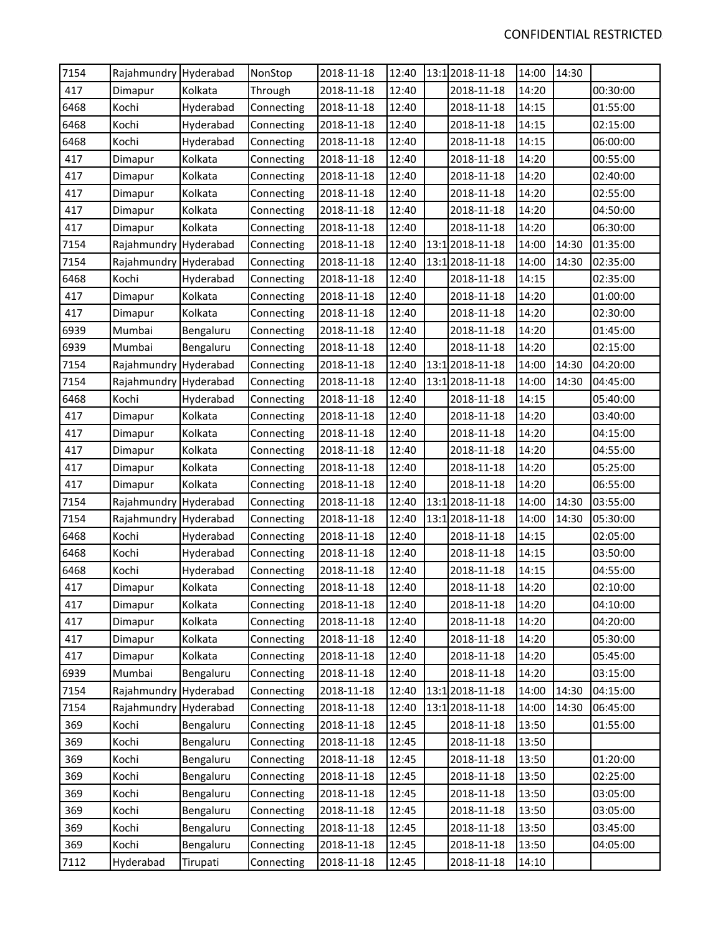| 7154 | Rajahmundry Hyderabad |           | NonStop    | 2018-11-18 | 12:40 | 13:1 2018-11-18 | 14:00 | 14:30 |          |
|------|-----------------------|-----------|------------|------------|-------|-----------------|-------|-------|----------|
| 417  | Dimapur               | Kolkata   | Through    | 2018-11-18 | 12:40 | 2018-11-18      | 14:20 |       | 00:30:00 |
| 6468 | Kochi                 | Hyderabad | Connecting | 2018-11-18 | 12:40 | 2018-11-18      | 14:15 |       | 01:55:00 |
| 6468 | Kochi                 | Hyderabad | Connecting | 2018-11-18 | 12:40 | 2018-11-18      | 14:15 |       | 02:15:00 |
| 6468 | Kochi                 | Hyderabad | Connecting | 2018-11-18 | 12:40 | 2018-11-18      | 14:15 |       | 06:00:00 |
| 417  | Dimapur               | Kolkata   | Connecting | 2018-11-18 | 12:40 | 2018-11-18      | 14:20 |       | 00:55:00 |
| 417  | Dimapur               | Kolkata   | Connecting | 2018-11-18 | 12:40 | 2018-11-18      | 14:20 |       | 02:40:00 |
| 417  | Dimapur               | Kolkata   | Connecting | 2018-11-18 | 12:40 | 2018-11-18      | 14:20 |       | 02:55:00 |
| 417  | Dimapur               | Kolkata   | Connecting | 2018-11-18 | 12:40 | 2018-11-18      | 14:20 |       | 04:50:00 |
| 417  | Dimapur               | Kolkata   | Connecting | 2018-11-18 | 12:40 | 2018-11-18      | 14:20 |       | 06:30:00 |
| 7154 | Rajahmundry Hyderabad |           | Connecting | 2018-11-18 | 12:40 | 13:1 2018-11-18 | 14:00 | 14:30 | 01:35:00 |
| 7154 | Rajahmundry Hyderabad |           | Connecting | 2018-11-18 | 12:40 | 13:1 2018-11-18 | 14:00 | 14:30 | 02:35:00 |
| 6468 | Kochi                 | Hyderabad | Connecting | 2018-11-18 | 12:40 | 2018-11-18      | 14:15 |       | 02:35:00 |
| 417  | Dimapur               | Kolkata   | Connecting | 2018-11-18 | 12:40 | 2018-11-18      | 14:20 |       | 01:00:00 |
| 417  | Dimapur               | Kolkata   | Connecting | 2018-11-18 | 12:40 | 2018-11-18      | 14:20 |       | 02:30:00 |
| 6939 | Mumbai                | Bengaluru | Connecting | 2018-11-18 | 12:40 | 2018-11-18      | 14:20 |       | 01:45:00 |
| 6939 | Mumbai                | Bengaluru | Connecting | 2018-11-18 | 12:40 | 2018-11-18      | 14:20 |       | 02:15:00 |
| 7154 | Rajahmundry Hyderabad |           | Connecting | 2018-11-18 | 12:40 | 13:1 2018-11-18 | 14:00 | 14:30 | 04:20:00 |
| 7154 | Rajahmundry Hyderabad |           | Connecting | 2018-11-18 | 12:40 | 13:1 2018-11-18 | 14:00 | 14:30 | 04:45:00 |
| 6468 | Kochi                 | Hyderabad | Connecting | 2018-11-18 | 12:40 | 2018-11-18      | 14:15 |       | 05:40:00 |
| 417  | Dimapur               | Kolkata   | Connecting | 2018-11-18 | 12:40 | 2018-11-18      | 14:20 |       | 03:40:00 |
| 417  | Dimapur               | Kolkata   | Connecting | 2018-11-18 | 12:40 | 2018-11-18      | 14:20 |       | 04:15:00 |
| 417  | Dimapur               | Kolkata   | Connecting | 2018-11-18 | 12:40 | 2018-11-18      | 14:20 |       | 04:55:00 |
| 417  | Dimapur               | Kolkata   | Connecting | 2018-11-18 | 12:40 | 2018-11-18      | 14:20 |       | 05:25:00 |
| 417  | Dimapur               | Kolkata   | Connecting | 2018-11-18 | 12:40 | 2018-11-18      | 14:20 |       | 06:55:00 |
| 7154 | Rajahmundry Hyderabad |           | Connecting | 2018-11-18 | 12:40 | 13:1 2018-11-18 | 14:00 | 14:30 | 03:55:00 |
| 7154 | Rajahmundry Hyderabad |           | Connecting | 2018-11-18 | 12:40 | 13:1 2018-11-18 | 14:00 | 14:30 | 05:30:00 |
| 6468 | Kochi                 | Hyderabad | Connecting | 2018-11-18 | 12:40 | 2018-11-18      | 14:15 |       | 02:05:00 |
| 6468 | Kochi                 | Hyderabad | Connecting | 2018-11-18 | 12:40 | 2018-11-18      | 14:15 |       | 03:50:00 |
| 6468 | Kochi                 | Hyderabad | Connecting | 2018-11-18 | 12:40 | 2018-11-18      | 14:15 |       | 04:55:00 |
| 417  | Dimapur               | Kolkata   | Connecting | 2018-11-18 | 12:40 | 2018-11-18      | 14:20 |       | 02:10:00 |
| 417  | Dimapur               | Kolkata   | Connecting | 2018-11-18 | 12:40 | 2018-11-18      | 14:20 |       | 04:10:00 |
| 417  | Dimapur               | Kolkata   | Connecting | 2018-11-18 | 12:40 | 2018-11-18      | 14:20 |       | 04:20:00 |
| 417  | Dimapur               | Kolkata   | Connecting | 2018-11-18 | 12:40 | 2018-11-18      | 14:20 |       | 05:30:00 |
| 417  | Dimapur               | Kolkata   | Connecting | 2018-11-18 | 12:40 | 2018-11-18      | 14:20 |       | 05:45:00 |
| 6939 | Mumbai                | Bengaluru | Connecting | 2018-11-18 | 12:40 | 2018-11-18      | 14:20 |       | 03:15:00 |
| 7154 | Rajahmundry Hyderabad |           | Connecting | 2018-11-18 | 12:40 | 13:1 2018-11-18 | 14:00 | 14:30 | 04:15:00 |
| 7154 | Rajahmundry Hyderabad |           | Connecting | 2018-11-18 | 12:40 | 13:1 2018-11-18 | 14:00 | 14:30 | 06:45:00 |
| 369  | Kochi                 | Bengaluru | Connecting | 2018-11-18 | 12:45 | 2018-11-18      | 13:50 |       | 01:55:00 |
| 369  | Kochi                 | Bengaluru | Connecting | 2018-11-18 | 12:45 | 2018-11-18      | 13:50 |       |          |
| 369  | Kochi                 | Bengaluru | Connecting | 2018-11-18 | 12:45 | 2018-11-18      | 13:50 |       | 01:20:00 |
| 369  | Kochi                 | Bengaluru | Connecting | 2018-11-18 | 12:45 | 2018-11-18      | 13:50 |       | 02:25:00 |
| 369  | Kochi                 | Bengaluru | Connecting | 2018-11-18 | 12:45 | 2018-11-18      | 13:50 |       | 03:05:00 |
| 369  | Kochi                 | Bengaluru | Connecting | 2018-11-18 | 12:45 | 2018-11-18      | 13:50 |       | 03:05:00 |
| 369  | Kochi                 | Bengaluru | Connecting | 2018-11-18 | 12:45 | 2018-11-18      | 13:50 |       | 03:45:00 |
| 369  | Kochi                 | Bengaluru | Connecting | 2018-11-18 | 12:45 | 2018-11-18      | 13:50 |       | 04:05:00 |
| 7112 | Hyderabad             | Tirupati  | Connecting | 2018-11-18 | 12:45 | 2018-11-18      | 14:10 |       |          |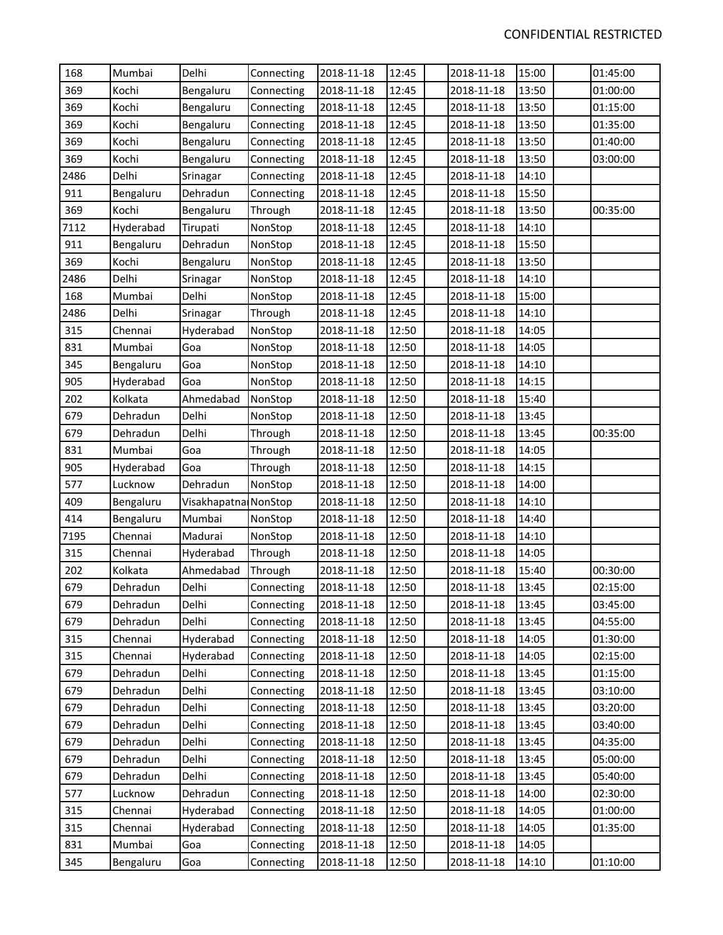| 168  | Mumbai    | Delhi                | Connecting | 2018-11-18 | 12:45 | 2018-11-18 | 15:00 | 01:45:00 |
|------|-----------|----------------------|------------|------------|-------|------------|-------|----------|
| 369  | Kochi     | Bengaluru            | Connecting | 2018-11-18 | 12:45 | 2018-11-18 | 13:50 | 01:00:00 |
| 369  | Kochi     | Bengaluru            | Connecting | 2018-11-18 | 12:45 | 2018-11-18 | 13:50 | 01:15:00 |
| 369  | Kochi     | Bengaluru            | Connecting | 2018-11-18 | 12:45 | 2018-11-18 | 13:50 | 01:35:00 |
| 369  | Kochi     | Bengaluru            | Connecting | 2018-11-18 | 12:45 | 2018-11-18 | 13:50 | 01:40:00 |
| 369  | Kochi     | Bengaluru            | Connecting | 2018-11-18 | 12:45 | 2018-11-18 | 13:50 | 03:00:00 |
| 2486 | Delhi     | Srinagar             | Connecting | 2018-11-18 | 12:45 | 2018-11-18 | 14:10 |          |
| 911  | Bengaluru | Dehradun             | Connecting | 2018-11-18 | 12:45 | 2018-11-18 | 15:50 |          |
| 369  | Kochi     | Bengaluru            | Through    | 2018-11-18 | 12:45 | 2018-11-18 | 13:50 | 00:35:00 |
| 7112 | Hyderabad | Tirupati             | NonStop    | 2018-11-18 | 12:45 | 2018-11-18 | 14:10 |          |
| 911  | Bengaluru | Dehradun             | NonStop    | 2018-11-18 | 12:45 | 2018-11-18 | 15:50 |          |
| 369  | Kochi     | Bengaluru            | NonStop    | 2018-11-18 | 12:45 | 2018-11-18 | 13:50 |          |
| 2486 | Delhi     | Srinagar             | NonStop    | 2018-11-18 | 12:45 | 2018-11-18 | 14:10 |          |
| 168  | Mumbai    | Delhi                | NonStop    | 2018-11-18 | 12:45 | 2018-11-18 | 15:00 |          |
| 2486 | Delhi     | Srinagar             | Through    | 2018-11-18 | 12:45 | 2018-11-18 | 14:10 |          |
| 315  | Chennai   | Hyderabad            | NonStop    | 2018-11-18 | 12:50 | 2018-11-18 | 14:05 |          |
| 831  | Mumbai    | Goa                  | NonStop    | 2018-11-18 | 12:50 | 2018-11-18 | 14:05 |          |
| 345  | Bengaluru | Goa                  | NonStop    | 2018-11-18 | 12:50 | 2018-11-18 | 14:10 |          |
| 905  | Hyderabad | Goa                  | NonStop    | 2018-11-18 | 12:50 | 2018-11-18 | 14:15 |          |
| 202  | Kolkata   | Ahmedabad            | NonStop    | 2018-11-18 | 12:50 | 2018-11-18 | 15:40 |          |
| 679  | Dehradun  | Delhi                | NonStop    | 2018-11-18 | 12:50 | 2018-11-18 | 13:45 |          |
| 679  | Dehradun  | Delhi                | Through    | 2018-11-18 | 12:50 | 2018-11-18 | 13:45 | 00:35:00 |
| 831  | Mumbai    | Goa                  | Through    | 2018-11-18 | 12:50 | 2018-11-18 | 14:05 |          |
| 905  | Hyderabad | Goa                  | Through    | 2018-11-18 | 12:50 | 2018-11-18 | 14:15 |          |
| 577  | Lucknow   | Dehradun             | NonStop    | 2018-11-18 | 12:50 | 2018-11-18 | 14:00 |          |
| 409  | Bengaluru | Visakhapatna NonStop |            | 2018-11-18 | 12:50 | 2018-11-18 | 14:10 |          |
| 414  | Bengaluru | Mumbai               | NonStop    | 2018-11-18 | 12:50 | 2018-11-18 | 14:40 |          |
| 7195 | Chennai   | Madurai              | NonStop    | 2018-11-18 | 12:50 | 2018-11-18 | 14:10 |          |
| 315  | Chennai   | Hyderabad            | Through    | 2018-11-18 | 12:50 | 2018-11-18 | 14:05 |          |
| 202  | Kolkata   | Ahmedabad            | Through    | 2018-11-18 | 12:50 | 2018-11-18 | 15:40 | 00:30:00 |
| 679  | Dehradun  | Delhi                | Connecting | 2018-11-18 | 12:50 | 2018-11-18 | 13:45 | 02:15:00 |
| 679  | Dehradun  | Delhi                | Connecting | 2018-11-18 | 12:50 | 2018-11-18 | 13:45 | 03:45:00 |
| 679  | Dehradun  | Delhi                | Connecting | 2018-11-18 | 12:50 | 2018-11-18 | 13:45 | 04:55:00 |
| 315  | Chennai   | Hyderabad            | Connecting | 2018-11-18 | 12:50 | 2018-11-18 | 14:05 | 01:30:00 |
| 315  | Chennai   | Hyderabad            | Connecting | 2018-11-18 | 12:50 | 2018-11-18 | 14:05 | 02:15:00 |
| 679  | Dehradun  | Delhi                | Connecting | 2018-11-18 | 12:50 | 2018-11-18 | 13:45 | 01:15:00 |
| 679  | Dehradun  | Delhi                | Connecting | 2018-11-18 | 12:50 | 2018-11-18 | 13:45 | 03:10:00 |
| 679  | Dehradun  | Delhi                | Connecting | 2018-11-18 | 12:50 | 2018-11-18 | 13:45 | 03:20:00 |
| 679  | Dehradun  | Delhi                | Connecting | 2018-11-18 | 12:50 | 2018-11-18 | 13:45 | 03:40:00 |
| 679  | Dehradun  | Delhi                | Connecting | 2018-11-18 | 12:50 | 2018-11-18 | 13:45 | 04:35:00 |
| 679  | Dehradun  | Delhi                | Connecting | 2018-11-18 | 12:50 | 2018-11-18 | 13:45 | 05:00:00 |
| 679  | Dehradun  | Delhi                | Connecting | 2018-11-18 | 12:50 | 2018-11-18 | 13:45 | 05:40:00 |
| 577  | Lucknow   | Dehradun             | Connecting | 2018-11-18 | 12:50 | 2018-11-18 | 14:00 | 02:30:00 |
| 315  | Chennai   | Hyderabad            | Connecting | 2018-11-18 | 12:50 | 2018-11-18 | 14:05 | 01:00:00 |
| 315  | Chennai   | Hyderabad            | Connecting | 2018-11-18 | 12:50 | 2018-11-18 | 14:05 | 01:35:00 |
| 831  | Mumbai    | Goa                  | Connecting | 2018-11-18 | 12:50 | 2018-11-18 | 14:05 |          |
| 345  | Bengaluru | Goa                  | Connecting | 2018-11-18 | 12:50 | 2018-11-18 | 14:10 | 01:10:00 |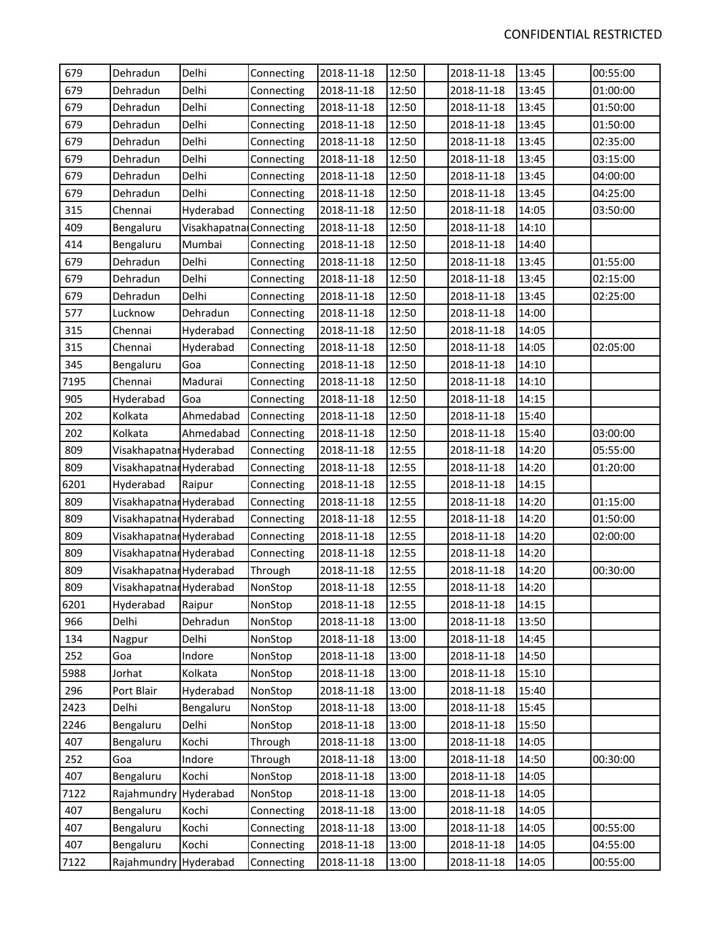| 679  | Dehradun                | Delhi                   | Connecting | 2018-11-18 | 12:50 | 2018-11-18 | 13:45 | 00:55:00 |
|------|-------------------------|-------------------------|------------|------------|-------|------------|-------|----------|
| 679  | Dehradun                | Delhi                   | Connecting | 2018-11-18 | 12:50 | 2018-11-18 | 13:45 | 01:00:00 |
| 679  | Dehradun                | Delhi                   | Connecting | 2018-11-18 | 12:50 | 2018-11-18 | 13:45 | 01:50:00 |
| 679  | Dehradun                | Delhi                   | Connecting | 2018-11-18 | 12:50 | 2018-11-18 | 13:45 | 01:50:00 |
| 679  | Dehradun                | Delhi                   | Connecting | 2018-11-18 | 12:50 | 2018-11-18 | 13:45 | 02:35:00 |
| 679  | Dehradun                | Delhi                   | Connecting | 2018-11-18 | 12:50 | 2018-11-18 | 13:45 | 03:15:00 |
| 679  | Dehradun                | Delhi                   | Connecting | 2018-11-18 | 12:50 | 2018-11-18 | 13:45 | 04:00:00 |
| 679  | Dehradun                | Delhi                   | Connecting | 2018-11-18 | 12:50 | 2018-11-18 | 13:45 | 04:25:00 |
| 315  | Chennai                 | Hyderabad               | Connecting | 2018-11-18 | 12:50 | 2018-11-18 | 14:05 | 03:50:00 |
| 409  | Bengaluru               | Visakhapatna Connecting |            | 2018-11-18 | 12:50 | 2018-11-18 | 14:10 |          |
| 414  | Bengaluru               | Mumbai                  | Connecting | 2018-11-18 | 12:50 | 2018-11-18 | 14:40 |          |
| 679  | Dehradun                | Delhi                   | Connecting | 2018-11-18 | 12:50 | 2018-11-18 | 13:45 | 01:55:00 |
| 679  | Dehradun                | Delhi                   | Connecting | 2018-11-18 | 12:50 | 2018-11-18 | 13:45 | 02:15:00 |
| 679  | Dehradun                | Delhi                   | Connecting | 2018-11-18 | 12:50 | 2018-11-18 | 13:45 | 02:25:00 |
| 577  | Lucknow                 | Dehradun                | Connecting | 2018-11-18 | 12:50 | 2018-11-18 | 14:00 |          |
| 315  | Chennai                 | Hyderabad               | Connecting | 2018-11-18 | 12:50 | 2018-11-18 | 14:05 |          |
| 315  | Chennai                 | Hyderabad               | Connecting | 2018-11-18 | 12:50 | 2018-11-18 | 14:05 | 02:05:00 |
| 345  | Bengaluru               | Goa                     | Connecting | 2018-11-18 | 12:50 | 2018-11-18 | 14:10 |          |
| 7195 | Chennai                 | Madurai                 | Connecting | 2018-11-18 | 12:50 | 2018-11-18 | 14:10 |          |
| 905  | Hyderabad               | Goa                     | Connecting | 2018-11-18 | 12:50 | 2018-11-18 | 14:15 |          |
| 202  | Kolkata                 | Ahmedabad               | Connecting | 2018-11-18 | 12:50 | 2018-11-18 | 15:40 |          |
| 202  | Kolkata                 | Ahmedabad               | Connecting | 2018-11-18 | 12:50 | 2018-11-18 | 15:40 | 03:00:00 |
| 809  | Visakhapatnar Hyderabad |                         | Connecting | 2018-11-18 | 12:55 | 2018-11-18 | 14:20 | 05:55:00 |
| 809  | Visakhapatnar Hyderabad |                         | Connecting | 2018-11-18 | 12:55 | 2018-11-18 | 14:20 | 01:20:00 |
| 6201 | Hyderabad               | Raipur                  | Connecting | 2018-11-18 | 12:55 | 2018-11-18 | 14:15 |          |
| 809  | Visakhapatnar Hyderabad |                         | Connecting | 2018-11-18 | 12:55 | 2018-11-18 | 14:20 | 01:15:00 |
| 809  | Visakhapatnar Hyderabad |                         | Connecting | 2018-11-18 | 12:55 | 2018-11-18 | 14:20 | 01:50:00 |
| 809  | Visakhapatnar Hyderabad |                         | Connecting | 2018-11-18 | 12:55 | 2018-11-18 | 14:20 | 02:00:00 |
| 809  | Visakhapatnal Hyderabad |                         | Connecting | 2018-11-18 | 12:55 | 2018-11-18 | 14:20 |          |
| 809  | Visakhapatna Hyderabad  |                         | Through    | 2018-11-18 | 12:55 | 2018-11-18 | 14:20 | 00:30:00 |
| 809  | Visakhapatnar Hyderabad |                         | NonStop    | 2018-11-18 | 12:55 | 2018-11-18 | 14:20 |          |
| 6201 | Hyderabad               | Raipur                  | NonStop    | 2018-11-18 | 12:55 | 2018-11-18 | 14:15 |          |
| 966  | Delhi                   | Dehradun                | NonStop    | 2018-11-18 | 13:00 | 2018-11-18 | 13:50 |          |
| 134  | Nagpur                  | Delhi                   | NonStop    | 2018-11-18 | 13:00 | 2018-11-18 | 14:45 |          |
| 252  | Goa                     | Indore                  | NonStop    | 2018-11-18 | 13:00 | 2018-11-18 | 14:50 |          |
| 5988 | Jorhat                  | Kolkata                 | NonStop    | 2018-11-18 | 13:00 | 2018-11-18 | 15:10 |          |
| 296  | Port Blair              | Hyderabad               | NonStop    | 2018-11-18 | 13:00 | 2018-11-18 | 15:40 |          |
| 2423 | Delhi                   | Bengaluru               | NonStop    | 2018-11-18 | 13:00 | 2018-11-18 | 15:45 |          |
| 2246 | Bengaluru               | Delhi                   | NonStop    | 2018-11-18 | 13:00 | 2018-11-18 | 15:50 |          |
| 407  | Bengaluru               | Kochi                   | Through    | 2018-11-18 | 13:00 | 2018-11-18 | 14:05 |          |
| 252  | Goa                     | Indore                  | Through    | 2018-11-18 | 13:00 | 2018-11-18 | 14:50 | 00:30:00 |
| 407  | Bengaluru               | Kochi                   | NonStop    | 2018-11-18 | 13:00 | 2018-11-18 | 14:05 |          |
| 7122 | Rajahmundry             | Hyderabad               | NonStop    | 2018-11-18 | 13:00 | 2018-11-18 | 14:05 |          |
| 407  | Bengaluru               | Kochi                   | Connecting | 2018-11-18 | 13:00 | 2018-11-18 | 14:05 |          |
| 407  | Bengaluru               | Kochi                   | Connecting | 2018-11-18 | 13:00 | 2018-11-18 | 14:05 | 00:55:00 |
| 407  | Bengaluru               | Kochi                   | Connecting | 2018-11-18 | 13:00 | 2018-11-18 | 14:05 | 04:55:00 |
| 7122 | Rajahmundry Hyderabad   |                         | Connecting | 2018-11-18 | 13:00 | 2018-11-18 | 14:05 | 00:55:00 |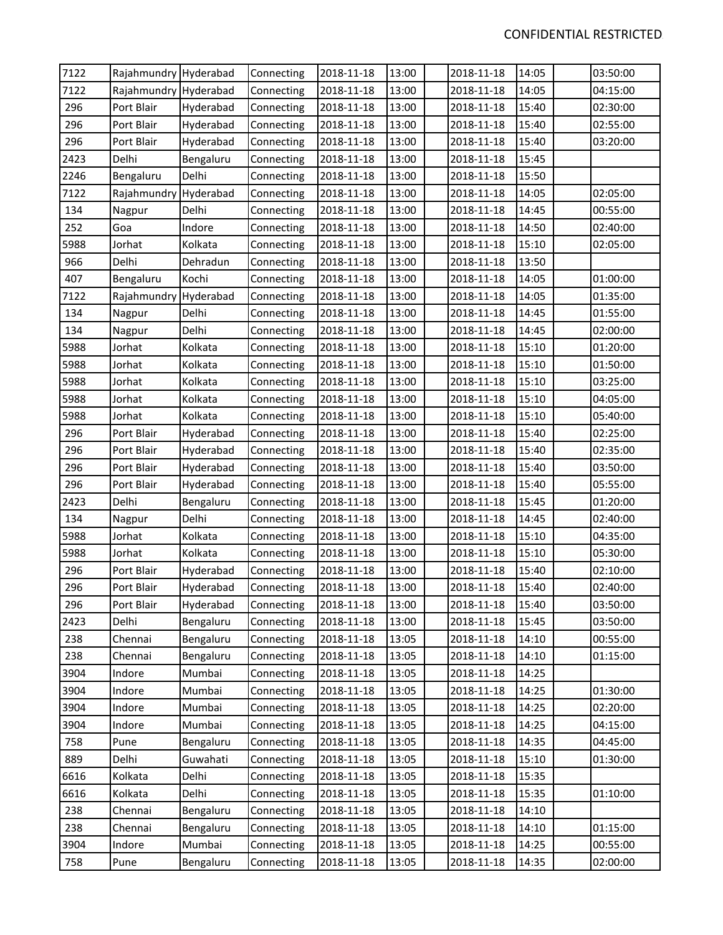| 7122<br>2018-11-18<br>03:50:00<br>Rajahmundry Hyderabad<br>Connecting<br>2018-11-18<br>14:05<br>7122<br>Rajahmundry Hyderabad<br>2018-11-18<br>13:00<br>2018-11-18<br>14:05<br>04:15:00<br>Connecting<br>296<br>Port Blair<br>2018-11-18<br>13:00<br>2018-11-18<br>15:40<br>02:30:00<br>Hyderabad<br>Connecting<br>296<br>Port Blair<br>2018-11-18<br>13:00<br>2018-11-18<br>15:40<br>02:55:00<br>Hyderabad<br>Connecting<br>13:00<br>15:40<br>296<br>Port Blair<br>Hyderabad<br>2018-11-18<br>2018-11-18<br>03:20:00<br>Connecting<br>2423<br>Delhi<br>2018-11-18<br>13:00<br>15:45<br>Bengaluru<br>2018-11-18<br>Connecting<br>Delhi<br>15:50<br>2246<br>Bengaluru<br>2018-11-18<br>13:00<br>2018-11-18<br>Connecting<br>7122<br>Rajahmundry Hyderabad<br>2018-11-18<br>13:00<br>2018-11-18<br>14:05<br>02:05:00<br>Connecting<br>14:45<br>00:55:00<br>134<br>Delhi<br>2018-11-18<br>13:00<br>2018-11-18<br>Nagpur<br>Connecting<br>252<br>Indore<br>Connecting<br>2018-11-18<br>13:00<br>2018-11-18<br>14:50<br>02:40:00<br>Goa<br>15:10<br>5988<br>Jorhat<br>Kolkata<br>2018-11-18<br>13:00<br>2018-11-18<br>02:05:00<br>Connecting<br>Delhi<br>13:00<br>13:50<br>966<br>Dehradun<br>2018-11-18<br>2018-11-18<br>Connecting<br>407<br>Kochi<br>2018-11-18<br>13:00<br>2018-11-18<br>14:05<br>01:00:00<br>Bengaluru<br>Connecting<br>13:00<br>14:05<br>01:35:00<br>7122<br>Rajahmundry Hyderabad<br>2018-11-18<br>2018-11-18<br>Connecting<br>134<br>Delhi<br>2018-11-18<br>13:00<br>14:45<br>01:55:00<br>Nagpur<br>Connecting<br>2018-11-18<br>134<br>Delhi<br>2018-11-18<br>13:00<br>2018-11-18<br>14:45<br>02:00:00<br>Nagpur<br>Connecting<br>5988<br>Jorhat<br>Kolkata<br>2018-11-18<br>13:00<br>15:10<br>01:20:00<br>Connecting<br>2018-11-18<br>5988<br>Jorhat<br>Kolkata<br>2018-11-18<br>13:00<br>2018-11-18<br>15:10<br>01:50:00<br>Connecting<br>5988<br>13:00<br>15:10<br>03:25:00<br>Jorhat<br>Kolkata<br>Connecting<br>2018-11-18<br>2018-11-18<br>5988<br>13:00<br>15:10<br>04:05:00<br>Jorhat<br>Kolkata<br>2018-11-18<br>2018-11-18<br>Connecting<br>15:10<br>5988<br>Kolkata<br>2018-11-18<br>13:00<br>05:40:00<br>Jorhat<br>Connecting<br>2018-11-18<br>296<br>Port Blair<br>2018-11-18<br>13:00<br>2018-11-18<br>15:40<br>02:25:00<br>Hyderabad<br>Connecting<br>296<br>2018-11-18<br>13:00<br>2018-11-18<br>15:40<br>02:35:00<br>Port Blair<br>Hyderabad<br>Connecting<br>13:00<br>15:40<br>296<br>Port Blair<br>Hyderabad<br>2018-11-18<br>2018-11-18<br>03:50:00<br>Connecting<br>296<br>Port Blair<br>2018-11-18<br>13:00<br>15:40<br>05:55:00<br>Hyderabad<br>2018-11-18<br>Connecting<br>Delhi<br>15:45<br>2423<br>2018-11-18<br>13:00<br>2018-11-18<br>01:20:00<br>Bengaluru<br>Connecting<br>134<br>Delhi<br>2018-11-18<br>13:00<br>14:45<br>02:40:00<br>Nagpur<br>Connecting<br>2018-11-18<br>5988<br>Kolkata<br>15:10<br>04:35:00<br>Jorhat<br>2018-11-18<br>13:00<br>2018-11-18<br>Connecting<br>15:10<br>5988<br>Kolkata<br>Connecting<br>2018-11-18<br>13:00<br>2018-11-18<br>05:30:00<br>Jorhat<br>15:40<br>296<br>Port Blair<br>2018-11-18<br>13:00<br>2018-11-18<br>02:10:00<br>Hyderabad<br>Connecting<br>15:40<br>296<br>13:00<br>Port Blair<br>2018-11-18<br>2018-11-18<br>02:40:00<br>Hyderabad<br>Connecting<br>296<br>Port Blair<br>03:50:00<br>Connecting<br>2018-11-18<br>13:00<br>2018-11-18<br>15:40<br>Hyderabad<br>Delhi<br>2018-11-18<br>15:45<br>03:50:00<br>2423<br>Bengaluru<br>Connecting<br>13:00<br>2018-11-18<br>Chennai<br>Bengaluru<br>Connecting<br>2018-11-18<br>13:05<br>2018-11-18<br>00:55:00<br>238<br>14:10<br>238<br>2018-11-18<br>Chennai<br>Bengaluru<br>Connecting<br>13:05<br>2018-11-18<br>14:10<br>01:15:00<br>3904<br>Mumbai<br>Indore<br>Connecting<br>2018-11-18<br>13:05<br>2018-11-18<br>14:25<br>3904<br>Indore<br>Mumbai<br>Connecting<br>2018-11-18<br>13:05<br>2018-11-18<br>14:25<br>01:30:00<br>3904<br>Indore<br>Mumbai<br>Connecting<br>2018-11-18<br>13:05<br>2018-11-18<br>14:25<br>02:20:00<br>3904<br>Indore<br>Mumbai<br>Connecting<br>2018-11-18<br>13:05<br>2018-11-18<br>14:25<br>04:15:00<br>758<br>Pune<br>Connecting<br>2018-11-18<br>13:05<br>2018-11-18<br>14:35<br>04:45:00<br>Bengaluru<br>889<br>Delhi<br>Guwahati<br>Connecting<br>2018-11-18<br>13:05<br>2018-11-18<br>15:10<br>01:30:00<br>6616<br>Kolkata<br>Delhi<br>2018-11-18<br>13:05<br>2018-11-18<br>15:35<br>Connecting<br>Kolkata<br>6616<br>Delhi<br>Connecting<br>2018-11-18<br>13:05<br>2018-11-18<br>15:35<br>01:10:00<br>2018-11-18<br>2018-11-18<br>238<br>Chennai<br>Bengaluru<br>Connecting<br>13:05<br>14:10<br>238<br>01:15:00<br>Chennai<br>Bengaluru<br>Connecting<br>2018-11-18<br>13:05<br>2018-11-18<br>14:10<br>3904<br>Mumbai<br>Connecting<br>14:25<br>00:55:00<br>Indore<br>2018-11-18<br>13:05<br>2018-11-18<br>758<br>13:05<br>14:35<br>02:00:00<br>Pune<br>Bengaluru<br>Connecting<br>2018-11-18<br>2018-11-18 |  |  |       |  |  |
|----------------------------------------------------------------------------------------------------------------------------------------------------------------------------------------------------------------------------------------------------------------------------------------------------------------------------------------------------------------------------------------------------------------------------------------------------------------------------------------------------------------------------------------------------------------------------------------------------------------------------------------------------------------------------------------------------------------------------------------------------------------------------------------------------------------------------------------------------------------------------------------------------------------------------------------------------------------------------------------------------------------------------------------------------------------------------------------------------------------------------------------------------------------------------------------------------------------------------------------------------------------------------------------------------------------------------------------------------------------------------------------------------------------------------------------------------------------------------------------------------------------------------------------------------------------------------------------------------------------------------------------------------------------------------------------------------------------------------------------------------------------------------------------------------------------------------------------------------------------------------------------------------------------------------------------------------------------------------------------------------------------------------------------------------------------------------------------------------------------------------------------------------------------------------------------------------------------------------------------------------------------------------------------------------------------------------------------------------------------------------------------------------------------------------------------------------------------------------------------------------------------------------------------------------------------------------------------------------------------------------------------------------------------------------------------------------------------------------------------------------------------------------------------------------------------------------------------------------------------------------------------------------------------------------------------------------------------------------------------------------------------------------------------------------------------------------------------------------------------------------------------------------------------------------------------------------------------------------------------------------------------------------------------------------------------------------------------------------------------------------------------------------------------------------------------------------------------------------------------------------------------------------------------------------------------------------------------------------------------------------------------------------------------------------------------------------------------------------------------------------------------------------------------------------------------------------------------------------------------------------------------------------------------------------------------------------------------------------------------------------------------------------------------------------------------------------------------------------------------------------------------------------------------------------------------------------------------------------------------------------------------------------------------------------------------------------------------------------------------------------------------------------------------------------------------------------------------------------------------------------------------------------------------------------------------------------------------------------------------------------------------------------------------------------------------------------------------------------------------------------------------------------------------------------------------------------------------------------------------------------------------------------------|--|--|-------|--|--|
|                                                                                                                                                                                                                                                                                                                                                                                                                                                                                                                                                                                                                                                                                                                                                                                                                                                                                                                                                                                                                                                                                                                                                                                                                                                                                                                                                                                                                                                                                                                                                                                                                                                                                                                                                                                                                                                                                                                                                                                                                                                                                                                                                                                                                                                                                                                                                                                                                                                                                                                                                                                                                                                                                                                                                                                                                                                                                                                                                                                                                                                                                                                                                                                                                                                                                                                                                                                                                                                                                                                                                                                                                                                                                                                                                                                                                                                                                                                                                                                                                                                                                                                                                                                                                                                                                                                                                                                                                                                                                                                                                                                                                                                                                                                                                                                                                                                                                                          |  |  | 13:00 |  |  |
|                                                                                                                                                                                                                                                                                                                                                                                                                                                                                                                                                                                                                                                                                                                                                                                                                                                                                                                                                                                                                                                                                                                                                                                                                                                                                                                                                                                                                                                                                                                                                                                                                                                                                                                                                                                                                                                                                                                                                                                                                                                                                                                                                                                                                                                                                                                                                                                                                                                                                                                                                                                                                                                                                                                                                                                                                                                                                                                                                                                                                                                                                                                                                                                                                                                                                                                                                                                                                                                                                                                                                                                                                                                                                                                                                                                                                                                                                                                                                                                                                                                                                                                                                                                                                                                                                                                                                                                                                                                                                                                                                                                                                                                                                                                                                                                                                                                                                                          |  |  |       |  |  |
|                                                                                                                                                                                                                                                                                                                                                                                                                                                                                                                                                                                                                                                                                                                                                                                                                                                                                                                                                                                                                                                                                                                                                                                                                                                                                                                                                                                                                                                                                                                                                                                                                                                                                                                                                                                                                                                                                                                                                                                                                                                                                                                                                                                                                                                                                                                                                                                                                                                                                                                                                                                                                                                                                                                                                                                                                                                                                                                                                                                                                                                                                                                                                                                                                                                                                                                                                                                                                                                                                                                                                                                                                                                                                                                                                                                                                                                                                                                                                                                                                                                                                                                                                                                                                                                                                                                                                                                                                                                                                                                                                                                                                                                                                                                                                                                                                                                                                                          |  |  |       |  |  |
|                                                                                                                                                                                                                                                                                                                                                                                                                                                                                                                                                                                                                                                                                                                                                                                                                                                                                                                                                                                                                                                                                                                                                                                                                                                                                                                                                                                                                                                                                                                                                                                                                                                                                                                                                                                                                                                                                                                                                                                                                                                                                                                                                                                                                                                                                                                                                                                                                                                                                                                                                                                                                                                                                                                                                                                                                                                                                                                                                                                                                                                                                                                                                                                                                                                                                                                                                                                                                                                                                                                                                                                                                                                                                                                                                                                                                                                                                                                                                                                                                                                                                                                                                                                                                                                                                                                                                                                                                                                                                                                                                                                                                                                                                                                                                                                                                                                                                                          |  |  |       |  |  |
|                                                                                                                                                                                                                                                                                                                                                                                                                                                                                                                                                                                                                                                                                                                                                                                                                                                                                                                                                                                                                                                                                                                                                                                                                                                                                                                                                                                                                                                                                                                                                                                                                                                                                                                                                                                                                                                                                                                                                                                                                                                                                                                                                                                                                                                                                                                                                                                                                                                                                                                                                                                                                                                                                                                                                                                                                                                                                                                                                                                                                                                                                                                                                                                                                                                                                                                                                                                                                                                                                                                                                                                                                                                                                                                                                                                                                                                                                                                                                                                                                                                                                                                                                                                                                                                                                                                                                                                                                                                                                                                                                                                                                                                                                                                                                                                                                                                                                                          |  |  |       |  |  |
|                                                                                                                                                                                                                                                                                                                                                                                                                                                                                                                                                                                                                                                                                                                                                                                                                                                                                                                                                                                                                                                                                                                                                                                                                                                                                                                                                                                                                                                                                                                                                                                                                                                                                                                                                                                                                                                                                                                                                                                                                                                                                                                                                                                                                                                                                                                                                                                                                                                                                                                                                                                                                                                                                                                                                                                                                                                                                                                                                                                                                                                                                                                                                                                                                                                                                                                                                                                                                                                                                                                                                                                                                                                                                                                                                                                                                                                                                                                                                                                                                                                                                                                                                                                                                                                                                                                                                                                                                                                                                                                                                                                                                                                                                                                                                                                                                                                                                                          |  |  |       |  |  |
|                                                                                                                                                                                                                                                                                                                                                                                                                                                                                                                                                                                                                                                                                                                                                                                                                                                                                                                                                                                                                                                                                                                                                                                                                                                                                                                                                                                                                                                                                                                                                                                                                                                                                                                                                                                                                                                                                                                                                                                                                                                                                                                                                                                                                                                                                                                                                                                                                                                                                                                                                                                                                                                                                                                                                                                                                                                                                                                                                                                                                                                                                                                                                                                                                                                                                                                                                                                                                                                                                                                                                                                                                                                                                                                                                                                                                                                                                                                                                                                                                                                                                                                                                                                                                                                                                                                                                                                                                                                                                                                                                                                                                                                                                                                                                                                                                                                                                                          |  |  |       |  |  |
|                                                                                                                                                                                                                                                                                                                                                                                                                                                                                                                                                                                                                                                                                                                                                                                                                                                                                                                                                                                                                                                                                                                                                                                                                                                                                                                                                                                                                                                                                                                                                                                                                                                                                                                                                                                                                                                                                                                                                                                                                                                                                                                                                                                                                                                                                                                                                                                                                                                                                                                                                                                                                                                                                                                                                                                                                                                                                                                                                                                                                                                                                                                                                                                                                                                                                                                                                                                                                                                                                                                                                                                                                                                                                                                                                                                                                                                                                                                                                                                                                                                                                                                                                                                                                                                                                                                                                                                                                                                                                                                                                                                                                                                                                                                                                                                                                                                                                                          |  |  |       |  |  |
|                                                                                                                                                                                                                                                                                                                                                                                                                                                                                                                                                                                                                                                                                                                                                                                                                                                                                                                                                                                                                                                                                                                                                                                                                                                                                                                                                                                                                                                                                                                                                                                                                                                                                                                                                                                                                                                                                                                                                                                                                                                                                                                                                                                                                                                                                                                                                                                                                                                                                                                                                                                                                                                                                                                                                                                                                                                                                                                                                                                                                                                                                                                                                                                                                                                                                                                                                                                                                                                                                                                                                                                                                                                                                                                                                                                                                                                                                                                                                                                                                                                                                                                                                                                                                                                                                                                                                                                                                                                                                                                                                                                                                                                                                                                                                                                                                                                                                                          |  |  |       |  |  |
|                                                                                                                                                                                                                                                                                                                                                                                                                                                                                                                                                                                                                                                                                                                                                                                                                                                                                                                                                                                                                                                                                                                                                                                                                                                                                                                                                                                                                                                                                                                                                                                                                                                                                                                                                                                                                                                                                                                                                                                                                                                                                                                                                                                                                                                                                                                                                                                                                                                                                                                                                                                                                                                                                                                                                                                                                                                                                                                                                                                                                                                                                                                                                                                                                                                                                                                                                                                                                                                                                                                                                                                                                                                                                                                                                                                                                                                                                                                                                                                                                                                                                                                                                                                                                                                                                                                                                                                                                                                                                                                                                                                                                                                                                                                                                                                                                                                                                                          |  |  |       |  |  |
|                                                                                                                                                                                                                                                                                                                                                                                                                                                                                                                                                                                                                                                                                                                                                                                                                                                                                                                                                                                                                                                                                                                                                                                                                                                                                                                                                                                                                                                                                                                                                                                                                                                                                                                                                                                                                                                                                                                                                                                                                                                                                                                                                                                                                                                                                                                                                                                                                                                                                                                                                                                                                                                                                                                                                                                                                                                                                                                                                                                                                                                                                                                                                                                                                                                                                                                                                                                                                                                                                                                                                                                                                                                                                                                                                                                                                                                                                                                                                                                                                                                                                                                                                                                                                                                                                                                                                                                                                                                                                                                                                                                                                                                                                                                                                                                                                                                                                                          |  |  |       |  |  |
|                                                                                                                                                                                                                                                                                                                                                                                                                                                                                                                                                                                                                                                                                                                                                                                                                                                                                                                                                                                                                                                                                                                                                                                                                                                                                                                                                                                                                                                                                                                                                                                                                                                                                                                                                                                                                                                                                                                                                                                                                                                                                                                                                                                                                                                                                                                                                                                                                                                                                                                                                                                                                                                                                                                                                                                                                                                                                                                                                                                                                                                                                                                                                                                                                                                                                                                                                                                                                                                                                                                                                                                                                                                                                                                                                                                                                                                                                                                                                                                                                                                                                                                                                                                                                                                                                                                                                                                                                                                                                                                                                                                                                                                                                                                                                                                                                                                                                                          |  |  |       |  |  |
|                                                                                                                                                                                                                                                                                                                                                                                                                                                                                                                                                                                                                                                                                                                                                                                                                                                                                                                                                                                                                                                                                                                                                                                                                                                                                                                                                                                                                                                                                                                                                                                                                                                                                                                                                                                                                                                                                                                                                                                                                                                                                                                                                                                                                                                                                                                                                                                                                                                                                                                                                                                                                                                                                                                                                                                                                                                                                                                                                                                                                                                                                                                                                                                                                                                                                                                                                                                                                                                                                                                                                                                                                                                                                                                                                                                                                                                                                                                                                                                                                                                                                                                                                                                                                                                                                                                                                                                                                                                                                                                                                                                                                                                                                                                                                                                                                                                                                                          |  |  |       |  |  |
|                                                                                                                                                                                                                                                                                                                                                                                                                                                                                                                                                                                                                                                                                                                                                                                                                                                                                                                                                                                                                                                                                                                                                                                                                                                                                                                                                                                                                                                                                                                                                                                                                                                                                                                                                                                                                                                                                                                                                                                                                                                                                                                                                                                                                                                                                                                                                                                                                                                                                                                                                                                                                                                                                                                                                                                                                                                                                                                                                                                                                                                                                                                                                                                                                                                                                                                                                                                                                                                                                                                                                                                                                                                                                                                                                                                                                                                                                                                                                                                                                                                                                                                                                                                                                                                                                                                                                                                                                                                                                                                                                                                                                                                                                                                                                                                                                                                                                                          |  |  |       |  |  |
|                                                                                                                                                                                                                                                                                                                                                                                                                                                                                                                                                                                                                                                                                                                                                                                                                                                                                                                                                                                                                                                                                                                                                                                                                                                                                                                                                                                                                                                                                                                                                                                                                                                                                                                                                                                                                                                                                                                                                                                                                                                                                                                                                                                                                                                                                                                                                                                                                                                                                                                                                                                                                                                                                                                                                                                                                                                                                                                                                                                                                                                                                                                                                                                                                                                                                                                                                                                                                                                                                                                                                                                                                                                                                                                                                                                                                                                                                                                                                                                                                                                                                                                                                                                                                                                                                                                                                                                                                                                                                                                                                                                                                                                                                                                                                                                                                                                                                                          |  |  |       |  |  |
|                                                                                                                                                                                                                                                                                                                                                                                                                                                                                                                                                                                                                                                                                                                                                                                                                                                                                                                                                                                                                                                                                                                                                                                                                                                                                                                                                                                                                                                                                                                                                                                                                                                                                                                                                                                                                                                                                                                                                                                                                                                                                                                                                                                                                                                                                                                                                                                                                                                                                                                                                                                                                                                                                                                                                                                                                                                                                                                                                                                                                                                                                                                                                                                                                                                                                                                                                                                                                                                                                                                                                                                                                                                                                                                                                                                                                                                                                                                                                                                                                                                                                                                                                                                                                                                                                                                                                                                                                                                                                                                                                                                                                                                                                                                                                                                                                                                                                                          |  |  |       |  |  |
|                                                                                                                                                                                                                                                                                                                                                                                                                                                                                                                                                                                                                                                                                                                                                                                                                                                                                                                                                                                                                                                                                                                                                                                                                                                                                                                                                                                                                                                                                                                                                                                                                                                                                                                                                                                                                                                                                                                                                                                                                                                                                                                                                                                                                                                                                                                                                                                                                                                                                                                                                                                                                                                                                                                                                                                                                                                                                                                                                                                                                                                                                                                                                                                                                                                                                                                                                                                                                                                                                                                                                                                                                                                                                                                                                                                                                                                                                                                                                                                                                                                                                                                                                                                                                                                                                                                                                                                                                                                                                                                                                                                                                                                                                                                                                                                                                                                                                                          |  |  |       |  |  |
|                                                                                                                                                                                                                                                                                                                                                                                                                                                                                                                                                                                                                                                                                                                                                                                                                                                                                                                                                                                                                                                                                                                                                                                                                                                                                                                                                                                                                                                                                                                                                                                                                                                                                                                                                                                                                                                                                                                                                                                                                                                                                                                                                                                                                                                                                                                                                                                                                                                                                                                                                                                                                                                                                                                                                                                                                                                                                                                                                                                                                                                                                                                                                                                                                                                                                                                                                                                                                                                                                                                                                                                                                                                                                                                                                                                                                                                                                                                                                                                                                                                                                                                                                                                                                                                                                                                                                                                                                                                                                                                                                                                                                                                                                                                                                                                                                                                                                                          |  |  |       |  |  |
|                                                                                                                                                                                                                                                                                                                                                                                                                                                                                                                                                                                                                                                                                                                                                                                                                                                                                                                                                                                                                                                                                                                                                                                                                                                                                                                                                                                                                                                                                                                                                                                                                                                                                                                                                                                                                                                                                                                                                                                                                                                                                                                                                                                                                                                                                                                                                                                                                                                                                                                                                                                                                                                                                                                                                                                                                                                                                                                                                                                                                                                                                                                                                                                                                                                                                                                                                                                                                                                                                                                                                                                                                                                                                                                                                                                                                                                                                                                                                                                                                                                                                                                                                                                                                                                                                                                                                                                                                                                                                                                                                                                                                                                                                                                                                                                                                                                                                                          |  |  |       |  |  |
|                                                                                                                                                                                                                                                                                                                                                                                                                                                                                                                                                                                                                                                                                                                                                                                                                                                                                                                                                                                                                                                                                                                                                                                                                                                                                                                                                                                                                                                                                                                                                                                                                                                                                                                                                                                                                                                                                                                                                                                                                                                                                                                                                                                                                                                                                                                                                                                                                                                                                                                                                                                                                                                                                                                                                                                                                                                                                                                                                                                                                                                                                                                                                                                                                                                                                                                                                                                                                                                                                                                                                                                                                                                                                                                                                                                                                                                                                                                                                                                                                                                                                                                                                                                                                                                                                                                                                                                                                                                                                                                                                                                                                                                                                                                                                                                                                                                                                                          |  |  |       |  |  |
|                                                                                                                                                                                                                                                                                                                                                                                                                                                                                                                                                                                                                                                                                                                                                                                                                                                                                                                                                                                                                                                                                                                                                                                                                                                                                                                                                                                                                                                                                                                                                                                                                                                                                                                                                                                                                                                                                                                                                                                                                                                                                                                                                                                                                                                                                                                                                                                                                                                                                                                                                                                                                                                                                                                                                                                                                                                                                                                                                                                                                                                                                                                                                                                                                                                                                                                                                                                                                                                                                                                                                                                                                                                                                                                                                                                                                                                                                                                                                                                                                                                                                                                                                                                                                                                                                                                                                                                                                                                                                                                                                                                                                                                                                                                                                                                                                                                                                                          |  |  |       |  |  |
|                                                                                                                                                                                                                                                                                                                                                                                                                                                                                                                                                                                                                                                                                                                                                                                                                                                                                                                                                                                                                                                                                                                                                                                                                                                                                                                                                                                                                                                                                                                                                                                                                                                                                                                                                                                                                                                                                                                                                                                                                                                                                                                                                                                                                                                                                                                                                                                                                                                                                                                                                                                                                                                                                                                                                                                                                                                                                                                                                                                                                                                                                                                                                                                                                                                                                                                                                                                                                                                                                                                                                                                                                                                                                                                                                                                                                                                                                                                                                                                                                                                                                                                                                                                                                                                                                                                                                                                                                                                                                                                                                                                                                                                                                                                                                                                                                                                                                                          |  |  |       |  |  |
|                                                                                                                                                                                                                                                                                                                                                                                                                                                                                                                                                                                                                                                                                                                                                                                                                                                                                                                                                                                                                                                                                                                                                                                                                                                                                                                                                                                                                                                                                                                                                                                                                                                                                                                                                                                                                                                                                                                                                                                                                                                                                                                                                                                                                                                                                                                                                                                                                                                                                                                                                                                                                                                                                                                                                                                                                                                                                                                                                                                                                                                                                                                                                                                                                                                                                                                                                                                                                                                                                                                                                                                                                                                                                                                                                                                                                                                                                                                                                                                                                                                                                                                                                                                                                                                                                                                                                                                                                                                                                                                                                                                                                                                                                                                                                                                                                                                                                                          |  |  |       |  |  |
|                                                                                                                                                                                                                                                                                                                                                                                                                                                                                                                                                                                                                                                                                                                                                                                                                                                                                                                                                                                                                                                                                                                                                                                                                                                                                                                                                                                                                                                                                                                                                                                                                                                                                                                                                                                                                                                                                                                                                                                                                                                                                                                                                                                                                                                                                                                                                                                                                                                                                                                                                                                                                                                                                                                                                                                                                                                                                                                                                                                                                                                                                                                                                                                                                                                                                                                                                                                                                                                                                                                                                                                                                                                                                                                                                                                                                                                                                                                                                                                                                                                                                                                                                                                                                                                                                                                                                                                                                                                                                                                                                                                                                                                                                                                                                                                                                                                                                                          |  |  |       |  |  |
|                                                                                                                                                                                                                                                                                                                                                                                                                                                                                                                                                                                                                                                                                                                                                                                                                                                                                                                                                                                                                                                                                                                                                                                                                                                                                                                                                                                                                                                                                                                                                                                                                                                                                                                                                                                                                                                                                                                                                                                                                                                                                                                                                                                                                                                                                                                                                                                                                                                                                                                                                                                                                                                                                                                                                                                                                                                                                                                                                                                                                                                                                                                                                                                                                                                                                                                                                                                                                                                                                                                                                                                                                                                                                                                                                                                                                                                                                                                                                                                                                                                                                                                                                                                                                                                                                                                                                                                                                                                                                                                                                                                                                                                                                                                                                                                                                                                                                                          |  |  |       |  |  |
|                                                                                                                                                                                                                                                                                                                                                                                                                                                                                                                                                                                                                                                                                                                                                                                                                                                                                                                                                                                                                                                                                                                                                                                                                                                                                                                                                                                                                                                                                                                                                                                                                                                                                                                                                                                                                                                                                                                                                                                                                                                                                                                                                                                                                                                                                                                                                                                                                                                                                                                                                                                                                                                                                                                                                                                                                                                                                                                                                                                                                                                                                                                                                                                                                                                                                                                                                                                                                                                                                                                                                                                                                                                                                                                                                                                                                                                                                                                                                                                                                                                                                                                                                                                                                                                                                                                                                                                                                                                                                                                                                                                                                                                                                                                                                                                                                                                                                                          |  |  |       |  |  |
|                                                                                                                                                                                                                                                                                                                                                                                                                                                                                                                                                                                                                                                                                                                                                                                                                                                                                                                                                                                                                                                                                                                                                                                                                                                                                                                                                                                                                                                                                                                                                                                                                                                                                                                                                                                                                                                                                                                                                                                                                                                                                                                                                                                                                                                                                                                                                                                                                                                                                                                                                                                                                                                                                                                                                                                                                                                                                                                                                                                                                                                                                                                                                                                                                                                                                                                                                                                                                                                                                                                                                                                                                                                                                                                                                                                                                                                                                                                                                                                                                                                                                                                                                                                                                                                                                                                                                                                                                                                                                                                                                                                                                                                                                                                                                                                                                                                                                                          |  |  |       |  |  |
|                                                                                                                                                                                                                                                                                                                                                                                                                                                                                                                                                                                                                                                                                                                                                                                                                                                                                                                                                                                                                                                                                                                                                                                                                                                                                                                                                                                                                                                                                                                                                                                                                                                                                                                                                                                                                                                                                                                                                                                                                                                                                                                                                                                                                                                                                                                                                                                                                                                                                                                                                                                                                                                                                                                                                                                                                                                                                                                                                                                                                                                                                                                                                                                                                                                                                                                                                                                                                                                                                                                                                                                                                                                                                                                                                                                                                                                                                                                                                                                                                                                                                                                                                                                                                                                                                                                                                                                                                                                                                                                                                                                                                                                                                                                                                                                                                                                                                                          |  |  |       |  |  |
|                                                                                                                                                                                                                                                                                                                                                                                                                                                                                                                                                                                                                                                                                                                                                                                                                                                                                                                                                                                                                                                                                                                                                                                                                                                                                                                                                                                                                                                                                                                                                                                                                                                                                                                                                                                                                                                                                                                                                                                                                                                                                                                                                                                                                                                                                                                                                                                                                                                                                                                                                                                                                                                                                                                                                                                                                                                                                                                                                                                                                                                                                                                                                                                                                                                                                                                                                                                                                                                                                                                                                                                                                                                                                                                                                                                                                                                                                                                                                                                                                                                                                                                                                                                                                                                                                                                                                                                                                                                                                                                                                                                                                                                                                                                                                                                                                                                                                                          |  |  |       |  |  |
|                                                                                                                                                                                                                                                                                                                                                                                                                                                                                                                                                                                                                                                                                                                                                                                                                                                                                                                                                                                                                                                                                                                                                                                                                                                                                                                                                                                                                                                                                                                                                                                                                                                                                                                                                                                                                                                                                                                                                                                                                                                                                                                                                                                                                                                                                                                                                                                                                                                                                                                                                                                                                                                                                                                                                                                                                                                                                                                                                                                                                                                                                                                                                                                                                                                                                                                                                                                                                                                                                                                                                                                                                                                                                                                                                                                                                                                                                                                                                                                                                                                                                                                                                                                                                                                                                                                                                                                                                                                                                                                                                                                                                                                                                                                                                                                                                                                                                                          |  |  |       |  |  |
|                                                                                                                                                                                                                                                                                                                                                                                                                                                                                                                                                                                                                                                                                                                                                                                                                                                                                                                                                                                                                                                                                                                                                                                                                                                                                                                                                                                                                                                                                                                                                                                                                                                                                                                                                                                                                                                                                                                                                                                                                                                                                                                                                                                                                                                                                                                                                                                                                                                                                                                                                                                                                                                                                                                                                                                                                                                                                                                                                                                                                                                                                                                                                                                                                                                                                                                                                                                                                                                                                                                                                                                                                                                                                                                                                                                                                                                                                                                                                                                                                                                                                                                                                                                                                                                                                                                                                                                                                                                                                                                                                                                                                                                                                                                                                                                                                                                                                                          |  |  |       |  |  |
|                                                                                                                                                                                                                                                                                                                                                                                                                                                                                                                                                                                                                                                                                                                                                                                                                                                                                                                                                                                                                                                                                                                                                                                                                                                                                                                                                                                                                                                                                                                                                                                                                                                                                                                                                                                                                                                                                                                                                                                                                                                                                                                                                                                                                                                                                                                                                                                                                                                                                                                                                                                                                                                                                                                                                                                                                                                                                                                                                                                                                                                                                                                                                                                                                                                                                                                                                                                                                                                                                                                                                                                                                                                                                                                                                                                                                                                                                                                                                                                                                                                                                                                                                                                                                                                                                                                                                                                                                                                                                                                                                                                                                                                                                                                                                                                                                                                                                                          |  |  |       |  |  |
|                                                                                                                                                                                                                                                                                                                                                                                                                                                                                                                                                                                                                                                                                                                                                                                                                                                                                                                                                                                                                                                                                                                                                                                                                                                                                                                                                                                                                                                                                                                                                                                                                                                                                                                                                                                                                                                                                                                                                                                                                                                                                                                                                                                                                                                                                                                                                                                                                                                                                                                                                                                                                                                                                                                                                                                                                                                                                                                                                                                                                                                                                                                                                                                                                                                                                                                                                                                                                                                                                                                                                                                                                                                                                                                                                                                                                                                                                                                                                                                                                                                                                                                                                                                                                                                                                                                                                                                                                                                                                                                                                                                                                                                                                                                                                                                                                                                                                                          |  |  |       |  |  |
|                                                                                                                                                                                                                                                                                                                                                                                                                                                                                                                                                                                                                                                                                                                                                                                                                                                                                                                                                                                                                                                                                                                                                                                                                                                                                                                                                                                                                                                                                                                                                                                                                                                                                                                                                                                                                                                                                                                                                                                                                                                                                                                                                                                                                                                                                                                                                                                                                                                                                                                                                                                                                                                                                                                                                                                                                                                                                                                                                                                                                                                                                                                                                                                                                                                                                                                                                                                                                                                                                                                                                                                                                                                                                                                                                                                                                                                                                                                                                                                                                                                                                                                                                                                                                                                                                                                                                                                                                                                                                                                                                                                                                                                                                                                                                                                                                                                                                                          |  |  |       |  |  |
|                                                                                                                                                                                                                                                                                                                                                                                                                                                                                                                                                                                                                                                                                                                                                                                                                                                                                                                                                                                                                                                                                                                                                                                                                                                                                                                                                                                                                                                                                                                                                                                                                                                                                                                                                                                                                                                                                                                                                                                                                                                                                                                                                                                                                                                                                                                                                                                                                                                                                                                                                                                                                                                                                                                                                                                                                                                                                                                                                                                                                                                                                                                                                                                                                                                                                                                                                                                                                                                                                                                                                                                                                                                                                                                                                                                                                                                                                                                                                                                                                                                                                                                                                                                                                                                                                                                                                                                                                                                                                                                                                                                                                                                                                                                                                                                                                                                                                                          |  |  |       |  |  |
|                                                                                                                                                                                                                                                                                                                                                                                                                                                                                                                                                                                                                                                                                                                                                                                                                                                                                                                                                                                                                                                                                                                                                                                                                                                                                                                                                                                                                                                                                                                                                                                                                                                                                                                                                                                                                                                                                                                                                                                                                                                                                                                                                                                                                                                                                                                                                                                                                                                                                                                                                                                                                                                                                                                                                                                                                                                                                                                                                                                                                                                                                                                                                                                                                                                                                                                                                                                                                                                                                                                                                                                                                                                                                                                                                                                                                                                                                                                                                                                                                                                                                                                                                                                                                                                                                                                                                                                                                                                                                                                                                                                                                                                                                                                                                                                                                                                                                                          |  |  |       |  |  |
|                                                                                                                                                                                                                                                                                                                                                                                                                                                                                                                                                                                                                                                                                                                                                                                                                                                                                                                                                                                                                                                                                                                                                                                                                                                                                                                                                                                                                                                                                                                                                                                                                                                                                                                                                                                                                                                                                                                                                                                                                                                                                                                                                                                                                                                                                                                                                                                                                                                                                                                                                                                                                                                                                                                                                                                                                                                                                                                                                                                                                                                                                                                                                                                                                                                                                                                                                                                                                                                                                                                                                                                                                                                                                                                                                                                                                                                                                                                                                                                                                                                                                                                                                                                                                                                                                                                                                                                                                                                                                                                                                                                                                                                                                                                                                                                                                                                                                                          |  |  |       |  |  |
|                                                                                                                                                                                                                                                                                                                                                                                                                                                                                                                                                                                                                                                                                                                                                                                                                                                                                                                                                                                                                                                                                                                                                                                                                                                                                                                                                                                                                                                                                                                                                                                                                                                                                                                                                                                                                                                                                                                                                                                                                                                                                                                                                                                                                                                                                                                                                                                                                                                                                                                                                                                                                                                                                                                                                                                                                                                                                                                                                                                                                                                                                                                                                                                                                                                                                                                                                                                                                                                                                                                                                                                                                                                                                                                                                                                                                                                                                                                                                                                                                                                                                                                                                                                                                                                                                                                                                                                                                                                                                                                                                                                                                                                                                                                                                                                                                                                                                                          |  |  |       |  |  |
|                                                                                                                                                                                                                                                                                                                                                                                                                                                                                                                                                                                                                                                                                                                                                                                                                                                                                                                                                                                                                                                                                                                                                                                                                                                                                                                                                                                                                                                                                                                                                                                                                                                                                                                                                                                                                                                                                                                                                                                                                                                                                                                                                                                                                                                                                                                                                                                                                                                                                                                                                                                                                                                                                                                                                                                                                                                                                                                                                                                                                                                                                                                                                                                                                                                                                                                                                                                                                                                                                                                                                                                                                                                                                                                                                                                                                                                                                                                                                                                                                                                                                                                                                                                                                                                                                                                                                                                                                                                                                                                                                                                                                                                                                                                                                                                                                                                                                                          |  |  |       |  |  |
|                                                                                                                                                                                                                                                                                                                                                                                                                                                                                                                                                                                                                                                                                                                                                                                                                                                                                                                                                                                                                                                                                                                                                                                                                                                                                                                                                                                                                                                                                                                                                                                                                                                                                                                                                                                                                                                                                                                                                                                                                                                                                                                                                                                                                                                                                                                                                                                                                                                                                                                                                                                                                                                                                                                                                                                                                                                                                                                                                                                                                                                                                                                                                                                                                                                                                                                                                                                                                                                                                                                                                                                                                                                                                                                                                                                                                                                                                                                                                                                                                                                                                                                                                                                                                                                                                                                                                                                                                                                                                                                                                                                                                                                                                                                                                                                                                                                                                                          |  |  |       |  |  |
|                                                                                                                                                                                                                                                                                                                                                                                                                                                                                                                                                                                                                                                                                                                                                                                                                                                                                                                                                                                                                                                                                                                                                                                                                                                                                                                                                                                                                                                                                                                                                                                                                                                                                                                                                                                                                                                                                                                                                                                                                                                                                                                                                                                                                                                                                                                                                                                                                                                                                                                                                                                                                                                                                                                                                                                                                                                                                                                                                                                                                                                                                                                                                                                                                                                                                                                                                                                                                                                                                                                                                                                                                                                                                                                                                                                                                                                                                                                                                                                                                                                                                                                                                                                                                                                                                                                                                                                                                                                                                                                                                                                                                                                                                                                                                                                                                                                                                                          |  |  |       |  |  |
|                                                                                                                                                                                                                                                                                                                                                                                                                                                                                                                                                                                                                                                                                                                                                                                                                                                                                                                                                                                                                                                                                                                                                                                                                                                                                                                                                                                                                                                                                                                                                                                                                                                                                                                                                                                                                                                                                                                                                                                                                                                                                                                                                                                                                                                                                                                                                                                                                                                                                                                                                                                                                                                                                                                                                                                                                                                                                                                                                                                                                                                                                                                                                                                                                                                                                                                                                                                                                                                                                                                                                                                                                                                                                                                                                                                                                                                                                                                                                                                                                                                                                                                                                                                                                                                                                                                                                                                                                                                                                                                                                                                                                                                                                                                                                                                                                                                                                                          |  |  |       |  |  |
|                                                                                                                                                                                                                                                                                                                                                                                                                                                                                                                                                                                                                                                                                                                                                                                                                                                                                                                                                                                                                                                                                                                                                                                                                                                                                                                                                                                                                                                                                                                                                                                                                                                                                                                                                                                                                                                                                                                                                                                                                                                                                                                                                                                                                                                                                                                                                                                                                                                                                                                                                                                                                                                                                                                                                                                                                                                                                                                                                                                                                                                                                                                                                                                                                                                                                                                                                                                                                                                                                                                                                                                                                                                                                                                                                                                                                                                                                                                                                                                                                                                                                                                                                                                                                                                                                                                                                                                                                                                                                                                                                                                                                                                                                                                                                                                                                                                                                                          |  |  |       |  |  |
|                                                                                                                                                                                                                                                                                                                                                                                                                                                                                                                                                                                                                                                                                                                                                                                                                                                                                                                                                                                                                                                                                                                                                                                                                                                                                                                                                                                                                                                                                                                                                                                                                                                                                                                                                                                                                                                                                                                                                                                                                                                                                                                                                                                                                                                                                                                                                                                                                                                                                                                                                                                                                                                                                                                                                                                                                                                                                                                                                                                                                                                                                                                                                                                                                                                                                                                                                                                                                                                                                                                                                                                                                                                                                                                                                                                                                                                                                                                                                                                                                                                                                                                                                                                                                                                                                                                                                                                                                                                                                                                                                                                                                                                                                                                                                                                                                                                                                                          |  |  |       |  |  |
|                                                                                                                                                                                                                                                                                                                                                                                                                                                                                                                                                                                                                                                                                                                                                                                                                                                                                                                                                                                                                                                                                                                                                                                                                                                                                                                                                                                                                                                                                                                                                                                                                                                                                                                                                                                                                                                                                                                                                                                                                                                                                                                                                                                                                                                                                                                                                                                                                                                                                                                                                                                                                                                                                                                                                                                                                                                                                                                                                                                                                                                                                                                                                                                                                                                                                                                                                                                                                                                                                                                                                                                                                                                                                                                                                                                                                                                                                                                                                                                                                                                                                                                                                                                                                                                                                                                                                                                                                                                                                                                                                                                                                                                                                                                                                                                                                                                                                                          |  |  |       |  |  |
|                                                                                                                                                                                                                                                                                                                                                                                                                                                                                                                                                                                                                                                                                                                                                                                                                                                                                                                                                                                                                                                                                                                                                                                                                                                                                                                                                                                                                                                                                                                                                                                                                                                                                                                                                                                                                                                                                                                                                                                                                                                                                                                                                                                                                                                                                                                                                                                                                                                                                                                                                                                                                                                                                                                                                                                                                                                                                                                                                                                                                                                                                                                                                                                                                                                                                                                                                                                                                                                                                                                                                                                                                                                                                                                                                                                                                                                                                                                                                                                                                                                                                                                                                                                                                                                                                                                                                                                                                                                                                                                                                                                                                                                                                                                                                                                                                                                                                                          |  |  |       |  |  |
|                                                                                                                                                                                                                                                                                                                                                                                                                                                                                                                                                                                                                                                                                                                                                                                                                                                                                                                                                                                                                                                                                                                                                                                                                                                                                                                                                                                                                                                                                                                                                                                                                                                                                                                                                                                                                                                                                                                                                                                                                                                                                                                                                                                                                                                                                                                                                                                                                                                                                                                                                                                                                                                                                                                                                                                                                                                                                                                                                                                                                                                                                                                                                                                                                                                                                                                                                                                                                                                                                                                                                                                                                                                                                                                                                                                                                                                                                                                                                                                                                                                                                                                                                                                                                                                                                                                                                                                                                                                                                                                                                                                                                                                                                                                                                                                                                                                                                                          |  |  |       |  |  |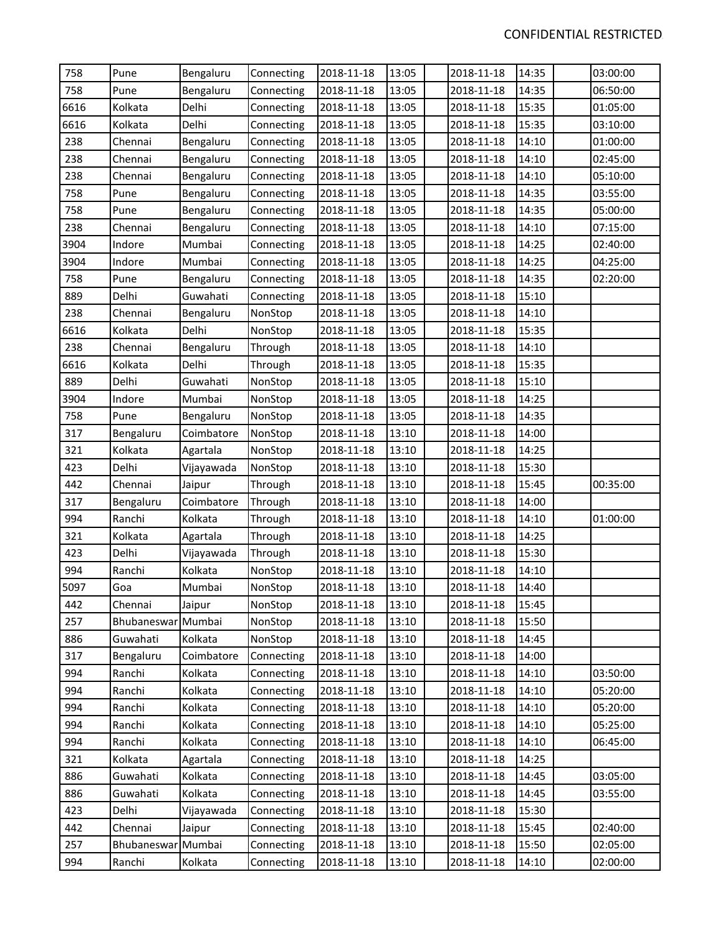| 758  | Pune               | Bengaluru  | Connecting | 2018-11-18 | 13:05 | 2018-11-18 | 14:35 | 03:00:00 |
|------|--------------------|------------|------------|------------|-------|------------|-------|----------|
| 758  | Pune               | Bengaluru  | Connecting | 2018-11-18 | 13:05 | 2018-11-18 | 14:35 | 06:50:00 |
| 6616 | Kolkata            | Delhi      | Connecting | 2018-11-18 | 13:05 | 2018-11-18 | 15:35 | 01:05:00 |
| 6616 | Kolkata            | Delhi      | Connecting | 2018-11-18 | 13:05 | 2018-11-18 | 15:35 | 03:10:00 |
| 238  | Chennai            | Bengaluru  | Connecting | 2018-11-18 | 13:05 | 2018-11-18 | 14:10 | 01:00:00 |
| 238  | Chennai            | Bengaluru  | Connecting | 2018-11-18 | 13:05 | 2018-11-18 | 14:10 | 02:45:00 |
| 238  | Chennai            | Bengaluru  | Connecting | 2018-11-18 | 13:05 | 2018-11-18 | 14:10 | 05:10:00 |
| 758  | Pune               | Bengaluru  | Connecting | 2018-11-18 | 13:05 | 2018-11-18 | 14:35 | 03:55:00 |
| 758  | Pune               | Bengaluru  | Connecting | 2018-11-18 | 13:05 | 2018-11-18 | 14:35 | 05:00:00 |
| 238  | Chennai            | Bengaluru  | Connecting | 2018-11-18 | 13:05 | 2018-11-18 | 14:10 | 07:15:00 |
| 3904 | Indore             | Mumbai     | Connecting | 2018-11-18 | 13:05 | 2018-11-18 | 14:25 | 02:40:00 |
| 3904 | Indore             | Mumbai     | Connecting | 2018-11-18 | 13:05 | 2018-11-18 | 14:25 | 04:25:00 |
| 758  | Pune               | Bengaluru  | Connecting | 2018-11-18 | 13:05 | 2018-11-18 | 14:35 | 02:20:00 |
| 889  | Delhi              | Guwahati   | Connecting | 2018-11-18 | 13:05 | 2018-11-18 | 15:10 |          |
| 238  | Chennai            | Bengaluru  | NonStop    | 2018-11-18 | 13:05 | 2018-11-18 | 14:10 |          |
| 6616 | Kolkata            | Delhi      | NonStop    | 2018-11-18 | 13:05 | 2018-11-18 | 15:35 |          |
| 238  | Chennai            | Bengaluru  | Through    | 2018-11-18 | 13:05 | 2018-11-18 | 14:10 |          |
| 6616 | Kolkata            | Delhi      | Through    | 2018-11-18 | 13:05 | 2018-11-18 | 15:35 |          |
| 889  | Delhi              | Guwahati   | NonStop    | 2018-11-18 | 13:05 | 2018-11-18 | 15:10 |          |
| 3904 | Indore             | Mumbai     | NonStop    | 2018-11-18 | 13:05 | 2018-11-18 | 14:25 |          |
| 758  | Pune               | Bengaluru  | NonStop    | 2018-11-18 | 13:05 | 2018-11-18 | 14:35 |          |
| 317  | Bengaluru          | Coimbatore | NonStop    | 2018-11-18 | 13:10 | 2018-11-18 | 14:00 |          |
| 321  | Kolkata            | Agartala   | NonStop    | 2018-11-18 | 13:10 | 2018-11-18 | 14:25 |          |
| 423  | Delhi              | Vijayawada | NonStop    | 2018-11-18 | 13:10 | 2018-11-18 | 15:30 |          |
| 442  | Chennai            | Jaipur     | Through    | 2018-11-18 | 13:10 | 2018-11-18 | 15:45 | 00:35:00 |
| 317  | Bengaluru          | Coimbatore | Through    | 2018-11-18 | 13:10 | 2018-11-18 | 14:00 |          |
| 994  | Ranchi             | Kolkata    | Through    | 2018-11-18 | 13:10 | 2018-11-18 | 14:10 | 01:00:00 |
| 321  | Kolkata            | Agartala   | Through    | 2018-11-18 | 13:10 | 2018-11-18 | 14:25 |          |
| 423  | Delhi              | Vijayawada | Through    | 2018-11-18 | 13:10 | 2018-11-18 | 15:30 |          |
| 994  | Ranchi             | Kolkata    | NonStop    | 2018-11-18 | 13:10 | 2018-11-18 | 14:10 |          |
| 5097 | Goa                | Mumbai     | NonStop    | 2018-11-18 | 13:10 | 2018-11-18 | 14:40 |          |
| 442  | Chennai            | Jaipur     | NonStop    | 2018-11-18 | 13:10 | 2018-11-18 | 15:45 |          |
| 257  | Bhubaneswar Mumbai |            | NonStop    | 2018-11-18 | 13:10 | 2018-11-18 | 15:50 |          |
| 886  | Guwahati           | Kolkata    | NonStop    | 2018-11-18 | 13:10 | 2018-11-18 | 14:45 |          |
| 317  | Bengaluru          | Coimbatore | Connecting | 2018-11-18 | 13:10 | 2018-11-18 | 14:00 |          |
| 994  | Ranchi             | Kolkata    | Connecting | 2018-11-18 | 13:10 | 2018-11-18 | 14:10 | 03:50:00 |
| 994  | Ranchi             | Kolkata    | Connecting | 2018-11-18 | 13:10 | 2018-11-18 | 14:10 | 05:20:00 |
| 994  | Ranchi             | Kolkata    | Connecting | 2018-11-18 | 13:10 | 2018-11-18 | 14:10 | 05:20:00 |
| 994  | Ranchi             | Kolkata    | Connecting | 2018-11-18 | 13:10 | 2018-11-18 | 14:10 | 05:25:00 |
| 994  | Ranchi             | Kolkata    | Connecting | 2018-11-18 | 13:10 | 2018-11-18 | 14:10 | 06:45:00 |
| 321  | Kolkata            | Agartala   | Connecting | 2018-11-18 | 13:10 | 2018-11-18 | 14:25 |          |
| 886  | Guwahati           | Kolkata    | Connecting | 2018-11-18 | 13:10 | 2018-11-18 | 14:45 | 03:05:00 |
| 886  | Guwahati           | Kolkata    | Connecting | 2018-11-18 | 13:10 | 2018-11-18 | 14:45 | 03:55:00 |
| 423  | Delhi              | Vijayawada | Connecting | 2018-11-18 | 13:10 | 2018-11-18 | 15:30 |          |
| 442  | Chennai            | Jaipur     | Connecting | 2018-11-18 | 13:10 | 2018-11-18 | 15:45 | 02:40:00 |
| 257  | Bhubaneswar        | Mumbai     | Connecting | 2018-11-18 | 13:10 | 2018-11-18 | 15:50 | 02:05:00 |
| 994  | Ranchi             | Kolkata    | Connecting | 2018-11-18 | 13:10 | 2018-11-18 | 14:10 | 02:00:00 |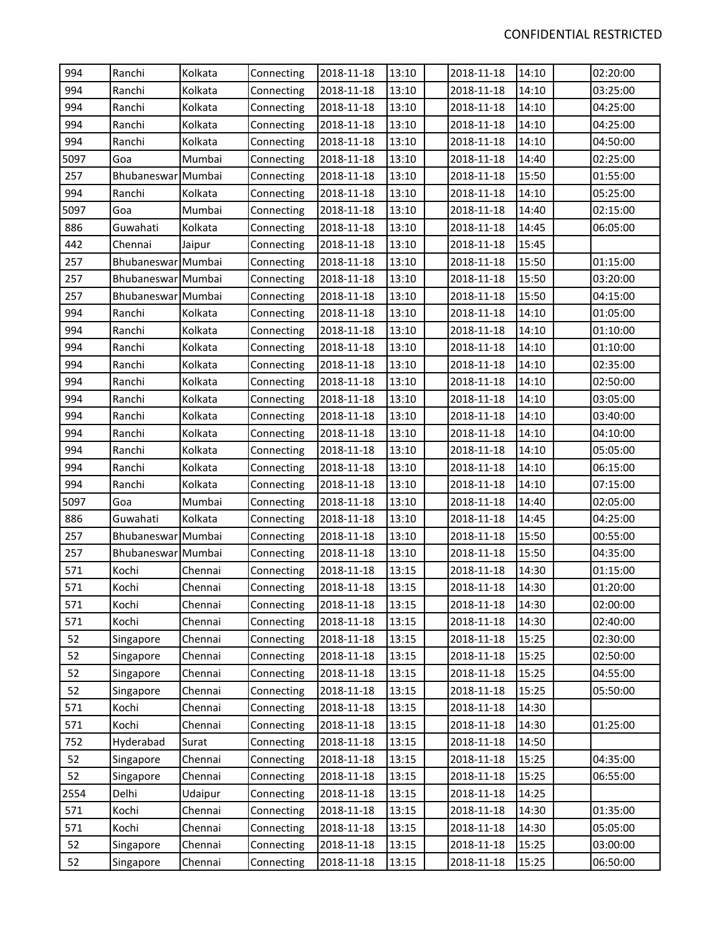| 994<br>994<br>994<br>994<br>994 | Ranchi<br>Ranchi<br>Ranchi<br>Ranchi<br>Ranchi<br>Goa<br>Bhubaneswar Mumbai | Kolkata<br>Kolkata<br>Kolkata<br>Kolkata<br>Kolkata | Connecting<br>Connecting<br>Connecting<br>Connecting | 2018-11-18<br>2018-11-18<br>2018-11-18 | 13:10<br>13:10<br>13:10 | 2018-11-18<br>2018-11-18<br>2018-11-18 | 14:10<br>14:10<br>14:10 | 02:20:00<br>03:25:00 |
|---------------------------------|-----------------------------------------------------------------------------|-----------------------------------------------------|------------------------------------------------------|----------------------------------------|-------------------------|----------------------------------------|-------------------------|----------------------|
|                                 |                                                                             |                                                     |                                                      |                                        |                         |                                        |                         |                      |
|                                 |                                                                             |                                                     |                                                      |                                        |                         |                                        |                         |                      |
|                                 |                                                                             |                                                     |                                                      |                                        |                         |                                        |                         | 04:25:00             |
|                                 |                                                                             |                                                     |                                                      | 2018-11-18                             | 13:10                   | 2018-11-18                             | 14:10                   | 04:25:00             |
|                                 |                                                                             |                                                     | Connecting                                           | 2018-11-18                             | 13:10                   | 2018-11-18                             | 14:10                   | 04:50:00             |
| 5097                            |                                                                             | Mumbai                                              | Connecting                                           | 2018-11-18                             | 13:10                   | 2018-11-18                             | 14:40                   | 02:25:00             |
| 257                             |                                                                             |                                                     | Connecting                                           | 2018-11-18                             | 13:10                   | 2018-11-18                             | 15:50                   | 01:55:00             |
| 994                             | Ranchi                                                                      | Kolkata                                             | Connecting                                           | 2018-11-18                             | 13:10                   | 2018-11-18                             | 14:10                   | 05:25:00             |
| 5097                            | Goa                                                                         | Mumbai                                              | Connecting                                           | 2018-11-18                             | 13:10                   | 2018-11-18                             | 14:40                   | 02:15:00             |
| 886                             | Guwahati                                                                    | Kolkata                                             | Connecting                                           | 2018-11-18                             | 13:10                   | 2018-11-18                             | 14:45                   | 06:05:00             |
| 442                             | Chennai                                                                     | Jaipur                                              | Connecting                                           | 2018-11-18                             | 13:10                   | 2018-11-18                             | 15:45                   |                      |
| 257                             | Bhubaneswar Mumbai                                                          |                                                     | Connecting                                           | 2018-11-18                             | 13:10                   | 2018-11-18                             | 15:50                   | 01:15:00             |
| 257                             | Bhubaneswar Mumbai                                                          |                                                     | Connecting                                           | 2018-11-18                             | 13:10                   | 2018-11-18                             | 15:50                   | 03:20:00             |
| 257                             | Bhubaneswar Mumbai                                                          |                                                     | Connecting                                           | 2018-11-18                             | 13:10                   | 2018-11-18                             | 15:50                   | 04:15:00             |
| 994                             | Ranchi                                                                      | Kolkata                                             | Connecting                                           | 2018-11-18                             | 13:10                   | 2018-11-18                             | 14:10                   | 01:05:00             |
| 994                             | Ranchi                                                                      | Kolkata                                             | Connecting                                           | 2018-11-18                             | 13:10                   | 2018-11-18                             | 14:10                   | 01:10:00             |
| 994                             | Ranchi                                                                      | Kolkata                                             | Connecting                                           | 2018-11-18                             | 13:10                   | 2018-11-18                             | 14:10                   | 01:10:00             |
| 994                             | Ranchi                                                                      | Kolkata                                             | Connecting                                           | 2018-11-18                             | 13:10                   | 2018-11-18                             | 14:10                   | 02:35:00             |
| 994                             | Ranchi                                                                      | Kolkata                                             | Connecting                                           | 2018-11-18                             | 13:10                   | 2018-11-18                             | 14:10                   | 02:50:00             |
| 994                             | Ranchi                                                                      | Kolkata                                             | Connecting                                           | 2018-11-18                             | 13:10                   | 2018-11-18                             | 14:10                   | 03:05:00             |
| 994                             | Ranchi                                                                      | Kolkata                                             | Connecting                                           | 2018-11-18                             | 13:10                   | 2018-11-18                             | 14:10                   | 03:40:00             |
| 994                             | Ranchi                                                                      | Kolkata                                             | Connecting                                           | 2018-11-18                             | 13:10                   | 2018-11-18                             | 14:10                   | 04:10:00             |
| 994                             | Ranchi                                                                      | Kolkata                                             | Connecting                                           | 2018-11-18                             | 13:10                   | 2018-11-18                             | 14:10                   | 05:05:00             |
| 994                             | Ranchi                                                                      | Kolkata                                             | Connecting                                           | 2018-11-18                             | 13:10                   | 2018-11-18                             | 14:10                   | 06:15:00             |
| 994                             | Ranchi                                                                      | Kolkata                                             | Connecting                                           | 2018-11-18                             | 13:10                   | 2018-11-18                             | 14:10                   | 07:15:00             |
| 5097                            | Goa                                                                         | Mumbai                                              | Connecting                                           | 2018-11-18                             | 13:10                   | 2018-11-18                             | 14:40                   | 02:05:00             |
| 886                             | Guwahati                                                                    | Kolkata                                             | Connecting                                           | 2018-11-18                             | 13:10                   | 2018-11-18                             | 14:45                   | 04:25:00             |
| 257                             | Bhubaneswar Mumbai                                                          |                                                     | Connecting                                           | 2018-11-18                             | 13:10                   | 2018-11-18                             | 15:50                   | 00:55:00             |
| 257                             | Bhubaneswar Mumbai                                                          |                                                     | Connecting                                           | 2018-11-18                             | 13:10                   | 2018-11-18                             | 15:50                   | 04:35:00             |
| 571                             | Kochi                                                                       | Chennai                                             | Connecting                                           | 2018-11-18                             | 13:15                   | 2018-11-18                             | 14:30                   | 01:15:00             |
| 571                             | Kochi                                                                       | Chennai                                             | Connecting                                           | 2018-11-18                             | 13:15                   | 2018-11-18                             | 14:30                   | 01:20:00             |
| 571                             | Kochi                                                                       | Chennai                                             | Connecting                                           | 2018-11-18                             | 13:15                   | 2018-11-18                             | 14:30                   | 02:00:00             |
| 571                             | Kochi                                                                       | Chennai                                             | Connecting                                           | 2018-11-18                             | 13:15                   | 2018-11-18                             | 14:30                   | 02:40:00             |
| 52                              | Singapore                                                                   | Chennai                                             | Connecting                                           | 2018-11-18                             | 13:15                   | 2018-11-18                             | 15:25                   | 02:30:00             |
| 52                              | Singapore                                                                   | Chennai                                             | Connecting                                           | 2018-11-18                             | 13:15                   | 2018-11-18                             | 15:25                   | 02:50:00             |
| 52                              | Singapore                                                                   | Chennai                                             | Connecting                                           | 2018-11-18                             | 13:15                   | 2018-11-18                             | 15:25                   | 04:55:00             |
| 52                              | Singapore                                                                   | Chennai                                             | Connecting                                           | 2018-11-18                             | 13:15                   | 2018-11-18                             | 15:25                   | 05:50:00             |
| 571                             | Kochi                                                                       | Chennai                                             | Connecting                                           | 2018-11-18                             | 13:15                   | 2018-11-18                             | 14:30                   |                      |
| 571                             | Kochi                                                                       | Chennai                                             | Connecting                                           | 2018-11-18                             | 13:15                   | 2018-11-18                             | 14:30                   | 01:25:00             |
| 752                             | Hyderabad                                                                   | Surat                                               | Connecting                                           | 2018-11-18                             | 13:15                   | 2018-11-18                             | 14:50                   |                      |
| 52                              | Singapore                                                                   | Chennai                                             | Connecting                                           | 2018-11-18                             | 13:15                   | 2018-11-18                             | 15:25                   | 04:35:00             |
| 52                              | Singapore                                                                   | Chennai                                             | Connecting                                           | 2018-11-18                             | 13:15                   | 2018-11-18                             | 15:25                   | 06:55:00             |
| 2554                            | Delhi                                                                       | Udaipur                                             | Connecting                                           | 2018-11-18                             | 13:15                   | 2018-11-18                             | 14:25                   |                      |
| 571                             | Kochi                                                                       | Chennai                                             | Connecting                                           | 2018-11-18                             | 13:15                   | 2018-11-18                             | 14:30                   | 01:35:00             |
| 571                             | Kochi                                                                       | Chennai                                             | Connecting                                           | 2018-11-18                             | 13:15                   | 2018-11-18                             | 14:30                   | 05:05:00             |
| 52                              | Singapore                                                                   | Chennai                                             | Connecting                                           | 2018-11-18                             | 13:15                   | 2018-11-18                             | 15:25                   | 03:00:00             |
| 52                              | Singapore                                                                   | Chennai                                             | Connecting                                           | 2018-11-18                             | 13:15                   | 2018-11-18                             | 15:25                   | 06:50:00             |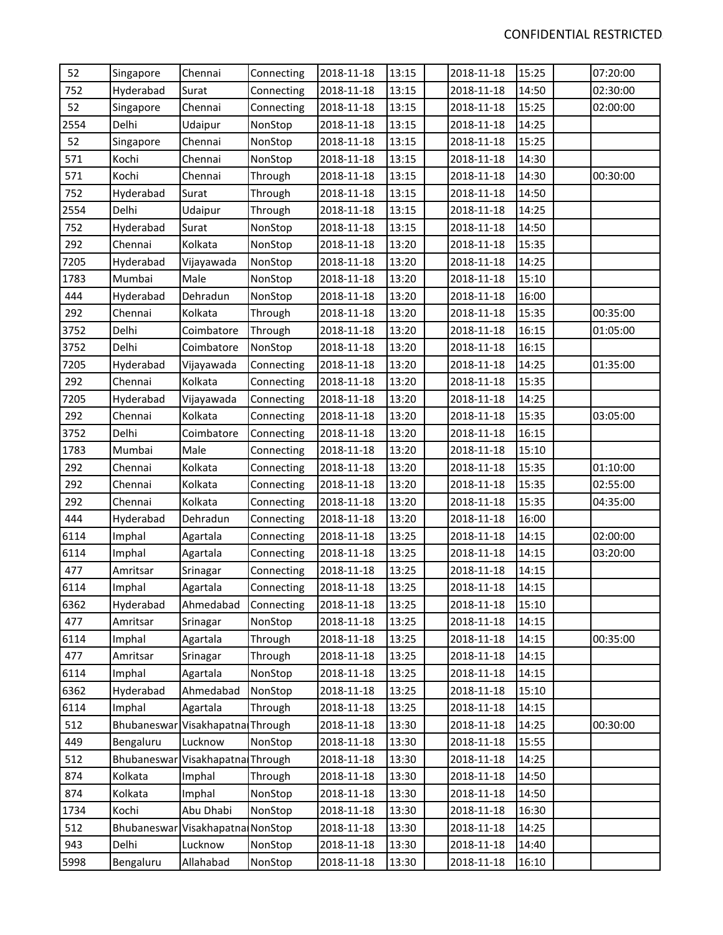| 52   | Singapore   | Chennai                          | Connecting | 2018-11-18 | 13:15 | 2018-11-18 | 15:25 | 07:20:00 |
|------|-------------|----------------------------------|------------|------------|-------|------------|-------|----------|
| 752  | Hyderabad   | Surat                            | Connecting | 2018-11-18 | 13:15 | 2018-11-18 | 14:50 | 02:30:00 |
| 52   | Singapore   | Chennai                          | Connecting | 2018-11-18 | 13:15 | 2018-11-18 | 15:25 | 02:00:00 |
| 2554 | Delhi       | Udaipur                          | NonStop    | 2018-11-18 | 13:15 | 2018-11-18 | 14:25 |          |
| 52   | Singapore   | Chennai                          | NonStop    | 2018-11-18 | 13:15 | 2018-11-18 | 15:25 |          |
| 571  | Kochi       | Chennai                          | NonStop    | 2018-11-18 | 13:15 | 2018-11-18 | 14:30 |          |
| 571  | Kochi       | Chennai                          | Through    | 2018-11-18 | 13:15 | 2018-11-18 | 14:30 | 00:30:00 |
| 752  | Hyderabad   | Surat                            | Through    | 2018-11-18 | 13:15 | 2018-11-18 | 14:50 |          |
| 2554 | Delhi       | Udaipur                          | Through    | 2018-11-18 | 13:15 | 2018-11-18 | 14:25 |          |
| 752  | Hyderabad   | Surat                            | NonStop    | 2018-11-18 | 13:15 | 2018-11-18 | 14:50 |          |
| 292  | Chennai     | Kolkata                          | NonStop    | 2018-11-18 | 13:20 | 2018-11-18 | 15:35 |          |
| 7205 | Hyderabad   | Vijayawada                       | NonStop    | 2018-11-18 | 13:20 | 2018-11-18 | 14:25 |          |
| 1783 | Mumbai      | Male                             | NonStop    | 2018-11-18 | 13:20 | 2018-11-18 | 15:10 |          |
| 444  | Hyderabad   | Dehradun                         | NonStop    | 2018-11-18 | 13:20 | 2018-11-18 | 16:00 |          |
| 292  | Chennai     | Kolkata                          | Through    | 2018-11-18 | 13:20 | 2018-11-18 | 15:35 | 00:35:00 |
| 3752 | Delhi       | Coimbatore                       | Through    | 2018-11-18 | 13:20 | 2018-11-18 | 16:15 | 01:05:00 |
| 3752 | Delhi       | Coimbatore                       | NonStop    | 2018-11-18 | 13:20 | 2018-11-18 | 16:15 |          |
| 7205 | Hyderabad   | Vijayawada                       | Connecting | 2018-11-18 | 13:20 | 2018-11-18 | 14:25 | 01:35:00 |
| 292  | Chennai     | Kolkata                          | Connecting | 2018-11-18 | 13:20 | 2018-11-18 | 15:35 |          |
| 7205 | Hyderabad   | Vijayawada                       | Connecting | 2018-11-18 | 13:20 | 2018-11-18 | 14:25 |          |
| 292  | Chennai     | Kolkata                          | Connecting | 2018-11-18 | 13:20 | 2018-11-18 | 15:35 | 03:05:00 |
| 3752 | Delhi       | Coimbatore                       | Connecting | 2018-11-18 | 13:20 | 2018-11-18 | 16:15 |          |
| 1783 | Mumbai      | Male                             | Connecting | 2018-11-18 | 13:20 | 2018-11-18 | 15:10 |          |
| 292  | Chennai     | Kolkata                          | Connecting | 2018-11-18 | 13:20 | 2018-11-18 | 15:35 | 01:10:00 |
| 292  | Chennai     | Kolkata                          | Connecting | 2018-11-18 | 13:20 | 2018-11-18 | 15:35 | 02:55:00 |
| 292  | Chennai     | Kolkata                          | Connecting | 2018-11-18 | 13:20 | 2018-11-18 | 15:35 | 04:35:00 |
| 444  | Hyderabad   | Dehradun                         | Connecting | 2018-11-18 | 13:20 | 2018-11-18 | 16:00 |          |
| 6114 | Imphal      | Agartala                         | Connecting | 2018-11-18 | 13:25 | 2018-11-18 | 14:15 | 02:00:00 |
| 6114 | Imphal      | Agartala                         | Connecting | 2018-11-18 | 13:25 | 2018-11-18 | 14:15 | 03:20:00 |
| 477  | Amritsar    | Srinagar                         | Connecting | 2018-11-18 | 13:25 | 2018-11-18 | 14:15 |          |
| 6114 | Imphal      | Agartala                         | Connecting | 2018-11-18 | 13:25 | 2018-11-18 | 14:15 |          |
| 6362 | Hyderabad   | Ahmedabad                        | Connecting | 2018-11-18 | 13:25 | 2018-11-18 | 15:10 |          |
| 477  | Amritsar    | Srinagar                         | NonStop    | 2018-11-18 | 13:25 | 2018-11-18 | 14:15 |          |
| 6114 | Imphal      | Agartala                         | Through    | 2018-11-18 | 13:25 | 2018-11-18 | 14:15 | 00:35:00 |
| 477  | Amritsar    | Srinagar                         | Through    | 2018-11-18 | 13:25 | 2018-11-18 | 14:15 |          |
| 6114 | Imphal      | Agartala                         | NonStop    | 2018-11-18 | 13:25 | 2018-11-18 | 14:15 |          |
| 6362 | Hyderabad   | Ahmedabad                        | NonStop    | 2018-11-18 | 13:25 | 2018-11-18 | 15:10 |          |
| 6114 | Imphal      | Agartala                         | Through    | 2018-11-18 | 13:25 | 2018-11-18 | 14:15 |          |
| 512  |             | Bhubaneswar Visakhapatna Through |            | 2018-11-18 | 13:30 | 2018-11-18 | 14:25 | 00:30:00 |
| 449  | Bengaluru   | Lucknow                          | NonStop    | 2018-11-18 | 13:30 | 2018-11-18 | 15:55 |          |
| 512  | Bhubaneswar | Visakhapatna Through             |            | 2018-11-18 | 13:30 | 2018-11-18 | 14:25 |          |
| 874  | Kolkata     | Imphal                           | Through    | 2018-11-18 | 13:30 | 2018-11-18 | 14:50 |          |
| 874  | Kolkata     | Imphal                           | NonStop    | 2018-11-18 | 13:30 | 2018-11-18 | 14:50 |          |
| 1734 | Kochi       | Abu Dhabi                        | NonStop    | 2018-11-18 | 13:30 | 2018-11-18 | 16:30 |          |
| 512  | Bhubaneswar | Visakhapatna                     | NonStop    | 2018-11-18 | 13:30 | 2018-11-18 | 14:25 |          |
| 943  | Delhi       | Lucknow                          | NonStop    | 2018-11-18 | 13:30 | 2018-11-18 | 14:40 |          |
| 5998 | Bengaluru   | Allahabad                        | NonStop    | 2018-11-18 | 13:30 | 2018-11-18 | 16:10 |          |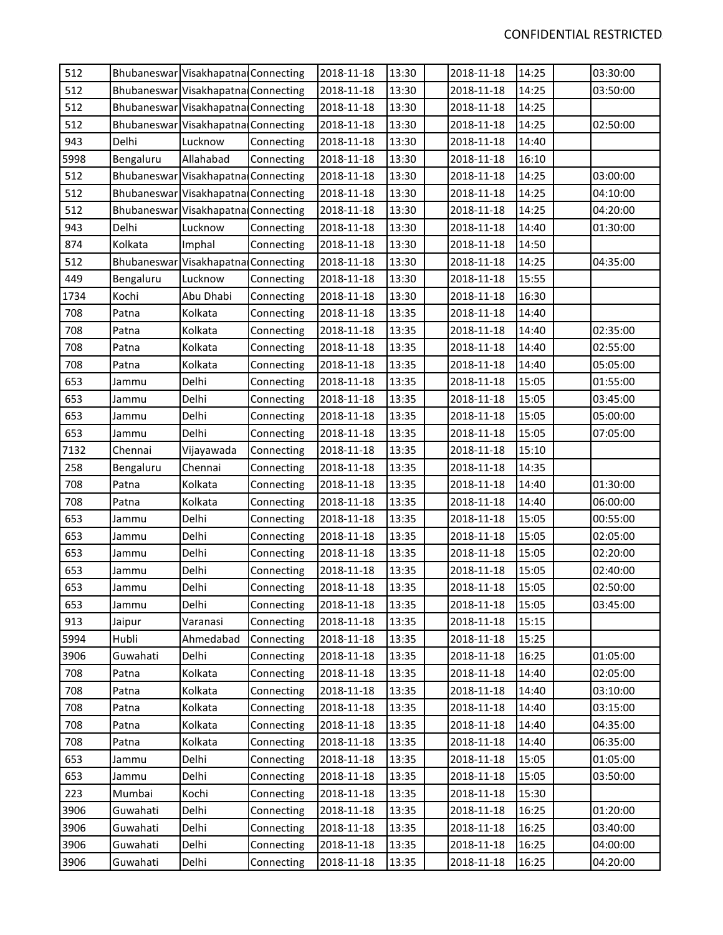| 512  |           | Bhubaneswar Visakhapatna Connecting |            | 2018-11-18 | 13:30 | 2018-11-18 | 14:25 | 03:30:00 |
|------|-----------|-------------------------------------|------------|------------|-------|------------|-------|----------|
| 512  |           | Bhubaneswar Visakhapatna Connecting |            | 2018-11-18 | 13:30 | 2018-11-18 | 14:25 | 03:50:00 |
| 512  |           | Bhubaneswar Visakhapatna Connecting |            | 2018-11-18 | 13:30 | 2018-11-18 | 14:25 |          |
| 512  |           | Bhubaneswar Visakhapatna Connecting |            | 2018-11-18 | 13:30 | 2018-11-18 | 14:25 | 02:50:00 |
| 943  | Delhi     | Lucknow                             | Connecting | 2018-11-18 | 13:30 | 2018-11-18 | 14:40 |          |
| 5998 | Bengaluru | Allahabad                           | Connecting | 2018-11-18 | 13:30 | 2018-11-18 | 16:10 |          |
| 512  |           | Bhubaneswar Visakhapatna Connecting |            | 2018-11-18 | 13:30 | 2018-11-18 | 14:25 | 03:00:00 |
| 512  |           | Bhubaneswar Visakhapatna Connecting |            | 2018-11-18 | 13:30 | 2018-11-18 | 14:25 | 04:10:00 |
| 512  |           | Bhubaneswar Visakhapatna Connecting |            | 2018-11-18 | 13:30 | 2018-11-18 | 14:25 | 04:20:00 |
| 943  | Delhi     | Lucknow                             | Connecting | 2018-11-18 | 13:30 | 2018-11-18 | 14:40 | 01:30:00 |
| 874  | Kolkata   | Imphal                              | Connecting | 2018-11-18 | 13:30 | 2018-11-18 | 14:50 |          |
| 512  |           | Bhubaneswar Visakhapatna            | Connecting | 2018-11-18 | 13:30 | 2018-11-18 | 14:25 | 04:35:00 |
| 449  | Bengaluru | Lucknow                             | Connecting | 2018-11-18 | 13:30 | 2018-11-18 | 15:55 |          |
| 1734 | Kochi     | Abu Dhabi                           | Connecting | 2018-11-18 | 13:30 | 2018-11-18 | 16:30 |          |
| 708  | Patna     | Kolkata                             | Connecting | 2018-11-18 | 13:35 | 2018-11-18 | 14:40 |          |
| 708  | Patna     | Kolkata                             | Connecting | 2018-11-18 | 13:35 | 2018-11-18 | 14:40 | 02:35:00 |
| 708  | Patna     | Kolkata                             | Connecting | 2018-11-18 | 13:35 | 2018-11-18 | 14:40 | 02:55:00 |
| 708  | Patna     | Kolkata                             | Connecting | 2018-11-18 | 13:35 | 2018-11-18 | 14:40 | 05:05:00 |
| 653  | Jammu     | Delhi                               | Connecting | 2018-11-18 | 13:35 | 2018-11-18 | 15:05 | 01:55:00 |
| 653  | Jammu     | Delhi                               | Connecting | 2018-11-18 | 13:35 | 2018-11-18 | 15:05 | 03:45:00 |
| 653  | Jammu     | Delhi                               | Connecting | 2018-11-18 | 13:35 | 2018-11-18 | 15:05 | 05:00:00 |
| 653  | Jammu     | Delhi                               | Connecting | 2018-11-18 | 13:35 | 2018-11-18 | 15:05 | 07:05:00 |
| 7132 | Chennai   | Vijayawada                          | Connecting | 2018-11-18 | 13:35 | 2018-11-18 | 15:10 |          |
| 258  | Bengaluru | Chennai                             | Connecting | 2018-11-18 | 13:35 | 2018-11-18 | 14:35 |          |
| 708  | Patna     | Kolkata                             | Connecting | 2018-11-18 | 13:35 | 2018-11-18 | 14:40 | 01:30:00 |
| 708  | Patna     | Kolkata                             | Connecting | 2018-11-18 | 13:35 | 2018-11-18 | 14:40 | 06:00:00 |
| 653  | Jammu     | Delhi                               | Connecting | 2018-11-18 | 13:35 | 2018-11-18 | 15:05 | 00:55:00 |
| 653  | Jammu     | Delhi                               | Connecting | 2018-11-18 | 13:35 | 2018-11-18 | 15:05 | 02:05:00 |
| 653  | Jammu     | Delhi                               | Connecting | 2018-11-18 | 13:35 | 2018-11-18 | 15:05 | 02:20:00 |
| 653  | Jammu     | Delhi                               | Connecting | 2018-11-18 | 13:35 | 2018-11-18 | 15:05 | 02:40:00 |
| 653  | Jammu     | Delhi                               | Connecting | 2018-11-18 | 13:35 | 2018-11-18 | 15:05 | 02:50:00 |
| 653  | Jammu     | Delhi                               | Connecting | 2018-11-18 | 13:35 | 2018-11-18 | 15:05 | 03:45:00 |
| 913  | Jaipur    | Varanasi                            | Connecting | 2018-11-18 | 13:35 | 2018-11-18 | 15:15 |          |
| 5994 | Hubli     | Ahmedabad                           | Connecting | 2018-11-18 | 13:35 | 2018-11-18 | 15:25 |          |
| 3906 | Guwahati  | Delhi                               | Connecting | 2018-11-18 | 13:35 | 2018-11-18 | 16:25 | 01:05:00 |
| 708  | Patna     | Kolkata                             | Connecting | 2018-11-18 | 13:35 | 2018-11-18 | 14:40 | 02:05:00 |
| 708  | Patna     | Kolkata                             | Connecting | 2018-11-18 | 13:35 | 2018-11-18 | 14:40 | 03:10:00 |
| 708  | Patna     | Kolkata                             | Connecting | 2018-11-18 | 13:35 | 2018-11-18 | 14:40 | 03:15:00 |
| 708  | Patna     | Kolkata                             | Connecting | 2018-11-18 | 13:35 | 2018-11-18 | 14:40 | 04:35:00 |
| 708  | Patna     | Kolkata                             | Connecting | 2018-11-18 | 13:35 | 2018-11-18 | 14:40 | 06:35:00 |
| 653  | Jammu     | Delhi                               | Connecting | 2018-11-18 | 13:35 | 2018-11-18 | 15:05 | 01:05:00 |
| 653  | Jammu     | Delhi                               | Connecting | 2018-11-18 | 13:35 | 2018-11-18 | 15:05 | 03:50:00 |
| 223  | Mumbai    | Kochi                               | Connecting | 2018-11-18 | 13:35 | 2018-11-18 | 15:30 |          |
| 3906 | Guwahati  | Delhi                               | Connecting | 2018-11-18 | 13:35 | 2018-11-18 | 16:25 | 01:20:00 |
| 3906 | Guwahati  | Delhi                               | Connecting | 2018-11-18 | 13:35 | 2018-11-18 | 16:25 | 03:40:00 |
| 3906 | Guwahati  | Delhi                               | Connecting | 2018-11-18 | 13:35 | 2018-11-18 | 16:25 | 04:00:00 |
| 3906 | Guwahati  | Delhi                               | Connecting | 2018-11-18 | 13:35 | 2018-11-18 | 16:25 | 04:20:00 |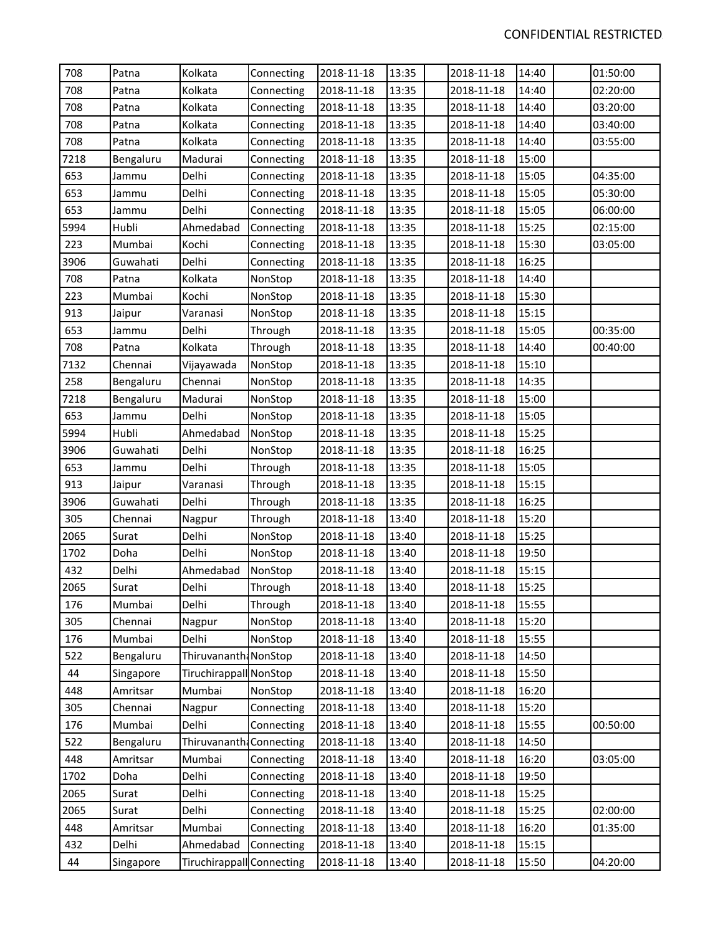| 708  | Patna     | Kolkata                   | Connecting | 2018-11-18 | 13:35 | 2018-11-18 | 14:40 | 01:50:00 |
|------|-----------|---------------------------|------------|------------|-------|------------|-------|----------|
| 708  | Patna     | Kolkata                   | Connecting | 2018-11-18 | 13:35 | 2018-11-18 | 14:40 | 02:20:00 |
| 708  | Patna     | Kolkata                   | Connecting | 2018-11-18 | 13:35 | 2018-11-18 | 14:40 | 03:20:00 |
| 708  | Patna     | Kolkata                   | Connecting | 2018-11-18 | 13:35 | 2018-11-18 | 14:40 | 03:40:00 |
| 708  | Patna     | Kolkata                   | Connecting | 2018-11-18 | 13:35 | 2018-11-18 | 14:40 | 03:55:00 |
| 7218 | Bengaluru | Madurai                   | Connecting | 2018-11-18 | 13:35 | 2018-11-18 | 15:00 |          |
| 653  | Jammu     | Delhi                     | Connecting | 2018-11-18 | 13:35 | 2018-11-18 | 15:05 | 04:35:00 |
| 653  | Jammu     | Delhi                     | Connecting | 2018-11-18 | 13:35 | 2018-11-18 | 15:05 | 05:30:00 |
| 653  | Jammu     | Delhi                     | Connecting | 2018-11-18 | 13:35 | 2018-11-18 | 15:05 | 06:00:00 |
| 5994 | Hubli     | Ahmedabad                 | Connecting | 2018-11-18 | 13:35 | 2018-11-18 | 15:25 | 02:15:00 |
| 223  | Mumbai    | Kochi                     | Connecting | 2018-11-18 | 13:35 | 2018-11-18 | 15:30 | 03:05:00 |
| 3906 | Guwahati  | Delhi                     | Connecting | 2018-11-18 | 13:35 | 2018-11-18 | 16:25 |          |
| 708  | Patna     | Kolkata                   | NonStop    | 2018-11-18 | 13:35 | 2018-11-18 | 14:40 |          |
| 223  | Mumbai    | Kochi                     | NonStop    | 2018-11-18 | 13:35 | 2018-11-18 | 15:30 |          |
| 913  | Jaipur    | Varanasi                  | NonStop    | 2018-11-18 | 13:35 | 2018-11-18 | 15:15 |          |
| 653  | Jammu     | Delhi                     | Through    | 2018-11-18 | 13:35 | 2018-11-18 | 15:05 | 00:35:00 |
| 708  | Patna     | Kolkata                   | Through    | 2018-11-18 | 13:35 | 2018-11-18 | 14:40 | 00:40:00 |
| 7132 | Chennai   | Vijayawada                | NonStop    | 2018-11-18 | 13:35 | 2018-11-18 | 15:10 |          |
| 258  | Bengaluru | Chennai                   | NonStop    | 2018-11-18 | 13:35 | 2018-11-18 | 14:35 |          |
| 7218 | Bengaluru | Madurai                   | NonStop    | 2018-11-18 | 13:35 | 2018-11-18 | 15:00 |          |
| 653  | Jammu     | Delhi                     | NonStop    | 2018-11-18 | 13:35 | 2018-11-18 | 15:05 |          |
| 5994 | Hubli     | Ahmedabad                 | NonStop    | 2018-11-18 | 13:35 | 2018-11-18 | 15:25 |          |
| 3906 | Guwahati  | Delhi                     | NonStop    | 2018-11-18 | 13:35 | 2018-11-18 | 16:25 |          |
| 653  | Jammu     | Delhi                     | Through    | 2018-11-18 | 13:35 | 2018-11-18 | 15:05 |          |
| 913  | Jaipur    | Varanasi                  | Through    | 2018-11-18 | 13:35 | 2018-11-18 | 15:15 |          |
| 3906 | Guwahati  | Delhi                     | Through    | 2018-11-18 | 13:35 | 2018-11-18 | 16:25 |          |
| 305  | Chennai   | Nagpur                    | Through    | 2018-11-18 | 13:40 | 2018-11-18 | 15:20 |          |
| 2065 | Surat     | Delhi                     | NonStop    | 2018-11-18 | 13:40 | 2018-11-18 | 15:25 |          |
| 1702 | Doha      | Delhi                     | NonStop    | 2018-11-18 | 13:40 | 2018-11-18 | 19:50 |          |
| 432  | Delhi     | Ahmedabad                 | NonStop    | 2018-11-18 | 13:40 | 2018-11-18 | 15:15 |          |
| 2065 | Surat     | Delhi                     | Through    | 2018-11-18 | 13:40 | 2018-11-18 | 15:25 |          |
| 176  | Mumbai    | Delhi                     | Through    | 2018-11-18 | 13:40 | 2018-11-18 | 15:55 |          |
| 305  | Chennai   | Nagpur                    | NonStop    | 2018-11-18 | 13:40 | 2018-11-18 | 15:20 |          |
| 176  | Mumbai    | Delhi                     | NonStop    | 2018-11-18 | 13:40 | 2018-11-18 | 15:55 |          |
| 522  | Bengaluru | Thiruvananth: NonStop     |            | 2018-11-18 | 13:40 | 2018-11-18 | 14:50 |          |
| 44   | Singapore | Tiruchirappall NonStop    |            | 2018-11-18 | 13:40 | 2018-11-18 | 15:50 |          |
| 448  | Amritsar  | Mumbai                    | NonStop    | 2018-11-18 | 13:40 | 2018-11-18 | 16:20 |          |
| 305  | Chennai   | Nagpur                    | Connecting | 2018-11-18 | 13:40 | 2018-11-18 | 15:20 |          |
| 176  | Mumbai    | Delhi                     | Connecting | 2018-11-18 | 13:40 | 2018-11-18 | 15:55 | 00:50:00 |
| 522  | Bengaluru | Thiruvananth: Connecting  |            | 2018-11-18 | 13:40 | 2018-11-18 | 14:50 |          |
| 448  | Amritsar  | Mumbai                    | Connecting | 2018-11-18 | 13:40 | 2018-11-18 | 16:20 | 03:05:00 |
| 1702 | Doha      | Delhi                     | Connecting | 2018-11-18 | 13:40 | 2018-11-18 | 19:50 |          |
| 2065 | Surat     | Delhi                     | Connecting | 2018-11-18 | 13:40 | 2018-11-18 | 15:25 |          |
| 2065 | Surat     | Delhi                     | Connecting | 2018-11-18 | 13:40 | 2018-11-18 | 15:25 | 02:00:00 |
| 448  | Amritsar  | Mumbai                    | Connecting | 2018-11-18 | 13:40 | 2018-11-18 | 16:20 | 01:35:00 |
| 432  | Delhi     | Ahmedabad                 | Connecting | 2018-11-18 | 13:40 | 2018-11-18 | 15:15 |          |
| 44   | Singapore | Tiruchirappall Connecting |            | 2018-11-18 | 13:40 | 2018-11-18 | 15:50 | 04:20:00 |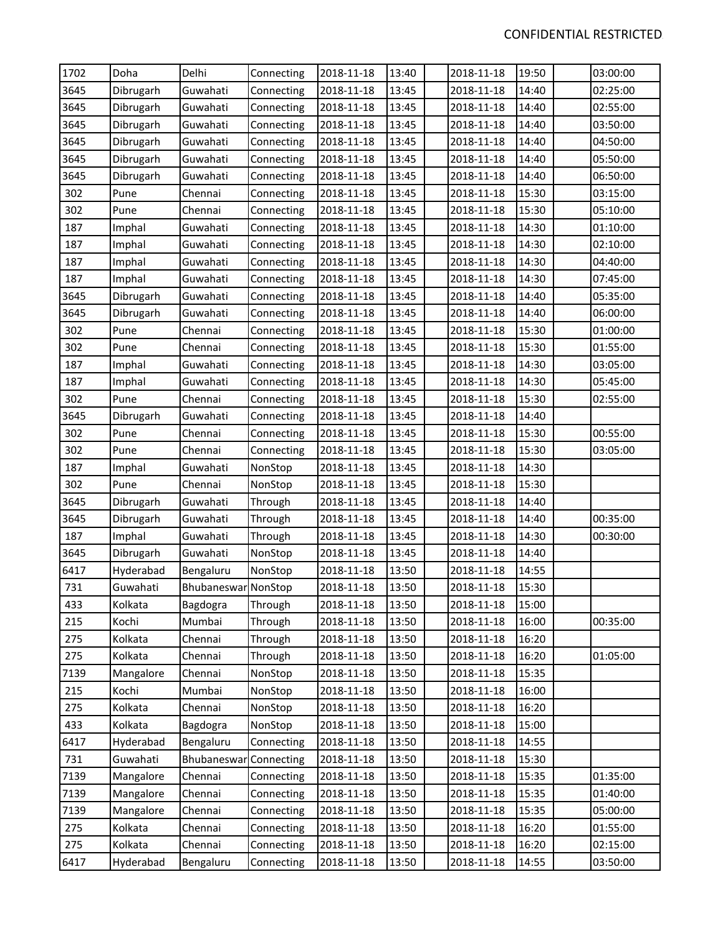| 1702 | Doha      | Delhi               | Connecting | 2018-11-18 | 13:40 | 2018-11-18 | 19:50 | 03:00:00 |
|------|-----------|---------------------|------------|------------|-------|------------|-------|----------|
| 3645 | Dibrugarh | Guwahati            | Connecting | 2018-11-18 | 13:45 | 2018-11-18 | 14:40 | 02:25:00 |
| 3645 | Dibrugarh | Guwahati            | Connecting | 2018-11-18 | 13:45 | 2018-11-18 | 14:40 | 02:55:00 |
| 3645 | Dibrugarh | Guwahati            | Connecting | 2018-11-18 | 13:45 | 2018-11-18 | 14:40 | 03:50:00 |
| 3645 | Dibrugarh | Guwahati            | Connecting | 2018-11-18 | 13:45 | 2018-11-18 | 14:40 | 04:50:00 |
| 3645 | Dibrugarh | Guwahati            | Connecting | 2018-11-18 | 13:45 | 2018-11-18 | 14:40 | 05:50:00 |
| 3645 | Dibrugarh | Guwahati            | Connecting | 2018-11-18 | 13:45 | 2018-11-18 | 14:40 | 06:50:00 |
| 302  | Pune      | Chennai             | Connecting | 2018-11-18 | 13:45 | 2018-11-18 | 15:30 | 03:15:00 |
| 302  | Pune      | Chennai             | Connecting | 2018-11-18 | 13:45 | 2018-11-18 | 15:30 | 05:10:00 |
| 187  | Imphal    | Guwahati            | Connecting | 2018-11-18 | 13:45 | 2018-11-18 | 14:30 | 01:10:00 |
| 187  | Imphal    | Guwahati            | Connecting | 2018-11-18 | 13:45 | 2018-11-18 | 14:30 | 02:10:00 |
| 187  | Imphal    | Guwahati            | Connecting | 2018-11-18 | 13:45 | 2018-11-18 | 14:30 | 04:40:00 |
| 187  | Imphal    | Guwahati            | Connecting | 2018-11-18 | 13:45 | 2018-11-18 | 14:30 | 07:45:00 |
| 3645 | Dibrugarh | Guwahati            | Connecting | 2018-11-18 | 13:45 | 2018-11-18 | 14:40 | 05:35:00 |
| 3645 | Dibrugarh | Guwahati            | Connecting | 2018-11-18 | 13:45 | 2018-11-18 | 14:40 | 06:00:00 |
| 302  | Pune      | Chennai             | Connecting | 2018-11-18 | 13:45 | 2018-11-18 | 15:30 | 01:00:00 |
| 302  | Pune      | Chennai             | Connecting | 2018-11-18 | 13:45 | 2018-11-18 | 15:30 | 01:55:00 |
| 187  | Imphal    | Guwahati            | Connecting | 2018-11-18 | 13:45 | 2018-11-18 | 14:30 | 03:05:00 |
| 187  | Imphal    | Guwahati            | Connecting | 2018-11-18 | 13:45 | 2018-11-18 | 14:30 | 05:45:00 |
| 302  | Pune      | Chennai             | Connecting | 2018-11-18 | 13:45 | 2018-11-18 | 15:30 | 02:55:00 |
| 3645 | Dibrugarh | Guwahati            | Connecting | 2018-11-18 | 13:45 | 2018-11-18 | 14:40 |          |
| 302  | Pune      | Chennai             | Connecting | 2018-11-18 | 13:45 | 2018-11-18 | 15:30 | 00:55:00 |
| 302  | Pune      | Chennai             | Connecting | 2018-11-18 | 13:45 | 2018-11-18 | 15:30 | 03:05:00 |
| 187  | Imphal    | Guwahati            | NonStop    | 2018-11-18 | 13:45 | 2018-11-18 | 14:30 |          |
| 302  | Pune      | Chennai             | NonStop    | 2018-11-18 | 13:45 | 2018-11-18 | 15:30 |          |
| 3645 | Dibrugarh | Guwahati            | Through    | 2018-11-18 | 13:45 | 2018-11-18 | 14:40 |          |
| 3645 | Dibrugarh | Guwahati            | Through    | 2018-11-18 | 13:45 | 2018-11-18 | 14:40 | 00:35:00 |
| 187  | Imphal    | Guwahati            | Through    | 2018-11-18 | 13:45 | 2018-11-18 | 14:30 | 00:30:00 |
| 3645 | Dibrugarh | Guwahati            | NonStop    | 2018-11-18 | 13:45 | 2018-11-18 | 14:40 |          |
| 6417 | Hyderabad | Bengaluru           | NonStop    | 2018-11-18 | 13:50 | 2018-11-18 | 14:55 |          |
| 731  | Guwahati  | Bhubaneswar NonStop |            | 2018-11-18 | 13:50 | 2018-11-18 | 15:30 |          |
| 433  | Kolkata   | Bagdogra            | Through    | 2018-11-18 | 13:50 | 2018-11-18 | 15:00 |          |
| 215  | Kochi     | Mumbai              | Through    | 2018-11-18 | 13:50 | 2018-11-18 | 16:00 | 00:35:00 |
| 275  | Kolkata   | Chennai             | Through    | 2018-11-18 | 13:50 | 2018-11-18 | 16:20 |          |
| 275  | Kolkata   | Chennai             | Through    | 2018-11-18 | 13:50 | 2018-11-18 | 16:20 | 01:05:00 |
| 7139 | Mangalore | Chennai             | NonStop    | 2018-11-18 | 13:50 | 2018-11-18 | 15:35 |          |
| 215  | Kochi     | Mumbai              | NonStop    | 2018-11-18 | 13:50 | 2018-11-18 | 16:00 |          |
| 275  | Kolkata   | Chennai             | NonStop    | 2018-11-18 | 13:50 | 2018-11-18 | 16:20 |          |
| 433  | Kolkata   | Bagdogra            | NonStop    | 2018-11-18 | 13:50 | 2018-11-18 | 15:00 |          |
| 6417 | Hyderabad | Bengaluru           | Connecting | 2018-11-18 | 13:50 | 2018-11-18 | 14:55 |          |
| 731  | Guwahati  | Bhubaneswar         | Connecting | 2018-11-18 | 13:50 | 2018-11-18 | 15:30 |          |
| 7139 | Mangalore | Chennai             | Connecting | 2018-11-18 | 13:50 | 2018-11-18 | 15:35 | 01:35:00 |
| 7139 | Mangalore | Chennai             | Connecting | 2018-11-18 | 13:50 | 2018-11-18 | 15:35 | 01:40:00 |
| 7139 | Mangalore | Chennai             | Connecting | 2018-11-18 | 13:50 | 2018-11-18 | 15:35 | 05:00:00 |
| 275  | Kolkata   | Chennai             | Connecting | 2018-11-18 | 13:50 | 2018-11-18 | 16:20 | 01:55:00 |
| 275  | Kolkata   | Chennai             | Connecting | 2018-11-18 | 13:50 | 2018-11-18 | 16:20 | 02:15:00 |
| 6417 | Hyderabad | Bengaluru           | Connecting | 2018-11-18 | 13:50 | 2018-11-18 | 14:55 | 03:50:00 |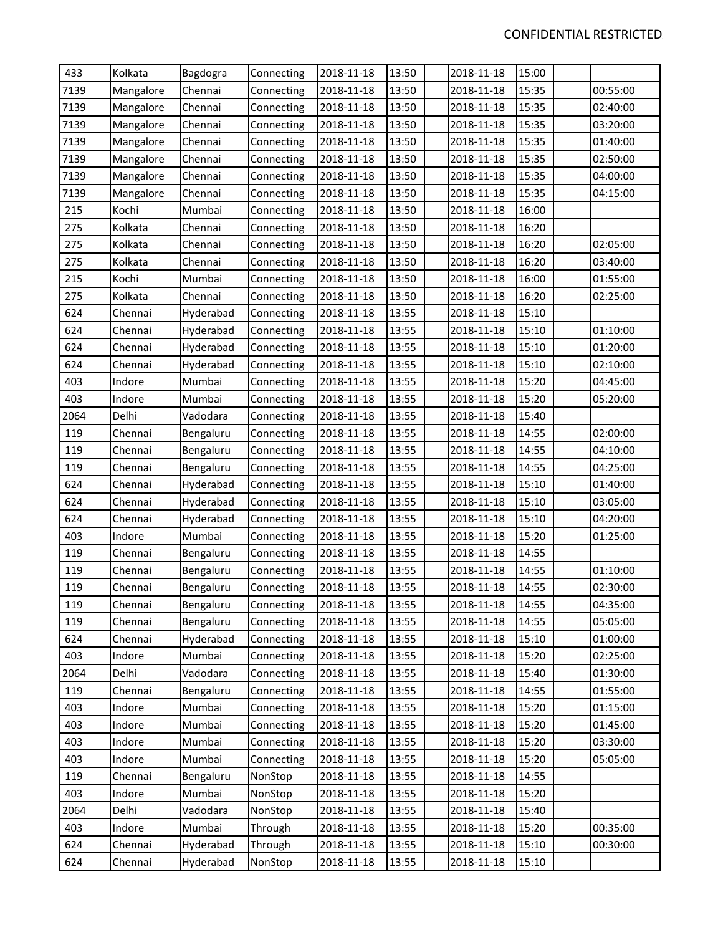| 433  | Kolkata   | Bagdogra  | Connecting | 2018-11-18 | 13:50 | 2018-11-18 | 15:00 |          |
|------|-----------|-----------|------------|------------|-------|------------|-------|----------|
| 7139 | Mangalore | Chennai   | Connecting | 2018-11-18 | 13:50 | 2018-11-18 | 15:35 | 00:55:00 |
| 7139 | Mangalore | Chennai   | Connecting | 2018-11-18 | 13:50 | 2018-11-18 | 15:35 | 02:40:00 |
| 7139 | Mangalore | Chennai   | Connecting | 2018-11-18 | 13:50 | 2018-11-18 | 15:35 | 03:20:00 |
| 7139 | Mangalore | Chennai   | Connecting | 2018-11-18 | 13:50 | 2018-11-18 | 15:35 | 01:40:00 |
| 7139 | Mangalore | Chennai   | Connecting | 2018-11-18 | 13:50 | 2018-11-18 | 15:35 | 02:50:00 |
| 7139 | Mangalore | Chennai   | Connecting | 2018-11-18 | 13:50 | 2018-11-18 | 15:35 | 04:00:00 |
| 7139 | Mangalore | Chennai   | Connecting | 2018-11-18 | 13:50 | 2018-11-18 | 15:35 | 04:15:00 |
| 215  | Kochi     | Mumbai    | Connecting | 2018-11-18 | 13:50 | 2018-11-18 | 16:00 |          |
| 275  | Kolkata   | Chennai   | Connecting | 2018-11-18 | 13:50 | 2018-11-18 | 16:20 |          |
| 275  | Kolkata   | Chennai   | Connecting | 2018-11-18 | 13:50 | 2018-11-18 | 16:20 | 02:05:00 |
| 275  | Kolkata   | Chennai   | Connecting | 2018-11-18 | 13:50 | 2018-11-18 | 16:20 | 03:40:00 |
| 215  | Kochi     | Mumbai    | Connecting | 2018-11-18 | 13:50 | 2018-11-18 | 16:00 | 01:55:00 |
| 275  | Kolkata   | Chennai   | Connecting | 2018-11-18 | 13:50 | 2018-11-18 | 16:20 | 02:25:00 |
| 624  | Chennai   | Hyderabad | Connecting | 2018-11-18 | 13:55 | 2018-11-18 | 15:10 |          |
| 624  | Chennai   | Hyderabad | Connecting | 2018-11-18 | 13:55 | 2018-11-18 | 15:10 | 01:10:00 |
| 624  | Chennai   | Hyderabad | Connecting | 2018-11-18 | 13:55 | 2018-11-18 | 15:10 | 01:20:00 |
| 624  | Chennai   | Hyderabad | Connecting | 2018-11-18 | 13:55 | 2018-11-18 | 15:10 | 02:10:00 |
| 403  | Indore    | Mumbai    | Connecting | 2018-11-18 | 13:55 | 2018-11-18 | 15:20 | 04:45:00 |
| 403  | Indore    | Mumbai    | Connecting | 2018-11-18 | 13:55 | 2018-11-18 | 15:20 | 05:20:00 |
| 2064 | Delhi     | Vadodara  | Connecting | 2018-11-18 | 13:55 | 2018-11-18 | 15:40 |          |
| 119  | Chennai   | Bengaluru | Connecting | 2018-11-18 | 13:55 | 2018-11-18 | 14:55 | 02:00:00 |
| 119  | Chennai   | Bengaluru | Connecting | 2018-11-18 | 13:55 | 2018-11-18 | 14:55 | 04:10:00 |
| 119  | Chennai   | Bengaluru | Connecting | 2018-11-18 | 13:55 | 2018-11-18 | 14:55 | 04:25:00 |
| 624  | Chennai   | Hyderabad | Connecting | 2018-11-18 | 13:55 | 2018-11-18 | 15:10 | 01:40:00 |
| 624  | Chennai   | Hyderabad | Connecting | 2018-11-18 | 13:55 | 2018-11-18 | 15:10 | 03:05:00 |
| 624  | Chennai   | Hyderabad | Connecting | 2018-11-18 | 13:55 | 2018-11-18 | 15:10 | 04:20:00 |
| 403  | Indore    | Mumbai    | Connecting | 2018-11-18 | 13:55 | 2018-11-18 | 15:20 | 01:25:00 |
| 119  | Chennai   | Bengaluru | Connecting | 2018-11-18 | 13:55 | 2018-11-18 | 14:55 |          |
| 119  | Chennai   | Bengaluru | Connecting | 2018-11-18 | 13:55 | 2018-11-18 | 14:55 | 01:10:00 |
| 119  | Chennai   | Bengaluru | Connecting | 2018-11-18 | 13:55 | 2018-11-18 | 14:55 | 02:30:00 |
| 119  | Chennai   | Bengaluru | Connecting | 2018-11-18 | 13:55 | 2018-11-18 | 14:55 | 04:35:00 |
| 119  | Chennai   | Bengaluru | Connecting | 2018-11-18 | 13:55 | 2018-11-18 | 14:55 | 05:05:00 |
| 624  | Chennai   | Hyderabad | Connecting | 2018-11-18 | 13:55 | 2018-11-18 | 15:10 | 01:00:00 |
| 403  | Indore    | Mumbai    | Connecting | 2018-11-18 | 13:55 | 2018-11-18 | 15:20 | 02:25:00 |
| 2064 | Delhi     | Vadodara  | Connecting | 2018-11-18 | 13:55 | 2018-11-18 | 15:40 | 01:30:00 |
| 119  | Chennai   | Bengaluru | Connecting | 2018-11-18 | 13:55 | 2018-11-18 | 14:55 | 01:55:00 |
| 403  | Indore    | Mumbai    | Connecting | 2018-11-18 | 13:55 | 2018-11-18 | 15:20 | 01:15:00 |
| 403  | Indore    | Mumbai    | Connecting | 2018-11-18 | 13:55 | 2018-11-18 | 15:20 | 01:45:00 |
| 403  | Indore    | Mumbai    | Connecting | 2018-11-18 | 13:55 | 2018-11-18 | 15:20 | 03:30:00 |
| 403  | Indore    | Mumbai    | Connecting | 2018-11-18 | 13:55 | 2018-11-18 | 15:20 | 05:05:00 |
| 119  | Chennai   | Bengaluru | NonStop    | 2018-11-18 | 13:55 | 2018-11-18 | 14:55 |          |
| 403  | Indore    | Mumbai    | NonStop    | 2018-11-18 | 13:55 | 2018-11-18 | 15:20 |          |
| 2064 | Delhi     | Vadodara  | NonStop    | 2018-11-18 | 13:55 | 2018-11-18 | 15:40 |          |
| 403  | Indore    | Mumbai    | Through    | 2018-11-18 | 13:55 | 2018-11-18 | 15:20 | 00:35:00 |
| 624  | Chennai   | Hyderabad | Through    | 2018-11-18 | 13:55 | 2018-11-18 | 15:10 | 00:30:00 |
| 624  | Chennai   | Hyderabad | NonStop    | 2018-11-18 | 13:55 | 2018-11-18 | 15:10 |          |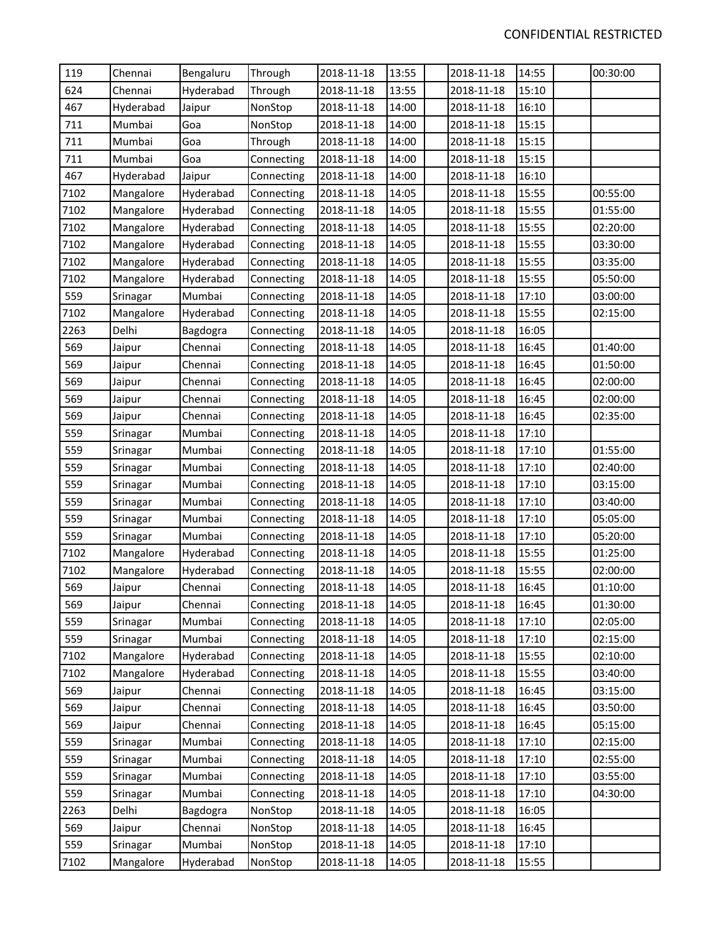| 119  | Chennai   | Bengaluru | Through    | 2018-11-18 | 13:55 | 2018-11-18 | 14:55 | 00:30:00 |
|------|-----------|-----------|------------|------------|-------|------------|-------|----------|
| 624  | Chennai   | Hyderabad | Through    | 2018-11-18 | 13:55 | 2018-11-18 | 15:10 |          |
| 467  | Hyderabad | Jaipur    | NonStop    | 2018-11-18 | 14:00 | 2018-11-18 | 16:10 |          |
| 711  | Mumbai    | Goa       | NonStop    | 2018-11-18 | 14:00 | 2018-11-18 | 15:15 |          |
| 711  | Mumbai    | Goa       | Through    | 2018-11-18 | 14:00 | 2018-11-18 | 15:15 |          |
| 711  | Mumbai    | Goa       | Connecting | 2018-11-18 | 14:00 | 2018-11-18 | 15:15 |          |
| 467  | Hyderabad | Jaipur    | Connecting | 2018-11-18 | 14:00 | 2018-11-18 | 16:10 |          |
| 7102 | Mangalore | Hyderabad | Connecting | 2018-11-18 | 14:05 | 2018-11-18 | 15:55 | 00:55:00 |
| 7102 | Mangalore | Hyderabad | Connecting | 2018-11-18 | 14:05 | 2018-11-18 | 15:55 | 01:55:00 |
| 7102 | Mangalore | Hyderabad | Connecting | 2018-11-18 | 14:05 | 2018-11-18 | 15:55 | 02:20:00 |
| 7102 | Mangalore | Hyderabad | Connecting | 2018-11-18 | 14:05 | 2018-11-18 | 15:55 | 03:30:00 |
| 7102 | Mangalore | Hyderabad | Connecting | 2018-11-18 | 14:05 | 2018-11-18 | 15:55 | 03:35:00 |
| 7102 | Mangalore | Hyderabad | Connecting | 2018-11-18 | 14:05 | 2018-11-18 | 15:55 | 05:50:00 |
| 559  | Srinagar  | Mumbai    | Connecting | 2018-11-18 | 14:05 | 2018-11-18 | 17:10 | 03:00:00 |
| 7102 | Mangalore | Hyderabad | Connecting | 2018-11-18 | 14:05 | 2018-11-18 | 15:55 | 02:15:00 |
| 2263 | Delhi     | Bagdogra  | Connecting | 2018-11-18 | 14:05 | 2018-11-18 | 16:05 |          |
| 569  | Jaipur    | Chennai   | Connecting | 2018-11-18 | 14:05 | 2018-11-18 | 16:45 | 01:40:00 |
| 569  | Jaipur    | Chennai   | Connecting | 2018-11-18 | 14:05 | 2018-11-18 | 16:45 | 01:50:00 |
| 569  | Jaipur    | Chennai   | Connecting | 2018-11-18 | 14:05 | 2018-11-18 | 16:45 | 02:00:00 |
| 569  | Jaipur    | Chennai   | Connecting | 2018-11-18 | 14:05 | 2018-11-18 | 16:45 | 02:00:00 |
| 569  | Jaipur    | Chennai   | Connecting | 2018-11-18 | 14:05 | 2018-11-18 | 16:45 | 02:35:00 |
| 559  | Srinagar  | Mumbai    | Connecting | 2018-11-18 | 14:05 | 2018-11-18 | 17:10 |          |
| 559  | Srinagar  | Mumbai    | Connecting | 2018-11-18 | 14:05 | 2018-11-18 | 17:10 | 01:55:00 |
| 559  | Srinagar  | Mumbai    | Connecting | 2018-11-18 | 14:05 | 2018-11-18 | 17:10 | 02:40:00 |
| 559  | Srinagar  | Mumbai    | Connecting | 2018-11-18 | 14:05 | 2018-11-18 | 17:10 | 03:15:00 |
| 559  | Srinagar  | Mumbai    | Connecting | 2018-11-18 | 14:05 | 2018-11-18 | 17:10 | 03:40:00 |
| 559  | Srinagar  | Mumbai    | Connecting | 2018-11-18 | 14:05 | 2018-11-18 | 17:10 | 05:05:00 |
| 559  | Srinagar  | Mumbai    | Connecting | 2018-11-18 | 14:05 | 2018-11-18 | 17:10 | 05:20:00 |
| 7102 | Mangalore | Hyderabad | Connecting | 2018-11-18 | 14:05 | 2018-11-18 | 15:55 | 01:25:00 |
| 7102 | Mangalore | Hyderabad | Connecting | 2018-11-18 | 14:05 | 2018-11-18 | 15:55 | 02:00:00 |
| 569  | Jaipur    | Chennai   | Connecting | 2018-11-18 | 14:05 | 2018-11-18 | 16:45 | 01:10:00 |
| 569  | Jaipur    | Chennai   | Connecting | 2018-11-18 | 14:05 | 2018-11-18 | 16:45 | 01:30:00 |
| 559  | Srinagar  | Mumbai    | Connecting | 2018-11-18 | 14:05 | 2018-11-18 | 17:10 | 02:05:00 |
| 559  | Srinagar  | Mumbai    | Connecting | 2018-11-18 | 14:05 | 2018-11-18 | 17:10 | 02:15:00 |
| 7102 | Mangalore | Hyderabad | Connecting | 2018-11-18 | 14:05 | 2018-11-18 | 15:55 | 02:10:00 |
| 7102 | Mangalore | Hyderabad | Connecting | 2018-11-18 | 14:05 | 2018-11-18 | 15:55 | 03:40:00 |
| 569  | Jaipur    | Chennai   | Connecting | 2018-11-18 | 14:05 | 2018-11-18 | 16:45 | 03:15:00 |
| 569  | Jaipur    | Chennai   | Connecting | 2018-11-18 | 14:05 | 2018-11-18 | 16:45 | 03:50:00 |
| 569  | Jaipur    | Chennai   | Connecting | 2018-11-18 | 14:05 | 2018-11-18 | 16:45 | 05:15:00 |
| 559  | Srinagar  | Mumbai    | Connecting | 2018-11-18 | 14:05 | 2018-11-18 | 17:10 | 02:15:00 |
| 559  | Srinagar  | Mumbai    | Connecting | 2018-11-18 | 14:05 | 2018-11-18 | 17:10 | 02:55:00 |
| 559  | Srinagar  | Mumbai    | Connecting | 2018-11-18 | 14:05 | 2018-11-18 | 17:10 | 03:55:00 |
| 559  | Srinagar  | Mumbai    | Connecting | 2018-11-18 | 14:05 | 2018-11-18 | 17:10 | 04:30:00 |
| 2263 | Delhi     | Bagdogra  | NonStop    | 2018-11-18 | 14:05 | 2018-11-18 | 16:05 |          |
| 569  | Jaipur    | Chennai   | NonStop    | 2018-11-18 | 14:05 | 2018-11-18 | 16:45 |          |
| 559  | Srinagar  | Mumbai    | NonStop    | 2018-11-18 | 14:05 | 2018-11-18 | 17:10 |          |
| 7102 | Mangalore | Hyderabad | NonStop    | 2018-11-18 | 14:05 | 2018-11-18 | 15:55 |          |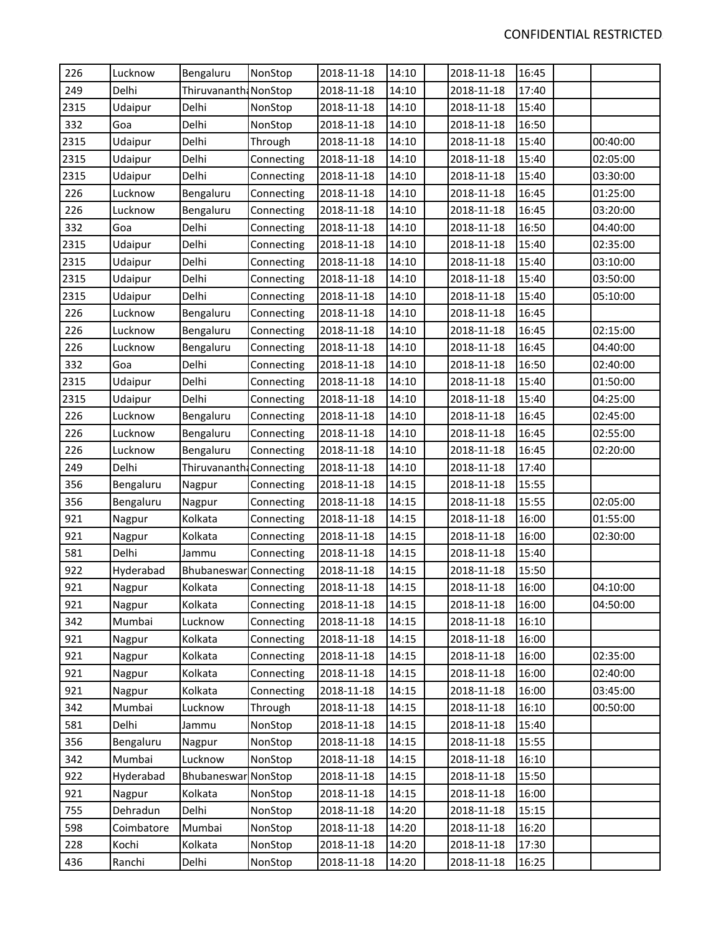| 226  | Lucknow    | Bengaluru                | NonStop    | 2018-11-18 | 14:10 | 2018-11-18 | 16:45 |          |
|------|------------|--------------------------|------------|------------|-------|------------|-------|----------|
| 249  | Delhi      | Thiruvananth: NonStop    |            | 2018-11-18 | 14:10 | 2018-11-18 | 17:40 |          |
| 2315 | Udaipur    | Delhi                    | NonStop    | 2018-11-18 | 14:10 | 2018-11-18 | 15:40 |          |
| 332  | Goa        | Delhi                    | NonStop    | 2018-11-18 | 14:10 | 2018-11-18 | 16:50 |          |
| 2315 | Udaipur    | Delhi                    | Through    | 2018-11-18 | 14:10 | 2018-11-18 | 15:40 | 00:40:00 |
| 2315 | Udaipur    | Delhi                    | Connecting | 2018-11-18 | 14:10 | 2018-11-18 | 15:40 | 02:05:00 |
| 2315 | Udaipur    | Delhi                    | Connecting | 2018-11-18 | 14:10 | 2018-11-18 | 15:40 | 03:30:00 |
| 226  | Lucknow    | Bengaluru                | Connecting | 2018-11-18 | 14:10 | 2018-11-18 | 16:45 | 01:25:00 |
| 226  | Lucknow    | Bengaluru                | Connecting | 2018-11-18 | 14:10 | 2018-11-18 | 16:45 | 03:20:00 |
| 332  | Goa        | Delhi                    | Connecting | 2018-11-18 | 14:10 | 2018-11-18 | 16:50 | 04:40:00 |
| 2315 | Udaipur    | Delhi                    | Connecting | 2018-11-18 | 14:10 | 2018-11-18 | 15:40 | 02:35:00 |
| 2315 | Udaipur    | Delhi                    | Connecting | 2018-11-18 | 14:10 | 2018-11-18 | 15:40 | 03:10:00 |
| 2315 | Udaipur    | Delhi                    | Connecting | 2018-11-18 | 14:10 | 2018-11-18 | 15:40 | 03:50:00 |
| 2315 | Udaipur    | Delhi                    | Connecting | 2018-11-18 | 14:10 | 2018-11-18 | 15:40 | 05:10:00 |
| 226  | Lucknow    | Bengaluru                | Connecting | 2018-11-18 | 14:10 | 2018-11-18 | 16:45 |          |
| 226  | Lucknow    | Bengaluru                | Connecting | 2018-11-18 | 14:10 | 2018-11-18 | 16:45 | 02:15:00 |
| 226  | Lucknow    | Bengaluru                | Connecting | 2018-11-18 | 14:10 | 2018-11-18 | 16:45 | 04:40:00 |
| 332  | Goa        | Delhi                    | Connecting | 2018-11-18 | 14:10 | 2018-11-18 | 16:50 | 02:40:00 |
| 2315 | Udaipur    | Delhi                    | Connecting | 2018-11-18 | 14:10 | 2018-11-18 | 15:40 | 01:50:00 |
| 2315 | Udaipur    | Delhi                    | Connecting | 2018-11-18 | 14:10 | 2018-11-18 | 15:40 | 04:25:00 |
| 226  | Lucknow    | Bengaluru                | Connecting | 2018-11-18 | 14:10 | 2018-11-18 | 16:45 | 02:45:00 |
| 226  | Lucknow    | Bengaluru                | Connecting | 2018-11-18 | 14:10 | 2018-11-18 | 16:45 | 02:55:00 |
| 226  | Lucknow    | Bengaluru                | Connecting | 2018-11-18 | 14:10 | 2018-11-18 | 16:45 | 02:20:00 |
| 249  | Delhi      | Thiruvananth: Connecting |            | 2018-11-18 | 14:10 | 2018-11-18 | 17:40 |          |
| 356  | Bengaluru  | Nagpur                   | Connecting | 2018-11-18 | 14:15 | 2018-11-18 | 15:55 |          |
| 356  | Bengaluru  | Nagpur                   | Connecting | 2018-11-18 | 14:15 | 2018-11-18 | 15:55 | 02:05:00 |
| 921  | Nagpur     | Kolkata                  | Connecting | 2018-11-18 | 14:15 | 2018-11-18 | 16:00 | 01:55:00 |
| 921  | Nagpur     | Kolkata                  | Connecting | 2018-11-18 | 14:15 | 2018-11-18 | 16:00 | 02:30:00 |
| 581  | Delhi      | Jammu                    | Connecting | 2018-11-18 | 14:15 | 2018-11-18 | 15:40 |          |
| 922  | Hyderabad  | Bhubaneswar Connecting   |            | 2018-11-18 | 14:15 | 2018-11-18 | 15:50 |          |
| 921  | Nagpur     | Kolkata                  | Connecting | 2018-11-18 | 14:15 | 2018-11-18 | 16:00 | 04:10:00 |
| 921  | Nagpur     | Kolkata                  | Connecting | 2018-11-18 | 14:15 | 2018-11-18 | 16:00 | 04:50:00 |
| 342  | Mumbai     | Lucknow                  | Connecting | 2018-11-18 | 14:15 | 2018-11-18 | 16:10 |          |
| 921  | Nagpur     | Kolkata                  | Connecting | 2018-11-18 | 14:15 | 2018-11-18 | 16:00 |          |
| 921  | Nagpur     | Kolkata                  | Connecting | 2018-11-18 | 14:15 | 2018-11-18 | 16:00 | 02:35:00 |
| 921  | Nagpur     | Kolkata                  | Connecting | 2018-11-18 | 14:15 | 2018-11-18 | 16:00 | 02:40:00 |
| 921  | Nagpur     | Kolkata                  | Connecting | 2018-11-18 | 14:15 | 2018-11-18 | 16:00 | 03:45:00 |
| 342  | Mumbai     | Lucknow                  | Through    | 2018-11-18 | 14:15 | 2018-11-18 | 16:10 | 00:50:00 |
| 581  | Delhi      | Jammu                    | NonStop    | 2018-11-18 | 14:15 | 2018-11-18 | 15:40 |          |
| 356  | Bengaluru  | Nagpur                   | NonStop    | 2018-11-18 | 14:15 | 2018-11-18 | 15:55 |          |
| 342  | Mumbai     | Lucknow                  | NonStop    | 2018-11-18 | 14:15 | 2018-11-18 | 16:10 |          |
| 922  | Hyderabad  | Bhubaneswar NonStop      |            | 2018-11-18 | 14:15 | 2018-11-18 | 15:50 |          |
| 921  | Nagpur     | Kolkata                  | NonStop    | 2018-11-18 | 14:15 | 2018-11-18 | 16:00 |          |
| 755  | Dehradun   | Delhi                    | NonStop    | 2018-11-18 | 14:20 | 2018-11-18 | 15:15 |          |
| 598  | Coimbatore | Mumbai                   | NonStop    | 2018-11-18 | 14:20 | 2018-11-18 | 16:20 |          |
| 228  | Kochi      | Kolkata                  | NonStop    | 2018-11-18 | 14:20 | 2018-11-18 | 17:30 |          |
| 436  | Ranchi     | Delhi                    | NonStop    | 2018-11-18 | 14:20 | 2018-11-18 | 16:25 |          |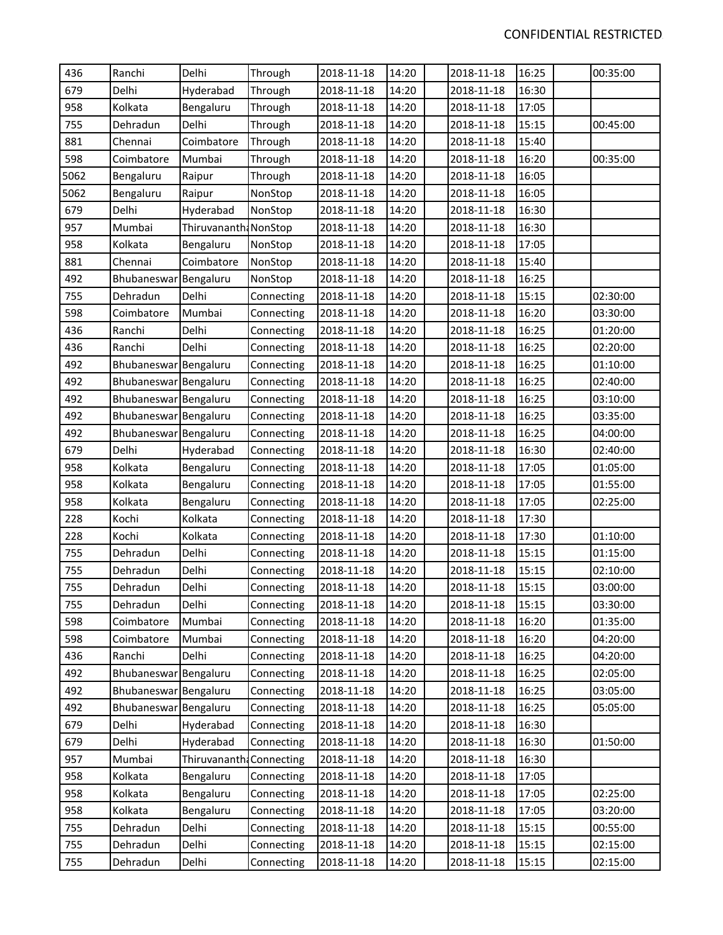| 436  | Ranchi                | Delhi                    | Through    | 2018-11-18 | 14:20 | 2018-11-18 | 16:25 | 00:35:00 |
|------|-----------------------|--------------------------|------------|------------|-------|------------|-------|----------|
| 679  | Delhi                 | Hyderabad                | Through    | 2018-11-18 | 14:20 | 2018-11-18 | 16:30 |          |
| 958  | Kolkata               | Bengaluru                | Through    | 2018-11-18 | 14:20 | 2018-11-18 | 17:05 |          |
| 755  | Dehradun              | Delhi                    | Through    | 2018-11-18 | 14:20 | 2018-11-18 | 15:15 | 00:45:00 |
| 881  | Chennai               | Coimbatore               | Through    | 2018-11-18 | 14:20 | 2018-11-18 | 15:40 |          |
| 598  | Coimbatore            | Mumbai                   | Through    | 2018-11-18 | 14:20 | 2018-11-18 | 16:20 | 00:35:00 |
| 5062 | Bengaluru             | Raipur                   | Through    | 2018-11-18 | 14:20 | 2018-11-18 | 16:05 |          |
| 5062 | Bengaluru             | Raipur                   | NonStop    | 2018-11-18 | 14:20 | 2018-11-18 | 16:05 |          |
| 679  | Delhi                 | Hyderabad                | NonStop    | 2018-11-18 | 14:20 | 2018-11-18 | 16:30 |          |
| 957  | Mumbai                | Thiruvananth: NonStop    |            | 2018-11-18 | 14:20 | 2018-11-18 | 16:30 |          |
| 958  | Kolkata               | Bengaluru                | NonStop    | 2018-11-18 | 14:20 | 2018-11-18 | 17:05 |          |
| 881  | Chennai               | Coimbatore               | NonStop    | 2018-11-18 | 14:20 | 2018-11-18 | 15:40 |          |
| 492  | Bhubaneswar Bengaluru |                          | NonStop    | 2018-11-18 | 14:20 | 2018-11-18 | 16:25 |          |
| 755  | Dehradun              | Delhi                    | Connecting | 2018-11-18 | 14:20 | 2018-11-18 | 15:15 | 02:30:00 |
| 598  | Coimbatore            | Mumbai                   | Connecting | 2018-11-18 | 14:20 | 2018-11-18 | 16:20 | 03:30:00 |
| 436  | Ranchi                | Delhi                    | Connecting | 2018-11-18 | 14:20 | 2018-11-18 | 16:25 | 01:20:00 |
| 436  | Ranchi                | Delhi                    | Connecting | 2018-11-18 | 14:20 | 2018-11-18 | 16:25 | 02:20:00 |
| 492  | Bhubaneswar Bengaluru |                          | Connecting | 2018-11-18 | 14:20 | 2018-11-18 | 16:25 | 01:10:00 |
| 492  | Bhubaneswar Bengaluru |                          | Connecting | 2018-11-18 | 14:20 | 2018-11-18 | 16:25 | 02:40:00 |
| 492  | Bhubaneswar Bengaluru |                          | Connecting | 2018-11-18 | 14:20 | 2018-11-18 | 16:25 | 03:10:00 |
| 492  | Bhubaneswar Bengaluru |                          | Connecting | 2018-11-18 | 14:20 | 2018-11-18 | 16:25 | 03:35:00 |
| 492  | Bhubaneswar Bengaluru |                          | Connecting | 2018-11-18 | 14:20 | 2018-11-18 | 16:25 | 04:00:00 |
| 679  | Delhi                 | Hyderabad                | Connecting | 2018-11-18 | 14:20 | 2018-11-18 | 16:30 | 02:40:00 |
| 958  | Kolkata               | Bengaluru                | Connecting | 2018-11-18 | 14:20 | 2018-11-18 | 17:05 | 01:05:00 |
| 958  | Kolkata               | Bengaluru                | Connecting | 2018-11-18 | 14:20 | 2018-11-18 | 17:05 | 01:55:00 |
| 958  | Kolkata               | Bengaluru                | Connecting | 2018-11-18 | 14:20 | 2018-11-18 | 17:05 | 02:25:00 |
| 228  | Kochi                 | Kolkata                  | Connecting | 2018-11-18 | 14:20 | 2018-11-18 | 17:30 |          |
| 228  | Kochi                 | Kolkata                  | Connecting | 2018-11-18 | 14:20 | 2018-11-18 | 17:30 | 01:10:00 |
| 755  | Dehradun              | Delhi                    | Connecting | 2018-11-18 | 14:20 | 2018-11-18 | 15:15 | 01:15:00 |
| 755  | Dehradun              | Delhi                    | Connecting | 2018-11-18 | 14:20 | 2018-11-18 | 15:15 | 02:10:00 |
| 755  | Dehradun              | Delhi                    | Connecting | 2018-11-18 | 14:20 | 2018-11-18 | 15:15 | 03:00:00 |
| 755  | Dehradun              | Delhi                    | Connecting | 2018-11-18 | 14:20 | 2018-11-18 | 15:15 | 03:30:00 |
| 598  | Coimbatore            | Mumbai                   | Connecting | 2018-11-18 | 14:20 | 2018-11-18 | 16:20 | 01:35:00 |
| 598  | Coimbatore            | Mumbai                   | Connecting | 2018-11-18 | 14:20 | 2018-11-18 | 16:20 | 04:20:00 |
| 436  | Ranchi                | Delhi                    | Connecting | 2018-11-18 | 14:20 | 2018-11-18 | 16:25 | 04:20:00 |
| 492  | Bhubaneswar Bengaluru |                          | Connecting | 2018-11-18 | 14:20 | 2018-11-18 | 16:25 | 02:05:00 |
| 492  | Bhubaneswar Bengaluru |                          | Connecting | 2018-11-18 | 14:20 | 2018-11-18 | 16:25 | 03:05:00 |
| 492  | Bhubaneswar Bengaluru |                          | Connecting | 2018-11-18 | 14:20 | 2018-11-18 | 16:25 | 05:05:00 |
| 679  | Delhi                 | Hyderabad                | Connecting | 2018-11-18 | 14:20 | 2018-11-18 | 16:30 |          |
| 679  | Delhi                 | Hyderabad                | Connecting | 2018-11-18 | 14:20 | 2018-11-18 | 16:30 | 01:50:00 |
| 957  | Mumbai                | Thiruvananth: Connecting |            | 2018-11-18 | 14:20 | 2018-11-18 | 16:30 |          |
| 958  | Kolkata               | Bengaluru                | Connecting | 2018-11-18 | 14:20 | 2018-11-18 | 17:05 |          |
| 958  | Kolkata               | Bengaluru                | Connecting | 2018-11-18 | 14:20 | 2018-11-18 | 17:05 | 02:25:00 |
| 958  | Kolkata               | Bengaluru                | Connecting | 2018-11-18 | 14:20 | 2018-11-18 | 17:05 | 03:20:00 |
| 755  | Dehradun              | Delhi                    | Connecting | 2018-11-18 | 14:20 | 2018-11-18 | 15:15 | 00:55:00 |
| 755  | Dehradun              | Delhi                    | Connecting | 2018-11-18 | 14:20 | 2018-11-18 | 15:15 | 02:15:00 |
| 755  | Dehradun              | Delhi                    | Connecting | 2018-11-18 | 14:20 | 2018-11-18 | 15:15 | 02:15:00 |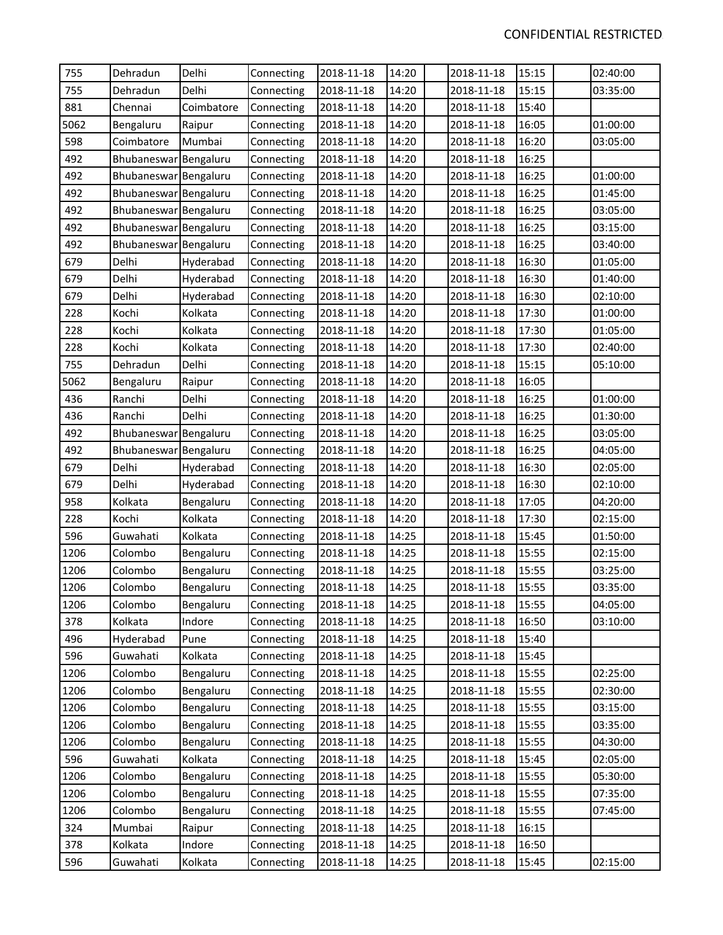| 755  | Dehradun              | Delhi      | Connecting | 2018-11-18 | 14:20 | 2018-11-18 | 15:15 | 02:40:00 |
|------|-----------------------|------------|------------|------------|-------|------------|-------|----------|
| 755  | Dehradun              | Delhi      | Connecting | 2018-11-18 | 14:20 | 2018-11-18 | 15:15 | 03:35:00 |
| 881  | Chennai               | Coimbatore | Connecting | 2018-11-18 | 14:20 | 2018-11-18 | 15:40 |          |
| 5062 | Bengaluru             | Raipur     | Connecting | 2018-11-18 | 14:20 | 2018-11-18 | 16:05 | 01:00:00 |
| 598  | Coimbatore            | Mumbai     | Connecting | 2018-11-18 | 14:20 | 2018-11-18 | 16:20 | 03:05:00 |
| 492  | Bhubaneswar Bengaluru |            | Connecting | 2018-11-18 | 14:20 | 2018-11-18 | 16:25 |          |
| 492  | Bhubaneswar Bengaluru |            | Connecting | 2018-11-18 | 14:20 | 2018-11-18 | 16:25 | 01:00:00 |
| 492  | Bhubaneswar Bengaluru |            | Connecting | 2018-11-18 | 14:20 | 2018-11-18 | 16:25 | 01:45:00 |
| 492  | Bhubaneswar Bengaluru |            | Connecting | 2018-11-18 | 14:20 | 2018-11-18 | 16:25 | 03:05:00 |
| 492  | Bhubaneswar Bengaluru |            | Connecting | 2018-11-18 | 14:20 | 2018-11-18 | 16:25 | 03:15:00 |
| 492  | Bhubaneswar Bengaluru |            | Connecting | 2018-11-18 | 14:20 | 2018-11-18 | 16:25 | 03:40:00 |
| 679  | Delhi                 | Hyderabad  | Connecting | 2018-11-18 | 14:20 | 2018-11-18 | 16:30 | 01:05:00 |
| 679  | Delhi                 | Hyderabad  | Connecting | 2018-11-18 | 14:20 | 2018-11-18 | 16:30 | 01:40:00 |
| 679  | Delhi                 | Hyderabad  | Connecting | 2018-11-18 | 14:20 | 2018-11-18 | 16:30 | 02:10:00 |
| 228  | Kochi                 | Kolkata    | Connecting | 2018-11-18 | 14:20 | 2018-11-18 | 17:30 | 01:00:00 |
| 228  | Kochi                 | Kolkata    | Connecting | 2018-11-18 | 14:20 | 2018-11-18 | 17:30 | 01:05:00 |
| 228  | Kochi                 | Kolkata    | Connecting | 2018-11-18 | 14:20 | 2018-11-18 | 17:30 | 02:40:00 |
| 755  | Dehradun              | Delhi      | Connecting | 2018-11-18 | 14:20 | 2018-11-18 | 15:15 | 05:10:00 |
| 5062 | Bengaluru             | Raipur     | Connecting | 2018-11-18 | 14:20 | 2018-11-18 | 16:05 |          |
| 436  | Ranchi                | Delhi      | Connecting | 2018-11-18 | 14:20 | 2018-11-18 | 16:25 | 01:00:00 |
| 436  | Ranchi                | Delhi      | Connecting | 2018-11-18 | 14:20 | 2018-11-18 | 16:25 | 01:30:00 |
| 492  | Bhubaneswar Bengaluru |            | Connecting | 2018-11-18 | 14:20 | 2018-11-18 | 16:25 | 03:05:00 |
| 492  | Bhubaneswar Bengaluru |            | Connecting | 2018-11-18 | 14:20 | 2018-11-18 | 16:25 | 04:05:00 |
| 679  | Delhi                 | Hyderabad  | Connecting | 2018-11-18 | 14:20 | 2018-11-18 | 16:30 | 02:05:00 |
| 679  | Delhi                 | Hyderabad  | Connecting | 2018-11-18 | 14:20 | 2018-11-18 | 16:30 | 02:10:00 |
| 958  | Kolkata               | Bengaluru  | Connecting | 2018-11-18 | 14:20 | 2018-11-18 | 17:05 | 04:20:00 |
| 228  | Kochi                 | Kolkata    | Connecting | 2018-11-18 | 14:20 | 2018-11-18 | 17:30 | 02:15:00 |
| 596  | Guwahati              | Kolkata    | Connecting | 2018-11-18 | 14:25 | 2018-11-18 | 15:45 | 01:50:00 |
| 1206 | Colombo               | Bengaluru  | Connecting | 2018-11-18 | 14:25 | 2018-11-18 | 15:55 | 02:15:00 |
| 1206 | Colombo               | Bengaluru  | Connecting | 2018-11-18 | 14:25 | 2018-11-18 | 15:55 | 03:25:00 |
| 1206 | Colombo               | Bengaluru  | Connecting | 2018-11-18 | 14:25 | 2018-11-18 | 15:55 | 03:35:00 |
| 1206 | Colombo               | Bengaluru  | Connecting | 2018-11-18 | 14:25 | 2018-11-18 | 15:55 | 04:05:00 |
| 378  | Kolkata               | Indore     | Connecting | 2018-11-18 | 14:25 | 2018-11-18 | 16:50 | 03:10:00 |
| 496  | Hyderabad             | Pune       | Connecting | 2018-11-18 | 14:25 | 2018-11-18 | 15:40 |          |
| 596  | Guwahati              | Kolkata    | Connecting | 2018-11-18 | 14:25 | 2018-11-18 | 15:45 |          |
| 1206 | Colombo               | Bengaluru  | Connecting | 2018-11-18 | 14:25 | 2018-11-18 | 15:55 | 02:25:00 |
| 1206 | Colombo               | Bengaluru  | Connecting | 2018-11-18 | 14:25 | 2018-11-18 | 15:55 | 02:30:00 |
| 1206 | Colombo               | Bengaluru  | Connecting | 2018-11-18 | 14:25 | 2018-11-18 | 15:55 | 03:15:00 |
| 1206 | Colombo               | Bengaluru  | Connecting | 2018-11-18 | 14:25 | 2018-11-18 | 15:55 | 03:35:00 |
| 1206 | Colombo               | Bengaluru  | Connecting | 2018-11-18 | 14:25 | 2018-11-18 | 15:55 | 04:30:00 |
| 596  | Guwahati              | Kolkata    | Connecting | 2018-11-18 | 14:25 | 2018-11-18 | 15:45 | 02:05:00 |
| 1206 | Colombo               | Bengaluru  | Connecting | 2018-11-18 | 14:25 | 2018-11-18 | 15:55 | 05:30:00 |
| 1206 | Colombo               | Bengaluru  | Connecting | 2018-11-18 | 14:25 | 2018-11-18 | 15:55 | 07:35:00 |
| 1206 | Colombo               | Bengaluru  | Connecting | 2018-11-18 | 14:25 | 2018-11-18 | 15:55 | 07:45:00 |
| 324  | Mumbai                | Raipur     | Connecting | 2018-11-18 | 14:25 | 2018-11-18 | 16:15 |          |
| 378  | Kolkata               | Indore     | Connecting | 2018-11-18 | 14:25 | 2018-11-18 | 16:50 |          |
| 596  | Guwahati              | Kolkata    | Connecting | 2018-11-18 | 14:25 | 2018-11-18 | 15:45 | 02:15:00 |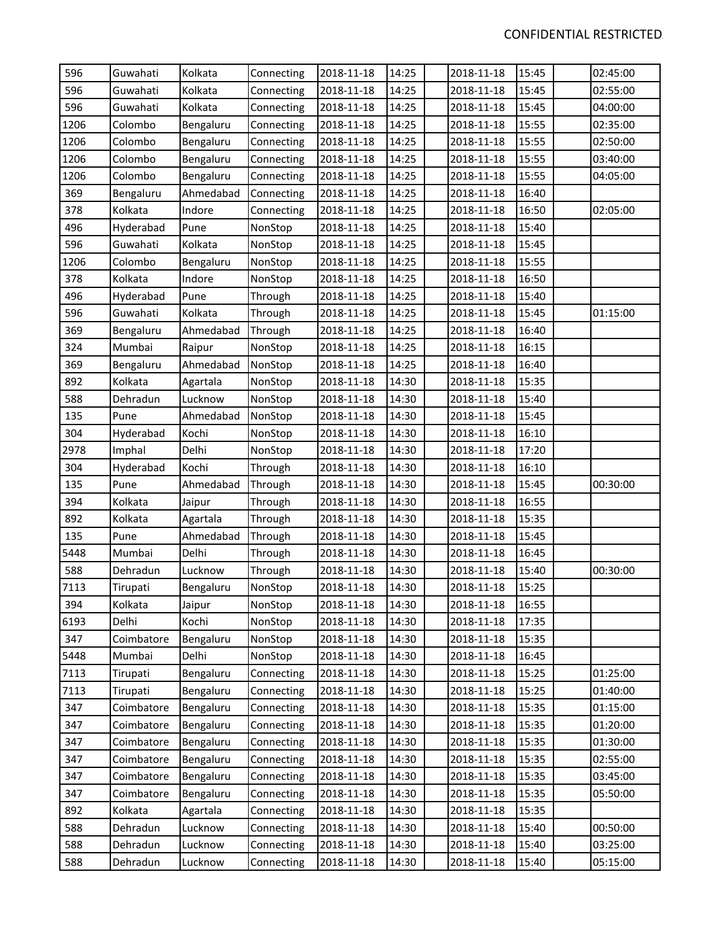| 596  | Guwahati   | Kolkata   | Connecting | 2018-11-18 | 14:25 | 2018-11-18 | 15:45 | 02:45:00 |
|------|------------|-----------|------------|------------|-------|------------|-------|----------|
| 596  | Guwahati   | Kolkata   | Connecting | 2018-11-18 | 14:25 | 2018-11-18 | 15:45 | 02:55:00 |
| 596  | Guwahati   | Kolkata   | Connecting | 2018-11-18 | 14:25 | 2018-11-18 | 15:45 | 04:00:00 |
| 1206 | Colombo    | Bengaluru | Connecting | 2018-11-18 | 14:25 | 2018-11-18 | 15:55 | 02:35:00 |
| 1206 | Colombo    | Bengaluru | Connecting | 2018-11-18 | 14:25 | 2018-11-18 | 15:55 | 02:50:00 |
| 1206 | Colombo    | Bengaluru | Connecting | 2018-11-18 | 14:25 | 2018-11-18 | 15:55 | 03:40:00 |
| 1206 | Colombo    | Bengaluru | Connecting | 2018-11-18 | 14:25 | 2018-11-18 | 15:55 | 04:05:00 |
| 369  | Bengaluru  | Ahmedabad | Connecting | 2018-11-18 | 14:25 | 2018-11-18 | 16:40 |          |
| 378  | Kolkata    | Indore    | Connecting | 2018-11-18 | 14:25 | 2018-11-18 | 16:50 | 02:05:00 |
| 496  | Hyderabad  | Pune      | NonStop    | 2018-11-18 | 14:25 | 2018-11-18 | 15:40 |          |
| 596  | Guwahati   | Kolkata   | NonStop    | 2018-11-18 | 14:25 | 2018-11-18 | 15:45 |          |
| 1206 | Colombo    | Bengaluru | NonStop    | 2018-11-18 | 14:25 | 2018-11-18 | 15:55 |          |
| 378  | Kolkata    | Indore    | NonStop    | 2018-11-18 | 14:25 | 2018-11-18 | 16:50 |          |
| 496  | Hyderabad  | Pune      | Through    | 2018-11-18 | 14:25 | 2018-11-18 | 15:40 |          |
| 596  | Guwahati   | Kolkata   | Through    | 2018-11-18 | 14:25 | 2018-11-18 | 15:45 | 01:15:00 |
| 369  | Bengaluru  | Ahmedabad | Through    | 2018-11-18 | 14:25 | 2018-11-18 | 16:40 |          |
| 324  | Mumbai     | Raipur    | NonStop    | 2018-11-18 | 14:25 | 2018-11-18 | 16:15 |          |
| 369  | Bengaluru  | Ahmedabad | NonStop    | 2018-11-18 | 14:25 | 2018-11-18 | 16:40 |          |
| 892  | Kolkata    | Agartala  | NonStop    | 2018-11-18 | 14:30 | 2018-11-18 | 15:35 |          |
| 588  | Dehradun   | Lucknow   | NonStop    | 2018-11-18 | 14:30 | 2018-11-18 | 15:40 |          |
| 135  | Pune       | Ahmedabad | NonStop    | 2018-11-18 | 14:30 | 2018-11-18 | 15:45 |          |
| 304  | Hyderabad  | Kochi     | NonStop    | 2018-11-18 | 14:30 | 2018-11-18 | 16:10 |          |
| 2978 | Imphal     | Delhi     | NonStop    | 2018-11-18 | 14:30 | 2018-11-18 | 17:20 |          |
| 304  | Hyderabad  | Kochi     | Through    | 2018-11-18 | 14:30 | 2018-11-18 | 16:10 |          |
| 135  | Pune       | Ahmedabad | Through    | 2018-11-18 | 14:30 | 2018-11-18 | 15:45 | 00:30:00 |
| 394  | Kolkata    | Jaipur    | Through    | 2018-11-18 | 14:30 | 2018-11-18 | 16:55 |          |
| 892  | Kolkata    | Agartala  | Through    | 2018-11-18 | 14:30 | 2018-11-18 | 15:35 |          |
| 135  | Pune       | Ahmedabad | Through    | 2018-11-18 | 14:30 | 2018-11-18 | 15:45 |          |
| 5448 | Mumbai     | Delhi     | Through    | 2018-11-18 | 14:30 | 2018-11-18 | 16:45 |          |
| 588  | Dehradun   | Lucknow   | Through    | 2018-11-18 | 14:30 | 2018-11-18 | 15:40 | 00:30:00 |
| 7113 | Tirupati   | Bengaluru | NonStop    | 2018-11-18 | 14:30 | 2018-11-18 | 15:25 |          |
| 394  | Kolkata    | Jaipur    | NonStop    | 2018-11-18 | 14:30 | 2018-11-18 | 16:55 |          |
| 6193 | Delhi      | Kochi     | NonStop    | 2018-11-18 | 14:30 | 2018-11-18 | 17:35 |          |
| 347  | Coimbatore | Bengaluru | NonStop    | 2018-11-18 | 14:30 | 2018-11-18 | 15:35 |          |
| 5448 | Mumbai     | Delhi     | NonStop    | 2018-11-18 | 14:30 | 2018-11-18 | 16:45 |          |
| 7113 | Tirupati   | Bengaluru | Connecting | 2018-11-18 | 14:30 | 2018-11-18 | 15:25 | 01:25:00 |
| 7113 | Tirupati   | Bengaluru | Connecting | 2018-11-18 | 14:30 | 2018-11-18 | 15:25 | 01:40:00 |
| 347  | Coimbatore | Bengaluru | Connecting | 2018-11-18 | 14:30 | 2018-11-18 | 15:35 | 01:15:00 |
| 347  | Coimbatore | Bengaluru | Connecting | 2018-11-18 | 14:30 | 2018-11-18 | 15:35 | 01:20:00 |
| 347  | Coimbatore | Bengaluru | Connecting | 2018-11-18 | 14:30 | 2018-11-18 | 15:35 | 01:30:00 |
| 347  | Coimbatore | Bengaluru | Connecting | 2018-11-18 | 14:30 | 2018-11-18 | 15:35 | 02:55:00 |
| 347  | Coimbatore | Bengaluru | Connecting | 2018-11-18 | 14:30 | 2018-11-18 | 15:35 | 03:45:00 |
| 347  | Coimbatore | Bengaluru | Connecting | 2018-11-18 | 14:30 | 2018-11-18 | 15:35 | 05:50:00 |
| 892  | Kolkata    | Agartala  | Connecting | 2018-11-18 | 14:30 | 2018-11-18 | 15:35 |          |
| 588  | Dehradun   | Lucknow   | Connecting | 2018-11-18 | 14:30 | 2018-11-18 | 15:40 | 00:50:00 |
| 588  | Dehradun   | Lucknow   | Connecting | 2018-11-18 | 14:30 | 2018-11-18 | 15:40 | 03:25:00 |
| 588  | Dehradun   | Lucknow   | Connecting | 2018-11-18 | 14:30 | 2018-11-18 | 15:40 | 05:15:00 |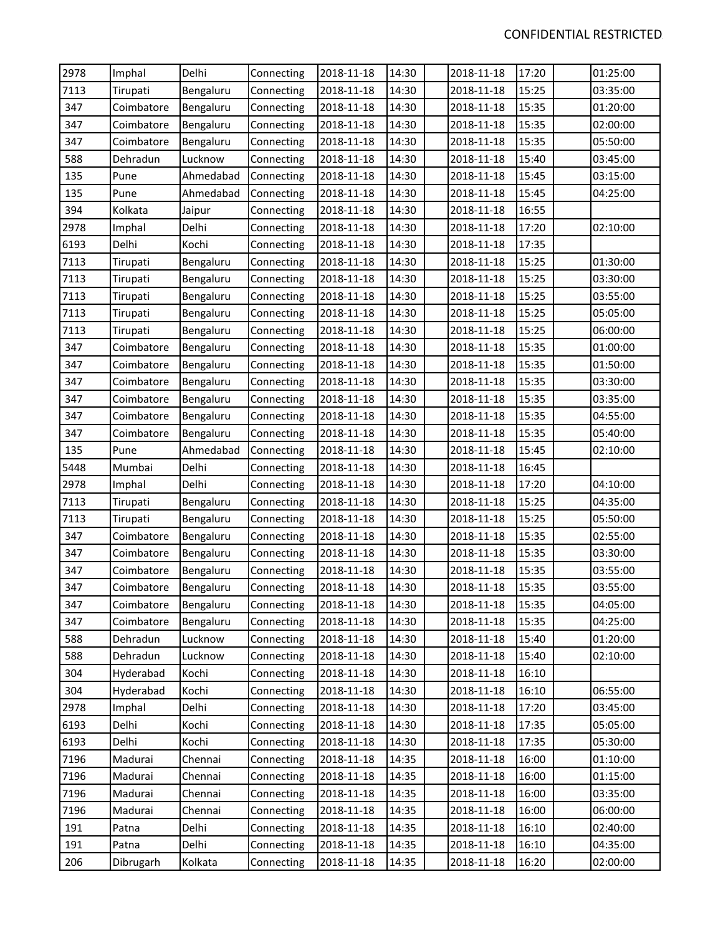| 2978 | Imphal     | Delhi     | Connecting | 2018-11-18 | 14:30 | 2018-11-18 | 17:20 | 01:25:00 |
|------|------------|-----------|------------|------------|-------|------------|-------|----------|
| 7113 | Tirupati   | Bengaluru | Connecting | 2018-11-18 | 14:30 | 2018-11-18 | 15:25 | 03:35:00 |
| 347  | Coimbatore | Bengaluru | Connecting | 2018-11-18 | 14:30 | 2018-11-18 | 15:35 | 01:20:00 |
| 347  | Coimbatore | Bengaluru | Connecting | 2018-11-18 | 14:30 | 2018-11-18 | 15:35 | 02:00:00 |
| 347  | Coimbatore | Bengaluru | Connecting | 2018-11-18 | 14:30 | 2018-11-18 | 15:35 | 05:50:00 |
| 588  | Dehradun   | Lucknow   | Connecting | 2018-11-18 | 14:30 | 2018-11-18 | 15:40 | 03:45:00 |
| 135  | Pune       | Ahmedabad | Connecting | 2018-11-18 | 14:30 | 2018-11-18 | 15:45 | 03:15:00 |
| 135  | Pune       | Ahmedabad | Connecting | 2018-11-18 | 14:30 | 2018-11-18 | 15:45 | 04:25:00 |
| 394  | Kolkata    | Jaipur    | Connecting | 2018-11-18 | 14:30 | 2018-11-18 | 16:55 |          |
| 2978 | Imphal     | Delhi     | Connecting | 2018-11-18 | 14:30 | 2018-11-18 | 17:20 | 02:10:00 |
| 6193 | Delhi      | Kochi     | Connecting | 2018-11-18 | 14:30 | 2018-11-18 | 17:35 |          |
| 7113 | Tirupati   | Bengaluru | Connecting | 2018-11-18 | 14:30 | 2018-11-18 | 15:25 | 01:30:00 |
| 7113 | Tirupati   | Bengaluru | Connecting | 2018-11-18 | 14:30 | 2018-11-18 | 15:25 | 03:30:00 |
| 7113 | Tirupati   | Bengaluru | Connecting | 2018-11-18 | 14:30 | 2018-11-18 | 15:25 | 03:55:00 |
| 7113 | Tirupati   | Bengaluru | Connecting | 2018-11-18 | 14:30 | 2018-11-18 | 15:25 | 05:05:00 |
| 7113 | Tirupati   | Bengaluru | Connecting | 2018-11-18 | 14:30 | 2018-11-18 | 15:25 | 06:00:00 |
| 347  | Coimbatore | Bengaluru | Connecting | 2018-11-18 | 14:30 | 2018-11-18 | 15:35 | 01:00:00 |
| 347  | Coimbatore | Bengaluru | Connecting | 2018-11-18 | 14:30 | 2018-11-18 | 15:35 | 01:50:00 |
| 347  | Coimbatore | Bengaluru | Connecting | 2018-11-18 | 14:30 | 2018-11-18 | 15:35 | 03:30:00 |
| 347  | Coimbatore | Bengaluru | Connecting | 2018-11-18 | 14:30 | 2018-11-18 | 15:35 | 03:35:00 |
| 347  | Coimbatore | Bengaluru | Connecting | 2018-11-18 | 14:30 | 2018-11-18 | 15:35 | 04:55:00 |
| 347  | Coimbatore | Bengaluru | Connecting | 2018-11-18 | 14:30 | 2018-11-18 | 15:35 | 05:40:00 |
| 135  | Pune       | Ahmedabad | Connecting | 2018-11-18 | 14:30 | 2018-11-18 | 15:45 | 02:10:00 |
| 5448 | Mumbai     | Delhi     | Connecting | 2018-11-18 | 14:30 | 2018-11-18 | 16:45 |          |
| 2978 | Imphal     | Delhi     | Connecting | 2018-11-18 | 14:30 | 2018-11-18 | 17:20 | 04:10:00 |
| 7113 | Tirupati   | Bengaluru | Connecting | 2018-11-18 | 14:30 | 2018-11-18 | 15:25 | 04:35:00 |
| 7113 | Tirupati   | Bengaluru | Connecting | 2018-11-18 | 14:30 | 2018-11-18 | 15:25 | 05:50:00 |
| 347  | Coimbatore | Bengaluru | Connecting | 2018-11-18 | 14:30 | 2018-11-18 | 15:35 | 02:55:00 |
| 347  | Coimbatore | Bengaluru | Connecting | 2018-11-18 | 14:30 | 2018-11-18 | 15:35 | 03:30:00 |
| 347  | Coimbatore | Bengaluru | Connecting | 2018-11-18 | 14:30 | 2018-11-18 | 15:35 | 03:55:00 |
| 347  | Coimbatore | Bengaluru | Connecting | 2018-11-18 | 14:30 | 2018-11-18 | 15:35 | 03:55:00 |
| 347  | Coimbatore | Bengaluru | Connecting | 2018-11-18 | 14:30 | 2018-11-18 | 15:35 | 04:05:00 |
| 347  | Coimbatore | Bengaluru | Connecting | 2018-11-18 | 14:30 | 2018-11-18 | 15:35 | 04:25:00 |
| 588  | Dehradun   | Lucknow   | Connecting | 2018-11-18 | 14:30 | 2018-11-18 | 15:40 | 01:20:00 |
| 588  | Dehradun   | Lucknow   | Connecting | 2018-11-18 | 14:30 | 2018-11-18 | 15:40 | 02:10:00 |
| 304  | Hyderabad  | Kochi     | Connecting | 2018-11-18 | 14:30 | 2018-11-18 | 16:10 |          |
| 304  | Hyderabad  | Kochi     | Connecting | 2018-11-18 | 14:30 | 2018-11-18 | 16:10 | 06:55:00 |
| 2978 | Imphal     | Delhi     | Connecting | 2018-11-18 | 14:30 | 2018-11-18 | 17:20 | 03:45:00 |
| 6193 | Delhi      | Kochi     | Connecting | 2018-11-18 | 14:30 | 2018-11-18 | 17:35 | 05:05:00 |
| 6193 | Delhi      | Kochi     | Connecting | 2018-11-18 | 14:30 | 2018-11-18 | 17:35 | 05:30:00 |
| 7196 | Madurai    | Chennai   | Connecting | 2018-11-18 | 14:35 | 2018-11-18 | 16:00 | 01:10:00 |
| 7196 | Madurai    | Chennai   | Connecting | 2018-11-18 | 14:35 | 2018-11-18 | 16:00 | 01:15:00 |
| 7196 | Madurai    | Chennai   | Connecting | 2018-11-18 | 14:35 | 2018-11-18 | 16:00 | 03:35:00 |
| 7196 | Madurai    | Chennai   | Connecting | 2018-11-18 | 14:35 | 2018-11-18 | 16:00 | 06:00:00 |
| 191  | Patna      | Delhi     | Connecting | 2018-11-18 | 14:35 | 2018-11-18 | 16:10 | 02:40:00 |
| 191  | Patna      | Delhi     | Connecting | 2018-11-18 | 14:35 | 2018-11-18 | 16:10 | 04:35:00 |
| 206  | Dibrugarh  | Kolkata   | Connecting | 2018-11-18 | 14:35 | 2018-11-18 | 16:20 | 02:00:00 |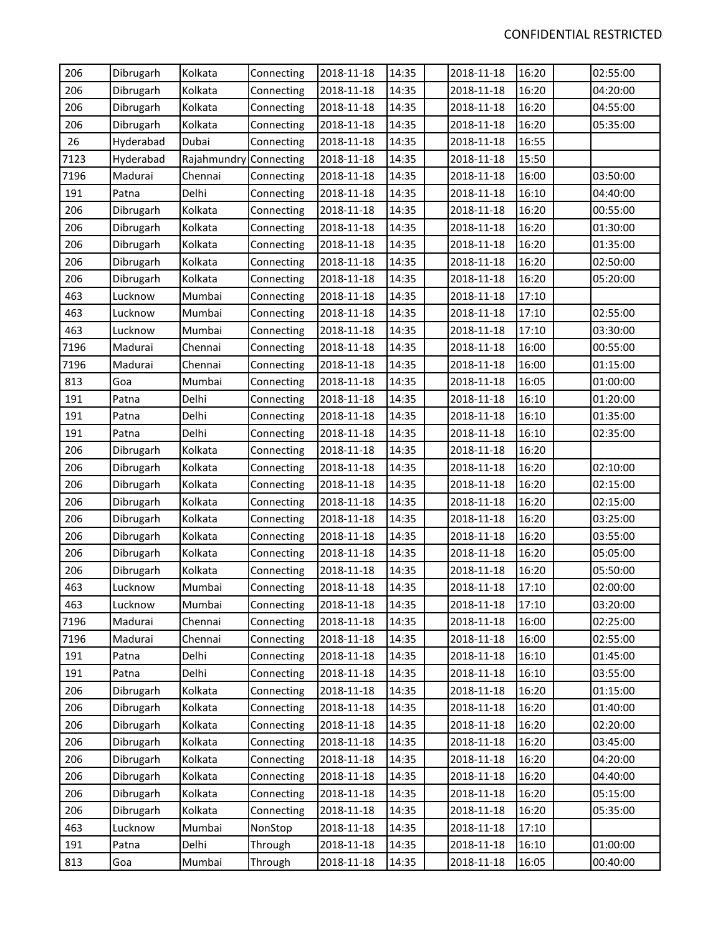| 206  | Dibrugarh | Kolkata                | Connecting | 2018-11-18 | 14:35 | 2018-11-18 | 16:20 | 02:55:00 |
|------|-----------|------------------------|------------|------------|-------|------------|-------|----------|
| 206  | Dibrugarh | Kolkata                | Connecting | 2018-11-18 | 14:35 | 2018-11-18 | 16:20 | 04:20:00 |
| 206  | Dibrugarh | Kolkata                | Connecting | 2018-11-18 | 14:35 | 2018-11-18 | 16:20 | 04:55:00 |
| 206  | Dibrugarh | Kolkata                | Connecting | 2018-11-18 | 14:35 | 2018-11-18 | 16:20 | 05:35:00 |
| 26   | Hyderabad | Dubai                  | Connecting | 2018-11-18 | 14:35 | 2018-11-18 | 16:55 |          |
| 7123 | Hyderabad | Rajahmundry Connecting |            | 2018-11-18 | 14:35 | 2018-11-18 | 15:50 |          |
| 7196 | Madurai   | Chennai                | Connecting | 2018-11-18 | 14:35 | 2018-11-18 | 16:00 | 03:50:00 |
| 191  | Patna     | Delhi                  | Connecting | 2018-11-18 | 14:35 | 2018-11-18 | 16:10 | 04:40:00 |
| 206  | Dibrugarh | Kolkata                | Connecting | 2018-11-18 | 14:35 | 2018-11-18 | 16:20 | 00:55:00 |
| 206  | Dibrugarh | Kolkata                | Connecting | 2018-11-18 | 14:35 | 2018-11-18 | 16:20 | 01:30:00 |
| 206  | Dibrugarh | Kolkata                | Connecting | 2018-11-18 | 14:35 | 2018-11-18 | 16:20 | 01:35:00 |
| 206  | Dibrugarh | Kolkata                | Connecting | 2018-11-18 | 14:35 | 2018-11-18 | 16:20 | 02:50:00 |
| 206  | Dibrugarh | Kolkata                | Connecting | 2018-11-18 | 14:35 | 2018-11-18 | 16:20 | 05:20:00 |
| 463  | Lucknow   | Mumbai                 | Connecting | 2018-11-18 | 14:35 | 2018-11-18 | 17:10 |          |
| 463  | Lucknow   | Mumbai                 | Connecting | 2018-11-18 | 14:35 | 2018-11-18 | 17:10 | 02:55:00 |
| 463  | Lucknow   | Mumbai                 | Connecting | 2018-11-18 | 14:35 | 2018-11-18 | 17:10 | 03:30:00 |
| 7196 | Madurai   | Chennai                | Connecting | 2018-11-18 | 14:35 | 2018-11-18 | 16:00 | 00:55:00 |
| 7196 | Madurai   | Chennai                | Connecting | 2018-11-18 | 14:35 | 2018-11-18 | 16:00 | 01:15:00 |
| 813  | Goa       | Mumbai                 | Connecting | 2018-11-18 | 14:35 | 2018-11-18 | 16:05 | 01:00:00 |
| 191  | Patna     | Delhi                  | Connecting | 2018-11-18 | 14:35 | 2018-11-18 | 16:10 | 01:20:00 |
| 191  | Patna     | Delhi                  | Connecting | 2018-11-18 | 14:35 | 2018-11-18 | 16:10 | 01:35:00 |
| 191  | Patna     | Delhi                  | Connecting | 2018-11-18 | 14:35 | 2018-11-18 | 16:10 | 02:35:00 |
| 206  | Dibrugarh | Kolkata                | Connecting | 2018-11-18 | 14:35 | 2018-11-18 | 16:20 |          |
| 206  | Dibrugarh | Kolkata                | Connecting | 2018-11-18 | 14:35 | 2018-11-18 | 16:20 | 02:10:00 |
| 206  | Dibrugarh | Kolkata                | Connecting | 2018-11-18 | 14:35 | 2018-11-18 | 16:20 | 02:15:00 |
| 206  | Dibrugarh | Kolkata                | Connecting | 2018-11-18 | 14:35 | 2018-11-18 | 16:20 | 02:15:00 |
| 206  | Dibrugarh | Kolkata                | Connecting | 2018-11-18 | 14:35 | 2018-11-18 | 16:20 | 03:25:00 |
| 206  | Dibrugarh | Kolkata                | Connecting | 2018-11-18 | 14:35 | 2018-11-18 | 16:20 | 03:55:00 |
| 206  | Dibrugarh | Kolkata                | Connecting | 2018-11-18 | 14:35 | 2018-11-18 | 16:20 | 05:05:00 |
| 206  | Dibrugarh | Kolkata                | Connecting | 2018-11-18 | 14:35 | 2018-11-18 | 16:20 | 05:50:00 |
| 463  | Lucknow   | Mumbai                 | Connecting | 2018-11-18 | 14:35 | 2018-11-18 | 17:10 | 02:00:00 |
| 463  | Lucknow   | Mumbai                 | Connecting | 2018-11-18 | 14:35 | 2018-11-18 | 17:10 | 03:20:00 |
| 7196 | Madurai   | Chennai                | Connecting | 2018-11-18 | 14:35 | 2018-11-18 | 16:00 | 02:25:00 |
| 7196 | Madurai   | Chennai                | Connecting | 2018-11-18 | 14:35 | 2018-11-18 | 16:00 | 02:55:00 |
| 191  | Patna     | Delhi                  | Connecting | 2018-11-18 | 14:35 | 2018-11-18 | 16:10 | 01:45:00 |
| 191  | Patna     | Delhi                  | Connecting | 2018-11-18 | 14:35 | 2018-11-18 | 16:10 | 03:55:00 |
| 206  | Dibrugarh | Kolkata                | Connecting | 2018-11-18 | 14:35 | 2018-11-18 | 16:20 | 01:15:00 |
| 206  | Dibrugarh | Kolkata                | Connecting | 2018-11-18 | 14:35 | 2018-11-18 | 16:20 | 01:40:00 |
| 206  | Dibrugarh | Kolkata                | Connecting | 2018-11-18 | 14:35 | 2018-11-18 | 16:20 | 02:20:00 |
| 206  | Dibrugarh | Kolkata                | Connecting | 2018-11-18 | 14:35 | 2018-11-18 | 16:20 | 03:45:00 |
| 206  | Dibrugarh | Kolkata                | Connecting | 2018-11-18 | 14:35 | 2018-11-18 | 16:20 | 04:20:00 |
| 206  | Dibrugarh | Kolkata                | Connecting | 2018-11-18 | 14:35 | 2018-11-18 | 16:20 | 04:40:00 |
| 206  | Dibrugarh | Kolkata                | Connecting | 2018-11-18 | 14:35 | 2018-11-18 | 16:20 | 05:15:00 |
| 206  | Dibrugarh | Kolkata                | Connecting | 2018-11-18 | 14:35 | 2018-11-18 | 16:20 | 05:35:00 |
| 463  | Lucknow   | Mumbai                 | NonStop    | 2018-11-18 | 14:35 | 2018-11-18 | 17:10 |          |
| 191  | Patna     | Delhi                  | Through    | 2018-11-18 | 14:35 | 2018-11-18 | 16:10 | 01:00:00 |
| 813  | Goa       | Mumbai                 | Through    | 2018-11-18 | 14:35 | 2018-11-18 | 16:05 | 00:40:00 |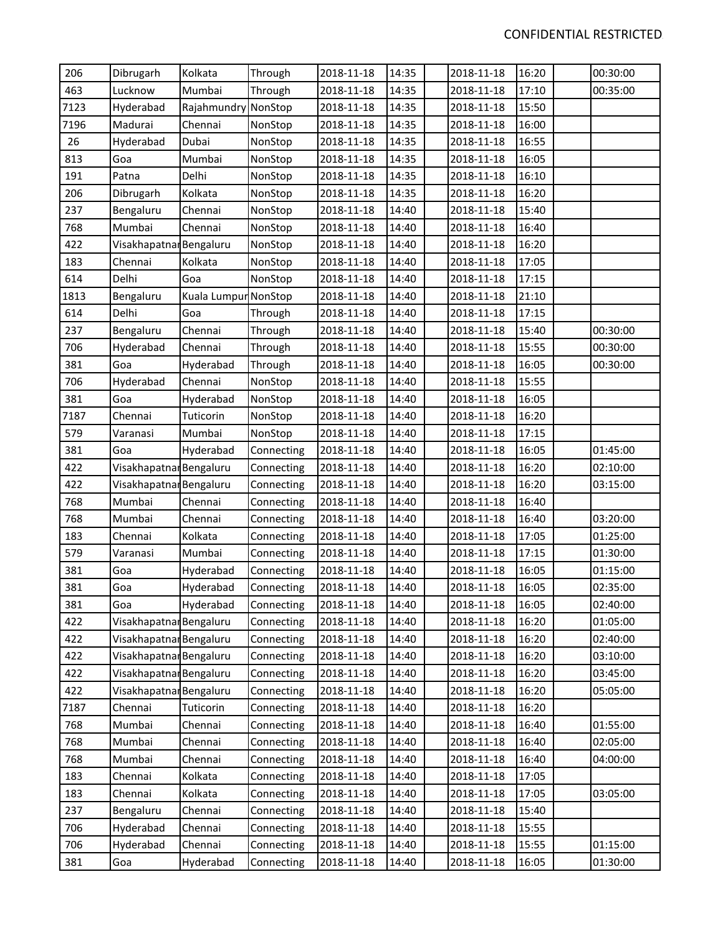| 206  | Dibrugarh               | Kolkata              | Through    | 2018-11-18 | 14:35 | 2018-11-18 | 16:20 | 00:30:00 |
|------|-------------------------|----------------------|------------|------------|-------|------------|-------|----------|
| 463  | Lucknow                 | Mumbai               | Through    | 2018-11-18 | 14:35 | 2018-11-18 | 17:10 | 00:35:00 |
| 7123 | Hyderabad               | Rajahmundry          | NonStop    | 2018-11-18 | 14:35 | 2018-11-18 | 15:50 |          |
| 7196 | Madurai                 | Chennai              | NonStop    | 2018-11-18 | 14:35 | 2018-11-18 | 16:00 |          |
| 26   | Hyderabad               | Dubai                | NonStop    | 2018-11-18 | 14:35 | 2018-11-18 | 16:55 |          |
| 813  | Goa                     | Mumbai               | NonStop    | 2018-11-18 | 14:35 | 2018-11-18 | 16:05 |          |
| 191  | Patna                   | Delhi                | NonStop    | 2018-11-18 | 14:35 | 2018-11-18 | 16:10 |          |
| 206  | Dibrugarh               | Kolkata              | NonStop    | 2018-11-18 | 14:35 | 2018-11-18 | 16:20 |          |
| 237  | Bengaluru               | Chennai              | NonStop    | 2018-11-18 | 14:40 | 2018-11-18 | 15:40 |          |
| 768  | Mumbai                  | Chennai              | NonStop    | 2018-11-18 | 14:40 | 2018-11-18 | 16:40 |          |
| 422  | Visakhapatnar Bengaluru |                      | NonStop    | 2018-11-18 | 14:40 | 2018-11-18 | 16:20 |          |
| 183  | Chennai                 | Kolkata              | NonStop    | 2018-11-18 | 14:40 | 2018-11-18 | 17:05 |          |
| 614  | Delhi                   | Goa                  | NonStop    | 2018-11-18 | 14:40 | 2018-11-18 | 17:15 |          |
| 1813 | Bengaluru               | Kuala Lumpur NonStop |            | 2018-11-18 | 14:40 | 2018-11-18 | 21:10 |          |
| 614  | Delhi                   | Goa                  | Through    | 2018-11-18 | 14:40 | 2018-11-18 | 17:15 |          |
| 237  | Bengaluru               | Chennai              | Through    | 2018-11-18 | 14:40 | 2018-11-18 | 15:40 | 00:30:00 |
| 706  | Hyderabad               | Chennai              | Through    | 2018-11-18 | 14:40 | 2018-11-18 | 15:55 | 00:30:00 |
| 381  | Goa                     | Hyderabad            | Through    | 2018-11-18 | 14:40 | 2018-11-18 | 16:05 | 00:30:00 |
| 706  | Hyderabad               | Chennai              | NonStop    | 2018-11-18 | 14:40 | 2018-11-18 | 15:55 |          |
| 381  | Goa                     | Hyderabad            | NonStop    | 2018-11-18 | 14:40 | 2018-11-18 | 16:05 |          |
| 7187 | Chennai                 | Tuticorin            | NonStop    | 2018-11-18 | 14:40 | 2018-11-18 | 16:20 |          |
| 579  | Varanasi                | Mumbai               | NonStop    | 2018-11-18 | 14:40 | 2018-11-18 | 17:15 |          |
| 381  | Goa                     | Hyderabad            | Connecting | 2018-11-18 | 14:40 | 2018-11-18 | 16:05 | 01:45:00 |
| 422  | Visakhapatnar Bengaluru |                      | Connecting | 2018-11-18 | 14:40 | 2018-11-18 | 16:20 | 02:10:00 |
| 422  | Visakhapatnar Bengaluru |                      | Connecting | 2018-11-18 | 14:40 | 2018-11-18 | 16:20 | 03:15:00 |
| 768  | Mumbai                  | Chennai              | Connecting | 2018-11-18 | 14:40 | 2018-11-18 | 16:40 |          |
| 768  | Mumbai                  | Chennai              | Connecting | 2018-11-18 | 14:40 | 2018-11-18 | 16:40 | 03:20:00 |
| 183  | Chennai                 | Kolkata              | Connecting | 2018-11-18 | 14:40 | 2018-11-18 | 17:05 | 01:25:00 |
| 579  | Varanasi                | Mumbai               | Connecting | 2018-11-18 | 14:40 | 2018-11-18 | 17:15 | 01:30:00 |
| 381  | Goa                     | Hyderabad            | Connecting | 2018-11-18 | 14:40 | 2018-11-18 | 16:05 | 01:15:00 |
| 381  | Goa                     | Hyderabad            | Connecting | 2018-11-18 | 14:40 | 2018-11-18 | 16:05 | 02:35:00 |
| 381  | Goa                     | Hyderabad            | Connecting | 2018-11-18 | 14:40 | 2018-11-18 | 16:05 | 02:40:00 |
| 422  | Visakhapatnar Bengaluru |                      | Connecting | 2018-11-18 | 14:40 | 2018-11-18 | 16:20 | 01:05:00 |
| 422  | Visakhapatnar Bengaluru |                      | Connecting | 2018-11-18 | 14:40 | 2018-11-18 | 16:20 | 02:40:00 |
| 422  | Visakhapatnar Bengaluru |                      | Connecting | 2018-11-18 | 14:40 | 2018-11-18 | 16:20 | 03:10:00 |
| 422  | Visakhapatnar Bengaluru |                      | Connecting | 2018-11-18 | 14:40 | 2018-11-18 | 16:20 | 03:45:00 |
| 422  | Visakhapatnar Bengaluru |                      | Connecting | 2018-11-18 | 14:40 | 2018-11-18 | 16:20 | 05:05:00 |
| 7187 | Chennai                 | Tuticorin            | Connecting | 2018-11-18 | 14:40 | 2018-11-18 | 16:20 |          |
| 768  | Mumbai                  | Chennai              | Connecting | 2018-11-18 | 14:40 | 2018-11-18 | 16:40 | 01:55:00 |
| 768  | Mumbai                  | Chennai              | Connecting | 2018-11-18 | 14:40 | 2018-11-18 | 16:40 | 02:05:00 |
| 768  | Mumbai                  | Chennai              | Connecting | 2018-11-18 | 14:40 | 2018-11-18 | 16:40 | 04:00:00 |
| 183  | Chennai                 | Kolkata              | Connecting | 2018-11-18 | 14:40 | 2018-11-18 | 17:05 |          |
| 183  | Chennai                 | Kolkata              | Connecting | 2018-11-18 | 14:40 | 2018-11-18 | 17:05 | 03:05:00 |
| 237  | Bengaluru               | Chennai              | Connecting | 2018-11-18 | 14:40 | 2018-11-18 | 15:40 |          |
| 706  | Hyderabad               | Chennai              | Connecting | 2018-11-18 | 14:40 | 2018-11-18 | 15:55 |          |
| 706  | Hyderabad               | Chennai              | Connecting | 2018-11-18 | 14:40 | 2018-11-18 | 15:55 | 01:15:00 |
| 381  | Goa                     | Hyderabad            | Connecting | 2018-11-18 | 14:40 | 2018-11-18 | 16:05 | 01:30:00 |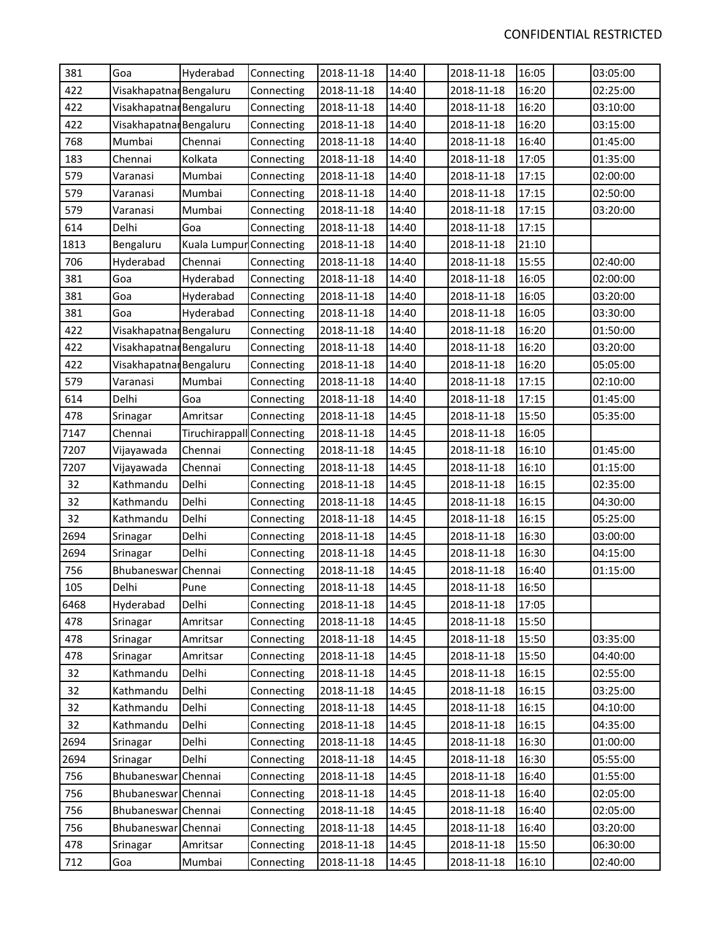| 381  | Goa                     | Hyderabad                 | Connecting | 2018-11-18 | 14:40 | 2018-11-18 | 16:05 | 03:05:00 |
|------|-------------------------|---------------------------|------------|------------|-------|------------|-------|----------|
| 422  | Visakhapatnar Bengaluru |                           | Connecting | 2018-11-18 | 14:40 | 2018-11-18 | 16:20 | 02:25:00 |
| 422  | Visakhapatnar Bengaluru |                           | Connecting | 2018-11-18 | 14:40 | 2018-11-18 | 16:20 | 03:10:00 |
| 422  | Visakhapatnar Bengaluru |                           | Connecting | 2018-11-18 | 14:40 | 2018-11-18 | 16:20 | 03:15:00 |
| 768  | Mumbai                  | Chennai                   | Connecting | 2018-11-18 | 14:40 | 2018-11-18 | 16:40 | 01:45:00 |
| 183  | Chennai                 | Kolkata                   | Connecting | 2018-11-18 | 14:40 | 2018-11-18 | 17:05 | 01:35:00 |
| 579  | Varanasi                | Mumbai                    | Connecting | 2018-11-18 | 14:40 | 2018-11-18 | 17:15 | 02:00:00 |
| 579  | Varanasi                | Mumbai                    | Connecting | 2018-11-18 | 14:40 | 2018-11-18 | 17:15 | 02:50:00 |
| 579  | Varanasi                | Mumbai                    | Connecting | 2018-11-18 | 14:40 | 2018-11-18 | 17:15 | 03:20:00 |
| 614  | Delhi                   | Goa                       | Connecting | 2018-11-18 | 14:40 | 2018-11-18 | 17:15 |          |
| 1813 | Bengaluru               | Kuala Lumpur Connecting   |            | 2018-11-18 | 14:40 | 2018-11-18 | 21:10 |          |
| 706  | Hyderabad               | Chennai                   | Connecting | 2018-11-18 | 14:40 | 2018-11-18 | 15:55 | 02:40:00 |
| 381  | Goa                     | Hyderabad                 | Connecting | 2018-11-18 | 14:40 | 2018-11-18 | 16:05 | 02:00:00 |
| 381  | Goa                     | Hyderabad                 | Connecting | 2018-11-18 | 14:40 | 2018-11-18 | 16:05 | 03:20:00 |
| 381  | Goa                     | Hyderabad                 | Connecting | 2018-11-18 | 14:40 | 2018-11-18 | 16:05 | 03:30:00 |
| 422  | Visakhapatnar Bengaluru |                           | Connecting | 2018-11-18 | 14:40 | 2018-11-18 | 16:20 | 01:50:00 |
| 422  | Visakhapatnar Bengaluru |                           | Connecting | 2018-11-18 | 14:40 | 2018-11-18 | 16:20 | 03:20:00 |
| 422  | Visakhapatnar Bengaluru |                           | Connecting | 2018-11-18 | 14:40 | 2018-11-18 | 16:20 | 05:05:00 |
| 579  | Varanasi                | Mumbai                    | Connecting | 2018-11-18 | 14:40 | 2018-11-18 | 17:15 | 02:10:00 |
| 614  | Delhi                   | Goa                       | Connecting | 2018-11-18 | 14:40 | 2018-11-18 | 17:15 | 01:45:00 |
| 478  | Srinagar                | Amritsar                  | Connecting | 2018-11-18 | 14:45 | 2018-11-18 | 15:50 | 05:35:00 |
| 7147 | Chennai                 | Tiruchirappall Connecting |            | 2018-11-18 | 14:45 | 2018-11-18 | 16:05 |          |
| 7207 | Vijayawada              | Chennai                   | Connecting | 2018-11-18 | 14:45 | 2018-11-18 | 16:10 | 01:45:00 |
| 7207 | Vijayawada              | Chennai                   | Connecting | 2018-11-18 | 14:45 | 2018-11-18 | 16:10 | 01:15:00 |
| 32   | Kathmandu               | Delhi                     | Connecting | 2018-11-18 | 14:45 | 2018-11-18 | 16:15 | 02:35:00 |
| 32   | Kathmandu               | Delhi                     | Connecting | 2018-11-18 | 14:45 | 2018-11-18 | 16:15 | 04:30:00 |
| 32   | Kathmandu               | Delhi                     | Connecting | 2018-11-18 | 14:45 | 2018-11-18 | 16:15 | 05:25:00 |
| 2694 | Srinagar                | Delhi                     | Connecting | 2018-11-18 | 14:45 | 2018-11-18 | 16:30 | 03:00:00 |
| 2694 | Srinagar                | Delhi                     | Connecting | 2018-11-18 | 14:45 | 2018-11-18 | 16:30 | 04:15:00 |
| 756  | Bhubaneswar             | Chennai                   | Connecting | 2018-11-18 | 14:45 | 2018-11-18 | 16:40 | 01:15:00 |
| 105  | Delhi                   | Pune                      | Connecting | 2018-11-18 | 14:45 | 2018-11-18 | 16:50 |          |
| 6468 | Hyderabad               | Delhi                     | Connecting | 2018-11-18 | 14:45 | 2018-11-18 | 17:05 |          |
| 478  | Srinagar                | Amritsar                  | Connecting | 2018-11-18 | 14:45 | 2018-11-18 | 15:50 |          |
| 478  | Srinagar                | Amritsar                  | Connecting | 2018-11-18 | 14:45 | 2018-11-18 | 15:50 | 03:35:00 |
| 478  | Srinagar                | Amritsar                  | Connecting | 2018-11-18 | 14:45 | 2018-11-18 | 15:50 | 04:40:00 |
| 32   | Kathmandu               | Delhi                     | Connecting | 2018-11-18 | 14:45 | 2018-11-18 | 16:15 | 02:55:00 |
| 32   | Kathmandu               | Delhi                     | Connecting | 2018-11-18 | 14:45 | 2018-11-18 | 16:15 | 03:25:00 |
| 32   | Kathmandu               | Delhi                     | Connecting | 2018-11-18 | 14:45 | 2018-11-18 | 16:15 | 04:10:00 |
| 32   | Kathmandu               | Delhi                     | Connecting | 2018-11-18 | 14:45 | 2018-11-18 | 16:15 | 04:35:00 |
| 2694 | Srinagar                | Delhi                     | Connecting | 2018-11-18 | 14:45 | 2018-11-18 | 16:30 | 01:00:00 |
| 2694 | Srinagar                | Delhi                     | Connecting | 2018-11-18 | 14:45 | 2018-11-18 | 16:30 | 05:55:00 |
| 756  | Bhubaneswar Chennai     |                           | Connecting | 2018-11-18 | 14:45 | 2018-11-18 | 16:40 | 01:55:00 |
| 756  | Bhubaneswar Chennai     |                           | Connecting | 2018-11-18 | 14:45 | 2018-11-18 | 16:40 | 02:05:00 |
| 756  | Bhubaneswar Chennai     |                           | Connecting | 2018-11-18 | 14:45 | 2018-11-18 | 16:40 | 02:05:00 |
| 756  | Bhubaneswar Chennai     |                           | Connecting | 2018-11-18 | 14:45 | 2018-11-18 | 16:40 | 03:20:00 |
| 478  | Srinagar                | Amritsar                  | Connecting | 2018-11-18 | 14:45 | 2018-11-18 | 15:50 | 06:30:00 |
| 712  | Goa                     | Mumbai                    | Connecting | 2018-11-18 | 14:45 | 2018-11-18 | 16:10 | 02:40:00 |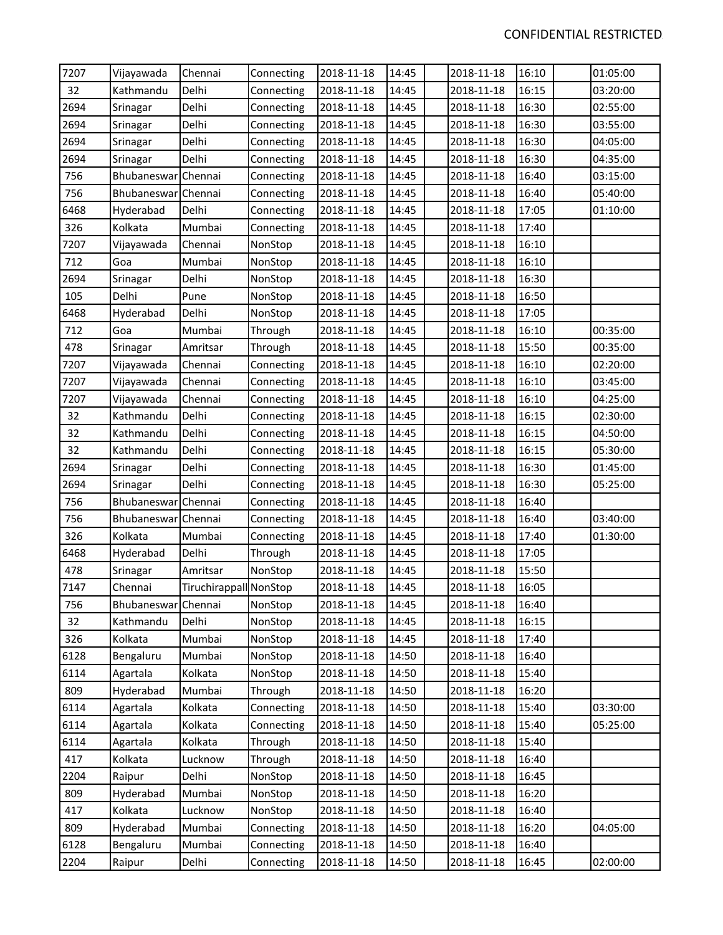| 7207 | Vijayawada          | Chennai                | Connecting | 2018-11-18 | 14:45 | 2018-11-18 | 16:10 | 01:05:00 |  |
|------|---------------------|------------------------|------------|------------|-------|------------|-------|----------|--|
| 32   | Kathmandu           | Delhi                  | Connecting | 2018-11-18 | 14:45 | 2018-11-18 | 16:15 | 03:20:00 |  |
| 2694 | Srinagar            | Delhi                  | Connecting | 2018-11-18 | 14:45 | 2018-11-18 | 16:30 | 02:55:00 |  |
| 2694 | Srinagar            | Delhi                  | Connecting | 2018-11-18 | 14:45 | 2018-11-18 | 16:30 | 03:55:00 |  |
| 2694 | Srinagar            | Delhi                  | Connecting | 2018-11-18 | 14:45 | 2018-11-18 | 16:30 | 04:05:00 |  |
| 2694 | Srinagar            | Delhi                  | Connecting | 2018-11-18 | 14:45 | 2018-11-18 | 16:30 | 04:35:00 |  |
| 756  | Bhubaneswar Chennai |                        | Connecting | 2018-11-18 | 14:45 | 2018-11-18 | 16:40 | 03:15:00 |  |
| 756  | Bhubaneswar Chennai |                        | Connecting | 2018-11-18 | 14:45 | 2018-11-18 | 16:40 | 05:40:00 |  |
| 6468 | Hyderabad           | Delhi                  | Connecting | 2018-11-18 | 14:45 | 2018-11-18 | 17:05 | 01:10:00 |  |
| 326  | Kolkata             | Mumbai                 | Connecting | 2018-11-18 | 14:45 | 2018-11-18 | 17:40 |          |  |
| 7207 | Vijayawada          | Chennai                | NonStop    | 2018-11-18 | 14:45 | 2018-11-18 | 16:10 |          |  |
| 712  | Goa                 | Mumbai                 | NonStop    | 2018-11-18 | 14:45 | 2018-11-18 | 16:10 |          |  |
| 2694 | Srinagar            | Delhi                  | NonStop    | 2018-11-18 | 14:45 | 2018-11-18 | 16:30 |          |  |
| 105  | Delhi               | Pune                   | NonStop    | 2018-11-18 | 14:45 | 2018-11-18 | 16:50 |          |  |
| 6468 | Hyderabad           | Delhi                  | NonStop    | 2018-11-18 | 14:45 | 2018-11-18 | 17:05 |          |  |
| 712  | Goa                 | Mumbai                 | Through    | 2018-11-18 | 14:45 | 2018-11-18 | 16:10 | 00:35:00 |  |
| 478  | Srinagar            | Amritsar               | Through    | 2018-11-18 | 14:45 | 2018-11-18 | 15:50 | 00:35:00 |  |
| 7207 | Vijayawada          | Chennai                | Connecting | 2018-11-18 | 14:45 | 2018-11-18 | 16:10 | 02:20:00 |  |
| 7207 | Vijayawada          | Chennai                | Connecting | 2018-11-18 | 14:45 | 2018-11-18 | 16:10 | 03:45:00 |  |
| 7207 | Vijayawada          | Chennai                | Connecting | 2018-11-18 | 14:45 | 2018-11-18 | 16:10 | 04:25:00 |  |
| 32   | Kathmandu           | Delhi                  | Connecting | 2018-11-18 | 14:45 | 2018-11-18 | 16:15 | 02:30:00 |  |
| 32   | Kathmandu           | Delhi                  | Connecting | 2018-11-18 | 14:45 | 2018-11-18 | 16:15 | 04:50:00 |  |
| 32   | Kathmandu           | Delhi                  | Connecting | 2018-11-18 | 14:45 | 2018-11-18 | 16:15 | 05:30:00 |  |
| 2694 | Srinagar            | Delhi                  | Connecting | 2018-11-18 | 14:45 | 2018-11-18 | 16:30 | 01:45:00 |  |
| 2694 | Srinagar            | Delhi                  | Connecting | 2018-11-18 | 14:45 | 2018-11-18 | 16:30 | 05:25:00 |  |
| 756  | Bhubaneswar Chennai |                        | Connecting | 2018-11-18 | 14:45 | 2018-11-18 | 16:40 |          |  |
| 756  | Bhubaneswar Chennai |                        | Connecting | 2018-11-18 | 14:45 | 2018-11-18 | 16:40 | 03:40:00 |  |
| 326  | Kolkata             | Mumbai                 | Connecting | 2018-11-18 | 14:45 | 2018-11-18 | 17:40 | 01:30:00 |  |
| 6468 | Hyderabad           | Delhi                  | Through    | 2018-11-18 | 14:45 | 2018-11-18 | 17:05 |          |  |
| 478  | Srinagar            | Amritsar               | NonStop    | 2018-11-18 | 14:45 | 2018-11-18 | 15:50 |          |  |
| 7147 | Chennai             | Tiruchirappall NonStop |            | 2018-11-18 | 14:45 | 2018-11-18 | 16:05 |          |  |
| 756  | Bhubaneswar Chennai |                        | NonStop    | 2018-11-18 | 14:45 | 2018-11-18 | 16:40 |          |  |
| 32   | Kathmandu           | Delhi                  | NonStop    | 2018-11-18 | 14:45 | 2018-11-18 | 16:15 |          |  |
| 326  | Kolkata             | Mumbai                 | NonStop    | 2018-11-18 | 14:45 | 2018-11-18 | 17:40 |          |  |
| 6128 | Bengaluru           | Mumbai                 | NonStop    | 2018-11-18 | 14:50 | 2018-11-18 | 16:40 |          |  |
| 6114 | Agartala            | Kolkata                | NonStop    | 2018-11-18 | 14:50 | 2018-11-18 | 15:40 |          |  |
| 809  | Hyderabad           | Mumbai                 | Through    | 2018-11-18 | 14:50 | 2018-11-18 | 16:20 |          |  |
| 6114 | Agartala            | Kolkata                | Connecting | 2018-11-18 | 14:50 | 2018-11-18 | 15:40 | 03:30:00 |  |
| 6114 | Agartala            | Kolkata                | Connecting | 2018-11-18 | 14:50 | 2018-11-18 | 15:40 | 05:25:00 |  |
| 6114 | Agartala            | Kolkata                | Through    | 2018-11-18 | 14:50 | 2018-11-18 | 15:40 |          |  |
| 417  | Kolkata             | Lucknow                | Through    | 2018-11-18 | 14:50 | 2018-11-18 | 16:40 |          |  |
| 2204 | Raipur              | Delhi                  | NonStop    | 2018-11-18 | 14:50 | 2018-11-18 | 16:45 |          |  |
| 809  | Hyderabad           | Mumbai                 | NonStop    | 2018-11-18 | 14:50 | 2018-11-18 | 16:20 |          |  |
| 417  | Kolkata             | Lucknow                | NonStop    | 2018-11-18 | 14:50 | 2018-11-18 | 16:40 |          |  |
| 809  | Hyderabad           | Mumbai                 | Connecting | 2018-11-18 | 14:50 | 2018-11-18 | 16:20 | 04:05:00 |  |
| 6128 | Bengaluru           | Mumbai                 | Connecting | 2018-11-18 | 14:50 | 2018-11-18 | 16:40 |          |  |
| 2204 | Raipur              | Delhi                  | Connecting | 2018-11-18 | 14:50 | 2018-11-18 | 16:45 | 02:00:00 |  |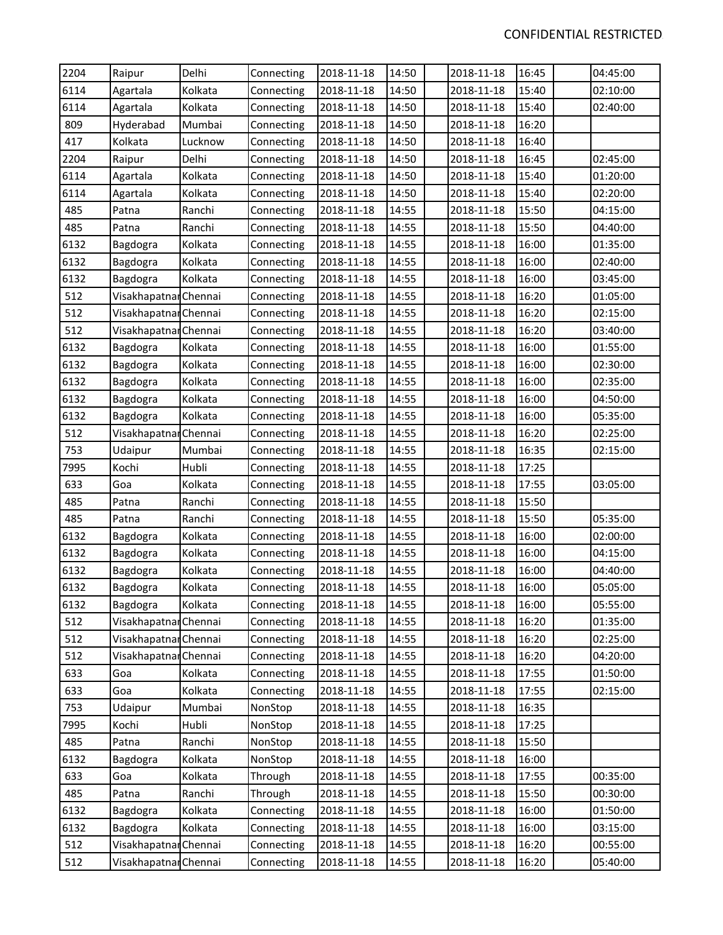| 2204 | Raipur                | Delhi   | Connecting | 2018-11-18 | 14:50 | 2018-11-18 | 16:45 | 04:45:00 |
|------|-----------------------|---------|------------|------------|-------|------------|-------|----------|
| 6114 | Agartala              | Kolkata | Connecting | 2018-11-18 | 14:50 | 2018-11-18 | 15:40 | 02:10:00 |
| 6114 | Agartala              | Kolkata | Connecting | 2018-11-18 | 14:50 | 2018-11-18 | 15:40 | 02:40:00 |
| 809  | Hyderabad             | Mumbai  | Connecting | 2018-11-18 | 14:50 | 2018-11-18 | 16:20 |          |
| 417  | Kolkata               | Lucknow | Connecting | 2018-11-18 | 14:50 | 2018-11-18 | 16:40 |          |
| 2204 | Raipur                | Delhi   | Connecting | 2018-11-18 | 14:50 | 2018-11-18 | 16:45 | 02:45:00 |
| 6114 | Agartala              | Kolkata | Connecting | 2018-11-18 | 14:50 | 2018-11-18 | 15:40 | 01:20:00 |
| 6114 | Agartala              | Kolkata | Connecting | 2018-11-18 | 14:50 | 2018-11-18 | 15:40 | 02:20:00 |
| 485  | Patna                 | Ranchi  | Connecting | 2018-11-18 | 14:55 | 2018-11-18 | 15:50 | 04:15:00 |
| 485  | Patna                 | Ranchi  | Connecting | 2018-11-18 | 14:55 | 2018-11-18 | 15:50 | 04:40:00 |
| 6132 | Bagdogra              | Kolkata | Connecting | 2018-11-18 | 14:55 | 2018-11-18 | 16:00 | 01:35:00 |
| 6132 | Bagdogra              | Kolkata | Connecting | 2018-11-18 | 14:55 | 2018-11-18 | 16:00 | 02:40:00 |
| 6132 | Bagdogra              | Kolkata | Connecting | 2018-11-18 | 14:55 | 2018-11-18 | 16:00 | 03:45:00 |
| 512  | Visakhapatnar Chennai |         | Connecting | 2018-11-18 | 14:55 | 2018-11-18 | 16:20 | 01:05:00 |
| 512  | Visakhapatnar Chennai |         | Connecting | 2018-11-18 | 14:55 | 2018-11-18 | 16:20 | 02:15:00 |
| 512  | Visakhapatnar Chennai |         | Connecting | 2018-11-18 | 14:55 | 2018-11-18 | 16:20 | 03:40:00 |
| 6132 | Bagdogra              | Kolkata | Connecting | 2018-11-18 | 14:55 | 2018-11-18 | 16:00 | 01:55:00 |
| 6132 | Bagdogra              | Kolkata | Connecting | 2018-11-18 | 14:55 | 2018-11-18 | 16:00 | 02:30:00 |
| 6132 | Bagdogra              | Kolkata | Connecting | 2018-11-18 | 14:55 | 2018-11-18 | 16:00 | 02:35:00 |
| 6132 | Bagdogra              | Kolkata | Connecting | 2018-11-18 | 14:55 | 2018-11-18 | 16:00 | 04:50:00 |
| 6132 | Bagdogra              | Kolkata | Connecting | 2018-11-18 | 14:55 | 2018-11-18 | 16:00 | 05:35:00 |
| 512  | Visakhapatnar Chennai |         | Connecting | 2018-11-18 | 14:55 | 2018-11-18 | 16:20 | 02:25:00 |
| 753  | Udaipur               | Mumbai  | Connecting | 2018-11-18 | 14:55 | 2018-11-18 | 16:35 | 02:15:00 |
| 7995 | Kochi                 | Hubli   | Connecting | 2018-11-18 | 14:55 | 2018-11-18 | 17:25 |          |
| 633  | Goa                   | Kolkata | Connecting | 2018-11-18 | 14:55 | 2018-11-18 | 17:55 | 03:05:00 |
| 485  | Patna                 | Ranchi  | Connecting | 2018-11-18 | 14:55 | 2018-11-18 | 15:50 |          |
| 485  | Patna                 | Ranchi  | Connecting | 2018-11-18 | 14:55 | 2018-11-18 | 15:50 | 05:35:00 |
| 6132 | Bagdogra              | Kolkata | Connecting | 2018-11-18 | 14:55 | 2018-11-18 | 16:00 | 02:00:00 |
| 6132 | Bagdogra              | Kolkata | Connecting | 2018-11-18 | 14:55 | 2018-11-18 | 16:00 | 04:15:00 |
| 6132 | Bagdogra              | Kolkata | Connecting | 2018-11-18 | 14:55 | 2018-11-18 | 16:00 | 04:40:00 |
| 6132 | Bagdogra              | Kolkata | Connecting | 2018-11-18 | 14:55 | 2018-11-18 | 16:00 | 05:05:00 |
| 6132 | Bagdogra              | Kolkata | Connecting | 2018-11-18 | 14:55 | 2018-11-18 | 16:00 | 05:55:00 |
| 512  | Visakhapatnar Chennai |         | Connecting | 2018-11-18 | 14:55 | 2018-11-18 | 16:20 | 01:35:00 |
| 512  | Visakhapatnar Chennai |         | Connecting | 2018-11-18 | 14:55 | 2018-11-18 | 16:20 | 02:25:00 |
| 512  | Visakhapatnar Chennai |         | Connecting | 2018-11-18 | 14:55 | 2018-11-18 | 16:20 | 04:20:00 |
| 633  | Goa                   | Kolkata | Connecting | 2018-11-18 | 14:55 | 2018-11-18 | 17:55 | 01:50:00 |
| 633  | Goa                   | Kolkata | Connecting | 2018-11-18 | 14:55 | 2018-11-18 | 17:55 | 02:15:00 |
| 753  | Udaipur               | Mumbai  | NonStop    | 2018-11-18 | 14:55 | 2018-11-18 | 16:35 |          |
| 7995 | Kochi                 | Hubli   | NonStop    | 2018-11-18 | 14:55 | 2018-11-18 | 17:25 |          |
| 485  | Patna                 | Ranchi  | NonStop    | 2018-11-18 | 14:55 | 2018-11-18 | 15:50 |          |
| 6132 | Bagdogra              | Kolkata | NonStop    | 2018-11-18 | 14:55 | 2018-11-18 | 16:00 |          |
| 633  | Goa                   | Kolkata | Through    | 2018-11-18 | 14:55 | 2018-11-18 | 17:55 | 00:35:00 |
| 485  | Patna                 | Ranchi  | Through    | 2018-11-18 | 14:55 | 2018-11-18 | 15:50 | 00:30:00 |
| 6132 | Bagdogra              | Kolkata | Connecting | 2018-11-18 | 14:55 | 2018-11-18 | 16:00 | 01:50:00 |
| 6132 | Bagdogra              | Kolkata | Connecting | 2018-11-18 | 14:55 | 2018-11-18 | 16:00 | 03:15:00 |
| 512  | Visakhapatnar Chennai |         | Connecting | 2018-11-18 | 14:55 | 2018-11-18 | 16:20 | 00:55:00 |
| 512  | Visakhapatnar Chennai |         | Connecting | 2018-11-18 | 14:55 | 2018-11-18 | 16:20 | 05:40:00 |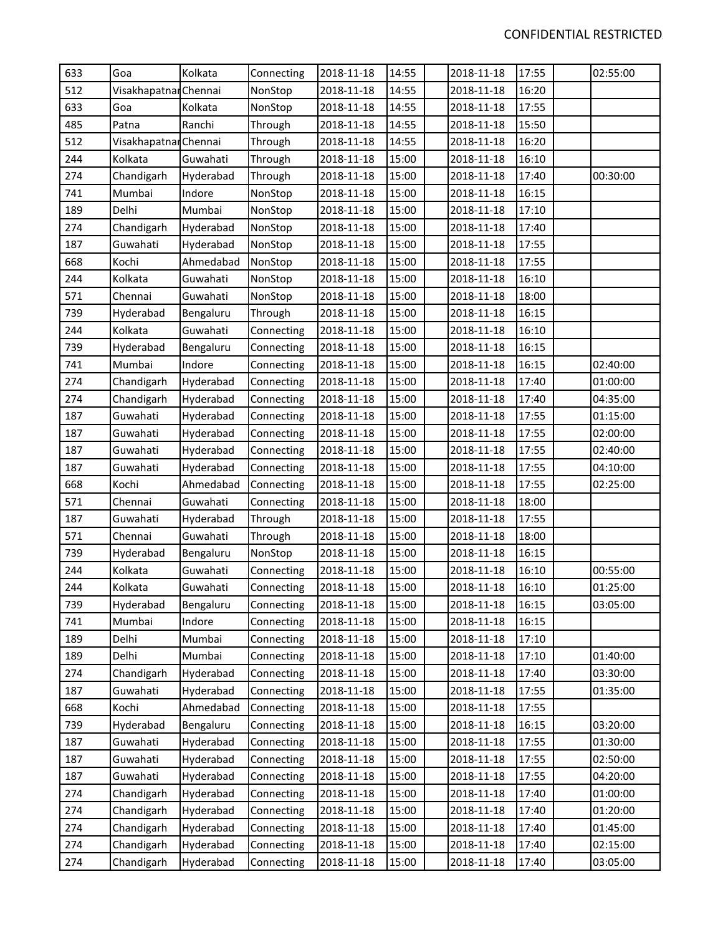| 633 | Goa                   | Kolkata   | Connecting | 2018-11-18 | 14:55 | 2018-11-18 | 17:55 | 02:55:00 |
|-----|-----------------------|-----------|------------|------------|-------|------------|-------|----------|
| 512 | Visakhapatnar Chennai |           | NonStop    | 2018-11-18 | 14:55 | 2018-11-18 | 16:20 |          |
| 633 | Goa                   | Kolkata   | NonStop    | 2018-11-18 | 14:55 | 2018-11-18 | 17:55 |          |
| 485 | Patna                 | Ranchi    | Through    | 2018-11-18 | 14:55 | 2018-11-18 | 15:50 |          |
| 512 | Visakhapatnar Chennai |           | Through    | 2018-11-18 | 14:55 | 2018-11-18 | 16:20 |          |
| 244 | Kolkata               | Guwahati  | Through    | 2018-11-18 | 15:00 | 2018-11-18 | 16:10 |          |
| 274 | Chandigarh            | Hyderabad | Through    | 2018-11-18 | 15:00 | 2018-11-18 | 17:40 | 00:30:00 |
| 741 | Mumbai                | Indore    | NonStop    | 2018-11-18 | 15:00 | 2018-11-18 | 16:15 |          |
| 189 | Delhi                 | Mumbai    | NonStop    | 2018-11-18 | 15:00 | 2018-11-18 | 17:10 |          |
| 274 | Chandigarh            | Hyderabad | NonStop    | 2018-11-18 | 15:00 | 2018-11-18 | 17:40 |          |
| 187 | Guwahati              | Hyderabad | NonStop    | 2018-11-18 | 15:00 | 2018-11-18 | 17:55 |          |
| 668 | Kochi                 | Ahmedabad | NonStop    | 2018-11-18 | 15:00 | 2018-11-18 | 17:55 |          |
| 244 | Kolkata               | Guwahati  | NonStop    | 2018-11-18 | 15:00 | 2018-11-18 | 16:10 |          |
| 571 | Chennai               | Guwahati  | NonStop    | 2018-11-18 | 15:00 | 2018-11-18 | 18:00 |          |
| 739 | Hyderabad             | Bengaluru | Through    | 2018-11-18 | 15:00 | 2018-11-18 | 16:15 |          |
| 244 | Kolkata               | Guwahati  | Connecting | 2018-11-18 | 15:00 | 2018-11-18 | 16:10 |          |
| 739 | Hyderabad             | Bengaluru | Connecting | 2018-11-18 | 15:00 | 2018-11-18 | 16:15 |          |
| 741 | Mumbai                | Indore    | Connecting | 2018-11-18 | 15:00 | 2018-11-18 | 16:15 | 02:40:00 |
| 274 | Chandigarh            | Hyderabad | Connecting | 2018-11-18 | 15:00 | 2018-11-18 | 17:40 | 01:00:00 |
| 274 | Chandigarh            | Hyderabad | Connecting | 2018-11-18 | 15:00 | 2018-11-18 | 17:40 | 04:35:00 |
| 187 | Guwahati              | Hyderabad | Connecting | 2018-11-18 | 15:00 | 2018-11-18 | 17:55 | 01:15:00 |
| 187 | Guwahati              | Hyderabad | Connecting | 2018-11-18 | 15:00 | 2018-11-18 | 17:55 | 02:00:00 |
| 187 | Guwahati              | Hyderabad | Connecting | 2018-11-18 | 15:00 | 2018-11-18 | 17:55 | 02:40:00 |
| 187 | Guwahati              | Hyderabad | Connecting | 2018-11-18 | 15:00 | 2018-11-18 | 17:55 | 04:10:00 |
| 668 | Kochi                 | Ahmedabad | Connecting | 2018-11-18 | 15:00 | 2018-11-18 | 17:55 | 02:25:00 |
| 571 | Chennai               | Guwahati  | Connecting | 2018-11-18 | 15:00 | 2018-11-18 | 18:00 |          |
| 187 | Guwahati              | Hyderabad | Through    | 2018-11-18 | 15:00 | 2018-11-18 | 17:55 |          |
| 571 | Chennai               | Guwahati  | Through    | 2018-11-18 | 15:00 | 2018-11-18 | 18:00 |          |
| 739 | Hyderabad             | Bengaluru | NonStop    | 2018-11-18 | 15:00 | 2018-11-18 | 16:15 |          |
| 244 | Kolkata               | Guwahati  | Connecting | 2018-11-18 | 15:00 | 2018-11-18 | 16:10 | 00:55:00 |
| 244 | Kolkata               | Guwahati  | Connecting | 2018-11-18 | 15:00 | 2018-11-18 | 16:10 | 01:25:00 |
| 739 | Hyderabad             | Bengaluru | Connecting | 2018-11-18 | 15:00 | 2018-11-18 | 16:15 | 03:05:00 |
| 741 | Mumbai                | Indore    | Connecting | 2018-11-18 | 15:00 | 2018-11-18 | 16:15 |          |
| 189 | Delhi                 | Mumbai    | Connecting | 2018-11-18 | 15:00 | 2018-11-18 | 17:10 |          |
| 189 | Delhi                 | Mumbai    | Connecting | 2018-11-18 | 15:00 | 2018-11-18 | 17:10 | 01:40:00 |
| 274 | Chandigarh            | Hyderabad | Connecting | 2018-11-18 | 15:00 | 2018-11-18 | 17:40 | 03:30:00 |
| 187 | Guwahati              | Hyderabad | Connecting | 2018-11-18 | 15:00 | 2018-11-18 | 17:55 | 01:35:00 |
| 668 | Kochi                 | Ahmedabad | Connecting | 2018-11-18 | 15:00 | 2018-11-18 | 17:55 |          |
| 739 | Hyderabad             | Bengaluru | Connecting | 2018-11-18 | 15:00 | 2018-11-18 | 16:15 | 03:20:00 |
| 187 | Guwahati              | Hyderabad | Connecting | 2018-11-18 | 15:00 | 2018-11-18 | 17:55 | 01:30:00 |
| 187 | Guwahati              | Hyderabad | Connecting | 2018-11-18 | 15:00 | 2018-11-18 | 17:55 | 02:50:00 |
| 187 | Guwahati              | Hyderabad | Connecting | 2018-11-18 | 15:00 | 2018-11-18 | 17:55 | 04:20:00 |
| 274 | Chandigarh            | Hyderabad | Connecting | 2018-11-18 | 15:00 | 2018-11-18 | 17:40 | 01:00:00 |
| 274 | Chandigarh            | Hyderabad | Connecting | 2018-11-18 | 15:00 | 2018-11-18 | 17:40 | 01:20:00 |
| 274 | Chandigarh            | Hyderabad | Connecting | 2018-11-18 | 15:00 | 2018-11-18 | 17:40 | 01:45:00 |
| 274 | Chandigarh            | Hyderabad | Connecting | 2018-11-18 | 15:00 | 2018-11-18 | 17:40 | 02:15:00 |
| 274 | Chandigarh            | Hyderabad | Connecting | 2018-11-18 | 15:00 | 2018-11-18 | 17:40 | 03:05:00 |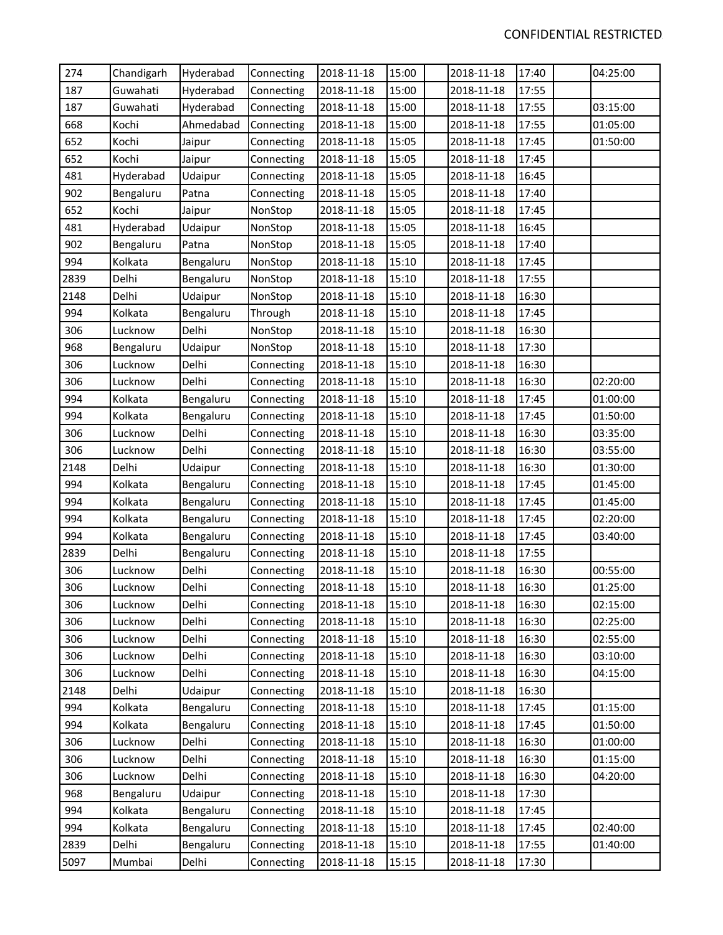| 274  | Chandigarh | Hyderabad | Connecting | 2018-11-18 | 15:00 | 2018-11-18 | 17:40 | 04:25:00 |
|------|------------|-----------|------------|------------|-------|------------|-------|----------|
| 187  | Guwahati   | Hyderabad | Connecting | 2018-11-18 | 15:00 | 2018-11-18 | 17:55 |          |
| 187  | Guwahati   | Hyderabad | Connecting | 2018-11-18 | 15:00 | 2018-11-18 | 17:55 | 03:15:00 |
| 668  | Kochi      | Ahmedabad | Connecting | 2018-11-18 | 15:00 | 2018-11-18 | 17:55 | 01:05:00 |
| 652  | Kochi      | Jaipur    | Connecting | 2018-11-18 | 15:05 | 2018-11-18 | 17:45 | 01:50:00 |
| 652  | Kochi      | Jaipur    | Connecting | 2018-11-18 | 15:05 | 2018-11-18 | 17:45 |          |
| 481  | Hyderabad  | Udaipur   | Connecting | 2018-11-18 | 15:05 | 2018-11-18 | 16:45 |          |
| 902  | Bengaluru  | Patna     | Connecting | 2018-11-18 | 15:05 | 2018-11-18 | 17:40 |          |
| 652  | Kochi      | Jaipur    | NonStop    | 2018-11-18 | 15:05 | 2018-11-18 | 17:45 |          |
| 481  | Hyderabad  | Udaipur   | NonStop    | 2018-11-18 | 15:05 | 2018-11-18 | 16:45 |          |
| 902  | Bengaluru  | Patna     | NonStop    | 2018-11-18 | 15:05 | 2018-11-18 | 17:40 |          |
| 994  | Kolkata    | Bengaluru | NonStop    | 2018-11-18 | 15:10 | 2018-11-18 | 17:45 |          |
| 2839 | Delhi      | Bengaluru | NonStop    | 2018-11-18 | 15:10 | 2018-11-18 | 17:55 |          |
| 2148 | Delhi      | Udaipur   | NonStop    | 2018-11-18 | 15:10 | 2018-11-18 | 16:30 |          |
| 994  | Kolkata    | Bengaluru | Through    | 2018-11-18 | 15:10 | 2018-11-18 | 17:45 |          |
| 306  | Lucknow    | Delhi     | NonStop    | 2018-11-18 | 15:10 | 2018-11-18 | 16:30 |          |
| 968  | Bengaluru  | Udaipur   | NonStop    | 2018-11-18 | 15:10 | 2018-11-18 | 17:30 |          |
| 306  | Lucknow    | Delhi     | Connecting | 2018-11-18 | 15:10 | 2018-11-18 | 16:30 |          |
| 306  | Lucknow    | Delhi     | Connecting | 2018-11-18 | 15:10 | 2018-11-18 | 16:30 | 02:20:00 |
| 994  | Kolkata    | Bengaluru | Connecting | 2018-11-18 | 15:10 | 2018-11-18 | 17:45 | 01:00:00 |
| 994  | Kolkata    | Bengaluru | Connecting | 2018-11-18 | 15:10 | 2018-11-18 | 17:45 | 01:50:00 |
| 306  | Lucknow    | Delhi     | Connecting | 2018-11-18 | 15:10 | 2018-11-18 | 16:30 | 03:35:00 |
| 306  | Lucknow    | Delhi     | Connecting | 2018-11-18 | 15:10 | 2018-11-18 | 16:30 | 03:55:00 |
| 2148 | Delhi      | Udaipur   | Connecting | 2018-11-18 | 15:10 | 2018-11-18 | 16:30 | 01:30:00 |
| 994  | Kolkata    | Bengaluru | Connecting | 2018-11-18 | 15:10 | 2018-11-18 | 17:45 | 01:45:00 |
| 994  | Kolkata    | Bengaluru | Connecting | 2018-11-18 | 15:10 | 2018-11-18 | 17:45 | 01:45:00 |
| 994  | Kolkata    | Bengaluru | Connecting | 2018-11-18 | 15:10 | 2018-11-18 | 17:45 | 02:20:00 |
| 994  | Kolkata    | Bengaluru | Connecting | 2018-11-18 | 15:10 | 2018-11-18 | 17:45 | 03:40:00 |
| 2839 | Delhi      | Bengaluru | Connecting | 2018-11-18 | 15:10 | 2018-11-18 | 17:55 |          |
| 306  | Lucknow    | Delhi     | Connecting | 2018-11-18 | 15:10 | 2018-11-18 | 16:30 | 00:55:00 |
| 306  | Lucknow    | Delhi     | Connecting | 2018-11-18 | 15:10 | 2018-11-18 | 16:30 | 01:25:00 |
| 306  | Lucknow    | Delhi     | Connecting | 2018-11-18 | 15:10 | 2018-11-18 | 16:30 | 02:15:00 |
| 306  | Lucknow    | Delhi     | Connecting | 2018-11-18 | 15:10 | 2018-11-18 | 16:30 | 02:25:00 |
| 306  | Lucknow    | Delhi     | Connecting | 2018-11-18 | 15:10 | 2018-11-18 | 16:30 | 02:55:00 |
| 306  | Lucknow    | Delhi     | Connecting | 2018-11-18 | 15:10 | 2018-11-18 | 16:30 | 03:10:00 |
| 306  | Lucknow    | Delhi     | Connecting | 2018-11-18 | 15:10 | 2018-11-18 | 16:30 | 04:15:00 |
| 2148 | Delhi      | Udaipur   | Connecting | 2018-11-18 | 15:10 | 2018-11-18 | 16:30 |          |
| 994  | Kolkata    | Bengaluru | Connecting | 2018-11-18 | 15:10 | 2018-11-18 | 17:45 | 01:15:00 |
| 994  | Kolkata    | Bengaluru | Connecting | 2018-11-18 | 15:10 | 2018-11-18 | 17:45 | 01:50:00 |
| 306  | Lucknow    | Delhi     | Connecting | 2018-11-18 | 15:10 | 2018-11-18 | 16:30 | 01:00:00 |
| 306  | Lucknow    | Delhi     | Connecting | 2018-11-18 | 15:10 | 2018-11-18 | 16:30 | 01:15:00 |
| 306  | Lucknow    | Delhi     | Connecting | 2018-11-18 | 15:10 | 2018-11-18 | 16:30 | 04:20:00 |
| 968  | Bengaluru  | Udaipur   | Connecting | 2018-11-18 | 15:10 | 2018-11-18 | 17:30 |          |
| 994  | Kolkata    | Bengaluru | Connecting | 2018-11-18 | 15:10 | 2018-11-18 | 17:45 |          |
| 994  | Kolkata    | Bengaluru | Connecting | 2018-11-18 | 15:10 | 2018-11-18 | 17:45 | 02:40:00 |
| 2839 | Delhi      | Bengaluru | Connecting | 2018-11-18 | 15:10 | 2018-11-18 | 17:55 | 01:40:00 |
| 5097 | Mumbai     | Delhi     | Connecting | 2018-11-18 | 15:15 | 2018-11-18 | 17:30 |          |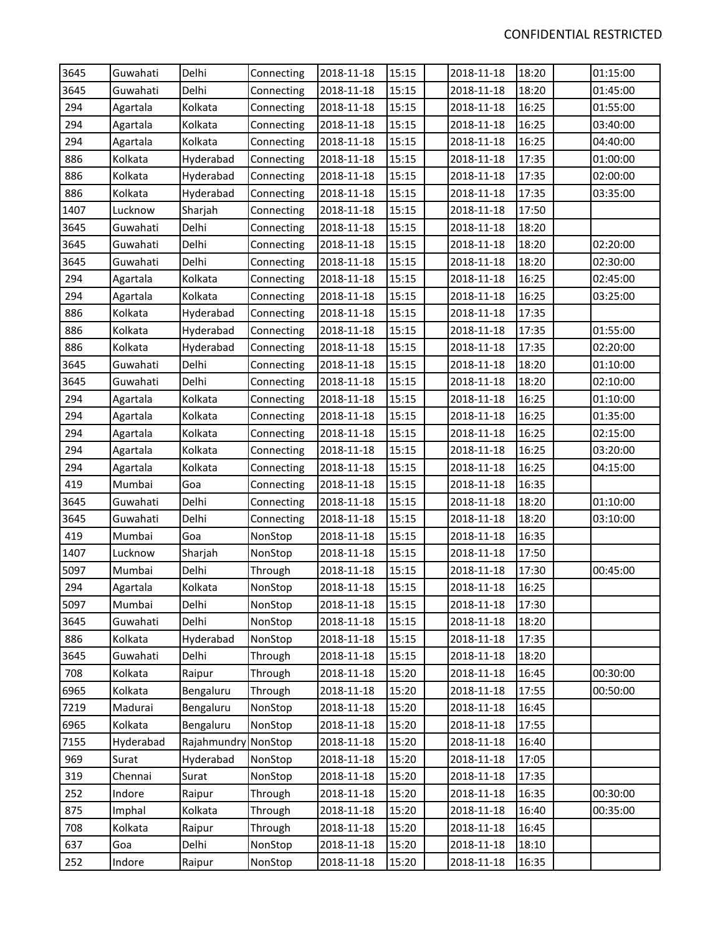| 3645 | Guwahati  | Delhi               | Connecting | 2018-11-18 | 15:15 | 2018-11-18 | 18:20 | 01:15:00 |
|------|-----------|---------------------|------------|------------|-------|------------|-------|----------|
| 3645 | Guwahati  | Delhi               | Connecting | 2018-11-18 | 15:15 | 2018-11-18 | 18:20 | 01:45:00 |
| 294  | Agartala  | Kolkata             | Connecting | 2018-11-18 | 15:15 | 2018-11-18 | 16:25 | 01:55:00 |
| 294  | Agartala  | Kolkata             | Connecting | 2018-11-18 | 15:15 | 2018-11-18 | 16:25 | 03:40:00 |
| 294  | Agartala  | Kolkata             | Connecting | 2018-11-18 | 15:15 | 2018-11-18 | 16:25 | 04:40:00 |
| 886  | Kolkata   | Hyderabad           | Connecting | 2018-11-18 | 15:15 | 2018-11-18 | 17:35 | 01:00:00 |
| 886  | Kolkata   | Hyderabad           | Connecting | 2018-11-18 | 15:15 | 2018-11-18 | 17:35 | 02:00:00 |
| 886  | Kolkata   | Hyderabad           | Connecting | 2018-11-18 | 15:15 | 2018-11-18 | 17:35 | 03:35:00 |
| 1407 | Lucknow   | Sharjah             | Connecting | 2018-11-18 | 15:15 | 2018-11-18 | 17:50 |          |
| 3645 | Guwahati  | Delhi               | Connecting | 2018-11-18 | 15:15 | 2018-11-18 | 18:20 |          |
| 3645 | Guwahati  | Delhi               | Connecting | 2018-11-18 | 15:15 | 2018-11-18 | 18:20 | 02:20:00 |
| 3645 | Guwahati  | Delhi               | Connecting | 2018-11-18 | 15:15 | 2018-11-18 | 18:20 | 02:30:00 |
| 294  | Agartala  | Kolkata             | Connecting | 2018-11-18 | 15:15 | 2018-11-18 | 16:25 | 02:45:00 |
| 294  | Agartala  | Kolkata             | Connecting | 2018-11-18 | 15:15 | 2018-11-18 | 16:25 | 03:25:00 |
| 886  | Kolkata   | Hyderabad           | Connecting | 2018-11-18 | 15:15 | 2018-11-18 | 17:35 |          |
| 886  | Kolkata   | Hyderabad           | Connecting | 2018-11-18 | 15:15 | 2018-11-18 | 17:35 | 01:55:00 |
| 886  | Kolkata   | Hyderabad           | Connecting | 2018-11-18 | 15:15 | 2018-11-18 | 17:35 | 02:20:00 |
| 3645 | Guwahati  | Delhi               | Connecting | 2018-11-18 | 15:15 | 2018-11-18 | 18:20 | 01:10:00 |
| 3645 | Guwahati  | Delhi               | Connecting | 2018-11-18 | 15:15 | 2018-11-18 | 18:20 | 02:10:00 |
| 294  | Agartala  | Kolkata             | Connecting | 2018-11-18 | 15:15 | 2018-11-18 | 16:25 | 01:10:00 |
| 294  | Agartala  | Kolkata             | Connecting | 2018-11-18 | 15:15 | 2018-11-18 | 16:25 | 01:35:00 |
| 294  | Agartala  | Kolkata             | Connecting | 2018-11-18 | 15:15 | 2018-11-18 | 16:25 | 02:15:00 |
| 294  | Agartala  | Kolkata             | Connecting | 2018-11-18 | 15:15 | 2018-11-18 | 16:25 | 03:20:00 |
| 294  | Agartala  | Kolkata             | Connecting | 2018-11-18 | 15:15 | 2018-11-18 | 16:25 | 04:15:00 |
| 419  | Mumbai    | Goa                 | Connecting | 2018-11-18 | 15:15 | 2018-11-18 | 16:35 |          |
| 3645 | Guwahati  | Delhi               | Connecting | 2018-11-18 | 15:15 | 2018-11-18 | 18:20 | 01:10:00 |
| 3645 | Guwahati  | Delhi               | Connecting | 2018-11-18 | 15:15 | 2018-11-18 | 18:20 | 03:10:00 |
| 419  | Mumbai    | Goa                 | NonStop    | 2018-11-18 | 15:15 | 2018-11-18 | 16:35 |          |
| 1407 | Lucknow   | Sharjah             | NonStop    | 2018-11-18 | 15:15 | 2018-11-18 | 17:50 |          |
| 5097 | Mumbai    | Delhi               | Through    | 2018-11-18 | 15:15 | 2018-11-18 | 17:30 | 00:45:00 |
| 294  | Agartala  | Kolkata             | NonStop    | 2018-11-18 | 15:15 | 2018-11-18 | 16:25 |          |
| 5097 | Mumbai    | Delhi               | NonStop    | 2018-11-18 | 15:15 | 2018-11-18 | 17:30 |          |
| 3645 | Guwahati  | Delhi               | NonStop    | 2018-11-18 | 15:15 | 2018-11-18 | 18:20 |          |
| 886  | Kolkata   | Hyderabad           | NonStop    | 2018-11-18 | 15:15 | 2018-11-18 | 17:35 |          |
| 3645 | Guwahati  | Delhi               | Through    | 2018-11-18 | 15:15 | 2018-11-18 | 18:20 |          |
| 708  | Kolkata   | Raipur              | Through    | 2018-11-18 | 15:20 | 2018-11-18 | 16:45 | 00:30:00 |
| 6965 | Kolkata   | Bengaluru           | Through    | 2018-11-18 | 15:20 | 2018-11-18 | 17:55 | 00:50:00 |
| 7219 | Madurai   | Bengaluru           | NonStop    | 2018-11-18 | 15:20 | 2018-11-18 | 16:45 |          |
| 6965 | Kolkata   | Bengaluru           | NonStop    | 2018-11-18 | 15:20 | 2018-11-18 | 17:55 |          |
| 7155 | Hyderabad | Rajahmundry NonStop |            | 2018-11-18 | 15:20 | 2018-11-18 | 16:40 |          |
| 969  | Surat     | Hyderabad           | NonStop    | 2018-11-18 | 15:20 | 2018-11-18 | 17:05 |          |
| 319  | Chennai   | Surat               | NonStop    | 2018-11-18 | 15:20 | 2018-11-18 | 17:35 |          |
| 252  | Indore    | Raipur              | Through    | 2018-11-18 | 15:20 | 2018-11-18 | 16:35 | 00:30:00 |
| 875  | Imphal    | Kolkata             | Through    | 2018-11-18 | 15:20 | 2018-11-18 | 16:40 | 00:35:00 |
| 708  | Kolkata   | Raipur              | Through    | 2018-11-18 | 15:20 | 2018-11-18 | 16:45 |          |
| 637  | Goa       | Delhi               | NonStop    | 2018-11-18 | 15:20 | 2018-11-18 | 18:10 |          |
| 252  | Indore    | Raipur              | NonStop    | 2018-11-18 | 15:20 | 2018-11-18 | 16:35 |          |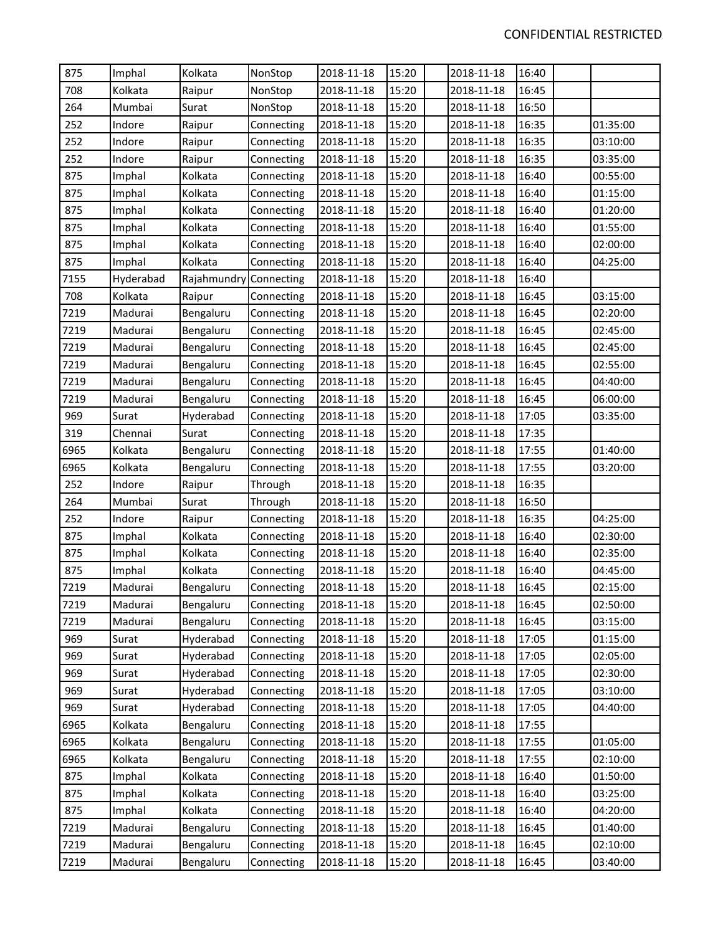| 875  | Imphal    | Kolkata                | NonStop    | 2018-11-18 | 15:20 | 2018-11-18 | 16:40 |          |
|------|-----------|------------------------|------------|------------|-------|------------|-------|----------|
| 708  | Kolkata   | Raipur                 | NonStop    | 2018-11-18 | 15:20 | 2018-11-18 | 16:45 |          |
| 264  | Mumbai    | Surat                  | NonStop    | 2018-11-18 | 15:20 | 2018-11-18 | 16:50 |          |
| 252  | Indore    | Raipur                 | Connecting | 2018-11-18 | 15:20 | 2018-11-18 | 16:35 | 01:35:00 |
| 252  | Indore    | Raipur                 | Connecting | 2018-11-18 | 15:20 | 2018-11-18 | 16:35 | 03:10:00 |
| 252  | Indore    | Raipur                 | Connecting | 2018-11-18 | 15:20 | 2018-11-18 | 16:35 | 03:35:00 |
| 875  | Imphal    | Kolkata                | Connecting | 2018-11-18 | 15:20 | 2018-11-18 | 16:40 | 00:55:00 |
| 875  | Imphal    | Kolkata                | Connecting | 2018-11-18 | 15:20 | 2018-11-18 | 16:40 | 01:15:00 |
| 875  | Imphal    | Kolkata                | Connecting | 2018-11-18 | 15:20 | 2018-11-18 | 16:40 | 01:20:00 |
| 875  | Imphal    | Kolkata                | Connecting | 2018-11-18 | 15:20 | 2018-11-18 | 16:40 | 01:55:00 |
| 875  | Imphal    | Kolkata                | Connecting | 2018-11-18 | 15:20 | 2018-11-18 | 16:40 | 02:00:00 |
| 875  | Imphal    | Kolkata                | Connecting | 2018-11-18 | 15:20 | 2018-11-18 | 16:40 | 04:25:00 |
| 7155 | Hyderabad | Rajahmundry Connecting |            | 2018-11-18 | 15:20 | 2018-11-18 | 16:40 |          |
| 708  | Kolkata   | Raipur                 | Connecting | 2018-11-18 | 15:20 | 2018-11-18 | 16:45 | 03:15:00 |
| 7219 | Madurai   | Bengaluru              | Connecting | 2018-11-18 | 15:20 | 2018-11-18 | 16:45 | 02:20:00 |
| 7219 | Madurai   | Bengaluru              | Connecting | 2018-11-18 | 15:20 | 2018-11-18 | 16:45 | 02:45:00 |
| 7219 | Madurai   | Bengaluru              | Connecting | 2018-11-18 | 15:20 | 2018-11-18 | 16:45 | 02:45:00 |
| 7219 | Madurai   | Bengaluru              | Connecting | 2018-11-18 | 15:20 | 2018-11-18 | 16:45 | 02:55:00 |
| 7219 | Madurai   | Bengaluru              | Connecting | 2018-11-18 | 15:20 | 2018-11-18 | 16:45 | 04:40:00 |
| 7219 | Madurai   | Bengaluru              | Connecting | 2018-11-18 | 15:20 | 2018-11-18 | 16:45 | 06:00:00 |
| 969  | Surat     | Hyderabad              | Connecting | 2018-11-18 | 15:20 | 2018-11-18 | 17:05 | 03:35:00 |
| 319  | Chennai   | Surat                  | Connecting | 2018-11-18 | 15:20 | 2018-11-18 | 17:35 |          |
| 6965 | Kolkata   | Bengaluru              | Connecting | 2018-11-18 | 15:20 | 2018-11-18 | 17:55 | 01:40:00 |
| 6965 | Kolkata   | Bengaluru              | Connecting | 2018-11-18 | 15:20 | 2018-11-18 | 17:55 | 03:20:00 |
| 252  | Indore    | Raipur                 | Through    | 2018-11-18 | 15:20 | 2018-11-18 | 16:35 |          |
| 264  | Mumbai    | Surat                  | Through    | 2018-11-18 | 15:20 | 2018-11-18 | 16:50 |          |
| 252  | Indore    | Raipur                 | Connecting | 2018-11-18 | 15:20 | 2018-11-18 | 16:35 | 04:25:00 |
| 875  | Imphal    | Kolkata                | Connecting | 2018-11-18 | 15:20 | 2018-11-18 | 16:40 | 02:30:00 |
| 875  | Imphal    | Kolkata                | Connecting | 2018-11-18 | 15:20 | 2018-11-18 | 16:40 | 02:35:00 |
| 875  | Imphal    | Kolkata                | Connecting | 2018-11-18 | 15:20 | 2018-11-18 | 16:40 | 04:45:00 |
| 7219 | Madurai   | Bengaluru              | Connecting | 2018-11-18 | 15:20 | 2018-11-18 | 16:45 | 02:15:00 |
| 7219 | Madurai   | Bengaluru              | Connecting | 2018-11-18 | 15:20 | 2018-11-18 | 16:45 | 02:50:00 |
| 7219 | Madurai   | Bengaluru              | Connecting | 2018-11-18 | 15:20 | 2018-11-18 | 16:45 | 03:15:00 |
| 969  | Surat     | Hyderabad              | Connecting | 2018-11-18 | 15:20 | 2018-11-18 | 17:05 | 01:15:00 |
| 969  | Surat     | Hyderabad              | Connecting | 2018-11-18 | 15:20 | 2018-11-18 | 17:05 | 02:05:00 |
| 969  | Surat     | Hyderabad              | Connecting | 2018-11-18 | 15:20 | 2018-11-18 | 17:05 | 02:30:00 |
| 969  | Surat     | Hyderabad              | Connecting | 2018-11-18 | 15:20 | 2018-11-18 | 17:05 | 03:10:00 |
| 969  | Surat     | Hyderabad              | Connecting | 2018-11-18 | 15:20 | 2018-11-18 | 17:05 | 04:40:00 |
| 6965 | Kolkata   | Bengaluru              | Connecting | 2018-11-18 | 15:20 | 2018-11-18 | 17:55 |          |
| 6965 | Kolkata   | Bengaluru              | Connecting | 2018-11-18 | 15:20 | 2018-11-18 | 17:55 | 01:05:00 |
| 6965 | Kolkata   | Bengaluru              | Connecting | 2018-11-18 | 15:20 | 2018-11-18 | 17:55 | 02:10:00 |
| 875  | Imphal    | Kolkata                | Connecting | 2018-11-18 | 15:20 | 2018-11-18 | 16:40 | 01:50:00 |
| 875  | Imphal    | Kolkata                | Connecting | 2018-11-18 | 15:20 | 2018-11-18 | 16:40 | 03:25:00 |
| 875  | Imphal    | Kolkata                | Connecting | 2018-11-18 | 15:20 | 2018-11-18 | 16:40 | 04:20:00 |
| 7219 | Madurai   | Bengaluru              | Connecting | 2018-11-18 | 15:20 | 2018-11-18 | 16:45 | 01:40:00 |
| 7219 | Madurai   | Bengaluru              | Connecting | 2018-11-18 | 15:20 | 2018-11-18 | 16:45 | 02:10:00 |
| 7219 | Madurai   | Bengaluru              | Connecting | 2018-11-18 | 15:20 | 2018-11-18 | 16:45 | 03:40:00 |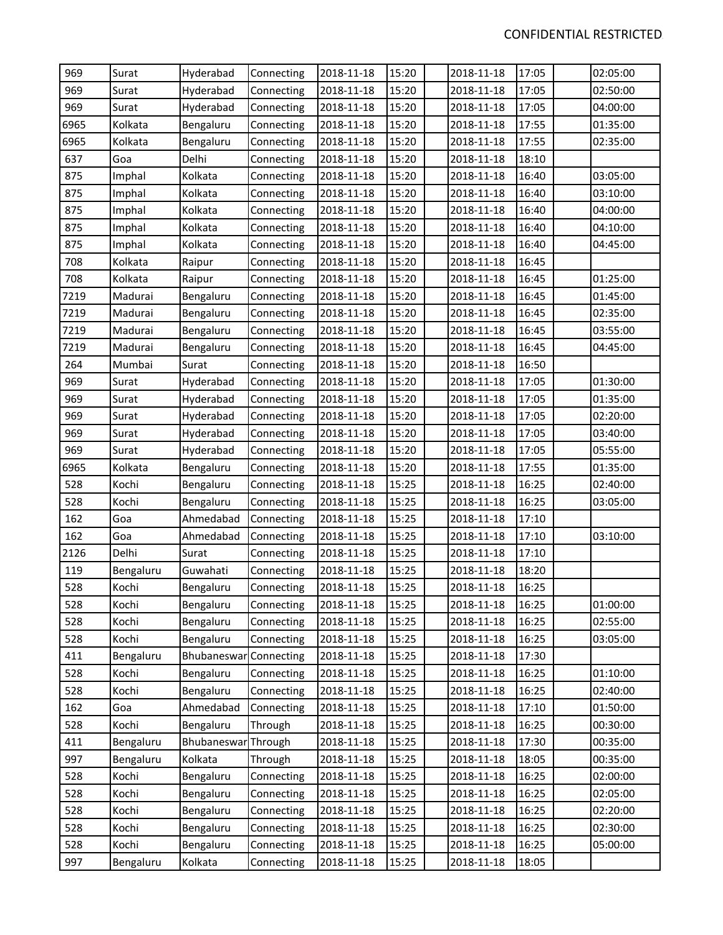| 969  | Surat     | Hyderabad              | Connecting | 2018-11-18 | 15:20 | 2018-11-18 | 17:05 | 02:05:00 |
|------|-----------|------------------------|------------|------------|-------|------------|-------|----------|
| 969  | Surat     | Hyderabad              | Connecting | 2018-11-18 | 15:20 | 2018-11-18 | 17:05 | 02:50:00 |
| 969  | Surat     | Hyderabad              | Connecting | 2018-11-18 | 15:20 | 2018-11-18 | 17:05 | 04:00:00 |
| 6965 | Kolkata   | Bengaluru              | Connecting | 2018-11-18 | 15:20 | 2018-11-18 | 17:55 | 01:35:00 |
| 6965 | Kolkata   | Bengaluru              | Connecting | 2018-11-18 | 15:20 | 2018-11-18 | 17:55 | 02:35:00 |
| 637  | Goa       | Delhi                  | Connecting | 2018-11-18 | 15:20 | 2018-11-18 | 18:10 |          |
| 875  | Imphal    | Kolkata                | Connecting | 2018-11-18 | 15:20 | 2018-11-18 | 16:40 | 03:05:00 |
| 875  | Imphal    | Kolkata                | Connecting | 2018-11-18 | 15:20 | 2018-11-18 | 16:40 | 03:10:00 |
| 875  | Imphal    | Kolkata                | Connecting | 2018-11-18 | 15:20 | 2018-11-18 | 16:40 | 04:00:00 |
| 875  | Imphal    | Kolkata                | Connecting | 2018-11-18 | 15:20 | 2018-11-18 | 16:40 | 04:10:00 |
| 875  | Imphal    | Kolkata                | Connecting | 2018-11-18 | 15:20 | 2018-11-18 | 16:40 | 04:45:00 |
| 708  | Kolkata   | Raipur                 | Connecting | 2018-11-18 | 15:20 | 2018-11-18 | 16:45 |          |
| 708  | Kolkata   | Raipur                 | Connecting | 2018-11-18 | 15:20 | 2018-11-18 | 16:45 | 01:25:00 |
| 7219 | Madurai   | Bengaluru              | Connecting | 2018-11-18 | 15:20 | 2018-11-18 | 16:45 | 01:45:00 |
| 7219 | Madurai   | Bengaluru              | Connecting | 2018-11-18 | 15:20 | 2018-11-18 | 16:45 | 02:35:00 |
| 7219 | Madurai   | Bengaluru              | Connecting | 2018-11-18 | 15:20 | 2018-11-18 | 16:45 | 03:55:00 |
| 7219 | Madurai   | Bengaluru              | Connecting | 2018-11-18 | 15:20 | 2018-11-18 | 16:45 | 04:45:00 |
| 264  | Mumbai    | Surat                  | Connecting | 2018-11-18 | 15:20 | 2018-11-18 | 16:50 |          |
| 969  | Surat     | Hyderabad              | Connecting | 2018-11-18 | 15:20 | 2018-11-18 | 17:05 | 01:30:00 |
| 969  | Surat     | Hyderabad              | Connecting | 2018-11-18 | 15:20 | 2018-11-18 | 17:05 | 01:35:00 |
| 969  | Surat     | Hyderabad              | Connecting | 2018-11-18 | 15:20 | 2018-11-18 | 17:05 | 02:20:00 |
| 969  | Surat     | Hyderabad              | Connecting | 2018-11-18 | 15:20 | 2018-11-18 | 17:05 | 03:40:00 |
| 969  | Surat     | Hyderabad              | Connecting | 2018-11-18 | 15:20 | 2018-11-18 | 17:05 | 05:55:00 |
| 6965 | Kolkata   | Bengaluru              | Connecting | 2018-11-18 | 15:20 | 2018-11-18 | 17:55 | 01:35:00 |
| 528  | Kochi     | Bengaluru              | Connecting | 2018-11-18 | 15:25 | 2018-11-18 | 16:25 | 02:40:00 |
| 528  | Kochi     | Bengaluru              | Connecting | 2018-11-18 | 15:25 | 2018-11-18 | 16:25 | 03:05:00 |
| 162  | Goa       | Ahmedabad              | Connecting | 2018-11-18 | 15:25 | 2018-11-18 | 17:10 |          |
| 162  | Goa       | Ahmedabad              | Connecting | 2018-11-18 | 15:25 | 2018-11-18 | 17:10 | 03:10:00 |
| 2126 | Delhi     | Surat                  | Connecting | 2018-11-18 | 15:25 | 2018-11-18 | 17:10 |          |
| 119  | Bengaluru | Guwahati               | Connecting | 2018-11-18 | 15:25 | 2018-11-18 | 18:20 |          |
| 528  | Kochi     | Bengaluru              | Connecting | 2018-11-18 | 15:25 | 2018-11-18 | 16:25 |          |
| 528  | Kochi     | Bengaluru              | Connecting | 2018-11-18 | 15:25 | 2018-11-18 | 16:25 | 01:00:00 |
| 528  | Kochi     | Bengaluru              | Connecting | 2018-11-18 | 15:25 | 2018-11-18 | 16:25 | 02:55:00 |
| 528  | Kochi     | Bengaluru              | Connecting | 2018-11-18 | 15:25 | 2018-11-18 | 16:25 | 03:05:00 |
| 411  | Bengaluru | Bhubaneswar Connecting |            | 2018-11-18 | 15:25 | 2018-11-18 | 17:30 |          |
| 528  | Kochi     | Bengaluru              | Connecting | 2018-11-18 | 15:25 | 2018-11-18 | 16:25 | 01:10:00 |
| 528  | Kochi     | Bengaluru              | Connecting | 2018-11-18 | 15:25 | 2018-11-18 | 16:25 | 02:40:00 |
| 162  | Goa       | Ahmedabad              | Connecting | 2018-11-18 | 15:25 | 2018-11-18 | 17:10 | 01:50:00 |
| 528  | Kochi     | Bengaluru              | Through    | 2018-11-18 | 15:25 | 2018-11-18 | 16:25 | 00:30:00 |
| 411  | Bengaluru | Bhubaneswar Through    |            | 2018-11-18 | 15:25 | 2018-11-18 | 17:30 | 00:35:00 |
| 997  | Bengaluru | Kolkata                | Through    | 2018-11-18 | 15:25 | 2018-11-18 | 18:05 | 00:35:00 |
| 528  | Kochi     | Bengaluru              | Connecting | 2018-11-18 | 15:25 | 2018-11-18 | 16:25 | 02:00:00 |
| 528  | Kochi     | Bengaluru              | Connecting | 2018-11-18 | 15:25 | 2018-11-18 | 16:25 | 02:05:00 |
| 528  | Kochi     | Bengaluru              | Connecting | 2018-11-18 | 15:25 | 2018-11-18 | 16:25 | 02:20:00 |
| 528  | Kochi     | Bengaluru              | Connecting | 2018-11-18 | 15:25 | 2018-11-18 | 16:25 | 02:30:00 |
| 528  | Kochi     | Bengaluru              | Connecting | 2018-11-18 | 15:25 | 2018-11-18 | 16:25 | 05:00:00 |
| 997  | Bengaluru | Kolkata                | Connecting | 2018-11-18 | 15:25 | 2018-11-18 | 18:05 |          |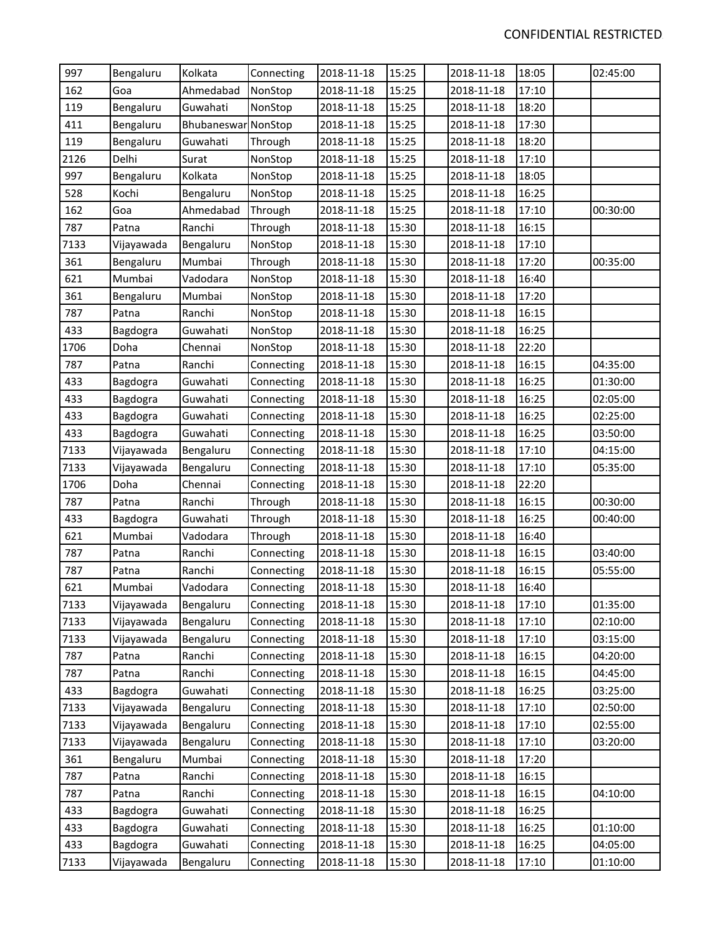| 997  | Bengaluru  | Kolkata             | Connecting | 2018-11-18 | 15:25 | 2018-11-18 | 18:05 | 02:45:00 |
|------|------------|---------------------|------------|------------|-------|------------|-------|----------|
| 162  | Goa        | Ahmedabad           | NonStop    | 2018-11-18 | 15:25 | 2018-11-18 | 17:10 |          |
| 119  | Bengaluru  | Guwahati            | NonStop    | 2018-11-18 | 15:25 | 2018-11-18 | 18:20 |          |
| 411  | Bengaluru  | Bhubaneswar NonStop |            | 2018-11-18 | 15:25 | 2018-11-18 | 17:30 |          |
| 119  | Bengaluru  | Guwahati            | Through    | 2018-11-18 | 15:25 | 2018-11-18 | 18:20 |          |
| 2126 | Delhi      | Surat               | NonStop    | 2018-11-18 | 15:25 | 2018-11-18 | 17:10 |          |
| 997  | Bengaluru  | Kolkata             | NonStop    | 2018-11-18 | 15:25 | 2018-11-18 | 18:05 |          |
| 528  | Kochi      | Bengaluru           | NonStop    | 2018-11-18 | 15:25 | 2018-11-18 | 16:25 |          |
| 162  | Goa        | Ahmedabad           | Through    | 2018-11-18 | 15:25 | 2018-11-18 | 17:10 | 00:30:00 |
| 787  | Patna      | Ranchi              | Through    | 2018-11-18 | 15:30 | 2018-11-18 | 16:15 |          |
| 7133 | Vijayawada | Bengaluru           | NonStop    | 2018-11-18 | 15:30 | 2018-11-18 | 17:10 |          |
| 361  | Bengaluru  | Mumbai              | Through    | 2018-11-18 | 15:30 | 2018-11-18 | 17:20 | 00:35:00 |
| 621  | Mumbai     | Vadodara            | NonStop    | 2018-11-18 | 15:30 | 2018-11-18 | 16:40 |          |
| 361  | Bengaluru  | Mumbai              | NonStop    | 2018-11-18 | 15:30 | 2018-11-18 | 17:20 |          |
| 787  | Patna      | Ranchi              | NonStop    | 2018-11-18 | 15:30 | 2018-11-18 | 16:15 |          |
| 433  | Bagdogra   | Guwahati            | NonStop    | 2018-11-18 | 15:30 | 2018-11-18 | 16:25 |          |
| 1706 | Doha       | Chennai             | NonStop    | 2018-11-18 | 15:30 | 2018-11-18 | 22:20 |          |
| 787  | Patna      | Ranchi              | Connecting | 2018-11-18 | 15:30 | 2018-11-18 | 16:15 | 04:35:00 |
| 433  | Bagdogra   | Guwahati            | Connecting | 2018-11-18 | 15:30 | 2018-11-18 | 16:25 | 01:30:00 |
| 433  | Bagdogra   | Guwahati            | Connecting | 2018-11-18 | 15:30 | 2018-11-18 | 16:25 | 02:05:00 |
| 433  | Bagdogra   | Guwahati            | Connecting | 2018-11-18 | 15:30 | 2018-11-18 | 16:25 | 02:25:00 |
| 433  | Bagdogra   | Guwahati            | Connecting | 2018-11-18 | 15:30 | 2018-11-18 | 16:25 | 03:50:00 |
| 7133 | Vijayawada | Bengaluru           | Connecting | 2018-11-18 | 15:30 | 2018-11-18 | 17:10 | 04:15:00 |
| 7133 | Vijayawada | Bengaluru           | Connecting | 2018-11-18 | 15:30 | 2018-11-18 | 17:10 | 05:35:00 |
| 1706 | Doha       | Chennai             | Connecting | 2018-11-18 | 15:30 | 2018-11-18 | 22:20 |          |
| 787  | Patna      | Ranchi              | Through    | 2018-11-18 | 15:30 | 2018-11-18 | 16:15 | 00:30:00 |
| 433  | Bagdogra   | Guwahati            | Through    | 2018-11-18 | 15:30 | 2018-11-18 | 16:25 | 00:40:00 |
| 621  | Mumbai     | Vadodara            | Through    | 2018-11-18 | 15:30 | 2018-11-18 | 16:40 |          |
| 787  | Patna      | Ranchi              | Connecting | 2018-11-18 | 15:30 | 2018-11-18 | 16:15 | 03:40:00 |
| 787  | Patna      | Ranchi              | Connecting | 2018-11-18 | 15:30 | 2018-11-18 | 16:15 | 05:55:00 |
| 621  | Mumbai     | Vadodara            | Connecting | 2018-11-18 | 15:30 | 2018-11-18 | 16:40 |          |
| 7133 | Vijayawada | Bengaluru           | Connecting | 2018-11-18 | 15:30 | 2018-11-18 | 17:10 | 01:35:00 |
| 7133 | Vijayawada | Bengaluru           | Connecting | 2018-11-18 | 15:30 | 2018-11-18 | 17:10 | 02:10:00 |
| 7133 | Vijayawada | Bengaluru           | Connecting | 2018-11-18 | 15:30 | 2018-11-18 | 17:10 | 03:15:00 |
| 787  | Patna      | Ranchi              | Connecting | 2018-11-18 | 15:30 | 2018-11-18 | 16:15 | 04:20:00 |
| 787  | Patna      | Ranchi              | Connecting | 2018-11-18 | 15:30 | 2018-11-18 | 16:15 | 04:45:00 |
| 433  | Bagdogra   | Guwahati            | Connecting | 2018-11-18 | 15:30 | 2018-11-18 | 16:25 | 03:25:00 |
| 7133 | Vijayawada | Bengaluru           | Connecting | 2018-11-18 | 15:30 | 2018-11-18 | 17:10 | 02:50:00 |
| 7133 | Vijayawada | Bengaluru           | Connecting | 2018-11-18 | 15:30 | 2018-11-18 | 17:10 | 02:55:00 |
| 7133 | Vijayawada | Bengaluru           | Connecting | 2018-11-18 | 15:30 | 2018-11-18 | 17:10 | 03:20:00 |
| 361  | Bengaluru  | Mumbai              | Connecting | 2018-11-18 | 15:30 | 2018-11-18 | 17:20 |          |
| 787  | Patna      | Ranchi              | Connecting | 2018-11-18 | 15:30 | 2018-11-18 | 16:15 |          |
| 787  | Patna      | Ranchi              | Connecting | 2018-11-18 | 15:30 | 2018-11-18 | 16:15 | 04:10:00 |
| 433  | Bagdogra   | Guwahati            | Connecting | 2018-11-18 | 15:30 | 2018-11-18 | 16:25 |          |
| 433  | Bagdogra   | Guwahati            | Connecting | 2018-11-18 | 15:30 | 2018-11-18 | 16:25 | 01:10:00 |
| 433  | Bagdogra   | Guwahati            | Connecting | 2018-11-18 | 15:30 | 2018-11-18 | 16:25 | 04:05:00 |
| 7133 | Vijayawada | Bengaluru           | Connecting | 2018-11-18 | 15:30 | 2018-11-18 | 17:10 | 01:10:00 |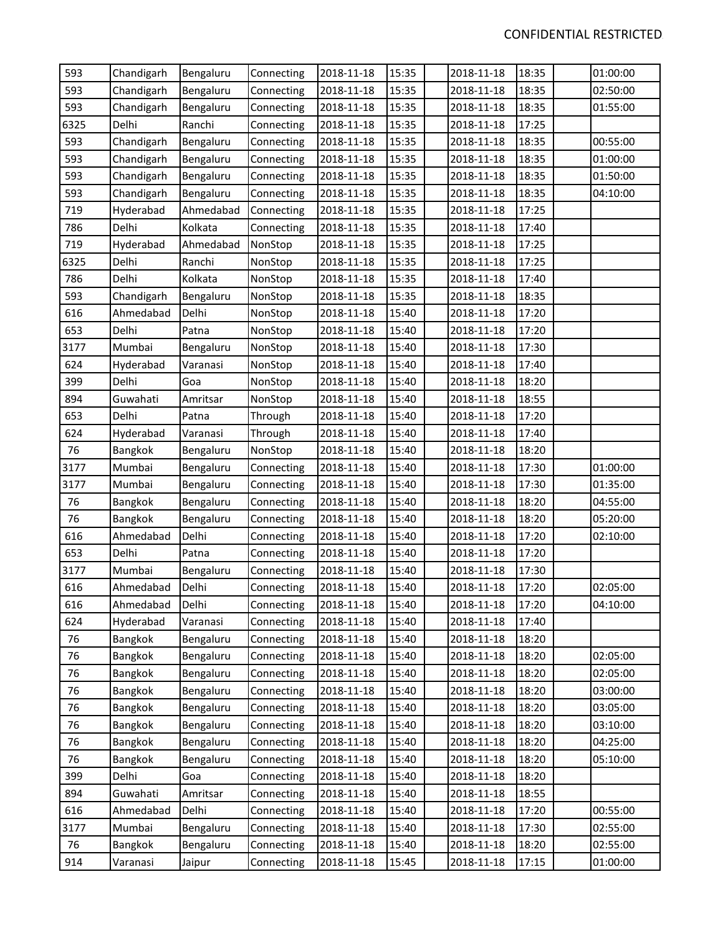| 593  | Chandigarh | Bengaluru | Connecting | 2018-11-18 | 15:35 | 2018-11-18 | 18:35 | 01:00:00 |
|------|------------|-----------|------------|------------|-------|------------|-------|----------|
| 593  | Chandigarh | Bengaluru | Connecting | 2018-11-18 | 15:35 | 2018-11-18 | 18:35 | 02:50:00 |
| 593  | Chandigarh | Bengaluru | Connecting | 2018-11-18 | 15:35 | 2018-11-18 | 18:35 | 01:55:00 |
| 6325 | Delhi      | Ranchi    | Connecting | 2018-11-18 | 15:35 | 2018-11-18 | 17:25 |          |
| 593  | Chandigarh | Bengaluru | Connecting | 2018-11-18 | 15:35 | 2018-11-18 | 18:35 | 00:55:00 |
| 593  | Chandigarh | Bengaluru | Connecting | 2018-11-18 | 15:35 | 2018-11-18 | 18:35 | 01:00:00 |
| 593  | Chandigarh | Bengaluru | Connecting | 2018-11-18 | 15:35 | 2018-11-18 | 18:35 | 01:50:00 |
| 593  | Chandigarh | Bengaluru | Connecting | 2018-11-18 | 15:35 | 2018-11-18 | 18:35 | 04:10:00 |
| 719  | Hyderabad  | Ahmedabad | Connecting | 2018-11-18 | 15:35 | 2018-11-18 | 17:25 |          |
| 786  | Delhi      | Kolkata   | Connecting | 2018-11-18 | 15:35 | 2018-11-18 | 17:40 |          |
| 719  | Hyderabad  | Ahmedabad | NonStop    | 2018-11-18 | 15:35 | 2018-11-18 | 17:25 |          |
| 6325 | Delhi      | Ranchi    | NonStop    | 2018-11-18 | 15:35 | 2018-11-18 | 17:25 |          |
| 786  | Delhi      | Kolkata   | NonStop    | 2018-11-18 | 15:35 | 2018-11-18 | 17:40 |          |
| 593  | Chandigarh | Bengaluru | NonStop    | 2018-11-18 | 15:35 | 2018-11-18 | 18:35 |          |
| 616  | Ahmedabad  | Delhi     | NonStop    | 2018-11-18 | 15:40 | 2018-11-18 | 17:20 |          |
| 653  | Delhi      | Patna     | NonStop    | 2018-11-18 | 15:40 | 2018-11-18 | 17:20 |          |
| 3177 | Mumbai     | Bengaluru | NonStop    | 2018-11-18 | 15:40 | 2018-11-18 | 17:30 |          |
| 624  | Hyderabad  | Varanasi  | NonStop    | 2018-11-18 | 15:40 | 2018-11-18 | 17:40 |          |
| 399  | Delhi      | Goa       | NonStop    | 2018-11-18 | 15:40 | 2018-11-18 | 18:20 |          |
| 894  | Guwahati   | Amritsar  | NonStop    | 2018-11-18 | 15:40 | 2018-11-18 | 18:55 |          |
| 653  | Delhi      | Patna     | Through    | 2018-11-18 | 15:40 | 2018-11-18 | 17:20 |          |
| 624  | Hyderabad  | Varanasi  | Through    | 2018-11-18 | 15:40 | 2018-11-18 | 17:40 |          |
| 76   | Bangkok    | Bengaluru | NonStop    | 2018-11-18 | 15:40 | 2018-11-18 | 18:20 |          |
| 3177 | Mumbai     | Bengaluru | Connecting | 2018-11-18 | 15:40 | 2018-11-18 | 17:30 | 01:00:00 |
| 3177 | Mumbai     | Bengaluru | Connecting | 2018-11-18 | 15:40 | 2018-11-18 | 17:30 | 01:35:00 |
| 76   | Bangkok    | Bengaluru | Connecting | 2018-11-18 | 15:40 | 2018-11-18 | 18:20 | 04:55:00 |
| 76   | Bangkok    | Bengaluru | Connecting | 2018-11-18 | 15:40 | 2018-11-18 | 18:20 | 05:20:00 |
| 616  | Ahmedabad  | Delhi     | Connecting | 2018-11-18 | 15:40 | 2018-11-18 | 17:20 | 02:10:00 |
| 653  | Delhi      | Patna     | Connecting | 2018-11-18 | 15:40 | 2018-11-18 | 17:20 |          |
| 3177 | Mumbai     | Bengaluru | Connecting | 2018-11-18 | 15:40 | 2018-11-18 | 17:30 |          |
| 616  | Ahmedabad  | Delhi     | Connecting | 2018-11-18 | 15:40 | 2018-11-18 | 17:20 | 02:05:00 |
| 616  | Ahmedabad  | Delhi     | Connecting | 2018-11-18 | 15:40 | 2018-11-18 | 17:20 | 04:10:00 |
| 624  | Hyderabad  | Varanasi  | Connecting | 2018-11-18 | 15:40 | 2018-11-18 | 17:40 |          |
| 76   | Bangkok    | Bengaluru | Connecting | 2018-11-18 | 15:40 | 2018-11-18 | 18:20 |          |
| 76   | Bangkok    | Bengaluru | Connecting | 2018-11-18 | 15:40 | 2018-11-18 | 18:20 | 02:05:00 |
| 76   | Bangkok    | Bengaluru | Connecting | 2018-11-18 | 15:40 | 2018-11-18 | 18:20 | 02:05:00 |
| 76   | Bangkok    | Bengaluru | Connecting | 2018-11-18 | 15:40 | 2018-11-18 | 18:20 | 03:00:00 |
| 76   | Bangkok    | Bengaluru | Connecting | 2018-11-18 | 15:40 | 2018-11-18 | 18:20 | 03:05:00 |
| 76   | Bangkok    | Bengaluru | Connecting | 2018-11-18 | 15:40 | 2018-11-18 | 18:20 | 03:10:00 |
| 76   | Bangkok    | Bengaluru | Connecting | 2018-11-18 | 15:40 | 2018-11-18 | 18:20 | 04:25:00 |
| 76   | Bangkok    | Bengaluru | Connecting | 2018-11-18 | 15:40 | 2018-11-18 | 18:20 | 05:10:00 |
| 399  | Delhi      | Goa       | Connecting | 2018-11-18 | 15:40 | 2018-11-18 | 18:20 |          |
| 894  | Guwahati   | Amritsar  | Connecting | 2018-11-18 | 15:40 | 2018-11-18 | 18:55 |          |
| 616  | Ahmedabad  | Delhi     | Connecting | 2018-11-18 | 15:40 | 2018-11-18 | 17:20 | 00:55:00 |
| 3177 | Mumbai     | Bengaluru | Connecting | 2018-11-18 | 15:40 | 2018-11-18 | 17:30 | 02:55:00 |
| 76   | Bangkok    | Bengaluru | Connecting | 2018-11-18 | 15:40 | 2018-11-18 | 18:20 | 02:55:00 |
| 914  | Varanasi   | Jaipur    | Connecting | 2018-11-18 | 15:45 | 2018-11-18 | 17:15 | 01:00:00 |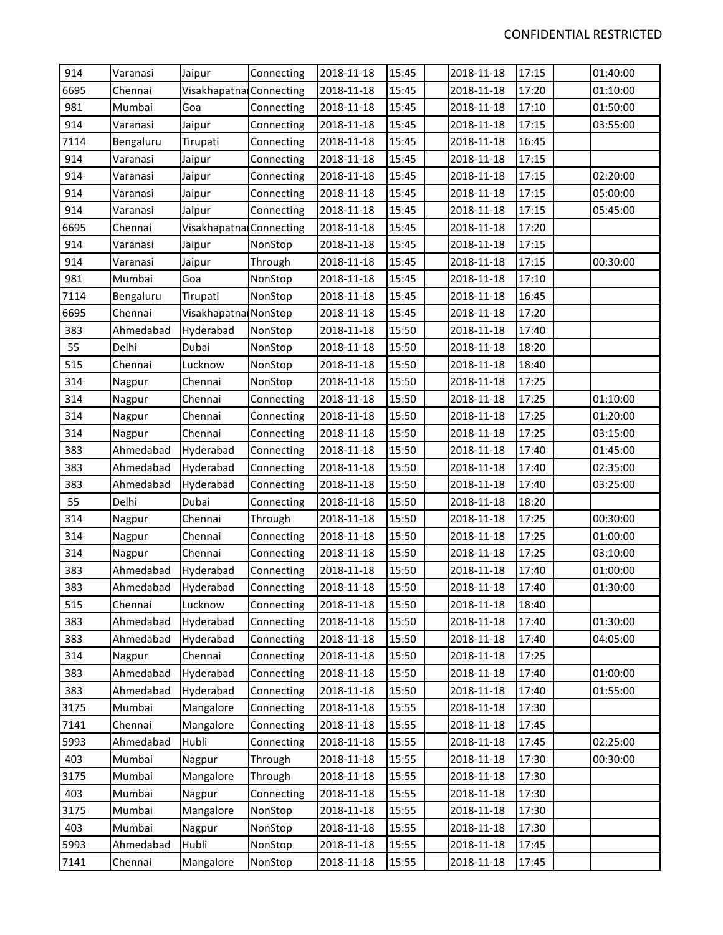| 914  | Varanasi  | Jaipur                  | Connecting | 2018-11-18 | 15:45 | 2018-11-18 | 17:15 | 01:40:00 |
|------|-----------|-------------------------|------------|------------|-------|------------|-------|----------|
| 6695 | Chennai   | Visakhapatna Connecting |            | 2018-11-18 | 15:45 | 2018-11-18 | 17:20 | 01:10:00 |
| 981  | Mumbai    | Goa                     | Connecting | 2018-11-18 | 15:45 | 2018-11-18 | 17:10 | 01:50:00 |
| 914  | Varanasi  | Jaipur                  | Connecting | 2018-11-18 | 15:45 | 2018-11-18 | 17:15 | 03:55:00 |
| 7114 | Bengaluru | Tirupati                | Connecting | 2018-11-18 | 15:45 | 2018-11-18 | 16:45 |          |
| 914  | Varanasi  | Jaipur                  | Connecting | 2018-11-18 | 15:45 | 2018-11-18 | 17:15 |          |
| 914  | Varanasi  | Jaipur                  | Connecting | 2018-11-18 | 15:45 | 2018-11-18 | 17:15 | 02:20:00 |
| 914  | Varanasi  | Jaipur                  | Connecting | 2018-11-18 | 15:45 | 2018-11-18 | 17:15 | 05:00:00 |
| 914  | Varanasi  | Jaipur                  | Connecting | 2018-11-18 | 15:45 | 2018-11-18 | 17:15 | 05:45:00 |
| 6695 | Chennai   | Visakhapatna Connecting |            | 2018-11-18 | 15:45 | 2018-11-18 | 17:20 |          |
| 914  | Varanasi  | Jaipur                  | NonStop    | 2018-11-18 | 15:45 | 2018-11-18 | 17:15 |          |
| 914  | Varanasi  | Jaipur                  | Through    | 2018-11-18 | 15:45 | 2018-11-18 | 17:15 | 00:30:00 |
| 981  | Mumbai    | Goa                     | NonStop    | 2018-11-18 | 15:45 | 2018-11-18 | 17:10 |          |
| 7114 | Bengaluru | Tirupati                | NonStop    | 2018-11-18 | 15:45 | 2018-11-18 | 16:45 |          |
| 6695 | Chennai   | Visakhapatna NonStop    |            | 2018-11-18 | 15:45 | 2018-11-18 | 17:20 |          |
| 383  | Ahmedabad | Hyderabad               | NonStop    | 2018-11-18 | 15:50 | 2018-11-18 | 17:40 |          |
| 55   | Delhi     | Dubai                   | NonStop    | 2018-11-18 | 15:50 | 2018-11-18 | 18:20 |          |
| 515  | Chennai   | Lucknow                 | NonStop    | 2018-11-18 | 15:50 | 2018-11-18 | 18:40 |          |
| 314  | Nagpur    | Chennai                 | NonStop    | 2018-11-18 | 15:50 | 2018-11-18 | 17:25 |          |
| 314  | Nagpur    | Chennai                 | Connecting | 2018-11-18 | 15:50 | 2018-11-18 | 17:25 | 01:10:00 |
| 314  | Nagpur    | Chennai                 | Connecting | 2018-11-18 | 15:50 | 2018-11-18 | 17:25 | 01:20:00 |
| 314  | Nagpur    | Chennai                 | Connecting | 2018-11-18 | 15:50 | 2018-11-18 | 17:25 | 03:15:00 |
| 383  | Ahmedabad | Hyderabad               | Connecting | 2018-11-18 | 15:50 | 2018-11-18 | 17:40 | 01:45:00 |
| 383  | Ahmedabad | Hyderabad               | Connecting | 2018-11-18 | 15:50 | 2018-11-18 | 17:40 | 02:35:00 |
| 383  | Ahmedabad | Hyderabad               | Connecting | 2018-11-18 | 15:50 | 2018-11-18 | 17:40 | 03:25:00 |
| 55   | Delhi     | Dubai                   | Connecting | 2018-11-18 | 15:50 | 2018-11-18 | 18:20 |          |
| 314  | Nagpur    | Chennai                 | Through    | 2018-11-18 | 15:50 | 2018-11-18 | 17:25 | 00:30:00 |
| 314  | Nagpur    | Chennai                 | Connecting | 2018-11-18 | 15:50 | 2018-11-18 | 17:25 | 01:00:00 |
| 314  | Nagpur    | Chennai                 | Connecting | 2018-11-18 | 15:50 | 2018-11-18 | 17:25 | 03:10:00 |
| 383  | Ahmedabad | Hyderabad               | Connecting | 2018-11-18 | 15:50 | 2018-11-18 | 17:40 | 01:00:00 |
| 383  | Ahmedabad | Hyderabad               | Connecting | 2018-11-18 | 15:50 | 2018-11-18 | 17:40 | 01:30:00 |
| 515  | Chennai   | Lucknow                 | Connecting | 2018-11-18 | 15:50 | 2018-11-18 | 18:40 |          |
| 383  | Ahmedabad | Hyderabad               | Connecting | 2018-11-18 | 15:50 | 2018-11-18 | 17:40 | 01:30:00 |
| 383  | Ahmedabad | Hyderabad               | Connecting | 2018-11-18 | 15:50 | 2018-11-18 | 17:40 | 04:05:00 |
| 314  | Nagpur    | Chennai                 | Connecting | 2018-11-18 | 15:50 | 2018-11-18 | 17:25 |          |
| 383  | Ahmedabad | Hyderabad               | Connecting | 2018-11-18 | 15:50 | 2018-11-18 | 17:40 | 01:00:00 |
| 383  | Ahmedabad | Hyderabad               | Connecting | 2018-11-18 | 15:50 | 2018-11-18 | 17:40 | 01:55:00 |
| 3175 | Mumbai    | Mangalore               | Connecting | 2018-11-18 | 15:55 | 2018-11-18 | 17:30 |          |
| 7141 | Chennai   | Mangalore               | Connecting | 2018-11-18 | 15:55 | 2018-11-18 | 17:45 |          |
| 5993 | Ahmedabad | Hubli                   | Connecting | 2018-11-18 | 15:55 | 2018-11-18 | 17:45 | 02:25:00 |
| 403  | Mumbai    | Nagpur                  | Through    | 2018-11-18 | 15:55 | 2018-11-18 | 17:30 | 00:30:00 |
| 3175 | Mumbai    | Mangalore               | Through    | 2018-11-18 | 15:55 | 2018-11-18 | 17:30 |          |
| 403  | Mumbai    | Nagpur                  | Connecting | 2018-11-18 | 15:55 | 2018-11-18 | 17:30 |          |
| 3175 | Mumbai    | Mangalore               | NonStop    | 2018-11-18 | 15:55 | 2018-11-18 | 17:30 |          |
| 403  | Mumbai    | Nagpur                  | NonStop    | 2018-11-18 | 15:55 | 2018-11-18 | 17:30 |          |
| 5993 | Ahmedabad | Hubli                   | NonStop    | 2018-11-18 | 15:55 | 2018-11-18 | 17:45 |          |
| 7141 | Chennai   | Mangalore               | NonStop    | 2018-11-18 | 15:55 | 2018-11-18 | 17:45 |          |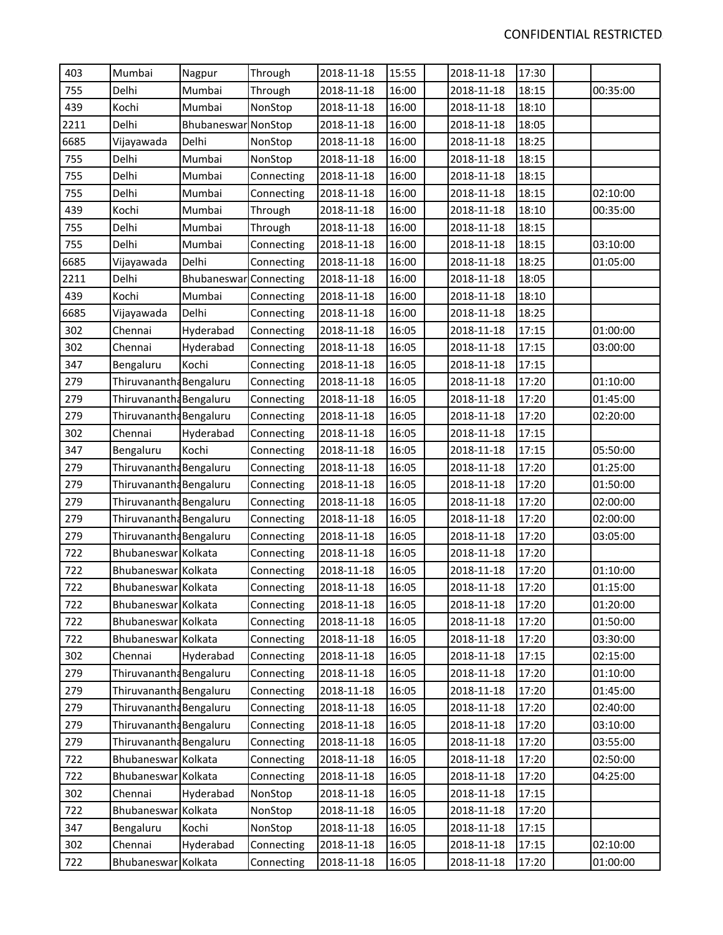| 403  | Mumbai                  | Nagpur                        | Through    | 2018-11-18 | 15:55 | 2018-11-18 | 17:30 |          |
|------|-------------------------|-------------------------------|------------|------------|-------|------------|-------|----------|
| 755  | Delhi                   | Mumbai                        | Through    | 2018-11-18 | 16:00 | 2018-11-18 | 18:15 | 00:35:00 |
| 439  | Kochi                   | Mumbai                        | NonStop    | 2018-11-18 | 16:00 | 2018-11-18 | 18:10 |          |
| 2211 | Delhi                   | Bhubaneswar NonStop           |            | 2018-11-18 | 16:00 | 2018-11-18 | 18:05 |          |
| 6685 | Vijayawada              | Delhi                         | NonStop    | 2018-11-18 | 16:00 | 2018-11-18 | 18:25 |          |
| 755  | Delhi                   | Mumbai                        | NonStop    | 2018-11-18 | 16:00 | 2018-11-18 | 18:15 |          |
| 755  | Delhi                   | Mumbai                        | Connecting | 2018-11-18 | 16:00 | 2018-11-18 | 18:15 |          |
| 755  | Delhi                   | Mumbai                        | Connecting | 2018-11-18 | 16:00 | 2018-11-18 | 18:15 | 02:10:00 |
| 439  | Kochi                   | Mumbai                        | Through    | 2018-11-18 | 16:00 | 2018-11-18 | 18:10 | 00:35:00 |
| 755  | Delhi                   | Mumbai                        | Through    | 2018-11-18 | 16:00 | 2018-11-18 | 18:15 |          |
| 755  | Delhi                   | Mumbai                        | Connecting | 2018-11-18 | 16:00 | 2018-11-18 | 18:15 | 03:10:00 |
| 6685 | Vijayawada              | Delhi                         | Connecting | 2018-11-18 | 16:00 | 2018-11-18 | 18:25 | 01:05:00 |
| 2211 | Delhi                   | <b>Bhubaneswar Connecting</b> |            | 2018-11-18 | 16:00 | 2018-11-18 | 18:05 |          |
| 439  | Kochi                   | Mumbai                        | Connecting | 2018-11-18 | 16:00 | 2018-11-18 | 18:10 |          |
| 6685 | Vijayawada              | Delhi                         | Connecting | 2018-11-18 | 16:00 | 2018-11-18 | 18:25 |          |
| 302  | Chennai                 | Hyderabad                     | Connecting | 2018-11-18 | 16:05 | 2018-11-18 | 17:15 | 01:00:00 |
| 302  | Chennai                 | Hyderabad                     | Connecting | 2018-11-18 | 16:05 | 2018-11-18 | 17:15 | 03:00:00 |
| 347  | Bengaluru               | Kochi                         | Connecting | 2018-11-18 | 16:05 | 2018-11-18 | 17:15 |          |
| 279  | Thiruvanantha Bengaluru |                               | Connecting | 2018-11-18 | 16:05 | 2018-11-18 | 17:20 | 01:10:00 |
| 279  | Thiruvanantha Bengaluru |                               | Connecting | 2018-11-18 | 16:05 | 2018-11-18 | 17:20 | 01:45:00 |
| 279  | Thiruvanantha Bengaluru |                               | Connecting | 2018-11-18 | 16:05 | 2018-11-18 | 17:20 | 02:20:00 |
| 302  | Chennai                 | Hyderabad                     | Connecting | 2018-11-18 | 16:05 | 2018-11-18 | 17:15 |          |
| 347  | Bengaluru               | Kochi                         | Connecting | 2018-11-18 | 16:05 | 2018-11-18 | 17:15 | 05:50:00 |
| 279  | Thiruvanantha Bengaluru |                               | Connecting | 2018-11-18 | 16:05 | 2018-11-18 | 17:20 | 01:25:00 |
| 279  | Thiruvanantha Bengaluru |                               | Connecting | 2018-11-18 | 16:05 | 2018-11-18 | 17:20 | 01:50:00 |
| 279  | Thiruvanantha Bengaluru |                               | Connecting | 2018-11-18 | 16:05 | 2018-11-18 | 17:20 | 02:00:00 |
| 279  | Thiruvanantha Bengaluru |                               | Connecting | 2018-11-18 | 16:05 | 2018-11-18 | 17:20 | 02:00:00 |
| 279  | Thiruvanantha Bengaluru |                               | Connecting | 2018-11-18 | 16:05 | 2018-11-18 | 17:20 | 03:05:00 |
| 722  | Bhubaneswar Kolkata     |                               | Connecting | 2018-11-18 | 16:05 | 2018-11-18 | 17:20 |          |
| 722  | Bhubaneswar Kolkata     |                               | Connecting | 2018-11-18 | 16:05 | 2018-11-18 | 17:20 | 01:10:00 |
| 722  | Bhubaneswar Kolkata     |                               | Connecting | 2018-11-18 | 16:05 | 2018-11-18 | 17:20 | 01:15:00 |
| 722  | Bhubaneswar Kolkata     |                               | Connecting | 2018-11-18 | 16:05 | 2018-11-18 | 17:20 | 01:20:00 |
| 722  | Bhubaneswar Kolkata     |                               | Connecting | 2018-11-18 | 16:05 | 2018-11-18 | 17:20 | 01:50:00 |
| 722  | Bhubaneswar Kolkata     |                               | Connecting | 2018-11-18 | 16:05 | 2018-11-18 | 17:20 | 03:30:00 |
| 302  | Chennai                 | Hyderabad                     | Connecting | 2018-11-18 | 16:05 | 2018-11-18 | 17:15 | 02:15:00 |
| 279  | Thiruvanantha Bengaluru |                               | Connecting | 2018-11-18 | 16:05 | 2018-11-18 | 17:20 | 01:10:00 |
| 279  | Thiruvanantha Bengaluru |                               | Connecting | 2018-11-18 | 16:05 | 2018-11-18 | 17:20 | 01:45:00 |
| 279  | Thiruvanantha Bengaluru |                               | Connecting | 2018-11-18 | 16:05 | 2018-11-18 | 17:20 | 02:40:00 |
| 279  | Thiruvanantha Bengaluru |                               | Connecting | 2018-11-18 | 16:05 | 2018-11-18 | 17:20 | 03:10:00 |
| 279  | Thiruvanantha Bengaluru |                               | Connecting | 2018-11-18 | 16:05 | 2018-11-18 | 17:20 | 03:55:00 |
| 722  | Bhubaneswar Kolkata     |                               | Connecting | 2018-11-18 | 16:05 | 2018-11-18 | 17:20 | 02:50:00 |
| 722  | Bhubaneswar Kolkata     |                               | Connecting | 2018-11-18 | 16:05 | 2018-11-18 | 17:20 | 04:25:00 |
| 302  | Chennai                 | Hyderabad                     | NonStop    | 2018-11-18 | 16:05 | 2018-11-18 | 17:15 |          |
| 722  | Bhubaneswar Kolkata     |                               | NonStop    | 2018-11-18 | 16:05 | 2018-11-18 | 17:20 |          |
| 347  | Bengaluru               | Kochi                         | NonStop    | 2018-11-18 | 16:05 | 2018-11-18 | 17:15 |          |
| 302  | Chennai                 | Hyderabad                     | Connecting | 2018-11-18 | 16:05 | 2018-11-18 | 17:15 | 02:10:00 |
| 722  | Bhubaneswar Kolkata     |                               | Connecting | 2018-11-18 | 16:05 | 2018-11-18 | 17:20 | 01:00:00 |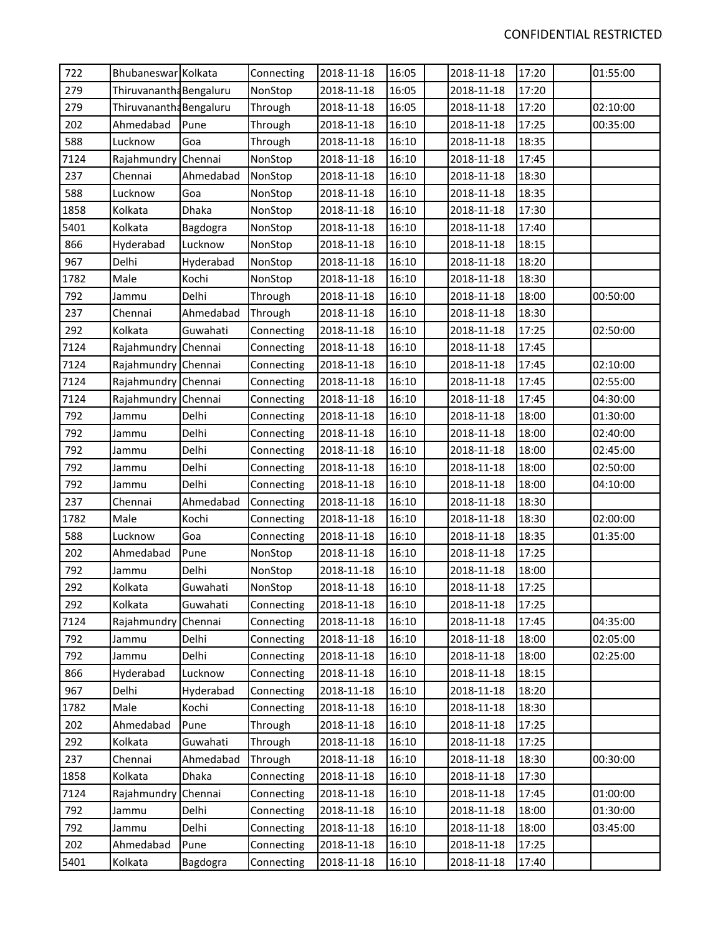| 722<br>279<br>279<br>202<br>588<br>7124<br>237<br>588<br>1858 | Bhubaneswar Kolkata<br>Thiruvanantha Bengaluru<br>Thiruvanantha Bengaluru<br>Ahmedabad<br>Lucknow<br>Rajahmundry Chennai<br>Chennai<br>Lucknow<br>Kolkata<br>Kolkata<br>Hyderabad | Pune<br>Goa<br>Ahmedabad<br>Goa<br>Dhaka | Connecting<br>NonStop<br>Through<br>Through<br>Through<br>NonStop<br>NonStop<br>NonStop | 2018-11-18<br>2018-11-18<br>2018-11-18<br>2018-11-18<br>2018-11-18<br>2018-11-18<br>2018-11-18 | 16:05<br>16:05<br>16:05<br>16:10<br>16:10<br>16:10 | 2018-11-18<br>2018-11-18<br>2018-11-18<br>2018-11-18 | 17:20<br>17:20<br>17:20<br>17:25 | 01:55:00<br>02:10:00<br>00:35:00 |
|---------------------------------------------------------------|-----------------------------------------------------------------------------------------------------------------------------------------------------------------------------------|------------------------------------------|-----------------------------------------------------------------------------------------|------------------------------------------------------------------------------------------------|----------------------------------------------------|------------------------------------------------------|----------------------------------|----------------------------------|
|                                                               |                                                                                                                                                                                   |                                          |                                                                                         |                                                                                                |                                                    |                                                      |                                  |                                  |
|                                                               |                                                                                                                                                                                   |                                          |                                                                                         |                                                                                                |                                                    |                                                      |                                  |                                  |
|                                                               |                                                                                                                                                                                   |                                          |                                                                                         |                                                                                                |                                                    |                                                      |                                  |                                  |
|                                                               |                                                                                                                                                                                   |                                          |                                                                                         |                                                                                                |                                                    |                                                      |                                  |                                  |
|                                                               |                                                                                                                                                                                   |                                          |                                                                                         |                                                                                                |                                                    | 2018-11-18                                           | 18:35                            |                                  |
|                                                               |                                                                                                                                                                                   |                                          |                                                                                         |                                                                                                |                                                    | 2018-11-18                                           | 17:45                            |                                  |
|                                                               |                                                                                                                                                                                   |                                          |                                                                                         |                                                                                                | 16:10                                              | 2018-11-18                                           | 18:30                            |                                  |
|                                                               |                                                                                                                                                                                   |                                          |                                                                                         | 2018-11-18                                                                                     | 16:10                                              | 2018-11-18                                           | 18:35                            |                                  |
|                                                               |                                                                                                                                                                                   |                                          | NonStop                                                                                 | 2018-11-18                                                                                     | 16:10                                              | 2018-11-18                                           | 17:30                            |                                  |
| 5401                                                          |                                                                                                                                                                                   | Bagdogra                                 | NonStop                                                                                 | 2018-11-18                                                                                     | 16:10                                              | 2018-11-18                                           | 17:40                            |                                  |
| 866                                                           |                                                                                                                                                                                   | Lucknow                                  | NonStop                                                                                 | 2018-11-18                                                                                     | 16:10                                              | 2018-11-18                                           | 18:15                            |                                  |
| 967                                                           | Delhi                                                                                                                                                                             | Hyderabad                                | NonStop                                                                                 | 2018-11-18                                                                                     | 16:10                                              | 2018-11-18                                           | 18:20                            |                                  |
| 1782                                                          | Male                                                                                                                                                                              | Kochi                                    | NonStop                                                                                 | 2018-11-18                                                                                     | 16:10                                              | 2018-11-18                                           | 18:30                            |                                  |
| 792                                                           | Jammu                                                                                                                                                                             | Delhi                                    | Through                                                                                 | 2018-11-18                                                                                     | 16:10                                              | 2018-11-18                                           | 18:00                            | 00:50:00                         |
| 237                                                           | Chennai                                                                                                                                                                           | Ahmedabad                                | Through                                                                                 | 2018-11-18                                                                                     | 16:10                                              | 2018-11-18                                           | 18:30                            |                                  |
| 292                                                           | Kolkata                                                                                                                                                                           | Guwahati                                 | Connecting                                                                              | 2018-11-18                                                                                     | 16:10                                              | 2018-11-18                                           | 17:25                            | 02:50:00                         |
| 7124                                                          | Rajahmundry Chennai                                                                                                                                                               |                                          | Connecting                                                                              | 2018-11-18                                                                                     | 16:10                                              | 2018-11-18                                           | 17:45                            |                                  |
| 7124                                                          | Rajahmundry Chennai                                                                                                                                                               |                                          | Connecting                                                                              | 2018-11-18                                                                                     | 16:10                                              | 2018-11-18                                           | 17:45                            | 02:10:00                         |
| 7124                                                          | Rajahmundry Chennai                                                                                                                                                               |                                          | Connecting                                                                              | 2018-11-18                                                                                     | 16:10                                              | 2018-11-18                                           | 17:45                            | 02:55:00                         |
| 7124                                                          | Rajahmundry Chennai                                                                                                                                                               |                                          | Connecting                                                                              | 2018-11-18                                                                                     | 16:10                                              | 2018-11-18                                           | 17:45                            | 04:30:00                         |
| 792                                                           | Jammu                                                                                                                                                                             | Delhi                                    | Connecting                                                                              | 2018-11-18                                                                                     | 16:10                                              | 2018-11-18                                           | 18:00                            | 01:30:00                         |
| 792                                                           | Jammu                                                                                                                                                                             | Delhi                                    | Connecting                                                                              | 2018-11-18                                                                                     | 16:10                                              | 2018-11-18                                           | 18:00                            | 02:40:00                         |
| 792                                                           | Jammu                                                                                                                                                                             | Delhi                                    | Connecting                                                                              | 2018-11-18                                                                                     | 16:10                                              | 2018-11-18                                           | 18:00                            | 02:45:00                         |
| 792                                                           | Jammu                                                                                                                                                                             | Delhi                                    | Connecting                                                                              | 2018-11-18                                                                                     | 16:10                                              | 2018-11-18                                           | 18:00                            | 02:50:00                         |
| 792                                                           | Jammu                                                                                                                                                                             | Delhi                                    | Connecting                                                                              | 2018-11-18                                                                                     | 16:10                                              | 2018-11-18                                           | 18:00                            | 04:10:00                         |
| 237                                                           | Chennai                                                                                                                                                                           | Ahmedabad                                | Connecting                                                                              | 2018-11-18                                                                                     | 16:10                                              | 2018-11-18                                           | 18:30                            |                                  |
| 1782                                                          | Male                                                                                                                                                                              | Kochi                                    | Connecting                                                                              | 2018-11-18                                                                                     | 16:10                                              | 2018-11-18                                           | 18:30                            | 02:00:00                         |
| 588                                                           | Lucknow                                                                                                                                                                           | Goa                                      | Connecting                                                                              | 2018-11-18                                                                                     | 16:10                                              | 2018-11-18                                           | 18:35                            | 01:35:00                         |
| 202                                                           | Ahmedabad                                                                                                                                                                         | Pune                                     | NonStop                                                                                 | 2018-11-18                                                                                     | 16:10                                              | 2018-11-18                                           | 17:25                            |                                  |
| 792                                                           | Jammu                                                                                                                                                                             | Delhi                                    | NonStop                                                                                 | 2018-11-18                                                                                     | 16:10                                              | 2018-11-18                                           | 18:00                            |                                  |
| 292                                                           | Kolkata                                                                                                                                                                           | Guwahati                                 | NonStop                                                                                 | 2018-11-18                                                                                     | 16:10                                              | 2018-11-18                                           | 17:25                            |                                  |
| 292                                                           | Kolkata                                                                                                                                                                           | Guwahati                                 | Connecting                                                                              | 2018-11-18                                                                                     | 16:10                                              | 2018-11-18                                           | 17:25                            |                                  |
| 7124                                                          | Rajahmundry                                                                                                                                                                       | Chennai                                  | Connecting                                                                              | 2018-11-18                                                                                     | 16:10                                              | 2018-11-18                                           | 17:45                            | 04:35:00                         |
| 792                                                           | Jammu                                                                                                                                                                             | Delhi                                    | Connecting                                                                              | 2018-11-18                                                                                     | 16:10                                              | 2018-11-18                                           | 18:00                            | 02:05:00                         |
| 792                                                           | Jammu                                                                                                                                                                             | Delhi                                    | Connecting                                                                              | 2018-11-18                                                                                     | 16:10                                              | 2018-11-18                                           | 18:00                            | 02:25:00                         |
| 866                                                           | Hyderabad                                                                                                                                                                         | Lucknow                                  | Connecting                                                                              | 2018-11-18                                                                                     | 16:10                                              | 2018-11-18                                           | 18:15                            |                                  |
| 967                                                           | Delhi                                                                                                                                                                             | Hyderabad                                | Connecting                                                                              | 2018-11-18                                                                                     | 16:10                                              | 2018-11-18                                           | 18:20                            |                                  |
| 1782                                                          | Male                                                                                                                                                                              | Kochi                                    | Connecting                                                                              | 2018-11-18                                                                                     | 16:10                                              | 2018-11-18                                           | 18:30                            |                                  |
| 202                                                           | Ahmedabad                                                                                                                                                                         | Pune                                     | Through                                                                                 | 2018-11-18                                                                                     | 16:10                                              | 2018-11-18                                           | 17:25                            |                                  |
| 292                                                           | Kolkata                                                                                                                                                                           | Guwahati                                 | Through                                                                                 | 2018-11-18                                                                                     | 16:10                                              | 2018-11-18                                           | 17:25                            |                                  |
| 237                                                           | Chennai                                                                                                                                                                           | Ahmedabad                                | Through                                                                                 | 2018-11-18                                                                                     | 16:10                                              | 2018-11-18                                           | 18:30                            | 00:30:00                         |
| 1858                                                          | Kolkata                                                                                                                                                                           | Dhaka                                    | Connecting                                                                              | 2018-11-18                                                                                     | 16:10                                              | 2018-11-18                                           | 17:30                            |                                  |
| 7124                                                          | Rajahmundry                                                                                                                                                                       | Chennai                                  | Connecting                                                                              | 2018-11-18                                                                                     | 16:10                                              | 2018-11-18                                           | 17:45                            | 01:00:00                         |
| 792                                                           | Jammu                                                                                                                                                                             | Delhi                                    | Connecting                                                                              | 2018-11-18                                                                                     | 16:10                                              | 2018-11-18                                           | 18:00                            | 01:30:00                         |
| 792                                                           | Jammu                                                                                                                                                                             | Delhi                                    | Connecting                                                                              | 2018-11-18                                                                                     | 16:10                                              | 2018-11-18                                           | 18:00                            | 03:45:00                         |
| 202                                                           | Ahmedabad                                                                                                                                                                         | Pune                                     | Connecting                                                                              | 2018-11-18                                                                                     | 16:10                                              | 2018-11-18                                           | 17:25                            |                                  |
| 5401                                                          | Kolkata                                                                                                                                                                           | Bagdogra                                 | Connecting                                                                              | 2018-11-18                                                                                     | 16:10                                              | 2018-11-18                                           | 17:40                            |                                  |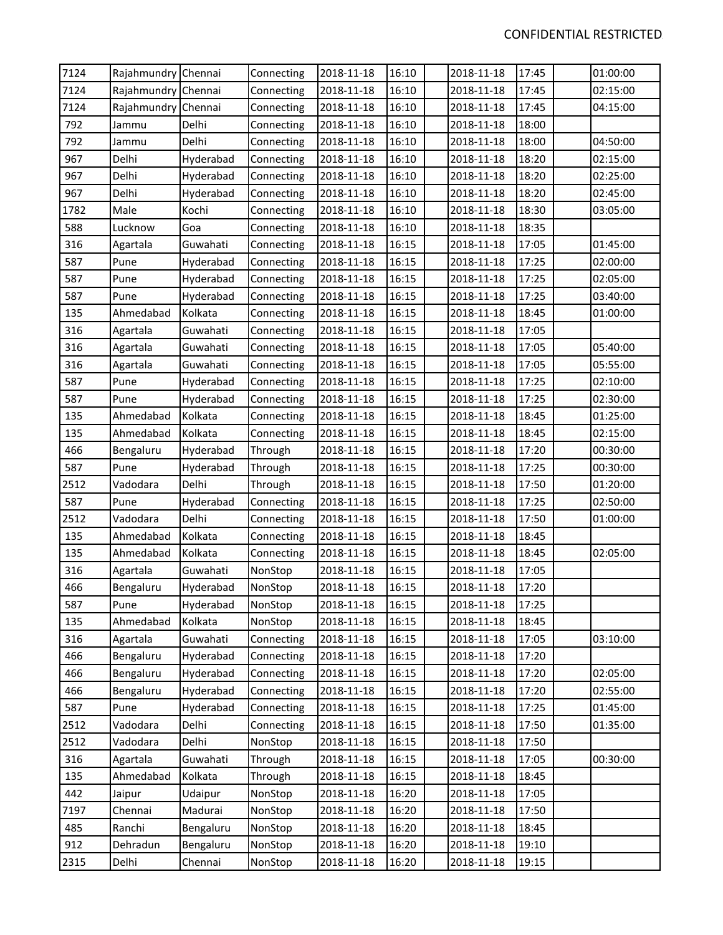| 7124 | Rajahmundry Chennai |           | Connecting | 2018-11-18 | 16:10 | 2018-11-18 | 17:45 | 01:00:00 |
|------|---------------------|-----------|------------|------------|-------|------------|-------|----------|
| 7124 | Rajahmundry Chennai |           | Connecting | 2018-11-18 | 16:10 | 2018-11-18 | 17:45 | 02:15:00 |
| 7124 | Rajahmundry         | Chennai   | Connecting | 2018-11-18 | 16:10 | 2018-11-18 | 17:45 | 04:15:00 |
| 792  | Jammu               | Delhi     | Connecting | 2018-11-18 | 16:10 | 2018-11-18 | 18:00 |          |
| 792  | Jammu               | Delhi     | Connecting | 2018-11-18 | 16:10 | 2018-11-18 | 18:00 | 04:50:00 |
| 967  | Delhi               | Hyderabad | Connecting | 2018-11-18 | 16:10 | 2018-11-18 | 18:20 | 02:15:00 |
| 967  | Delhi               | Hyderabad | Connecting | 2018-11-18 | 16:10 | 2018-11-18 | 18:20 | 02:25:00 |
| 967  | Delhi               | Hyderabad | Connecting | 2018-11-18 | 16:10 | 2018-11-18 | 18:20 | 02:45:00 |
| 1782 | Male                | Kochi     | Connecting | 2018-11-18 | 16:10 | 2018-11-18 | 18:30 | 03:05:00 |
| 588  | Lucknow             | Goa       | Connecting | 2018-11-18 | 16:10 | 2018-11-18 | 18:35 |          |
| 316  | Agartala            | Guwahati  | Connecting | 2018-11-18 | 16:15 | 2018-11-18 | 17:05 | 01:45:00 |
| 587  | Pune                | Hyderabad | Connecting | 2018-11-18 | 16:15 | 2018-11-18 | 17:25 | 02:00:00 |
| 587  | Pune                | Hyderabad | Connecting | 2018-11-18 | 16:15 | 2018-11-18 | 17:25 | 02:05:00 |
| 587  | Pune                | Hyderabad | Connecting | 2018-11-18 | 16:15 | 2018-11-18 | 17:25 | 03:40:00 |
| 135  | Ahmedabad           | Kolkata   | Connecting | 2018-11-18 | 16:15 | 2018-11-18 | 18:45 | 01:00:00 |
| 316  | Agartala            | Guwahati  | Connecting | 2018-11-18 | 16:15 | 2018-11-18 | 17:05 |          |
| 316  | Agartala            | Guwahati  | Connecting | 2018-11-18 | 16:15 | 2018-11-18 | 17:05 | 05:40:00 |
| 316  | Agartala            | Guwahati  | Connecting | 2018-11-18 | 16:15 | 2018-11-18 | 17:05 | 05:55:00 |
| 587  | Pune                | Hyderabad | Connecting | 2018-11-18 | 16:15 | 2018-11-18 | 17:25 | 02:10:00 |
| 587  | Pune                | Hyderabad | Connecting | 2018-11-18 | 16:15 | 2018-11-18 | 17:25 | 02:30:00 |
| 135  | Ahmedabad           | Kolkata   | Connecting | 2018-11-18 | 16:15 | 2018-11-18 | 18:45 | 01:25:00 |
| 135  | Ahmedabad           | Kolkata   | Connecting | 2018-11-18 | 16:15 | 2018-11-18 | 18:45 | 02:15:00 |
| 466  | Bengaluru           | Hyderabad | Through    | 2018-11-18 | 16:15 | 2018-11-18 | 17:20 | 00:30:00 |
| 587  | Pune                | Hyderabad | Through    | 2018-11-18 | 16:15 | 2018-11-18 | 17:25 | 00:30:00 |
| 2512 | Vadodara            | Delhi     | Through    | 2018-11-18 | 16:15 | 2018-11-18 | 17:50 | 01:20:00 |
| 587  | Pune                | Hyderabad | Connecting | 2018-11-18 | 16:15 | 2018-11-18 | 17:25 | 02:50:00 |
| 2512 | Vadodara            | Delhi     | Connecting | 2018-11-18 | 16:15 | 2018-11-18 | 17:50 | 01:00:00 |
| 135  | Ahmedabad           | Kolkata   | Connecting | 2018-11-18 | 16:15 | 2018-11-18 | 18:45 |          |
| 135  | Ahmedabad           | Kolkata   | Connecting | 2018-11-18 | 16:15 | 2018-11-18 | 18:45 | 02:05:00 |
| 316  | Agartala            | Guwahati  | NonStop    | 2018-11-18 | 16:15 | 2018-11-18 | 17:05 |          |
| 466  | Bengaluru           | Hyderabad | NonStop    | 2018-11-18 | 16:15 | 2018-11-18 | 17:20 |          |
| 587  | Pune                | Hyderabad | NonStop    | 2018-11-18 | 16:15 | 2018-11-18 | 17:25 |          |
| 135  | Ahmedabad           | Kolkata   | NonStop    | 2018-11-18 | 16:15 | 2018-11-18 | 18:45 |          |
| 316  | Agartala            | Guwahati  | Connecting | 2018-11-18 | 16:15 | 2018-11-18 | 17:05 | 03:10:00 |
| 466  | Bengaluru           | Hyderabad | Connecting | 2018-11-18 | 16:15 | 2018-11-18 | 17:20 |          |
| 466  | Bengaluru           | Hyderabad | Connecting | 2018-11-18 | 16:15 | 2018-11-18 | 17:20 | 02:05:00 |
| 466  | Bengaluru           | Hyderabad | Connecting | 2018-11-18 | 16:15 | 2018-11-18 | 17:20 | 02:55:00 |
| 587  | Pune                | Hyderabad | Connecting | 2018-11-18 | 16:15 | 2018-11-18 | 17:25 | 01:45:00 |
| 2512 | Vadodara            | Delhi     | Connecting | 2018-11-18 | 16:15 | 2018-11-18 | 17:50 | 01:35:00 |
| 2512 | Vadodara            | Delhi     | NonStop    | 2018-11-18 | 16:15 | 2018-11-18 | 17:50 |          |
| 316  | Agartala            | Guwahati  | Through    | 2018-11-18 | 16:15 | 2018-11-18 | 17:05 | 00:30:00 |
| 135  | Ahmedabad           | Kolkata   | Through    | 2018-11-18 | 16:15 | 2018-11-18 | 18:45 |          |
| 442  | Jaipur              | Udaipur   | NonStop    | 2018-11-18 | 16:20 | 2018-11-18 | 17:05 |          |
| 7197 | Chennai             | Madurai   | NonStop    | 2018-11-18 | 16:20 | 2018-11-18 | 17:50 |          |
| 485  | Ranchi              | Bengaluru | NonStop    | 2018-11-18 | 16:20 | 2018-11-18 | 18:45 |          |
| 912  | Dehradun            | Bengaluru | NonStop    | 2018-11-18 | 16:20 | 2018-11-18 | 19:10 |          |
| 2315 | Delhi               | Chennai   | NonStop    | 2018-11-18 | 16:20 | 2018-11-18 | 19:15 |          |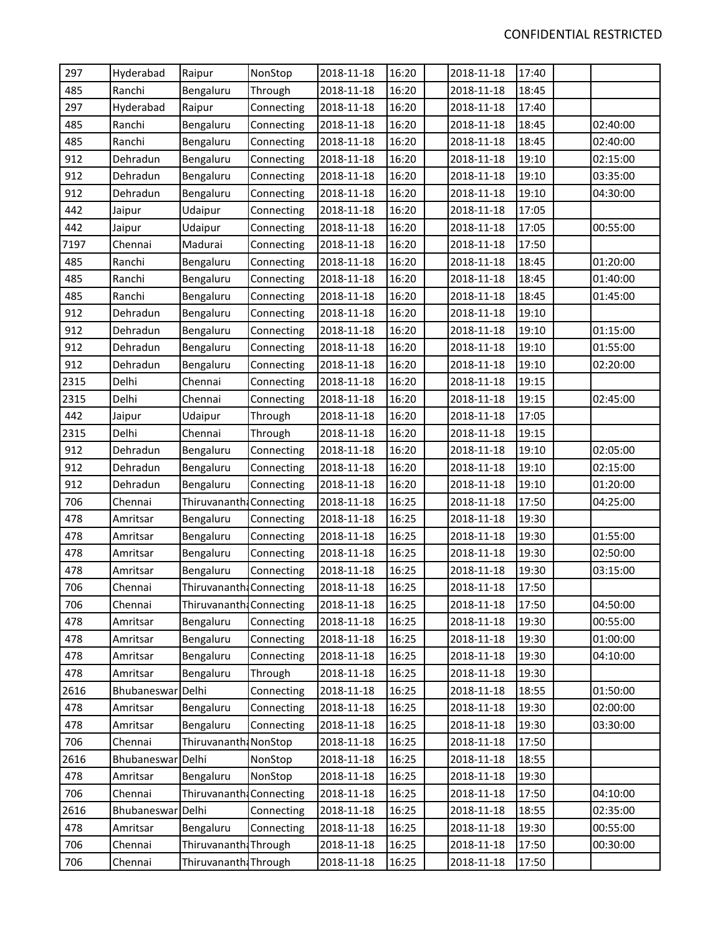| 297  | Hyderabad         | Raipur                   | NonStop    | 2018-11-18 | 16:20 | 2018-11-18 | 17:40 |          |
|------|-------------------|--------------------------|------------|------------|-------|------------|-------|----------|
| 485  | Ranchi            | Bengaluru                | Through    | 2018-11-18 | 16:20 | 2018-11-18 | 18:45 |          |
| 297  | Hyderabad         | Raipur                   | Connecting | 2018-11-18 | 16:20 | 2018-11-18 | 17:40 |          |
| 485  | Ranchi            | Bengaluru                | Connecting | 2018-11-18 | 16:20 | 2018-11-18 | 18:45 | 02:40:00 |
| 485  | Ranchi            | Bengaluru                | Connecting | 2018-11-18 | 16:20 | 2018-11-18 | 18:45 | 02:40:00 |
| 912  | Dehradun          | Bengaluru                | Connecting | 2018-11-18 | 16:20 | 2018-11-18 | 19:10 | 02:15:00 |
| 912  | Dehradun          | Bengaluru                | Connecting | 2018-11-18 | 16:20 | 2018-11-18 | 19:10 | 03:35:00 |
| 912  | Dehradun          | Bengaluru                | Connecting | 2018-11-18 | 16:20 | 2018-11-18 | 19:10 | 04:30:00 |
| 442  | Jaipur            | Udaipur                  | Connecting | 2018-11-18 | 16:20 | 2018-11-18 | 17:05 |          |
| 442  | Jaipur            | Udaipur                  | Connecting | 2018-11-18 | 16:20 | 2018-11-18 | 17:05 | 00:55:00 |
| 7197 | Chennai           | Madurai                  | Connecting | 2018-11-18 | 16:20 | 2018-11-18 | 17:50 |          |
| 485  | Ranchi            | Bengaluru                | Connecting | 2018-11-18 | 16:20 | 2018-11-18 | 18:45 | 01:20:00 |
| 485  | Ranchi            | Bengaluru                | Connecting | 2018-11-18 | 16:20 | 2018-11-18 | 18:45 | 01:40:00 |
| 485  | Ranchi            | Bengaluru                | Connecting | 2018-11-18 | 16:20 | 2018-11-18 | 18:45 | 01:45:00 |
| 912  | Dehradun          | Bengaluru                | Connecting | 2018-11-18 | 16:20 | 2018-11-18 | 19:10 |          |
| 912  | Dehradun          | Bengaluru                | Connecting | 2018-11-18 | 16:20 | 2018-11-18 | 19:10 | 01:15:00 |
| 912  | Dehradun          | Bengaluru                | Connecting | 2018-11-18 | 16:20 | 2018-11-18 | 19:10 | 01:55:00 |
| 912  | Dehradun          | Bengaluru                | Connecting | 2018-11-18 | 16:20 | 2018-11-18 | 19:10 | 02:20:00 |
| 2315 | Delhi             | Chennai                  | Connecting | 2018-11-18 | 16:20 | 2018-11-18 | 19:15 |          |
| 2315 | Delhi             | Chennai                  | Connecting | 2018-11-18 | 16:20 | 2018-11-18 | 19:15 | 02:45:00 |
| 442  | Jaipur            | Udaipur                  | Through    | 2018-11-18 | 16:20 | 2018-11-18 | 17:05 |          |
| 2315 | Delhi             | Chennai                  | Through    | 2018-11-18 | 16:20 | 2018-11-18 | 19:15 |          |
| 912  | Dehradun          | Bengaluru                | Connecting | 2018-11-18 | 16:20 | 2018-11-18 | 19:10 | 02:05:00 |
| 912  | Dehradun          | Bengaluru                | Connecting | 2018-11-18 | 16:20 | 2018-11-18 | 19:10 | 02:15:00 |
| 912  | Dehradun          | Bengaluru                | Connecting | 2018-11-18 | 16:20 | 2018-11-18 | 19:10 | 01:20:00 |
| 706  | Chennai           | Thiruvananth Connecting  |            | 2018-11-18 | 16:25 | 2018-11-18 | 17:50 | 04:25:00 |
| 478  | Amritsar          | Bengaluru                | Connecting | 2018-11-18 | 16:25 | 2018-11-18 | 19:30 |          |
| 478  | Amritsar          | Bengaluru                | Connecting | 2018-11-18 | 16:25 | 2018-11-18 | 19:30 | 01:55:00 |
| 478  | Amritsar          | Bengaluru                | Connecting | 2018-11-18 | 16:25 | 2018-11-18 | 19:30 | 02:50:00 |
| 478  | Amritsar          | Bengaluru                | Connecting | 2018-11-18 | 16:25 | 2018-11-18 | 19:30 | 03:15:00 |
| 706  | Chennai           | Thiruvananth: Connecting |            | 2018-11-18 | 16:25 | 2018-11-18 | 17:50 |          |
| 706  | Chennai           | Thiruvananth: Connecting |            | 2018-11-18 | 16:25 | 2018-11-18 | 17:50 | 04:50:00 |
| 478  | Amritsar          | Bengaluru                | Connecting | 2018-11-18 | 16:25 | 2018-11-18 | 19:30 | 00:55:00 |
| 478  | Amritsar          | Bengaluru                | Connecting | 2018-11-18 | 16:25 | 2018-11-18 | 19:30 | 01:00:00 |
| 478  | Amritsar          | Bengaluru                | Connecting | 2018-11-18 | 16:25 | 2018-11-18 | 19:30 | 04:10:00 |
| 478  | Amritsar          | Bengaluru                | Through    | 2018-11-18 | 16:25 | 2018-11-18 | 19:30 |          |
| 2616 | Bhubaneswar Delhi |                          | Connecting | 2018-11-18 | 16:25 | 2018-11-18 | 18:55 | 01:50:00 |
| 478  | Amritsar          | Bengaluru                | Connecting | 2018-11-18 | 16:25 | 2018-11-18 | 19:30 | 02:00:00 |
| 478  | Amritsar          | Bengaluru                | Connecting | 2018-11-18 | 16:25 | 2018-11-18 | 19:30 | 03:30:00 |
| 706  | Chennai           | Thiruvananth: NonStop    |            | 2018-11-18 | 16:25 | 2018-11-18 | 17:50 |          |
| 2616 | Bhubaneswar       | Delhi                    | NonStop    | 2018-11-18 | 16:25 | 2018-11-18 | 18:55 |          |
| 478  | Amritsar          | Bengaluru                | NonStop    | 2018-11-18 | 16:25 | 2018-11-18 | 19:30 |          |
| 706  | Chennai           | Thiruvananth: Connecting |            | 2018-11-18 | 16:25 | 2018-11-18 | 17:50 | 04:10:00 |
| 2616 | Bhubaneswar Delhi |                          | Connecting | 2018-11-18 | 16:25 | 2018-11-18 | 18:55 | 02:35:00 |
| 478  | Amritsar          | Bengaluru                | Connecting | 2018-11-18 | 16:25 | 2018-11-18 | 19:30 | 00:55:00 |
| 706  | Chennai           | Thiruvananth: Through    |            | 2018-11-18 | 16:25 | 2018-11-18 | 17:50 | 00:30:00 |
| 706  | Chennai           | Thiruvananth: Through    |            | 2018-11-18 | 16:25 | 2018-11-18 | 17:50 |          |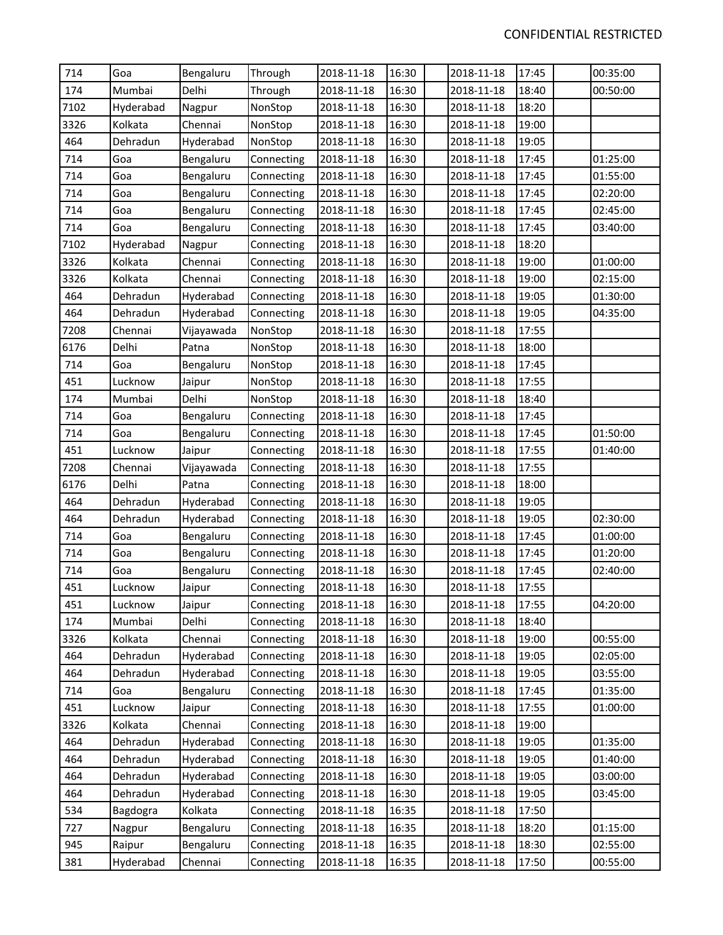| 714  | Goa       | Bengaluru  | Through    | 2018-11-18 | 16:30 | 2018-11-18 | 17:45 | 00:35:00 |
|------|-----------|------------|------------|------------|-------|------------|-------|----------|
| 174  | Mumbai    | Delhi      | Through    | 2018-11-18 | 16:30 | 2018-11-18 | 18:40 | 00:50:00 |
| 7102 | Hyderabad | Nagpur     | NonStop    | 2018-11-18 | 16:30 | 2018-11-18 | 18:20 |          |
| 3326 | Kolkata   | Chennai    | NonStop    | 2018-11-18 | 16:30 | 2018-11-18 | 19:00 |          |
| 464  | Dehradun  | Hyderabad  | NonStop    | 2018-11-18 | 16:30 | 2018-11-18 | 19:05 |          |
| 714  | Goa       | Bengaluru  | Connecting | 2018-11-18 | 16:30 | 2018-11-18 | 17:45 | 01:25:00 |
| 714  | Goa       | Bengaluru  | Connecting | 2018-11-18 | 16:30 | 2018-11-18 | 17:45 | 01:55:00 |
| 714  | Goa       | Bengaluru  | Connecting | 2018-11-18 | 16:30 | 2018-11-18 | 17:45 | 02:20:00 |
| 714  | Goa       | Bengaluru  | Connecting | 2018-11-18 | 16:30 | 2018-11-18 | 17:45 | 02:45:00 |
| 714  | Goa       | Bengaluru  | Connecting | 2018-11-18 | 16:30 | 2018-11-18 | 17:45 | 03:40:00 |
| 7102 | Hyderabad | Nagpur     | Connecting | 2018-11-18 | 16:30 | 2018-11-18 | 18:20 |          |
| 3326 | Kolkata   | Chennai    | Connecting | 2018-11-18 | 16:30 | 2018-11-18 | 19:00 | 01:00:00 |
| 3326 | Kolkata   | Chennai    | Connecting | 2018-11-18 | 16:30 | 2018-11-18 | 19:00 | 02:15:00 |
| 464  | Dehradun  | Hyderabad  | Connecting | 2018-11-18 | 16:30 | 2018-11-18 | 19:05 | 01:30:00 |
| 464  | Dehradun  | Hyderabad  | Connecting | 2018-11-18 | 16:30 | 2018-11-18 | 19:05 | 04:35:00 |
| 7208 | Chennai   | Vijayawada | NonStop    | 2018-11-18 | 16:30 | 2018-11-18 | 17:55 |          |
| 6176 | Delhi     | Patna      | NonStop    | 2018-11-18 | 16:30 | 2018-11-18 | 18:00 |          |
| 714  | Goa       | Bengaluru  | NonStop    | 2018-11-18 | 16:30 | 2018-11-18 | 17:45 |          |
| 451  | Lucknow   | Jaipur     | NonStop    | 2018-11-18 | 16:30 | 2018-11-18 | 17:55 |          |
| 174  | Mumbai    | Delhi      | NonStop    | 2018-11-18 | 16:30 | 2018-11-18 | 18:40 |          |
| 714  | Goa       | Bengaluru  | Connecting | 2018-11-18 | 16:30 | 2018-11-18 | 17:45 |          |
| 714  | Goa       | Bengaluru  | Connecting | 2018-11-18 | 16:30 | 2018-11-18 | 17:45 | 01:50:00 |
| 451  | Lucknow   | Jaipur     | Connecting | 2018-11-18 | 16:30 | 2018-11-18 | 17:55 | 01:40:00 |
| 7208 | Chennai   | Vijayawada | Connecting | 2018-11-18 | 16:30 | 2018-11-18 | 17:55 |          |
| 6176 | Delhi     | Patna      | Connecting | 2018-11-18 | 16:30 | 2018-11-18 | 18:00 |          |
| 464  | Dehradun  | Hyderabad  | Connecting | 2018-11-18 | 16:30 | 2018-11-18 | 19:05 |          |
| 464  | Dehradun  | Hyderabad  | Connecting | 2018-11-18 | 16:30 | 2018-11-18 | 19:05 | 02:30:00 |
| 714  | Goa       | Bengaluru  | Connecting | 2018-11-18 | 16:30 | 2018-11-18 | 17:45 | 01:00:00 |
| 714  | Goa       | Bengaluru  | Connecting | 2018-11-18 | 16:30 | 2018-11-18 | 17:45 | 01:20:00 |
| 714  | Goa       | Bengaluru  | Connecting | 2018-11-18 | 16:30 | 2018-11-18 | 17:45 | 02:40:00 |
| 451  | Lucknow   | Jaipur     | Connecting | 2018-11-18 | 16:30 | 2018-11-18 | 17:55 |          |
| 451  | Lucknow   | Jaipur     | Connecting | 2018-11-18 | 16:30 | 2018-11-18 | 17:55 | 04:20:00 |
| 174  | Mumbai    | Delhi      | Connecting | 2018-11-18 | 16:30 | 2018-11-18 | 18:40 |          |
| 3326 | Kolkata   | Chennai    | Connecting | 2018-11-18 | 16:30 | 2018-11-18 | 19:00 | 00:55:00 |
| 464  | Dehradun  | Hyderabad  | Connecting | 2018-11-18 | 16:30 | 2018-11-18 | 19:05 | 02:05:00 |
| 464  | Dehradun  | Hyderabad  | Connecting | 2018-11-18 | 16:30 | 2018-11-18 | 19:05 | 03:55:00 |
| 714  | Goa       | Bengaluru  | Connecting | 2018-11-18 | 16:30 | 2018-11-18 | 17:45 | 01:35:00 |
| 451  | Lucknow   | Jaipur     | Connecting | 2018-11-18 | 16:30 | 2018-11-18 | 17:55 | 01:00:00 |
| 3326 | Kolkata   | Chennai    | Connecting | 2018-11-18 | 16:30 | 2018-11-18 | 19:00 |          |
| 464  | Dehradun  | Hyderabad  | Connecting | 2018-11-18 | 16:30 | 2018-11-18 | 19:05 | 01:35:00 |
| 464  | Dehradun  | Hyderabad  | Connecting | 2018-11-18 | 16:30 | 2018-11-18 | 19:05 | 01:40:00 |
| 464  | Dehradun  | Hyderabad  | Connecting | 2018-11-18 | 16:30 | 2018-11-18 | 19:05 | 03:00:00 |
| 464  | Dehradun  | Hyderabad  | Connecting | 2018-11-18 | 16:30 | 2018-11-18 | 19:05 | 03:45:00 |
| 534  | Bagdogra  | Kolkata    | Connecting | 2018-11-18 | 16:35 | 2018-11-18 | 17:50 |          |
| 727  | Nagpur    | Bengaluru  | Connecting | 2018-11-18 | 16:35 | 2018-11-18 | 18:20 | 01:15:00 |
| 945  | Raipur    | Bengaluru  | Connecting | 2018-11-18 | 16:35 | 2018-11-18 | 18:30 | 02:55:00 |
| 381  | Hyderabad | Chennai    | Connecting | 2018-11-18 | 16:35 | 2018-11-18 | 17:50 | 00:55:00 |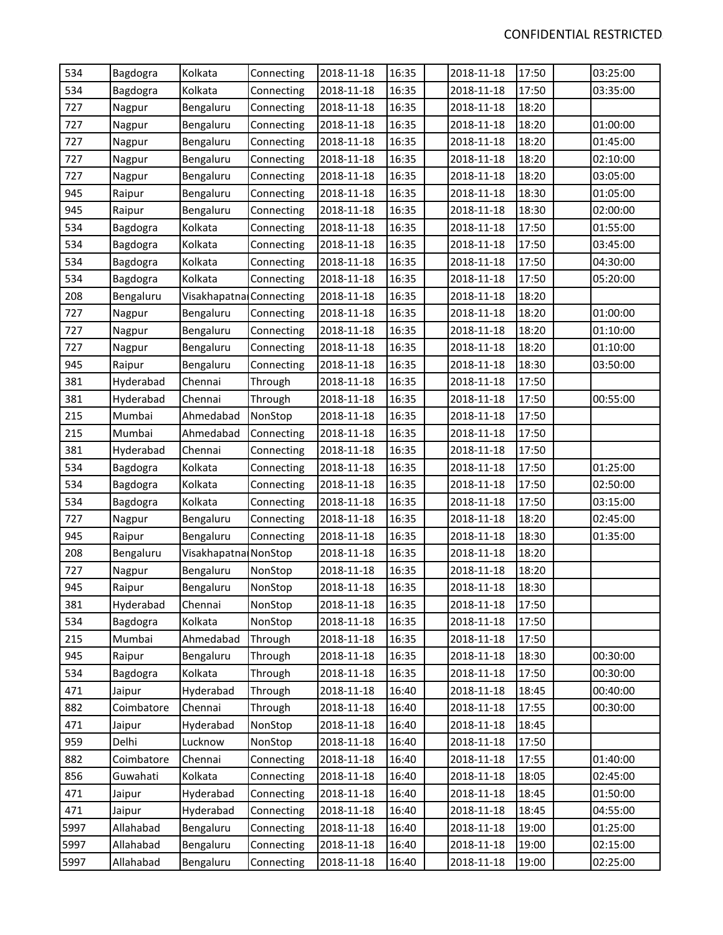| 534  | Bagdogra   | Kolkata                 | Connecting | 2018-11-18 | 16:35 | 2018-11-18 | 17:50 | 03:25:00 |
|------|------------|-------------------------|------------|------------|-------|------------|-------|----------|
| 534  | Bagdogra   | Kolkata                 | Connecting | 2018-11-18 | 16:35 | 2018-11-18 | 17:50 | 03:35:00 |
| 727  | Nagpur     | Bengaluru               | Connecting | 2018-11-18 | 16:35 | 2018-11-18 | 18:20 |          |
| 727  | Nagpur     | Bengaluru               | Connecting | 2018-11-18 | 16:35 | 2018-11-18 | 18:20 | 01:00:00 |
| 727  | Nagpur     | Bengaluru               | Connecting | 2018-11-18 | 16:35 | 2018-11-18 | 18:20 | 01:45:00 |
| 727  | Nagpur     | Bengaluru               | Connecting | 2018-11-18 | 16:35 | 2018-11-18 | 18:20 | 02:10:00 |
| 727  | Nagpur     | Bengaluru               | Connecting | 2018-11-18 | 16:35 | 2018-11-18 | 18:20 | 03:05:00 |
| 945  | Raipur     | Bengaluru               | Connecting | 2018-11-18 | 16:35 | 2018-11-18 | 18:30 | 01:05:00 |
| 945  | Raipur     | Bengaluru               | Connecting | 2018-11-18 | 16:35 | 2018-11-18 | 18:30 | 02:00:00 |
| 534  | Bagdogra   | Kolkata                 | Connecting | 2018-11-18 | 16:35 | 2018-11-18 | 17:50 | 01:55:00 |
| 534  | Bagdogra   | Kolkata                 | Connecting | 2018-11-18 | 16:35 | 2018-11-18 | 17:50 | 03:45:00 |
| 534  | Bagdogra   | Kolkata                 | Connecting | 2018-11-18 | 16:35 | 2018-11-18 | 17:50 | 04:30:00 |
| 534  | Bagdogra   | Kolkata                 | Connecting | 2018-11-18 | 16:35 | 2018-11-18 | 17:50 | 05:20:00 |
| 208  | Bengaluru  | Visakhapatna Connecting |            | 2018-11-18 | 16:35 | 2018-11-18 | 18:20 |          |
| 727  | Nagpur     | Bengaluru               | Connecting | 2018-11-18 | 16:35 | 2018-11-18 | 18:20 | 01:00:00 |
| 727  | Nagpur     | Bengaluru               | Connecting | 2018-11-18 | 16:35 | 2018-11-18 | 18:20 | 01:10:00 |
| 727  | Nagpur     | Bengaluru               | Connecting | 2018-11-18 | 16:35 | 2018-11-18 | 18:20 | 01:10:00 |
| 945  | Raipur     | Bengaluru               | Connecting | 2018-11-18 | 16:35 | 2018-11-18 | 18:30 | 03:50:00 |
| 381  | Hyderabad  | Chennai                 | Through    | 2018-11-18 | 16:35 | 2018-11-18 | 17:50 |          |
| 381  | Hyderabad  | Chennai                 | Through    | 2018-11-18 | 16:35 | 2018-11-18 | 17:50 | 00:55:00 |
| 215  | Mumbai     | Ahmedabad               | NonStop    | 2018-11-18 | 16:35 | 2018-11-18 | 17:50 |          |
| 215  | Mumbai     | Ahmedabad               | Connecting | 2018-11-18 | 16:35 | 2018-11-18 | 17:50 |          |
| 381  | Hyderabad  | Chennai                 | Connecting | 2018-11-18 | 16:35 | 2018-11-18 | 17:50 |          |
| 534  | Bagdogra   | Kolkata                 | Connecting | 2018-11-18 | 16:35 | 2018-11-18 | 17:50 | 01:25:00 |
| 534  | Bagdogra   | Kolkata                 | Connecting | 2018-11-18 | 16:35 | 2018-11-18 | 17:50 | 02:50:00 |
| 534  | Bagdogra   | Kolkata                 | Connecting | 2018-11-18 | 16:35 | 2018-11-18 | 17:50 | 03:15:00 |
| 727  | Nagpur     | Bengaluru               | Connecting | 2018-11-18 | 16:35 | 2018-11-18 | 18:20 | 02:45:00 |
| 945  | Raipur     | Bengaluru               | Connecting | 2018-11-18 | 16:35 | 2018-11-18 | 18:30 | 01:35:00 |
| 208  | Bengaluru  | Visakhapatna NonStop    |            | 2018-11-18 | 16:35 | 2018-11-18 | 18:20 |          |
| 727  | Nagpur     | Bengaluru               | NonStop    | 2018-11-18 | 16:35 | 2018-11-18 | 18:20 |          |
| 945  | Raipur     | Bengaluru               | NonStop    | 2018-11-18 | 16:35 | 2018-11-18 | 18:30 |          |
| 381  | Hyderabad  | Chennai                 | NonStop    | 2018-11-18 | 16:35 | 2018-11-18 | 17:50 |          |
| 534  | Bagdogra   | Kolkata                 | NonStop    | 2018-11-18 | 16:35 | 2018-11-18 | 17:50 |          |
| 215  | Mumbai     | Ahmedabad               | Through    | 2018-11-18 | 16:35 | 2018-11-18 | 17:50 |          |
| 945  | Raipur     | Bengaluru               | Through    | 2018-11-18 | 16:35 | 2018-11-18 | 18:30 | 00:30:00 |
| 534  | Bagdogra   | Kolkata                 | Through    | 2018-11-18 | 16:35 | 2018-11-18 | 17:50 | 00:30:00 |
| 471  | Jaipur     | Hyderabad               | Through    | 2018-11-18 | 16:40 | 2018-11-18 | 18:45 | 00:40:00 |
| 882  | Coimbatore | Chennai                 | Through    | 2018-11-18 | 16:40 | 2018-11-18 | 17:55 | 00:30:00 |
| 471  | Jaipur     | Hyderabad               | NonStop    | 2018-11-18 | 16:40 | 2018-11-18 | 18:45 |          |
| 959  | Delhi      | Lucknow                 | NonStop    | 2018-11-18 | 16:40 | 2018-11-18 | 17:50 |          |
| 882  | Coimbatore | Chennai                 | Connecting | 2018-11-18 | 16:40 | 2018-11-18 | 17:55 | 01:40:00 |
| 856  | Guwahati   | Kolkata                 | Connecting | 2018-11-18 | 16:40 | 2018-11-18 | 18:05 | 02:45:00 |
| 471  | Jaipur     | Hyderabad               | Connecting | 2018-11-18 | 16:40 | 2018-11-18 | 18:45 | 01:50:00 |
| 471  | Jaipur     | Hyderabad               | Connecting | 2018-11-18 | 16:40 | 2018-11-18 | 18:45 | 04:55:00 |
| 5997 | Allahabad  | Bengaluru               | Connecting | 2018-11-18 | 16:40 | 2018-11-18 | 19:00 | 01:25:00 |
| 5997 | Allahabad  | Bengaluru               | Connecting | 2018-11-18 | 16:40 | 2018-11-18 | 19:00 | 02:15:00 |
| 5997 | Allahabad  | Bengaluru               | Connecting | 2018-11-18 | 16:40 | 2018-11-18 | 19:00 | 02:25:00 |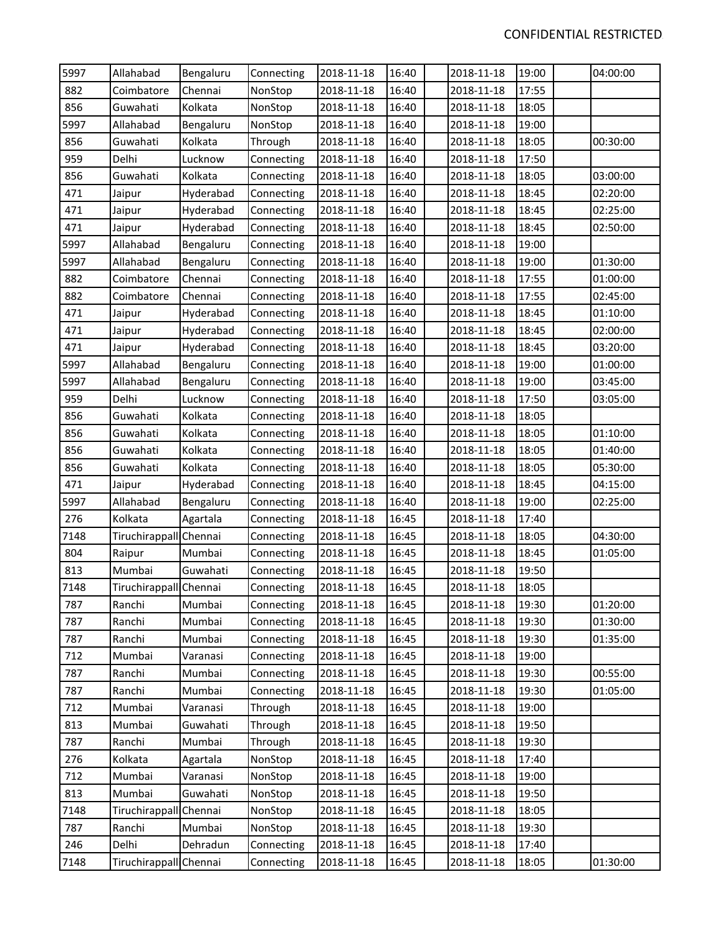| 5997 | Allahabad              | Bengaluru | Connecting | 2018-11-18 | 16:40 | 2018-11-18 | 19:00 | 04:00:00 |
|------|------------------------|-----------|------------|------------|-------|------------|-------|----------|
| 882  | Coimbatore             | Chennai   | NonStop    | 2018-11-18 | 16:40 | 2018-11-18 | 17:55 |          |
| 856  | Guwahati               | Kolkata   | NonStop    | 2018-11-18 | 16:40 | 2018-11-18 | 18:05 |          |
| 5997 | Allahabad              | Bengaluru | NonStop    | 2018-11-18 | 16:40 | 2018-11-18 | 19:00 |          |
| 856  | Guwahati               | Kolkata   | Through    | 2018-11-18 | 16:40 | 2018-11-18 | 18:05 | 00:30:00 |
| 959  | Delhi                  | Lucknow   | Connecting | 2018-11-18 | 16:40 | 2018-11-18 | 17:50 |          |
| 856  | Guwahati               | Kolkata   | Connecting | 2018-11-18 | 16:40 | 2018-11-18 | 18:05 | 03:00:00 |
| 471  | Jaipur                 | Hyderabad | Connecting | 2018-11-18 | 16:40 | 2018-11-18 | 18:45 | 02:20:00 |
| 471  | Jaipur                 | Hyderabad | Connecting | 2018-11-18 | 16:40 | 2018-11-18 | 18:45 | 02:25:00 |
| 471  | Jaipur                 | Hyderabad | Connecting | 2018-11-18 | 16:40 | 2018-11-18 | 18:45 | 02:50:00 |
| 5997 | Allahabad              | Bengaluru | Connecting | 2018-11-18 | 16:40 | 2018-11-18 | 19:00 |          |
| 5997 | Allahabad              | Bengaluru | Connecting | 2018-11-18 | 16:40 | 2018-11-18 | 19:00 | 01:30:00 |
| 882  | Coimbatore             | Chennai   | Connecting | 2018-11-18 | 16:40 | 2018-11-18 | 17:55 | 01:00:00 |
| 882  | Coimbatore             | Chennai   | Connecting | 2018-11-18 | 16:40 | 2018-11-18 | 17:55 | 02:45:00 |
| 471  | Jaipur                 | Hyderabad | Connecting | 2018-11-18 | 16:40 | 2018-11-18 | 18:45 | 01:10:00 |
| 471  | Jaipur                 | Hyderabad | Connecting | 2018-11-18 | 16:40 | 2018-11-18 | 18:45 | 02:00:00 |
| 471  | Jaipur                 | Hyderabad | Connecting | 2018-11-18 | 16:40 | 2018-11-18 | 18:45 | 03:20:00 |
| 5997 | Allahabad              | Bengaluru | Connecting | 2018-11-18 | 16:40 | 2018-11-18 | 19:00 | 01:00:00 |
| 5997 | Allahabad              | Bengaluru | Connecting | 2018-11-18 | 16:40 | 2018-11-18 | 19:00 | 03:45:00 |
| 959  | Delhi                  | Lucknow   | Connecting | 2018-11-18 | 16:40 | 2018-11-18 | 17:50 | 03:05:00 |
| 856  | Guwahati               | Kolkata   | Connecting | 2018-11-18 | 16:40 | 2018-11-18 | 18:05 |          |
| 856  | Guwahati               | Kolkata   | Connecting | 2018-11-18 | 16:40 | 2018-11-18 | 18:05 | 01:10:00 |
| 856  | Guwahati               | Kolkata   | Connecting | 2018-11-18 | 16:40 | 2018-11-18 | 18:05 | 01:40:00 |
| 856  | Guwahati               | Kolkata   | Connecting | 2018-11-18 | 16:40 | 2018-11-18 | 18:05 | 05:30:00 |
| 471  | Jaipur                 | Hyderabad | Connecting | 2018-11-18 | 16:40 | 2018-11-18 | 18:45 | 04:15:00 |
| 5997 | Allahabad              | Bengaluru | Connecting | 2018-11-18 | 16:40 | 2018-11-18 | 19:00 | 02:25:00 |
| 276  | Kolkata                | Agartala  | Connecting | 2018-11-18 | 16:45 | 2018-11-18 | 17:40 |          |
| 7148 | Tiruchirappall Chennai |           | Connecting | 2018-11-18 | 16:45 | 2018-11-18 | 18:05 | 04:30:00 |
| 804  | Raipur                 | Mumbai    | Connecting | 2018-11-18 | 16:45 | 2018-11-18 | 18:45 | 01:05:00 |
| 813  | Mumbai                 | Guwahati  | Connecting | 2018-11-18 | 16:45 | 2018-11-18 | 19:50 |          |
| 7148 | Tiruchirappall Chennai |           | Connecting | 2018-11-18 | 16:45 | 2018-11-18 | 18:05 |          |
| 787  | Ranchi                 | Mumbai    | Connecting | 2018-11-18 | 16:45 | 2018-11-18 | 19:30 | 01:20:00 |
| 787  | Ranchi                 | Mumbai    | Connecting | 2018-11-18 | 16:45 | 2018-11-18 | 19:30 | 01:30:00 |
| 787  | Ranchi                 | Mumbai    | Connecting | 2018-11-18 | 16:45 | 2018-11-18 | 19:30 | 01:35:00 |
| 712  | Mumbai                 | Varanasi  | Connecting | 2018-11-18 | 16:45 | 2018-11-18 | 19:00 |          |
| 787  | Ranchi                 | Mumbai    | Connecting | 2018-11-18 | 16:45 | 2018-11-18 | 19:30 | 00:55:00 |
| 787  | Ranchi                 | Mumbai    | Connecting | 2018-11-18 | 16:45 | 2018-11-18 | 19:30 | 01:05:00 |
| 712  | Mumbai                 | Varanasi  | Through    | 2018-11-18 | 16:45 | 2018-11-18 | 19:00 |          |
| 813  | Mumbai                 | Guwahati  | Through    | 2018-11-18 | 16:45 | 2018-11-18 | 19:50 |          |
| 787  | Ranchi                 | Mumbai    | Through    | 2018-11-18 | 16:45 | 2018-11-18 | 19:30 |          |
| 276  | Kolkata                | Agartala  | NonStop    | 2018-11-18 | 16:45 | 2018-11-18 | 17:40 |          |
| 712  | Mumbai                 | Varanasi  | NonStop    | 2018-11-18 | 16:45 | 2018-11-18 | 19:00 |          |
| 813  | Mumbai                 | Guwahati  | NonStop    | 2018-11-18 | 16:45 | 2018-11-18 | 19:50 |          |
| 7148 | Tiruchirappall Chennai |           | NonStop    | 2018-11-18 | 16:45 | 2018-11-18 | 18:05 |          |
| 787  | Ranchi                 | Mumbai    | NonStop    | 2018-11-18 | 16:45 | 2018-11-18 | 19:30 |          |
| 246  | Delhi                  | Dehradun  | Connecting | 2018-11-18 | 16:45 | 2018-11-18 | 17:40 |          |
| 7148 | Tiruchirappall Chennai |           | Connecting | 2018-11-18 | 16:45 | 2018-11-18 | 18:05 | 01:30:00 |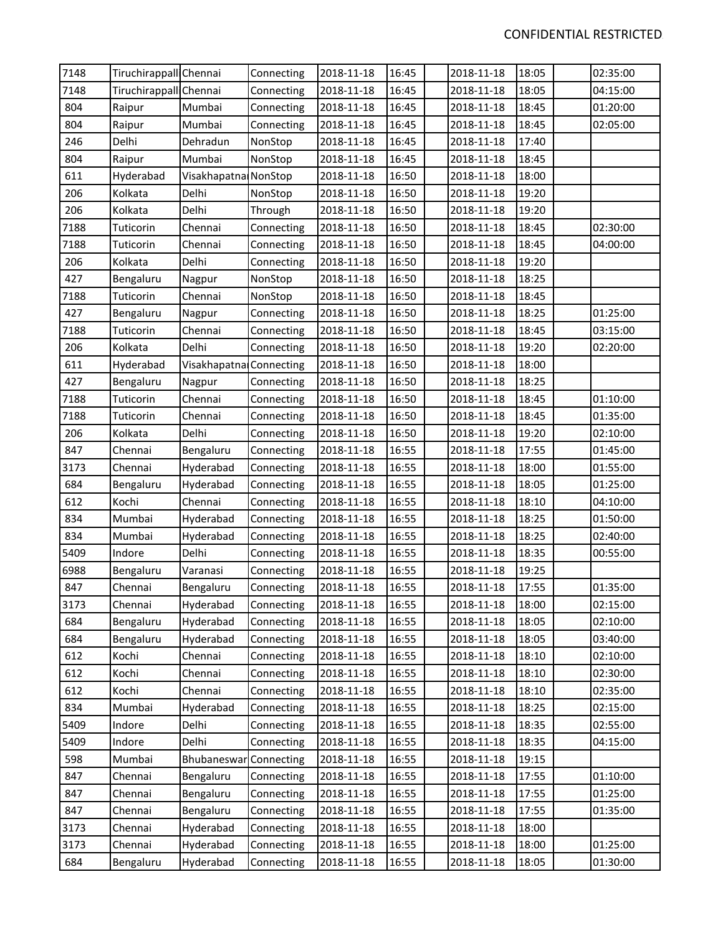| 7148 | Tiruchirappall Chennai |                         | Connecting | 2018-11-18 | 16:45 | 2018-11-18 | 18:05 | 02:35:00 |
|------|------------------------|-------------------------|------------|------------|-------|------------|-------|----------|
| 7148 | Tiruchirappall Chennai |                         | Connecting | 2018-11-18 | 16:45 | 2018-11-18 | 18:05 | 04:15:00 |
| 804  | Raipur                 | Mumbai                  | Connecting | 2018-11-18 | 16:45 | 2018-11-18 | 18:45 | 01:20:00 |
| 804  | Raipur                 | Mumbai                  | Connecting | 2018-11-18 | 16:45 | 2018-11-18 | 18:45 | 02:05:00 |
| 246  | Delhi                  | Dehradun                | NonStop    | 2018-11-18 | 16:45 | 2018-11-18 | 17:40 |          |
| 804  | Raipur                 | Mumbai                  | NonStop    | 2018-11-18 | 16:45 | 2018-11-18 | 18:45 |          |
| 611  | Hyderabad              | Visakhapatna NonStop    |            | 2018-11-18 | 16:50 | 2018-11-18 | 18:00 |          |
| 206  | Kolkata                | Delhi                   | NonStop    | 2018-11-18 | 16:50 | 2018-11-18 | 19:20 |          |
| 206  | Kolkata                | Delhi                   | Through    | 2018-11-18 | 16:50 | 2018-11-18 | 19:20 |          |
| 7188 | Tuticorin              | Chennai                 | Connecting | 2018-11-18 | 16:50 | 2018-11-18 | 18:45 | 02:30:00 |
| 7188 | Tuticorin              | Chennai                 | Connecting | 2018-11-18 | 16:50 | 2018-11-18 | 18:45 | 04:00:00 |
| 206  | Kolkata                | Delhi                   | Connecting | 2018-11-18 | 16:50 | 2018-11-18 | 19:20 |          |
| 427  | Bengaluru              | Nagpur                  | NonStop    | 2018-11-18 | 16:50 | 2018-11-18 | 18:25 |          |
| 7188 | Tuticorin              | Chennai                 | NonStop    | 2018-11-18 | 16:50 | 2018-11-18 | 18:45 |          |
| 427  | Bengaluru              | Nagpur                  | Connecting | 2018-11-18 | 16:50 | 2018-11-18 | 18:25 | 01:25:00 |
| 7188 | Tuticorin              | Chennai                 | Connecting | 2018-11-18 | 16:50 | 2018-11-18 | 18:45 | 03:15:00 |
| 206  | Kolkata                | Delhi                   | Connecting | 2018-11-18 | 16:50 | 2018-11-18 | 19:20 | 02:20:00 |
| 611  | Hyderabad              | Visakhapatna Connecting |            | 2018-11-18 | 16:50 | 2018-11-18 | 18:00 |          |
| 427  | Bengaluru              | Nagpur                  | Connecting | 2018-11-18 | 16:50 | 2018-11-18 | 18:25 |          |
| 7188 | Tuticorin              | Chennai                 | Connecting | 2018-11-18 | 16:50 | 2018-11-18 | 18:45 | 01:10:00 |
| 7188 | Tuticorin              | Chennai                 | Connecting | 2018-11-18 | 16:50 | 2018-11-18 | 18:45 | 01:35:00 |
| 206  | Kolkata                | Delhi                   | Connecting | 2018-11-18 | 16:50 | 2018-11-18 | 19:20 | 02:10:00 |
| 847  | Chennai                | Bengaluru               | Connecting | 2018-11-18 | 16:55 | 2018-11-18 | 17:55 | 01:45:00 |
| 3173 | Chennai                | Hyderabad               | Connecting | 2018-11-18 | 16:55 | 2018-11-18 | 18:00 | 01:55:00 |
| 684  | Bengaluru              | Hyderabad               | Connecting | 2018-11-18 | 16:55 | 2018-11-18 | 18:05 | 01:25:00 |
| 612  | Kochi                  | Chennai                 | Connecting | 2018-11-18 | 16:55 | 2018-11-18 | 18:10 | 04:10:00 |
| 834  | Mumbai                 | Hyderabad               | Connecting | 2018-11-18 | 16:55 | 2018-11-18 | 18:25 | 01:50:00 |
| 834  | Mumbai                 | Hyderabad               | Connecting | 2018-11-18 | 16:55 | 2018-11-18 | 18:25 | 02:40:00 |
| 5409 | Indore                 | Delhi                   | Connecting | 2018-11-18 | 16:55 | 2018-11-18 | 18:35 | 00:55:00 |
| 6988 | Bengaluru              | Varanasi                | Connecting | 2018-11-18 | 16:55 | 2018-11-18 | 19:25 |          |
| 847  | Chennai                | Bengaluru               | Connecting | 2018-11-18 | 16:55 | 2018-11-18 | 17:55 | 01:35:00 |
| 3173 | Chennai                | Hyderabad               | Connecting | 2018-11-18 | 16:55 | 2018-11-18 | 18:00 | 02:15:00 |
| 684  | Bengaluru              | Hyderabad               | Connecting | 2018-11-18 | 16:55 | 2018-11-18 | 18:05 | 02:10:00 |
| 684  | Bengaluru              | Hyderabad               | Connecting | 2018-11-18 | 16:55 | 2018-11-18 | 18:05 | 03:40:00 |
| 612  | Kochi                  | Chennai                 | Connecting | 2018-11-18 | 16:55 | 2018-11-18 | 18:10 | 02:10:00 |
| 612  | Kochi                  | Chennai                 | Connecting | 2018-11-18 | 16:55 | 2018-11-18 | 18:10 | 02:30:00 |
| 612  | Kochi                  | Chennai                 | Connecting | 2018-11-18 | 16:55 | 2018-11-18 | 18:10 | 02:35:00 |
| 834  | Mumbai                 | Hyderabad               | Connecting | 2018-11-18 | 16:55 | 2018-11-18 | 18:25 | 02:15:00 |
| 5409 | Indore                 | Delhi                   | Connecting | 2018-11-18 | 16:55 | 2018-11-18 | 18:35 | 02:55:00 |
| 5409 | Indore                 | Delhi                   | Connecting | 2018-11-18 | 16:55 | 2018-11-18 | 18:35 | 04:15:00 |
| 598  | Mumbai                 | Bhubaneswar             | Connecting | 2018-11-18 | 16:55 | 2018-11-18 | 19:15 |          |
| 847  | Chennai                | Bengaluru               | Connecting | 2018-11-18 | 16:55 | 2018-11-18 | 17:55 | 01:10:00 |
| 847  | Chennai                | Bengaluru               | Connecting | 2018-11-18 | 16:55 | 2018-11-18 | 17:55 | 01:25:00 |
| 847  | Chennai                | Bengaluru               | Connecting | 2018-11-18 | 16:55 | 2018-11-18 | 17:55 | 01:35:00 |
| 3173 | Chennai                | Hyderabad               | Connecting | 2018-11-18 | 16:55 | 2018-11-18 | 18:00 |          |
| 3173 | Chennai                | Hyderabad               | Connecting | 2018-11-18 | 16:55 | 2018-11-18 | 18:00 | 01:25:00 |
| 684  | Bengaluru              | Hyderabad               | Connecting | 2018-11-18 | 16:55 | 2018-11-18 | 18:05 | 01:30:00 |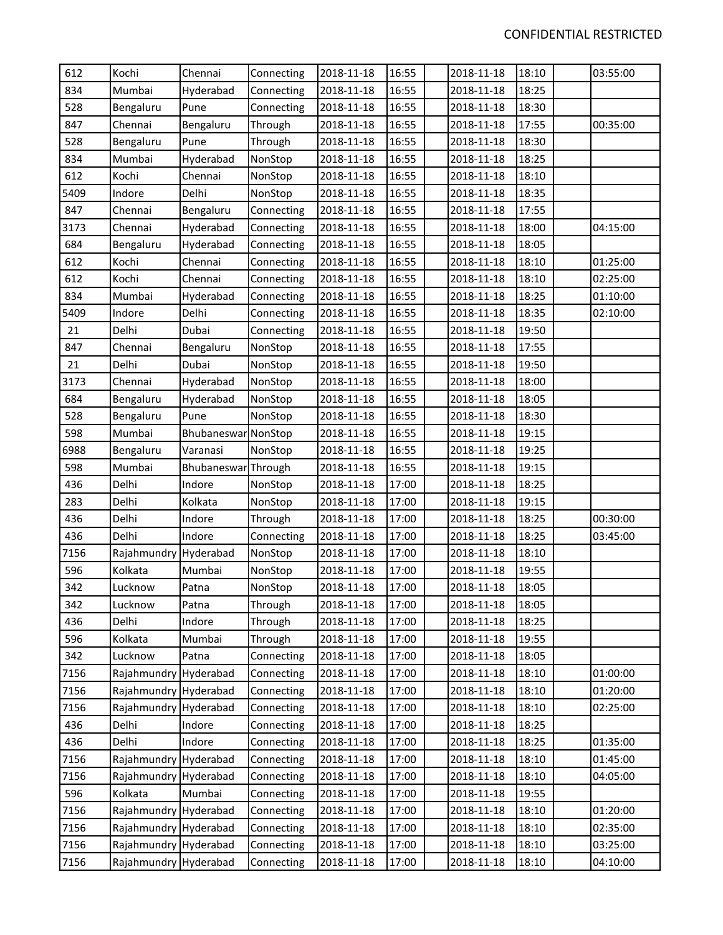| 612  | Kochi                 | Chennai             | Connecting | 2018-11-18 | 16:55 | 2018-11-18 | 18:10 | 03:55:00 |
|------|-----------------------|---------------------|------------|------------|-------|------------|-------|----------|
| 834  | Mumbai                | Hyderabad           | Connecting | 2018-11-18 | 16:55 | 2018-11-18 | 18:25 |          |
| 528  | Bengaluru             | Pune                | Connecting | 2018-11-18 | 16:55 | 2018-11-18 | 18:30 |          |
| 847  | Chennai               | Bengaluru           | Through    | 2018-11-18 | 16:55 | 2018-11-18 | 17:55 | 00:35:00 |
| 528  | Bengaluru             | Pune                | Through    | 2018-11-18 | 16:55 | 2018-11-18 | 18:30 |          |
| 834  | Mumbai                | Hyderabad           | NonStop    | 2018-11-18 | 16:55 | 2018-11-18 | 18:25 |          |
| 612  | Kochi                 | Chennai             | NonStop    | 2018-11-18 | 16:55 | 2018-11-18 | 18:10 |          |
| 5409 | Indore                | Delhi               | NonStop    | 2018-11-18 | 16:55 | 2018-11-18 | 18:35 |          |
| 847  | Chennai               | Bengaluru           | Connecting | 2018-11-18 | 16:55 | 2018-11-18 | 17:55 |          |
| 3173 | Chennai               | Hyderabad           | Connecting | 2018-11-18 | 16:55 | 2018-11-18 | 18:00 | 04:15:00 |
| 684  | Bengaluru             | Hyderabad           | Connecting | 2018-11-18 | 16:55 | 2018-11-18 | 18:05 |          |
| 612  | Kochi                 | Chennai             | Connecting | 2018-11-18 | 16:55 | 2018-11-18 | 18:10 | 01:25:00 |
| 612  | Kochi                 | Chennai             | Connecting | 2018-11-18 | 16:55 | 2018-11-18 | 18:10 | 02:25:00 |
| 834  | Mumbai                | Hyderabad           | Connecting | 2018-11-18 | 16:55 | 2018-11-18 | 18:25 | 01:10:00 |
| 5409 | Indore                | Delhi               | Connecting | 2018-11-18 | 16:55 | 2018-11-18 | 18:35 | 02:10:00 |
| 21   | Delhi                 | Dubai               | Connecting | 2018-11-18 | 16:55 | 2018-11-18 | 19:50 |          |
| 847  | Chennai               | Bengaluru           | NonStop    | 2018-11-18 | 16:55 | 2018-11-18 | 17:55 |          |
| 21   | Delhi                 | Dubai               | NonStop    | 2018-11-18 | 16:55 | 2018-11-18 | 19:50 |          |
| 3173 | Chennai               | Hyderabad           | NonStop    | 2018-11-18 | 16:55 | 2018-11-18 | 18:00 |          |
| 684  | Bengaluru             | Hyderabad           | NonStop    | 2018-11-18 | 16:55 | 2018-11-18 | 18:05 |          |
| 528  | Bengaluru             | Pune                | NonStop    | 2018-11-18 | 16:55 | 2018-11-18 | 18:30 |          |
| 598  | Mumbai                | Bhubaneswar NonStop |            | 2018-11-18 | 16:55 | 2018-11-18 | 19:15 |          |
| 6988 | Bengaluru             | Varanasi            | NonStop    | 2018-11-18 | 16:55 | 2018-11-18 | 19:25 |          |
| 598  | Mumbai                | Bhubaneswar Through |            | 2018-11-18 | 16:55 | 2018-11-18 | 19:15 |          |
| 436  | Delhi                 | Indore              | NonStop    | 2018-11-18 | 17:00 | 2018-11-18 | 18:25 |          |
| 283  | Delhi                 | Kolkata             | NonStop    | 2018-11-18 | 17:00 | 2018-11-18 | 19:15 |          |
| 436  | Delhi                 | Indore              | Through    | 2018-11-18 | 17:00 | 2018-11-18 | 18:25 | 00:30:00 |
| 436  | Delhi                 | Indore              | Connecting | 2018-11-18 | 17:00 | 2018-11-18 | 18:25 | 03:45:00 |
| 7156 | Rajahmundry Hyderabad |                     | NonStop    | 2018-11-18 | 17:00 | 2018-11-18 | 18:10 |          |
| 596  | Kolkata               | Mumbai              | NonStop    | 2018-11-18 | 17:00 | 2018-11-18 | 19:55 |          |
| 342  | Lucknow               | Patna               | NonStop    | 2018-11-18 | 17:00 | 2018-11-18 | 18:05 |          |
| 342  | Lucknow               | Patna               | Through    | 2018-11-18 | 17:00 | 2018-11-18 | 18:05 |          |
| 436  | Delhi                 | Indore              | Through    | 2018-11-18 | 17:00 | 2018-11-18 | 18:25 |          |
| 596  | Kolkata               | Mumbai              | Through    | 2018-11-18 | 17:00 | 2018-11-18 | 19:55 |          |
| 342  | Lucknow               | Patna               | Connecting | 2018-11-18 | 17:00 | 2018-11-18 | 18:05 |          |
| 7156 | Rajahmundry           | Hyderabad           | Connecting | 2018-11-18 | 17:00 | 2018-11-18 | 18:10 | 01:00:00 |
| 7156 | Rajahmundry Hyderabad |                     | Connecting | 2018-11-18 | 17:00 | 2018-11-18 | 18:10 | 01:20:00 |
| 7156 | Rajahmundry           | Hyderabad           | Connecting | 2018-11-18 | 17:00 | 2018-11-18 | 18:10 | 02:25:00 |
| 436  | Delhi                 | Indore              | Connecting | 2018-11-18 | 17:00 | 2018-11-18 | 18:25 |          |
| 436  | Delhi                 | Indore              | Connecting | 2018-11-18 | 17:00 | 2018-11-18 | 18:25 | 01:35:00 |
| 7156 | Rajahmundry           | Hyderabad           | Connecting | 2018-11-18 | 17:00 | 2018-11-18 | 18:10 | 01:45:00 |
| 7156 | Rajahmundry Hyderabad |                     | Connecting | 2018-11-18 | 17:00 | 2018-11-18 | 18:10 | 04:05:00 |
| 596  | Kolkata               | Mumbai              | Connecting | 2018-11-18 | 17:00 | 2018-11-18 | 19:55 |          |
| 7156 | Rajahmundry Hyderabad |                     | Connecting | 2018-11-18 | 17:00 | 2018-11-18 | 18:10 | 01:20:00 |
| 7156 | Rajahmundry Hyderabad |                     | Connecting | 2018-11-18 | 17:00 | 2018-11-18 | 18:10 | 02:35:00 |
| 7156 | Rajahmundry Hyderabad |                     | Connecting | 2018-11-18 | 17:00 | 2018-11-18 | 18:10 | 03:25:00 |
| 7156 | Rajahmundry Hyderabad |                     | Connecting | 2018-11-18 | 17:00 | 2018-11-18 | 18:10 | 04:10:00 |